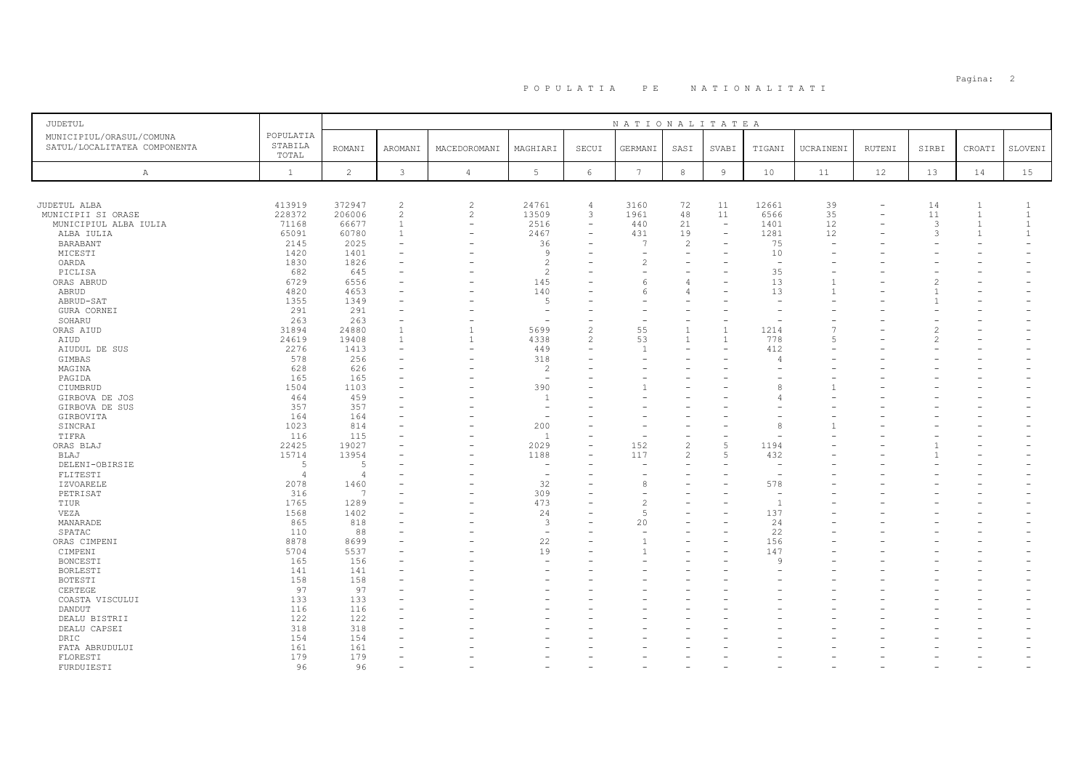# PO PULATIA PE NATIONALITATI POPULATIA: 2

| <b>JUDETUL</b>                                           |                               |                |                          |                          |                          |                          | NATIONALITATEA  |                |                          |                          |                |        |               |                          |              |
|----------------------------------------------------------|-------------------------------|----------------|--------------------------|--------------------------|--------------------------|--------------------------|-----------------|----------------|--------------------------|--------------------------|----------------|--------|---------------|--------------------------|--------------|
| MUNICIPIUL/ORASUL/COMUNA<br>SATUL/LOCALITATEA COMPONENTA | POPULATIA<br>STABILA<br>TOTAL | <b>ROMANI</b>  | AROMANI                  | MACEDOROMANI             | MAGHIARI                 | SECUI                    | GERMANI         | SASI           | SVABI                    | TIGANI                   | UCRAINENI      | RUTENI | SIRBI         | CROATI                   | SLOVENI      |
| Α                                                        | $\mathbf{1}$                  | $\overline{c}$ | $\mathbf{3}$             | $\overline{4}$           | 5                        | $6\,$                    | $7\phantom{.0}$ | $^{\rm 8}$     | $\overline{9}$           | 10                       | 11             | 12     | 13            | 14                       | 15           |
|                                                          |                               |                |                          |                          |                          |                          |                 |                |                          |                          |                |        |               |                          |              |
| JUDETUL ALBA                                             | 413919                        | 372947         | $\overline{c}$           | $\overline{c}$           | 24761                    | $\overline{4}$           | 3160            | 72             | 11                       | 12661                    | 39             |        | 14            | $\mathbf{1}$             | $\mathbf{1}$ |
| MUNICIPII SI ORASE                                       | 228372                        | 206006         | $\sqrt{2}$               | $\overline{c}$           | 13509                    | 3                        | 1961            | 48             | 11                       | 6566                     | 35             |        | 11            | $\mathbf{1}$             | $\mathbf{1}$ |
| MUNICIPIUL ALBA IULIA                                    | 71168                         | 66677          | $\mathbf{1}$             | $\overline{\phantom{a}}$ | 2516                     | $\overline{\phantom{a}}$ | 440             | 21             | $\overline{\phantom{a}}$ | 1401                     | 12             |        | 3             | $\mathbf{1}$             | $\mathbf{1}$ |
| ALBA IULIA                                               | 65091                         | 60780          | $\mathbf{1}$             | $\overline{\phantom{0}}$ | 2467                     | ÷,                       | 431             | 19             | $\equiv$                 | 1281                     | 12             |        | 3             | $\mathbf{1}$             | $\mathbf{1}$ |
| BARABANT                                                 | 2145                          | 2025           | $\overline{\phantom{a}}$ |                          | 36                       |                          | $\overline{7}$  | 2              | $\overline{\phantom{0}}$ | 75                       |                |        |               |                          |              |
| MICESTI                                                  | 1420                          | 1401           |                          |                          | $\overline{9}$           | ÷                        | ۰               | $\equiv$       | $\equiv$                 | 10                       |                |        |               |                          |              |
| OARDA                                                    | 1830                          | 1826           |                          |                          | $\overline{c}$           |                          | $\overline{c}$  | $\equiv$       |                          | $\overline{\phantom{a}}$ |                |        |               |                          |              |
| PICLISA                                                  | 682                           | 645            |                          |                          | $\overline{c}$           |                          |                 |                |                          | 35                       |                |        |               |                          |              |
|                                                          | 6729                          | 6556           |                          |                          | 145                      |                          | 6               | $\overline{4}$ |                          | 13                       |                |        |               |                          |              |
| ORAS ABRUD                                               |                               |                |                          |                          |                          | ۳                        |                 |                |                          |                          | $\mathbf{1}$   |        |               |                          |              |
| ABRUD                                                    | 4820                          | 4653           |                          |                          | 140                      |                          | 6               | $\overline{4}$ |                          | 13                       |                |        |               |                          |              |
| ABRUD-SAT                                                | 1355                          | 1349           |                          |                          | .5                       |                          |                 |                |                          |                          |                |        |               |                          |              |
| GURA CORNEI                                              | 291                           | 291            |                          |                          | $\overline{\phantom{m}}$ |                          |                 |                |                          |                          |                |        |               |                          |              |
| SOHARU                                                   | 263                           | 263            |                          |                          |                          |                          |                 |                |                          |                          |                |        |               |                          |              |
| ORAS AIUD                                                | 31894                         | 24880          | $\overline{1}$           | $\mathbf{1}$             | 5699                     | $\overline{c}$           | 55              | $\mathbf{1}$   |                          | 1214                     |                |        |               |                          |              |
| AIUD                                                     | 24619                         | 19408          | $\mathbf{1}$             | $\mathbf{1}$             | 4338                     | $\overline{c}$           | 53              | $\mathbf{1}$   | $\overline{1}$           | 778                      | $\overline{5}$ |        | $\mathcal{L}$ |                          |              |
| AIUDUL DE SUS                                            | 2276                          | 1413           | $\sim$                   |                          | 449                      | ۳                        | $\overline{1}$  |                |                          | 412                      |                |        |               |                          |              |
| GIMBAS                                                   | 578                           | 256            |                          |                          | 318                      |                          |                 |                |                          |                          |                |        |               |                          |              |
| MAGINA                                                   | 628                           | 626            |                          |                          | 2                        |                          |                 |                |                          |                          |                |        |               |                          |              |
| PAGIDA                                                   | 165                           | 165            |                          |                          | $\sim$                   |                          |                 |                |                          |                          |                |        |               |                          |              |
| CIUMBRUD                                                 | 1504                          | 1103           |                          |                          | 390                      |                          |                 |                |                          |                          |                |        |               |                          |              |
| GIRBOVA DE JOS                                           | 464                           | 459            |                          |                          | $\overline{1}$           |                          |                 |                |                          |                          |                |        |               |                          |              |
| GIRBOVA DE SUS                                           | 357                           | 357            |                          |                          | $\overline{\phantom{a}}$ |                          |                 |                |                          |                          |                |        |               |                          |              |
| GIRBOVITA                                                | 164                           | 164            | $\sim$                   |                          | $\equiv$                 |                          |                 |                |                          |                          |                |        |               |                          |              |
| SINCRAI                                                  | 1023                          | 814            |                          |                          | 200                      |                          |                 |                |                          | 8                        |                |        |               |                          |              |
| TIFRA                                                    | 116                           | 115            |                          |                          | $\overline{1}$           | $\overline{\phantom{0}}$ | Ē,              | $\sim$         |                          |                          |                |        |               |                          |              |
| ORAS BLAJ                                                | 22425                         | 19027          |                          |                          | 2029                     |                          | 152             | $\overline{c}$ | $\overline{5}$           | 1194                     |                |        |               |                          |              |
| BLAJ                                                     | 15714                         | 13954          |                          |                          | 1188                     |                          | 117             | 2              | $\overline{5}$           | 432                      |                |        |               |                          |              |
| DELENI-OBIRSIE                                           | 5                             | 5              |                          |                          |                          |                          |                 |                |                          |                          |                |        |               |                          |              |
| FLITESTI                                                 | $\overline{4}$                | $\Delta$       |                          |                          | $\overline{\phantom{a}}$ | ۰                        |                 |                |                          | $\overline{\phantom{0}}$ |                |        |               |                          |              |
| IZVOARELE                                                | 2078                          | 1460           |                          |                          | 32                       | ۰                        | 8               |                |                          | 578                      |                |        |               |                          |              |
| PETRISAT                                                 | 316                           | $\overline{7}$ |                          |                          | 309                      |                          |                 |                |                          |                          |                |        |               |                          |              |
| TIUR                                                     | 1765                          | 1289           |                          |                          | 473                      | ۳                        | $\overline{2}$  |                | $\overline{\phantom{0}}$ | $\overline{1}$           |                |        |               |                          |              |
| VEZA                                                     | 1568                          | 1402           |                          |                          | 24                       |                          | 5               |                |                          | 137                      |                |        |               |                          |              |
| MANARADE                                                 | 865                           | 818            |                          |                          | 3                        |                          | 20              |                |                          | 24                       |                |        |               |                          |              |
| SPATAC                                                   | 110                           | 88             |                          |                          | $\sim$                   |                          |                 |                |                          | 22                       |                |        |               |                          |              |
| ORAS CIMPENI                                             | 8878                          | 8699           |                          |                          | 22                       |                          | 1               |                | $\equiv$                 | 156                      |                |        |               |                          |              |
| CIMPENI                                                  | 5704                          | 5537           |                          |                          | 19                       |                          |                 |                |                          | 147                      |                |        |               |                          |              |
| BONCESTI                                                 | 165                           | 156            |                          |                          |                          |                          |                 |                |                          | Q                        |                |        |               |                          |              |
| BORLESTI                                                 | 141                           | 141            |                          |                          |                          |                          |                 |                |                          |                          |                |        |               |                          |              |
| BOTESTI                                                  | 158                           | 158            |                          |                          |                          |                          |                 |                |                          |                          |                |        |               |                          |              |
| CERTEGE                                                  | 97                            | 97             |                          |                          |                          |                          |                 |                |                          |                          |                |        |               |                          |              |
|                                                          | 133                           | 133            |                          |                          |                          |                          |                 |                |                          |                          |                |        |               |                          |              |
| COASTA VISCULUI                                          |                               |                |                          |                          |                          |                          |                 |                |                          |                          |                |        |               |                          |              |
| DANDUT                                                   | 116                           | 116            |                          |                          |                          |                          |                 |                |                          |                          |                |        |               |                          |              |
| DEALU BISTRII                                            | 122                           | 122            |                          |                          |                          |                          |                 |                |                          |                          |                |        |               |                          |              |
| DEALU CAPSEI                                             | 318                           | 318            |                          |                          |                          |                          |                 |                |                          |                          |                |        |               |                          |              |
| DRIC                                                     | 154                           | 154            |                          |                          |                          |                          |                 |                |                          |                          |                |        |               |                          |              |
| FATA ABRUDULUI                                           | 161                           | 161            |                          |                          |                          | ۰                        |                 |                |                          |                          |                |        |               |                          |              |
| FLORESTI                                                 | 179                           | 179            |                          |                          |                          |                          |                 |                |                          |                          |                |        |               |                          |              |
| FURDUIESTI                                               | 96                            | 96             | $\sim$                   |                          |                          | $\overline{\phantom{0}}$ |                 |                |                          |                          |                |        |               | $\overline{\phantom{a}}$ |              |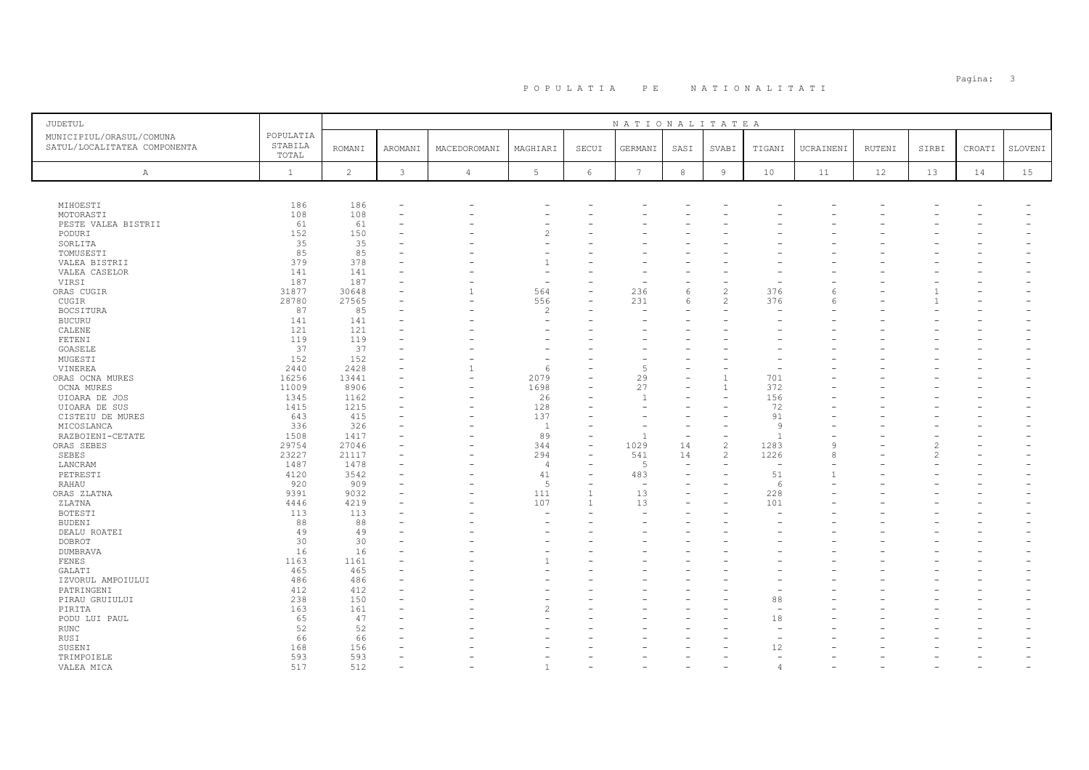| JUDETUL                                                  |                               |                |         |                |                |                          | NATIONALITATEA |                          |                          |                          |           |        |       |                          |         |
|----------------------------------------------------------|-------------------------------|----------------|---------|----------------|----------------|--------------------------|----------------|--------------------------|--------------------------|--------------------------|-----------|--------|-------|--------------------------|---------|
| MUNICIPIUL/ORASUL/COMUNA<br>SATUL/LOCALITATEA COMPONENTA | POPULATIA<br>STABILA<br>TOTAL | <b>ROMANI</b>  | AROMANI | MACEDOROMANI   | MAGHIARI       | SECUI                    | GERMANI        | SASI                     | SVABI                    | TIGANI                   | UCRAINENI | RUTENI | SIRBI | CROATI                   | SLOVENI |
| Α                                                        | $\mathbf{1}$                  | $\overline{2}$ | 3       | $\overline{4}$ | 5              | 6                        | $\overline{7}$ | 8                        | 9                        | 10                       | 11        | 12     | 13    | 14                       | 15      |
|                                                          |                               |                |         |                |                |                          |                |                          |                          |                          |           |        |       |                          |         |
| MIHOESTI                                                 | 186                           | 186            |         |                |                |                          |                |                          |                          |                          |           |        |       |                          |         |
| MOTORASTI                                                | 108                           | 108            |         |                |                |                          |                |                          |                          |                          |           |        |       |                          |         |
| PESTE VALEA BISTRII                                      | 61                            | 61             |         |                |                |                          |                |                          |                          |                          |           |        |       |                          |         |
| PODURI                                                   | 152                           | 150            |         |                | 2              |                          |                |                          |                          |                          |           |        |       |                          |         |
| SORLITA                                                  | 35                            | 35             |         |                |                |                          |                |                          |                          |                          |           |        |       |                          |         |
| TOMUSESTI                                                | 85                            | 85             |         |                |                |                          |                |                          |                          |                          |           |        |       |                          |         |
| VALEA BISTRII                                            | 379                           | 378            |         |                |                |                          |                |                          |                          |                          |           |        |       |                          |         |
| VALEA CASELOR                                            | 141                           | 141            |         |                |                |                          |                |                          |                          |                          |           |        |       |                          |         |
| VIRSI                                                    | 187                           | 187            |         |                | ۰              |                          |                |                          |                          |                          |           |        |       |                          |         |
| ORAS CUGIR                                               | 31877                         | 30648          |         | $\mathbf{1}$   | 564            | $\overline{\phantom{0}}$ | 236            | 6                        | $\mathfrak{D}$           | 376                      | 6         |        |       |                          |         |
| CUGIR                                                    | 28780                         | 27565          |         |                | 556            |                          | 231            | $\epsilon$               |                          | 376                      |           |        |       |                          |         |
| BOCSITURA                                                | 87                            | 85             |         |                | $\overline{c}$ |                          |                |                          |                          |                          |           |        |       |                          |         |
| <b>BUCURU</b>                                            | 141                           | 141            |         |                |                |                          |                |                          |                          |                          |           |        |       |                          |         |
| CALENE                                                   | 121                           | 121            |         |                |                |                          |                |                          |                          |                          |           |        |       |                          |         |
| FETENI                                                   | 119                           | 119            |         |                |                |                          |                |                          |                          |                          |           |        |       |                          |         |
| GOASELE                                                  | 37                            | 37             |         |                |                |                          |                |                          |                          |                          |           |        |       |                          |         |
| MUGESTI                                                  | 152                           | 152            |         |                |                |                          |                |                          |                          |                          |           |        |       |                          |         |
| VINEREA                                                  | 2440                          | 2428           |         |                | 6              |                          | $\overline{5}$ |                          |                          |                          |           |        |       |                          |         |
| ORAS OCNA MURES                                          | 16256                         | 13441          |         |                | 2079           |                          | 29             |                          |                          | 701                      |           |        |       |                          |         |
| OCNA MURES                                               | 11009                         | 8906           |         |                | 1698           |                          | 27             |                          | $\overline{1}$           | 372                      |           |        |       |                          |         |
| UIOARA DE JOS                                            | 1345                          | 1162           |         |                | 26             |                          | $\overline{1}$ |                          |                          | 156                      |           |        |       |                          |         |
| UIOARA DE SUS                                            | 1415                          | 1215           |         |                | 128            |                          |                |                          |                          | 72                       |           |        |       |                          |         |
| CISTEIU DE MURES                                         | 643                           | 415            |         |                | 137            |                          |                |                          |                          | 91                       |           |        |       |                          |         |
| MICOSLANCA                                               | 336                           | 326            |         |                | $\overline{1}$ |                          |                |                          |                          | Q                        |           |        |       |                          |         |
| RAZBOIENI-CETATE                                         | 1508                          | 1417           |         |                | 89             | $\overline{\phantom{a}}$ |                | $\overline{\phantom{a}}$ | $\overline{\phantom{0}}$ |                          |           |        |       |                          |         |
| ORAS SEBES                                               | 29754                         | 27046          |         |                | 344            | $\equiv$                 | 1029           | 14                       | $\mathfrak{D}$           | 1283                     | $\alpha$  |        |       |                          |         |
| SEBES                                                    | 23227                         | 21117          |         |                | 294            | $\equiv$                 | 541            | 14                       | 2                        | 1226                     | 8         |        |       |                          |         |
| LANCRAM                                                  | 1487                          | 1478           |         |                | $\overline{4}$ |                          | $\overline{5}$ |                          |                          | $\overline{\phantom{a}}$ |           |        |       |                          |         |
| PETRESTI                                                 | 4120                          | 3542           |         |                | 41             | ÷                        | 483            | $\equiv$                 |                          | 51                       |           |        |       |                          |         |
| RAHAU                                                    | 920                           | 909            |         |                | $\overline{5}$ |                          |                |                          |                          | $\epsilon$               |           |        |       |                          |         |
| ORAS ZLATNA                                              | 9391                          | 9032           |         |                | 111            | $\overline{1}$           | 13             |                          |                          | 228                      |           |        |       |                          |         |
| ZLATNA                                                   | 4446                          | 4219           |         |                | 107            | 1                        | 13             |                          |                          | 101                      |           |        |       |                          |         |
| BOTESTI                                                  | 113                           | 113            |         |                |                |                          |                |                          |                          |                          |           |        |       |                          |         |
| <b>BUDENI</b>                                            | 88                            | 88             |         |                |                |                          |                |                          |                          |                          |           |        |       |                          |         |
| DEALU ROATEI                                             | 49                            | 49             |         |                |                |                          |                |                          |                          |                          |           |        |       |                          |         |
| DOBROT                                                   | 30                            | 30             |         |                |                |                          |                |                          |                          |                          |           |        |       |                          |         |
| <b>DUMBRAVA</b>                                          | 16                            | 16             |         |                |                |                          |                |                          |                          |                          |           |        |       |                          |         |
| FENES                                                    | 1163                          | 1161           |         |                |                |                          |                |                          |                          |                          |           |        |       |                          |         |
| GALATI                                                   | 465                           | 465            |         |                |                |                          |                |                          |                          |                          |           |        |       |                          |         |
|                                                          | 486                           | 486            |         |                |                |                          |                |                          |                          |                          |           |        |       |                          |         |
| IZVORUL AMPOIULUI                                        | 412                           | 412            |         |                |                |                          |                |                          |                          |                          |           |        |       |                          |         |
| PATRINGENI                                               | 238                           | 150            |         |                |                |                          |                |                          |                          | 88                       |           |        |       |                          |         |
| PIRAU GRUIULUI                                           |                               |                |         |                |                |                          |                |                          |                          |                          |           |        |       |                          |         |
| PIRITA                                                   | 163                           | 161            |         |                | 2              |                          |                |                          |                          |                          |           |        |       |                          |         |
| PODU LUI PAUL                                            | 65                            | 47             |         |                |                |                          |                |                          |                          | 18                       |           |        |       |                          |         |
| RUNC                                                     | 52                            | 52             |         |                |                |                          |                |                          |                          |                          |           |        |       |                          |         |
| RUSI                                                     | 66                            | 66             |         |                |                |                          |                |                          |                          |                          |           |        |       |                          |         |
| SUSENI                                                   | 168                           | 156            |         |                |                |                          |                |                          |                          | 12                       |           |        |       |                          |         |
| TRIMPOIELE                                               | 593                           | 593            |         |                |                |                          |                |                          |                          |                          |           |        |       |                          |         |
| VALEA MICA                                               | 517                           | 512            |         |                | $\overline{1}$ | ۳                        |                |                          |                          |                          |           |        |       | $\overline{\phantom{0}}$ |         |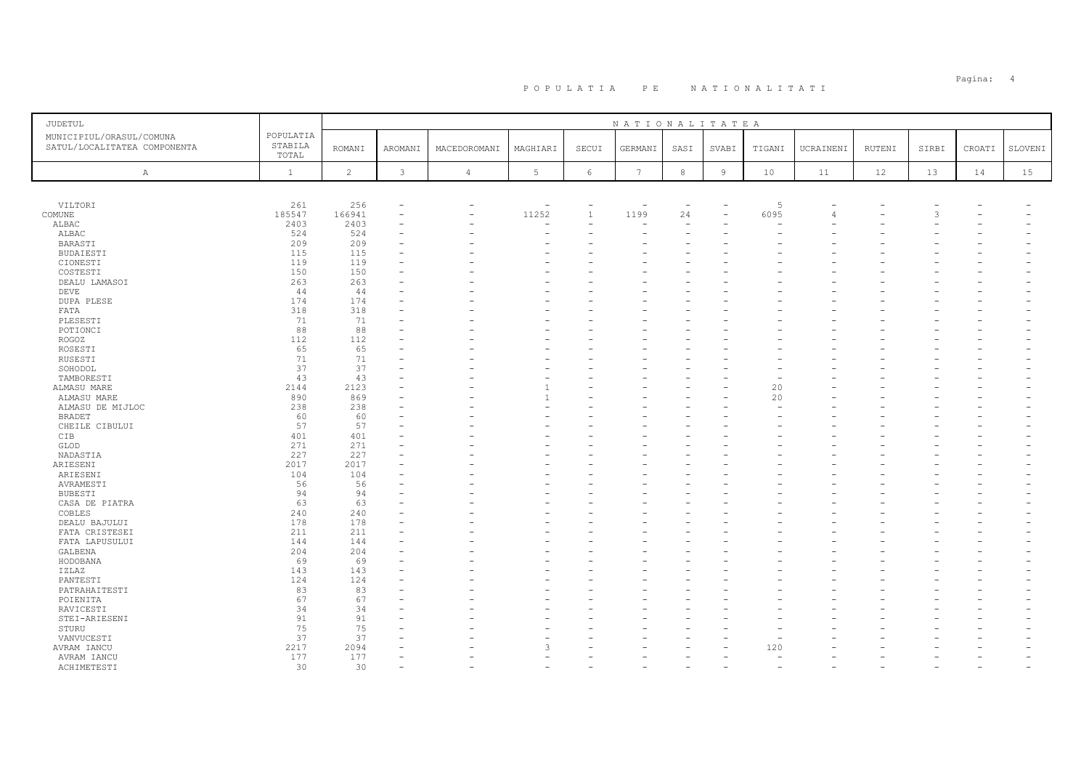| <b>JUDETUL</b>                                           |                               |                |                |                |                          |              | NATIONALITATEA  |                          |        |        |                |        |       |        |         |
|----------------------------------------------------------|-------------------------------|----------------|----------------|----------------|--------------------------|--------------|-----------------|--------------------------|--------|--------|----------------|--------|-------|--------|---------|
| MUNICIPIUL/ORASUL/COMUNA<br>SATUL/LOCALITATEA COMPONENTA | POPULATIA<br>STABILA<br>TOTAL | <b>ROMANI</b>  | <b>AROMANI</b> | MACEDOROMANI   | MAGHIARI                 | SECUI        | GERMANI         | SASI                     | SVABI  | TIGANI | UCRAINENI      | RUTENI | SIRBI | CROATI | SLOVENI |
| Α                                                        | $\mathbf{1}$                  | $\overline{c}$ | $\mathbf{3}$   | $\overline{4}$ | $5\phantom{.0}$          | $\epsilon$   | $7\phantom{.0}$ | $\,$ 8                   | $\,$ 9 | 10     | 11             | 12     | 13    | 14     | 15      |
|                                                          |                               |                |                |                |                          |              |                 |                          |        |        |                |        |       |        |         |
| VILTORI                                                  | 261                           | 256            |                | ÷,             | $\overline{\phantom{a}}$ |              |                 | $\overline{\phantom{a}}$ |        | 5      |                |        |       |        |         |
| COMUNE                                                   | 185547                        | 166941         |                |                | 11252                    | $\mathbf{1}$ | 1199            | 24                       |        | 6095   | $\overline{4}$ |        | 3     |        |         |
| ALBAC                                                    | 2403                          | 2403           |                |                | ۰                        |              |                 |                          |        |        |                |        |       |        |         |
| ALBAC                                                    | 524                           | 524            |                |                |                          |              |                 |                          |        |        |                |        |       |        |         |
| BARASTI                                                  | 209                           | 209            |                |                |                          |              |                 |                          |        |        |                |        |       |        |         |
| <b>BUDAIESTI</b>                                         | 115                           | 115            |                |                |                          |              |                 |                          |        |        |                |        |       |        |         |
| CIONESTI                                                 | 119                           | 119            |                |                |                          |              |                 |                          |        |        |                |        |       |        |         |
| COSTESTI                                                 | 150                           | 150            |                |                |                          |              |                 |                          |        |        |                |        |       |        |         |
| DEALU LAMASOI                                            | 263                           | 263            |                |                |                          |              |                 |                          |        |        |                |        |       |        |         |
| DEVE                                                     | 44                            | 44             |                |                |                          |              |                 |                          |        |        |                |        |       |        |         |
| <b>DUPA PLESE</b>                                        | 174                           | 174            |                |                |                          |              |                 |                          |        |        |                |        |       |        |         |
| FATA                                                     | 318                           | 318            |                |                |                          |              |                 |                          |        |        |                |        |       |        |         |
| PLESESTI                                                 | 71                            | 71             |                |                |                          |              |                 |                          |        |        |                |        |       |        |         |
| POTIONCI                                                 | 88                            | 88             |                |                |                          |              |                 |                          |        |        |                |        |       |        |         |
|                                                          |                               | 112            |                |                |                          |              |                 |                          |        |        |                |        |       |        |         |
| ROGOZ                                                    | 112                           |                |                |                |                          |              |                 |                          |        |        |                |        |       |        |         |
| ROSESTI                                                  | 65                            | 65             |                |                |                          |              |                 |                          |        |        |                |        |       |        |         |
| RUSESTI                                                  | 71                            | 71             |                |                |                          |              |                 |                          |        |        |                |        |       |        |         |
| SOHODOL                                                  | 37                            | 37             |                |                |                          |              |                 |                          |        |        |                |        |       |        |         |
| TAMBORESTI                                               | 43                            | 43             |                |                |                          |              |                 |                          |        |        |                |        |       |        |         |
| ALMASU MARE                                              | 2144                          | 2123           |                |                |                          |              |                 |                          |        | 20     |                |        |       |        |         |
| ALMASU MARE                                              | 890                           | 869            |                |                |                          |              |                 |                          |        | 20     |                |        |       |        |         |
| ALMASU DE MIJLOC                                         | 238                           | 238            |                |                |                          |              |                 |                          |        |        |                |        |       |        |         |
| <b>BRADET</b>                                            | 60                            | 60             |                |                |                          |              |                 |                          |        |        |                |        |       |        |         |
| CHEILE CIBULUI                                           | 57                            | 57             |                |                |                          |              |                 |                          |        |        |                |        |       |        |         |
| CIB                                                      | 401                           | 401            |                |                |                          |              |                 |                          |        |        |                |        |       |        |         |
| GLOD                                                     | 271                           | 271            |                |                |                          |              |                 |                          |        |        |                |        |       |        |         |
| NADASTIA                                                 | 227                           | 227            |                |                |                          |              |                 |                          |        |        |                |        |       |        |         |
| ARIESENI                                                 | 2017                          | 2017           |                |                |                          |              |                 |                          |        |        |                |        |       |        |         |
| ARIESENI                                                 | 104                           | 104            |                |                |                          |              |                 |                          |        |        |                |        |       |        |         |
| AVRAMESTI                                                | 56                            | 56             |                |                |                          |              |                 |                          |        |        |                |        |       |        |         |
| BUBESTI                                                  | 94                            | 94             |                |                |                          |              |                 |                          |        |        |                |        |       |        |         |
| CASA DE PIATRA                                           | 63                            | 63             |                |                |                          |              |                 |                          |        |        |                |        |       |        |         |
|                                                          | 240                           | 240            |                |                |                          |              |                 |                          |        |        |                |        |       |        |         |
| COBLES                                                   |                               |                |                |                |                          |              |                 |                          |        |        |                |        |       |        |         |
| DEALU BAJULUI                                            | 178                           | 178            |                |                |                          |              |                 |                          |        |        |                |        |       |        |         |
| FATA CRISTESEI                                           | 211                           | 211            |                |                |                          |              |                 |                          |        |        |                |        |       |        |         |
| FATA LAPUSULUI                                           | 144                           | 144            |                |                |                          |              |                 |                          |        |        |                |        |       |        |         |
| GALBENA                                                  | 204                           | 204            |                |                |                          |              |                 |                          |        |        |                |        |       |        |         |
| HODOBANA                                                 | 69                            | 69             |                |                |                          |              |                 |                          |        |        |                |        |       |        |         |
| IZLAZ                                                    | 143                           | 143            |                |                |                          |              |                 |                          |        |        |                |        |       |        |         |
| PANTESTI                                                 | 124                           | 124            |                |                |                          |              |                 |                          |        |        |                |        |       |        |         |
| PATRAHAITESTI                                            | 83                            | 83             |                |                |                          |              |                 |                          |        |        |                |        |       |        |         |
| POIENITA                                                 | 67                            | 67             |                |                |                          |              |                 |                          |        |        |                |        |       |        |         |
| RAVICESTI                                                | 34                            | 34             |                |                |                          |              |                 |                          |        |        |                |        |       |        |         |
| STEI-ARIESENI                                            | 91                            | 91             |                |                |                          |              |                 |                          |        |        |                |        |       |        |         |
| STURU                                                    | 75                            | 75             |                |                |                          |              |                 |                          |        |        |                |        |       |        |         |
| VANVUCESTI                                               | 37                            | 37             |                |                |                          |              |                 |                          |        |        |                |        |       |        |         |
| AVRAM IANCU                                              | 2217                          | 2094           |                |                | 3                        |              |                 |                          |        | 120    |                |        |       |        |         |
| AVRAM IANCU                                              | 177                           | 177            |                |                |                          |              |                 |                          |        |        |                |        |       |        |         |
|                                                          | 30                            | 30             |                |                |                          |              |                 |                          |        | $\sim$ |                |        |       |        |         |
| ACHIMETESTI                                              |                               |                |                |                |                          |              |                 |                          |        |        |                |        |       |        |         |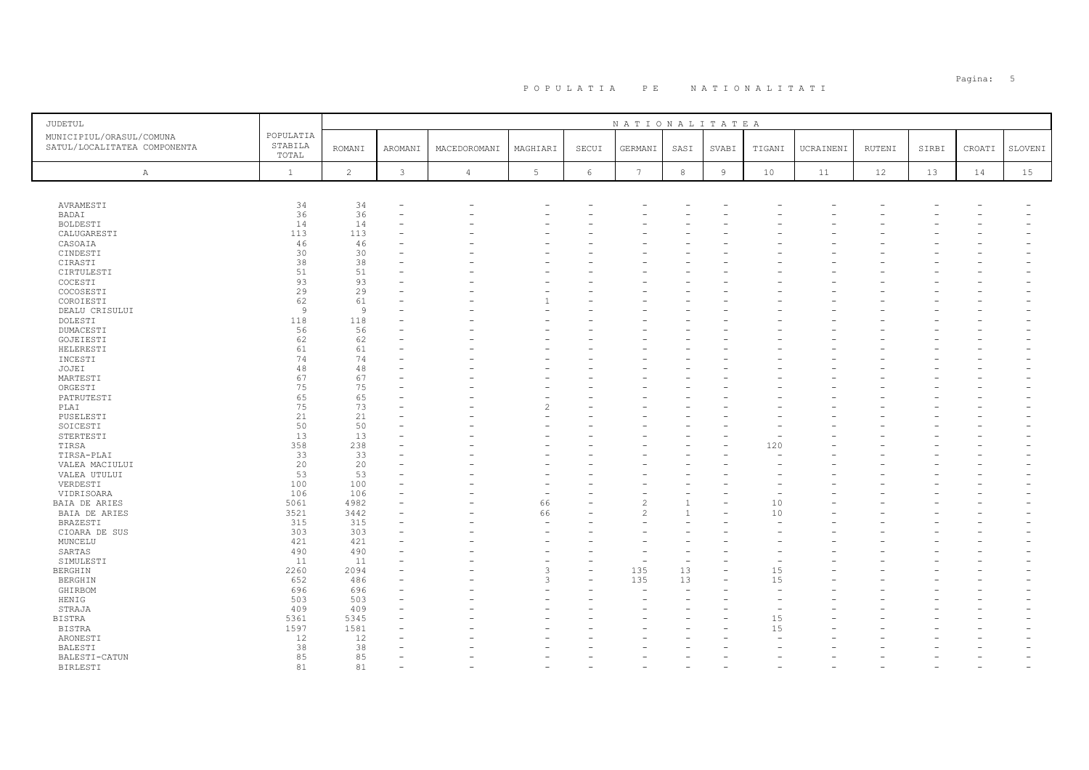# PO PULATIA PE NATIONALITATI POPULATIA: 5

| JUDETUL                                                  |                               |                |         |                |               |          | NATIONALITATEA |              |                |        |           |        |       |        |         |
|----------------------------------------------------------|-------------------------------|----------------|---------|----------------|---------------|----------|----------------|--------------|----------------|--------|-----------|--------|-------|--------|---------|
| MUNICIPIUL/ORASUL/COMUNA<br>SATUL/LOCALITATEA COMPONENTA | POPULATIA<br>STABILA<br>TOTAL | <b>ROMANI</b>  | AROMANI | MACEDOROMANI   | MAGHIARI      | SECUI    | GERMANI        | SASI         | SVABI          | TIGANI | UCRAINENI | RUTENI | SIRBI | CROATI | SLOVENI |
| A                                                        | $\mathbf{1}$                  | $\overline{c}$ | 3       | $\overline{4}$ | 5             | 6        | 7              | 8            | $\overline{9}$ | 10     | 11        | 12     | 13    | 14     | 15      |
|                                                          |                               |                |         |                |               |          |                |              |                |        |           |        |       |        |         |
| AVRAMESTI                                                | 34                            | 34             |         |                |               |          |                |              |                |        |           |        |       |        |         |
| <b>BADAI</b>                                             | 36                            | 36             |         |                |               |          |                |              |                |        |           |        |       |        |         |
| <b>BOLDESTI</b>                                          | 14                            | 14             |         |                |               |          |                |              |                |        |           |        |       |        |         |
| CALUGARESTI                                              | 113                           | 113            |         |                |               |          |                |              |                |        |           |        |       |        |         |
| CASOAIA                                                  | 46                            | 46             |         |                |               |          |                |              |                |        |           |        |       |        |         |
| CINDESTI                                                 | 30                            | 30             |         |                |               |          |                |              |                |        |           |        |       |        |         |
| CIRASTI                                                  | 38                            | 38             |         |                |               |          |                |              |                |        |           |        |       |        |         |
| CIRTULESTI                                               | 51                            | 51             |         |                |               |          |                |              |                |        |           |        |       |        |         |
| COCESTI                                                  | 93                            | 93             |         |                |               |          |                |              |                |        |           |        |       |        |         |
| COCOSESTI                                                | 29                            | 29             |         |                |               |          |                |              |                |        |           |        |       |        |         |
| COROIESTI                                                | 62                            | 61             |         |                |               |          |                |              |                |        |           |        |       |        |         |
| DEALU CRISULUI                                           | 9                             | $\overline{9}$ |         |                |               |          |                |              |                |        |           |        |       |        |         |
| DOLESTI                                                  | 118                           | 118            |         |                |               |          |                |              |                |        |           |        |       |        |         |
| DUMACESTI                                                | 56                            | 56             |         |                |               |          |                |              |                |        |           |        |       |        |         |
| GOJEIESTI                                                | 62                            | 62             |         |                |               |          |                |              |                |        |           |        |       |        |         |
| HELERESTI                                                | 61                            | 61             |         |                |               |          |                |              |                |        |           |        |       |        |         |
| INCESTI                                                  | 74                            | 74             |         |                |               |          |                |              |                |        |           |        |       |        |         |
| JOJEI                                                    | 48                            | 48             |         |                |               |          |                |              |                |        |           |        |       |        |         |
| MARTESTI                                                 | 67                            | 67             |         |                |               |          |                |              |                |        |           |        |       |        |         |
| ORGESTI                                                  | 75                            | 75             |         |                |               |          |                |              |                |        |           |        |       |        |         |
| PATRUTESTI                                               | 65                            | 65             |         |                |               |          |                |              |                |        |           |        |       |        |         |
| PLAI                                                     | 75                            | 73             |         |                |               |          |                |              |                |        |           |        |       |        |         |
| PUSELESTI                                                | 21                            | 21             |         |                |               |          |                |              |                |        |           |        |       |        |         |
| SOICESTI                                                 | 50                            | 50             |         |                |               |          |                |              |                |        |           |        |       |        |         |
| STERTESTI                                                | 13                            | 13             |         |                |               |          |                |              |                |        |           |        |       |        |         |
| TIRSA                                                    | 358                           | 238            |         |                |               |          |                |              |                | 120    |           |        |       |        |         |
| TIRSA-PLAI                                               | 33                            | 33             |         |                |               |          |                |              |                |        |           |        |       |        |         |
| VALEA MACIULUI                                           | 20                            | 20             |         |                |               |          |                |              |                |        |           |        |       |        |         |
| VALEA UTULUI                                             | 53                            | 53             |         |                |               |          |                |              |                |        |           |        |       |        |         |
| VERDESTI                                                 | 100                           | 100            |         |                |               |          |                |              |                |        |           |        |       |        |         |
| VIDRISOARA                                               | 106                           | 106            |         |                |               |          |                |              |                |        |           |        |       |        |         |
| BAIA DE ARIES                                            | 5061                          | 4982           |         |                | 66            |          | $\overline{c}$ |              |                | 10     |           |        |       |        |         |
| BAIA DE ARIES                                            | 3521                          | 3442           |         |                | 66            |          | $\mathfrak{D}$ | $\mathbf{1}$ |                | 10     |           |        |       |        |         |
| BRAZESTI                                                 | 315                           | 315            |         |                |               |          |                |              |                |        |           |        |       |        |         |
| CIOARA DE SUS                                            | 303                           | 303            |         |                |               |          |                |              |                |        |           |        |       |        |         |
| MUNCELU                                                  | 421                           | 421            |         |                |               |          |                |              |                |        |           |        |       |        |         |
| SARTAS                                                   | 490                           | 490            |         |                |               |          |                |              |                |        |           |        |       |        |         |
| SIMULESTI                                                | 11                            | 11             |         |                |               |          |                | $\equiv$     |                |        |           |        |       |        |         |
| <b>BERGHIN</b>                                           | 2260                          | 2094           |         |                | $\mathcal{R}$ | ÷        | 135            | 13           |                | 15     |           |        |       |        |         |
| BERGHIN                                                  | 652                           | 486            |         |                | $\mathcal{L}$ | $\equiv$ | 135            | 13           |                | 15     |           |        |       |        |         |
| GHIRBOM                                                  | 696                           | 696            |         |                |               |          |                |              |                |        |           |        |       |        |         |
| HENIG                                                    | 503                           | 503            |         |                |               |          |                |              |                |        |           |        |       |        |         |
| STRAJA                                                   | 409                           | 409            |         |                |               |          |                |              |                |        |           |        |       |        |         |
| <b>BISTRA</b>                                            | 5361                          | 5345           |         |                |               |          |                |              |                | 15     |           |        |       |        |         |
| BISTRA                                                   | 1597                          | 1581           |         |                |               |          |                |              |                | 15     |           |        |       |        |         |
| ARONESTI                                                 | 12                            | 12             |         |                |               |          |                |              |                |        |           |        |       |        |         |
| BALESTI                                                  | 38                            | 38             |         |                |               |          |                |              |                |        |           |        |       |        |         |
| BALESTI-CATUN                                            | 85                            | 85             |         |                |               |          |                |              |                |        |           |        |       |        |         |
| BIRLESTI                                                 | 81                            | 81             |         |                |               |          |                |              |                |        |           |        |       |        |         |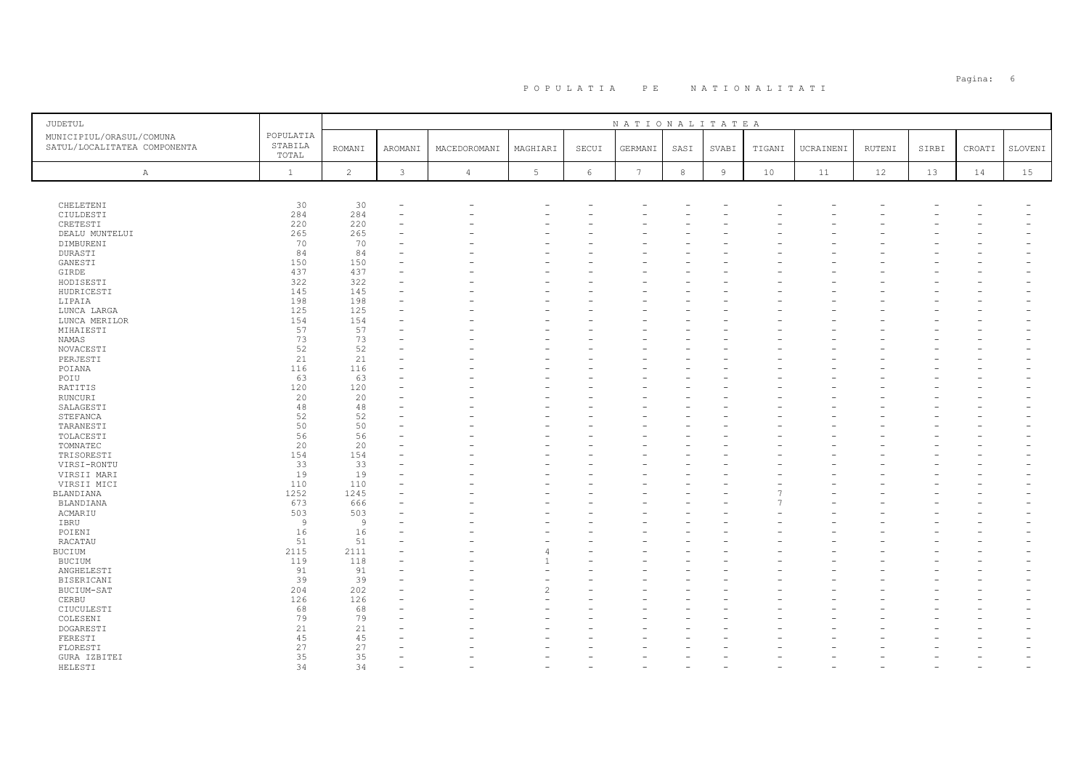# PO PULATIA PE NATIONALITATI POPULATIA S

| <b>JUDETUL</b>                                           |                               |                |                          |                |                          |       | NATIONALITATEA  |            |       |        |           |        |       |        |         |
|----------------------------------------------------------|-------------------------------|----------------|--------------------------|----------------|--------------------------|-------|-----------------|------------|-------|--------|-----------|--------|-------|--------|---------|
| MUNICIPIUL/ORASUL/COMUNA<br>SATUL/LOCALITATEA COMPONENTA | POPULATIA<br>STABILA<br>TOTAL | <b>ROMANI</b>  | AROMANI                  | MACEDOROMANI   | MAGHIARI                 | SECUI | GERMANI         | SASI       | SVABI | TIGANI | UCRAINENI | RUTENI | SIRBI | CROATI | SLOVENI |
| $\mathbb{A}$                                             | $\mathbf{1}$                  | $\overline{c}$ | 3                        | $\overline{4}$ | 5                        | 6     | $7\phantom{.0}$ | $^{\rm 8}$ | $\,9$ | 10     | 11        | 12     | 13    | 14     | 15      |
|                                                          |                               |                |                          |                |                          |       |                 |            |       |        |           |        |       |        |         |
| CHELETENI                                                | 30                            | 30             | $\overline{\phantom{a}}$ |                |                          |       |                 |            |       |        |           |        |       |        |         |
| CIULDESTI                                                | 284                           | 284            | $\overline{\phantom{a}}$ |                |                          |       |                 |            |       |        |           |        |       |        |         |
| CRETESTI                                                 | 220<br>265                    | 220            | $\overline{\phantom{a}}$ |                |                          |       |                 |            |       |        |           |        |       |        |         |
| DEALU MUNTELUI<br>DIMBURENI                              | 70                            | 265<br>70      |                          |                |                          |       |                 |            |       |        |           |        |       |        |         |
| DURASTI                                                  | 84                            | 84             |                          |                |                          |       |                 |            |       |        |           |        |       |        |         |
| GANESTI                                                  | 150                           | 150            |                          |                |                          |       |                 |            |       |        |           |        |       |        |         |
| GIRDE                                                    | 437                           | 437            | $\sim$                   |                |                          |       |                 |            |       |        |           |        |       |        |         |
| HODISESTI                                                | 322                           | 322            |                          |                |                          |       |                 |            |       |        |           |        |       |        |         |
| HUDRICESTI                                               | 145                           | 145            |                          |                |                          |       |                 |            |       |        |           |        |       |        |         |
| LIPAIA                                                   | 198                           | 198            |                          |                |                          |       |                 |            |       |        |           |        |       |        |         |
| LUNCA LARGA                                              | 125                           | 125            |                          |                |                          |       |                 |            |       |        |           |        |       |        |         |
| LUNCA MERILOR                                            | 154                           | 154            |                          |                |                          |       |                 |            |       |        |           |        |       |        |         |
| MIHAIESTI<br>NAMAS                                       | 57<br>73                      | 57<br>73       |                          |                |                          |       |                 |            |       |        |           |        |       |        |         |
| NOVACESTI                                                | 52                            | 52             |                          |                |                          |       |                 |            |       |        |           |        |       |        |         |
| PERJESTI                                                 | 21                            | 21             |                          |                |                          |       |                 |            |       |        |           |        |       |        |         |
| POIANA                                                   | 116                           | 116            |                          |                |                          |       |                 |            |       |        |           |        |       |        |         |
| POIU                                                     | 63                            | 63             |                          |                |                          |       |                 |            |       |        |           |        |       |        |         |
| RATITIS                                                  | 120                           | 120            |                          |                |                          |       |                 |            |       |        |           |        |       |        |         |
| RUNCURI                                                  | 20                            | 20             |                          |                |                          |       |                 |            |       |        |           |        |       |        |         |
| SALAGESTI                                                | 48                            | 48             |                          |                |                          |       |                 |            |       |        |           |        |       |        |         |
| STEFANCA                                                 | 52                            | 52             | ÷                        |                |                          |       |                 |            |       |        |           |        |       |        |         |
| TARANESTI                                                | 50                            | 50             |                          |                |                          |       |                 |            |       |        |           |        |       |        |         |
| TOLACESTI                                                | 56                            | 56             |                          |                |                          |       |                 |            |       |        |           |        |       |        |         |
| TOMNATEC                                                 | 20                            | 20             |                          |                |                          |       |                 |            |       |        |           |        |       |        |         |
| TRISORESTI                                               | 154                           | 154            |                          |                |                          |       |                 |            |       |        |           |        |       |        |         |
| VIRSI-RONTU                                              | 33                            | 33             |                          |                |                          |       |                 |            |       |        |           |        |       |        |         |
| VIRSII MARI                                              | 19<br>110                     | 19<br>110      |                          |                |                          |       |                 |            |       |        |           |        |       |        |         |
| VIRSII MICI<br>BLANDIANA                                 | 1252                          | 1245           |                          |                |                          |       |                 |            |       |        |           |        |       |        |         |
| BLANDIANA                                                | 673                           | 666            |                          |                |                          |       |                 |            |       | 7      |           |        |       |        |         |
| ACMARIU                                                  | 503                           | 503            |                          |                |                          |       |                 |            |       |        |           |        |       |        |         |
| IBRU                                                     | $\overline{9}$                | $\overline{9}$ |                          |                |                          |       |                 |            |       |        |           |        |       |        |         |
| POIENI                                                   | 16                            | 16             |                          |                |                          |       |                 |            |       |        |           |        |       |        |         |
| RACATAU                                                  | 51                            | 51             | $\overline{\phantom{a}}$ |                |                          |       |                 |            |       |        |           |        |       |        |         |
| <b>BUCIUM</b>                                            | 2115                          | 2111           |                          |                | 4                        |       |                 |            |       |        |           |        |       |        |         |
| BUCIUM                                                   | 119                           | 118            | ÷                        |                |                          |       |                 |            |       |        |           |        |       |        |         |
| ANGHELESTI                                               | 91                            | 91             |                          |                |                          |       |                 |            |       |        |           |        |       |        |         |
| BISERICANI                                               | 39                            | 39             |                          |                | $\sim$                   |       |                 |            |       |        |           |        |       |        |         |
| BUCIUM-SAT                                               | 204                           | 202            |                          |                | $\overline{\mathcal{L}}$ |       |                 |            |       |        |           |        |       |        |         |
| CERBU                                                    | 126                           | 126            |                          |                | L.                       |       |                 |            |       |        |           |        |       |        |         |
| CIUCULESTI                                               | 68                            | 68             |                          |                |                          |       |                 |            |       |        |           |        |       |        |         |
| COLESENI<br>DOGARESTI                                    | 79<br>21                      | 79<br>21       |                          |                |                          |       |                 |            |       |        |           |        |       |        |         |
| FERESTI                                                  | 45                            | 45             |                          |                |                          |       |                 |            |       |        |           |        |       |        |         |
| FLORESTI                                                 | 27                            | 27             |                          |                |                          |       |                 |            |       |        |           |        |       |        |         |
| GURA IZBITEI                                             | 35                            | 35             |                          |                |                          |       |                 |            |       |        |           |        |       |        |         |
| HELESTI                                                  | 34                            | 34             | $\overline{\phantom{a}}$ |                |                          |       |                 |            |       |        |           |        |       |        |         |
|                                                          |                               |                |                          |                |                          |       |                 |            |       |        |           |        |       |        |         |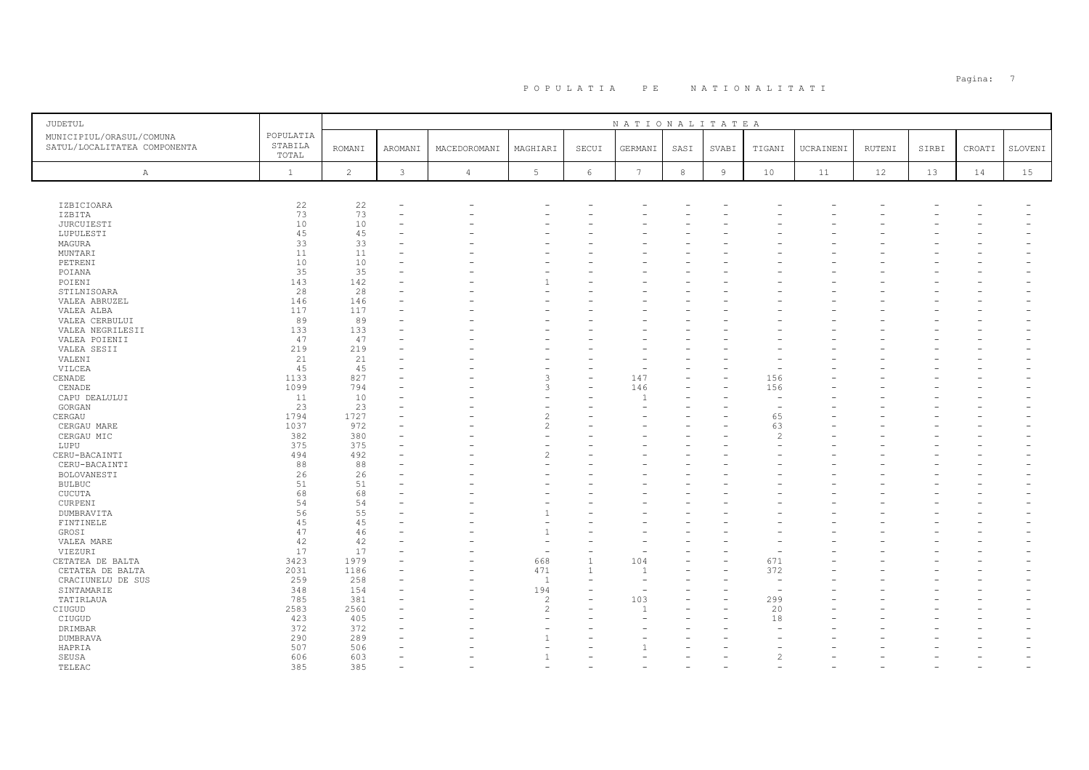# PO PULATIA PE NATIONALITATI POPULATIA: 7

| JUDETUL                                                  |                               |               |                |                |                |                          | NATIONALITATEA |      |                |               |           |        |       |        |         |
|----------------------------------------------------------|-------------------------------|---------------|----------------|----------------|----------------|--------------------------|----------------|------|----------------|---------------|-----------|--------|-------|--------|---------|
| MUNICIPIUL/ORASUL/COMUNA<br>SATUL/LOCALITATEA COMPONENTA | POPULATIA<br>STABILA<br>TOTAL | <b>ROMANI</b> | AROMANI        | MACEDOROMANI   | MAGHIARI       | SECUI                    | GERMANI        | SASI | SVABI          | TIGANI        | UCRAINENI | RUTENI | SIRBI | CROATI | SLOVENI |
| $\mathbb{A}$                                             | $\mathbf{1}$                  | 2             | 3              | $\overline{4}$ | 5              | 6                        | $\overline{7}$ | 8    | $\overline{9}$ | 10            | 11        | 12     | 13    | 14     | 15      |
|                                                          |                               |               |                |                |                |                          |                |      |                |               |           |        |       |        |         |
| <b>IZBICIOARA</b>                                        | 22                            | 22            |                |                |                |                          |                |      |                |               |           |        |       |        |         |
| IZBITA                                                   | 73                            | 73            |                |                |                |                          |                |      |                |               |           |        |       |        |         |
| <b>JURCUIESTI</b>                                        | 10                            | 10            |                |                |                |                          |                |      |                |               |           |        |       |        |         |
| LUPULESTI                                                | 45                            | 45            |                |                |                |                          |                |      |                |               |           |        |       |        |         |
| MAGURA                                                   | 33                            | 33            |                |                |                |                          |                |      |                |               |           |        |       |        |         |
| MUNTARI                                                  | 11                            | 11            |                |                |                |                          |                |      |                |               |           |        |       |        |         |
| PETRENI                                                  | 10                            | 10            |                |                |                |                          |                |      |                |               |           |        |       |        |         |
| POIANA                                                   | 35                            | 35            |                |                |                |                          |                |      |                |               |           |        |       |        |         |
| POIENI                                                   | 143                           | 142           |                |                |                |                          |                |      |                |               |           |        |       |        |         |
| STILNISOARA                                              | 28                            | 28            |                |                |                | $=$                      |                |      |                |               |           |        |       |        |         |
| VALEA ABRUZEL                                            | 146                           | 146           |                |                |                |                          |                |      |                |               |           |        |       |        |         |
| VALEA ALBA                                               | 117                           | 117           |                |                |                |                          |                |      |                |               |           |        |       |        |         |
| VALEA CERBULUI                                           | 89                            | 89            |                |                |                |                          |                |      |                |               |           |        |       |        |         |
| VALEA NEGRILESII                                         | 133                           | 133           |                |                |                |                          |                |      |                |               |           |        |       |        |         |
| VALEA POIENII                                            | 47                            | 47            |                |                |                |                          |                |      |                |               |           |        |       |        |         |
| VALEA SESII                                              | 219                           | 219           |                |                |                |                          |                |      |                |               |           |        |       |        |         |
| VALENI                                                   | 21                            | 21            |                |                |                | $\equiv$                 |                |      |                |               |           |        |       |        |         |
| VILCEA<br>CENADE                                         | 45<br>1133                    | 45<br>827     |                |                | 3              | $\equiv$                 | 147            |      |                | 156           |           |        |       |        |         |
| CENADE                                                   | 1099                          | 794           |                |                |                |                          | 146            |      |                | 156           |           |        |       |        |         |
| CAPU DEALULUI                                            | 11                            | 10            |                |                |                | ÷                        |                |      |                | $\sim$        |           |        |       |        |         |
| GORGAN                                                   | 23                            | 23            |                |                |                |                          |                |      |                |               |           |        |       |        |         |
| CERGAU                                                   | 1794                          | 1727          |                |                | $\overline{c}$ |                          |                |      |                | 65            |           |        |       |        |         |
| CERGAU MARE                                              | 1037                          | 972           |                |                | $\mathfrak{D}$ |                          |                |      |                | 63            |           |        |       |        |         |
| CERGAU MIC                                               | 382                           | 380           |                |                |                |                          |                |      |                | 2             |           |        |       |        |         |
| LUPU                                                     | 375                           | 375           |                |                |                |                          |                |      |                |               |           |        |       |        |         |
| CERU-BACAINTI                                            | 494                           | 492           |                |                |                |                          |                |      |                |               |           |        |       |        |         |
| CERU-BACAINTI                                            | 88                            | 88            |                |                |                | $\equiv$                 |                |      |                |               |           |        |       |        |         |
| BOLOVANESTI                                              | 26                            | 26            |                |                |                |                          |                |      |                |               |           |        |       |        |         |
| <b>BULBUC</b>                                            | 51                            | 51            |                |                |                |                          |                |      |                |               |           |        |       |        |         |
| <b>CUCUTA</b>                                            | 68                            | 68            |                |                |                |                          |                |      |                |               |           |        |       |        |         |
| CURPENI                                                  | 54                            | 54            |                |                |                |                          |                |      |                |               |           |        |       |        |         |
| DUMBRAVITA                                               | 56                            | 55            |                |                |                |                          |                |      |                |               |           |        |       |        |         |
| FINTINELE                                                | 45                            | 45            |                |                |                |                          |                |      |                |               |           |        |       |        |         |
| GROSI                                                    | 47                            | 46            |                |                | $\overline{1}$ | $\overline{\phantom{0}}$ |                |      |                |               |           |        |       |        |         |
| VALEA MARE                                               | 42                            | 42            |                |                |                |                          |                |      |                |               |           |        |       |        |         |
| VIEZURI                                                  | 17                            | 17            |                |                |                | $\equiv$                 |                |      |                |               |           |        |       |        |         |
| CETATEA DE BALTA                                         | 3423                          | 1979          |                |                | 668            | $\mathbf{1}$             | 104            |      |                | 671           |           |        |       |        |         |
| CETATEA DE BALTA                                         | 2031                          | 1186          |                |                | 471            | $\mathbf{1}$             | $\overline{1}$ |      |                | 372           |           |        |       |        |         |
| CRACIUNELU DE SUS                                        | 259                           | 258           |                |                | $\overline{1}$ | ÷                        |                |      |                |               |           |        |       |        |         |
| SINTAMARIE                                               | 348                           | 154           |                |                | 194            |                          |                |      |                |               |           |        |       |        |         |
| TATIRLAUA                                                | 785                           | 381           |                |                | $\overline{c}$ |                          | 103            |      |                | 299           |           |        |       |        |         |
| CIUGUD                                                   | 2583                          | 2560          |                |                | 2              | $\equiv$                 | $\overline{1}$ |      |                | 20            |           |        |       |        |         |
| CIUGUD                                                   | 423                           | 405           | $\equiv$       |                |                |                          |                |      |                | 18            |           |        |       |        |         |
| DRIMBAR                                                  | 372                           | 372           |                |                |                |                          |                |      |                |               |           |        |       |        |         |
| DUMBRAVA                                                 | 290                           | 289           |                |                |                |                          |                |      |                |               |           |        |       |        |         |
| HAPRIA                                                   | 507                           | 506           |                |                |                |                          |                |      |                |               |           |        |       |        |         |
| SEUSA                                                    | 606                           | 603           | $\sim$         |                |                |                          |                |      |                | $\mathcal{P}$ |           |        |       |        |         |
| TELEAC                                                   | 385                           | 385           | $\overline{a}$ |                |                |                          |                |      |                |               |           |        |       |        |         |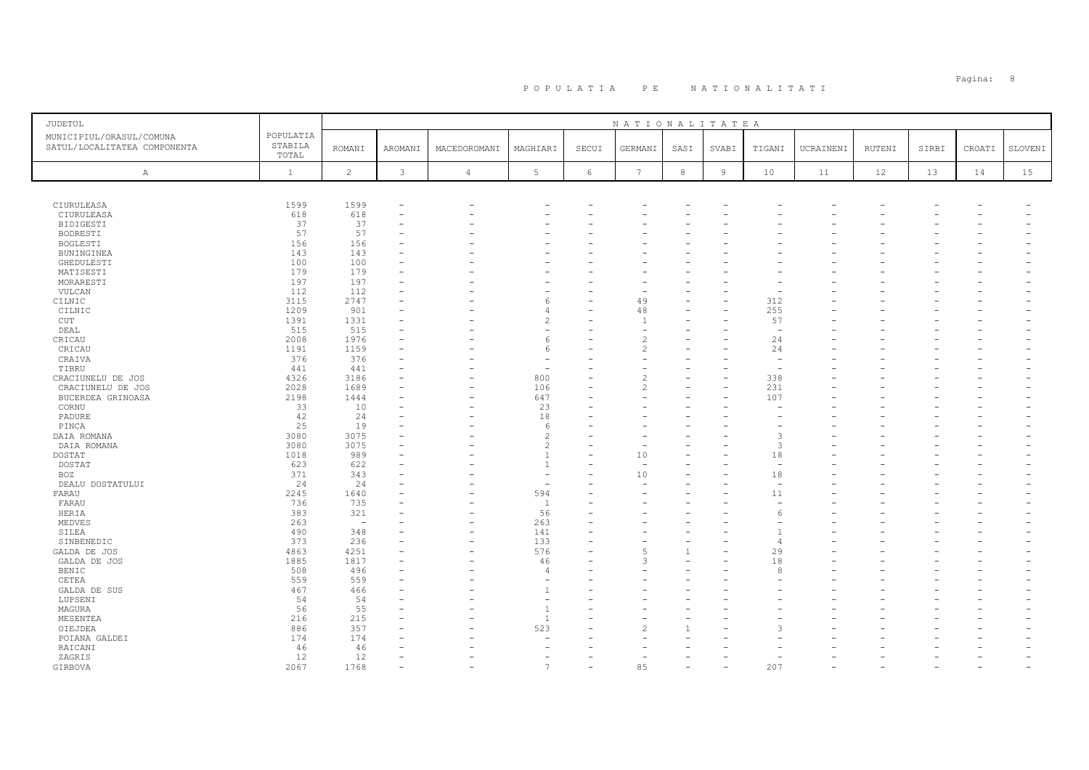| JUDETUL                                                  |                               |                          |               |                |                                  |            | NATIONALITATEA  |              |       |                          |           |               |       |        |         |
|----------------------------------------------------------|-------------------------------|--------------------------|---------------|----------------|----------------------------------|------------|-----------------|--------------|-------|--------------------------|-----------|---------------|-------|--------|---------|
| MUNICIPIUL/ORASUL/COMUNA<br>SATUL/LOCALITATEA COMPONENTA | POPULATIA<br>STABILA<br>TOTAL | <b>ROMANI</b>            | AROMANI       | MACEDOROMANI   | MAGHIARI                         | SECUI      | GERMANI         | SASI         | SVABI | TIGANI                   | UCRAINENI | <b>RUTENI</b> | SIRBI | CROATI | SLOVENI |
| $\mathbb{A}$                                             | $\mathbf{1}$                  | $\overline{c}$           | $\mathcal{E}$ | $\overline{4}$ | $5\phantom{.0}$                  | $\epsilon$ | $7\phantom{.0}$ | $^{\rm 8}$   | $\,9$ | 10                       | 11        | 12            | 13    | 14     | 15      |
|                                                          |                               |                          |               |                |                                  |            |                 |              |       |                          |           |               |       |        |         |
| CIURULEASA                                               | 1599                          | 1599                     |               |                |                                  |            |                 |              |       |                          |           |               |       |        |         |
| CIURULEASA                                               | 618                           | 618                      |               |                |                                  |            |                 |              |       |                          |           |               |       |        |         |
| <b>BIDIGESTI</b>                                         | 37                            | 37                       |               |                |                                  |            |                 |              |       |                          |           |               |       |        |         |
| BODRESTI                                                 | 57                            | 57                       |               |                |                                  |            |                 |              |       |                          |           |               |       |        |         |
| <b>BOGLESTI</b>                                          | 156                           | 156                      |               |                |                                  |            |                 |              |       |                          |           |               |       |        |         |
| BUNINGINEA<br>GHEDULESTI                                 | 143<br>100                    | 143<br>100               |               |                |                                  |            |                 |              |       |                          |           |               |       |        |         |
| MATISESTI                                                | 179                           | 179                      |               |                |                                  |            |                 |              |       |                          |           |               |       |        |         |
| MORARESTI                                                | 197                           | 197                      |               |                |                                  |            |                 |              |       |                          |           |               |       |        |         |
| VULCAN                                                   | 112                           | 112                      |               |                |                                  |            |                 |              |       |                          |           |               |       |        |         |
| CILNIC                                                   | 3115                          | 2747                     |               |                | 6                                |            | 49              |              |       | 312                      |           |               |       |        |         |
| CILNIC                                                   | 1209                          | 901                      |               |                | $\overline{4}$                   |            | 48              |              |       | 255                      |           |               |       |        |         |
| CUT                                                      | 1391                          | 1331                     |               |                | $\overline{c}$                   |            |                 |              |       | 57                       |           |               |       |        |         |
| DEAL                                                     | 515                           | 515                      |               |                | $\overline{\phantom{a}}$         |            |                 |              |       | $\overline{\phantom{a}}$ |           |               |       |        |         |
| CRICAU                                                   | 2008                          | 1976                     |               |                | 6                                |            | $\mathfrak{D}$  |              |       | 24                       |           |               |       |        |         |
| CRICAU                                                   | 1191                          | 1159                     |               |                | 6                                |            |                 |              |       | 24                       |           |               |       |        |         |
| CRAIVA                                                   | 376                           | 376                      |               |                |                                  |            |                 |              |       | $\overline{\phantom{a}}$ |           |               |       |        |         |
| TIBRU                                                    | 441                           | 441                      |               |                | ÷.                               |            |                 |              |       |                          |           |               |       |        |         |
| CRACIUNELU DE JOS                                        | 4326                          | 3186                     |               |                | 800                              |            |                 |              |       | 338                      |           |               |       |        |         |
| CRACIUNELU DE JOS                                        | 2028                          | 1689                     |               |                | 106                              |            |                 |              |       | 231                      |           |               |       |        |         |
| BUCERDEA GRINOASA                                        | 2198                          | 1444                     |               |                | 647                              |            |                 |              |       | 107                      |           |               |       |        |         |
| CORNU                                                    | 33                            | 10                       |               |                | 23                               |            |                 |              |       |                          |           |               |       |        |         |
| PADURE                                                   | 42                            | 24                       |               |                | 18                               |            |                 |              |       |                          |           |               |       |        |         |
| PINCA                                                    | 25                            | 19<br>3075               |               |                | 6<br>$\overline{c}$              |            |                 |              |       |                          |           |               |       |        |         |
| DAIA ROMANA<br>DAIA ROMANA                               | 3080<br>3080                  | 3075                     |               |                | $\overline{c}$                   |            |                 |              |       | 3                        |           |               |       |        |         |
| <b>DOSTAT</b>                                            | 1018                          | 989                      |               |                | $\overline{1}$                   |            | 10              |              |       | 18                       |           |               |       |        |         |
| <b>DOSTAT</b>                                            | 623                           | 622                      |               |                | $\overline{1}$                   |            |                 |              |       | $\overline{\phantom{a}}$ |           |               |       |        |         |
| <b>BOZ</b>                                               | 371                           | 343                      |               |                | $\overline{\phantom{a}}$         |            | 10              |              |       | 18                       |           |               |       |        |         |
| DEALU DOSTATULUI                                         | 24                            | 24                       |               |                | $\overline{\phantom{a}}$         |            |                 |              |       | $\overline{\phantom{a}}$ |           |               |       |        |         |
| FARAU                                                    | 2245                          | 1640                     |               |                | 594                              |            |                 |              |       | 11                       |           |               |       |        |         |
| FARAU                                                    | 736                           | 735                      |               |                | <sup>1</sup>                     |            |                 |              |       |                          |           |               |       |        |         |
| HERIA                                                    | 383                           | 321                      |               |                | 56                               |            |                 |              |       | -6                       |           |               |       |        |         |
| MEDVES                                                   | 263                           | $\overline{\phantom{a}}$ |               |                | 263                              |            |                 |              |       |                          |           |               |       |        |         |
| SILEA                                                    | 490                           | 348                      |               |                | 141                              |            |                 |              |       | $\mathbf{1}$             |           |               |       |        |         |
| SINBENEDIC                                               | 373                           | 236                      |               |                | 133                              |            |                 |              |       | $\sqrt{2}$               |           |               |       |        |         |
| GALDA DE JOS                                             | 4863                          | 4251                     |               |                | 576                              |            | 5               | $\mathbf{1}$ |       | 29                       |           |               |       |        |         |
| GALDA DE JOS                                             | 1885                          | 1817                     |               |                | 46                               |            |                 |              |       | 18                       |           |               |       |        |         |
| <b>BENIC</b>                                             | 508                           | 496                      |               |                | $\overline{4}$                   |            |                 |              |       | 8                        |           |               |       |        |         |
| CETEA                                                    | 559                           | 559                      |               |                | $\overline{\phantom{a}}$         |            |                 |              |       |                          |           |               |       |        |         |
| GALDA DE SUS                                             | 467                           | 466                      |               |                | $\overline{1}$                   |            |                 |              |       |                          |           |               |       |        |         |
| LUPSENI                                                  | 54                            | 54                       |               |                | ÷.                               |            |                 |              |       |                          |           |               |       |        |         |
| MAGURA                                                   | 56<br>216                     | 55<br>215                |               |                | $\overline{1}$<br>$\overline{1}$ |            |                 |              |       |                          |           |               |       |        |         |
| MESENTEA<br>OIEJDEA                                      | 886                           | 357                      |               |                | 523                              |            |                 |              |       |                          |           |               |       |        |         |
| POIANA GALDEI                                            | 174                           | 174                      |               |                |                                  |            |                 |              |       |                          |           |               |       |        |         |
| RAICANI                                                  | 46                            | 46                       |               |                | ۰                                |            |                 |              |       |                          |           |               |       |        |         |
| ZAGRIS                                                   | 12                            | 12                       |               |                |                                  |            |                 |              |       |                          |           |               |       |        |         |
| GIRBOVA                                                  | 2067                          | 1768                     |               |                | $\overline{7}$                   | ۳          | 85              |              |       | 207                      |           |               |       |        |         |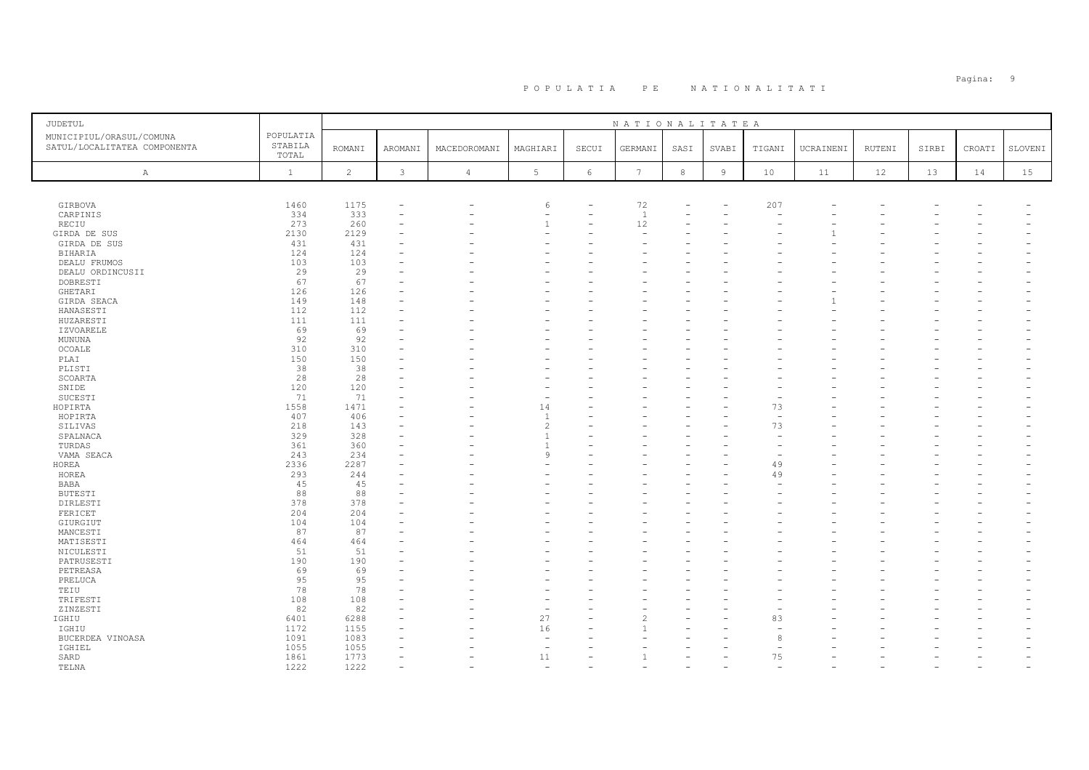| JUDETUL                      |              |               |          |                |                          |       | NATIONALITATEA  |      |                |        |           |        |       |        |         |
|------------------------------|--------------|---------------|----------|----------------|--------------------------|-------|-----------------|------|----------------|--------|-----------|--------|-------|--------|---------|
| MUNICIPIUL/ORASUL/COMUNA     | POPULATIA    |               |          |                |                          |       |                 |      |                |        |           |        |       |        |         |
| SATUL/LOCALITATEA COMPONENTA | STABILA      | <b>ROMANI</b> | AROMANI  | MACEDOROMANI   | MAGHIARI                 | SECUI | GERMANI         | SASI | SVABI          | TIGANI | UCRAINENI | RUTENI | SIRBI | CROATI | SLOVENI |
|                              | TOTAL        |               |          |                |                          |       |                 |      |                |        |           |        |       |        |         |
| A                            | $\mathbf{1}$ | 2             | 3        | $\overline{4}$ | 5                        | 6     | $7\phantom{.0}$ | $^8$ | $\overline{9}$ | 10     | 11        | 12     | 13    | 14     | 15      |
|                              |              |               |          |                |                          |       |                 |      |                |        |           |        |       |        |         |
| GIRBOVA                      | 1460         | 1175          |          |                | 6                        |       | 72              |      |                | 207    |           |        |       |        |         |
| CARPINIS                     | 334          | 333           | $\sim$   |                | $\overline{\phantom{a}}$ | ÷,    | <sup>1</sup>    |      |                |        |           |        |       |        |         |
| RECIU                        | 273          | 260           |          |                | $\overline{1}$           |       | 12              |      |                |        |           |        |       |        |         |
| GIRDA DE SUS                 | 2130         | 2129          |          |                | ۰                        |       |                 |      |                |        |           |        |       |        |         |
| GIRDA DE SUS                 | 431          | 431           |          |                |                          |       |                 |      |                |        |           |        |       |        |         |
| <b>BIHARIA</b>               | 124          | 124           |          |                |                          |       |                 |      |                |        |           |        |       |        |         |
| DEALU FRUMOS                 | 103          | 103           |          |                |                          |       |                 |      |                |        |           |        |       |        |         |
| DEALU ORDINCUSII             | 29           | 29            |          |                |                          |       |                 |      |                |        |           |        |       |        |         |
| DOBRESTI                     | 67           | 67            |          |                |                          |       |                 |      |                |        |           |        |       |        |         |
| GHETARI                      | 126          | 126           |          |                |                          |       |                 |      |                |        |           |        |       |        |         |
| GIRDA SEACA                  | 149          | 148           |          |                |                          |       |                 |      |                |        |           |        |       |        |         |
| HANASESTI                    | 112          | 112           |          |                |                          |       |                 |      |                |        |           |        |       |        |         |
| HUZARESTI                    | 111          | 111           |          |                |                          |       |                 |      |                |        |           |        |       |        |         |
| <b>IZVOARELE</b>             | 69           | 69            |          |                |                          |       |                 |      |                |        |           |        |       |        |         |
| MUNUNA                       | 92           | 92            |          |                |                          |       |                 |      |                |        |           |        |       |        |         |
| OCOALE                       | 310          | 310           |          |                |                          |       |                 |      |                |        |           |        |       |        |         |
| PLAI                         | 150          | 150           |          |                |                          |       |                 |      |                |        |           |        |       |        |         |
|                              | 38           | 38            |          |                |                          |       |                 |      |                |        |           |        |       |        |         |
| PLISTI<br>SCOARTA            | 28           | 28            |          |                |                          |       |                 |      |                |        |           |        |       |        |         |
| SNIDE                        | 120          | 120           |          |                |                          |       |                 |      |                |        |           |        |       |        |         |
| SUCESTI                      | 71           | 71            |          |                | $\overline{\phantom{a}}$ |       |                 |      |                |        |           |        |       |        |         |
| HOPIRTA                      | 1558         | 1471          |          |                | 14                       |       |                 |      |                | 73     |           |        |       |        |         |
| HOPIRTA                      | 407          | 406           |          |                | $\overline{1}$           |       |                 |      |                |        |           |        |       |        |         |
|                              | 218          | 143           |          |                | $\overline{c}$           | L.    |                 |      |                | 73     |           |        |       |        |         |
| SILIVAS                      | 329          | 328           |          |                | $\overline{1}$           |       |                 |      |                |        |           |        |       |        |         |
| SPALNACA<br>TURDAS           | 361          | 360           | $\equiv$ |                | $\overline{1}$           |       |                 |      |                |        |           |        |       |        |         |
| VAMA SEACA                   | 243          | 234           |          |                | 9                        |       |                 |      |                |        |           |        |       |        |         |
|                              | 2336         | 2287          |          |                |                          |       |                 |      |                | 49     |           |        |       |        |         |
| HOREA                        |              |               |          |                |                          |       |                 |      |                |        |           |        |       |        |         |
| HOREA<br><b>BABA</b>         | 293<br>45    | 244<br>45     |          |                |                          |       |                 |      |                | 49     |           |        |       |        |         |
|                              |              |               |          |                |                          |       |                 |      |                |        |           |        |       |        |         |
| <b>BUTESTI</b>               | 88<br>378    | 88<br>378     |          |                |                          |       |                 |      |                |        |           |        |       |        |         |
| DIRLESTI<br>FERICET          | 204          | 204           |          |                |                          |       |                 |      |                |        |           |        |       |        |         |
| GIURGIUT                     | 104          | 104           |          |                |                          |       |                 |      |                |        |           |        |       |        |         |
| MANCESTI                     | 87           | 87            |          |                |                          |       |                 |      |                |        |           |        |       |        |         |
|                              | 464          | 464           |          |                |                          |       |                 |      |                |        |           |        |       |        |         |
| MATISESTI                    | 51           | 51            |          |                |                          |       |                 |      |                |        |           |        |       |        |         |
| NICULESTI                    | 190          | 190           |          |                |                          |       |                 |      |                |        |           |        |       |        |         |
| PATRUSESTI                   | 69           | 69            |          |                |                          |       |                 |      |                |        |           |        |       |        |         |
| PETREASA<br>PRELUCA          | 95           | 95            |          |                |                          |       |                 |      |                |        |           |        |       |        |         |
|                              | 78           |               |          |                |                          |       |                 |      |                |        |           |        |       |        |         |
| TEIU<br>TRIFESTI             | 108          | 78<br>108     |          |                |                          |       |                 |      |                |        |           |        |       |        |         |
|                              | 82           | 82            |          |                | $\overline{\phantom{a}}$ |       |                 |      |                |        |           |        |       |        |         |
| ZINZESTI<br>IGHIU            | 6401         | 6288          |          |                | 27                       |       |                 |      |                | 83     |           |        |       |        |         |
| IGHIU                        | 1172         | 1155          |          |                | 16                       |       |                 |      |                |        |           |        |       |        |         |
| BUCERDEA VINOASA             | 1091         | 1083          |          |                | $\overline{\phantom{a}}$ |       |                 |      |                | 8      |           |        |       |        |         |
| IGHIEL                       | 1055         | 1055          |          |                | $\overline{\phantom{a}}$ |       |                 |      |                |        |           |        |       |        |         |
| SARD                         | 1861         | 1773          |          |                | 11                       |       |                 |      |                | 75     |           |        |       |        |         |
| TELNA                        | 1222         | 1222          |          |                | $\sim$                   |       |                 |      |                |        |           |        |       |        |         |
|                              |              |               |          |                |                          |       |                 |      |                |        |           |        |       |        |         |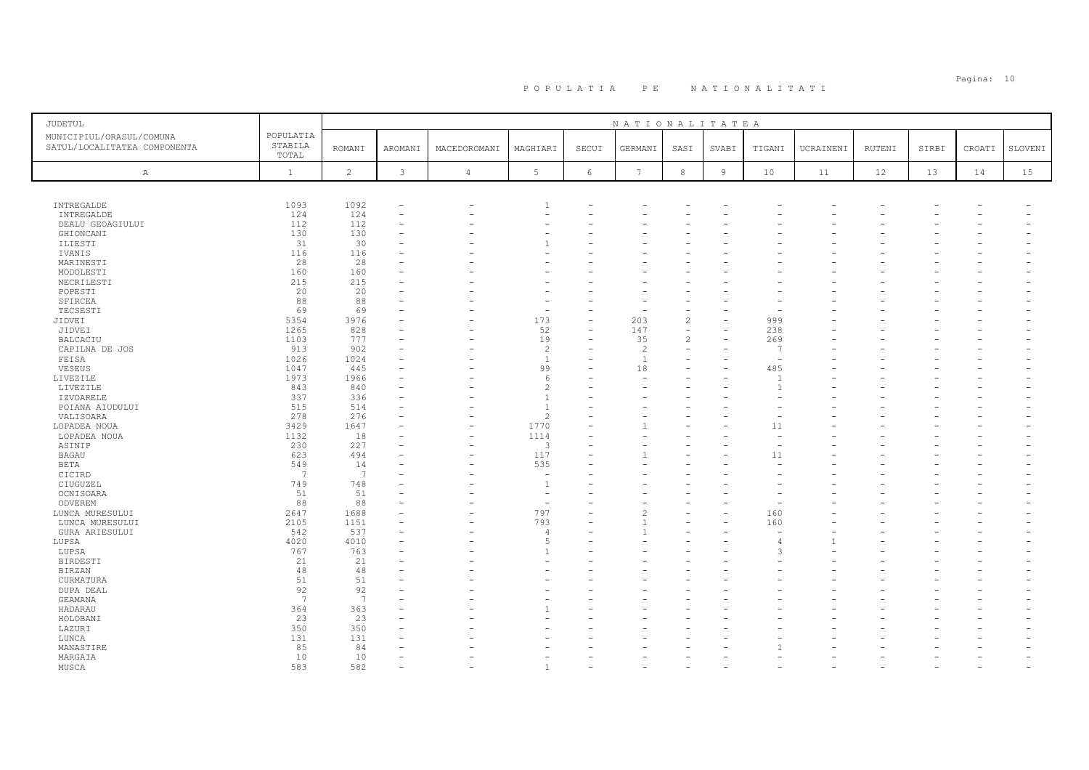| <b>JUDETUL</b>                                           |                               |                |                |                |                          |                          | NATIONALITATEA           |                |                |                          |           |        |       |        |         |
|----------------------------------------------------------|-------------------------------|----------------|----------------|----------------|--------------------------|--------------------------|--------------------------|----------------|----------------|--------------------------|-----------|--------|-------|--------|---------|
| MUNICIPIUL/ORASUL/COMUNA<br>SATUL/LOCALITATEA COMPONENTA | POPULATIA<br>STABILA<br>TOTAL | <b>ROMANI</b>  | <b>AROMANI</b> | MACEDOROMANI   | MAGHIARI                 | SECUI                    | GERMANI                  | SASI           | SVABI          | TIGANI                   | UCRAINENI | RUTENI | SIRBI | CROATI | SLOVENI |
| A                                                        | $\mathbf{1}$                  | $\overline{c}$ | $\mathfrak{Z}$ | $\overline{4}$ | $5\phantom{.0}$          | $6\,$                    | $7\phantom{.0}$          | $^{\rm 8}$     | $\overline{9}$ | 10                       | 11        | 12     | 13    | 14     | 15      |
|                                                          |                               |                |                |                |                          |                          |                          |                |                |                          |           |        |       |        |         |
| INTREGALDE                                               | 1093                          | 1092           |                |                |                          |                          |                          |                |                |                          |           |        |       |        |         |
| INTREGALDE                                               | 124                           | 124            |                |                |                          |                          |                          |                |                |                          |           |        |       |        |         |
| DEALU GEOAGIULUI                                         | 112                           | 112            |                |                |                          |                          |                          |                |                |                          |           |        |       |        |         |
| GHIONCANI                                                | 130                           | 130            |                |                |                          |                          |                          |                |                |                          |           |        |       |        |         |
| ILIESTI                                                  | 31                            | 30             |                |                |                          |                          |                          |                |                |                          |           |        |       |        |         |
| IVANIS                                                   | 116                           | 116            |                |                |                          |                          |                          |                |                |                          |           |        |       |        |         |
| MARINESTI                                                | 28                            | 28             |                |                |                          |                          |                          |                |                |                          |           |        |       |        |         |
| MODOLESTI                                                | 160                           | 160            |                |                |                          |                          |                          |                |                |                          |           |        |       |        |         |
| NECRILESTI                                               | 215                           | 215            |                |                |                          |                          |                          |                |                |                          |           |        |       |        |         |
| POPESTI                                                  | 20                            | 20             |                |                |                          |                          |                          |                |                |                          |           |        |       |        |         |
| SFIRCEA                                                  | 88<br>69                      | 88<br>69       |                |                | $\overline{\phantom{a}}$ |                          |                          |                |                |                          |           |        |       |        |         |
| TECSESTI<br>JIDVEI                                       | 5354                          | 3976           |                |                | 173                      | -                        | 203                      | $\overline{c}$ |                | 999                      |           |        |       |        |         |
| JIDVEI                                                   | 1265                          | 828            |                |                | 52                       | $\overline{\phantom{a}}$ | 147                      | $\equiv$       |                | 238                      |           |        |       |        |         |
| <b>BALCACIU</b>                                          | 1103                          | 777            |                |                | 19                       | $\overline{\phantom{a}}$ | 35                       | $\overline{c}$ |                | 269                      |           |        |       |        |         |
| CAPILNA DE JOS                                           | 913                           | 902            |                |                | $\overline{c}$           |                          | 2                        |                |                | $\overline{7}$           |           |        |       |        |         |
| FEISA                                                    | 1026                          | 1024           |                |                | $\overline{1}$           |                          | $\overline{1}$           |                |                | $\overline{\phantom{a}}$ |           |        |       |        |         |
| VESEUS                                                   | 1047                          | 445            |                |                | 99                       |                          | 18                       |                |                | 485                      |           |        |       |        |         |
| LIVEZILE                                                 | 1973                          | 1966           |                |                | 6                        |                          |                          |                |                | $\overline{1}$           |           |        |       |        |         |
| LIVEZILE                                                 | 843                           | 840            |                |                | $\overline{c}$           |                          |                          |                |                | $\mathbf{1}$             |           |        |       |        |         |
| <b>IZVOARELE</b>                                         | 337                           | 336            |                |                | $\mathbf{1}$             |                          |                          |                |                |                          |           |        |       |        |         |
| POIANA AIUDULUI                                          | 515                           | 514            |                |                | $\overline{1}$           |                          |                          |                |                |                          |           |        |       |        |         |
| VALISOARA                                                | 278                           | 276            |                |                | $\overline{c}$           |                          |                          |                |                |                          |           |        |       |        |         |
| LOPADEA NOUA                                             | 3429                          | 1647           |                |                | 1770                     | L.                       |                          |                |                | 11                       |           |        |       |        |         |
| LOPADEA NOUA                                             | 1132                          | 18             |                |                | 1114                     |                          |                          |                |                |                          |           |        |       |        |         |
| ASINIP                                                   | 230                           | 227            |                |                | $\mathbf{3}$             |                          |                          |                |                |                          |           |        |       |        |         |
| <b>BAGAU</b>                                             | 623                           | 494            |                |                | 117                      |                          |                          |                |                | 11                       |           |        |       |        |         |
| BETA                                                     | 549                           | 14             |                |                | 535                      | L.                       |                          |                |                |                          |           |        |       |        |         |
| CICIRD                                                   | 7                             | 7              |                |                | ÷,                       |                          |                          |                |                |                          |           |        |       |        |         |
| CIUGUZEL                                                 | 749                           | 748            |                |                | $\mathbf{1}$             |                          |                          |                |                |                          |           |        |       |        |         |
| OCNISOARA                                                | 51                            | 51             |                |                | ۰                        |                          |                          |                |                |                          |           |        |       |        |         |
| ODVEREM                                                  | 88                            | 88             |                |                | $\overline{\phantom{a}}$ |                          |                          |                |                |                          |           |        |       |        |         |
| LUNCA MURESULUI                                          | 2647                          | 1688           |                |                | 797                      |                          | $\overline{\mathcal{L}}$ |                |                | 160                      |           |        |       |        |         |
| LUNCA MURESULUI                                          | 2105                          | 1151           |                |                | 793                      |                          |                          |                |                | 160                      |           |        |       |        |         |
| <b>GURA ARIESULUI</b>                                    | 542                           | 537            |                |                | $\overline{4}$           |                          |                          |                |                |                          |           |        |       |        |         |
| LUPSA                                                    | 4020                          | 4010           |                |                | 5                        |                          |                          |                |                | $\overline{4}$           |           |        |       |        |         |
| LUPSA                                                    | 767                           | 763            |                |                | $\overline{1}$           |                          |                          |                |                | $\mathcal{R}$            |           |        |       |        |         |
| <b>BIRDESTI</b>                                          | 21                            | 21             |                |                |                          | L.                       |                          |                |                |                          |           |        |       |        |         |
| <b>BIRZAN</b>                                            | 48<br>51                      | 48<br>51       |                |                |                          |                          |                          |                |                |                          |           |        |       |        |         |
| CURMATURA                                                | 92                            |                |                |                |                          |                          |                          |                |                |                          |           |        |       |        |         |
| DUPA DEAL                                                | 7                             | 92<br>7        |                |                |                          |                          |                          |                |                |                          |           |        |       |        |         |
| GEAMANA                                                  |                               |                |                |                |                          |                          |                          |                |                |                          |           |        |       |        |         |
| HADARAU                                                  | 364                           | 363            |                |                |                          |                          |                          |                |                |                          |           |        |       |        |         |
| HOLOBANI<br>LAZURI                                       | 23<br>350                     | 23<br>350      |                |                |                          |                          |                          |                |                |                          |           |        |       |        |         |
| LUNCA                                                    | 131                           | 131            |                |                |                          |                          |                          |                |                |                          |           |        |       |        |         |
| MANASTIRE                                                | 85                            | 84             |                |                |                          |                          |                          |                |                |                          |           |        |       |        |         |
| MARGAIA                                                  | 10                            | 10             |                |                |                          |                          |                          |                |                |                          |           |        |       |        |         |
| MUSCA                                                    | 583                           | 582            |                |                | $\mathbf{1}$             |                          |                          |                |                |                          |           |        |       |        |         |
|                                                          |                               |                |                |                |                          |                          |                          |                |                |                          |           |        |       |        |         |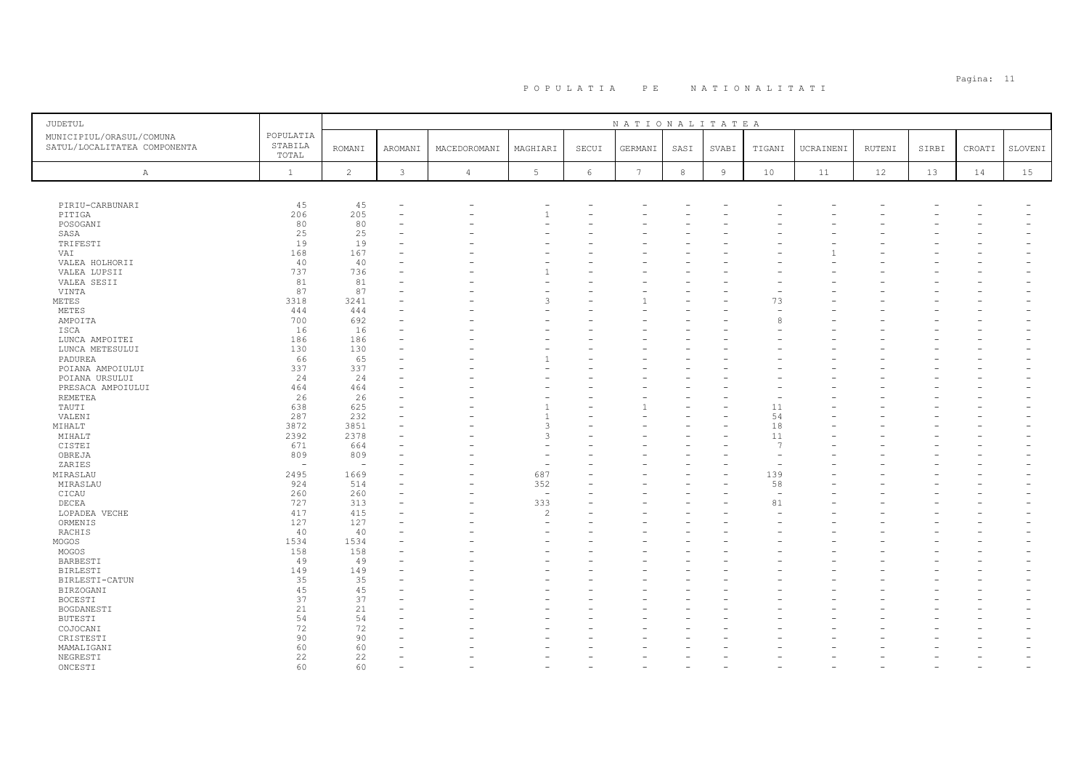| <b>JUDETUL</b>                                           |                               | NATIONALITATEA           |                |                |                          |                          |                 |            |                |                                |           |        |       |        |         |
|----------------------------------------------------------|-------------------------------|--------------------------|----------------|----------------|--------------------------|--------------------------|-----------------|------------|----------------|--------------------------------|-----------|--------|-------|--------|---------|
| MUNICIPIUL/ORASUL/COMUNA<br>SATUL/LOCALITATEA COMPONENTA | POPULATIA<br>STABILA<br>TOTAL | <b>ROMANI</b>            | AROMANI        | MACEDOROMANI   | MAGHIARI                 | SECUI                    | GERMANI         | SASI       | SVABI          | TIGANI                         | UCRAINENI | RUTENI | SIRBI | CROATI | SLOVENI |
| Α                                                        | $1\,$                         | $\overline{c}$           | $\mathfrak{Z}$ | $\overline{4}$ | 5 <sub>5</sub>           | $6\,$                    | $7\phantom{.0}$ | $^{\rm 8}$ | $\overline{9}$ | 10                             | 11        | 12     | 13    | 14     | 15      |
|                                                          |                               |                          |                |                |                          |                          |                 |            |                |                                |           |        |       |        |         |
| PIRIU-CARBUNARI                                          | 45                            | 45                       |                |                |                          |                          |                 |            |                |                                |           |        |       |        |         |
| PITIGA                                                   | 206                           | 205                      |                |                | $\overline{1}$           | $\overline{\phantom{0}}$ |                 |            |                |                                |           |        |       |        |         |
| POSOGANI                                                 | 80                            | 80                       |                |                |                          |                          |                 |            |                |                                |           |        |       |        |         |
| SASA                                                     | 25                            | 25                       |                |                |                          |                          |                 |            |                |                                |           |        |       |        |         |
| TRIFESTI                                                 | 19                            | 19                       |                |                |                          |                          |                 |            |                |                                |           |        |       |        |         |
| VAI                                                      | 168                           | 167                      |                |                |                          |                          |                 |            |                |                                |           |        |       |        |         |
| VALEA HOLHORII                                           | 40                            | 40                       |                |                |                          |                          |                 |            |                |                                |           |        |       |        |         |
| VALEA LUPSII                                             | 737                           | 736                      |                |                |                          |                          |                 |            |                |                                |           |        |       |        |         |
| VALEA SESII                                              | 81                            | 81                       |                |                |                          |                          |                 |            |                |                                |           |        |       |        |         |
| VINTA                                                    | 87                            | 87                       |                |                |                          |                          |                 |            |                |                                |           |        |       |        |         |
| METES                                                    | 3318                          | 3241                     |                |                |                          |                          |                 |            |                | 73                             |           |        |       |        |         |
| METES                                                    | 444                           | 444                      |                |                |                          |                          |                 |            |                |                                |           |        |       |        |         |
| AMPOITA                                                  | 700                           | 692                      |                |                |                          | $=$                      |                 |            |                |                                |           |        |       |        |         |
| ISCA                                                     | 16                            | 16                       |                |                |                          |                          |                 |            |                |                                |           |        |       |        |         |
| LUNCA AMPOITEI                                           | 186                           | 186                      |                |                |                          |                          |                 |            |                |                                |           |        |       |        |         |
| LUNCA METESULUI                                          | 130                           | 130                      |                |                |                          |                          |                 |            |                |                                |           |        |       |        |         |
| PADUREA                                                  | 66                            | 65                       |                |                |                          |                          |                 |            |                |                                |           |        |       |        |         |
| POIANA AMPOIULUI                                         | 337                           | 337                      |                |                |                          |                          |                 |            |                |                                |           |        |       |        |         |
| POIANA URSULUI                                           | 24                            | 24                       |                |                |                          |                          |                 |            |                |                                |           |        |       |        |         |
| PRESACA AMPOIULUI                                        | 464                           | 464                      |                |                |                          | $\overline{\phantom{0}}$ |                 |            |                |                                |           |        |       |        |         |
| REMETEA                                                  | 26                            | 26                       |                |                |                          |                          |                 |            |                |                                |           |        |       |        |         |
| TAUTI                                                    | 638                           | 625                      |                |                | $\overline{1}$           |                          |                 |            |                | 11                             |           |        |       |        |         |
| VALENI                                                   | 287                           | 232                      |                |                | $\overline{1}$           |                          |                 |            |                | 54                             |           |        |       |        |         |
| MIHALT                                                   | 3872                          | 3851                     |                |                | $\mathcal{R}$            |                          |                 |            |                | 18                             |           |        |       |        |         |
| MIHALT                                                   | 2392                          | 2378                     |                |                | $\mathcal{R}$            |                          |                 |            |                | 11<br>$\overline{7}$           |           |        |       |        |         |
| CISTEI                                                   | 671                           | 664                      |                |                |                          |                          |                 |            |                |                                |           |        |       |        |         |
| OBREJA                                                   | 809                           | 809                      |                |                |                          |                          |                 |            |                |                                |           |        |       |        |         |
| ZARIES                                                   | $\overline{\phantom{a}}$      | $\overline{\phantom{0}}$ |                |                | $\sim$                   |                          |                 |            |                |                                |           |        |       |        |         |
| MIRASLAU                                                 | 2495                          | 1669                     |                |                | 687                      |                          |                 |            |                | 139                            |           |        |       |        |         |
| MIRASLAU                                                 | 924                           | 514                      |                |                | 352                      |                          |                 |            |                | 58                             |           |        |       |        |         |
| CICAU                                                    | 260                           | 260                      |                |                | $\overline{\phantom{a}}$ |                          |                 |            |                | $\overline{\phantom{a}}$<br>81 |           |        |       |        |         |
| DECEA                                                    | 727                           | 313<br>415               |                |                | 333                      |                          |                 |            |                |                                |           |        |       |        |         |
| LOPADEA VECHE<br>ORMENIS                                 | 417<br>127                    | 127                      |                |                | 2                        |                          |                 |            |                |                                |           |        |       |        |         |
| RACHIS                                                   | 40                            | 40                       |                |                |                          |                          |                 |            |                |                                |           |        |       |        |         |
| MOGOS                                                    | 1534                          | 1534                     |                |                |                          |                          |                 |            |                |                                |           |        |       |        |         |
| MOGOS                                                    | 158                           | 158                      |                |                |                          |                          |                 |            |                |                                |           |        |       |        |         |
| BARBESTI                                                 | 49                            | 49                       |                |                |                          |                          |                 |            |                |                                |           |        |       |        |         |
| <b>BIRLESTI</b>                                          | 149                           | 149                      |                |                |                          |                          |                 |            |                |                                |           |        |       |        |         |
| BIRLESTI-CATUN                                           | 35                            | 35                       |                |                |                          |                          |                 |            |                |                                |           |        |       |        |         |
| BIRZOGANI                                                | 45                            | 45                       |                |                |                          |                          |                 |            |                |                                |           |        |       |        |         |
| BOCESTI                                                  | 37                            | 37                       |                |                |                          |                          |                 |            |                |                                |           |        |       |        |         |
| BOGDANESTI                                               | 21                            | 21                       |                |                |                          |                          |                 |            |                |                                |           |        |       |        |         |
| <b>BUTESTI</b>                                           | 54                            | 54                       |                |                |                          |                          |                 |            |                |                                |           |        |       |        |         |
| COJOCANI                                                 | 72                            | 72                       |                |                |                          |                          |                 |            |                |                                |           |        |       |        |         |
| CRISTESTI                                                | 90                            | 90                       |                |                |                          |                          |                 |            |                |                                |           |        |       |        |         |
| MAMALIGANI                                               | 60                            | 60                       |                |                |                          |                          |                 |            |                |                                |           |        |       |        |         |
| NEGRESTI                                                 | 22                            | 22                       |                |                |                          |                          |                 |            |                |                                |           |        |       |        |         |
| ONCESTI                                                  | 60                            | 60                       |                |                |                          |                          |                 |            |                |                                |           |        |       |        |         |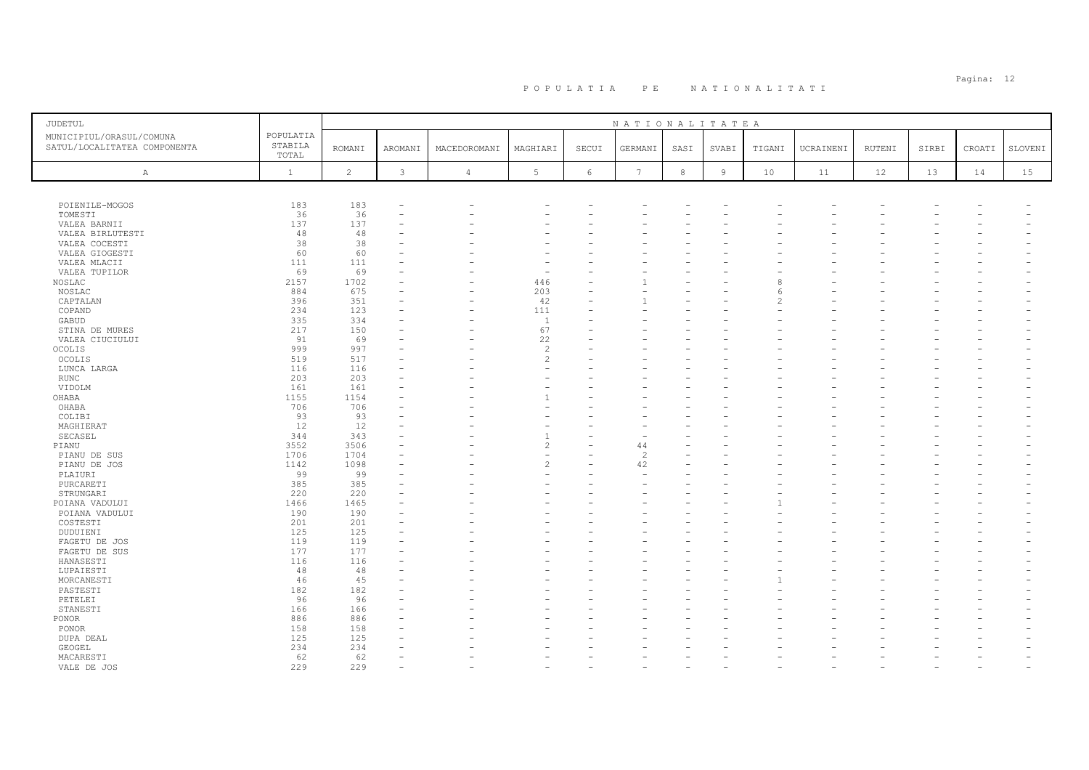| <b>JUDETUL</b>                                           |                               |                |              |                |                          |            | NATIONALITATEA           |            |                |        |           |        |       |        |         |
|----------------------------------------------------------|-------------------------------|----------------|--------------|----------------|--------------------------|------------|--------------------------|------------|----------------|--------|-----------|--------|-------|--------|---------|
| MUNICIPIUL/ORASUL/COMUNA<br>SATUL/LOCALITATEA COMPONENTA | POPULATIA<br>STABILA<br>TOTAL | <b>ROMANI</b>  | AROMANI      | MACEDOROMANI   | MAGHIARI                 | SECUI      | GERMANI                  | SASI       | SVABI          | TIGANI | UCRAINENI | RUTENI | SIRBI | CROATI | SLOVENI |
| A                                                        | $\mathbf{1}$                  | $\overline{c}$ | $\mathbf{3}$ | $\overline{4}$ | $5\phantom{.0}$          | $\epsilon$ | 7                        | $_{\rm 8}$ | $\overline{9}$ | 10     | 11        | 12     | 13    | 14     | 15      |
|                                                          |                               |                |              |                |                          |            |                          |            |                |        |           |        |       |        |         |
| POIENILE-MOGOS                                           | 183                           | 183            |              |                |                          |            |                          |            |                |        |           |        |       |        |         |
| TOMESTI                                                  | 36                            | 36             |              |                |                          |            |                          |            |                |        |           |        |       |        |         |
| VALEA BARNII                                             | 137                           | 137            |              |                |                          |            |                          |            |                |        |           |        |       |        |         |
| VALEA BIRLUTESTI                                         | 48                            | 48             |              |                |                          |            |                          |            |                |        |           |        |       |        |         |
| VALEA COCESTI                                            | 38                            | 38             |              |                |                          |            |                          |            |                |        |           |        |       |        |         |
| VALEA GIOGESTI                                           | 60                            | 60             |              |                |                          |            |                          |            |                |        |           |        |       |        |         |
| VALEA MLACII                                             | 111                           | 111            |              |                |                          |            |                          |            |                |        |           |        |       |        |         |
| VALEA TUPILOR                                            | 69                            | 69             |              |                |                          |            |                          |            |                |        |           |        |       |        |         |
| NOSLAC                                                   | 2157                          | 1702           |              |                | 446                      |            |                          |            |                |        |           |        |       |        |         |
| NOSLAC                                                   | 884                           | 675            |              |                | 203                      |            |                          |            |                |        |           |        |       |        |         |
| CAPTALAN                                                 | 396                           | 351            |              |                | 42                       |            |                          |            |                |        |           |        |       |        |         |
| COPAND                                                   | 234                           | 123            |              |                | 111                      |            |                          |            |                |        |           |        |       |        |         |
| GABUD                                                    | 335<br>217                    | 334<br>150     |              |                | $\mathbf{1}$<br>67       |            |                          |            |                |        |           |        |       |        |         |
| STINA DE MURES                                           | 91                            | 69             |              |                | 22                       |            |                          |            |                |        |           |        |       |        |         |
| VALEA CIUCIULUI<br>OCOLIS                                | 999                           | 997            |              |                | $\overline{c}$           |            |                          |            |                |        |           |        |       |        |         |
| OCOLIS                                                   | 519                           | 517            |              |                | $\overline{\mathcal{L}}$ |            |                          |            |                |        |           |        |       |        |         |
| LUNCA LARGA                                              | 116                           | 116            |              |                |                          |            |                          |            |                |        |           |        |       |        |         |
| RUNC                                                     | 203                           | 203            |              |                |                          |            |                          |            |                |        |           |        |       |        |         |
| VIDOLM                                                   | 161                           | 161            |              |                |                          |            |                          |            |                |        |           |        |       |        |         |
| OHABA                                                    | 1155                          | 1154           |              |                |                          |            |                          |            |                |        |           |        |       |        |         |
| OHABA                                                    | 706                           | 706            |              |                |                          |            |                          |            |                |        |           |        |       |        |         |
| COLIBI                                                   | 93                            | 93             |              |                |                          |            |                          |            |                |        |           |        |       |        |         |
| MAGHIERAT                                                | 12                            | 12             |              |                |                          |            |                          |            |                |        |           |        |       |        |         |
| SECASEL                                                  | 344                           | 343            |              |                |                          |            |                          |            |                |        |           |        |       |        |         |
| PIANU                                                    | 3552                          | 3506           |              |                | $\overline{c}$           |            | 44                       |            |                |        |           |        |       |        |         |
| PIANU DE SUS                                             | 1706                          | 1704           |              |                |                          |            | $\overline{\mathcal{L}}$ |            |                |        |           |        |       |        |         |
| PIANU DE JOS                                             | 1142                          | 1098           |              |                | $\overline{c}$           |            | 42                       |            |                |        |           |        |       |        |         |
| PLAIURI                                                  | 99                            | 99             |              |                |                          |            |                          |            |                |        |           |        |       |        |         |
| PURCARETI                                                | 385                           | 385            |              |                |                          |            |                          |            |                |        |           |        |       |        |         |
| STRUNGARI                                                | 220                           | 220            |              |                |                          |            |                          |            |                |        |           |        |       |        |         |
| POIANA VADULUI                                           | 1466                          | 1465           |              |                |                          |            |                          |            |                |        |           |        |       |        |         |
| POIANA VADULUI                                           | 190                           | 190            |              |                |                          |            |                          |            |                |        |           |        |       |        |         |
| COSTESTI                                                 | 201                           | 201            |              |                |                          |            |                          |            |                |        |           |        |       |        |         |
| DUDUIENI                                                 | 125                           | 125            |              |                |                          |            |                          |            |                |        |           |        |       |        |         |
| FAGETU DE JOS                                            | 119                           | 119            |              |                |                          |            |                          |            |                |        |           |        |       |        |         |
| FAGETU DE SUS                                            | 177                           | 177            |              |                |                          |            |                          |            |                |        |           |        |       |        |         |
| HANASESTI                                                | 116                           | 116            |              |                |                          |            |                          |            |                |        |           |        |       |        |         |
| LUPAIESTI                                                | 48                            | 48             |              |                |                          |            |                          |            |                |        |           |        |       |        |         |
| MORCANESTI                                               | 46                            | 45             |              |                |                          |            |                          |            |                |        |           |        |       |        |         |
| PASTESTI                                                 | 182                           | 182            |              |                |                          |            |                          |            |                |        |           |        |       |        |         |
| PETELEI                                                  | 96                            | 96             |              |                |                          |            |                          |            |                |        |           |        |       |        |         |
| STANESTI                                                 | 166                           | 166            |              |                |                          |            |                          |            |                |        |           |        |       |        |         |
| PONOR                                                    | 886                           | 886            |              |                |                          |            |                          |            |                |        |           |        |       |        |         |
| PONOR                                                    | 158                           | 158            |              |                |                          |            |                          |            |                |        |           |        |       |        |         |
| DUPA DEAL                                                | 125                           | 125            |              |                |                          |            |                          |            |                |        |           |        |       |        |         |
| GEOGEL                                                   | 234                           | 234            |              |                |                          |            |                          |            |                |        |           |        |       |        |         |
| MACARESTI                                                | 62                            | 62             |              |                |                          |            |                          |            |                |        |           |        |       |        |         |
| VALE DE JOS                                              | 229                           | 229            |              |                |                          |            |                          |            |                |        |           |        |       |        |         |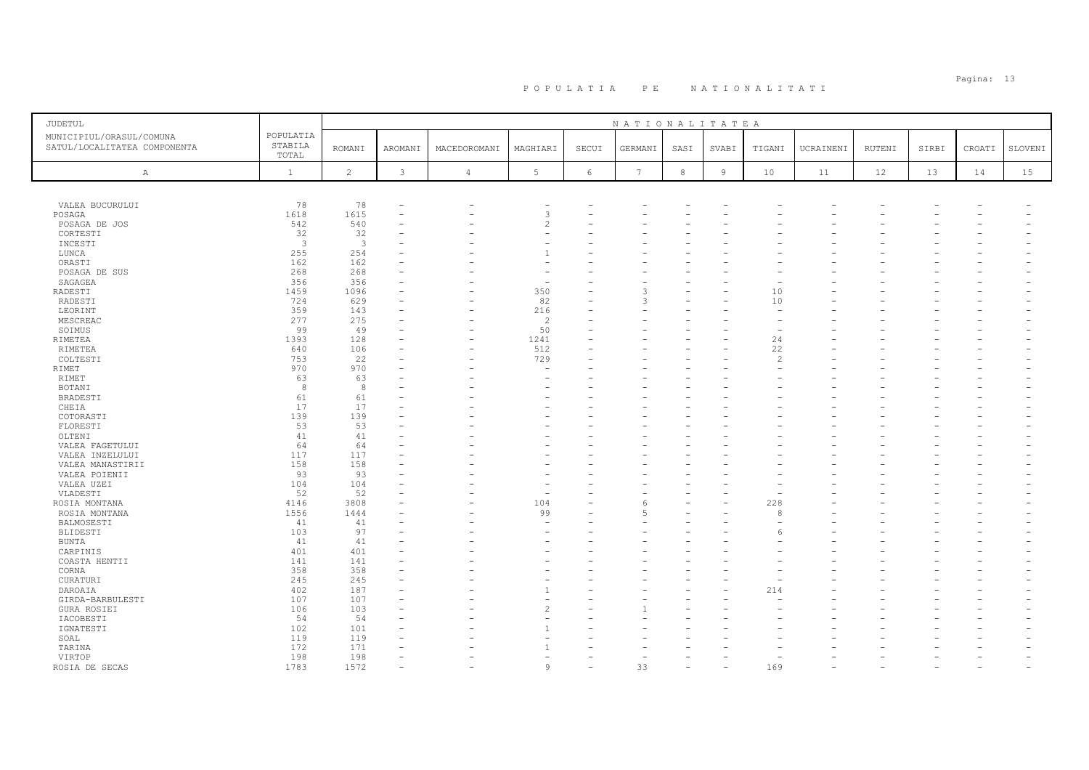| JUDETUL                                                  |                               |                |         |                          |                       |            | NATIONALITATEA  |            |                |                |           |        |       |        |         |
|----------------------------------------------------------|-------------------------------|----------------|---------|--------------------------|-----------------------|------------|-----------------|------------|----------------|----------------|-----------|--------|-------|--------|---------|
| MUNICIPIUL/ORASUL/COMUNA<br>SATUL/LOCALITATEA COMPONENTA | POPULATIA<br>STABILA<br>TOTAL | <b>ROMANI</b>  | AROMANI | MACEDOROMANI             | MAGHIARI              | SECUI      | GERMANI         | SASI       | SVABI          | TIGANI         | UCRAINENI | RUTENI | SIRBI | CROATI | SLOVENI |
| A                                                        | $\mathbf{1}$                  | $\overline{c}$ | 3       | $\overline{4}$           | $5\phantom{.0}$       | $\epsilon$ | $7\phantom{.0}$ | $^{\rm 8}$ | $\overline{9}$ | 10             | 11        | 12     | 13    | 14     | 15      |
|                                                          |                               |                |         |                          |                       |            |                 |            |                |                |           |        |       |        |         |
| VALEA BUCURULUI                                          | 78                            | 78             |         |                          |                       |            |                 |            |                |                |           |        |       |        |         |
| POSAGA                                                   | 1618                          | 1615           | ۰       |                          | 3                     |            |                 |            |                |                |           |        |       |        |         |
| POSAGA DE JOS                                            | 542                           | 540            |         |                          | $\overline{c}$        |            |                 |            |                |                |           |        |       |        |         |
| CORTESTI                                                 | 32                            | 32             |         |                          | ۰                     |            |                 |            |                |                |           |        |       |        |         |
| INCESTI                                                  | $\overline{3}$                | $\mathbf{3}$   |         |                          |                       |            |                 |            |                |                |           |        |       |        |         |
| LUNCA                                                    | 255                           | 254            |         |                          | $\overline{1}$        |            |                 |            |                |                |           |        |       |        |         |
| ORASTI                                                   | 162                           | 162            |         |                          |                       |            |                 |            |                |                |           |        |       |        |         |
| POSAGA DE SUS                                            | 268                           | 268            |         |                          |                       |            |                 |            |                |                |           |        |       |        |         |
| SAGAGEA                                                  | 356                           | 356            |         |                          |                       |            |                 |            |                |                |           |        |       |        |         |
| RADESTI                                                  | 1459                          | 1096           |         |                          | 350                   |            | っ               |            |                | 10             |           |        |       |        |         |
| RADESTI                                                  | 724                           | 629            |         |                          | 82                    |            | ς               |            |                | 10             |           |        |       |        |         |
| LEORINT                                                  | 359<br>277                    | 143<br>275     |         |                          | 216<br>$\overline{c}$ |            |                 |            |                |                |           |        |       |        |         |
| MESCREAC<br>SOIMUS                                       | 99                            | 49             |         |                          | 50                    |            |                 |            |                |                |           |        |       |        |         |
| RIMETEA                                                  | 1393                          | 128            | ۰       | $\overline{\phantom{0}}$ | 1241                  |            |                 |            |                | 24             |           |        |       |        |         |
| RIMETEA                                                  | 640                           | 106            |         |                          | 512                   |            |                 |            |                | 22             |           |        |       |        |         |
| COLTESTI                                                 | 753                           | 22             |         |                          | 729                   |            |                 |            |                | $\overline{2}$ |           |        |       |        |         |
| RIMET                                                    | 970                           | 970            |         |                          |                       |            |                 |            |                |                |           |        |       |        |         |
| RIMET                                                    | 63                            | 63             |         |                          |                       |            |                 |            |                |                |           |        |       |        |         |
| <b>BOTANI</b>                                            | 8                             | 8              |         |                          |                       |            |                 |            |                |                |           |        |       |        |         |
| BRADESTI                                                 | 61                            | 61             |         |                          |                       |            |                 |            |                |                |           |        |       |        |         |
| CHEIA                                                    | 17                            | 17             |         |                          |                       |            |                 |            |                |                |           |        |       |        |         |
| COTORASTI                                                | 139                           | 139            |         |                          |                       |            |                 |            |                |                |           |        |       |        |         |
| FLORESTI                                                 | 53                            | 53             |         |                          |                       |            |                 |            |                |                |           |        |       |        |         |
| OLTENI                                                   | 41                            | 41             |         |                          |                       |            |                 |            |                |                |           |        |       |        |         |
| VALEA FAGETULUI                                          | 64                            | 64             | ۰       |                          |                       |            |                 |            |                |                |           |        |       |        |         |
| VALEA INZELULUI                                          | 117                           | 117            |         |                          |                       |            |                 |            |                |                |           |        |       |        |         |
| VALEA MANASTIRII                                         | 158                           | 158            |         |                          |                       |            |                 |            |                |                |           |        |       |        |         |
| VALEA POIENII                                            | 93                            | 93             |         |                          |                       |            |                 |            |                |                |           |        |       |        |         |
| VALEA UZEI                                               | 104                           | 104            |         |                          |                       |            |                 |            |                |                |           |        |       |        |         |
| VLADESTI                                                 | 52                            | 52             |         |                          | ۰                     |            |                 |            |                |                |           |        |       |        |         |
| ROSIA MONTANA                                            | 4146                          | 3808           |         |                          | 104                   |            | 6               |            |                | 228            |           |        |       |        |         |
| ROSIA MONTANA                                            | 1556                          | 1444           |         |                          | 99                    |            |                 |            |                | 8              |           |        |       |        |         |
| BALMOSESTI                                               | 41                            | 41             |         |                          | ۰                     |            |                 |            |                |                |           |        |       |        |         |
| BLIDESTI                                                 | 103                           | 97             |         |                          | ÷                     |            |                 |            |                |                |           |        |       |        |         |
| <b>BUNTA</b>                                             | 41                            | 41             |         |                          |                       |            |                 |            |                |                |           |        |       |        |         |
| CARPINIS                                                 | 401                           | 401            |         |                          |                       |            |                 |            |                |                |           |        |       |        |         |
| COASTA HENTII                                            | 141                           | 141            |         |                          |                       |            |                 |            |                |                |           |        |       |        |         |
| CORNA                                                    | 358                           | 358            | ÷       |                          |                       | L.         |                 |            |                |                |           |        |       |        |         |
| CURATURI                                                 | 245                           | 245            |         |                          |                       |            |                 |            |                |                |           |        |       |        |         |
| DAROAIA                                                  | 402                           | 187            |         |                          |                       |            |                 |            |                | 214            |           |        |       |        |         |
| GIRDA-BARBULESTI                                         | 107                           | 107            |         |                          | $\overline{c}$        |            |                 |            |                |                |           |        |       |        |         |
| GURA ROSIEI                                              | 106                           | 103            |         |                          | ۰                     |            |                 |            |                |                |           |        |       |        |         |
| IACOBESTI<br>IGNATESTI                                   | 54<br>102                     | 54<br>101      |         |                          |                       |            |                 |            |                |                |           |        |       |        |         |
| SOAL                                                     | 119                           | 119            |         |                          |                       |            |                 |            |                |                |           |        |       |        |         |
| TARINA                                                   | 172                           | 171            |         |                          |                       |            |                 |            |                |                |           |        |       |        |         |
| VIRTOP                                                   | 198                           | 198            | $\sim$  |                          | ÷                     |            |                 |            |                |                |           |        |       |        |         |
| ROSIA DE SECAS                                           | 1783                          | 1572           |         |                          | 9                     |            | 33              |            |                | 169            |           |        |       |        |         |
|                                                          |                               |                |         |                          |                       |            |                 |            |                |                |           |        |       |        |         |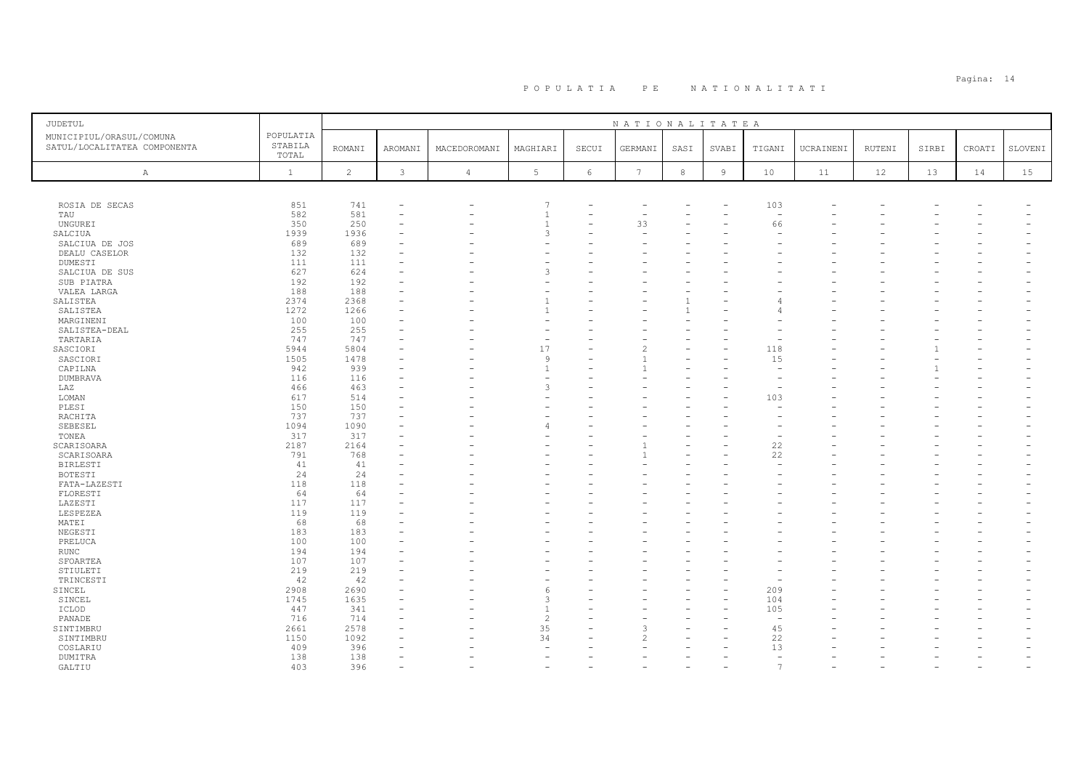# Pagina: 14 P O P U L A T I A P E N A T I O N A L I T A T I

|                                                                                           |                |                |              |                 |            | NATIONALITATEA  |            |                |          |           |               |       |        |         |
|-------------------------------------------------------------------------------------------|----------------|----------------|--------------|-----------------|------------|-----------------|------------|----------------|----------|-----------|---------------|-------|--------|---------|
| POPULATIA<br>MUNICIPIUL/ORASUL/COMUNA<br>STABILA<br>SATUL/LOCALITATEA COMPONENTA<br>TOTAL | <b>ROMANI</b>  | <b>AROMANI</b> | MACEDOROMANI | MAGHIARI        | SECUI      | GERMANI         | SASI       | SVABI          | TIGANI   | UCRAINENI | <b>RUTENI</b> | SIRBI | CROATI | SLOVENI |
| $\mathbf{1}$<br>A                                                                         | $\overline{c}$ | $\mathbf{3}$   | $\sqrt{4}$   | $5\phantom{.0}$ | $\epsilon$ | $7\phantom{.0}$ | $^{\rm 8}$ | $\overline{9}$ | 10       | 11        | 12            | 13    | 14     | 15      |
|                                                                                           |                |                |              |                 |            |                 |            |                |          |           |               |       |        |         |
| ROSIA DE SECAS<br>851                                                                     | 741            |                |              | 7               |            |                 |            |                | 103      |           |               |       |        |         |
| 582<br>TAU                                                                                | 581            |                |              | $\overline{1}$  |            |                 |            |                |          |           |               |       |        |         |
| 350<br>UNGURE I                                                                           | 250            |                |              |                 |            | 33              |            |                | 66       |           |               |       |        |         |
| 1939<br>SALCIUA                                                                           | 1936           |                |              | 3               |            |                 |            |                |          |           |               |       |        |         |
| 689<br>SALCIUA DE JOS                                                                     | 689            |                |              |                 |            |                 |            |                |          |           |               |       |        |         |
| 132<br>DEALU CASELOR                                                                      | 132            |                |              |                 |            |                 |            |                |          |           |               |       |        |         |
| 111<br>DUMESTI                                                                            | 111            |                |              |                 |            |                 |            |                |          |           |               |       |        |         |
| 627<br>SALCIUA DE SUS                                                                     | 624            |                |              | 3               |            |                 |            |                |          |           |               |       |        |         |
| 192<br>SUB PIATRA<br>188                                                                  | 192<br>188     |                |              |                 |            |                 |            |                |          |           |               |       |        |         |
| VALEA LARGA<br>2374<br>SALISTEA                                                           | 2368           |                |              |                 |            |                 |            |                |          |           |               |       |        |         |
| 1272<br>SALISTEA                                                                          | 1266           |                |              |                 |            |                 |            |                |          |           |               |       |        |         |
| 100<br>MARGINENI                                                                          | 100            |                |              |                 |            |                 |            |                |          |           |               |       |        |         |
| 255<br>SALISTEA-DEAL                                                                      | 255            |                |              |                 |            |                 |            |                |          |           |               |       |        |         |
| TARTARIA<br>747                                                                           | 747            |                |              | ۰               |            |                 |            |                |          |           |               |       |        |         |
| 5944<br>SASCIORI                                                                          | 5804           |                |              | 17              |            | $\mathcal{P}$   |            |                | 118      |           |               |       |        |         |
| 1505<br>SASCIORI                                                                          | 1478           |                |              | 9               |            |                 |            |                | 15       |           |               |       |        |         |
| 942<br>CAPILNA                                                                            | 939            |                |              | $\overline{1}$  |            |                 |            |                |          |           |               |       |        |         |
| <b>DUMBRAVA</b><br>116                                                                    | 116            |                |              | ۰               |            |                 |            |                |          |           |               |       |        |         |
| 466<br>LAZ                                                                                | 463            |                |              | 3               |            |                 |            |                |          |           |               |       |        |         |
| LOMAN<br>617                                                                              | 514            |                |              |                 |            |                 |            |                | 103      |           |               |       |        |         |
| PLESI<br>150                                                                              | 150            |                |              |                 |            |                 |            |                |          |           |               |       |        |         |
| 737<br>RACHITA                                                                            | 737            |                |              |                 |            |                 |            |                |          |           |               |       |        |         |
| SEBESEL<br>1094                                                                           | 1090           |                |              | 4               |            |                 |            |                |          |           |               |       |        |         |
| 317<br>TONEA                                                                              | 317            |                |              |                 |            |                 |            |                |          |           |               |       |        |         |
| SCARISOARA<br>2187                                                                        | 2164           |                |              |                 |            |                 |            |                | 22       |           |               |       |        |         |
| 791<br>SCARISOARA                                                                         | 768            |                |              |                 |            |                 |            |                | 22       |           |               |       |        |         |
| 41<br>BIRLESTI                                                                            | 41             |                |              |                 |            |                 |            |                | $\sim$   |           |               |       |        |         |
| BOTESTI<br>24                                                                             | 24             |                |              |                 |            |                 |            |                |          |           |               |       |        |         |
| 118<br>FATA-LAZESTI                                                                       | 118            |                |              |                 |            |                 |            |                |          |           |               |       |        |         |
| FLORESTI<br>64                                                                            | 64             |                |              |                 |            |                 |            |                |          |           |               |       |        |         |
| 117<br>LAZESTI                                                                            | 117            |                |              |                 |            |                 |            |                |          |           |               |       |        |         |
| LESPEZEA<br>119                                                                           | 119            |                |              |                 |            |                 |            |                |          |           |               |       |        |         |
| 68<br>MATEI                                                                               | 68             |                |              |                 |            |                 |            |                |          |           |               |       |        |         |
| NEGESTI<br>183                                                                            | 183            |                |              |                 |            |                 |            |                |          |           |               |       |        |         |
| PRELUCA<br>100                                                                            | 100            |                |              |                 |            |                 |            |                |          |           |               |       |        |         |
| 194<br>RUNC<br>107                                                                        | 194<br>107     |                |              |                 |            |                 |            |                |          |           |               |       |        |         |
| SFOARTEA<br>219<br>STIULETI                                                               | 219            |                |              |                 |            |                 |            |                |          |           |               |       |        |         |
| 42<br>TRINCESTI                                                                           | 42             |                |              |                 |            |                 |            |                |          |           |               |       |        |         |
| 2908<br>SINCEL                                                                            | 2690           |                |              | -6              |            |                 |            |                | 209      |           |               |       |        |         |
| SINCEL<br>1745                                                                            | 1635           |                |              | 3               |            |                 |            |                | 104      |           |               |       |        |         |
| 447<br>ICLOD                                                                              | 341            |                |              | $\overline{1}$  |            |                 |            |                | 105      |           |               |       |        |         |
| 716<br>PANADE                                                                             | 714            |                |              | $\overline{c}$  |            |                 |            |                | <b>1</b> |           |               |       |        |         |
| 2661<br>SINTIMBRU                                                                         | 2578           |                |              | 35              |            | २               |            |                | 45       |           |               |       |        |         |
| SINTIMBRU<br>1150                                                                         | 1092           |                |              | 34              |            |                 |            |                | 22       |           |               |       |        |         |
| 409<br>COSLARIU                                                                           | 396            |                |              |                 |            |                 |            |                | 13       |           |               |       |        |         |
| 138<br>DUMITRA                                                                            | 138            |                |              |                 |            |                 |            |                | $\equiv$ |           |               |       |        |         |
| 403<br>GALTIU                                                                             | 396            |                |              |                 |            |                 |            |                | 7        |           |               |       |        |         |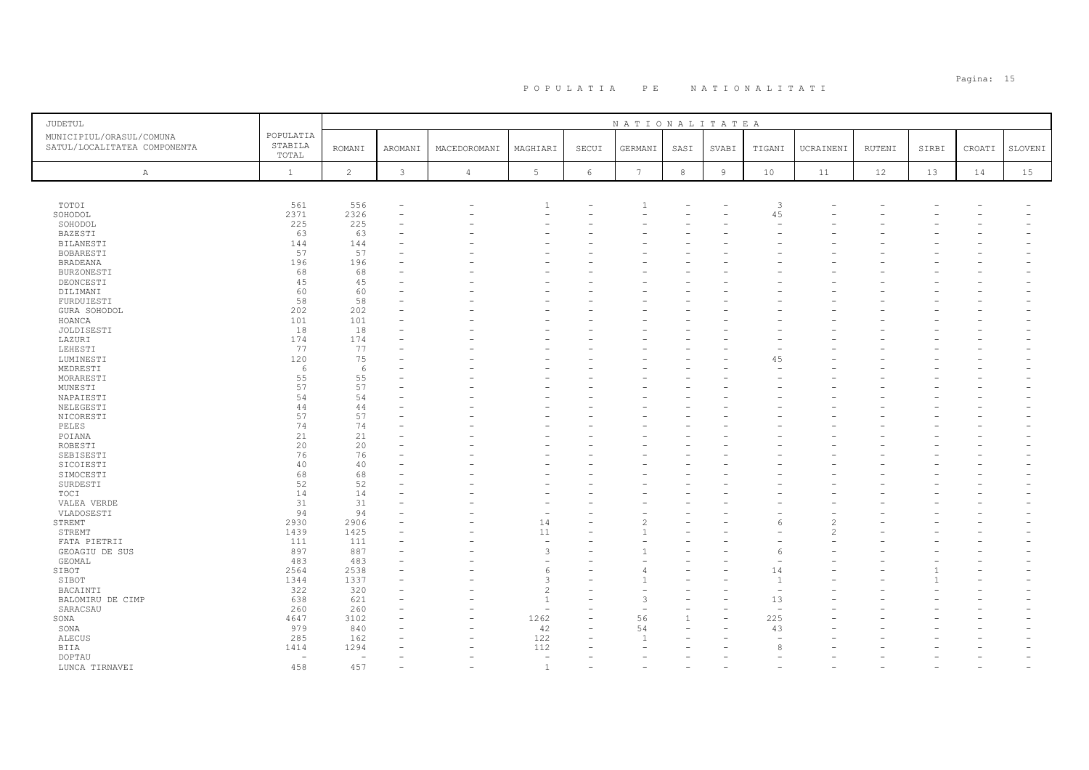| JUDETUL                                                  | POPULATIA                |                |          |                |                          |       | NATIONALITATEA  |      |                |                          |               |        |       |        |         |
|----------------------------------------------------------|--------------------------|----------------|----------|----------------|--------------------------|-------|-----------------|------|----------------|--------------------------|---------------|--------|-------|--------|---------|
| MUNICIPIUL/ORASUL/COMUNA<br>SATUL/LOCALITATEA COMPONENTA | STABILA                  |                |          |                |                          |       |                 |      |                |                          |               |        |       |        |         |
|                                                          | TOTAL                    | <b>ROMANI</b>  | AROMANI  | MACEDOROMANI   | MAGHIARI                 | SECUI | GERMANI         | SASI | <b>SVABI</b>   | TIGANI                   | UCRAINENI     | RUTENI | SIRBI | CROATI | SLOVENI |
| A                                                        | $\mathbf{1}$             | $\overline{c}$ | 3        | $\overline{4}$ | 5                        | 6     | $7\phantom{.0}$ | 8    | $\overline{9}$ | 10                       | 11            | 12     | 13    | 14     | 15      |
|                                                          |                          |                |          |                |                          |       |                 |      |                |                          |               |        |       |        |         |
|                                                          |                          |                |          |                |                          |       |                 |      |                |                          |               |        |       |        |         |
| TOTOI                                                    | 561                      | 556            |          |                | -1                       |       | $\mathbf{1}$    |      |                | $\overline{3}$           |               |        |       |        |         |
| SOHODOL                                                  | 2371                     | 2326           | $\equiv$ |                |                          |       |                 |      |                | 45                       |               |        |       |        |         |
| SOHODOL                                                  | 225                      | 225            |          |                |                          |       |                 |      |                |                          |               |        |       |        |         |
| BAZESTI                                                  | 63                       | 63             |          |                |                          |       |                 |      |                |                          |               |        |       |        |         |
| BILANESTI                                                | 144                      | 144            |          |                |                          |       |                 |      |                |                          |               |        |       |        |         |
| BOBARESTI                                                | 57                       | 57             |          |                |                          |       |                 |      |                |                          |               |        |       |        |         |
| <b>BRADEANA</b>                                          | 196                      | 196            |          |                |                          |       |                 |      |                |                          |               |        |       |        |         |
| BURZONESTI                                               | 68                       | 68             |          |                |                          |       |                 |      |                |                          |               |        |       |        |         |
| DEONCESTI                                                | 45                       | 45             |          |                |                          |       |                 |      |                |                          |               |        |       |        |         |
| DILIMANI                                                 | 60                       | 60             |          |                |                          |       |                 |      |                |                          |               |        |       |        |         |
| FURDUIESTI                                               | 58                       | 58             |          |                |                          |       |                 |      |                |                          |               |        |       |        |         |
| GURA SOHODOL                                             | 202                      | 202            |          |                |                          |       |                 |      |                |                          |               |        |       |        |         |
| HOANCA                                                   | 101                      | 101            |          |                |                          |       |                 |      |                |                          |               |        |       |        |         |
| JOLDISESTI                                               | 18                       | 18             |          |                |                          |       |                 |      |                |                          |               |        |       |        |         |
| LAZURI                                                   | 174                      | 174            |          |                |                          |       |                 |      |                |                          |               |        |       |        |         |
| LEHESTI                                                  | 77                       | 77             |          |                |                          |       |                 |      |                |                          |               |        |       |        |         |
| LUMINESTI                                                | 120                      | 75             |          |                |                          |       |                 |      |                | 45                       |               |        |       |        |         |
| MEDRESTI                                                 | 6                        | 6              |          |                |                          |       |                 |      |                |                          |               |        |       |        |         |
| MORARESTI                                                | 55                       | 55             |          |                |                          |       |                 |      |                |                          |               |        |       |        |         |
| MUNESTI                                                  | 57                       | 57             |          |                |                          |       |                 |      |                |                          |               |        |       |        |         |
| NAPAIESTI                                                | 54                       | 54             |          |                |                          |       |                 |      |                |                          |               |        |       |        |         |
| NELEGESTI                                                | 44                       | 44             |          |                |                          |       |                 |      |                |                          |               |        |       |        |         |
| NICORESTI                                                | 57                       | 57             |          |                |                          |       |                 |      |                |                          |               |        |       |        |         |
| PELES                                                    | 74                       | 74             |          |                |                          |       |                 |      |                |                          |               |        |       |        |         |
| POIANA                                                   | 21                       | 21             |          |                |                          |       |                 |      |                |                          |               |        |       |        |         |
| ROBESTI                                                  | 20                       | 20             |          |                |                          |       |                 |      |                |                          |               |        |       |        |         |
| SEBISESTI                                                | 76                       | 76             |          |                |                          |       |                 |      |                |                          |               |        |       |        |         |
| SICOIESTI                                                | 40                       | 40             |          |                |                          |       |                 |      |                |                          |               |        |       |        |         |
| SIMOCESTI                                                | 68                       | 68             |          |                |                          |       |                 |      |                |                          |               |        |       |        |         |
| SURDESTI                                                 | 52                       | 52             |          |                |                          |       |                 |      |                |                          |               |        |       |        |         |
| TOCI                                                     | 14<br>31                 | 14             |          |                |                          |       |                 |      |                |                          |               |        |       |        |         |
| VALEA VERDE<br>VLADOSESTI                                | 94                       | 31<br>94       |          |                |                          |       |                 |      |                |                          |               |        |       |        |         |
| STREMT                                                   | 2930                     | 2906           |          |                | 14                       |       |                 |      |                | 6                        |               |        |       |        |         |
| STREMT                                                   | 1439                     | 1425           |          |                | 11                       |       |                 |      |                |                          | $\mathcal{D}$ |        |       |        |         |
| FATA PIETRII                                             | 111                      | 111            |          |                |                          |       |                 |      |                |                          |               |        |       |        |         |
| GEOAGIU DE SUS                                           | 897                      | 887            |          |                | 3                        |       |                 |      |                | 6                        |               |        |       |        |         |
| GEOMAL                                                   | 483                      | 483            |          |                |                          |       |                 |      |                |                          |               |        |       |        |         |
| SIBOT                                                    | 2564                     | 2538           | L.       |                | 6                        |       |                 |      |                | 14                       |               |        |       |        |         |
| SIBOT                                                    | 1344                     | 1337           |          |                | 3                        |       |                 |      |                | $\overline{1}$           |               |        |       |        |         |
| BACAINTI                                                 | 322                      | 320            |          |                | $\overline{c}$           |       |                 |      |                | $\overline{\phantom{a}}$ |               |        |       |        |         |
| BALOMIRU DE CIMP                                         | 638                      | 621            |          |                | $\overline{1}$           |       | $\mathcal{R}$   |      |                | 13                       |               |        |       |        |         |
| SARACSAU                                                 | 260                      | 260            |          |                | $\overline{\phantom{a}}$ |       |                 |      |                | $\overline{\phantom{a}}$ |               |        |       |        |         |
| SONA                                                     | 4647                     | 3102           | ۳        |                | 1262                     |       | 56              |      | $\rightarrow$  | 225                      |               |        |       |        |         |
| SONA                                                     | 979                      | 840            |          |                | 42                       |       | 54              |      |                | 43                       |               |        |       |        |         |
| <b>ALECUS</b>                                            | 285                      | 162            |          |                | 122                      |       | $\overline{1}$  |      |                | $\overline{\phantom{a}}$ |               |        |       |        |         |
| BIIA                                                     | 1414                     | 1294           |          |                | 112                      |       |                 |      |                | 8                        |               |        |       |        |         |
| <b>DOPTAU</b>                                            | $\overline{\phantom{a}}$ | $\sim$         |          |                | $\overline{a}$           |       |                 |      |                |                          |               |        |       |        |         |
| LUNCA TIRNAVEI                                           | 458                      | 457            |          |                | <sup>1</sup>             |       |                 |      |                |                          |               |        |       |        |         |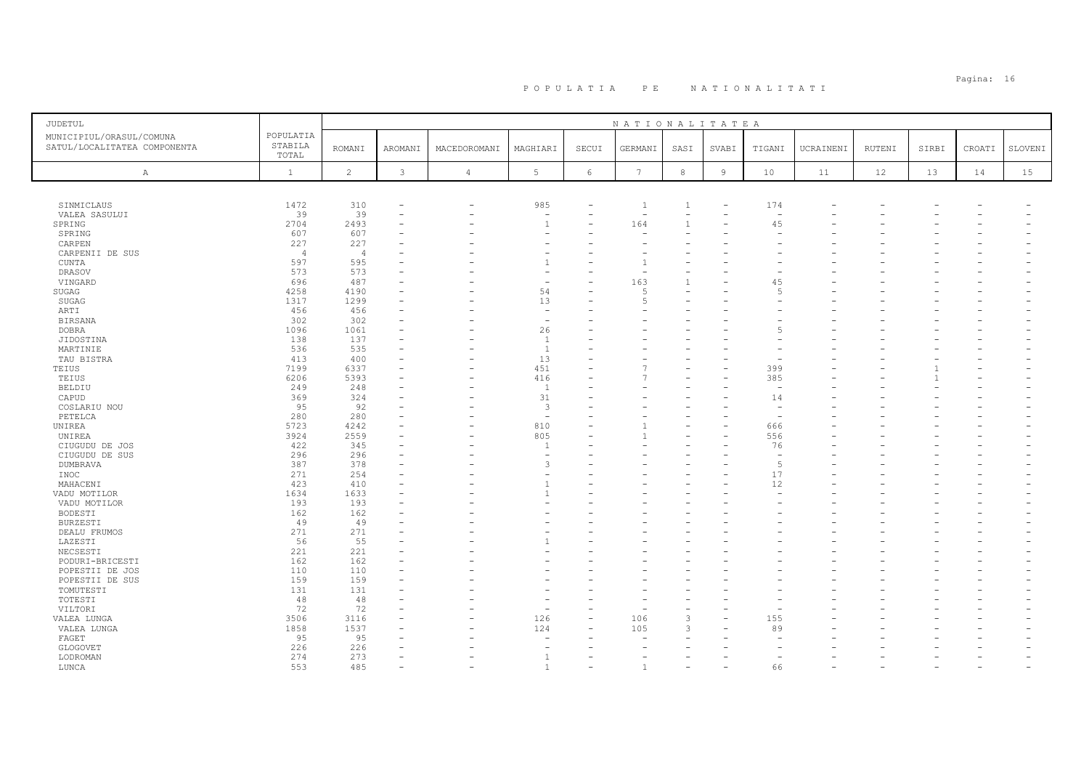# PO PULATIA PE NATIONALITATI POPOLATIA PERETERA PERETERA PERETERA PERETERA POPULATIA PERETERA PERETERA PERETERA<br>Populatia

| JUDETUL                                                  |                      |                |         |                |                          |                          | NATIONALITATEA           |                          |                |                          |           |        |       |        |                          |
|----------------------------------------------------------|----------------------|----------------|---------|----------------|--------------------------|--------------------------|--------------------------|--------------------------|----------------|--------------------------|-----------|--------|-------|--------|--------------------------|
| MUNICIPIUL/ORASUL/COMUNA<br>SATUL/LOCALITATEA COMPONENTA | POPULATIA<br>STABILA | <b>ROMANI</b>  | AROMANI | MACEDOROMANI   | MAGHIARI                 | SECUI                    | GERMANI                  | SASI                     | SVABI          | TIGANI                   | UCRAINENI | RUTENI | SIRBI | CROATI | SLOVENI                  |
|                                                          | TOTAL                |                |         |                |                          |                          |                          |                          |                |                          |           |        |       |        |                          |
| Α                                                        | $\mathbf{1}$         | 2              | 3       | $\overline{4}$ | 5                        | 6                        | $7\phantom{.0}$          | 8                        | $\overline{9}$ | 10                       | 11        | 12     | 13    | 14     | 15                       |
|                                                          |                      |                |         |                |                          |                          |                          |                          |                |                          |           |        |       |        |                          |
| SINMICLAUS                                               | 1472                 | 310            |         |                | 985                      |                          | $\overline{1}$           | 1                        |                | 174                      |           |        |       |        |                          |
| VALEA SASULUI                                            | 39                   | 39             |         |                | $\overline{\phantom{a}}$ | $\qquad \qquad -$        | $\overline{\phantom{a}}$ | $\overline{\phantom{a}}$ |                | $\overline{\phantom{a}}$ |           |        |       |        |                          |
| SPRING                                                   | 2704                 | 2493           |         |                | $\overline{1}$           |                          | 164                      | $\mathbf{1}$             |                | 45                       |           |        |       |        |                          |
| SPRING                                                   | 607                  | 607            |         |                |                          |                          |                          |                          |                | $\overline{\phantom{a}}$ |           |        |       |        |                          |
| CARPEN                                                   | 227                  | 227            |         |                | ۰                        |                          |                          |                          |                |                          |           |        |       |        |                          |
| CARPENII DE SUS                                          | $\overline{4}$       | $\overline{4}$ |         |                | ۰                        |                          |                          |                          |                |                          |           |        |       |        |                          |
| CUNTA                                                    | 597                  | 595            |         |                | $\overline{1}$           |                          |                          |                          |                |                          |           |        |       |        |                          |
| DRASOV                                                   | 573                  | 573            |         |                | $\overline{\phantom{a}}$ |                          |                          |                          |                |                          |           |        |       |        |                          |
| VINGARD                                                  | 696                  | 487            |         |                | $\overline{\phantom{a}}$ |                          | 163                      | $\mathbf{1}$             |                | 45                       |           |        |       |        |                          |
| SUGAG                                                    | 4258                 | 4190           |         |                | 54                       |                          |                          |                          |                | $\overline{5}$           |           |        |       |        |                          |
| SUGAG                                                    | 1317                 | 1299           |         |                | 13                       |                          | -5                       |                          |                |                          |           |        |       |        |                          |
| ARTI                                                     | 456                  | 456            |         |                | $\overline{\phantom{a}}$ |                          |                          |                          |                |                          |           |        |       |        |                          |
| <b>BIRSANA</b>                                           | 302                  | 302            |         |                | $\overline{\phantom{a}}$ |                          |                          |                          |                |                          |           |        |       |        |                          |
| <b>DOBRA</b>                                             | 1096                 | 1061           |         |                | 26                       |                          |                          |                          |                | 5                        |           |        |       |        |                          |
| JIDOSTINA                                                | 138                  | 137            |         |                | $\mathbf{1}$             |                          |                          |                          |                |                          |           |        |       |        |                          |
| MARTINIE                                                 | 536                  | 535            |         |                | $\mathbf{1}$             |                          |                          |                          |                |                          |           |        |       |        |                          |
| TAU BISTRA                                               | 413                  | 400            |         |                | 13                       |                          |                          |                          |                | $\overline{\phantom{0}}$ |           |        |       |        |                          |
| TEIUS                                                    | 7199                 | 6337           |         |                | 451                      |                          |                          |                          |                | 399                      |           |        |       |        | $\overline{\phantom{0}}$ |
| TEIUS                                                    | 6206                 | 5393           |         |                | 416                      |                          |                          |                          |                | 385                      |           |        |       |        |                          |
| <b>BELDIU</b>                                            | 249                  | 248            |         |                | $\overline{1}$           |                          |                          |                          |                | $\overline{\phantom{a}}$ |           |        |       |        |                          |
|                                                          |                      |                |         |                |                          |                          |                          |                          |                |                          |           |        |       |        |                          |
| CAPUD                                                    | 369                  | 324            |         |                | 31                       |                          |                          |                          |                | 14                       |           |        |       |        |                          |
| COSLARIU NOU                                             | 95                   | 92             |         |                | $\mathbf{3}$             |                          |                          |                          |                | $\sim$                   |           |        |       |        |                          |
| PETELCA                                                  | 280                  | 280            |         |                | $\overline{\phantom{a}}$ |                          |                          |                          |                | $\overline{\phantom{0}}$ |           |        |       |        |                          |
| UNIREA                                                   | 5723                 | 4242           |         |                | 810                      |                          |                          |                          |                | 666                      |           |        |       |        |                          |
| UNIREA                                                   | 3924                 | 2559           |         |                | 805                      |                          |                          |                          |                | 556                      |           |        |       |        |                          |
| CIUGUDU DE JOS                                           | 422                  | 345            |         |                | $\overline{1}$           |                          |                          |                          |                | 76                       |           |        |       |        |                          |
| CIUGUDU DE SUS                                           | 296                  | 296            |         |                | ۰                        |                          |                          |                          |                | ÷,                       |           |        |       |        |                          |
| DUMBRAVA                                                 | 387                  | 378            |         |                | 3                        |                          |                          |                          |                | 5                        |           |        |       |        |                          |
| INOC                                                     | 271                  | 254            |         |                | ۰                        |                          |                          |                          |                | 17                       |           |        |       |        |                          |
| MAHACENI                                                 | 423                  | 410            |         |                | $\overline{1}$           |                          |                          |                          |                | 12                       |           |        |       |        |                          |
| VADU MOTILOR                                             | 1634                 | 1633           |         |                | $\overline{1}$           |                          |                          |                          |                | $\overline{\phantom{0}}$ |           |        |       |        |                          |
| VADU MOTILOR                                             | 193                  | 193            |         |                |                          |                          |                          |                          |                |                          |           |        |       |        |                          |
| BODESTI                                                  | 162                  | 162            |         |                |                          |                          |                          |                          |                |                          |           |        |       |        |                          |
| BURZESTI                                                 | 49                   | 49             |         |                |                          |                          |                          |                          |                |                          |           |        |       |        |                          |
| DEALU FRUMOS                                             | 271                  | 271            |         |                |                          |                          |                          |                          |                |                          |           |        |       |        |                          |
| LAZESTI                                                  | 56                   | 55             |         |                | $\overline{1}$           |                          |                          |                          |                |                          |           |        |       |        |                          |
| NECSESTI                                                 | 221                  | 221            |         |                |                          |                          |                          |                          |                |                          |           |        |       |        |                          |
| PODURI-BRICESTI                                          | 162                  | 162            |         |                |                          |                          |                          |                          |                |                          |           |        |       |        |                          |
| POPESTII DE JOS                                          | 110                  | 110            |         |                |                          |                          |                          |                          |                |                          |           |        |       |        |                          |
| POPESTII DE SUS                                          | 159                  | 159            |         |                |                          |                          |                          |                          |                |                          |           |        |       |        |                          |
| TOMUTESTI                                                | 131                  | 131            |         |                |                          |                          |                          |                          |                |                          |           |        |       |        |                          |
| TOTESTI                                                  | 48                   | 48             |         |                |                          |                          |                          |                          |                |                          |           |        |       |        |                          |
|                                                          |                      |                |         |                |                          |                          |                          |                          |                |                          |           |        |       |        |                          |
| VILTORI                                                  | 72                   | 72             |         |                | $\overline{\phantom{a}}$ |                          |                          | $\overline{\phantom{a}}$ |                |                          |           |        |       |        |                          |
| VALEA LUNGA                                              | 3506                 | 3116           |         |                | 126                      | $\overline{\phantom{0}}$ | 106                      | 3                        |                | 155                      |           |        |       |        |                          |
| VALEA LUNGA                                              | 1858                 | 1537           |         |                | 124                      |                          | 105                      | 3                        |                | 89                       |           |        |       |        |                          |
| FAGET                                                    | 95                   | 95             |         |                |                          |                          |                          |                          |                |                          |           |        |       |        |                          |
| GLOGOVET                                                 | 226                  | 226            |         |                |                          |                          |                          |                          |                |                          |           |        |       |        |                          |
| LODROMAN                                                 | 274                  | 273            |         |                | $\overline{1}$           |                          |                          |                          |                |                          |           |        |       |        |                          |
| LUNCA                                                    | 553                  | 485            |         |                | $\overline{1}$           |                          | $\overline{1}$           |                          |                | 66                       |           |        |       |        |                          |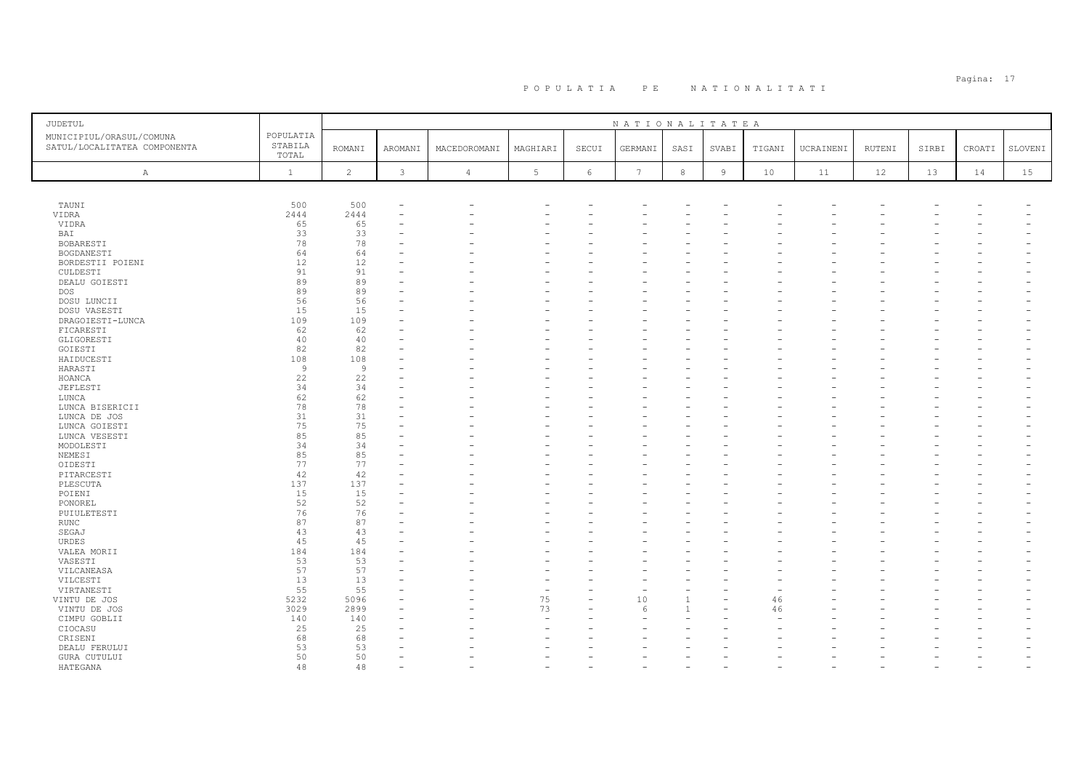| POPULATIA<br>MUNICIPIUL/ORASUL/COMUNA<br>STABILA<br>SATUL/LOCALITATEA COMPONENTA<br><b>ROMANI</b><br>AROMANI<br>MACEDOROMANI<br>MAGHIARI<br>SECUI<br>GERMANI<br>SVABI<br>TIGANI<br>UCRAINENI<br>RUTENI<br>SIRBI<br>CROATI<br>SLOVENI<br>SASI<br>TOTAL<br>$\overline{c}$<br>$\mathfrak{Z}$<br>$5\phantom{.0}$<br>$7\phantom{.0}$<br>$^{\rm 8}$<br>$\,$ 9<br>15<br>$\mathbf{1}$<br>$\epsilon$<br>10<br>12<br>13<br>14<br>$\overline{4}$<br>11<br>Α<br>500<br>500<br>TAUNI<br>VIDRA<br>2444<br>2444<br>65<br>VIDRA<br>65<br>33<br>33<br>BAI<br>78<br>78<br>BOBARESTI<br>64<br>64<br>BOGDANESTI<br>12<br>12<br>BORDESTII POIENI<br>91<br>91<br>CULDESTI<br>89<br>89<br>DEALU GOIESTI<br>89<br>89<br><b>DOS</b><br>56<br>56<br>DOSU LUNCII<br>15<br>15<br>DOSU VASESTI<br>109<br>109<br>DRAGOIESTI-LUNCA<br>62<br>62<br>FICARESTI<br>GLIGORESTI<br>40<br>40<br>82<br>82<br>GOIESTI<br>108<br>108<br>HAIDUCESTI<br>$\overline{9}$<br>9<br>HARASTI<br>22<br>22<br>HOANCA<br>34<br>34<br>JEFLESTI<br>62<br>62<br>LUNCA<br>78<br>78<br>LUNCA BISERICII<br>31<br>31<br>LUNCA DE JOS<br>75<br>75<br>LUNCA GOIESTI<br>85<br>85<br>LUNCA VESESTI<br>34<br>MODOLESTI<br>34<br>85<br>85<br>NEMESI<br>77<br>77<br>OIDESTI<br>42<br>42<br>PITARCESTI<br>137<br>137<br>PLESCUTA<br>POIENI<br>15<br>15<br>52<br>52<br>PONOREL<br>76<br>76<br>PUIULETESTI<br>87<br>87<br>RUNC<br>43<br>43<br>SEGAJ<br>45<br>45<br>URDES<br>184<br>184<br>VALEA MORII<br>53<br>53<br>VASESTI<br>57<br>57<br>VILCANEASA<br>13<br>13<br>VILCESTI<br>55<br>55<br>VIRTANESTI<br>÷,<br>75<br>10<br>VINTU DE JOS<br>5232<br>5096<br>46<br>73<br>3029<br>2899<br>46<br>VINTU DE JOS<br>$\epsilon$<br>CIMPU GOBLII<br>140<br>140<br>$\sim$<br>25<br>25<br>CIOCASU<br>68<br>68<br>CRISENI<br>53<br>53<br>DEALU FERULUI<br>50<br>50<br>GURA CUTULUI<br>48<br>48 | <b>JUDETUL</b> |  |  |  | NATIONALITATEA |  |  |  |  |
|------------------------------------------------------------------------------------------------------------------------------------------------------------------------------------------------------------------------------------------------------------------------------------------------------------------------------------------------------------------------------------------------------------------------------------------------------------------------------------------------------------------------------------------------------------------------------------------------------------------------------------------------------------------------------------------------------------------------------------------------------------------------------------------------------------------------------------------------------------------------------------------------------------------------------------------------------------------------------------------------------------------------------------------------------------------------------------------------------------------------------------------------------------------------------------------------------------------------------------------------------------------------------------------------------------------------------------------------------------------------------------------------------------------------------------------------------------------------------------------------------------------------------------------------------------------------------------------------------------------------------------------------------------------------------------------------------------------------------------------------------------------------------------------------------------------|----------------|--|--|--|----------------|--|--|--|--|
|                                                                                                                                                                                                                                                                                                                                                                                                                                                                                                                                                                                                                                                                                                                                                                                                                                                                                                                                                                                                                                                                                                                                                                                                                                                                                                                                                                                                                                                                                                                                                                                                                                                                                                                                                                                                                  |                |  |  |  |                |  |  |  |  |
|                                                                                                                                                                                                                                                                                                                                                                                                                                                                                                                                                                                                                                                                                                                                                                                                                                                                                                                                                                                                                                                                                                                                                                                                                                                                                                                                                                                                                                                                                                                                                                                                                                                                                                                                                                                                                  |                |  |  |  |                |  |  |  |  |
|                                                                                                                                                                                                                                                                                                                                                                                                                                                                                                                                                                                                                                                                                                                                                                                                                                                                                                                                                                                                                                                                                                                                                                                                                                                                                                                                                                                                                                                                                                                                                                                                                                                                                                                                                                                                                  |                |  |  |  |                |  |  |  |  |
|                                                                                                                                                                                                                                                                                                                                                                                                                                                                                                                                                                                                                                                                                                                                                                                                                                                                                                                                                                                                                                                                                                                                                                                                                                                                                                                                                                                                                                                                                                                                                                                                                                                                                                                                                                                                                  |                |  |  |  |                |  |  |  |  |
|                                                                                                                                                                                                                                                                                                                                                                                                                                                                                                                                                                                                                                                                                                                                                                                                                                                                                                                                                                                                                                                                                                                                                                                                                                                                                                                                                                                                                                                                                                                                                                                                                                                                                                                                                                                                                  |                |  |  |  |                |  |  |  |  |
|                                                                                                                                                                                                                                                                                                                                                                                                                                                                                                                                                                                                                                                                                                                                                                                                                                                                                                                                                                                                                                                                                                                                                                                                                                                                                                                                                                                                                                                                                                                                                                                                                                                                                                                                                                                                                  |                |  |  |  |                |  |  |  |  |
|                                                                                                                                                                                                                                                                                                                                                                                                                                                                                                                                                                                                                                                                                                                                                                                                                                                                                                                                                                                                                                                                                                                                                                                                                                                                                                                                                                                                                                                                                                                                                                                                                                                                                                                                                                                                                  |                |  |  |  |                |  |  |  |  |
|                                                                                                                                                                                                                                                                                                                                                                                                                                                                                                                                                                                                                                                                                                                                                                                                                                                                                                                                                                                                                                                                                                                                                                                                                                                                                                                                                                                                                                                                                                                                                                                                                                                                                                                                                                                                                  |                |  |  |  |                |  |  |  |  |
|                                                                                                                                                                                                                                                                                                                                                                                                                                                                                                                                                                                                                                                                                                                                                                                                                                                                                                                                                                                                                                                                                                                                                                                                                                                                                                                                                                                                                                                                                                                                                                                                                                                                                                                                                                                                                  |                |  |  |  |                |  |  |  |  |
|                                                                                                                                                                                                                                                                                                                                                                                                                                                                                                                                                                                                                                                                                                                                                                                                                                                                                                                                                                                                                                                                                                                                                                                                                                                                                                                                                                                                                                                                                                                                                                                                                                                                                                                                                                                                                  |                |  |  |  |                |  |  |  |  |
|                                                                                                                                                                                                                                                                                                                                                                                                                                                                                                                                                                                                                                                                                                                                                                                                                                                                                                                                                                                                                                                                                                                                                                                                                                                                                                                                                                                                                                                                                                                                                                                                                                                                                                                                                                                                                  |                |  |  |  |                |  |  |  |  |
|                                                                                                                                                                                                                                                                                                                                                                                                                                                                                                                                                                                                                                                                                                                                                                                                                                                                                                                                                                                                                                                                                                                                                                                                                                                                                                                                                                                                                                                                                                                                                                                                                                                                                                                                                                                                                  |                |  |  |  |                |  |  |  |  |
|                                                                                                                                                                                                                                                                                                                                                                                                                                                                                                                                                                                                                                                                                                                                                                                                                                                                                                                                                                                                                                                                                                                                                                                                                                                                                                                                                                                                                                                                                                                                                                                                                                                                                                                                                                                                                  |                |  |  |  |                |  |  |  |  |
|                                                                                                                                                                                                                                                                                                                                                                                                                                                                                                                                                                                                                                                                                                                                                                                                                                                                                                                                                                                                                                                                                                                                                                                                                                                                                                                                                                                                                                                                                                                                                                                                                                                                                                                                                                                                                  |                |  |  |  |                |  |  |  |  |
|                                                                                                                                                                                                                                                                                                                                                                                                                                                                                                                                                                                                                                                                                                                                                                                                                                                                                                                                                                                                                                                                                                                                                                                                                                                                                                                                                                                                                                                                                                                                                                                                                                                                                                                                                                                                                  |                |  |  |  |                |  |  |  |  |
|                                                                                                                                                                                                                                                                                                                                                                                                                                                                                                                                                                                                                                                                                                                                                                                                                                                                                                                                                                                                                                                                                                                                                                                                                                                                                                                                                                                                                                                                                                                                                                                                                                                                                                                                                                                                                  |                |  |  |  |                |  |  |  |  |
|                                                                                                                                                                                                                                                                                                                                                                                                                                                                                                                                                                                                                                                                                                                                                                                                                                                                                                                                                                                                                                                                                                                                                                                                                                                                                                                                                                                                                                                                                                                                                                                                                                                                                                                                                                                                                  |                |  |  |  |                |  |  |  |  |
|                                                                                                                                                                                                                                                                                                                                                                                                                                                                                                                                                                                                                                                                                                                                                                                                                                                                                                                                                                                                                                                                                                                                                                                                                                                                                                                                                                                                                                                                                                                                                                                                                                                                                                                                                                                                                  |                |  |  |  |                |  |  |  |  |
|                                                                                                                                                                                                                                                                                                                                                                                                                                                                                                                                                                                                                                                                                                                                                                                                                                                                                                                                                                                                                                                                                                                                                                                                                                                                                                                                                                                                                                                                                                                                                                                                                                                                                                                                                                                                                  |                |  |  |  |                |  |  |  |  |
|                                                                                                                                                                                                                                                                                                                                                                                                                                                                                                                                                                                                                                                                                                                                                                                                                                                                                                                                                                                                                                                                                                                                                                                                                                                                                                                                                                                                                                                                                                                                                                                                                                                                                                                                                                                                                  |                |  |  |  |                |  |  |  |  |
|                                                                                                                                                                                                                                                                                                                                                                                                                                                                                                                                                                                                                                                                                                                                                                                                                                                                                                                                                                                                                                                                                                                                                                                                                                                                                                                                                                                                                                                                                                                                                                                                                                                                                                                                                                                                                  |                |  |  |  |                |  |  |  |  |
|                                                                                                                                                                                                                                                                                                                                                                                                                                                                                                                                                                                                                                                                                                                                                                                                                                                                                                                                                                                                                                                                                                                                                                                                                                                                                                                                                                                                                                                                                                                                                                                                                                                                                                                                                                                                                  |                |  |  |  |                |  |  |  |  |
|                                                                                                                                                                                                                                                                                                                                                                                                                                                                                                                                                                                                                                                                                                                                                                                                                                                                                                                                                                                                                                                                                                                                                                                                                                                                                                                                                                                                                                                                                                                                                                                                                                                                                                                                                                                                                  |                |  |  |  |                |  |  |  |  |
|                                                                                                                                                                                                                                                                                                                                                                                                                                                                                                                                                                                                                                                                                                                                                                                                                                                                                                                                                                                                                                                                                                                                                                                                                                                                                                                                                                                                                                                                                                                                                                                                                                                                                                                                                                                                                  |                |  |  |  |                |  |  |  |  |
|                                                                                                                                                                                                                                                                                                                                                                                                                                                                                                                                                                                                                                                                                                                                                                                                                                                                                                                                                                                                                                                                                                                                                                                                                                                                                                                                                                                                                                                                                                                                                                                                                                                                                                                                                                                                                  |                |  |  |  |                |  |  |  |  |
|                                                                                                                                                                                                                                                                                                                                                                                                                                                                                                                                                                                                                                                                                                                                                                                                                                                                                                                                                                                                                                                                                                                                                                                                                                                                                                                                                                                                                                                                                                                                                                                                                                                                                                                                                                                                                  |                |  |  |  |                |  |  |  |  |
|                                                                                                                                                                                                                                                                                                                                                                                                                                                                                                                                                                                                                                                                                                                                                                                                                                                                                                                                                                                                                                                                                                                                                                                                                                                                                                                                                                                                                                                                                                                                                                                                                                                                                                                                                                                                                  |                |  |  |  |                |  |  |  |  |
|                                                                                                                                                                                                                                                                                                                                                                                                                                                                                                                                                                                                                                                                                                                                                                                                                                                                                                                                                                                                                                                                                                                                                                                                                                                                                                                                                                                                                                                                                                                                                                                                                                                                                                                                                                                                                  |                |  |  |  |                |  |  |  |  |
|                                                                                                                                                                                                                                                                                                                                                                                                                                                                                                                                                                                                                                                                                                                                                                                                                                                                                                                                                                                                                                                                                                                                                                                                                                                                                                                                                                                                                                                                                                                                                                                                                                                                                                                                                                                                                  |                |  |  |  |                |  |  |  |  |
|                                                                                                                                                                                                                                                                                                                                                                                                                                                                                                                                                                                                                                                                                                                                                                                                                                                                                                                                                                                                                                                                                                                                                                                                                                                                                                                                                                                                                                                                                                                                                                                                                                                                                                                                                                                                                  |                |  |  |  |                |  |  |  |  |
|                                                                                                                                                                                                                                                                                                                                                                                                                                                                                                                                                                                                                                                                                                                                                                                                                                                                                                                                                                                                                                                                                                                                                                                                                                                                                                                                                                                                                                                                                                                                                                                                                                                                                                                                                                                                                  |                |  |  |  |                |  |  |  |  |
|                                                                                                                                                                                                                                                                                                                                                                                                                                                                                                                                                                                                                                                                                                                                                                                                                                                                                                                                                                                                                                                                                                                                                                                                                                                                                                                                                                                                                                                                                                                                                                                                                                                                                                                                                                                                                  |                |  |  |  |                |  |  |  |  |
|                                                                                                                                                                                                                                                                                                                                                                                                                                                                                                                                                                                                                                                                                                                                                                                                                                                                                                                                                                                                                                                                                                                                                                                                                                                                                                                                                                                                                                                                                                                                                                                                                                                                                                                                                                                                                  |                |  |  |  |                |  |  |  |  |
|                                                                                                                                                                                                                                                                                                                                                                                                                                                                                                                                                                                                                                                                                                                                                                                                                                                                                                                                                                                                                                                                                                                                                                                                                                                                                                                                                                                                                                                                                                                                                                                                                                                                                                                                                                                                                  |                |  |  |  |                |  |  |  |  |
|                                                                                                                                                                                                                                                                                                                                                                                                                                                                                                                                                                                                                                                                                                                                                                                                                                                                                                                                                                                                                                                                                                                                                                                                                                                                                                                                                                                                                                                                                                                                                                                                                                                                                                                                                                                                                  |                |  |  |  |                |  |  |  |  |
|                                                                                                                                                                                                                                                                                                                                                                                                                                                                                                                                                                                                                                                                                                                                                                                                                                                                                                                                                                                                                                                                                                                                                                                                                                                                                                                                                                                                                                                                                                                                                                                                                                                                                                                                                                                                                  |                |  |  |  |                |  |  |  |  |
|                                                                                                                                                                                                                                                                                                                                                                                                                                                                                                                                                                                                                                                                                                                                                                                                                                                                                                                                                                                                                                                                                                                                                                                                                                                                                                                                                                                                                                                                                                                                                                                                                                                                                                                                                                                                                  |                |  |  |  |                |  |  |  |  |
|                                                                                                                                                                                                                                                                                                                                                                                                                                                                                                                                                                                                                                                                                                                                                                                                                                                                                                                                                                                                                                                                                                                                                                                                                                                                                                                                                                                                                                                                                                                                                                                                                                                                                                                                                                                                                  |                |  |  |  |                |  |  |  |  |
|                                                                                                                                                                                                                                                                                                                                                                                                                                                                                                                                                                                                                                                                                                                                                                                                                                                                                                                                                                                                                                                                                                                                                                                                                                                                                                                                                                                                                                                                                                                                                                                                                                                                                                                                                                                                                  |                |  |  |  |                |  |  |  |  |
|                                                                                                                                                                                                                                                                                                                                                                                                                                                                                                                                                                                                                                                                                                                                                                                                                                                                                                                                                                                                                                                                                                                                                                                                                                                                                                                                                                                                                                                                                                                                                                                                                                                                                                                                                                                                                  |                |  |  |  |                |  |  |  |  |
|                                                                                                                                                                                                                                                                                                                                                                                                                                                                                                                                                                                                                                                                                                                                                                                                                                                                                                                                                                                                                                                                                                                                                                                                                                                                                                                                                                                                                                                                                                                                                                                                                                                                                                                                                                                                                  |                |  |  |  |                |  |  |  |  |
|                                                                                                                                                                                                                                                                                                                                                                                                                                                                                                                                                                                                                                                                                                                                                                                                                                                                                                                                                                                                                                                                                                                                                                                                                                                                                                                                                                                                                                                                                                                                                                                                                                                                                                                                                                                                                  |                |  |  |  |                |  |  |  |  |
|                                                                                                                                                                                                                                                                                                                                                                                                                                                                                                                                                                                                                                                                                                                                                                                                                                                                                                                                                                                                                                                                                                                                                                                                                                                                                                                                                                                                                                                                                                                                                                                                                                                                                                                                                                                                                  |                |  |  |  |                |  |  |  |  |
|                                                                                                                                                                                                                                                                                                                                                                                                                                                                                                                                                                                                                                                                                                                                                                                                                                                                                                                                                                                                                                                                                                                                                                                                                                                                                                                                                                                                                                                                                                                                                                                                                                                                                                                                                                                                                  |                |  |  |  |                |  |  |  |  |
|                                                                                                                                                                                                                                                                                                                                                                                                                                                                                                                                                                                                                                                                                                                                                                                                                                                                                                                                                                                                                                                                                                                                                                                                                                                                                                                                                                                                                                                                                                                                                                                                                                                                                                                                                                                                                  |                |  |  |  |                |  |  |  |  |
|                                                                                                                                                                                                                                                                                                                                                                                                                                                                                                                                                                                                                                                                                                                                                                                                                                                                                                                                                                                                                                                                                                                                                                                                                                                                                                                                                                                                                                                                                                                                                                                                                                                                                                                                                                                                                  |                |  |  |  |                |  |  |  |  |
|                                                                                                                                                                                                                                                                                                                                                                                                                                                                                                                                                                                                                                                                                                                                                                                                                                                                                                                                                                                                                                                                                                                                                                                                                                                                                                                                                                                                                                                                                                                                                                                                                                                                                                                                                                                                                  |                |  |  |  |                |  |  |  |  |
|                                                                                                                                                                                                                                                                                                                                                                                                                                                                                                                                                                                                                                                                                                                                                                                                                                                                                                                                                                                                                                                                                                                                                                                                                                                                                                                                                                                                                                                                                                                                                                                                                                                                                                                                                                                                                  |                |  |  |  |                |  |  |  |  |
|                                                                                                                                                                                                                                                                                                                                                                                                                                                                                                                                                                                                                                                                                                                                                                                                                                                                                                                                                                                                                                                                                                                                                                                                                                                                                                                                                                                                                                                                                                                                                                                                                                                                                                                                                                                                                  |                |  |  |  |                |  |  |  |  |
|                                                                                                                                                                                                                                                                                                                                                                                                                                                                                                                                                                                                                                                                                                                                                                                                                                                                                                                                                                                                                                                                                                                                                                                                                                                                                                                                                                                                                                                                                                                                                                                                                                                                                                                                                                                                                  |                |  |  |  |                |  |  |  |  |
|                                                                                                                                                                                                                                                                                                                                                                                                                                                                                                                                                                                                                                                                                                                                                                                                                                                                                                                                                                                                                                                                                                                                                                                                                                                                                                                                                                                                                                                                                                                                                                                                                                                                                                                                                                                                                  |                |  |  |  |                |  |  |  |  |
|                                                                                                                                                                                                                                                                                                                                                                                                                                                                                                                                                                                                                                                                                                                                                                                                                                                                                                                                                                                                                                                                                                                                                                                                                                                                                                                                                                                                                                                                                                                                                                                                                                                                                                                                                                                                                  |                |  |  |  |                |  |  |  |  |
|                                                                                                                                                                                                                                                                                                                                                                                                                                                                                                                                                                                                                                                                                                                                                                                                                                                                                                                                                                                                                                                                                                                                                                                                                                                                                                                                                                                                                                                                                                                                                                                                                                                                                                                                                                                                                  | HATEGANA       |  |  |  |                |  |  |  |  |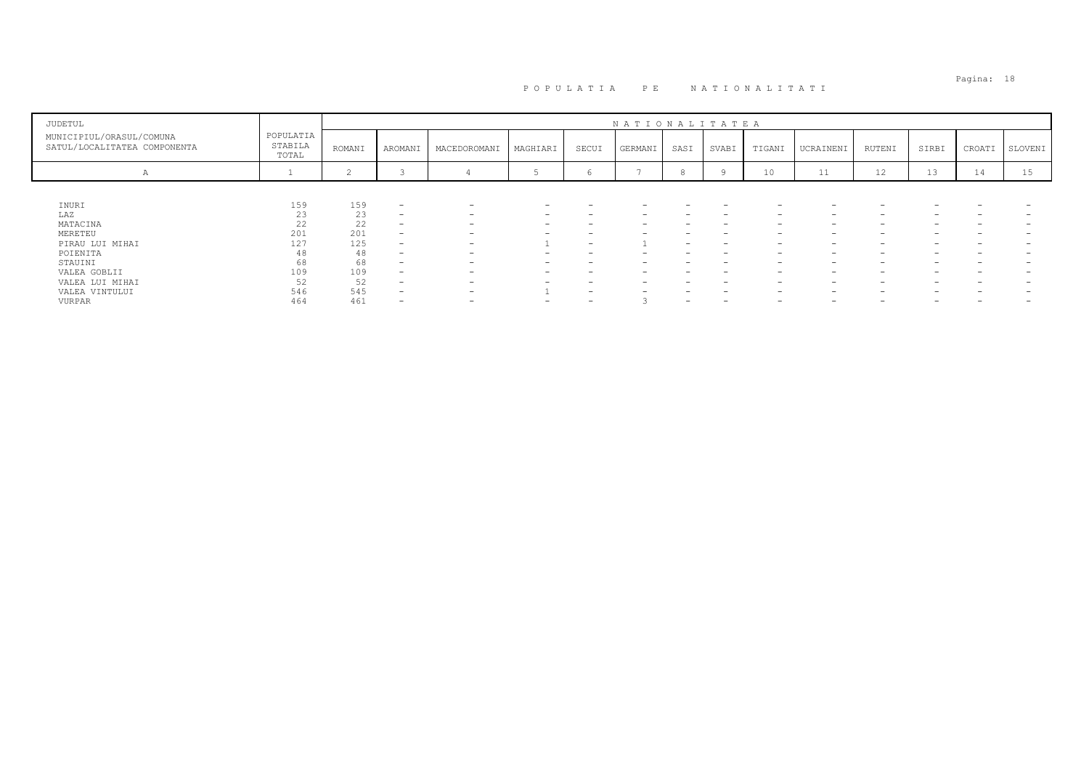| JUDETUL                                                  |                               |        |                          |                          |                          |       | NATIONALITATEA |      |                          |                          |                          |        |       |           |         |
|----------------------------------------------------------|-------------------------------|--------|--------------------------|--------------------------|--------------------------|-------|----------------|------|--------------------------|--------------------------|--------------------------|--------|-------|-----------|---------|
| MUNICIPIUL/ORASUL/COMUNA<br>SATUL/LOCALITATEA COMPONENTA | POPULATIA<br>STABILA<br>TOTAL | ROMANI | AROMANI                  | MACEDOROMANI             | MAGHIARI                 | SECUI | GERMANI        | SASI | SVABI                    | TIGANI                   | UCRAINENI                | RUTENI | SIRBI | CROATI    | SLOVENI |
| $\mathcal{A}$                                            |                               |        |                          |                          |                          |       |                |      |                          | 10                       | 11                       | 12     | 13    | <b>14</b> | 15      |
|                                                          |                               |        |                          |                          |                          |       |                |      |                          |                          |                          |        |       |           |         |
| INURI                                                    | 159                           | 159    | $\overline{\phantom{0}}$ | $\overline{\phantom{a}}$ | -                        |       | -              |      | $\overline{\phantom{0}}$ | $\overline{\phantom{0}}$ | -                        |        |       |           |         |
| LAZ                                                      | 23                            | 23     | $\overline{\phantom{0}}$ | $\overline{\phantom{0}}$ | -                        |       | -              |      |                          | $\overline{\phantom{0}}$ | $\overline{\phantom{0}}$ |        |       |           |         |
| MATACINA                                                 | 22                            | 22     | $\overline{\phantom{0}}$ | $\overline{\phantom{0}}$ |                          |       |                |      |                          |                          | -                        |        |       |           |         |
| MERETEU                                                  | 201                           | 201    | $\overline{\phantom{0}}$ | $\overline{\phantom{a}}$ | -                        |       |                |      | $\overline{\phantom{0}}$ | $\overline{\phantom{0}}$ | $\overline{\phantom{0}}$ |        |       | -         |         |
| PIRAU LUI MIHAI                                          | 127                           | 125    | -                        | $\overline{\phantom{0}}$ |                          |       |                | -    | $\overline{\phantom{0}}$ | $\overline{\phantom{0}}$ | $\overline{\phantom{0}}$ |        | -     |           |         |
| POIENITA                                                 | 48                            | 48     | $\overline{\phantom{0}}$ | $\overline{\phantom{0}}$ |                          |       |                |      |                          |                          | -                        |        |       |           |         |
| STAUINI                                                  | 68                            | 68     | $\overline{\phantom{0}}$ | $\overline{\phantom{0}}$ | $\overline{\phantom{0}}$ |       | -              |      | $\overline{\phantom{0}}$ | $\overline{\phantom{0}}$ | $\overline{\phantom{0}}$ |        | -     | -         |         |
| VALEA GOBLII                                             | 109                           | 109    | $\overline{\phantom{0}}$ | $\overline{\phantom{0}}$ |                          |       | -              |      |                          | $\overline{\phantom{0}}$ | $\overline{\phantom{0}}$ |        |       |           |         |
| VALEA LUI MIHAI                                          | 52                            | 52     | $\overline{\phantom{0}}$ | $\overline{\phantom{0}}$ |                          |       |                |      |                          |                          | -                        |        | -     |           |         |
| VALEA VINTULUI                                           | 546                           | 545    | $\overline{\phantom{0}}$ | $\overline{\phantom{0}}$ |                          |       |                |      |                          | $\overline{\phantom{0}}$ | $\overline{\phantom{0}}$ |        | -     |           |         |
| VURPAR                                                   | 464                           | 461    | -                        | -                        |                          |       |                | -    |                          |                          | -                        |        |       |           |         |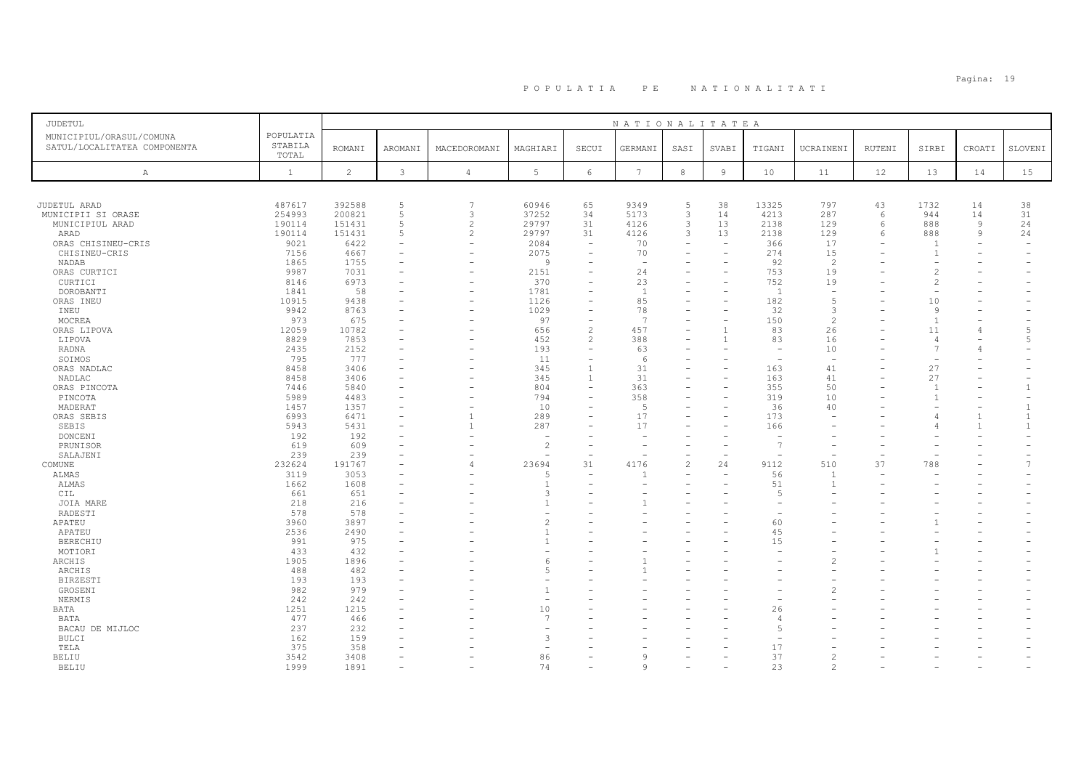## Pagina: 19 P O P U L A T I A P E N A T I O N A L I T A T I

| JUDETUL                                                                                                       |                                                              |                                                              |                                                           |                                                           |                                                       |                                                                                          | NATIONALITATEA                                                       |                                                         |                                                              |                                                   |                                                        |                   |                                                               |                                 |                                                  |
|---------------------------------------------------------------------------------------------------------------|--------------------------------------------------------------|--------------------------------------------------------------|-----------------------------------------------------------|-----------------------------------------------------------|-------------------------------------------------------|------------------------------------------------------------------------------------------|----------------------------------------------------------------------|---------------------------------------------------------|--------------------------------------------------------------|---------------------------------------------------|--------------------------------------------------------|-------------------|---------------------------------------------------------------|---------------------------------|--------------------------------------------------|
| MUNICIPIUL/ORASUL/COMUNA<br>SATUL/LOCALITATEA COMPONENTA                                                      | POPULATIA<br>STABILA<br>TOTAL                                | <b>ROMANI</b>                                                | AROMANI                                                   | MACEDOROMANI                                              | MAGHIARI                                              | SECUI                                                                                    | GERMANI                                                              | SASI                                                    | SVABI                                                        | TIGANI                                            | UCRAINENI                                              | RUTENI            | SIRBI                                                         | CROATI                          | SLOVENI                                          |
| Α                                                                                                             | $\mathbf{1}$                                                 | $\overline{c}$                                               | $\mathbf{3}$                                              | $\overline{4}$                                            | 5                                                     | $6\,$                                                                                    | $7\phantom{.0}$                                                      | $^{\rm 8}$                                              | 9                                                            | 10                                                | 11                                                     | 12                | 13                                                            | 14                              | 15                                               |
|                                                                                                               |                                                              |                                                              |                                                           |                                                           |                                                       |                                                                                          |                                                                      |                                                         |                                                              |                                                   |                                                        |                   |                                                               |                                 |                                                  |
| JUDETUL ARAD<br>MUNICIPII SI ORASE<br>MUNICIPIUL ARAD<br>ARAD<br>ORAS CHISINEU-CRIS<br>CHISINEU-CRIS<br>NADAB | 487617<br>254993<br>190114<br>190114<br>9021<br>7156<br>1865 | 392588<br>200821<br>151431<br>151431<br>6422<br>4667<br>1755 | 5<br>$\overline{5}$<br>5<br>5<br>$\overline{\phantom{a}}$ | 7<br>3<br>$\overline{2}$<br>2<br>$\overline{\phantom{a}}$ | 60946<br>37252<br>29797<br>29797<br>2084<br>2075<br>9 | 65<br>34<br>31<br>31<br>$\equiv$<br>$\overline{\phantom{a}}$<br>$\overline{\phantom{0}}$ | 9349<br>5173<br>4126<br>4126<br>70<br>70<br>$\overline{\phantom{a}}$ | 5<br>$\mathbf{3}$<br>3<br>3<br>$\overline{\phantom{a}}$ | 38<br>14<br>13<br>13<br>$\overline{\phantom{m}}$<br>$\equiv$ | 13325<br>4213<br>2138<br>2138<br>366<br>274<br>92 | 797<br>287<br>129<br>129<br>17<br>15<br>$\overline{c}$ | 43<br>6<br>6<br>6 | 1732<br>944<br>888<br>888<br>$\overline{1}$<br>$\overline{1}$ | 14<br>14<br>9<br>$\overline{9}$ | 38<br>31<br>24<br>24<br>$\overline{\phantom{a}}$ |
| ORAS CURTICI                                                                                                  | 9987                                                         | 7031                                                         |                                                           |                                                           | 2151                                                  | ۳                                                                                        | 24                                                                   |                                                         |                                                              | 753                                               | 19                                                     |                   | $\mathcal{L}$                                                 |                                 |                                                  |
| CURTICI<br>DOROBANTI<br>ORAS INEU<br>INEU                                                                     | 8146<br>1841<br>10915<br>9942                                | 6973<br>58<br>9438<br>8763                                   |                                                           | $\overline{\phantom{a}}$                                  | 370<br>1781<br>1126<br>1029                           | $\overline{\phantom{0}}$<br>۳<br>$\overline{\phantom{0}}$                                | 23<br>$\mathbf{1}$<br>85<br>78                                       |                                                         | $\overline{\phantom{0}}$                                     | 752<br>$\mathbf{1}$<br>182<br>32                  | 19<br>$\overline{\phantom{a}}$<br>5<br>3               |                   | $\mathcal{L}$<br>10<br>9                                      |                                 |                                                  |
| MOCREA<br>ORAS LIPOVA                                                                                         | 973<br>12059                                                 | 675<br>10782                                                 |                                                           |                                                           | 97<br>656                                             | ۰<br>$\overline{c}$                                                                      | -7<br>457                                                            | $\overline{\phantom{0}}$                                |                                                              | 150<br>83                                         | $\mathcal{L}$<br>26                                    |                   | $\overline{1}$<br>11                                          | $\overline{4}$                  | $\overline{5}$                                   |
| LIPOVA                                                                                                        | 8829                                                         | 7853                                                         |                                                           |                                                           | 452                                                   | $\overline{c}$                                                                           | 388                                                                  |                                                         |                                                              | 83                                                | 16                                                     |                   | $\overline{4}$                                                |                                 | 5                                                |
| RADNA<br>SOIMOS                                                                                               | 2435<br>795                                                  | 2152<br>777                                                  | $\sim$                                                    |                                                           | 193<br>11                                             | ÷,<br>L,                                                                                 | 63<br>6                                                              | ÷                                                       | ÷                                                            | $\overline{\phantom{a}}$                          | 10<br>$\overline{\phantom{a}}$                         |                   | $\overline{7}$                                                | 4                               | $\overline{\phantom{a}}$                         |
| ORAS NADLAC<br>NADLAC                                                                                         | 8458<br>8458                                                 | 3406<br>3406                                                 |                                                           |                                                           | 345<br>345                                            | $\overline{1}$<br>$\overline{1}$                                                         | 31<br>31                                                             |                                                         |                                                              | 163<br>163                                        | 41<br>41                                               |                   | 27<br>27                                                      |                                 |                                                  |
| ORAS PINCOTA                                                                                                  | 7446                                                         | 5840                                                         |                                                           |                                                           | 804<br>794                                            | $\qquad \qquad -$<br>L,                                                                  | 363<br>358                                                           |                                                         |                                                              | 355<br>319                                        | 50                                                     |                   | 1<br>$\overline{1}$                                           |                                 | $\mathbf{1}$                                     |
| PINCOTA<br>MADERAT                                                                                            | 5989<br>1457                                                 | 4483<br>1357                                                 |                                                           | $\overline{\phantom{a}}$                                  | 10                                                    | L,                                                                                       | $\sqrt{2}$                                                           |                                                         |                                                              | 36                                                | 10<br>40                                               |                   |                                                               |                                 | $\overline{1}$                                   |
| ORAS SEBIS<br>SEBIS                                                                                           | 6993<br>5943                                                 | 6471<br>5431                                                 |                                                           | $\mathbf{1}$<br>$\mathbf{1}$                              | 289<br>287                                            | ۰                                                                                        | 17<br>17                                                             |                                                         |                                                              | 173<br>166                                        |                                                        |                   |                                                               | $\mathbf{1}$<br>$\mathbf{1}$    | $\mathbf{1}$<br>$\overline{1}$                   |
| DONCENI<br>PRUNISOR                                                                                           | 192<br>619                                                   | 192<br>609                                                   |                                                           |                                                           | $\overline{c}$                                        | ۰<br>$\overline{\phantom{0}}$                                                            | ٠                                                                    |                                                         | $\overline{\phantom{0}}$                                     |                                                   |                                                        |                   |                                                               |                                 |                                                  |
| SALAJENI<br>COMUNE                                                                                            | 239<br>232624                                                | 239<br>191767                                                |                                                           | $\overline{4}$                                            | 23694                                                 | ۰<br>31                                                                                  | 4176                                                                 | $\overline{2}$                                          | 24                                                           | 9112                                              | 510                                                    | 37                | 788                                                           |                                 | 7                                                |
| <b>ALMAS</b><br>ALMAS                                                                                         | 3119<br>1662                                                 | 3053<br>1608                                                 | $\sim$                                                    |                                                           | .5                                                    | $\overline{\phantom{a}}$                                                                 |                                                                      |                                                         |                                                              | 56<br>51                                          | $\overline{1}$<br>$\overline{1}$                       |                   |                                                               |                                 |                                                  |
| CIL<br>JOIA MARE                                                                                              | 661<br>218                                                   | 651<br>216                                                   | $\sim$                                                    |                                                           | $\mathcal{R}$                                         |                                                                                          |                                                                      |                                                         |                                                              | $\overline{5}$                                    |                                                        |                   |                                                               |                                 |                                                  |
| RADESTI<br>APATEU                                                                                             | 578<br>3960                                                  | 578<br>3897                                                  |                                                           |                                                           | $\mathfrak{D}$                                        |                                                                                          |                                                                      |                                                         |                                                              | 60                                                |                                                        |                   |                                                               |                                 |                                                  |
| APATEU<br>BERECHIU                                                                                            | 2536<br>991                                                  | 2490<br>975                                                  |                                                           |                                                           |                                                       |                                                                                          |                                                                      |                                                         |                                                              | 45<br>15                                          |                                                        |                   |                                                               |                                 |                                                  |
| MOTIORI                                                                                                       | 433                                                          | 432                                                          |                                                           |                                                           |                                                       |                                                                                          |                                                                      |                                                         |                                                              |                                                   |                                                        |                   |                                                               |                                 |                                                  |
| ARCHIS<br>ARCHIS<br><b>BIRZESTI</b>                                                                           | 1905<br>488<br>193                                           | 1896<br>482<br>193                                           |                                                           |                                                           |                                                       |                                                                                          |                                                                      |                                                         |                                                              |                                                   |                                                        |                   |                                                               |                                 |                                                  |
| GROSENI                                                                                                       | 982                                                          | 979                                                          |                                                           |                                                           |                                                       |                                                                                          |                                                                      |                                                         |                                                              |                                                   |                                                        |                   |                                                               |                                 |                                                  |
| NERMIS<br>BATA                                                                                                | 242<br>1251                                                  | 242<br>1215                                                  |                                                           |                                                           | 10                                                    |                                                                                          |                                                                      |                                                         |                                                              | 26                                                |                                                        |                   |                                                               |                                 |                                                  |
| BATA<br>BACAU DE MIJLOC                                                                                       | 477<br>237                                                   | 466<br>232                                                   |                                                           |                                                           | $\overline{7}$                                        | ۰                                                                                        |                                                                      |                                                         |                                                              | $\overline{4}$<br>-5                              |                                                        |                   |                                                               |                                 |                                                  |
| <b>BULCI</b><br>TELA                                                                                          | 162<br>375                                                   | 159<br>358                                                   |                                                           |                                                           | 3                                                     |                                                                                          |                                                                      |                                                         |                                                              | 17                                                |                                                        |                   |                                                               |                                 |                                                  |
| BELIU<br><b>BELIU</b>                                                                                         | 3542<br>1999                                                 | 3408<br>1891                                                 |                                                           |                                                           | 86<br>74                                              | ۳                                                                                        | 9<br>9                                                               |                                                         |                                                              | 37<br>23                                          | $\mathfrak{D}$<br>$\overline{c}$                       |                   |                                                               |                                 |                                                  |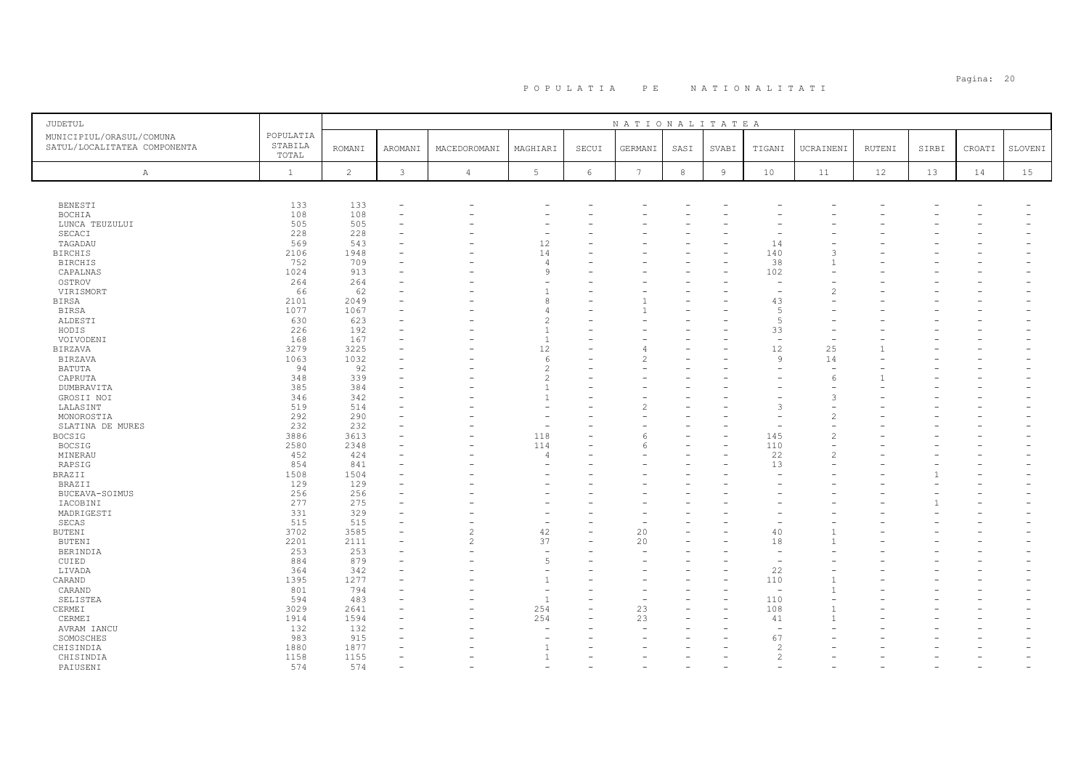| <b>JUDETUL</b>                                           |                               |                |                          |                          |                          |            | NATIONALITATEA |            |                |                          |                |        |       |        |         |
|----------------------------------------------------------|-------------------------------|----------------|--------------------------|--------------------------|--------------------------|------------|----------------|------------|----------------|--------------------------|----------------|--------|-------|--------|---------|
| MUNICIPIUL/ORASUL/COMUNA<br>SATUL/LOCALITATEA COMPONENTA | POPULATIA<br>STABILA<br>TOTAL | <b>ROMANI</b>  | AROMANI                  | MACEDOROMANI             | MAGHIARI                 | SECUI      | GERMANI        | SASI       | SVABI          | TIGANI                   | UCRAINENI      | RUTENI | SIRBI | CROATI | SLOVENI |
| $\mathbb{A}$                                             | $\mathbf{1}$                  | $\overline{c}$ | $\mathcal{E}$            | $\sqrt{4}$               | $5\phantom{.0}$          | $\epsilon$ | 7              | $^{\rm 8}$ | $\overline{9}$ | 10                       | 11             | 12     | 13    | 14     | 15      |
|                                                          |                               |                |                          |                          |                          |            |                |            |                |                          |                |        |       |        |         |
| <b>BENESTI</b>                                           | 133                           | 133            | $\overline{\phantom{a}}$ |                          |                          |            |                |            |                |                          |                |        |       |        |         |
| BOCHIA                                                   | 108                           | 108            |                          |                          |                          |            |                |            |                |                          |                |        |       |        |         |
| LUNCA TEUZULUI                                           | 505                           | 505            |                          |                          |                          |            |                |            |                |                          |                |        |       |        |         |
| SECACI                                                   | 228                           | 228            |                          |                          | $\overline{\phantom{a}}$ |            |                |            |                |                          |                |        |       |        |         |
| TAGADAU                                                  | 569                           | 543            |                          |                          | 12                       |            |                |            |                | 14                       |                |        |       |        |         |
| <b>BIRCHIS</b>                                           | 2106                          | 1948           |                          |                          | 14                       |            |                |            |                | 140                      | 3              |        |       |        |         |
| <b>BIRCHIS</b>                                           | 752                           | 709            |                          |                          | $\overline{4}$           |            |                |            |                | 38                       |                |        |       |        |         |
| CAPALNAS                                                 | 1024                          | 913            |                          |                          | 9                        |            |                |            |                | 102                      |                |        |       |        |         |
|                                                          | 264                           | 264            |                          |                          |                          |            |                |            |                |                          |                |        |       |        |         |
| OSTROV                                                   | 66                            |                |                          |                          | $\overline{1}$           |            |                |            |                | $\overline{\phantom{a}}$ | $\overline{c}$ |        |       |        |         |
| VIRISMORT                                                |                               | 62             |                          |                          |                          |            |                |            |                |                          |                |        |       |        |         |
| BIRSA                                                    | 2101                          | 2049           |                          |                          | 8                        |            |                |            |                | 43                       |                |        |       |        |         |
| <b>BIRSA</b>                                             | 1077                          | 1067           |                          |                          | $\overline{4}$           |            |                |            |                | 5                        |                |        |       |        |         |
| ALDESTI                                                  | 630                           | 623            |                          |                          | $\overline{c}$           |            |                |            |                | 5                        |                |        |       |        |         |
| HODIS                                                    | 226                           | 192            |                          |                          | $\overline{1}$           |            |                |            |                | 33                       |                |        |       |        |         |
| VOIVODENI                                                | 168                           | 167            |                          |                          | $\overline{1}$           |            |                |            |                | $\overline{a}$           |                |        |       |        |         |
| <b>BIRZAVA</b>                                           | 3279                          | 3225           |                          |                          | 12                       |            |                |            |                | 12                       | 25             |        |       |        |         |
| <b>BIRZAVA</b>                                           | 1063                          | 1032           |                          |                          | 6                        |            |                |            |                | $\mathcal{Q}$            | 14             |        |       |        |         |
| BATUTA                                                   | 94                            | 92             |                          |                          | $\overline{c}$           |            |                |            |                |                          |                |        |       |        |         |
| CAPRUTA                                                  | 348                           | 339            |                          |                          | $\overline{c}$           |            |                |            |                |                          | 6              |        |       |        |         |
| DUMBRAVITA                                               | 385                           | 384            |                          |                          | $\mathbf{1}$             |            |                |            |                |                          |                |        |       |        |         |
| GROSII NOI                                               | 346                           | 342            |                          |                          | $\mathbf{1}$             |            |                |            |                |                          | 3              |        |       |        |         |
| LALASINT                                                 | 519                           | 514            |                          |                          |                          |            |                |            |                | -3                       |                |        |       |        |         |
| MONOROSTIA                                               | 292                           | 290            |                          |                          |                          |            |                |            |                |                          | $\overline{c}$ |        |       |        |         |
| SLATINA DE MURES                                         | 232                           | 232            |                          |                          | $\overline{\phantom{a}}$ |            |                |            |                |                          |                |        |       |        |         |
| <b>BOCSIG</b>                                            | 3886                          | 3613           |                          |                          | 118                      |            |                |            |                | 145                      | $\overline{c}$ |        |       |        |         |
| BOCSIG                                                   | 2580                          | 2348           |                          |                          | 114                      |            | 6              |            |                | 110                      | $\sim$         |        |       |        |         |
| MINERAU                                                  | 452                           | 424            |                          |                          | $\overline{4}$           |            |                |            |                | 22                       | $\overline{c}$ |        |       |        |         |
| RAPSIG                                                   | 854                           | 841            |                          |                          | ÷                        |            |                |            |                | 13                       |                |        |       |        |         |
| BRAZII                                                   | 1508                          | 1504           |                          |                          |                          |            |                |            |                |                          |                |        |       |        |         |
| BRAZII                                                   | 129                           | 129            |                          |                          |                          |            |                |            |                |                          |                |        |       |        |         |
|                                                          | 256                           | 256            |                          |                          |                          |            |                |            |                |                          |                |        |       |        |         |
| BUCEAVA-SOIMUS                                           | 277                           | 275            |                          |                          |                          |            |                |            |                |                          |                |        |       |        |         |
| IACOBINI                                                 |                               |                |                          |                          |                          |            |                |            |                |                          |                |        |       |        |         |
| MADRIGESTI                                               | 331                           | 329            |                          |                          |                          |            |                |            |                |                          |                |        |       |        |         |
| SECAS                                                    | 515                           | 515            |                          |                          | $\overline{\phantom{a}}$ |            |                |            |                |                          |                |        |       |        |         |
| <b>BUTENI</b>                                            | 3702                          | 3585           |                          | $\overline{\mathcal{L}}$ | 42                       |            | 20             |            |                | 40                       |                |        |       |        |         |
| <b>BUTENI</b>                                            | 2201                          | 2111           |                          | $\overline{2}$           | 37                       |            | 20             |            |                | 18                       |                |        |       |        |         |
| BERINDIA                                                 | 253                           | 253            |                          | L.                       | ÷,                       |            |                |            |                | $\overline{a}$           |                |        |       |        |         |
| CUIED                                                    | 884                           | 879            |                          |                          | 5                        |            |                |            |                |                          |                |        |       |        |         |
| LIVADA                                                   | 364                           | 342            |                          |                          | $\overline{\phantom{a}}$ |            |                |            |                | 22                       |                |        |       |        |         |
| CARAND                                                   | 1395                          | 1277           |                          |                          | $\mathbf{1}$             |            |                |            |                | 110                      |                |        |       |        |         |
| CARAND                                                   | 801                           | 794            |                          |                          | ÷,                       |            |                |            |                | ÷,                       |                |        |       |        |         |
| SELISTEA                                                 | 594                           | 483            |                          |                          | $\overline{1}$           |            |                |            |                | 110                      |                |        |       |        |         |
| CERMEI                                                   | 3029                          | 2641           |                          |                          | 254                      |            | 23             |            |                | 108                      |                |        |       |        |         |
| CERMEI                                                   | 1914                          | 1594           |                          |                          | 254                      |            | 23             |            |                | 41                       |                |        |       |        |         |
| AVRAM IANCU                                              | 132                           | 132            |                          |                          | $\overline{\phantom{a}}$ |            |                |            |                | $\overline{\phantom{a}}$ |                |        |       |        |         |
| SOMOSCHES                                                | 983                           | 915            |                          |                          |                          |            |                |            |                | 67                       |                |        |       |        |         |
| CHISINDIA                                                | 1880                          | 1877           |                          |                          | $\overline{1}$           |            |                |            |                | $\overline{c}$           |                |        |       |        |         |
| CHISINDIA                                                | 1158                          | 1155           |                          |                          | $\mathbf{1}$             |            |                |            |                | $\mathfrak{D}$           |                |        |       |        |         |
| PAIUSENI                                                 | 574                           | 574            |                          |                          |                          |            |                |            |                |                          |                |        |       |        |         |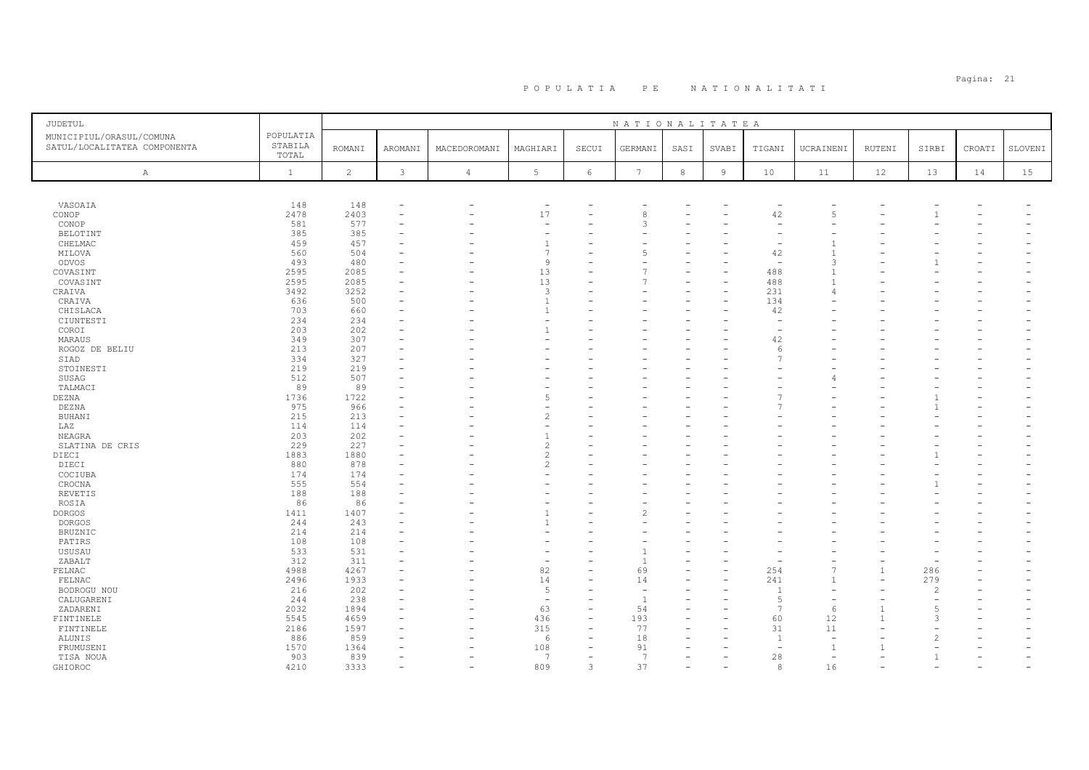| JUDETUL                                                  |                               |                |                          |                |                          |                          | NATIONALITATEA  |            |                |                          |                          |        |                |        |         |
|----------------------------------------------------------|-------------------------------|----------------|--------------------------|----------------|--------------------------|--------------------------|-----------------|------------|----------------|--------------------------|--------------------------|--------|----------------|--------|---------|
| MUNICIPIUL/ORASUL/COMUNA<br>SATUL/LOCALITATEA COMPONENTA | POPULATIA<br>STABILA<br>TOTAL | <b>ROMANI</b>  | AROMANI                  | MACEDOROMANI   | MAGHIARI                 | SECUI                    | GERMANI         | SASI       | SVABI          | TIGANI                   | UCRAINENI                | RUTENI | SIRBI          | CROATI | SLOVENI |
| A                                                        | $\mathbf{1}$                  | $\overline{c}$ | 3                        | $\overline{4}$ | $5\phantom{.0}$          | $\epsilon$               | $7\phantom{.0}$ | $^{\rm 8}$ | $\overline{9}$ | 10                       | 11                       | 12     | 13             | 14     | 15      |
|                                                          |                               |                |                          |                |                          |                          |                 |            |                |                          |                          |        |                |        |         |
| VASOAIA                                                  | 148                           | 148            | ٠                        |                | $\overline{\phantom{a}}$ |                          |                 |            |                | $\overline{\phantom{a}}$ |                          |        |                |        |         |
| CONOP                                                    | 2478                          | 2403           | $\overline{\phantom{0}}$ |                | 17                       | -                        | 8               |            |                | 42                       | $\overline{5}$           |        |                |        |         |
| CONOP                                                    | 581                           | 577            | ۰                        |                | ÷                        |                          |                 |            |                | $\overline{\phantom{a}}$ |                          |        |                |        |         |
| <b>BELOTINT</b>                                          | 385                           | 385            |                          |                | ۰                        |                          |                 |            |                |                          |                          |        |                |        |         |
| CHELMAC                                                  | 459                           | 457            |                          |                | $\mathbf{1}$             |                          |                 |            |                |                          |                          |        |                |        |         |
| MILOVA                                                   | 560                           | 504            |                          |                | $\overline{7}$           |                          |                 |            |                | 42                       |                          |        |                |        |         |
| ODVOS                                                    | 493                           | 480            |                          |                | 9                        |                          |                 |            |                | $\sim$                   | 3                        |        |                |        |         |
| COVASINT                                                 | 2595                          | 2085           |                          |                | 13                       |                          |                 |            |                | 488                      | $\mathbf{1}$             |        |                |        |         |
| COVASINT                                                 | 2595                          | 2085           |                          |                | 13                       |                          |                 |            |                | 488                      |                          |        |                |        |         |
| CRAIVA                                                   | 3492                          | 3252           |                          |                | 3                        |                          |                 |            |                | 231                      | $\overline{4}$           |        |                |        |         |
| CRAIVA                                                   | 636                           | 500            | ۰                        |                | $\overline{1}$           |                          |                 |            |                | 134                      |                          |        |                |        |         |
| CHISLACA                                                 | 703                           | 660            |                          |                | $\overline{1}$           |                          |                 |            |                | 42                       |                          |        |                |        |         |
| CIUNTESTI                                                | 234                           | 234            |                          |                | $\overline{\phantom{a}}$ |                          |                 |            |                | $\overline{\phantom{a}}$ |                          |        |                |        |         |
| COROI                                                    | 203                           | 202            |                          |                |                          |                          |                 |            |                | $\overline{\phantom{a}}$ |                          |        |                |        |         |
| MARAUS                                                   | 349                           | 307            | ۰                        |                |                          |                          |                 |            |                | 42                       |                          |        |                |        |         |
| ROGOZ DE BELIU                                           | 213                           | 207            |                          |                |                          |                          |                 |            |                | -6                       |                          |        |                |        |         |
| SIAD                                                     | 334                           | 327            |                          |                |                          |                          |                 |            |                |                          |                          |        |                |        |         |
| STOINESTI                                                | 219                           | 219            |                          |                |                          |                          |                 |            |                |                          |                          |        |                |        |         |
| SUSAG                                                    | 512                           | 507            |                          |                |                          |                          |                 |            |                |                          |                          |        |                |        |         |
| TALMACI                                                  | 89                            | 89             |                          |                |                          |                          |                 |            |                |                          |                          |        |                |        |         |
| <b>DEZNA</b>                                             | 1736                          | 1722           |                          |                | 5                        |                          |                 |            |                |                          |                          |        |                |        |         |
| DEZNA                                                    | 975                           | 966            | ۰                        |                | ۰                        |                          |                 |            |                |                          |                          |        |                |        |         |
| BUHANI                                                   | 215                           | 213            |                          |                | $\overline{c}$           |                          |                 |            |                |                          |                          |        |                |        |         |
| LAZ                                                      | 114                           | 114            |                          |                | ۰                        |                          |                 |            |                |                          |                          |        |                |        |         |
| NEAGRA                                                   | 203                           | 202            |                          |                |                          |                          |                 |            |                |                          |                          |        |                |        |         |
| SLATINA DE CRIS                                          | 229                           | 227            | $\equiv$                 |                | $\overline{c}$           |                          |                 |            |                |                          |                          |        |                |        |         |
| DIECI                                                    | 1883                          | 1880           |                          |                | $\overline{c}$           |                          |                 |            |                |                          |                          |        |                |        |         |
| DIECI                                                    | 880                           | 878            |                          |                | $\overline{c}$           |                          |                 |            |                |                          |                          |        |                |        |         |
| COCIUBA                                                  | 174                           | 174            |                          |                |                          |                          |                 |            |                |                          |                          |        |                |        |         |
| CROCNA                                                   | 555                           | 554            |                          |                |                          |                          |                 |            |                |                          |                          |        |                |        |         |
| <b>REVETIS</b>                                           | 188                           | 188            |                          |                |                          |                          |                 |            |                |                          |                          |        |                |        |         |
| ROSIA                                                    | 86                            | 86             |                          |                |                          |                          |                 |            |                |                          |                          |        |                |        |         |
| <b>DORGOS</b>                                            | 1411                          | 1407           |                          |                | $\overline{1}$           |                          |                 |            |                |                          |                          |        |                |        |         |
| <b>DORGOS</b>                                            | 244                           | 243            |                          |                |                          |                          |                 |            |                |                          |                          |        |                |        |         |
| BRUZNIC                                                  | 214                           | 214            |                          |                | ÷                        |                          |                 |            |                |                          |                          |        |                |        |         |
| PATIRS                                                   | 108                           | 108            |                          |                |                          |                          |                 |            |                |                          |                          |        |                |        |         |
| USUSAU                                                   | 533                           | 531            |                          |                |                          |                          |                 |            |                |                          |                          |        |                |        |         |
| ZABALT                                                   | 312                           | 311            |                          |                |                          |                          |                 |            |                |                          |                          |        |                |        |         |
| FELNAC                                                   | 4988                          | 4267           | ۰                        |                | 82                       | $\equiv$                 | 69              |            |                | 254                      | $\overline{7}$           |        | 286            |        |         |
| FELNAC                                                   | 2496                          | 1933           |                          |                | 14                       |                          | 14              |            |                | 241                      | $\mathbf{1}$             |        | 279            |        |         |
| BODROGU NOU                                              | 216                           | 202            |                          |                | 5                        |                          |                 |            |                | $\overline{1}$           |                          |        | 2              |        |         |
| CALUGARENI                                               | 244                           | 238            |                          |                | $\overline{\phantom{a}}$ |                          | - 1             |            |                | $\sqrt{2}$               |                          |        |                |        |         |
| ZADARENI                                                 | 2032                          | 1894           |                          |                | 63                       | $\overline{\phantom{0}}$ | 54              |            |                | $\overline{7}$           | 6                        |        | $\overline{5}$ |        |         |
| FINTINELE                                                | 5545                          | 4659           | ۰                        |                | 436                      | $\overline{\phantom{0}}$ | 193             |            |                | 60                       | 12                       |        | $\mathcal{L}$  |        |         |
| FINTINELE                                                | 2186                          | 1597           |                          |                | 315                      |                          | 77              |            |                | 31                       | 11                       |        |                |        |         |
| <b>ALUNIS</b>                                            | 886                           | 859            |                          |                | 6                        |                          | 18              |            |                | $\overline{1}$           | $\overline{a}$           |        |                |        |         |
| FRUMUSENI                                                | 1570                          | 1364           |                          |                | 108                      |                          | 91              |            |                | $\overline{\phantom{a}}$ | $\overline{1}$           |        |                |        |         |
| TISA NOUA                                                | 903                           | 839            | $\equiv$                 |                | 7                        |                          | 7               |            |                | 28                       | $\overline{\phantom{a}}$ |        |                | ÷      |         |
| GHIOROC                                                  | 4210                          | 3333           | ۰                        |                | 809                      | 3                        | 37              |            |                | 8                        | 16                       |        |                |        |         |
|                                                          |                               |                |                          |                |                          |                          |                 |            |                |                          |                          |        |                |        |         |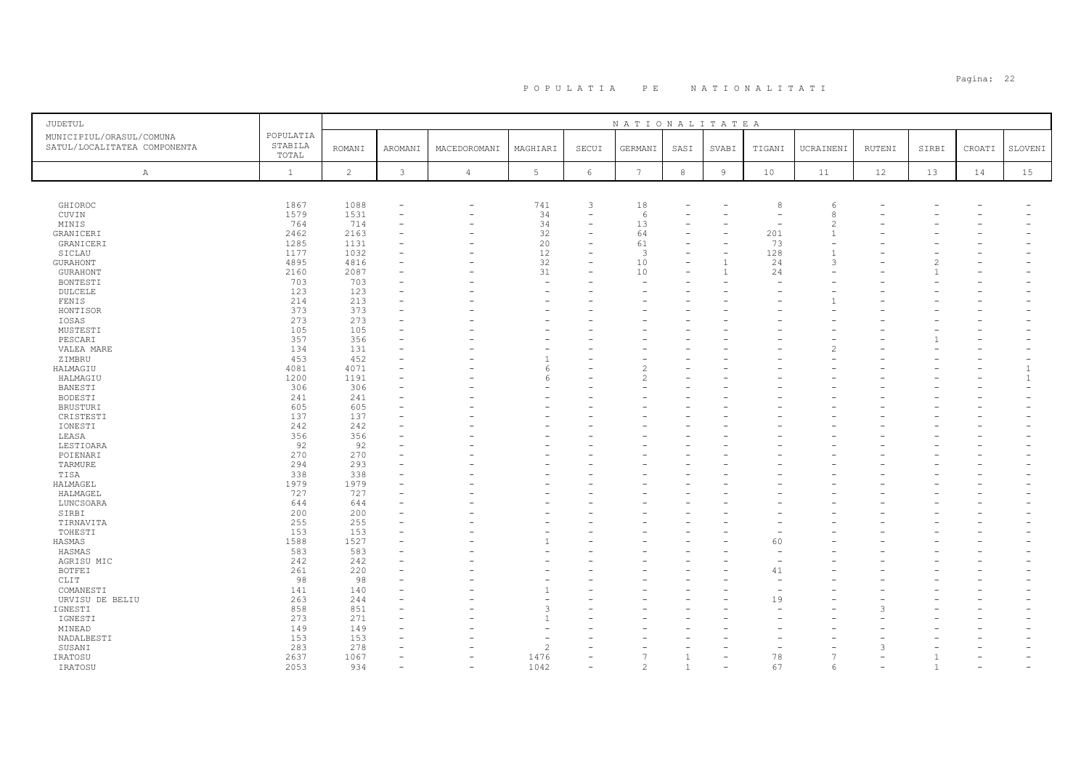| JUDETUL                                                  |                               |                |              |                |                          |                          | NATIONALITATEA  |              |                |                          |                          |        |       |        |              |
|----------------------------------------------------------|-------------------------------|----------------|--------------|----------------|--------------------------|--------------------------|-----------------|--------------|----------------|--------------------------|--------------------------|--------|-------|--------|--------------|
| MUNICIPIUL/ORASUL/COMUNA<br>SATUL/LOCALITATEA COMPONENTA | POPULATIA<br>STABILA<br>TOTAL | <b>ROMANI</b>  | AROMANI      | MACEDOROMANI   | MAGHIARI                 | SECUI                    | GERMANI         | SASI         | SVABI          | TIGANI                   | UCRAINENI                | RUTENI | SIRBI | CROATI | SLOVENI      |
| $\mathbb{A}$                                             | $\mathbf{1}$                  | $\overline{c}$ | $\mathbf{3}$ | $\overline{4}$ | $5\phantom{.0}$          | $\epsilon$               | $7\phantom{.0}$ | 8            | $\overline{9}$ | 10                       | 11                       | 12     | 13    | 14     | 15           |
|                                                          |                               |                |              |                |                          |                          |                 |              |                |                          |                          |        |       |        |              |
| GHIOROC                                                  | 1867                          | 1088           |              | $\equiv$       | 741                      | 3                        | 18              |              |                | 8                        | 6                        |        |       |        |              |
| CUVIN                                                    | 1579                          | 1531           | $\equiv$     | ۰              | 34                       | $\overline{\phantom{a}}$ | 6               |              |                | $\overline{\phantom{a}}$ | 8                        |        |       |        |              |
| MINIS                                                    | 764                           | 714            |              |                | 34                       |                          | 13              |              |                |                          | $\overline{\mathcal{L}}$ |        |       |        |              |
| GRANICERI                                                | 2462                          | 2163           |              |                | 32                       |                          | 64              |              |                | 201                      | $\mathbf{1}$             |        |       |        |              |
| GRANICERI                                                | 1285                          | 1131           |              |                | 20                       |                          | 61              |              |                | 73                       |                          |        |       |        |              |
| SICLAU                                                   | 1177                          | 1032           |              |                | 12                       | ۳                        | 3               |              |                | 128                      |                          |        |       |        |              |
| <b>GURAHONT</b>                                          | 4895                          | 4816           |              |                | 32                       |                          | 10              |              |                | 24                       | $\mathcal{R}$            |        |       |        |              |
| <b>GURAHONT</b>                                          | 2160                          | 2087           |              |                | 31                       |                          | 10              |              |                | 24                       |                          |        |       |        |              |
| <b>BONTESTI</b>                                          | 703                           | 703            |              |                | ۰                        |                          |                 |              |                |                          |                          |        |       |        |              |
| DULCELE                                                  | 123                           | 123            |              |                | $\overline{\phantom{a}}$ |                          |                 |              |                |                          |                          |        |       |        |              |
| FENIS                                                    | 214                           | 213            |              |                |                          |                          |                 |              |                |                          |                          |        |       |        |              |
| HONTISOR                                                 | 373                           | 373            |              |                |                          |                          |                 |              |                |                          |                          |        |       |        |              |
| IOSAS                                                    | 273                           | 273            |              |                |                          |                          |                 |              |                |                          |                          |        |       |        |              |
| MUSTESTI                                                 | 105                           | 105            |              |                |                          |                          |                 |              |                |                          |                          |        |       |        |              |
| PESCARI                                                  | 357                           | 356            |              |                |                          |                          |                 |              |                |                          |                          |        |       |        |              |
| VALEA MARE                                               | 134                           | 131            |              |                |                          |                          |                 |              |                |                          | 2                        |        |       |        |              |
| ZIMBRU                                                   | 453                           | 452            |              |                |                          |                          |                 |              |                |                          |                          |        |       |        |              |
| HALMAGIU                                                 | 4081                          | 4071           |              |                | -6                       |                          |                 |              |                |                          |                          |        |       |        | $\mathbf{1}$ |
| HALMAGIU                                                 | 1200                          | 1191           |              |                | F                        |                          |                 |              |                |                          |                          |        |       |        |              |
| BANESTI                                                  | 306                           | 306            |              |                |                          |                          |                 |              |                |                          |                          |        |       |        |              |
|                                                          | 241                           | 241            |              |                |                          |                          |                 |              |                |                          |                          |        |       |        |              |
| BODESTI                                                  | 605                           | 605            |              |                |                          |                          |                 |              |                |                          |                          |        |       |        |              |
| <b>BRUSTURI</b>                                          |                               |                |              |                |                          |                          |                 |              |                |                          |                          |        |       |        |              |
| CRISTESTI                                                | 137                           | 137            |              |                |                          |                          |                 |              |                |                          |                          |        |       |        |              |
| IONESTI                                                  | 242                           | 242            |              |                |                          |                          |                 |              |                |                          |                          |        |       |        |              |
| LEASA                                                    | 356                           | 356            |              |                |                          |                          |                 |              |                |                          |                          |        |       |        |              |
| LESTIOARA                                                | 92                            | 92             |              |                |                          |                          |                 |              |                |                          |                          |        |       |        |              |
| POIENARI                                                 | 270                           | 270            |              |                |                          |                          |                 |              |                |                          |                          |        |       |        |              |
| TARMURE                                                  | 294                           | 293            |              |                |                          |                          |                 |              |                |                          |                          |        |       |        |              |
| TISA                                                     | 338                           | 338            |              |                |                          |                          |                 |              |                |                          |                          |        |       |        |              |
| HALMAGEL                                                 | 1979                          | 1979           |              |                |                          |                          |                 |              |                |                          |                          |        |       |        |              |
| HALMAGEL                                                 | 727                           | 727            |              |                |                          |                          |                 |              |                |                          |                          |        |       |        |              |
| LUNCSOARA                                                | 644                           | 644            |              |                |                          |                          |                 |              |                |                          |                          |        |       |        |              |
| SIRBI                                                    | 200                           | 200            |              |                |                          |                          |                 |              |                |                          |                          |        |       |        |              |
| TIRNAVITA                                                | 255                           | 255            |              |                |                          |                          |                 |              |                |                          |                          |        |       |        |              |
| TOHESTI                                                  | 153                           | 153            |              |                |                          |                          |                 |              |                |                          |                          |        |       |        |              |
| HASMAS                                                   | 1588                          | 1527           |              |                |                          |                          |                 |              |                | 60                       |                          |        |       |        |              |
| HASMAS                                                   | 583                           | 583            |              |                |                          |                          |                 |              |                |                          |                          |        |       |        |              |
| AGRISU MIC                                               | 242                           | 242            |              |                |                          |                          |                 |              |                |                          |                          |        |       |        |              |
| <b>BOTFEI</b>                                            | 261                           | 220            |              |                |                          |                          |                 |              |                | 41                       |                          |        |       |        |              |
| CLIT                                                     | 98                            | 98             |              |                |                          |                          |                 |              |                |                          |                          |        |       |        |              |
| COMANESTI                                                | 141                           | 140            |              |                |                          |                          |                 |              |                |                          |                          |        |       |        |              |
| URVISU DE BELIU                                          | 263                           | 244            |              |                |                          |                          |                 |              |                | 19                       |                          |        |       |        |              |
| IGNESTI                                                  | 858                           | 851            |              |                | 3                        |                          |                 |              |                |                          |                          |        |       |        |              |
| IGNESTI                                                  | 273                           | 271            |              |                |                          |                          |                 |              |                |                          |                          |        |       |        |              |
| MINEAD                                                   | 149                           | 149            |              |                |                          |                          |                 |              |                |                          |                          |        |       |        |              |
| NADALBESTI                                               | 153                           | 153            |              |                |                          |                          |                 |              |                |                          |                          |        |       |        |              |
| SUSANI                                                   | 283                           | 278            |              |                | $\overline{c}$           |                          |                 |              |                |                          |                          | 3      |       |        |              |
| IRATOSU                                                  | 2637                          | 1067           |              |                | 1476                     |                          |                 |              |                | 78                       |                          |        |       |        |              |
| IRATOSU                                                  | 2053                          | 934            |              | L.             | 1042                     |                          | $\mathfrak{D}$  | $\mathbf{1}$ |                | 67                       | 6                        |        |       |        |              |
|                                                          |                               |                |              |                |                          |                          |                 |              |                |                          |                          |        |       |        |              |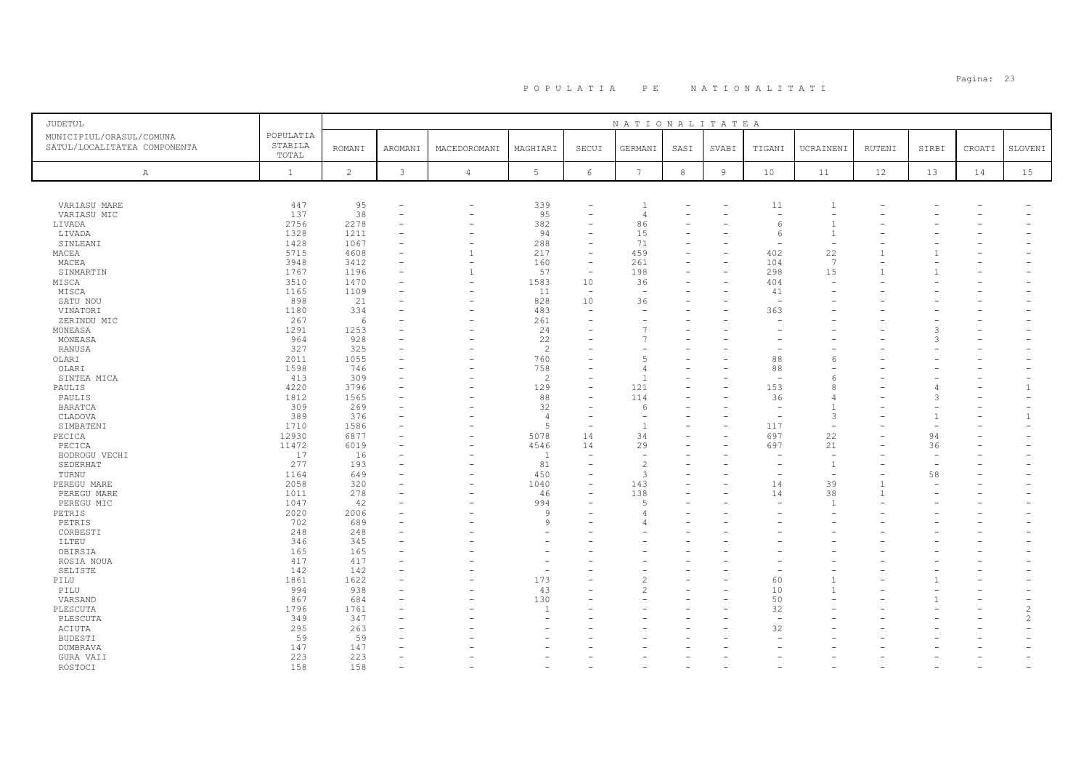| <b>JUDETUL</b>                                           |                               |                |              |                          |                          |                                                      | NATIONALITATEA           |                  |                          |                          |                |        |                          |        |                |
|----------------------------------------------------------|-------------------------------|----------------|--------------|--------------------------|--------------------------|------------------------------------------------------|--------------------------|------------------|--------------------------|--------------------------|----------------|--------|--------------------------|--------|----------------|
| MUNICIPIUL/ORASUL/COMUNA<br>SATUL/LOCALITATEA COMPONENTA | POPULATIA<br>STABILA<br>TOTAL | <b>ROMANI</b>  | AROMANI      | MACEDOROMANI             | MAGHIARI                 | SECUI                                                | GERMANI                  | SASI             | SVABI                    | TIGANI                   | UCRAINENI      | RUTENI | SIRBI                    | CROATI | SLOVENI        |
| Α                                                        | $\mathbf{1}$                  | $\overline{c}$ | $\mathbf{3}$ | $\overline{4}$           | 5                        | $\epsilon$                                           | $7\phantom{.0}$          | $\boldsymbol{8}$ | $\overline{9}$           | 10                       | 11             | 12     | 13                       | 14     | 15             |
|                                                          |                               |                |              |                          |                          |                                                      |                          |                  |                          |                          |                |        |                          |        |                |
|                                                          | 447                           | 95             |              | $\overline{\phantom{0}}$ | 339                      | ۰                                                    |                          |                  |                          | 11                       | $\overline{1}$ |        |                          |        |                |
| VARIASU MARE<br>VARIASU MIC                              | 137                           | 38             |              | $\overline{\phantom{a}}$ | 95                       | $\equiv$                                             | $\overline{4}$           |                  |                          | $\overline{\phantom{a}}$ |                |        |                          |        |                |
| LIVADA                                                   | 2756                          | 2278           |              | ٠                        | 382                      | $\equiv$                                             | 86                       |                  |                          | $\epsilon$               |                |        |                          |        |                |
| LIVADA                                                   | 1328                          | 1211           |              |                          | 94                       | $\equiv$                                             | 15                       |                  |                          | -6                       | $\overline{1}$ |        |                          |        |                |
| SINLEANI                                                 | 1428                          | 1067           |              |                          | 288                      | $\equiv$                                             | 71                       |                  |                          |                          |                |        |                          |        |                |
| MACEA                                                    | 5715                          | 4608           |              | $\mathbf{1}$             | 217                      | $\qquad \qquad -$                                    | 459                      |                  |                          | 402                      | 22             |        |                          |        |                |
| MACEA                                                    | 3948                          | 3412           |              | $\overline{\phantom{0}}$ | 160                      | $\overline{\phantom{a}}$                             | 261                      |                  |                          | 104                      | 7              |        |                          |        |                |
| SINMARTIN                                                | 1767                          | 1196           |              | $\mathbf{1}$             | 57                       | $\qquad \qquad -$                                    | 198                      |                  |                          | 298                      | 15             |        |                          |        |                |
| MISCA                                                    | 3510                          | 1470           |              | $\overline{\phantom{0}}$ | 1583                     | 10                                                   | 36                       |                  | $\overline{\phantom{0}}$ | 404                      |                |        |                          |        |                |
| MISCA                                                    | 1165                          | 1109           |              | $\overline{\phantom{0}}$ | 11                       | $\overline{\phantom{0}}$                             | $\overline{\phantom{a}}$ |                  |                          | 41                       |                |        |                          |        |                |
| SATU NOU                                                 | 898                           | 21             |              | $\rightarrow$            | 828                      | 10                                                   | 36                       |                  |                          |                          |                |        |                          |        |                |
| VINATORI                                                 | 1180                          | 334            |              |                          | 483                      | ÷                                                    |                          |                  |                          | 363                      |                |        |                          |        |                |
| ZERINDU MIC                                              | 267                           | 6              |              |                          | 261                      | $\equiv$                                             |                          |                  |                          |                          |                |        |                          |        |                |
| MONEASA                                                  | 1291                          | 1253           |              |                          | 24                       |                                                      |                          |                  |                          |                          |                |        |                          |        |                |
| MONEASA                                                  | 964                           | 928            |              |                          | 22                       |                                                      |                          |                  |                          |                          |                |        | 3                        |        |                |
| RANUSA                                                   | 327                           | 325            |              |                          | $\overline{2}$           |                                                      |                          |                  |                          |                          |                |        |                          |        |                |
|                                                          |                               |                |              |                          |                          |                                                      | 5                        |                  |                          |                          |                |        |                          |        |                |
| OLARI                                                    | 2011                          | 1055           |              |                          | 760                      | $\overline{\phantom{0}}$                             |                          |                  |                          | 88                       | $\epsilon$     |        |                          |        |                |
| OLARI                                                    | 1598                          | 746            |              |                          | 758                      | $\overline{\phantom{0}}$                             | 4                        |                  |                          | 88                       |                |        |                          |        |                |
| SINTEA MICA                                              | 413                           | 309            |              |                          | 2                        | $\overline{\phantom{0}}$<br>$\overline{\phantom{m}}$ |                          |                  |                          | $\overline{\phantom{a}}$ |                |        |                          |        | $\mathbf{1}$   |
| PAULIS                                                   | 4220                          | 3796           |              |                          | 129                      |                                                      | 121                      |                  |                          | 153                      | 8              |        |                          |        |                |
| PAULIS                                                   | 1812                          | 1565           |              |                          | 88                       | $\overline{\phantom{0}}$                             | 114                      |                  |                          | 36                       |                |        |                          |        |                |
| <b>BARATCA</b>                                           | 309                           | 269            |              |                          | 32                       | $\equiv$                                             | 6                        |                  |                          |                          | $\overline{1}$ |        |                          |        |                |
| CLADOVA                                                  | 389                           | 376            |              |                          | $\Delta$                 | ÷                                                    |                          |                  |                          |                          | 3              |        |                          |        |                |
| SIMBATENI                                                | 1710                          | 1586           |              |                          | 5                        | $\overline{\phantom{a}}$                             |                          |                  |                          | 117                      | $\sim$         |        | $\overline{\phantom{m}}$ |        |                |
| PECICA                                                   | 12930                         | 6877           |              |                          | 5078                     | 14                                                   | 34                       |                  |                          | 697                      | 22             |        | 94                       |        |                |
| PECICA                                                   | 11472                         | 6019           |              |                          | 4546                     | 14                                                   | 29                       |                  |                          | 697                      | 21             |        | 36                       |        |                |
| BODROGU VECHI                                            | 17                            | 16             |              |                          | $\overline{1}$           |                                                      |                          |                  |                          |                          |                |        |                          |        |                |
| SEDERHAT                                                 | 277                           | 193            |              | $\overline{\phantom{0}}$ | 81                       | $\overline{\phantom{0}}$                             | $\overline{\mathcal{L}}$ |                  |                          |                          | $\overline{1}$ |        | $\overline{\phantom{0}}$ |        |                |
| TURNU                                                    | 1164                          | 649            |              | $\overline{\phantom{0}}$ | 450                      | $\equiv$                                             | 3                        |                  |                          |                          |                |        | 58                       |        |                |
| PEREGU MARE                                              | 2058                          | 320            |              |                          | 1040                     | $\overline{\phantom{0}}$                             | 143                      |                  |                          | 14                       | 39             |        |                          |        |                |
| PEREGU MARE                                              | 1011                          | 278            |              |                          | 46                       | $\overline{\phantom{m}}$                             | 138                      |                  |                          | 14                       | 38             |        |                          |        |                |
| PEREGU MIC                                               | 1047                          | 42             |              | ÷                        | 994                      | ۰                                                    | 5                        |                  |                          |                          | $\overline{1}$ |        |                          |        |                |
| PETRIS                                                   | 2020                          | 2006           |              |                          | $\overline{9}$           |                                                      | 4                        |                  |                          |                          |                |        |                          |        |                |
| PETRIS                                                   | 702                           | 689            |              |                          | $\mathsf{Q}$             |                                                      |                          |                  |                          |                          |                |        |                          |        |                |
| CORBESTI                                                 | 248                           | 248            |              |                          |                          |                                                      |                          |                  |                          |                          |                |        |                          |        |                |
| ILTEU                                                    | 346                           | 345            |              |                          |                          |                                                      |                          |                  |                          |                          |                |        |                          |        |                |
| OBIRSIA                                                  | 165                           | 165            |              |                          |                          |                                                      |                          |                  |                          |                          |                |        |                          |        |                |
| ROSIA NOUA                                               | 417                           | 417            |              |                          |                          |                                                      |                          |                  |                          |                          |                |        |                          |        |                |
| SELISTE                                                  | 142                           | 142            |              |                          | $\overline{\phantom{a}}$ |                                                      |                          |                  |                          |                          |                |        |                          |        |                |
| PILU                                                     | 1861                          | 1622           |              |                          | 173                      | ۰                                                    | $\overline{\mathcal{L}}$ |                  |                          | 60                       | $\overline{1}$ |        |                          |        |                |
| PILU                                                     | 994                           | 938            |              |                          | 43                       |                                                      |                          |                  |                          | 10                       |                |        |                          |        |                |
| VARSAND                                                  | 867                           | 684            |              |                          | 130                      | $\overline{\phantom{0}}$                             |                          |                  |                          | 50                       |                |        |                          |        |                |
| PLESCUTA                                                 | 1796                          | 1761           |              |                          | $\overline{1}$           |                                                      |                          |                  |                          | 32                       |                |        |                          |        | $\overline{c}$ |
| PLESCUTA                                                 | 349                           | 347            |              |                          |                          |                                                      |                          |                  |                          | $\overline{a}$           |                |        |                          |        | $\overline{c}$ |
| ACIUTA                                                   | 295                           | 263            |              |                          |                          |                                                      |                          |                  |                          | 32                       |                |        |                          |        |                |
| BUDESTI                                                  | 59                            | 59             |              |                          |                          |                                                      |                          |                  |                          |                          |                |        |                          |        |                |
| DUMBRAVA                                                 | 147                           | 147            |              |                          |                          |                                                      |                          |                  |                          |                          |                |        |                          |        |                |
| GURA VAII                                                | 223                           | 223            |              |                          |                          |                                                      |                          |                  |                          |                          |                |        |                          |        |                |
| ROSTOCI                                                  | 158                           | 158            |              |                          |                          |                                                      |                          |                  |                          |                          |                |        |                          |        |                |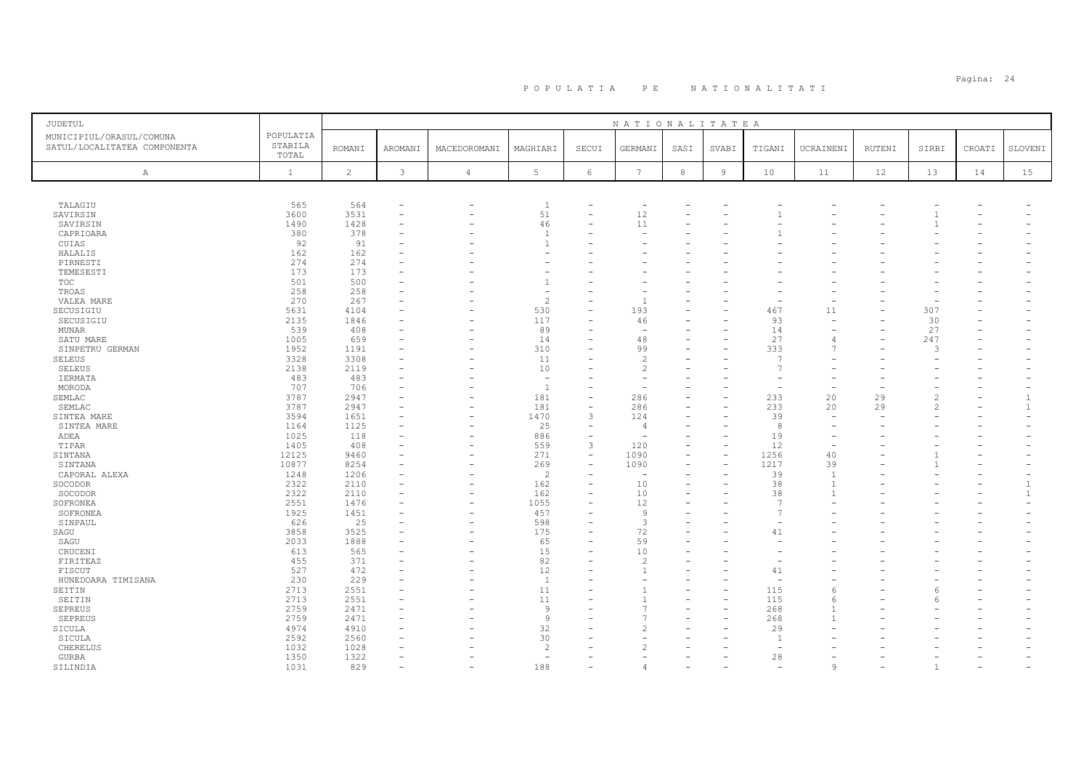| JUDETUL                                                  |                               |                |                          |                          |                          |                          | NATIONALITATEA           |      |        |                |                |        |                |        |                |
|----------------------------------------------------------|-------------------------------|----------------|--------------------------|--------------------------|--------------------------|--------------------------|--------------------------|------|--------|----------------|----------------|--------|----------------|--------|----------------|
| MUNICIPIUL/ORASUL/COMUNA<br>SATUL/LOCALITATEA COMPONENTA | POPULATIA<br>STABILA<br>TOTAL | <b>ROMANI</b>  | AROMANI                  | MACEDOROMANI             | MAGHIARI                 | SECUI                    | GERMANI                  | SASI | SVABI  | TIGANI         | UCRAINENI      | RUTENI | SIRBI          | CROATI | SLOVENI        |
| $\mathbb{A}$                                             | $\mathbf{1}$                  | $\overline{c}$ | 3                        | $\sqrt{4}$               | $5 -$                    | 6                        | $7\phantom{.0}$          | 8    | $\,$ 9 | 10             | 11             | 12     | 13             | 14     | 15             |
|                                                          |                               |                |                          |                          |                          |                          |                          |      |        |                |                |        |                |        |                |
| TALAGIU                                                  | 565                           | 564            | ٠                        | $\overline{\phantom{0}}$ | $\overline{1}$           |                          | $\overline{\phantom{a}}$ |      |        |                |                |        |                |        |                |
| SAVIRSIN                                                 | 3600                          | 3531           | $\overline{\phantom{0}}$ |                          | 51                       | $\overline{\phantom{0}}$ | 12                       |      |        |                |                |        |                |        |                |
| SAVIRSIN                                                 | 1490                          | 1428           | ۰                        |                          | 46                       |                          | 11                       |      |        |                |                |        |                |        |                |
| CAPRIOARA                                                | 380                           | 378            | $\overline{\phantom{0}}$ |                          | $\overline{1}$           |                          |                          |      |        |                |                |        |                |        |                |
| CUIAS                                                    | 92                            | 91             |                          |                          | $\mathbf{1}$             |                          |                          |      |        |                |                |        |                |        |                |
| HALALIS                                                  | 162                           | 162            |                          |                          | ٠                        |                          |                          |      |        |                |                |        |                |        |                |
| PIRNESTI                                                 | 274                           | 274            |                          |                          |                          |                          |                          |      |        |                |                |        |                |        |                |
| TEMESESTI                                                | 173                           | 173            |                          |                          |                          |                          |                          |      |        |                |                |        |                |        |                |
| TOC                                                      | 501                           | 500            |                          |                          | $\mathbf{1}$             |                          |                          |      |        |                |                |        |                |        |                |
| TROAS                                                    | 258                           | 258            |                          |                          | $\overline{\phantom{a}}$ |                          |                          |      |        |                |                |        |                |        |                |
| VALEA MARE                                               | 270                           | 267            |                          |                          | $\overline{c}$           | ۳                        |                          |      |        |                |                |        |                |        |                |
| SECUSIGIU                                                | 5631                          | 4104           |                          |                          | 530                      |                          | 193                      |      |        | 467            | 11             |        | 307            |        |                |
| SECUSIGIU                                                | 2135<br>539                   | 1846           |                          | $\overline{\phantom{0}}$ | 117<br>89                | ۳                        | 46                       |      |        | 93             |                |        | 30<br>27       |        |                |
| <b>MUNAR</b>                                             |                               | 408            | ۰                        |                          |                          |                          |                          |      |        | 14<br>27       |                |        | 247            |        |                |
| SATU MARE<br>SINPETRU GERMAN                             | 1005<br>1952                  | 659<br>1191    |                          |                          | 14<br>310                |                          | 48<br>99                 |      |        | 333            |                |        | 3              |        |                |
| SELEUS                                                   | 3328                          | 3308           |                          |                          | 11                       |                          | $\overline{\mathcal{L}}$ |      |        | $\overline{7}$ |                |        |                |        |                |
| <b>SELEUS</b>                                            | 2138                          | 2119           |                          |                          | 10                       |                          | $\overline{c}$           |      |        | $\overline{7}$ |                |        |                |        |                |
| <b>IERMATA</b>                                           | 483                           | 483            |                          |                          | $\sim$                   |                          |                          |      |        |                |                |        |                |        |                |
| MORODA                                                   | 707                           | 706            |                          |                          | $\overline{1}$           |                          |                          |      |        |                |                |        |                |        |                |
| SEMLAC                                                   | 3787                          | 2947           |                          |                          | 181                      | ۳                        | 286                      |      |        | 233            | 20             | 29     | 2              |        |                |
| SEMLAC                                                   | 3787                          | 2947           |                          |                          | 181                      | $\overline{\phantom{0}}$ | 286                      |      |        | 233            | 20             | 29     | $\overline{c}$ |        | $\overline{1}$ |
| SINTEA MARE                                              | 3594                          | 1651           |                          | $\equiv$                 | 1470                     | 3                        | 124                      |      |        | 39             |                |        |                |        |                |
| SINTEA MARE                                              | 1164                          | 1125           | ۰                        |                          | 25                       | $\equiv$                 | 4                        |      |        | 8              |                |        |                |        |                |
| ADEA                                                     | 1025                          | 118            |                          | $\equiv$                 | 886                      | $\equiv$                 |                          |      |        | 19             |                |        |                |        |                |
| TIPAR                                                    | 1405                          | 408            |                          |                          | 559                      | 3                        | 120                      |      |        | 12             |                |        |                |        |                |
| SINTANA                                                  | 12125                         | 9460           |                          |                          | 271                      | $\equiv$                 | 1090                     |      |        | 1256           | 40             |        |                |        |                |
| SINTANA                                                  | 10877                         | 8254           |                          |                          | 269                      | $\qquad \qquad -$        | 1090                     |      |        | 1217           | 39             |        |                |        |                |
| CAPORAL ALEXA                                            | 1248                          | 1206           |                          |                          | $\overline{2}$           |                          |                          |      |        | 39             | $\overline{1}$ |        |                |        |                |
| SOCODOR                                                  | 2322                          | 2110           | ٠                        |                          | 162                      |                          | 10                       |      |        | 38             | $\mathbf{1}$   |        |                |        |                |
| SOCODOR                                                  | 2322                          | 2110           | ٠                        |                          | 162                      | ۳                        | 10                       |      |        | 38             |                |        |                |        | $\overline{1}$ |
| SOFRONEA                                                 | 2551                          | 1476           | ٠                        | -                        | 1055                     |                          | 12                       |      |        | $\overline{7}$ |                |        |                |        |                |
| SOFRONEA                                                 | 1925                          | 1451           | ۰                        |                          | 457                      |                          | 9                        |      |        | $\overline{7}$ |                |        |                |        |                |
| SINPAUL                                                  | 626                           | 25             |                          |                          | 598                      |                          | 3                        |      |        |                |                |        |                |        |                |
| SAGU                                                     | 3858                          | 3525           |                          |                          | 175                      | L.                       | 72                       |      |        | 41             |                |        |                |        |                |
| SAGU                                                     | 2033                          | 1888           |                          |                          | 65                       |                          | 59                       |      |        |                |                |        |                |        |                |
| CRUCENI                                                  | 613                           | 565            |                          |                          | 15                       |                          | 10                       |      |        |                |                |        |                |        |                |
| FIRITEAZ                                                 | 455                           | 371            |                          |                          | 82                       |                          | $\mathcal{D}$            |      |        |                |                |        |                |        |                |
| FISCUT                                                   | 527                           | 472            |                          |                          | 12                       | L.                       |                          |      |        | 41             |                |        |                |        |                |
| HUNEDOARA TIMISANA                                       | 230                           | 229            |                          |                          | $\overline{1}$<br>11     |                          |                          |      |        |                |                |        |                |        |                |
| SEITIN                                                   | 2713                          | 2551           |                          |                          |                          |                          |                          |      |        | 115            |                |        | 6              |        |                |
| SEITIN                                                   | 2713                          | 2551           |                          |                          | 11<br>$\overline{9}$     |                          |                          |      |        | 115            |                |        | 6              |        |                |
| <b>SEPREUS</b>                                           | 2759<br>2759                  | 2471<br>2471   | $\overline{\phantom{0}}$ |                          | 9                        |                          |                          |      |        | 268            |                |        |                |        |                |
| SEPREUS<br>SICULA                                        | 4974                          | 4910           |                          |                          | 32                       |                          |                          |      |        | 268<br>29      |                |        |                |        |                |
| SICULA                                                   | 2592                          | 2560           |                          |                          | 30                       |                          |                          |      |        | -1             |                |        |                |        |                |
| CHERELUS                                                 | 1032                          | 1028           |                          |                          | $\overline{c}$           |                          |                          |      |        |                |                |        |                |        |                |
| GURBA                                                    | 1350                          | 1322           | $\equiv$                 |                          | ÷,                       |                          |                          |      |        | 28             |                |        |                |        |                |
| SILINDIA                                                 | 1031                          | 829            | $\equiv$                 |                          | 188                      |                          | Δ                        |      |        |                | $\mathsf{Q}$   |        | -1             |        |                |
|                                                          |                               |                |                          |                          |                          |                          |                          |      |        |                |                |        |                |        |                |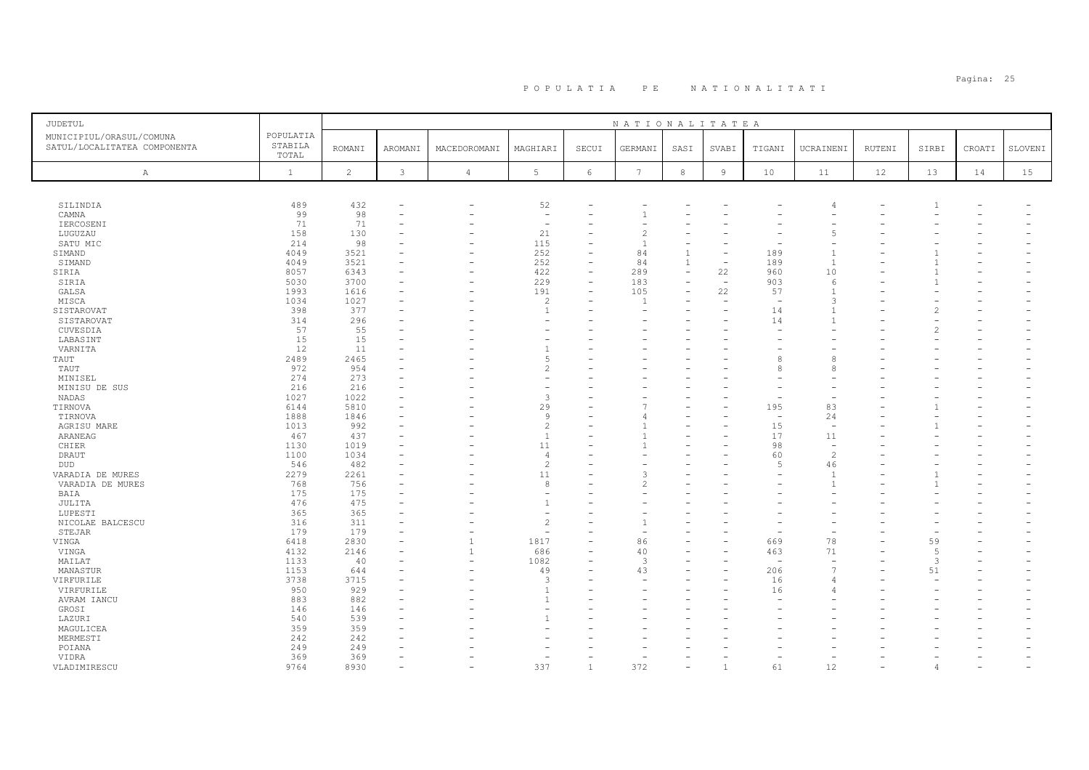| <b>JUDETUL</b>                                           |                               |               |                          |                          |                                  |                          | NATIONALITATEA  |                          |                          |                          |                          |        |       |                          |         |
|----------------------------------------------------------|-------------------------------|---------------|--------------------------|--------------------------|----------------------------------|--------------------------|-----------------|--------------------------|--------------------------|--------------------------|--------------------------|--------|-------|--------------------------|---------|
| MUNICIPIUL/ORASUL/COMUNA<br>SATUL/LOCALITATEA COMPONENTA | POPULATIA<br>STABILA<br>TOTAL | <b>ROMANI</b> | AROMANI                  | MACEDOROMANI             | MAGHIARI                         | SECUI                    | GERMANI         | SASI                     | SVABI                    | TIGANI                   | UCRAINENI                | RUTENI | SIRBI | CROATI                   | SLOVENI |
| A                                                        | $\mathbf{1}$                  | 2             | 3                        | $\overline{4}$           | $5 -$                            | 6                        | $7\phantom{.0}$ | 8                        | $\overline{9}$           | 10                       | 11                       | 12     | 13    | 14                       | 15      |
|                                                          |                               |               |                          |                          |                                  |                          |                 |                          |                          |                          |                          |        |       |                          |         |
| SILINDIA                                                 | 489                           | 432           |                          |                          | 52                               |                          |                 |                          |                          |                          | $\sqrt{2}$               |        |       |                          |         |
| CAMNA                                                    | 99                            | 98            |                          |                          | $\sim$                           |                          |                 |                          |                          |                          |                          |        |       |                          |         |
| IERCOSENI                                                | 71                            | 71            |                          |                          | $\overline{\phantom{a}}$         |                          |                 |                          |                          |                          |                          |        |       |                          |         |
| LUGUZAU                                                  | 158                           | 130           |                          |                          | 21                               |                          |                 |                          |                          |                          | $\overline{2}$           |        |       |                          |         |
| SATU MIC                                                 | 214                           | 98            |                          |                          | 115                              |                          |                 |                          |                          |                          |                          |        |       |                          |         |
| SIMAND                                                   | 4049                          | 3521          |                          |                          | 252                              | L,                       | 84              | $\overline{1}$           |                          | 189                      |                          |        |       |                          |         |
| SIMAND                                                   | 4049                          | 3521          |                          |                          | 252                              |                          | 84              | 1                        |                          | 189                      | $\overline{1}$           |        | -1    |                          |         |
| SIRIA                                                    | 8057                          | 6343          |                          |                          | 422                              |                          | 289             | $\equiv$                 | 22                       | 960                      | 10                       |        |       |                          |         |
| SIRIA                                                    | 5030                          | 3700          |                          |                          | 229                              | $\overline{\phantom{0}}$ | 183             |                          | $\overline{\phantom{a}}$ | 903                      | 6<br>$\mathbf{1}$        |        |       |                          |         |
| GALSA                                                    | 1993                          | 1616          |                          | $\overline{\phantom{0}}$ | 191                              | $\equiv$                 | 105             | $\overline{\phantom{a}}$ | 22                       | 57                       |                          |        |       |                          |         |
| MISCA                                                    | 1034                          | 1027          |                          |                          | $\overline{c}$<br>$\overline{1}$ |                          |                 |                          |                          | $\overline{\phantom{a}}$ | 3                        |        |       |                          |         |
| SISTAROVAT<br>SISTAROVAT                                 | 398<br>314                    | 377<br>296    |                          |                          |                                  |                          |                 |                          |                          | 14<br>14                 |                          |        |       |                          |         |
| CUVESDIA                                                 | 57                            | 55            |                          |                          |                                  |                          |                 |                          |                          |                          |                          |        |       |                          |         |
| LABASINT                                                 | 15                            | 15            |                          |                          | ٠                                |                          |                 |                          |                          |                          |                          |        |       |                          |         |
| VARNITA                                                  | 12                            | 11            |                          |                          | $\mathbf{1}$                     |                          |                 |                          |                          |                          |                          |        |       |                          |         |
| TAUT                                                     | 2489                          | 2465          |                          |                          | 5                                |                          |                 |                          |                          | ε                        | 8                        |        |       |                          |         |
| TAUT                                                     | 972                           | 954           |                          |                          | $\overline{c}$                   |                          |                 |                          |                          | 8                        | 8                        |        |       |                          |         |
| MINISEL                                                  | 274                           | 273           | $\equiv$                 |                          | $\sim$                           |                          |                 |                          |                          |                          |                          |        |       |                          |         |
| MINISU DE SUS                                            | 216                           | 216           |                          |                          |                                  |                          |                 |                          |                          |                          |                          |        |       |                          |         |
| NADAS                                                    | 1027                          | 1022          |                          |                          | 3                                |                          |                 |                          |                          |                          | $\overline{\phantom{0}}$ |        |       |                          |         |
| TIRNOVA                                                  | 6144                          | 5810          |                          |                          | 29                               |                          |                 |                          |                          | 195                      | 83                       |        |       |                          |         |
| TIRNOVA                                                  | 1888                          | 1846          |                          |                          | 9                                |                          |                 |                          |                          | $\sim$                   | 24                       |        |       |                          |         |
| AGRISU MARE                                              | 1013                          | 992           |                          |                          | $\overline{c}$                   |                          |                 |                          |                          | 15                       | $\overline{\phantom{a}}$ |        |       |                          |         |
| ARANEAG                                                  | 467                           | 437           |                          |                          | $\overline{1}$                   |                          |                 |                          |                          | 17                       | 11                       |        |       |                          |         |
| CHIER                                                    | 1130                          | 1019          |                          |                          | 11                               |                          |                 |                          |                          | 98                       | $\overline{\phantom{a}}$ |        |       |                          |         |
| DRAUT                                                    | 1100                          | 1034          |                          |                          | $\overline{4}$                   |                          |                 |                          |                          | 60                       | $\overline{c}$           |        |       |                          |         |
| <b>DUD</b>                                               | 546                           | 482           |                          |                          | $\overline{c}$                   |                          |                 |                          |                          | $\overline{5}$           | 46                       |        |       |                          |         |
| VARADIA DE MURES                                         | 2279                          | 2261          |                          |                          | 11                               |                          |                 |                          |                          |                          | $\overline{1}$           |        |       |                          |         |
| VARADIA DE MURES                                         | 768                           | 756           |                          |                          | 8                                |                          | 2               |                          |                          |                          | $\mathbf{1}$             |        |       |                          |         |
| BAIA                                                     | 175                           | 175           |                          |                          |                                  |                          |                 |                          |                          |                          |                          |        |       |                          |         |
| JULITA                                                   | 476                           | 475           |                          |                          | $\overline{1}$                   |                          |                 |                          |                          |                          |                          |        |       |                          |         |
| LUPESTI                                                  | 365                           | 365           |                          |                          |                                  |                          |                 |                          |                          |                          |                          |        |       |                          |         |
| NICOLAE BALCESCU                                         | 316                           | 311           |                          |                          | $\overline{c}$                   |                          |                 |                          |                          |                          |                          |        |       |                          |         |
| STEJAR                                                   | 179                           | 179           |                          |                          | ٠                                |                          |                 |                          |                          |                          |                          |        |       |                          |         |
| VINGA                                                    | 6418                          | 2830          |                          | $\mathbf{1}$             | 1817                             |                          | 86              |                          |                          | 669                      | 78                       |        | 59    |                          |         |
| VINGA                                                    | 4132                          | 2146          |                          | 1                        | 686                              |                          | 40              |                          |                          | 463                      | 71                       |        | 5     |                          |         |
| MAILAT                                                   | 1133                          | 40            |                          | $\overline{\phantom{0}}$ | 1082                             |                          | 3               |                          |                          | $\overline{\phantom{a}}$ | $\sim$                   |        | 3     |                          |         |
| MANASTUR                                                 | 1153                          | 644           |                          | $\overline{\phantom{0}}$ | 49                               | ۳                        | 43              |                          |                          | 206                      | 7                        |        | 51    |                          |         |
| VIRFURILE                                                | 3738                          | 3715          |                          |                          | 3                                |                          |                 |                          |                          | 16                       | $\angle$                 |        |       |                          |         |
| VIRFURILE                                                | 950                           | 929           |                          |                          | $\overline{1}$                   |                          |                 |                          |                          | 16                       | $\angle$                 |        |       |                          |         |
| AVRAM IANCU                                              | 883                           | 882           |                          |                          | $\overline{1}$                   |                          |                 |                          |                          |                          |                          |        |       |                          |         |
| GROSI                                                    | 146                           | 146           |                          |                          | ÷,                               |                          |                 |                          |                          |                          |                          |        |       |                          |         |
| LAZURI                                                   | 540                           | 539           |                          |                          | $\overline{1}$                   |                          |                 |                          |                          |                          |                          |        |       |                          |         |
| MAGULICEA                                                | 359                           | 359           |                          |                          |                                  |                          |                 |                          |                          |                          |                          |        |       |                          |         |
| MERMESTI                                                 | 242                           | 242           |                          |                          |                                  |                          |                 |                          |                          |                          |                          |        |       |                          |         |
| POIANA                                                   | 249                           | 249           |                          |                          |                                  |                          |                 |                          |                          |                          |                          |        |       |                          |         |
| VIDRA                                                    | 369                           | 369           |                          |                          | ٠                                |                          |                 |                          |                          |                          |                          |        |       |                          |         |
| VLADIMIRESCU                                             | 9764                          | 8930          | $\overline{\phantom{a}}$ | $\overline{\phantom{0}}$ | 337                              | $\mathbf{1}$             | 372             |                          | $\overline{1}$           | 61                       | 12                       |        | 4     | $\overline{\phantom{a}}$ |         |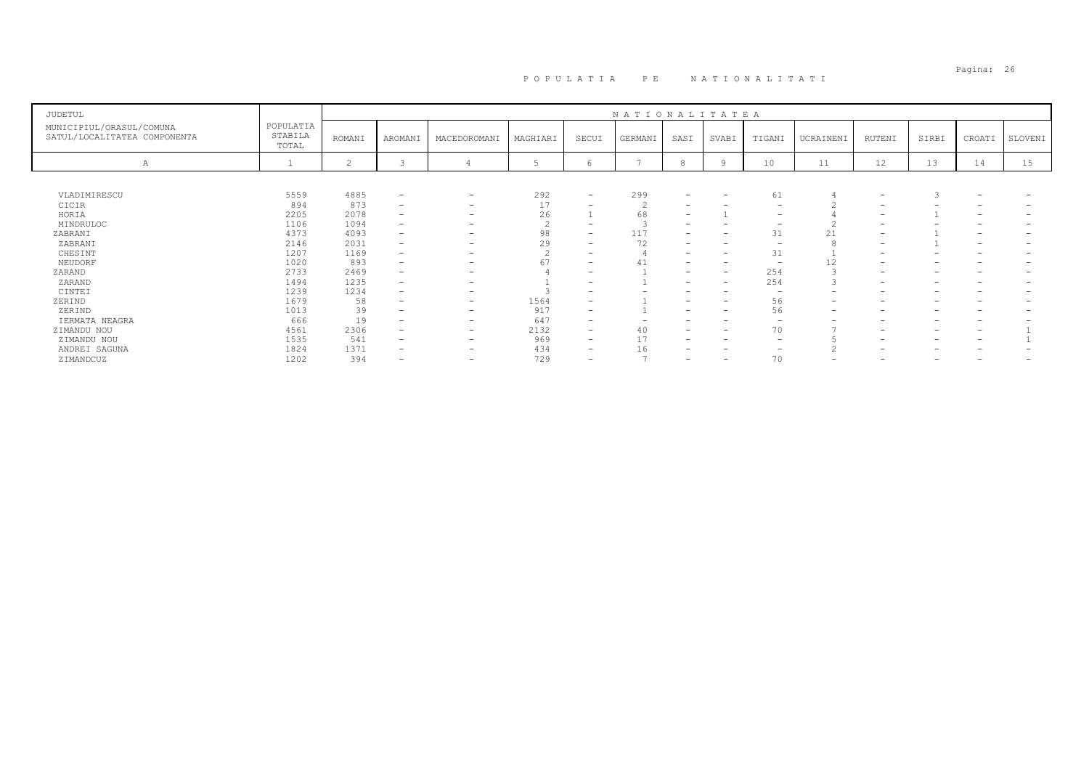# Pagina: 26 P O P U L A T I A P E N A T I O N A L I T A T I

| JUDETUL                                                  |                               |                |                          |                          |          |                          | NATIONALITATEA |                          |                                 |                          |           |                          |                 |                          |         |
|----------------------------------------------------------|-------------------------------|----------------|--------------------------|--------------------------|----------|--------------------------|----------------|--------------------------|---------------------------------|--------------------------|-----------|--------------------------|-----------------|--------------------------|---------|
| MUNICIPIUL/ORASUL/COMUNA<br>SATUL/LOCALITATEA COMPONENTA | POPULATIA<br>STABILA<br>TOTAL | ROMANI         | AROMANI                  | MACEDOROMANI             | MAGHIARI | SECUI                    | GERMANI        | SASI                     | SVABI                           | TIGANI                   | UCRAINENI | RUTENI                   | SIRBI           | CROATI                   | SLOVENI |
| Α                                                        |                               | $\overline{c}$ | 3                        |                          |          | h                        | $\overline{ }$ |                          | Q                               | 10                       | 11        | 12                       | 13              | 14                       | 15      |
|                                                          |                               |                |                          |                          |          |                          |                |                          |                                 |                          |           |                          |                 |                          |         |
| VLADIMIRESCU                                             | 5559                          | 4885           | $\overline{\phantom{a}}$ | $\overline{\phantom{0}}$ | 292      | $\overline{\phantom{0}}$ | 299            | $\overline{\phantom{0}}$ | $\hspace{0.1mm}-\hspace{0.1mm}$ | 61                       |           | $\overline{\phantom{0}}$ |                 | $\qquad \qquad -$        |         |
| CICIR                                                    | 894                           | 873            | $\overline{\phantom{0}}$ | $-$                      | 17       | -                        |                |                          |                                 |                          |           |                          |                 |                          |         |
| HORIA                                                    | 2205                          | 2078           | $\overline{\phantom{0}}$ | $\overline{\phantom{0}}$ | 26       |                          | 68             | $\overline{\phantom{0}}$ |                                 |                          |           | $\overline{\phantom{0}}$ |                 | $\overline{\phantom{0}}$ |         |
| MINDRULOC                                                | 1106                          | 1094           | $\overline{\phantom{0}}$ |                          |          | $\overline{\phantom{0}}$ |                | $\overline{\phantom{0}}$ |                                 | $\overline{\phantom{0}}$ |           |                          |                 | -                        |         |
| ZABRANI                                                  | 4373                          | 4093           | $\overline{\phantom{0}}$ |                          | 98       | -                        | 117            | $\overline{\phantom{0}}$ |                                 | 31                       | 21        | $\overline{\phantom{0}}$ |                 |                          |         |
| ZABRANI                                                  | 2146                          | 2031           | $\overline{\phantom{0}}$ | $\overline{\phantom{0}}$ | 29       | $\overline{\phantom{0}}$ | 72             | $\overline{\phantom{0}}$ |                                 |                          |           |                          |                 | $\overline{\phantom{0}}$ |         |
| CHESINT                                                  | 1207                          | 1169           | $\overline{\phantom{0}}$ |                          |          | -                        |                | $\overline{\phantom{0}}$ |                                 | 31                       |           |                          |                 |                          |         |
| NEUDORF                                                  | 1020                          | 893            | $\overline{\phantom{0}}$ | $\overline{\phantom{0}}$ | 67       | -                        | 41             | $\overline{\phantom{0}}$ | $\overline{\phantom{0}}$        | -                        | 12        | $\overline{\phantom{0}}$ | -               |                          |         |
| ZARAND                                                   | 2733                          | 2469           | $\overline{\phantom{0}}$ |                          |          | -                        |                | $\overline{\phantom{0}}$ | $\overline{\phantom{0}}$        | 254                      |           | $\overline{\phantom{0}}$ | -               |                          |         |
| ZARAND                                                   | 1494                          | 1235           | $\overline{\phantom{0}}$ |                          |          | -                        |                |                          | $\overline{\phantom{0}}$        | 254                      |           |                          |                 |                          |         |
| CINTEI                                                   | 1239                          | 1234           | $\overline{\phantom{0}}$ |                          |          | -                        |                |                          |                                 |                          |           |                          | -               |                          |         |
| ZERIND                                                   | 1679                          | 58             | $\overline{\phantom{0}}$ | $\overline{\phantom{0}}$ | 1564     | -                        |                | $\overline{\phantom{0}}$ | $\overline{\phantom{0}}$        | 56                       | -         |                          | -               |                          |         |
| ZERIND                                                   | 1013                          | 39             | $\overline{\phantom{0}}$ | $\overline{\phantom{0}}$ | 917      | -                        |                |                          |                                 | 56                       |           |                          |                 |                          |         |
| IERMATA NEAGRA                                           | 666                           | 19             | $\overline{\phantom{0}}$ | $\overline{\phantom{0}}$ | 647      | -                        |                |                          |                                 |                          |           |                          |                 |                          |         |
| ZIMANDU NOU                                              | 4561                          | 2306           | $\overline{\phantom{0}}$ | $\overline{\phantom{0}}$ | 2132     | -                        | 40             |                          |                                 | 70                       |           | $\overline{\phantom{0}}$ | -               |                          |         |
| ZIMANDU NOU                                              | 1535                          | 541            | $\qquad \qquad$          | $\overline{\phantom{0}}$ | 969      | $-$                      | 17             | $\overline{\phantom{0}}$ | $\overline{\phantom{0}}$        |                          |           | $\overline{\phantom{0}}$ | $\qquad \qquad$ | -                        |         |
| ANDREI SAGUNA                                            | 1824                          | 1371           | -                        | $\overline{\phantom{0}}$ | 434      | -                        | 16             | $\overline{\phantom{0}}$ |                                 |                          |           |                          |                 |                          |         |
| ZIMANDCUZ                                                | 1202                          | 394            | -                        | $\overline{\phantom{0}}$ | 729      | $\overline{\phantom{0}}$ |                |                          | $\overline{\phantom{0}}$        | 70                       |           |                          |                 |                          |         |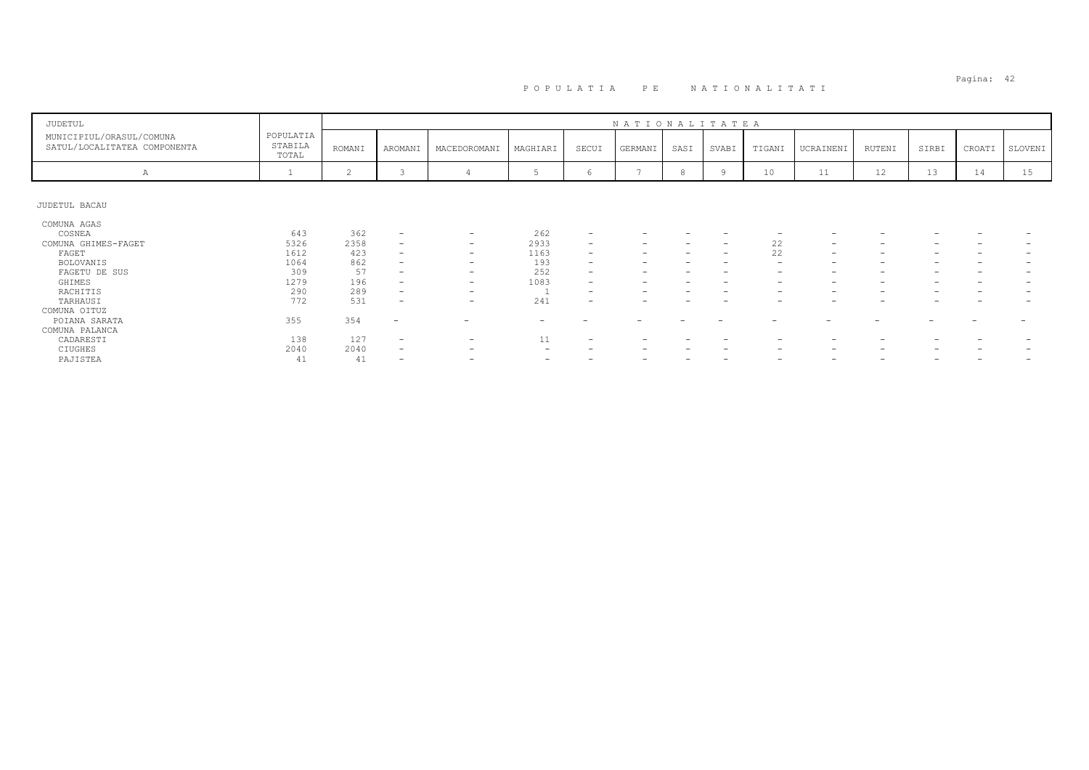| JUDETUL                                                  |                               |                   |                                                                                  |                                                                                  |                          |                                                                                  | NATIONALITATEA |      |                                                      |                                                      |                                                      |                          |       |                          |         |
|----------------------------------------------------------|-------------------------------|-------------------|----------------------------------------------------------------------------------|----------------------------------------------------------------------------------|--------------------------|----------------------------------------------------------------------------------|----------------|------|------------------------------------------------------|------------------------------------------------------|------------------------------------------------------|--------------------------|-------|--------------------------|---------|
| MUNICIPIUL/ORASUL/COMUNA<br>SATUL/LOCALITATEA COMPONENTA | POPULATIA<br>STABILA<br>TOTAL | ROMANI            | AROMANI                                                                          | MACEDOROMANI                                                                     | MAGHIARI                 | SECUI                                                                            | GERMANI        | SASI | SVABI                                                | TIGANI                                               | UCRAINENI                                            | RUTENI                   | SIRBI | CROATI                   | SLOVENI |
| Α                                                        |                               | 2                 | 3                                                                                |                                                                                  |                          | 6                                                                                | $\overline{ }$ |      | 9                                                    | 10                                                   | 11                                                   | 12                       | 13    | 14                       | 15      |
| JUDETUL BACAU                                            |                               |                   |                                                                                  |                                                                                  |                          |                                                                                  |                |      |                                                      |                                                      |                                                      |                          |       |                          |         |
| COMUNA AGAS<br>COSNEA<br>COMUNA GHIMES-FAGET             | 643<br>5326                   | 362<br>2358       | $\overline{\phantom{0}}$<br>$\overline{\phantom{a}}$                             | $\qquad \qquad$<br>$\overline{\phantom{m}}$                                      | 262<br>2933              | $\overline{\phantom{a}}$<br>$\overline{\phantom{a}}$                             |                |      | $\overline{\phantom{a}}$                             | 22                                                   | $\hspace{0.1mm}-\hspace{0.1mm}$                      | $\overline{\phantom{0}}$ |       |                          |         |
| FAGET<br><b>BOLOVANIS</b><br>FAGETU DE SUS               | 1612<br>1064<br>309           | 423<br>862<br>57  | $\overline{\phantom{0}}$<br>$\overline{\phantom{0}}$<br>$\overline{\phantom{0}}$ | $\overline{\phantom{m}}$<br>$\overline{\phantom{m}}$<br>$\overline{\phantom{0}}$ | 1163<br>193<br>252       | $\overline{\phantom{0}}$<br>$\overline{\phantom{a}}$<br>$\overline{\phantom{a}}$ |                |      | $\overline{\phantom{0}}$<br>$\overline{\phantom{m}}$ | 22<br>$\hspace{0.1mm}-\hspace{0.1mm}$                | $\overline{\phantom{0}}$<br>$\overline{\phantom{0}}$ | $\qquad \qquad$          |       | $\overline{\phantom{0}}$ |         |
| GHIMES<br>RACHITIS<br>TARHAUSI                           | 1279<br>290<br>772            | 196<br>289<br>531 | $\overline{\phantom{0}}$<br>$\overline{\phantom{0}}$<br>$\overline{\phantom{0}}$ | $\overline{\phantom{0}}$<br>$\overline{\phantom{m}}$<br>$\qquad \qquad$          | 1083<br>241              | $\overline{\phantom{a}}$<br>$\overline{\phantom{a}}$<br>$\overline{\phantom{0}}$ |                |      |                                                      | $\overline{\phantom{0}}$<br>$\overline{\phantom{0}}$ | $\overline{\phantom{0}}$                             | -<br>-                   |       |                          |         |
| COMUNA OITUZ<br>POIANA SARATA<br>COMUNA PALANCA          | 355                           | 354               | $\overline{\phantom{a}}$                                                         |                                                                                  | $\overline{\phantom{0}}$ |                                                                                  |                |      |                                                      |                                                      |                                                      |                          |       |                          |         |
| CADARESTI<br>CIUGHES<br>PAJISTEA                         | 138<br>2040<br>41             | 127<br>2040<br>41 | $\overline{\phantom{a}}$<br>$\overline{\phantom{0}}$<br>$\overline{\phantom{0}}$ | $\overline{\phantom{a}}$<br>-<br>-                                               | 11                       | $\overline{\phantom{a}}$                                                         |                |      | $\overline{\phantom{a}}$                             | $\overline{\phantom{0}}$                             | $\hspace{0.1mm}-\hspace{0.1mm}$                      | $\qquad \qquad$          |       |                          |         |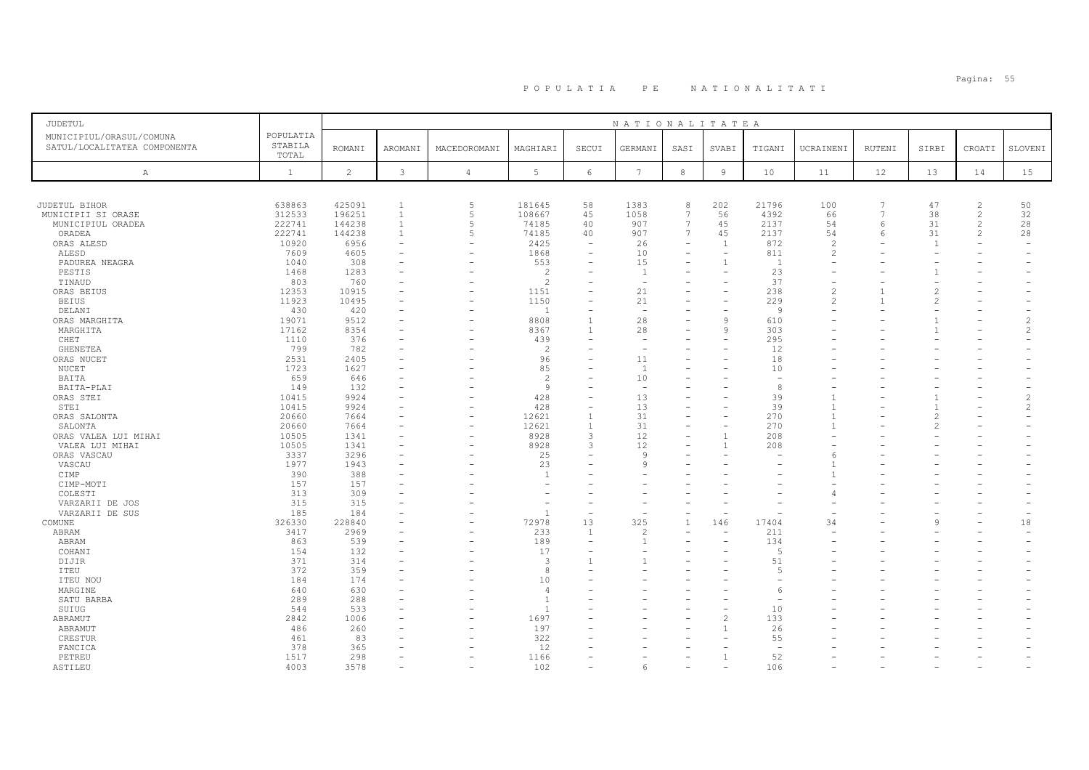### PO PULATIA PE NATIONALITATI POPULATIA: 55

| JUDETUL                                                                                                     |                                                               |                                                             |                                                                                  |                                                                                                    |                                                           |                                                                   | NATIONALITATEA                               |                                                                                                                              |                                          |                                                               |                                                                     |                                            |                                        |                                                                      |                                 |
|-------------------------------------------------------------------------------------------------------------|---------------------------------------------------------------|-------------------------------------------------------------|----------------------------------------------------------------------------------|----------------------------------------------------------------------------------------------------|-----------------------------------------------------------|-------------------------------------------------------------------|----------------------------------------------|------------------------------------------------------------------------------------------------------------------------------|------------------------------------------|---------------------------------------------------------------|---------------------------------------------------------------------|--------------------------------------------|----------------------------------------|----------------------------------------------------------------------|---------------------------------|
| MUNICIPIUL/ORASUL/COMUNA<br>SATUL/LOCALITATEA COMPONENTA                                                    | POPULATIA<br>STABILA<br>TOTAL                                 | <b>ROMANI</b>                                               | AROMANI                                                                          | MACEDOROMANI                                                                                       | MAGHIARI                                                  | SECUI                                                             | GERMANI                                      | SASI                                                                                                                         | SVABI                                    | TIGANI                                                        | UCRAINENI                                                           | RUTENI                                     | SIRBI                                  | CROATI                                                               | SLOVENI                         |
| Α                                                                                                           | $\mathbf{1}$                                                  | $\overline{c}$                                              | $\mathbf{3}$                                                                     | $\overline{4}$                                                                                     | 5                                                         | 6                                                                 | $7\overline{ }$                              | $^{\rm 8}$                                                                                                                   | 9                                        | 10                                                            | 11                                                                  | 12                                         | 13                                     | 14                                                                   | 15                              |
|                                                                                                             |                                                               |                                                             |                                                                                  |                                                                                                    |                                                           |                                                                   |                                              |                                                                                                                              |                                          |                                                               |                                                                     |                                            |                                        |                                                                      |                                 |
| JUDETUL BIHOR<br>MUNICIPII SI ORASE<br>MUNICIPIUL ORADEA<br>ORADEA<br>ORAS ALESD<br>ALESD<br>PADUREA NEAGRA | 638863<br>312533<br>222741<br>222741<br>10920<br>7609<br>1040 | 425091<br>196251<br>144238<br>144238<br>6956<br>4605<br>308 | $\mathbf{1}$<br>$\mathbf{1}$<br>$\mathbf{1}$<br>$\mathbf{1}$<br>$\sim$<br>$\sim$ | 5<br>$\overline{5}$<br>$\overline{5}$<br>5<br>$\overline{\phantom{0}}$<br>$\overline{\phantom{a}}$ | 181645<br>108667<br>74185<br>74185<br>2425<br>1868<br>553 | 58<br>45<br>40<br>40<br>۳<br>$\sim$<br>÷                          | 1383<br>1058<br>907<br>907<br>26<br>10<br>15 | 8<br>$\overline{7}$<br>$\overline{7}$<br>$7\phantom{.0}$<br>$\overline{\phantom{a}}$<br>$\overline{\phantom{a}}$<br>$\equiv$ | 202<br>56<br>45<br>45<br>$\overline{1}$  | 21796<br>4392<br>2137<br>2137<br>872<br>811<br>$\overline{1}$ | 100<br>66<br>54<br>54<br>$\overline{\mathcal{L}}$<br>$\overline{c}$ | $\overline{7}$<br>$\overline{7}$<br>6<br>6 | 47<br>38<br>31<br>31<br>$\overline{1}$ | $\overline{2}$<br>$\overline{c}$<br>$\overline{c}$<br>$\overline{2}$ | 50<br>32<br>28<br>28            |
| PESTIS<br>TINAUD<br>ORAS BEIUS<br><b>BEIUS</b>                                                              | 1468<br>803<br>12353<br>11923                                 | 1283<br>760<br>10915<br>10495                               |                                                                                  |                                                                                                    | $\overline{c}$<br>$\mathfrak{D}$<br>1151<br>1150          | $\equiv$                                                          | 1<br>÷,<br>21<br>21                          | $\equiv$                                                                                                                     | $\equiv$                                 | 23<br>37<br>238<br>229                                        | $\mathfrak{D}$                                                      |                                            |                                        |                                                                      |                                 |
| DELANI<br>ORAS MARGHITA<br>MARGHITA<br>CHET                                                                 | 430<br>19071<br>17162<br>1110                                 | 420<br>9512<br>8354<br>376                                  | $\sim$<br>$\sim$                                                                 |                                                                                                    | $\overline{1}$<br>8808<br>8367<br>439                     | ۳<br>$\overline{1}$<br>$\overline{1}$<br>$\overline{\phantom{0}}$ | $\sim$<br>28<br>28                           | $\equiv$                                                                                                                     | $\equiv$<br>$\mathsf{Q}$<br>$\mathbf{Q}$ | $\overline{9}$<br>610<br>303<br>295                           |                                                                     |                                            |                                        |                                                                      | $\mathcal{L}$<br>$\mathcal{L}$  |
| GHENETEA<br>ORAS NUCET<br>NUCET<br>BAITA                                                                    | 799<br>2531<br>1723<br>659                                    | 782<br>2405<br>1627<br>646                                  |                                                                                  |                                                                                                    | $\overline{c}$<br>96<br>85<br>$\overline{c}$              | ۰                                                                 | 11<br>$\overline{1}$<br>10                   |                                                                                                                              |                                          | 12<br>18<br>10                                                |                                                                     |                                            |                                        |                                                                      |                                 |
| BAITA-PLAI<br>ORAS STEI<br>STEI<br>ORAS SALONTA                                                             | 149<br>10415<br>10415<br>20660                                | 132<br>9924<br>9924<br>7664                                 | $\sim$                                                                           | $\equiv$                                                                                           | 9<br>428<br>428<br>12621                                  | $\overline{\phantom{0}}$<br>L,<br>$\overline{1}$                  | $\sim$<br>13<br>13<br>31                     |                                                                                                                              |                                          | 8<br>39<br>39<br>270                                          | $\overline{1}$                                                      |                                            |                                        |                                                                      | $\mathcal{L}$<br>$\overline{c}$ |
| SALONTA<br>ORAS VALEA LUI MIHAI<br>VALEA LUI MIHAI<br>ORAS VASCAU                                           | 20660<br>10505<br>10505<br>3337                               | 7664<br>1341<br>1341<br>3296                                | $\overline{\phantom{a}}$<br>$\overline{\phantom{a}}$                             | $\overline{\phantom{a}}$<br>$\overline{\phantom{a}}$                                               | 12621<br>8928<br>8928<br>25                               | $\overline{1}$<br>3<br>3<br>$\overline{\phantom{0}}$              | 31<br>12<br>12<br>$\mathbf{Q}$               | $\equiv$                                                                                                                     |                                          | 270<br>208<br>208                                             |                                                                     |                                            |                                        |                                                                      |                                 |
| VASCAU<br>CIMP<br>CIMP-MOTI<br>COLESTI                                                                      | 1977<br>390<br>157<br>313                                     | 1943<br>388<br>157<br>309                                   |                                                                                  |                                                                                                    | 23<br>$\overline{1}$                                      |                                                                   | $\mathsf{Q}$                                 |                                                                                                                              |                                          |                                                               |                                                                     |                                            |                                        |                                                                      |                                 |
| VARZARII DE JOS<br>VARZARII DE SUS<br>COMUNE                                                                | 315<br>185<br>326330                                          | 315<br>184<br>228840                                        |                                                                                  |                                                                                                    | 72978                                                     | ÷,<br>13                                                          | $\overline{\phantom{a}}$<br>325              | $\mathbf{1}$                                                                                                                 | 146                                      | 17404                                                         | 34                                                                  |                                            | Q                                      |                                                                      | $\overline{\phantom{a}}$<br>18  |
| ABRAM<br>ABRAM<br>COHANI<br>DIJIR                                                                           | 3417<br>863<br>154<br>371                                     | 2969<br>539<br>132<br>314                                   |                                                                                  |                                                                                                    | 233<br>189<br>17<br>3                                     | $\overline{1}$<br>$\overline{\phantom{0}}$<br>۳                   | $\overline{c}$<br>$\mathbf{1}$               |                                                                                                                              | $\overline{\phantom{0}}$                 | 211<br>134<br>$\overline{5}$<br>51                            |                                                                     |                                            |                                        |                                                                      |                                 |
| ITEU<br>ITEU NOU<br>MARGINE<br>SATU BARBA                                                                   | 372<br>184<br>640<br>289                                      | 359<br>174<br>630<br>288                                    | $\sim$                                                                           |                                                                                                    | $\mathcal{R}$<br>10<br>$\overline{4}$<br>$\overline{1}$   | ۳                                                                 |                                              |                                                                                                                              |                                          | $\overline{5}$<br>$\epsilon$                                  |                                                                     |                                            |                                        |                                                                      |                                 |
| SUIUG<br>ABRAMUT<br>ABRAMUT<br>CRESTUR                                                                      | 544<br>2842<br>486<br>461                                     | 533<br>1006<br>260<br>83                                    |                                                                                  |                                                                                                    | $\overline{1}$<br>1697<br>197<br>322                      | $\overline{\phantom{0}}$                                          |                                              |                                                                                                                              | $\overline{\mathcal{L}}$                 | 10<br>133<br>26<br>55                                         |                                                                     |                                            |                                        |                                                                      |                                 |
| FANCICA<br>PETREU<br>ASTILEU                                                                                | 378<br>1517<br>4003                                           | 365<br>298<br>3578                                          | $\sim$                                                                           | $\overline{\phantom{0}}$<br>$\overline{\phantom{0}}$                                               | 12<br>1166<br>102                                         | ۰<br>$\equiv$                                                     | 6                                            |                                                                                                                              | $\overline{\phantom{0}}$                 | 52<br>106                                                     |                                                                     |                                            |                                        | ۰<br>$\overline{\phantom{0}}$                                        |                                 |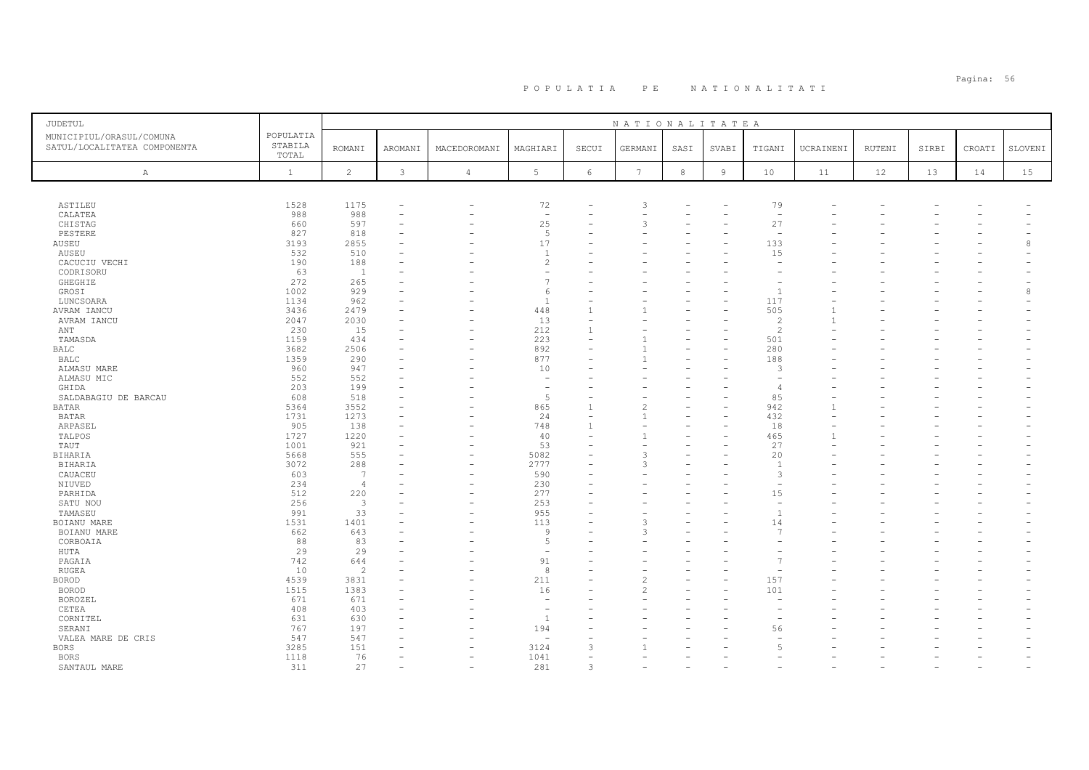| JUDETUL                                                  |                               |                         |                          |                          |                          |                          | NATIONALITATEA |      |                |                          |           |        |       |                          |         |
|----------------------------------------------------------|-------------------------------|-------------------------|--------------------------|--------------------------|--------------------------|--------------------------|----------------|------|----------------|--------------------------|-----------|--------|-------|--------------------------|---------|
| MUNICIPIUL/ORASUL/COMUNA<br>SATUL/LOCALITATEA COMPONENTA | POPULATIA<br>STABILA<br>TOTAL | <b>ROMANI</b>           | AROMANI                  | MACEDOROMANI             | MAGHIARI                 | SECUI                    | GERMANI        | SASI | SVABI          | TIGANI                   | UCRAINENI | RUTENI | SIRBI | CROATI                   | SLOVENI |
| $\mathbb{A}$                                             | $\mathbf{1}$                  | 2                       | 3                        | $\overline{4}$           | 5                        | 6                        | 7              | 8    | $\overline{9}$ | 10                       | 11        | 12     | 13    | 14                       | 15      |
|                                                          |                               |                         |                          |                          |                          |                          |                |      |                |                          |           |        |       |                          |         |
| ASTILEU                                                  | 1528                          | 1175                    |                          |                          | 72                       |                          | 3              |      |                | 79                       |           |        |       |                          |         |
| CALATEA                                                  | 988                           | 988                     | $\overline{\phantom{a}}$ |                          | $\overline{\phantom{a}}$ |                          |                |      |                | $\overline{\phantom{a}}$ |           |        |       |                          |         |
| CHISTAG                                                  | 660                           | 597                     |                          |                          | 25                       |                          | 3              |      |                | 27                       |           |        |       |                          |         |
| PESTERE                                                  | 827                           | 818                     |                          |                          | 5                        |                          |                |      |                | $\sim$                   |           |        |       |                          |         |
| AUSEU                                                    | 3193                          | 2855                    |                          |                          | 17                       |                          |                |      |                | 133                      |           |        |       |                          | 8       |
| AUSEU                                                    | 532                           | 510                     |                          |                          | $\overline{1}$           |                          |                |      |                | 15                       |           |        |       |                          |         |
| CACUCIU VECHI                                            | 190                           | 188                     |                          |                          | $\overline{c}$           |                          |                |      |                | $\overline{\phantom{a}}$ |           |        |       |                          |         |
| CODRISORU                                                | 63                            | <sup>1</sup>            |                          |                          | ۰                        |                          |                |      |                |                          |           |        |       |                          |         |
| GHEGHIE                                                  | 272                           | 265                     |                          |                          | $\overline{7}$           |                          |                |      |                |                          |           |        |       |                          |         |
|                                                          |                               |                         |                          |                          |                          |                          |                |      |                | $\overline{1}$           |           |        |       |                          |         |
| GROSI                                                    | 1002                          | 929                     |                          |                          | 6                        |                          |                |      |                |                          |           |        |       |                          | 8       |
| LUNCSOARA                                                | 1134                          | 962                     |                          |                          | $\overline{1}$           |                          |                |      |                | 117                      |           |        |       |                          |         |
| AVRAM IANCU                                              | 3436                          | 2479                    |                          |                          | 448                      | 1                        |                |      |                | 505                      |           |        |       |                          |         |
| AVRAM IANCU                                              | 2047                          | 2030                    |                          |                          | 13                       | $\overline{\phantom{0}}$ |                |      |                | $\overline{c}$           |           |        |       |                          |         |
| ANT                                                      | 230                           | 15                      |                          |                          | 212                      | -1                       |                |      |                | $\mathcal{L}$            |           |        |       |                          |         |
| TAMASDA                                                  | 1159                          | 434                     |                          |                          | 223                      |                          |                |      |                | 501                      |           |        |       |                          |         |
| <b>BALC</b>                                              | 3682                          | 2506                    |                          |                          | 892                      |                          |                |      |                | 280                      |           |        |       |                          |         |
| <b>BALC</b>                                              | 1359                          | 290                     |                          |                          | 877                      |                          |                |      |                | 188                      |           |        |       |                          |         |
| ALMASU MARE                                              | 960                           | 947                     |                          |                          | 10                       |                          |                |      |                | 3                        |           |        |       |                          |         |
| ALMASU MIC                                               | 552                           | 552                     |                          |                          | $\overline{\phantom{a}}$ |                          |                |      |                |                          |           |        |       |                          |         |
| GHIDA                                                    | 203                           | 199                     |                          |                          | $\overline{\phantom{a}}$ |                          |                |      |                | ⊿                        |           |        |       |                          |         |
| SALDABAGIU DE BARCAU                                     | 608                           | 518                     |                          |                          | 5                        |                          |                |      |                | 85                       |           |        |       |                          |         |
| <b>BATAR</b>                                             | 5364                          | 3552                    |                          |                          | 865                      |                          |                |      |                | 942                      |           |        |       |                          |         |
| <b>BATAR</b>                                             | 1731                          | 1273                    |                          |                          | 24                       |                          |                |      |                | 432                      |           |        |       |                          |         |
|                                                          |                               |                         |                          |                          |                          |                          |                |      |                |                          |           |        |       |                          |         |
| ARPASEL                                                  | 905                           | 138                     |                          |                          | 748                      |                          |                |      |                | 18                       |           |        |       |                          |         |
| TALPOS                                                   | 1727                          | 1220                    |                          |                          | 40                       |                          |                |      |                | 465                      |           |        |       |                          |         |
| TAUT                                                     | 1001                          | 921                     |                          | $\overline{\phantom{0}}$ | 53                       |                          |                |      |                | 27                       |           |        |       |                          |         |
| <b>BIHARIA</b>                                           | 5668                          | 555                     |                          |                          | 5082                     |                          |                |      |                | 20                       |           |        |       |                          |         |
| <b>BIHARIA</b>                                           | 3072                          | 288                     |                          |                          | 2777                     |                          | 3              |      |                | $\overline{1}$           |           |        |       |                          |         |
| CAUACEU                                                  | 603                           | 7                       |                          |                          | 590                      |                          |                |      |                | 3                        |           |        |       |                          |         |
| NIUVED                                                   | 234                           | $\overline{4}$          |                          |                          | 230                      |                          |                |      |                |                          |           |        |       |                          |         |
| PARHIDA                                                  | 512                           | 220                     |                          |                          | 277                      |                          |                |      |                | 15                       |           |        |       |                          |         |
| SATU NOU                                                 | 256                           | $\overline{\mathbf{3}}$ |                          |                          | 253                      |                          |                |      |                | $\sim$                   |           |        |       |                          |         |
| TAMASEU                                                  | 991                           | 33                      |                          |                          | 955                      |                          |                |      |                | $\overline{1}$           |           |        |       |                          |         |
| BOIANU MARE                                              | 1531                          | 1401                    |                          |                          | 113                      |                          | っ              |      |                | 14                       |           |        |       |                          |         |
| BOIANU MARE                                              | 662                           | 643                     |                          |                          | 9                        |                          | 3              |      |                | 7                        |           |        |       |                          |         |
| CORBOAIA                                                 | 88                            | 83                      |                          |                          | 5                        |                          |                |      |                |                          |           |        |       |                          |         |
| HUTA                                                     | 29                            | 29                      |                          |                          | $\overline{\phantom{a}}$ |                          |                |      |                |                          |           |        |       |                          |         |
| PAGAIA                                                   | 742                           | 644                     |                          |                          | 91                       |                          |                |      |                |                          |           |        |       |                          |         |
| RUGEA                                                    | 10                            | $\overline{c}$          |                          |                          | 8                        |                          |                |      |                |                          |           |        |       |                          |         |
| <b>BOROD</b>                                             | 4539                          | 3831                    |                          |                          | 211                      |                          |                |      |                | 157                      |           |        |       |                          |         |
|                                                          |                               |                         |                          |                          |                          |                          |                |      |                |                          |           |        |       |                          |         |
| <b>BOROD</b>                                             | 1515                          | 1383                    |                          |                          | 16                       |                          |                |      |                | 101                      |           |        |       |                          |         |
| BOROZEL                                                  | 671                           | 671                     |                          |                          | $\overline{\phantom{a}}$ |                          |                |      |                |                          |           |        |       |                          |         |
| CETEA                                                    | 408                           | 403                     |                          |                          | $\overline{\phantom{a}}$ |                          |                |      |                |                          |           |        |       |                          |         |
| CORNITEL                                                 | 631                           | 630                     |                          |                          | $\mathbf{1}$             |                          |                |      |                |                          |           |        |       |                          |         |
| SERANI                                                   | 767                           | 197                     |                          |                          | 194                      |                          |                |      |                | 56                       |           |        |       |                          |         |
| VALEA MARE DE CRIS                                       | 547                           | 547                     |                          |                          |                          |                          |                |      |                |                          |           |        |       |                          |         |
| <b>BORS</b>                                              | 3285                          | 151                     |                          |                          | 3124                     | 3                        |                |      |                | $\sqrt{2}$               |           |        |       |                          |         |
| <b>BORS</b>                                              | 1118                          | 76                      | ۰                        | $\overline{\phantom{0}}$ | 1041                     |                          |                |      |                |                          |           |        |       |                          |         |
| SANTAUL MARE                                             | 311                           | 27                      | ۰                        | $\overline{\phantom{0}}$ | 281                      | 3                        |                |      |                |                          |           |        |       | $\overline{\phantom{a}}$ |         |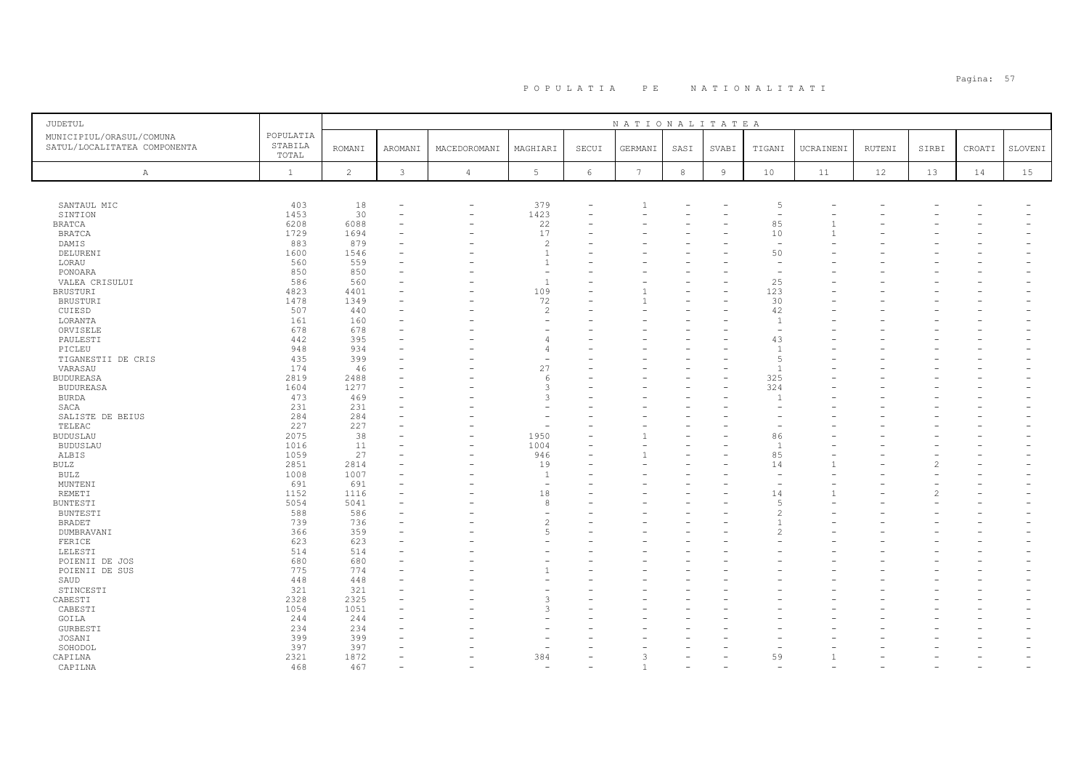| JUDETUL                                                  |                               |                |                          |                          |                          |                          | NATIONALITATEA  |            |                |                          |           |        |       |        |         |
|----------------------------------------------------------|-------------------------------|----------------|--------------------------|--------------------------|--------------------------|--------------------------|-----------------|------------|----------------|--------------------------|-----------|--------|-------|--------|---------|
| MUNICIPIUL/ORASUL/COMUNA<br>SATUL/LOCALITATEA COMPONENTA | POPULATIA<br>STABILA<br>TOTAL | <b>ROMANI</b>  | AROMANI                  | MACEDOROMANI             | MAGHIARI                 | SECUI                    | GERMANI         | SASI       | SVABI          | TIGANI                   | UCRAINENI | RUTENI | SIRBI | CROATI | SLOVENI |
| A                                                        | $\mathbf{1}$                  | $\overline{c}$ | 3                        | $\overline{4}$           | $5\phantom{.0}$          | $\epsilon$               | $7\phantom{.0}$ | $^{\rm 8}$ | $\overline{9}$ | 10                       | 11        | 12     | 13    | 14     | 15      |
|                                                          |                               |                |                          |                          |                          |                          |                 |            |                |                          |           |        |       |        |         |
| SANTAUL MIC                                              | 403                           | 18             | ٠                        | ۳                        | 379                      |                          |                 |            |                | 5                        |           |        |       |        |         |
| SINTION                                                  | 1453                          | 30             | $\overline{\phantom{0}}$ | $\overline{\phantom{0}}$ | 1423                     | $\overline{\phantom{0}}$ |                 |            |                | $\overline{\phantom{0}}$ |           |        |       |        |         |
| <b>BRATCA</b>                                            | 6208                          | 6088           |                          |                          | 22                       |                          |                 |            |                | 85                       |           |        |       |        |         |
| <b>BRATCA</b>                                            | 1729                          | 1694           |                          |                          | 17                       |                          |                 |            |                | 10                       |           |        |       |        |         |
| DAMIS                                                    | 883                           | 879            |                          |                          | $\overline{c}$           |                          |                 |            |                | $\overline{\phantom{a}}$ |           |        |       |        |         |
| DELURENI                                                 | 1600                          | 1546           |                          |                          | $\overline{1}$           |                          |                 |            |                | 50                       |           |        |       |        |         |
| LORAU                                                    | 560                           | 559            |                          |                          | $\overline{1}$           |                          |                 |            |                | $\sim$                   |           |        |       |        |         |
| PONOARA                                                  | 850                           | 850            |                          |                          | $\overline{\phantom{a}}$ |                          |                 |            |                | $\overline{\phantom{a}}$ |           |        |       |        |         |
| VALEA CRISULUI                                           | 586                           | 560            |                          |                          | $\mathbf{1}$             |                          |                 |            |                | 25                       |           |        |       |        |         |
| BRUSTURI                                                 | 4823                          | 4401           |                          |                          | 109                      |                          |                 |            |                | 123                      |           |        |       |        |         |
| BRUSTURI                                                 | 1478                          | 1349           | ۰                        |                          | 72                       |                          |                 |            |                | 30                       |           |        |       |        |         |
| CUIESD                                                   | 507                           | 440            |                          |                          | $\overline{c}$           |                          |                 |            |                | 42                       |           |        |       |        |         |
| LORANTA                                                  | 161                           | 160            |                          |                          | ۰                        |                          |                 |            |                | $\overline{1}$           |           |        |       |        |         |
| ORVISELE                                                 | 678                           | 678            |                          |                          |                          |                          |                 |            |                | $\overline{\phantom{a}}$ |           |        |       |        |         |
| PAULESTI                                                 | 442                           | 395            | ۰                        |                          | $\overline{4}$           |                          |                 |            |                | 43                       |           |        |       |        |         |
| PICLEU                                                   | 948                           | 934            |                          |                          | $\overline{4}$           |                          |                 |            |                | $\overline{1}$           |           |        |       |        |         |
| TIGANESTII DE CRIS                                       | 435                           | 399            |                          |                          | $\overline{\phantom{a}}$ |                          |                 |            |                | $\sqrt{2}$               |           |        |       |        |         |
| VARASAU                                                  | 174                           | 46             |                          |                          | 27                       |                          |                 |            |                | $\overline{1}$           |           |        |       |        |         |
| BUDUREASA                                                | 2819                          | 2488           |                          |                          | 6                        |                          |                 |            |                | 325                      |           |        |       |        |         |
| <b>BUDUREASA</b>                                         | 1604                          | 1277           |                          |                          | 3                        |                          |                 |            |                | 324                      |           |        |       |        |         |
| <b>BURDA</b>                                             | 473                           | 469            |                          |                          | 3                        |                          |                 |            |                | $\overline{1}$           |           |        |       |        |         |
| SACA                                                     | 231                           | 231            | ۰                        |                          |                          |                          |                 |            |                |                          |           |        |       |        |         |
| SALISTE DE BEIUS                                         | 284                           | 284            |                          |                          |                          |                          |                 |            |                |                          |           |        |       |        |         |
| TELEAC                                                   | 227                           | 227            |                          |                          | ۰                        |                          |                 |            |                |                          |           |        |       |        |         |
| <b>BUDUSLAU</b>                                          | 2075                          | 38             |                          |                          | 1950                     |                          |                 |            |                | 86                       |           |        |       |        |         |
| <b>BUDUSLAU</b>                                          | 1016                          | 11             | ۰                        | $\overline{\phantom{0}}$ | 1004                     |                          |                 |            |                | $\overline{1}$           |           |        |       |        |         |
| ALBIS                                                    | 1059                          | 27             |                          |                          | 946                      |                          |                 |            |                | 85                       |           |        |       |        |         |
| <b>BULZ</b>                                              | 2851                          | 2814           |                          |                          | 19                       |                          |                 |            |                | 14                       |           |        |       |        |         |
| BULZ                                                     | 1008                          | 1007           |                          |                          | $\mathbf{1}$             |                          |                 |            |                |                          |           |        |       |        |         |
| MUNTENI                                                  | 691                           | 691            | ٠                        |                          | $\overline{\phantom{a}}$ |                          |                 |            |                |                          |           |        |       |        |         |
| REMETI                                                   | 1152                          | 1116           |                          |                          | 18                       |                          |                 |            |                | 14                       |           |        |       |        |         |
| <b>BUNTESTI</b>                                          | 5054                          | 5041           | ٠                        |                          | 8                        |                          |                 |            |                | $\overline{5}$           |           |        |       |        |         |
| <b>BUNTESTI</b>                                          | 588                           | 586            |                          |                          | ۰                        |                          |                 |            |                | $\mathcal{D}$            |           |        |       |        |         |
| <b>BRADET</b>                                            | 739                           | 736            |                          |                          | $\overline{c}$           |                          |                 |            |                |                          |           |        |       |        |         |
| DUMBRAVANI                                               | 366                           | 359            | ۰                        |                          | 5                        |                          |                 |            |                |                          |           |        |       |        |         |
| FERICE                                                   | 623                           | 623            |                          |                          |                          |                          |                 |            |                |                          |           |        |       |        |         |
| LELESTI                                                  | 514                           | 514            |                          |                          |                          |                          |                 |            |                |                          |           |        |       |        |         |
| POIENII DE JOS                                           | 680                           | 680            |                          |                          |                          |                          |                 |            |                |                          |           |        |       |        |         |
| POIENII DE SUS                                           | 775                           | 774            | ۰                        |                          |                          | $\equiv$                 |                 |            |                |                          |           |        |       |        |         |
| SAUD                                                     | 448                           | 448            |                          |                          |                          |                          |                 |            |                |                          |           |        |       |        |         |
| STINCESTI                                                | 321                           | 321            |                          |                          |                          |                          |                 |            |                |                          |           |        |       |        |         |
| CABESTI                                                  | 2328                          | 2325           |                          |                          | 3                        |                          |                 |            |                |                          |           |        |       |        |         |
| CABESTI                                                  | 1054                          | 1051           |                          |                          | 3                        |                          |                 |            |                |                          |           |        |       |        |         |
| GOILA                                                    | 244                           | 244            | ۰                        |                          |                          |                          |                 |            |                |                          |           |        |       |        |         |
| <b>GURBESTI</b>                                          | 234                           | 234            |                          |                          |                          |                          |                 |            |                |                          |           |        |       |        |         |
| JOSANI                                                   | 399                           | 399            |                          |                          |                          |                          |                 |            |                |                          |           |        |       |        |         |
| SOHODOL                                                  | 397                           | 397            |                          |                          |                          |                          |                 |            |                |                          |           |        |       |        |         |
| CAPILNA                                                  | 2321                          | 1872           | $\equiv$                 |                          | 384                      |                          |                 |            |                | 59                       |           |        |       |        |         |
| CAPILNA                                                  | 468                           | 467            |                          |                          |                          |                          |                 |            |                |                          |           |        |       |        |         |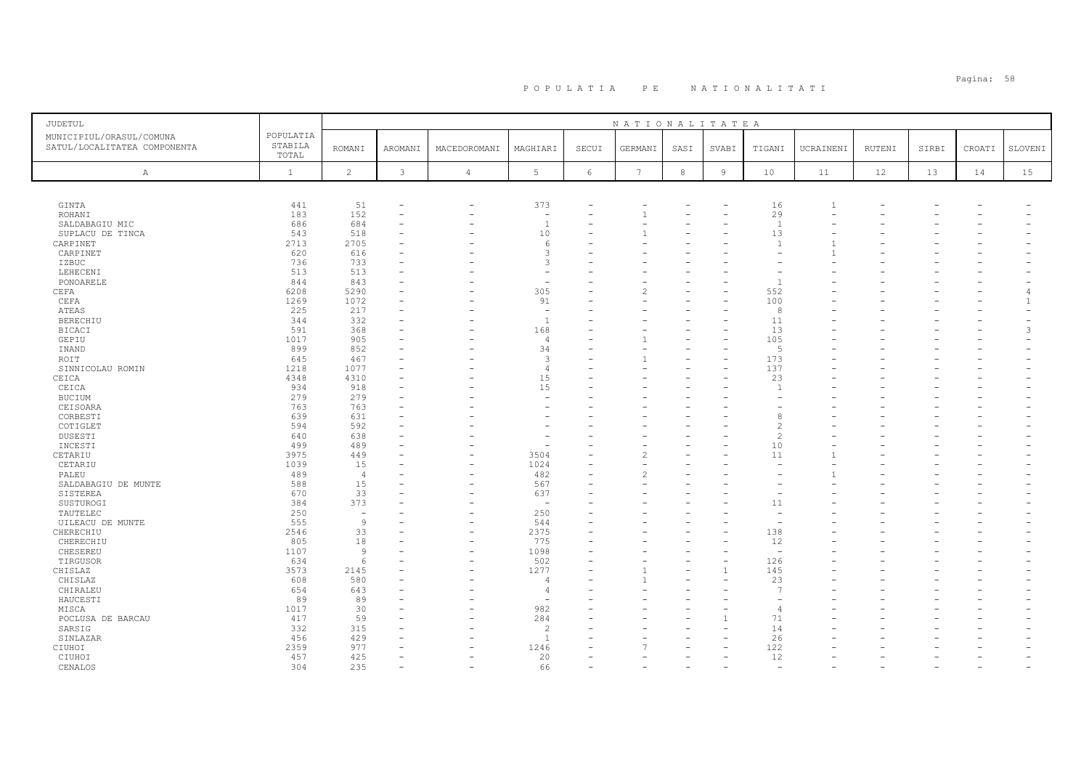| <b>JUDETUL</b>               |              |                |              |                          |                          |            | NATIONALITATEA  |        |                |                          |                |        |       |        |                          |
|------------------------------|--------------|----------------|--------------|--------------------------|--------------------------|------------|-----------------|--------|----------------|--------------------------|----------------|--------|-------|--------|--------------------------|
| MUNICIPIUL/ORASUL/COMUNA     | POPULATIA    |                |              |                          |                          |            |                 |        |                |                          |                |        |       |        |                          |
| SATUL/LOCALITATEA COMPONENTA | STABILA      | <b>ROMANI</b>  | AROMANI      | MACEDOROMANI             | MAGHIARI                 | SECUI      | GERMANI         | SASI   | SVABI          | TIGANI                   | UCRAINENI      | RUTENI | SIRBI | CROATI | SLOVENI                  |
|                              | TOTAL        |                |              |                          |                          |            |                 |        |                |                          |                |        |       |        |                          |
| $\mathbb{A}$                 | $\mathbf{1}$ | $\overline{c}$ | $\mathbf{3}$ | 4                        | 5                        | $\epsilon$ | $7\phantom{.0}$ | $\,$ 8 | $\overline{9}$ | 10                       | 11             | 12     | 13    | 14     | 15 <sub>1</sub>          |
|                              |              |                |              |                          |                          |            |                 |        |                |                          |                |        |       |        |                          |
|                              |              |                |              |                          |                          |            |                 |        |                |                          |                |        |       |        |                          |
| GINTA                        | 441          | 51             |              | -                        | 373                      |            |                 |        |                | 16                       | $\overline{1}$ |        |       |        |                          |
| ROHANI                       | 183          | 152            |              | ۰                        | $\overline{a}$           | ۳          |                 |        |                | 29                       |                |        |       |        |                          |
| SALDABAGIU MIC               | 686          | 684            |              |                          | <sup>1</sup>             |            |                 |        |                | $\overline{1}$           |                |        |       |        |                          |
| SUPLACU DE TINCA             | 543          | 518            |              |                          | 10                       |            |                 |        |                | 13                       |                |        |       |        |                          |
| CARPINET                     | 2713         | 2705           |              |                          | 6                        |            |                 |        |                | $\overline{1}$           |                |        |       |        |                          |
| CARPINET                     | 620          | 616            |              |                          | 3                        |            |                 |        |                |                          |                |        |       |        |                          |
| IZBUC                        | 736          | 733            |              |                          | 3                        |            |                 |        |                |                          |                |        |       |        |                          |
| LEHECENI                     | 513          | 513            |              |                          | ۰                        |            |                 |        |                |                          |                |        |       |        |                          |
| PONOARELE                    | 844          | 843            |              |                          | ۰                        |            |                 |        |                | $\overline{1}$           |                |        |       |        |                          |
| CEFA                         | 6208         | 5290           |              |                          | 305                      |            |                 |        |                | 552                      |                |        |       |        | $\overline{4}$           |
| CEFA                         | 1269         | 1072           |              |                          | 91                       |            |                 |        |                | 100                      |                |        |       |        | $\overline{1}$           |
| <b>ATEAS</b>                 | 225          | 217            |              |                          | $\overline{\phantom{a}}$ |            |                 |        |                | -8                       |                |        |       |        |                          |
| BERECHIU                     | 344          | 332            |              |                          | <sup>1</sup>             |            |                 |        |                | 11                       |                |        |       |        |                          |
| <b>BICACI</b>                | 591          | 368            |              |                          | 168                      |            |                 |        |                | 13                       |                |        |       |        | 3                        |
| GEPIU                        | 1017         | 905            |              |                          | $\overline{4}$           |            |                 |        |                | 105                      |                |        |       |        | $\overline{\phantom{a}}$ |
| INAND                        | 899          | 852            |              |                          | 34                       |            |                 |        |                | $\overline{5}$           |                |        |       |        |                          |
| ROIT                         | 645          | 467            |              |                          | $\mathbf{3}$             |            |                 |        |                | 173                      |                |        |       |        |                          |
| SINNICOLAU ROMIN             | 1218         | 1077           |              |                          | $\overline{4}$           |            |                 |        |                | 137                      |                |        |       |        |                          |
| CEICA                        | 4348         | 4310           |              |                          | 15                       |            |                 |        |                | 23                       |                |        |       |        |                          |
| CEICA                        | 934          | 918            |              |                          | 15                       |            |                 |        |                | $\overline{1}$           |                |        |       |        |                          |
| BUCIUM                       | 279          | 279            |              |                          | ۰                        |            |                 |        |                |                          |                |        |       |        |                          |
| CEISOARA                     | 763          | 763            |              |                          |                          |            |                 |        |                |                          |                |        |       |        |                          |
| CORBESTI                     | 639          | 631            |              |                          |                          |            |                 |        |                |                          |                |        |       |        |                          |
| COTIGLET                     | 594          | 592            |              |                          |                          |            |                 |        |                |                          |                |        |       |        |                          |
| DUSESTI                      | 640          | 638            |              |                          |                          |            |                 |        |                |                          |                |        |       |        |                          |
| INCESTI                      | 499          | 489            |              |                          | ۰                        |            |                 |        |                | 10                       |                |        |       |        |                          |
| CETARIU                      | 3975         | 449            |              |                          | 3504                     |            | 2               |        |                | 11                       |                |        |       |        |                          |
| CETARIU                      | 1039         | 15             |              |                          | 1024                     |            |                 |        |                |                          |                |        |       |        |                          |
| PALEU                        | 489          | $\overline{4}$ |              |                          | 482                      |            |                 |        |                |                          |                |        |       |        |                          |
| SALDABAGIU DE MUNTE          | 588          | 15             |              |                          | 567                      |            |                 |        |                |                          |                |        |       |        |                          |
| SISTEREA                     | 670          | 33             |              |                          | 637                      |            |                 |        |                |                          |                |        |       |        |                          |
| SUSTUROGI                    | 384          | 373            |              |                          | $\overline{\phantom{0}}$ |            |                 |        |                | 11                       |                |        |       |        |                          |
| TAUTELEC                     | 250          | $\sim$         |              |                          | 250                      |            |                 |        |                |                          |                |        |       |        |                          |
| UILEACU DE MUNTE             | 555          | 9              |              |                          | 544                      |            |                 |        |                |                          |                |        |       |        |                          |
| CHERECHIU                    | 2546         | 33             |              | ۰                        | 2375                     | $\equiv$   |                 |        |                | 138                      |                |        |       |        |                          |
| CHERECHIU                    | 805          | 18             |              |                          | 775                      |            |                 |        |                | 12                       |                |        |       |        |                          |
| CHESEREU                     | 1107         | $\overline{9}$ |              | $\overline{\phantom{a}}$ | 1098                     |            |                 |        |                | $\overline{\phantom{a}}$ |                |        |       |        |                          |
| TIRGUSOR                     | 634          | $\epsilon$     |              |                          | 502                      |            |                 |        |                | 126                      |                |        |       |        |                          |
| CHISLAZ                      | 3573         | 2145           |              | L.                       | 1277                     | L.         |                 |        |                | 145                      |                |        |       |        |                          |
| CHISLAZ                      | 608          | 580            |              |                          | $\overline{4}$           |            |                 |        |                | 23                       |                |        |       |        |                          |
| CHIRALEU                     | 654          | 643            |              |                          | $\overline{4}$           |            |                 |        |                | $\overline{7}$           |                |        |       |        |                          |
| HAUCESTI                     | 89           | 89             |              |                          | $\overline{a}$           |            |                 |        |                |                          |                |        |       |        |                          |
| MISCA                        | 1017         | 30             |              |                          | 982                      |            |                 |        |                | $\overline{4}$           |                |        |       |        |                          |
| POCLUSA DE BARCAU            | 417          | 59             |              |                          | 284                      |            |                 |        |                | 71                       |                |        |       |        |                          |
| SARSIG                       | 332          | 315            |              |                          | $\overline{c}$           |            |                 |        |                | 14                       |                |        |       |        |                          |
| SINLAZAR                     | 456          | 429            |              |                          | $\overline{1}$           |            |                 |        |                | 26                       |                |        |       |        |                          |
| CIUHOI                       | 2359         | 977            |              |                          | 1246                     |            |                 |        |                | 122                      |                |        |       |        |                          |
| CIUHOI                       | 457          | 425            |              |                          | 20                       |            |                 |        |                | 12                       |                |        |       |        |                          |
| CENALOS                      | 304          | 235            |              |                          | 66                       |            |                 |        |                | $\overline{a}$           |                |        |       |        |                          |
|                              |              |                |              |                          |                          |            |                 |        |                |                          |                |        |       |        |                          |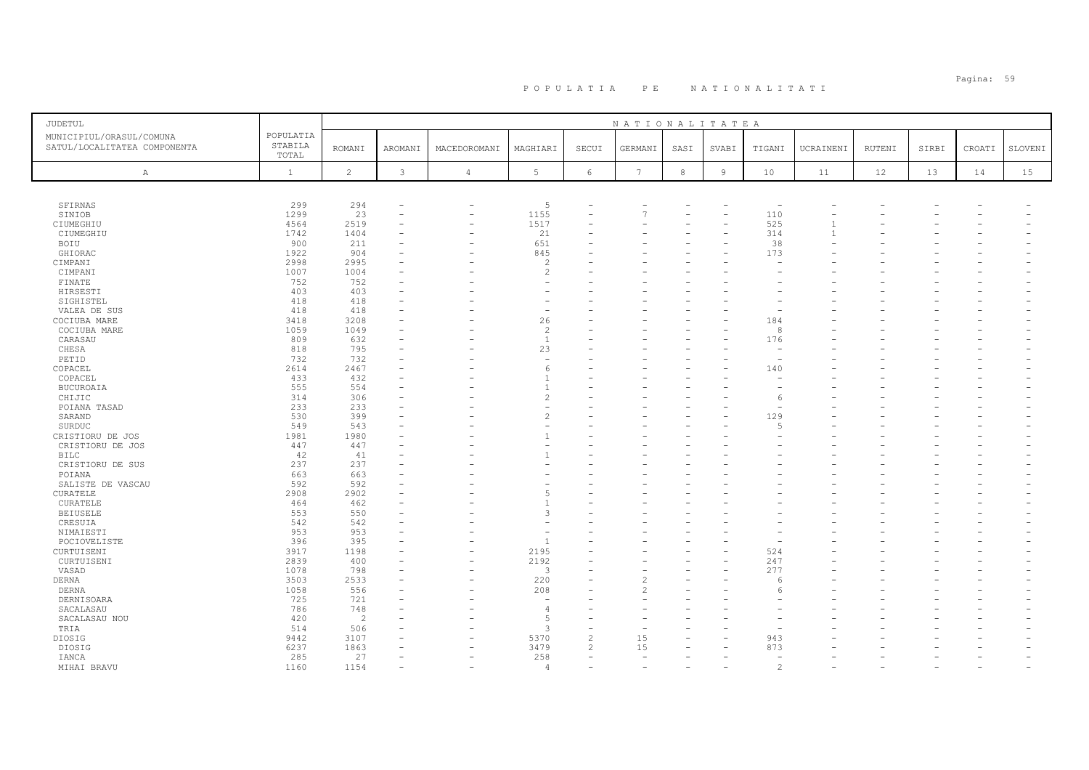| JUDETUL                                                  |                               |                |               |                          |                          |                | NATIONALITATEA  |            |                |                          |           |               |       |        |         |
|----------------------------------------------------------|-------------------------------|----------------|---------------|--------------------------|--------------------------|----------------|-----------------|------------|----------------|--------------------------|-----------|---------------|-------|--------|---------|
| MUNICIPIUL/ORASUL/COMUNA<br>SATUL/LOCALITATEA COMPONENTA | POPULATIA<br>STABILA<br>TOTAL | <b>ROMANI</b>  | AROMANI       | MACEDOROMANI             | MAGHIARI                 | SECUI          | GERMANI         | SASI       | SVABI          | TIGANI                   | UCRAINENI | <b>RUTENI</b> | SIRBI | CROATI | SLOVENI |
| $\mathbb{A}$                                             | $\mathbf{1}$                  | $\overline{c}$ | $\mathcal{E}$ | $\sqrt{4}$               | $5 -$                    | $\epsilon$     | $7\phantom{.0}$ | $^{\rm 8}$ | $\overline{9}$ | 10                       | 11        | 12            | 13    | 14     | 15      |
|                                                          |                               |                |               |                          |                          |                |                 |            |                |                          |           |               |       |        |         |
| SFIRNAS                                                  | 299                           | 294            |               | $\overline{\phantom{0}}$ | 5                        |                |                 |            |                | $\overline{\phantom{a}}$ |           |               |       |        |         |
| SINIOB                                                   | 1299                          | 23             |               | $\overline{\phantom{0}}$ | 1155                     |                | 7               |            |                | 110                      |           |               |       |        |         |
| CIUMEGHIU                                                | 4564                          | 2519           |               |                          | 1517                     |                |                 |            |                | 525                      |           |               |       |        |         |
| CIUMEGHIU                                                | 1742                          | 1404           |               | $\overline{\phantom{0}}$ | 21                       |                |                 |            |                | 314                      |           |               |       |        |         |
| BOIU                                                     | 900                           | 211            |               |                          | 651                      |                |                 |            |                | 38                       |           |               |       |        |         |
| GHIORAC                                                  | 1922                          | 904            |               |                          | 845                      |                |                 |            |                | 173                      |           |               |       |        |         |
| CIMPANI                                                  | 2998                          | 2995           |               |                          | $\overline{c}$           |                |                 |            |                |                          |           |               |       |        |         |
| CIMPANI                                                  | 1007                          | 1004           |               |                          | $\overline{c}$           |                |                 |            |                |                          |           |               |       |        |         |
| FINATE                                                   | 752                           | 752            |               |                          |                          |                |                 |            |                |                          |           |               |       |        |         |
| HIRSESTI                                                 | 403                           | 403            |               |                          | $\overline{\phantom{a}}$ |                |                 |            |                |                          |           |               |       |        |         |
| SIGHISTEL                                                | 418                           | 418            |               |                          |                          |                |                 |            |                |                          |           |               |       |        |         |
| VALEA DE SUS                                             | 418                           | 418            |               |                          | $\overline{\phantom{a}}$ |                |                 |            |                |                          |           |               |       |        |         |
|                                                          |                               | 3208           |               |                          | 26                       |                |                 |            |                | 184                      |           |               |       |        |         |
| COCIUBA MARE                                             | 3418                          |                |               |                          | $\overline{c}$           |                |                 |            |                | 8                        |           |               |       |        |         |
| COCIUBA MARE                                             | 1059                          | 1049           |               |                          |                          |                |                 |            |                |                          |           |               |       |        |         |
| CARASAU                                                  | 809                           | 632            |               |                          | $\mathbf{1}$             |                |                 |            |                | 176                      |           |               |       |        |         |
| CHESA                                                    | 818                           | 795            |               |                          | 23                       |                |                 |            |                |                          |           |               |       |        |         |
| PETID                                                    | 732                           | 732            |               |                          | $\overline{\phantom{a}}$ |                |                 |            |                | $\overline{\phantom{a}}$ |           |               |       |        |         |
| COPACEL                                                  | 2614                          | 2467           |               |                          | 6                        |                |                 |            |                | 140                      |           |               |       |        |         |
| COPACEL                                                  | 433                           | 432            |               |                          | $\mathbf{1}$             |                |                 |            |                |                          |           |               |       |        |         |
| BUCUROAIA                                                | 555                           | 554            |               |                          | $\mathbf{1}$             |                |                 |            |                |                          |           |               |       |        |         |
| CHIJIC                                                   | 314                           | 306            |               |                          | $\overline{c}$           |                |                 |            |                | 6                        |           |               |       |        |         |
| POIANA TASAD                                             | 233                           | 233            |               |                          | $\overline{\phantom{a}}$ |                |                 |            |                |                          |           |               |       |        |         |
| SARAND                                                   | 530                           | 399            |               |                          | $\overline{c}$           |                |                 |            |                | 129                      |           |               |       |        |         |
| SURDUC                                                   | 549                           | 543            |               |                          | ٠                        |                |                 |            |                |                          |           |               |       |        |         |
| CRISTIORU DE JOS                                         | 1981                          | 1980           |               |                          |                          |                |                 |            |                |                          |           |               |       |        |         |
| CRISTIORU DE JOS                                         | 447                           | 447            |               |                          | $\overline{\phantom{a}}$ |                |                 |            |                |                          |           |               |       |        |         |
| BILC                                                     | 42                            | 41             |               |                          | -1                       |                |                 |            |                |                          |           |               |       |        |         |
| CRISTIORU DE SUS                                         | 237                           | 237            |               |                          |                          |                |                 |            |                |                          |           |               |       |        |         |
| POIANA                                                   | 663                           | 663            |               |                          |                          |                |                 |            |                |                          |           |               |       |        |         |
| SALISTE DE VASCAU                                        | 592                           | 592            |               |                          |                          |                |                 |            |                |                          |           |               |       |        |         |
| CURATELE                                                 | 2908                          | 2902           |               |                          | 5                        |                |                 |            |                |                          |           |               |       |        |         |
| CURATELE                                                 | 464                           | 462            |               |                          |                          |                |                 |            |                |                          |           |               |       |        |         |
| <b>BEIUSELE</b>                                          | 553                           | 550            |               |                          | 3                        |                |                 |            |                |                          |           |               |       |        |         |
| CRESUIA                                                  | 542                           | 542            |               |                          |                          |                |                 |            |                |                          |           |               |       |        |         |
| NIMAIESTI                                                | 953                           | 953            |               |                          | $\overline{\phantom{a}}$ |                |                 |            |                |                          |           |               |       |        |         |
|                                                          | 396                           | 395            |               |                          | <sup>1</sup>             |                |                 |            |                |                          |           |               |       |        |         |
| POCIOVELISTE                                             | 3917                          |                |               |                          | 2195                     |                |                 |            |                | 524                      |           |               |       |        |         |
| CURTUISENI                                               |                               | 1198           |               |                          |                          |                |                 |            |                |                          |           |               |       |        |         |
| CURTUISENI                                               | 2839                          | 400            |               | L.                       | 2192                     |                |                 |            |                | 247                      |           |               |       |        |         |
| VASAD                                                    | 1078                          | 798            |               |                          | $\overline{3}$           |                |                 |            |                | 277                      |           |               |       |        |         |
| DERNA                                                    | 3503                          | 2533           |               |                          | 220                      |                | 2               |            |                | -6                       |           |               |       |        |         |
| DERNA                                                    | 1058                          | 556            |               |                          | 208                      |                | 2               |            |                | 6                        |           |               |       |        |         |
| DERNISOARA                                               | 725                           | 721            |               |                          |                          |                |                 |            |                |                          |           |               |       |        |         |
| SACALASAU                                                | 786                           | 748            |               |                          | 4                        |                |                 |            |                |                          |           |               |       |        |         |
| SACALASAU NOU                                            | 420                           | $\overline{c}$ |               |                          | 5                        |                |                 |            |                |                          |           |               |       |        |         |
| TRIA                                                     | 514                           | 506            |               |                          | 3                        |                |                 |            |                |                          |           |               |       |        |         |
| DIOSIG                                                   | 9442                          | 3107           |               |                          | 5370                     | $\mathfrak{D}$ | 15              |            |                | 943                      |           |               |       |        |         |
| DIOSIG                                                   | 6237                          | 1863           |               |                          | 3479                     | $\overline{c}$ | 15              |            |                | 873                      |           |               |       |        |         |
| IANCA                                                    | 285                           | 27             |               |                          | 258                      |                | $\sim$          |            |                | $\sim$                   |           |               |       |        |         |
| MIHAI BRAVU                                              | 1160                          | 1154           |               |                          | $\overline{4}$           |                |                 |            |                | $\mathfrak{D}$           |           |               |       |        |         |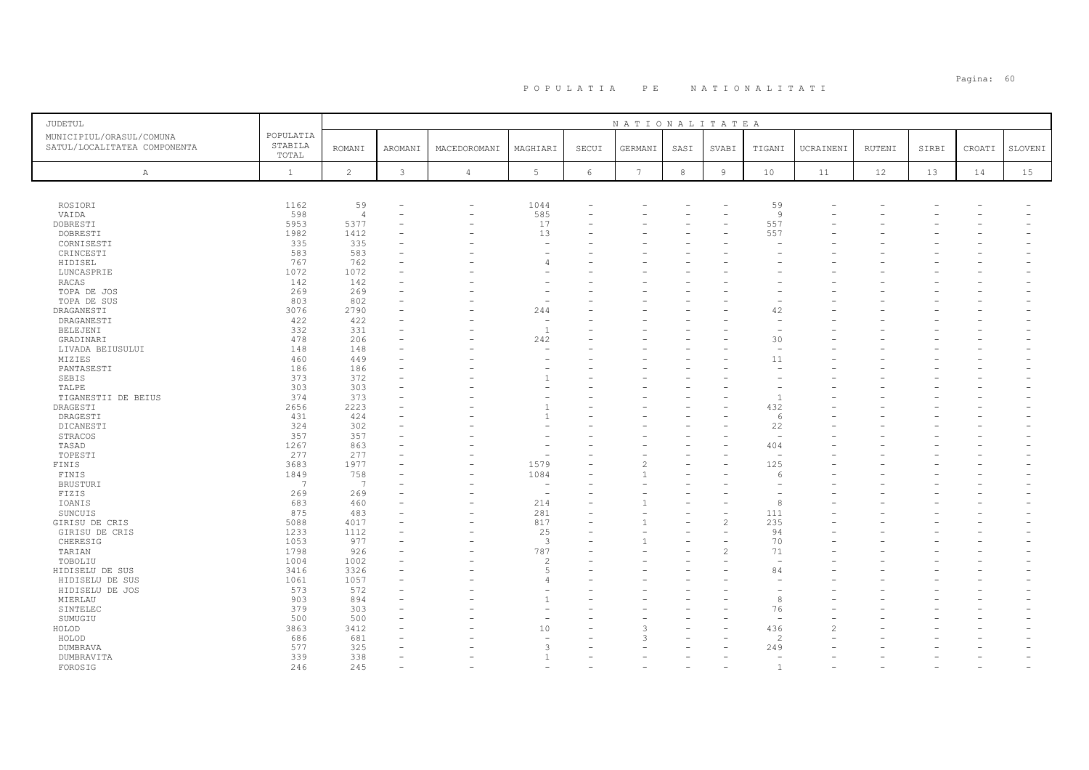| JUDETUL                                                  |                               |                |         |                          |                          |       | NATIONALITATEA  |            |                          |                          |           |        |       |        |         |
|----------------------------------------------------------|-------------------------------|----------------|---------|--------------------------|--------------------------|-------|-----------------|------------|--------------------------|--------------------------|-----------|--------|-------|--------|---------|
| MUNICIPIUL/ORASUL/COMUNA<br>SATUL/LOCALITATEA COMPONENTA | POPULATIA<br>STABILA<br>TOTAL | <b>ROMANI</b>  | AROMANI | MACEDOROMANI             | MAGHIARI                 | SECUI | GERMANI         | SASI       | SVABI                    | TIGANI                   | UCRAINENI | RUTENI | SIRBI | CROATI | SLOVENI |
| $\mathbb{A}$                                             | $\mathbf{1}$                  | $\overline{c}$ | 3       | $\overline{4}$           | 5                        | 6     | $7\phantom{.0}$ | $^{\rm 8}$ | $\overline{9}$           | 10                       | 11        | 12     | 13    | 14     | 15      |
|                                                          |                               |                |         |                          |                          |       |                 |            |                          |                          |           |        |       |        |         |
| ROSIORI                                                  | 1162                          | 59             |         | $\overline{\phantom{0}}$ | 1044                     |       |                 |            |                          | 59                       |           |        |       |        |         |
| VAIDA                                                    | 598                           | $\overline{4}$ | ۰       | $\overline{\phantom{0}}$ | 585                      |       |                 |            |                          | 9                        |           |        |       |        |         |
| DOBRESTI                                                 | 5953                          | 5377           |         |                          | 17                       |       |                 |            |                          | 557                      |           |        |       |        |         |
| DOBRESTI                                                 | 1982                          | 1412           |         |                          | 13                       |       |                 |            |                          | 557                      |           |        |       |        |         |
| CORNISESTI                                               | 335                           | 335            |         |                          | ۰                        |       |                 |            |                          |                          |           |        |       |        |         |
| CRINCESTI                                                | 583                           | 583            |         |                          |                          |       |                 |            |                          |                          |           |        |       |        |         |
| HIDISEL                                                  | 767                           | 762            |         |                          | 4                        |       |                 |            |                          |                          |           |        |       |        |         |
| LUNCASPRIE                                               | 1072                          | 1072           |         |                          |                          |       |                 |            |                          |                          |           |        |       |        |         |
| RACAS                                                    | 142                           | 142            |         |                          |                          |       |                 |            |                          |                          |           |        |       |        |         |
| TOPA DE JOS                                              | 269                           | 269            |         |                          |                          |       |                 |            |                          |                          |           |        |       |        |         |
| TOPA DE SUS                                              | 803                           | 802            |         |                          | ۰                        |       |                 |            |                          |                          |           |        |       |        |         |
| DRAGANESTI                                               | 3076                          | 2790           |         |                          | 244                      |       |                 |            |                          | 42                       |           |        |       |        |         |
| DRAGANESTI                                               | 422                           | 422            |         |                          | $\overline{\phantom{a}}$ |       |                 |            |                          | $\overline{\phantom{a}}$ |           |        |       |        |         |
| BELEJENI                                                 | 332                           | 331            |         |                          | $\mathbf{1}$             |       |                 |            |                          | $\overline{\phantom{a}}$ |           |        |       |        |         |
| GRADINARI                                                | 478                           | 206            | ۰       |                          | 242                      |       |                 |            |                          | 30                       |           |        |       |        |         |
| LIVADA BEIUSULUI                                         | 148                           | 148            |         |                          |                          |       |                 |            |                          | ÷                        |           |        |       |        |         |
| MIZIES                                                   | 460                           | 449            |         |                          | ۰                        |       |                 |            |                          | 11                       |           |        |       |        |         |
| PANTASESTI                                               | 186<br>373                    | 186<br>372     |         |                          | $\mathbf{1}$             |       |                 |            |                          |                          |           |        |       |        |         |
| SEBIS                                                    | 303                           | 303            |         |                          |                          |       |                 |            |                          |                          |           |        |       |        |         |
| TALPE<br>TIGANESTII DE BEIUS                             | 374                           | 373            |         |                          |                          |       |                 |            |                          | $\overline{1}$           |           |        |       |        |         |
| DRAGESTI                                                 | 2656                          | 2223           |         |                          |                          |       |                 |            |                          | 432                      |           |        |       |        |         |
| DRAGESTI                                                 | 431                           | 424            |         |                          |                          |       |                 |            |                          | 6                        |           |        |       |        |         |
| DICANESTI                                                | 324                           | 302            |         |                          |                          |       |                 |            |                          | 22                       |           |        |       |        |         |
| STRACOS                                                  | 357                           | 357            |         |                          |                          |       |                 |            |                          | $\sim$                   |           |        |       |        |         |
| TASAD                                                    | 1267                          | 863            | ۳       |                          |                          |       |                 |            |                          | 404                      |           |        |       |        |         |
| TOPESTI                                                  | 277                           | 277            |         |                          |                          |       |                 |            |                          |                          |           |        |       |        |         |
| FINIS                                                    | 3683                          | 1977           |         |                          | 1579                     |       |                 |            |                          | 125                      |           |        |       |        |         |
| FINIS                                                    | 1849                          | 758            |         |                          | 1084                     |       |                 |            |                          | 6                        |           |        |       |        |         |
| <b>BRUSTURI</b>                                          | $\overline{7}$                | 7              |         |                          | $\sim$                   |       |                 |            |                          |                          |           |        |       |        |         |
| FIZIS                                                    | 269                           | 269            |         |                          | ۰                        |       |                 |            |                          |                          |           |        |       |        |         |
| IOANIS                                                   | 683                           | 460            |         |                          | 214                      |       |                 |            |                          | 8                        |           |        |       |        |         |
| SUNCUIS                                                  | 875                           | 483            |         |                          | 281                      |       |                 |            |                          | 111                      |           |        |       |        |         |
| GIRISU DE CRIS                                           | 5088                          | 4017           |         |                          | 817                      |       |                 |            | $\overline{c}$           | 235                      |           |        |       |        |         |
| GIRISU DE CRIS                                           | 1233                          | 1112           | ۰       |                          | 25                       |       |                 |            |                          | 94                       |           |        |       |        |         |
| CHERESIG                                                 | 1053                          | 977            |         |                          | $\overline{\mathbf{3}}$  |       |                 |            |                          | 70                       |           |        |       |        |         |
| TARIAN                                                   | 1798                          | 926            |         |                          | 787                      |       |                 |            | $\overline{\mathcal{L}}$ | 71                       |           |        |       |        |         |
| TOBOLIU                                                  | 1004                          | 1002           |         |                          | $\mathcal{L}$            |       |                 |            |                          |                          |           |        |       |        |         |
| HIDISELU DE SUS                                          | 3416                          | 3326           | ۳       |                          | 5                        |       |                 |            |                          | 84                       |           |        |       |        |         |
| HIDISELU DE SUS                                          | 1061                          | 1057           |         |                          | $\overline{4}$           |       |                 |            |                          |                          |           |        |       |        |         |
| HIDISELU DE JOS                                          | 573                           | 572            |         |                          |                          |       |                 |            |                          |                          |           |        |       |        |         |
| MIERLAU                                                  | 903                           | 894            |         |                          | $\mathbf{1}$             |       |                 |            |                          | 8                        |           |        |       |        |         |
| SINTELEC                                                 | 379                           | 303            |         |                          |                          |       |                 |            |                          | 76                       |           |        |       |        |         |
| SUMUGIU                                                  | 500                           | 500            |         |                          | ÷                        |       |                 |            |                          | $\sim$                   |           |        |       |        |         |
| HOLOD                                                    | 3863                          | 3412           |         |                          | 10                       |       |                 |            |                          | 436                      |           |        |       |        |         |
| HOLOD                                                    | 686                           | 681            |         |                          |                          |       |                 |            |                          | $\mathcal{L}$            |           |        |       |        |         |
| <b>DUMBRAVA</b>                                          | 577                           | 325            |         |                          | 3                        |       |                 |            |                          | 249                      |           |        |       |        |         |
| DUMBRAVITA                                               | 339                           | 338            | ÷       |                          | $\mathbf{1}$             |       |                 |            |                          | $\sim$                   |           |        |       |        |         |
| FOROSIG                                                  | 246                           | 245            |         |                          |                          |       |                 |            |                          | $\overline{1}$           |           |        |       |        |         |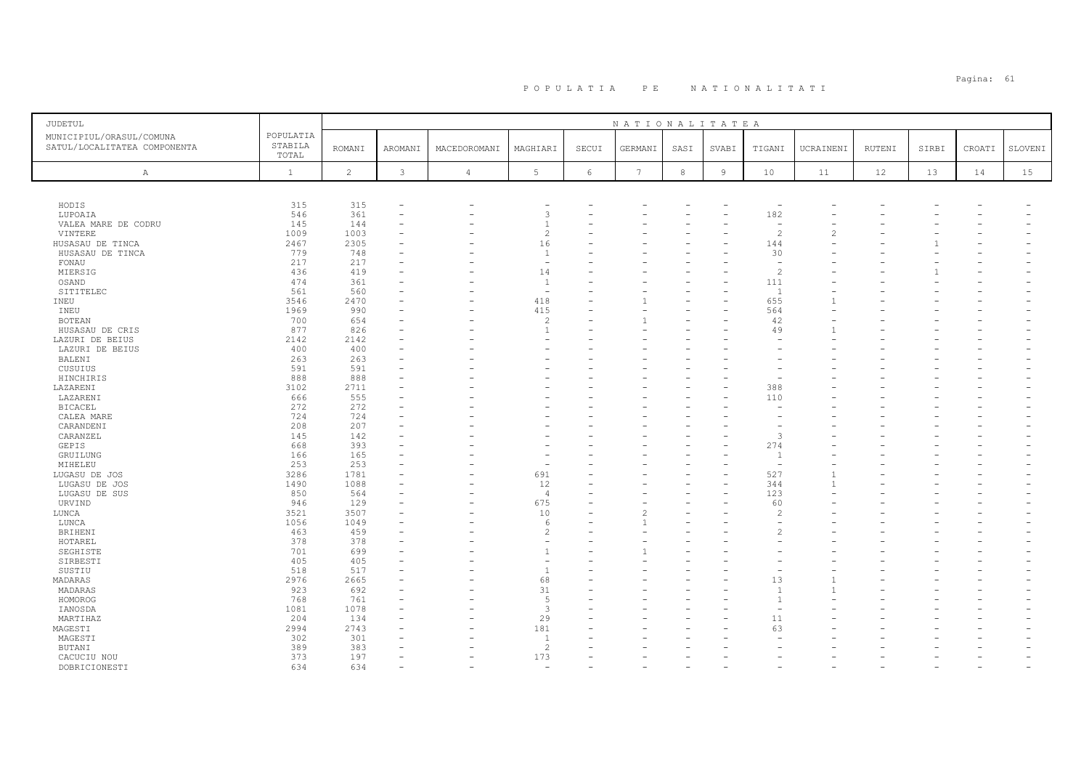| JUDETUL                                                  |                               |                |                          |                |                          |       | NATIONALITATEA           |            |                |                          |           |        |       |        |         |
|----------------------------------------------------------|-------------------------------|----------------|--------------------------|----------------|--------------------------|-------|--------------------------|------------|----------------|--------------------------|-----------|--------|-------|--------|---------|
| MUNICIPIUL/ORASUL/COMUNA<br>SATUL/LOCALITATEA COMPONENTA | POPULATIA<br>STABILA<br>TOTAL | <b>ROMANI</b>  | AROMANI                  | MACEDOROMANI   | MAGHIARI                 | SECUI | GERMANI                  | SASI       | SVABI          | TIGANI                   | UCRAINENI | RUTENI | SIRBI | CROATI | SLOVENI |
| A                                                        | $\mathbf{1}$                  | $\overline{c}$ | 3                        | $\overline{4}$ | $5\phantom{.0}$          | 6     | 7                        | $^{\rm 8}$ | $\overline{9}$ | 10                       | 11        | 12     | 13    | 14     | 15      |
|                                                          |                               |                |                          |                |                          |       |                          |            |                |                          |           |        |       |        |         |
|                                                          |                               |                |                          |                |                          |       |                          |            |                |                          |           |        |       |        |         |
| HODIS                                                    | 315                           | 315<br>361     | $\overline{\phantom{a}}$ |                | 3                        |       |                          |            | ۳              | 182                      |           |        |       |        |         |
| LUPOAIA                                                  | 546<br>145                    | 144            | ۰                        |                | $\overline{1}$           |       |                          |            | ۳              | $\overline{\phantom{a}}$ |           |        |       |        |         |
| VALEA MARE DE CODRU<br>VINTERE                           | 1009                          | 1003           | ۳                        |                | $\overline{c}$           |       |                          |            | L.             | $\overline{\mathcal{L}}$ |           |        |       |        |         |
| HUSASAU DE TINCA                                         | 2467                          | 2305           |                          |                | 16                       |       |                          |            |                | 144                      |           |        |       |        |         |
| HUSASAU DE TINCA                                         | 779                           | 748            |                          |                | $\overline{1}$           |       |                          |            | L.             | 30                       |           |        |       |        |         |
| FONAU                                                    | 217                           | 217            |                          |                | $\overline{\phantom{a}}$ |       |                          |            |                | <b>.</b>                 |           |        |       |        |         |
| MIERSIG                                                  | 436                           | 419            | ۳                        |                | 14                       |       |                          |            | L              | $\overline{c}$           |           |        |       |        |         |
| OSAND                                                    | 474                           | 361            |                          |                | $\overline{1}$           |       |                          |            |                | 111                      |           |        |       |        |         |
| SITITELEC                                                | 561                           | 560            | ۰                        |                | $\overline{\phantom{a}}$ |       |                          |            | L,             | $\overline{1}$           |           |        |       |        |         |
| INEU                                                     | 3546                          | 2470           |                          |                | 418                      |       |                          |            |                | 655                      |           |        |       |        |         |
| INEU                                                     | 1969                          | 990            | ۰                        |                | 415                      |       |                          |            |                | 564                      |           |        |       |        |         |
| <b>BOTEAN</b>                                            | 700                           | 654            |                          |                | $\overline{c}$           |       |                          |            |                | 42                       |           |        |       |        |         |
| HUSASAU DE CRIS                                          | 877                           | 826            | ۰                        |                |                          |       |                          |            |                | 49                       |           |        |       |        |         |
| LAZURI DE BEIUS                                          | 2142                          | 2142           | ۳                        |                |                          |       |                          |            |                |                          |           |        |       |        |         |
| LAZURI DE BEIUS                                          | 400                           | 400            | ۰                        |                |                          |       |                          |            |                |                          |           |        |       |        |         |
| BALENI                                                   | 263                           | 263            |                          |                |                          |       |                          |            |                |                          |           |        |       |        |         |
| CUSUIUS                                                  | 591                           | 591            |                          |                |                          |       |                          |            |                |                          |           |        |       |        |         |
| HINCHIRIS                                                | 888                           | 888            |                          |                |                          |       |                          |            |                |                          |           |        |       |        |         |
| LAZARENI                                                 | 3102                          | 2711           |                          |                |                          |       |                          |            |                | 388                      |           |        |       |        |         |
| LAZARENI                                                 | 666                           | 555            |                          |                |                          |       |                          |            |                | 110                      |           |        |       |        |         |
| <b>BICACEL</b>                                           | 272                           | 272            |                          |                |                          |       |                          |            |                |                          |           |        |       |        |         |
| CALEA MARE                                               | 724                           | 724            |                          |                |                          |       |                          |            |                |                          |           |        |       |        |         |
| CARANDENI                                                | 208                           | 207            |                          |                |                          |       |                          |            |                |                          |           |        |       |        |         |
| CARANZEL                                                 | 145                           | 142            |                          |                |                          |       |                          |            |                | 3                        |           |        |       |        |         |
| <b>GEPIS</b>                                             | 668                           | 393            |                          |                |                          |       |                          |            |                | 274                      |           |        |       |        |         |
| GRUILUNG                                                 | 166                           | 165            |                          |                |                          |       |                          |            |                | $\overline{1}$           |           |        |       |        |         |
| MIHELEU                                                  | 253                           | 253            | ÷,                       |                | $\equiv$                 |       |                          |            | L              | $\overline{a}$           |           |        |       |        |         |
| LUGASU DE JOS                                            | 3286                          | 1781           |                          |                | 691                      |       |                          |            |                | 527                      |           |        |       |        |         |
| LUGASU DE JOS                                            | 1490                          | 1088           | $\overline{\phantom{0}}$ |                | 12                       |       |                          |            |                | 344                      |           |        |       |        |         |
| LUGASU DE SUS                                            | 850                           | 564            |                          |                | $\overline{4}$           |       |                          |            |                | 123                      |           |        |       |        |         |
| URVIND                                                   | 946                           | 129            | $\overline{\phantom{0}}$ |                | 675                      |       |                          |            |                | 60                       |           |        |       |        |         |
| LUNCA                                                    | 3521                          | 3507           |                          |                | 10                       |       | $\overline{\mathcal{L}}$ |            |                | $\overline{c}$           |           |        |       |        |         |
| LUNCA                                                    | 1056                          | 1049           | ۰                        |                | 6                        |       |                          |            |                |                          |           |        |       |        |         |
| BRIHENI                                                  | 463                           | 459            | ÷                        |                | $\mathfrak{D}$           |       |                          |            |                | 2                        |           |        |       |        |         |
| HOTAREL                                                  | 378                           | 378            | ۳                        |                |                          |       |                          |            |                |                          |           |        |       |        |         |
| SEGHISTE                                                 | 701                           | 699            |                          |                |                          |       |                          |            |                |                          |           |        |       |        |         |
| SIRBESTI                                                 | 405                           | 405            |                          |                |                          |       |                          |            |                |                          |           |        |       |        |         |
| SUSTIU                                                   | 518                           | 517            |                          |                | $\overline{1}$           |       |                          |            |                |                          |           |        |       |        |         |
| MADARAS                                                  | 2976                          | 2665           |                          |                | 68                       |       |                          |            |                | 13                       |           |        |       |        |         |
| MADARAS                                                  | 923                           | 692            |                          |                | 31                       |       |                          |            |                |                          |           |        |       |        |         |
| HOMOROG                                                  | 768                           | 761            |                          |                | 5                        |       |                          |            |                | $\overline{1}$           |           |        |       |        |         |
| IANOSDA                                                  | 1081                          | 1078           |                          |                | 3                        |       |                          |            |                | $\overline{a}$           |           |        |       |        |         |
| MARTIHAZ                                                 | 204                           | 134            | ÷                        |                | 29                       |       |                          |            |                | 11                       |           |        |       |        |         |
| MAGESTI                                                  | 2994                          | 2743           | ۰                        |                | 181                      |       |                          |            |                | 63                       |           |        |       |        |         |
| MAGESTI                                                  | 302                           | 301            |                          |                | $\overline{1}$           |       |                          |            |                |                          |           |        |       |        |         |
| BUTANI                                                   | 389                           | 383            |                          |                | $\overline{2}$           |       |                          |            |                |                          |           |        |       |        |         |
| CACUCIU NOU                                              | 373                           | 197            | ۳                        |                | 173                      |       |                          |            |                |                          |           |        |       |        |         |
| DOBRICIONESTI                                            | 634                           | 634            | ۳                        |                |                          |       |                          |            |                |                          |           |        |       |        |         |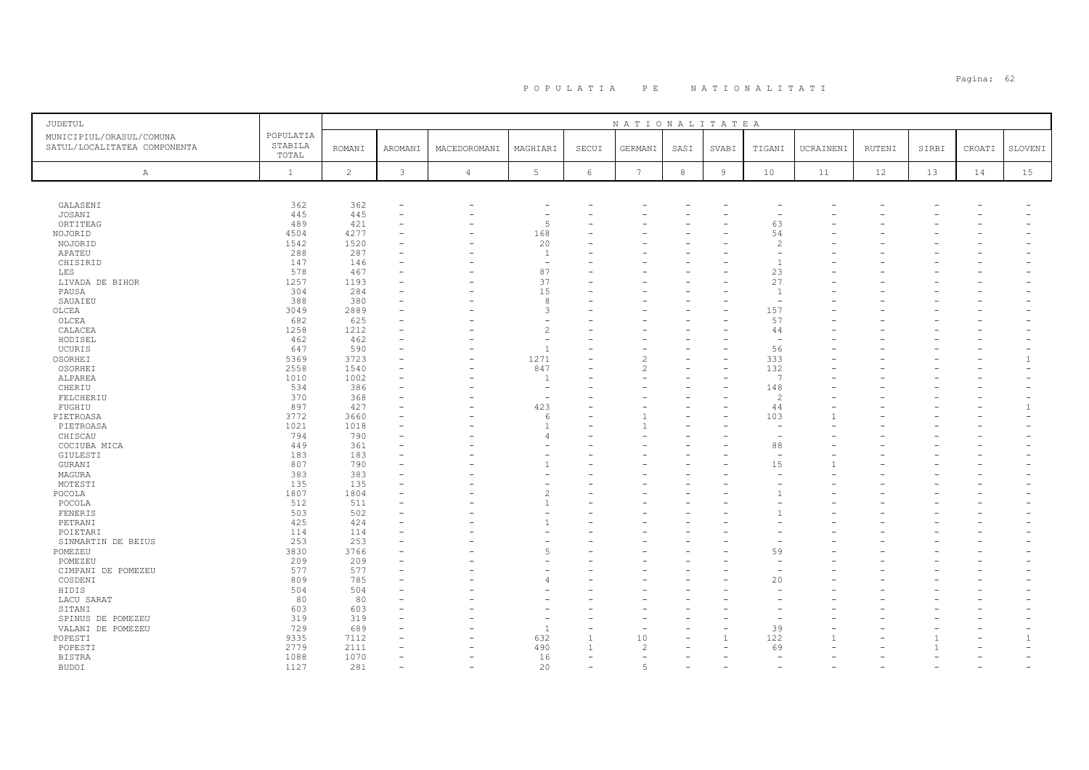# Pagina: 62 P O P U L A T I A P E N A T I O N A L I T A T I

| JUDETUL                                                  |                               |                |         |                          |                          |       | NATIONALITATEA  |            |                |                          |           |        |       |        |              |
|----------------------------------------------------------|-------------------------------|----------------|---------|--------------------------|--------------------------|-------|-----------------|------------|----------------|--------------------------|-----------|--------|-------|--------|--------------|
| MUNICIPIUL/ORASUL/COMUNA<br>SATUL/LOCALITATEA COMPONENTA | POPULATIA<br>STABILA<br>TOTAL | ROMANI         | AROMANI | MACEDOROMANI             | MAGHIARI                 | SECUI | GERMANI         | SASI       | SVABI          | TIGANI                   | UCRAINENI | RUTENI | SIRBI | CROATI | SLOVENI      |
| $\mathbb{A}$                                             | $\mathbf{1}$                  | $\overline{c}$ | 3       | $\overline{4}$           | 5                        | 6     | $7\phantom{.0}$ | $^{\rm 8}$ | $\overline{9}$ | 10                       | 11        | 12     | 13    | 14     | 15           |
|                                                          |                               |                |         |                          |                          |       |                 |            |                |                          |           |        |       |        |              |
| GALASENI                                                 | 362                           | 362            | ۰       |                          |                          |       |                 |            |                |                          |           |        |       |        |              |
| JOSANI                                                   | 445                           | 445            |         |                          |                          |       |                 |            |                |                          |           |        |       |        |              |
| ORTITEAG                                                 | 489                           | 421            |         |                          | 5                        |       |                 |            |                | 63                       |           |        |       |        |              |
| NOJORID                                                  | 4504                          | 4277           |         |                          | 168                      |       |                 |            |                | 54                       |           |        |       |        |              |
| NOJORID                                                  | 1542                          | 1520           |         |                          | 20                       |       |                 |            |                | $\overline{2}$           |           |        |       |        |              |
| APATEU                                                   | 288                           | 287            |         |                          | $\mathbf{1}$             |       |                 |            |                |                          |           |        |       |        |              |
| CHISIRID                                                 | 147                           | 146            |         |                          | $\overline{\phantom{m}}$ |       |                 |            |                | $\overline{1}$           |           |        |       |        |              |
| LES                                                      | 578                           | 467            |         |                          | 87                       |       |                 |            |                | 23                       |           |        |       |        |              |
| LIVADA DE BIHOR                                          | 1257                          | 1193           |         |                          | 37                       |       |                 |            |                | 27                       |           |        |       |        |              |
| PAUSA                                                    | 304                           | 284            |         |                          | 15                       |       |                 |            |                | $\overline{1}$           |           |        |       |        |              |
| SAUAIEU                                                  | 388                           | 380            |         |                          | 8                        |       |                 |            |                | $\overline{\phantom{a}}$ |           |        |       |        |              |
| OLCEA                                                    | 3049                          | 2889           |         |                          | 3                        |       |                 |            |                | 157                      |           |        |       |        |              |
| OLCEA                                                    | 682                           | 625            |         |                          | ۰                        |       |                 |            |                | 57                       |           |        |       |        |              |
| CALACEA                                                  | 1258                          | 1212           |         |                          | $\overline{c}$           |       |                 |            |                | 44                       |           |        |       |        |              |
| HODISEL                                                  | 462                           | 462            |         |                          |                          |       |                 |            |                | $\overline{a}$           |           |        |       |        |              |
| UCURIS                                                   | 647                           | 590            | ۰       |                          | $\overline{1}$           |       |                 |            |                | 56                       |           |        |       |        |              |
| OSORHEI                                                  | 5369                          | 3723           |         |                          | 1271                     |       |                 |            |                | 333                      |           |        |       |        |              |
| OSORHEI                                                  | 2558                          | 1540           |         |                          | 847                      |       |                 |            |                | 132                      |           |        |       |        |              |
| ALPAREA                                                  | 1010                          | 1002           |         |                          | $\overline{1}$           |       |                 |            |                | -7                       |           |        |       |        |              |
| CHERIU                                                   | 534                           | 386            |         |                          | ۰                        |       |                 |            |                | 148                      |           |        |       |        |              |
| FELCHERIU                                                | 370                           | 368            |         |                          | ۰                        |       |                 |            |                | $\mathcal{L}$            |           |        |       |        |              |
| FUGHIU                                                   | 897                           | 427            |         |                          | 423                      |       |                 |            |                | 44                       |           |        |       |        |              |
| PIETROASA                                                | 3772                          | 3660           |         |                          | 6                        |       |                 |            |                | 103                      |           |        |       |        |              |
| PIETROASA                                                | 1021                          | 1018           |         |                          | $\overline{1}$           |       |                 |            |                | $\sim$                   |           |        |       |        |              |
| CHISCAU                                                  | 794                           | 790            |         |                          | $\overline{4}$           |       |                 |            |                |                          |           |        |       |        |              |
| COCIUBA MICA                                             | 449                           | 361            |         |                          |                          |       |                 |            |                | 88                       |           |        |       |        |              |
| GIULESTI                                                 | 183                           | 183            |         |                          |                          |       |                 |            |                |                          |           |        |       |        |              |
| GURANI                                                   | 807                           | 790            |         |                          | 1                        |       |                 |            |                | 15                       |           |        |       |        |              |
| MAGURA                                                   | 383                           | 383            |         |                          |                          |       |                 |            |                |                          |           |        |       |        |              |
| MOTESTI                                                  | 135                           | 135            |         |                          |                          |       |                 |            |                |                          |           |        |       |        |              |
| POCOLA                                                   | 1807                          | 1804           |         |                          | 2                        |       |                 |            |                | -1                       |           |        |       |        |              |
| POCOLA                                                   | 512                           | 511            |         |                          | $\mathbf{1}$             |       |                 |            |                |                          |           |        |       |        |              |
| FENERIS                                                  | 503                           | 502            |         |                          |                          |       |                 |            |                | -1                       |           |        |       |        |              |
| PETRANI                                                  | 425                           | 424            |         |                          |                          |       |                 |            |                |                          |           |        |       |        |              |
| POIETARI                                                 | 114                           | 114            |         |                          |                          |       |                 |            |                |                          |           |        |       |        |              |
| SINMARTIN DE BEIUS                                       | 253                           | 253            |         |                          |                          |       |                 |            |                |                          |           |        |       |        |              |
| POMEZEU                                                  | 3830                          | 3766           |         |                          | $\overline{5}$           |       |                 |            |                | 59                       |           |        |       |        |              |
| POMEZEU                                                  | 209                           | 209            |         |                          |                          |       |                 |            |                |                          |           |        |       |        |              |
| CIMPANI DE POMEZEU                                       | 577                           | 577            | ۰       |                          |                          |       |                 |            |                |                          |           |        |       |        |              |
| COSDENI                                                  | 809                           | 785            |         |                          | 4                        |       |                 |            |                | 20                       |           |        |       |        |              |
| HIDIS                                                    | 504                           | 504            |         |                          |                          |       |                 |            |                |                          |           |        |       |        |              |
| LACU SARAT                                               | 80                            | 80             |         |                          |                          |       |                 |            |                |                          |           |        |       |        |              |
| SITANI                                                   | 603                           | 603            |         |                          |                          |       |                 |            |                |                          |           |        |       |        |              |
| SPINUS DE POMEZEU                                        | 319                           | 319            |         |                          |                          |       |                 |            |                |                          |           |        |       |        |              |
| VALANI DE POMEZEU                                        | 729                           | 689            |         |                          | $\overline{1}$           |       |                 |            |                | 39                       |           |        |       |        |              |
| POPESTI                                                  | 9335                          | 7112           |         |                          | 632                      |       | $10$            |            | $\mathbf{1}$   | 122                      |           |        |       |        | $\mathbf{1}$ |
| POPESTI                                                  | 2779                          | 2111           |         |                          | 490                      |       | $\mathcal{L}$   |            |                | 69                       |           |        |       |        |              |
| <b>BISTRA</b>                                            | 1088                          | 1070           |         |                          | 16                       |       |                 |            |                |                          |           |        |       |        |              |
| <b>BUDOI</b>                                             | 1127                          | 281            | ۰       | $\overline{\phantom{a}}$ | 20                       |       | 5               |            |                |                          |           |        |       |        |              |
|                                                          |                               |                |         |                          |                          |       |                 |            |                |                          |           |        |       |        |              |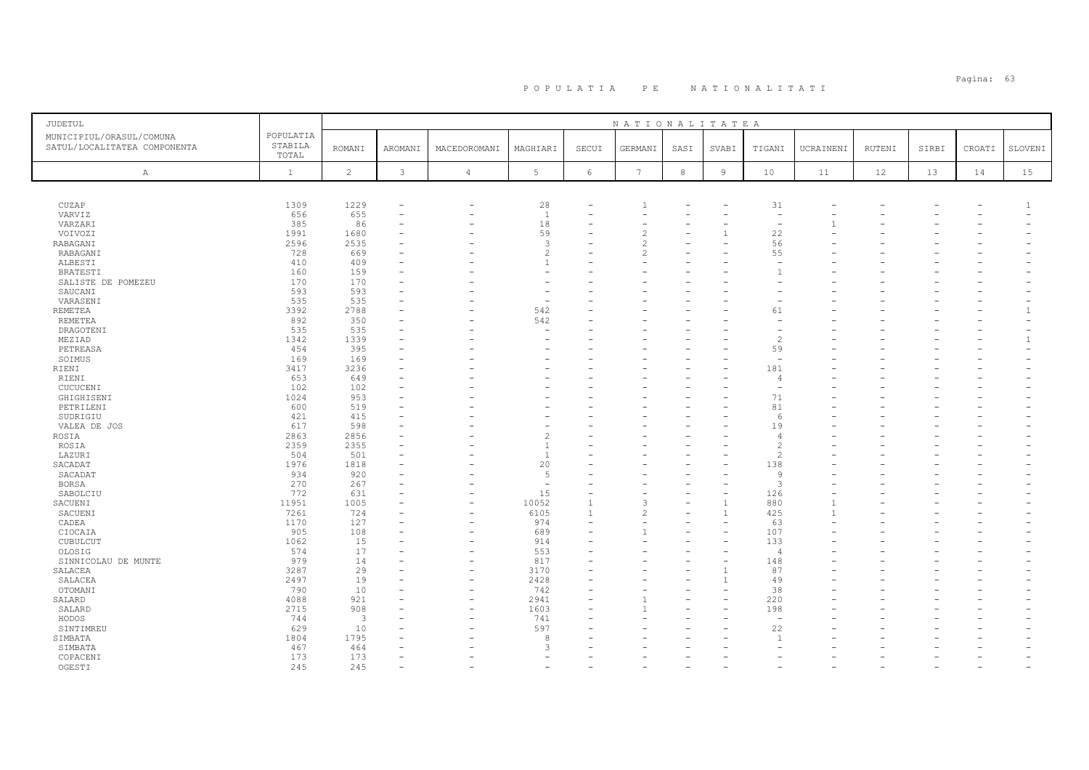| <b>JUDETUL</b>                                                                            |               |          |                          |                          |                | NATIONALITATEA  |      |                |                                 |           |        |       |                          |              |
|-------------------------------------------------------------------------------------------|---------------|----------|--------------------------|--------------------------|----------------|-----------------|------|----------------|---------------------------------|-----------|--------|-------|--------------------------|--------------|
| POPULATIA<br>MUNICIPIUL/ORASUL/COMUNA<br>STABILA<br>SATUL/LOCALITATEA COMPONENTA<br>TOTAL | <b>ROMANI</b> | AROMANI  | MACEDOROMANI             | MAGHIARI                 | SECUI          | GERMANI         | SASI | SVABI          | TIGANI                          | UCRAINENI | RUTENI | SIRBI | CROATI                   | SLOVENI      |
| $\mathbf{1}$<br>A                                                                         | 2             | 3        | $\overline{4}$           | $5\phantom{.0}$          | 6              | $7\phantom{.0}$ | 8    | $\overline{9}$ | 10                              | 11        | 12     | 13    | 14                       | 15           |
|                                                                                           |               |          |                          |                          |                |                 |      |                |                                 |           |        |       |                          |              |
| 1309<br>CUZAP                                                                             | 1229          |          | -                        | 28                       |                |                 |      |                | 31                              |           |        |       |                          | -1.          |
| VARVIZ<br>656                                                                             | 655           | $\equiv$ |                          | $\overline{1}$           | L.             |                 |      |                | $\sim$                          |           |        |       |                          |              |
| 385<br>VARZARI                                                                            | 86            |          |                          | 18                       |                |                 |      |                |                                 |           |        |       |                          |              |
| 1991<br>VOIVOZI                                                                           | 1680          | $\equiv$ |                          | 59                       |                |                 |      |                | 22                              |           |        |       |                          |              |
| 2596<br>RABAGANI                                                                          | 2535          |          |                          | 3                        |                | 2               |      |                | 56                              |           |        |       |                          |              |
| 728<br>RABAGANI                                                                           | 669           |          |                          | $\overline{c}$           |                | $\mathfrak{D}$  |      |                | 55                              |           |        |       |                          |              |
| 410<br>ALBESTI                                                                            | 409           |          |                          | $\overline{1}$           |                |                 |      |                |                                 |           |        |       |                          |              |
| 160<br><b>BRATESTI</b>                                                                    | 159           |          |                          |                          |                |                 |      |                |                                 |           |        |       |                          |              |
| 170<br>SALISTE DE POMEZEU                                                                 | 170           |          |                          | ٠                        |                |                 |      |                |                                 |           |        |       |                          |              |
| 593<br>SAUCANI                                                                            | 593           |          |                          | $\overline{\phantom{a}}$ |                |                 |      |                |                                 |           |        |       |                          |              |
| 535<br>VARASENI<br>3392<br>REMETEA                                                        | 535<br>2788   |          |                          | 542                      |                |                 |      |                | 61                              |           |        |       |                          | $\mathbf{1}$ |
| REMETEA<br>892                                                                            | 350           |          |                          | 542                      |                |                 |      |                |                                 |           |        |       |                          |              |
| 535<br>DRAGOTENI                                                                          | 535           |          |                          | ٠                        |                |                 |      |                |                                 |           |        |       |                          |              |
| MEZIAD<br>1342                                                                            | 1339          |          |                          |                          |                |                 |      |                | $\overline{c}$                  |           |        |       |                          |              |
| 454<br>PETREASA                                                                           | 395           |          |                          |                          |                |                 |      |                | 59                              |           |        |       |                          |              |
| 169<br>SOIMUS                                                                             | 169           |          |                          |                          |                |                 |      |                | $\overline{\phantom{a}}$        |           |        |       |                          |              |
| 3417<br>RIENI                                                                             | 3236          |          |                          |                          |                |                 |      |                | 181                             |           |        |       |                          |              |
| 653<br>RIENI                                                                              | 649           | $\equiv$ |                          |                          |                |                 |      |                | $\sqrt{2}$                      |           |        |       |                          |              |
| 102<br>CUCUCENI                                                                           | 102           |          |                          |                          |                |                 |      |                |                                 |           |        |       |                          |              |
| 1024<br>GHIGHISENI                                                                        | 953           |          |                          |                          |                |                 |      |                | 71                              |           |        |       |                          |              |
| 600<br>PETRILENI                                                                          | 519           |          |                          |                          |                |                 |      |                | 81                              |           |        |       |                          |              |
| 421<br>SUDRIGIU                                                                           | 415           |          |                          |                          |                |                 |      |                | 6                               |           |        |       |                          |              |
| 617<br>VALEA DE JOS                                                                       | 598           |          |                          |                          |                |                 |      |                | 19                              |           |        |       |                          |              |
| 2863<br>ROSIA                                                                             | 2856          |          |                          | $\overline{c}$           |                |                 |      |                | $\overline{4}$                  |           |        |       |                          |              |
| 2359<br>ROSIA                                                                             | 2355          |          |                          | $\overline{1}$           |                |                 |      |                | $\overline{c}$                  |           |        |       |                          |              |
| LAZURI<br>504                                                                             | 501           |          |                          | $\overline{1}$           |                |                 |      |                | $\mathcal{P}$                   |           |        |       |                          |              |
| 1976<br>SACADAT                                                                           | 1818          |          |                          | 20                       |                |                 |      |                | 138                             |           |        |       |                          |              |
| 934<br>SACADAT                                                                            | 920           |          |                          | $\overline{5}$           |                |                 |      |                | $\mathcal{Q}$                   |           |        |       |                          |              |
| 270<br><b>BORSA</b>                                                                       | 267           |          |                          | $\overline{\phantom{a}}$ |                |                 |      |                | $\mathbf{3}$                    |           |        |       |                          |              |
| 772<br>SABOLCIU                                                                           | 631           |          |                          | 15                       |                |                 |      |                | 126                             |           |        |       |                          |              |
| 11951<br>SACUENI                                                                          | 1005          |          | $\overline{\phantom{0}}$ | 10052                    |                | $\mathcal{L}$   |      |                | 880                             |           |        |       |                          |              |
| 7261<br>SACUENI                                                                           | 724           |          |                          | 6105                     | $\overline{1}$ | 2               |      | $\overline{1}$ | 425                             |           |        |       |                          |              |
| 1170<br>CADEA                                                                             | 127           |          | -                        | 974                      |                |                 |      |                | 63                              |           |        |       |                          |              |
| CIOCAIA<br>905                                                                            | 108           |          |                          | 689                      |                |                 |      |                | 107                             |           |        |       |                          |              |
| 1062<br>CUBULCUT<br>574                                                                   | 15<br>17      |          | -                        | 914<br>553               |                |                 |      |                | 133                             |           |        |       |                          |              |
| OLOSIG<br>979<br>SINNICOLAU DE MUNTE                                                      | 14            |          |                          | 817                      |                |                 |      |                | $\overline{\phantom{a}}$<br>148 |           |        |       |                          |              |
| 3287<br>SALACEA                                                                           | 29            |          | $\overline{\phantom{0}}$ | 3170                     | ۰              |                 |      |                | 87                              |           |        |       |                          |              |
| 2497<br>SALACEA                                                                           | 19            |          | $\overline{\phantom{0}}$ | 2428                     |                |                 |      |                | 49                              |           |        |       |                          |              |
| OTOMANI<br>790                                                                            | 10            |          | $\overline{\phantom{0}}$ | 742                      |                |                 |      |                | 38                              |           |        |       |                          |              |
| 4088<br>SALARD                                                                            | 921           |          |                          | 2941                     |                |                 |      |                | 220                             |           |        |       |                          |              |
| 2715<br>SALARD                                                                            | 908           |          |                          | 1603                     |                |                 |      |                | 198                             |           |        |       |                          |              |
| 744<br>HODOS                                                                              | 3             |          |                          | 741                      |                |                 |      |                |                                 |           |        |       |                          |              |
| 629<br>SINTIMREU                                                                          | 10            |          |                          | 597                      |                |                 |      |                | 22                              |           |        |       |                          |              |
| 1804<br>SIMBATA                                                                           | 1795          |          |                          | 8                        |                |                 |      |                | $\overline{1}$                  |           |        |       |                          |              |
| SIMBATA<br>467                                                                            | 464           |          |                          | 3                        |                |                 |      |                |                                 |           |        |       |                          |              |
| COPACENI<br>173                                                                           | 173           |          |                          |                          |                |                 |      |                |                                 |           |        |       |                          |              |
| OGESTI<br>245                                                                             | 245           |          |                          |                          |                |                 |      |                |                                 |           |        |       | $\overline{\phantom{a}}$ |              |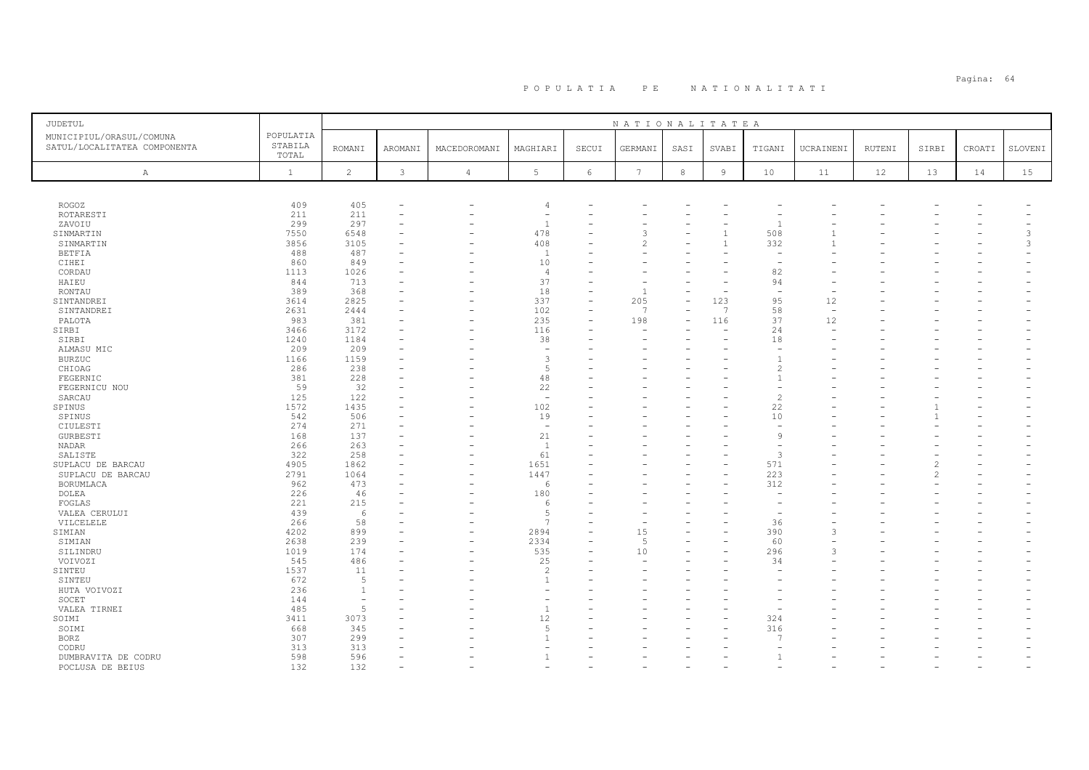| JUDETUL                                                  |                               |                |              |                |                          |            | NATIONALITATEA       |         |                |                                |           |        |       |        |         |
|----------------------------------------------------------|-------------------------------|----------------|--------------|----------------|--------------------------|------------|----------------------|---------|----------------|--------------------------------|-----------|--------|-------|--------|---------|
| MUNICIPIUL/ORASUL/COMUNA<br>SATUL/LOCALITATEA COMPONENTA | POPULATIA<br>STABILA<br>TOTAL | <b>ROMANI</b>  | AROMANI      | MACEDOROMANI   | MAGHIARI                 | SECUI      | GERMANI              | SASI    | SVABI          | TIGANI                         | UCRAINENI | RUTENI | SIRBI | CROATI | SLOVENI |
| Α                                                        | $\mathbf{1}$                  | $\overline{c}$ | $\mathbf{3}$ | $\overline{4}$ | 5                        | $\epsilon$ | $7\phantom{.0}$      | $\,8\,$ | $\overline{9}$ | 10                             | 11        | 12     | 13    | 14     | 15      |
|                                                          |                               |                |              |                |                          |            |                      |         |                |                                |           |        |       |        |         |
| <b>ROGOZ</b>                                             | 409                           | 405            |              |                | $\overline{4}$           |            |                      |         |                |                                |           |        |       |        |         |
| ROTARESTI                                                | 211                           | 211            |              |                | $\overline{\phantom{a}}$ |            |                      |         |                |                                |           |        |       |        |         |
| ZAVOIU                                                   | 299                           | 297            |              |                | $\overline{1}$           |            |                      |         |                |                                |           |        |       |        |         |
| SINMARTIN                                                | 7550                          | 6548           |              |                | 478                      |            | 3                    |         |                | 508                            |           |        |       |        | 3       |
| SINMARTIN                                                | 3856                          | 3105           |              |                | 408                      |            | 2                    |         |                | 332                            |           |        |       |        | 3       |
| <b>BETFIA</b>                                            | 488                           | 487            |              |                | $\mathbf{1}$             |            |                      |         |                |                                |           |        |       |        |         |
| CIHEI                                                    | 860                           | 849            |              |                | 10                       |            |                      |         |                |                                |           |        |       |        |         |
| CORDAU                                                   | 1113                          | 1026           |              |                | $\overline{4}$           |            |                      |         |                | 82                             |           |        |       |        |         |
| HAIEU                                                    | 844<br>389                    | 713<br>368     |              |                | 37<br>18                 | ۳          |                      |         |                | 94<br>$\overline{\phantom{a}}$ |           |        |       |        |         |
| RONTAU<br>SINTANDREI                                     | 3614                          | 2825           |              |                | 337                      | $\equiv$   | 205                  |         | 123            | 95                             | 12        |        |       |        |         |
| SINTANDREI                                               | 2631                          | 2444           |              |                | 102                      |            | $\overline{7}$       |         | $\overline{7}$ | 58                             | ÷         |        |       |        |         |
| PALOTA                                                   | 983                           | 381            |              |                | 235                      | $\equiv$   | 198                  |         | 116            | 37                             | 12        |        |       |        |         |
| SIRBI                                                    | 3466                          | 3172           |              |                | 116                      |            |                      |         |                | 24                             |           |        |       |        |         |
| SIRBI                                                    | 1240                          | 1184           |              |                | 38                       |            |                      |         |                | 18                             |           |        |       |        |         |
| ALMASU MIC                                               | 209                           | 209            |              |                |                          |            |                      |         |                |                                |           |        |       |        |         |
| <b>BURZUC</b>                                            | 1166                          | 1159           |              |                | 3                        |            |                      |         |                |                                |           |        |       |        |         |
| CHIOAG                                                   | 286                           | 238            |              |                | 5                        |            |                      |         |                | 2                              |           |        |       |        |         |
| FEGERNIC                                                 | 381                           | 228            |              |                | 48                       |            |                      |         |                |                                |           |        |       |        |         |
| FEGERNICU NOU                                            | 59                            | 32             |              |                | 22                       |            |                      |         |                |                                |           |        |       |        |         |
| SARCAU                                                   | 125                           | 122            |              |                | $\overline{\phantom{a}}$ |            |                      |         |                | $\overline{\mathcal{L}}$       |           |        |       |        |         |
| SPINUS                                                   | 1572                          | 1435           |              |                | 102                      |            |                      |         |                | 22                             |           |        |       |        |         |
| SPINUS                                                   | 542                           | 506            |              |                | 19                       |            |                      |         |                | 10                             |           |        |       |        |         |
| CIULESTI                                                 | 274                           | 271            |              |                | $\overline{\phantom{m}}$ |            |                      |         |                |                                |           |        |       |        |         |
| GURBESTI                                                 | 168                           | 137            |              |                | 21                       |            |                      |         |                | 9                              |           |        |       |        |         |
| NADAR                                                    | 266                           | 263            |              |                | <sup>1</sup>             |            |                      |         |                | $\overline{\phantom{a}}$       |           |        |       |        |         |
| SALISTE                                                  | 322                           | 258            |              |                | 61                       |            |                      |         |                | 3                              |           |        |       |        |         |
| SUPLACU DE BARCAU                                        | 4905                          | 1862           |              |                | 1651                     |            |                      |         |                | 571                            |           |        |       |        |         |
| SUPLACU DE BARCAU                                        | 2791                          | 1064           |              |                | 1447                     |            |                      |         |                | 223                            |           |        |       |        |         |
| BORUMLACA                                                | 962                           | 473            |              |                | 6                        |            |                      |         |                | 312                            |           |        |       |        |         |
| DOLEA                                                    | 226                           | 46             |              |                | 180                      |            |                      |         |                |                                |           |        |       |        |         |
| FOGLAS                                                   | 221                           | 215            |              |                | -6                       |            |                      |         |                |                                |           |        |       |        |         |
| VALEA CERULUI                                            | 439                           | 6              |              |                | 5<br>$\overline{7}$      |            |                      |         |                |                                |           |        |       |        |         |
| VILCELELE                                                | 266                           | 58             |              |                |                          |            |                      |         |                | 36                             |           |        |       |        |         |
| SIMIAN                                                   | 4202<br>2638                  | 899<br>239     |              |                | 2894<br>2334             | ۳          | 15<br>$\overline{5}$ |         |                | 390<br>60                      |           |        |       |        |         |
| SIMIAN                                                   | 1019                          | 174            |              |                | 535                      |            | 10                   |         |                | 296                            |           |        |       |        |         |
| SILINDRU                                                 | 545                           | 486            |              |                | 25                       |            |                      |         |                | 34                             |           |        |       |        |         |
| VOIVOZI<br>SINTEU                                        | 1537                          | 11             |              |                | $\overline{c}$           |            |                      |         |                |                                |           |        |       |        |         |
| SINTEU                                                   | 672                           | -5             |              |                | $\mathbf{1}$             |            |                      |         |                |                                |           |        |       |        |         |
| HUTA VOIVOZI                                             | 236                           | $\overline{1}$ |              |                |                          |            |                      |         |                |                                |           |        |       |        |         |
| SOCET                                                    | 144                           |                |              |                |                          |            |                      |         |                |                                |           |        |       |        |         |
| VALEA TIRNEI                                             | 485                           | 5              |              |                | $\overline{1}$           |            |                      |         |                |                                |           |        |       |        |         |
| SOIMI                                                    | 3411                          | 3073           |              |                | 12                       |            |                      |         |                | 324                            |           |        |       |        |         |
| SOIMI                                                    | 668                           | 345            |              |                | 5                        |            |                      |         |                | 316                            |           |        |       |        |         |
| <b>BORZ</b>                                              | 307                           | 299            |              |                | $\overline{1}$           |            |                      |         |                |                                |           |        |       |        |         |
| CODRU                                                    | 313                           | 313            |              |                |                          |            |                      |         |                |                                |           |        |       |        |         |
| DUMBRAVITA DE CODRU                                      | 598                           | 596            |              |                |                          |            |                      |         |                |                                |           |        |       |        |         |
| POCLUSA DE BEIUS                                         | 132                           | 132            |              |                |                          |            |                      |         |                |                                |           |        |       |        |         |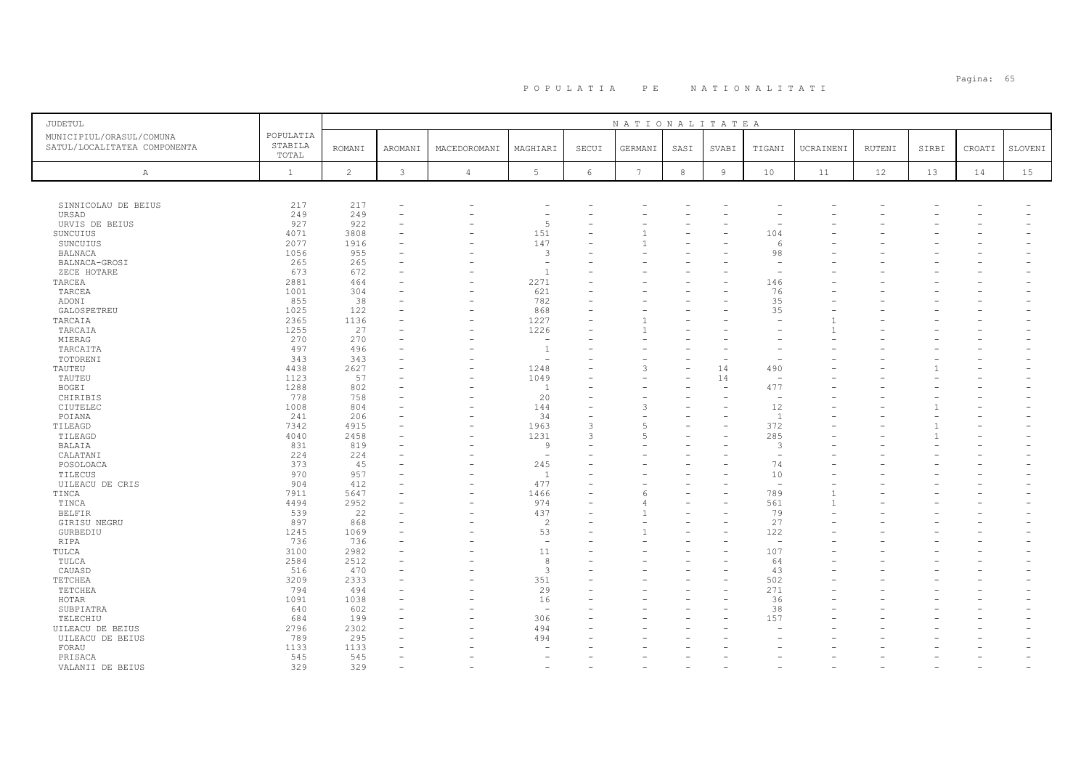| <b>JUDETUL</b>                                           |                               |                |         |                |                          |       | NATIONALITATEA  |            |       |                |           |        |       |        |         |
|----------------------------------------------------------|-------------------------------|----------------|---------|----------------|--------------------------|-------|-----------------|------------|-------|----------------|-----------|--------|-------|--------|---------|
| MUNICIPIUL/ORASUL/COMUNA<br>SATUL/LOCALITATEA COMPONENTA | POPULATIA<br>STABILA<br>TOTAL | <b>ROMANI</b>  | AROMAN1 | MACEDOROMANI   | MAGHIARI                 | SECUI | GERMANI         | SASI       | SVABI | TIGANI         | UCRAINENI | RUTENI | SIRBI | CROATI | SLOVENI |
| $\mathbb{A}$                                             | $\mathbf{1}$                  | $\overline{c}$ | 3       | $\overline{4}$ | 5                        | 6     | $7\phantom{.0}$ | $^{\rm 8}$ | 9     | 10             | 11        | 12     | 13    | 14     | 15      |
|                                                          |                               |                |         |                |                          |       |                 |            |       |                |           |        |       |        |         |
| SINNICOLAU DE BEIUS                                      | 217                           | 217            |         |                |                          |       |                 |            |       |                |           |        |       |        |         |
| URSAD                                                    | 249                           | 249            |         |                |                          |       |                 |            |       |                |           |        |       |        |         |
| URVIS DE BEIUS                                           | 927                           | 922            |         |                | 5                        |       |                 |            |       |                |           |        |       |        |         |
| SUNCUIUS                                                 | 4071                          | 3808           |         |                | 151                      |       |                 |            |       | 104            |           |        |       |        |         |
| SUNCUIUS                                                 | 2077                          | 1916           |         |                | 147                      |       |                 |            |       |                |           |        |       |        |         |
| <b>BALNACA</b>                                           | 1056                          | 955            |         |                | 3                        |       |                 |            |       | 98             |           |        |       |        |         |
| BALNACA-GROSI                                            | 265                           | 265            |         |                | $\overline{a}$           |       |                 |            |       |                |           |        |       |        |         |
| ZECE HOTARE                                              | 673                           | 672            |         |                | $\overline{1}$           |       |                 |            |       |                |           |        |       |        |         |
| TARCEA                                                   | 2881                          | 464            |         |                | 2271                     |       |                 |            |       | 146            |           |        |       |        |         |
| TARCEA                                                   | 1001                          | 304            |         |                | 621                      |       |                 |            |       | 76             |           |        |       |        |         |
| ADONI                                                    | 855                           | 38             |         |                | 782                      |       |                 |            |       | 35             |           |        |       |        |         |
| GALOSPETREU                                              | 1025                          | 122            |         |                | 868                      |       |                 |            |       | 35             |           |        |       |        |         |
| TARCAIA                                                  | 2365                          | 1136           |         |                | 1227                     |       |                 |            |       |                |           |        |       |        |         |
| TARCAIA                                                  | 1255                          | 27             |         |                | 1226                     |       |                 |            |       |                |           |        |       |        |         |
| MIERAG                                                   | 270                           | 270            |         |                | $\overline{\phantom{a}}$ |       |                 |            |       |                |           |        |       |        |         |
| TARCAITA                                                 | 497                           | 496            |         |                | $\overline{1}$           |       |                 |            |       |                |           |        |       |        |         |
| TOTORENI                                                 | 343                           | 343            |         |                |                          |       |                 |            |       |                |           |        |       |        |         |
| TAUTEU                                                   | 4438                          | 2627           |         |                | 1248                     |       | ٦               |            | 14    | 490            |           |        |       |        |         |
| TAUTEU                                                   | 1123                          | 57             |         |                | 1049                     |       |                 |            | 14    |                |           |        |       |        |         |
| BOGEI                                                    | 1288                          | 802            |         |                | $\overline{1}$           |       |                 |            |       | 477            |           |        |       |        |         |
| CHIRIBIS                                                 | 778                           | 758            |         |                | 20                       |       |                 |            |       |                |           |        |       |        |         |
| CIUTELEC                                                 | 1008                          | 804            |         |                | 144                      |       |                 |            |       | 12             |           |        |       |        |         |
| POIANA                                                   | 241                           | 206            |         |                | 34                       |       |                 |            |       | $\overline{1}$ |           |        |       |        |         |
| TILEAGD                                                  | 7342                          | 4915           |         |                | 1963                     | 3     |                 |            |       | 372            |           |        |       |        |         |
| TILEAGD                                                  | 4040                          | 2458           |         |                | 1231                     | 3     |                 |            |       | 285            |           |        |       |        |         |
| BALAIA                                                   | 831                           | 819            |         |                | 9                        |       |                 |            |       | 3              |           |        |       |        |         |
| CALATANI                                                 | 224                           | 224            |         |                |                          |       |                 |            |       |                |           |        |       |        |         |
| POSOLOACA                                                | 373                           | 45             |         |                | 245                      |       |                 |            |       | 74             |           |        |       |        |         |
| TILECUS                                                  | 970                           | 957            |         |                | - 1                      |       |                 |            |       | 10             |           |        |       |        |         |
| UILEACU DE CRIS                                          | 904                           | 412            |         |                | 477                      |       |                 |            |       |                |           |        |       |        |         |
| TINCA                                                    | 7911                          | 5647           |         |                | 1466                     | ۰     |                 |            |       | 789            |           |        |       |        |         |
| TINCA                                                    | 4494                          | 2952           |         |                | 974                      |       |                 |            |       | 561            |           |        |       |        |         |
| <b>BELFIR</b>                                            | 539                           | 22             |         |                | 437<br>$\overline{c}$    |       |                 |            |       | 79<br>27       |           |        |       |        |         |
| GIRISU NEGRU                                             | 897                           | 868            |         |                | 53                       |       |                 |            |       |                |           |        |       |        |         |
| GURBEDIU                                                 | 1245                          | 1069           |         |                | ÷,                       |       |                 |            |       | 122            |           |        |       |        |         |
| RIPA                                                     | 736                           | 736            |         |                | 11                       |       |                 |            |       |                |           |        |       |        |         |
| TULCA                                                    | 3100                          | 2982           |         |                | 8                        |       |                 |            |       | 107            |           |        |       |        |         |
| TULCA                                                    | 2584<br>516                   | 2512<br>470    |         |                | 3                        |       |                 |            |       | 64<br>43       |           |        |       |        |         |
| CAUASD<br>TETCHEA                                        | 3209                          | 2333           |         |                | 351                      |       |                 |            |       | 502            |           |        |       |        |         |
| TETCHEA                                                  | 794                           | 494            |         |                | 29                       |       |                 |            |       | 271            |           |        |       |        |         |
| HOTAR                                                    | 1091                          | 1038           |         |                | 16                       |       |                 |            |       | 36             |           |        |       |        |         |
| SUBPIATRA                                                | 640                           | 602            |         |                | $\sim$                   |       |                 |            |       | 38             |           |        |       |        |         |
|                                                          | 684                           | 199            |         |                | 306                      |       |                 |            |       | 157            |           |        |       |        |         |
| TELECHIU<br>UILEACU DE BEIUS                             | 2796                          | 2302           |         |                | 494                      |       |                 |            |       |                |           |        |       |        |         |
| UILEACU DE BEIUS                                         | 789                           | 295            |         |                | 494                      |       |                 |            |       |                |           |        |       |        |         |
| FORAU                                                    | 1133                          | 1133           |         |                |                          |       |                 |            |       |                |           |        |       |        |         |
| PRISACA                                                  | 545                           | 545            |         |                |                          |       |                 |            |       |                |           |        |       |        |         |
| VALANII DE BEIUS                                         | 329                           | 329            |         |                |                          |       |                 |            |       |                |           |        |       |        |         |
|                                                          |                               |                |         |                |                          |       |                 |            |       |                |           |        |       |        |         |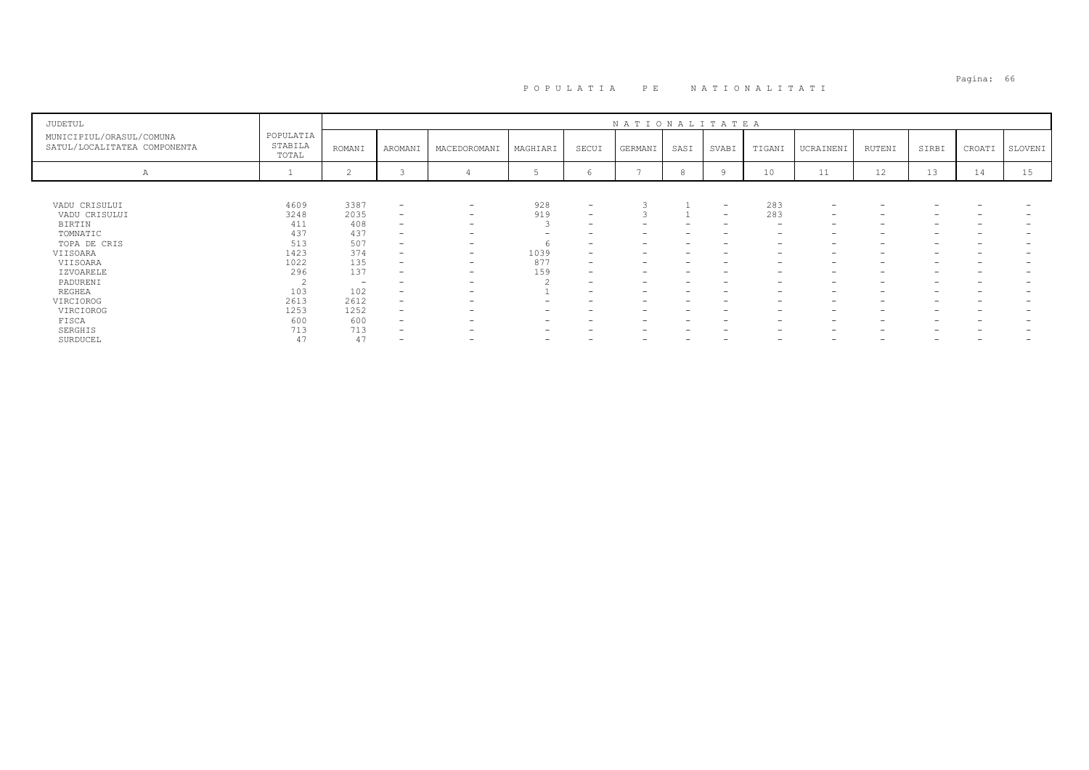| JUDETUL                                                  |                               |                          |                          |                          |                          |                          | NATIONALITATEA |      |                                 |                          |                          |        |                   |        |         |
|----------------------------------------------------------|-------------------------------|--------------------------|--------------------------|--------------------------|--------------------------|--------------------------|----------------|------|---------------------------------|--------------------------|--------------------------|--------|-------------------|--------|---------|
| MUNICIPIUL/ORASUL/COMUNA<br>SATUL/LOCALITATEA COMPONENTA | POPULATIA<br>STABILA<br>TOTAL | ROMANI                   | AROMANI                  | MACEDOROMANI             | MAGHIARI                 | SECUI                    | GERMANI        | SASI | SVABI                           | TIGANI                   | UCRAINENI                | RUTENI | SIRBI             | CROATI | SLOVENI |
| А                                                        |                               | $\sim$                   |                          |                          |                          | $\sqrt{2}$               |                |      |                                 | 10                       | 11                       | 12     | 13                | 14     | 15      |
|                                                          |                               |                          |                          |                          |                          |                          |                |      |                                 |                          |                          |        |                   |        |         |
| VADU CRISULUI                                            | 4609                          | 3387                     | $\overline{\phantom{0}}$ | $\overline{\phantom{0}}$ | 928                      | $\sim$                   | 3              |      | $\hspace{0.1mm}-\hspace{0.1mm}$ | 283                      | $\overline{\phantom{a}}$ |        |                   |        |         |
| VADU CRISULUI                                            | 3248                          | 2035                     | $\overline{\phantom{0}}$ | $\overline{\phantom{0}}$ | 919                      | $\overline{\phantom{a}}$ |                |      | $\overline{\phantom{a}}$        | 283                      | $\overline{\phantom{0}}$ |        |                   |        |         |
| BIRTIN                                                   | 411                           | 408                      | $\overline{\phantom{a}}$ | $\overline{\phantom{0}}$ |                          | $\overline{\phantom{0}}$ | -              |      | $\overline{\phantom{0}}$        | $\overline{\phantom{0}}$ | $\overline{\phantom{0}}$ |        | -                 |        |         |
| TOMNATIC                                                 | 437                           | 437                      | $\overline{\phantom{0}}$ | $\overline{\phantom{a}}$ |                          |                          | -              |      | $\overline{\phantom{0}}$        | $\overline{\phantom{0}}$ | $\overline{\phantom{a}}$ |        | $\qquad \qquad -$ |        |         |
| TOPA DE CRIS                                             | 513                           | 507                      | $\overline{\phantom{0}}$ | $\overline{\phantom{0}}$ |                          | $\overline{\phantom{0}}$ | -              |      | $\overline{\phantom{0}}$        | $\overline{\phantom{0}}$ | $\overline{\phantom{0}}$ |        | -                 |        |         |
| VIISOARA                                                 | 1423                          | 374                      | $\qquad \qquad -$        | $\overline{\phantom{0}}$ | 1039                     | $\overline{\phantom{0}}$ |                |      |                                 |                          | -                        |        |                   |        |         |
| VIISOARA                                                 | 1022                          | 135                      | $\overline{\phantom{0}}$ | $\overline{\phantom{0}}$ | 877                      | $\overline{\phantom{0}}$ | -              |      |                                 | $\overline{\phantom{0}}$ | -                        |        | -                 |        |         |
| IZVOARELE                                                | 296                           | 137                      | $\overline{\phantom{0}}$ | $\overline{\phantom{0}}$ | 159                      | $\overline{\phantom{0}}$ | -              |      |                                 |                          | -                        |        |                   |        |         |
| PADURENI                                                 |                               | $\overline{\phantom{a}}$ | $\overline{\phantom{0}}$ | $\overline{\phantom{a}}$ |                          | $\overline{\phantom{0}}$ | -              |      | $\overline{\phantom{0}}$        | $\overline{\phantom{0}}$ | $\overline{\phantom{0}}$ |        | -                 |        |         |
| REGHEA                                                   | 103                           | 102                      | $\qquad \qquad -$        | $\overline{\phantom{0}}$ |                          | $\overline{\phantom{0}}$ | -              |      |                                 |                          | $\overline{\phantom{0}}$ |        |                   |        |         |
| VIRCIOROG                                                | 2613                          | 2612                     | $\overline{\phantom{0}}$ | -                        |                          |                          |                |      |                                 |                          | -                        |        |                   |        |         |
| VIRCIOROG                                                | 1253                          | 1252                     | $-$                      | $\overline{\phantom{a}}$ | -                        |                          | -              |      | $\overline{\phantom{0}}$        | $\overline{\phantom{0}}$ | $\overline{\phantom{a}}$ |        | -                 |        |         |
| FISCA                                                    | 600                           | 600                      | -                        | -                        |                          |                          |                |      |                                 |                          | -                        |        |                   |        |         |
| SERGHIS                                                  | 713                           | 713                      | $\overline{\phantom{0}}$ | $\overline{\phantom{a}}$ | $\overline{\phantom{0}}$ |                          | -              |      | $\overline{\phantom{0}}$        | $\overline{\phantom{0}}$ | $\overline{\phantom{a}}$ |        | -                 |        |         |
| SURDUCEL                                                 | 47                            | 47                       | -                        | -                        | -                        |                          | -              |      | $\overline{\phantom{0}}$        | $\overline{\phantom{0}}$ | $\overline{\phantom{0}}$ |        | -                 | -      |         |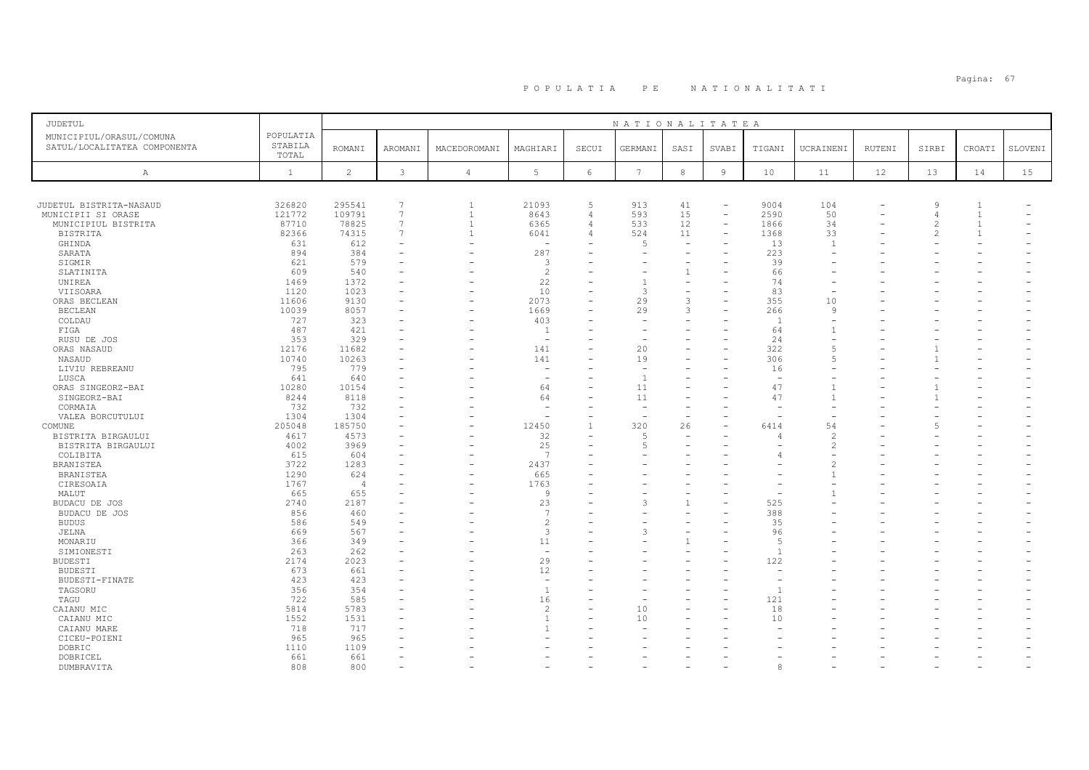| <b>JUDETUL</b>               |              |                |                 |                |                          |                          | NATIONALITATEA  |                          |                          |                |                |        |                |                |         |
|------------------------------|--------------|----------------|-----------------|----------------|--------------------------|--------------------------|-----------------|--------------------------|--------------------------|----------------|----------------|--------|----------------|----------------|---------|
| MUNICIPIUL/ORASUL/COMUNA     | POPULATIA    |                |                 |                |                          |                          |                 |                          |                          |                |                |        |                |                |         |
| SATUL/LOCALITATEA COMPONENTA | STABILA      | <b>ROMANI</b>  | <b>AROMANI</b>  | MACEDOROMANI   | MAGHIARI                 | SECUI                    | GERMANI         | SASI                     | SVABI                    | TIGANI         | UCRAINENI      | RUTENI | SIRBI          | CROATI         | SLOVENI |
|                              | TOTAL        |                |                 |                |                          |                          |                 |                          |                          |                |                |        |                |                |         |
| A                            | $\mathbf{1}$ | $\overline{c}$ | $\mathcal{E}$   | $\overline{4}$ | $5\phantom{.0}$          | 6                        | $7\phantom{.0}$ | $^{\rm 8}$               | $\overline{9}$           | 10             | 11             | 12     | 13             | 14             | 15      |
|                              |              |                |                 |                |                          |                          |                 |                          |                          |                |                |        |                |                |         |
|                              |              |                |                 |                |                          |                          |                 |                          |                          |                |                |        |                |                |         |
| JUDETUL BISTRITA-NASAUD      | 326820       | 295541         | $7\phantom{.0}$ | $\mathbf{1}$   | 21093                    | 5                        | 913             | 41                       | $\overline{\phantom{a}}$ | 9004           | 104            |        | $\mathcal{Q}$  | $\overline{1}$ |         |
| MUNICIPII SI ORASE           | 121772       | 109791         | $7\overline{ }$ | $\overline{1}$ | 8643                     | 4                        | 593             | 15                       | $\equiv$                 | 2590           | 50             |        | $\overline{4}$ | $\overline{1}$ |         |
| MUNICIPIUL BISTRITA          | 87710        | 78825          | $7\overline{ }$ | $\overline{1}$ | 6365                     | $\overline{4}$           | 533             | 12                       | $\overline{\phantom{a}}$ | 1866           | 34             |        | $\mathfrak{D}$ | $\overline{1}$ |         |
| <b>BISTRITA</b>              | 82366        | 74315          | $7\phantom{.0}$ | $\overline{1}$ | 6041                     | 4                        | 524             | 11                       | $\equiv$                 | 1368           | 33             |        | $\mathfrak{D}$ | $\overline{1}$ |         |
| GHINDA                       | 631          | 612            |                 |                | $\sim$                   |                          | 5               | $\overline{\phantom{0}}$ |                          | 13             | $\overline{1}$ |        |                |                |         |
| SARATA                       | 894          | 384            |                 |                | 287                      |                          |                 |                          |                          | 223            |                |        |                |                |         |
| SIGMIR                       | 621          | 579            |                 |                | 3                        |                          |                 |                          |                          | 39             |                |        |                |                |         |
| SLATINITA                    | 609          | 540            |                 |                | $\overline{c}$           |                          |                 | $\mathbf{1}$             |                          | 66             |                |        |                |                |         |
| UNIREA                       | 1469         | 1372           |                 |                | 22                       |                          | $\mathbf{1}$    |                          |                          | 74             |                |        |                |                |         |
| VIISOARA                     | 1120         | 1023           |                 |                | 10                       |                          | 3               | $\sim$                   |                          | 83             |                |        |                |                |         |
| ORAS BECLEAN                 | 11606        | 9130           |                 | ۰              | 2073                     | ۳                        | 29              | 3                        |                          | 355            | 10             |        |                |                |         |
| <b>BECLEAN</b>               | 10039        | 8057           |                 | ÷              | 1669                     |                          | 29              | 3                        |                          | 266            | $\mathsf{Q}$   |        |                |                |         |
| COLDAU                       | 727          | 323            |                 |                | 403                      | $\overline{\phantom{0}}$ |                 |                          |                          | $\overline{1}$ |                |        |                |                |         |
| FIGA                         | 487          | 421            |                 |                | <sup>1</sup>             |                          |                 |                          |                          | 64             |                |        |                |                |         |
| RUSU DE JOS                  | 353          | 329            |                 |                | $\overline{\phantom{a}}$ |                          |                 |                          |                          | 24             |                |        |                |                |         |
| ORAS NASAUD                  | 12176        | 11682          |                 |                | 141                      |                          | 20              |                          |                          | 322            | $\overline{5}$ |        |                |                |         |
| NASAUD                       | 10740        | 10263          |                 |                | 141                      |                          | 19              |                          |                          | 306            | $\overline{5}$ |        |                |                |         |
| LIVIU REBREANU               | 795          | 779            |                 |                | $\overline{\phantom{a}}$ |                          |                 |                          |                          | 16             |                |        |                |                |         |
| LUSCA                        | 641          | 640            |                 |                | $\overline{\phantom{a}}$ |                          |                 |                          |                          |                |                |        |                |                |         |
| ORAS SINGEORZ-BAI            | 10280        | 10154          |                 |                | 64                       |                          | 11              |                          |                          | 47             |                |        |                |                |         |
| SINGEORZ-BAI                 | 8244         | 8118           |                 |                | 64                       |                          | 11              |                          |                          | 47             |                |        |                |                |         |
| CORMAIA                      | 732          | 732            |                 |                | $\overline{\phantom{a}}$ |                          |                 |                          |                          |                |                |        |                |                |         |
| VALEA BORCUTULUI             | 1304         | 1304           |                 |                | $\sim$                   |                          |                 |                          |                          |                |                |        |                |                |         |
| COMUNE                       | 205048       | 185750         |                 | ۰              | 12450                    |                          | 320             | 26                       |                          | 6414           | 54             |        |                |                |         |
| BISTRITA BIRGAULUI           | 4617         | 4573           |                 |                | 32                       |                          | 5               |                          |                          |                |                |        |                |                |         |
| BISTRITA BIRGAULUI           | 4002         | 3969           |                 | ÷              | 25                       |                          | 5               |                          |                          |                |                |        |                |                |         |
| COLIBITA                     | 615          | 604            |                 |                | 7                        |                          |                 |                          |                          |                |                |        |                |                |         |
| BRANISTEA                    | 3722         | 1283           |                 |                | 2437                     |                          |                 |                          |                          |                | $\mathcal{D}$  |        |                |                |         |
| BRANISTEA                    | 1290         | 624            |                 |                | 665                      |                          |                 |                          |                          |                | $\mathbf{1}$   |        |                |                |         |
| CIRESOAIA                    | 1767         | $\overline{4}$ |                 |                | 1763                     |                          |                 |                          |                          |                |                |        |                |                |         |
| MALUT                        | 665          | 655            |                 |                | $\mathbf{Q}$             |                          |                 |                          |                          |                |                |        |                |                |         |
| BUDACU DE JOS                | 2740         | 2187           |                 |                | 23                       |                          | 3               |                          |                          | 525            |                |        |                |                |         |
| BUDACU DE JOS                | 856          | 460            |                 |                | $\overline{7}$           |                          |                 |                          |                          | 388            |                |        |                |                |         |
| <b>BUDUS</b>                 | 586          | 549            |                 |                | $\overline{c}$           |                          |                 |                          |                          | 35             |                |        |                |                |         |
| <b>JELNA</b>                 | 669          | 567            |                 |                | 3                        | $=$                      | 3               |                          |                          | 96             |                |        |                |                |         |
| MONARIU                      | 366          | 349            |                 |                | 11                       |                          |                 |                          |                          | 5              |                |        |                |                |         |
| SIMIONESTI                   | 263          | 262            |                 |                | $\equiv$                 |                          |                 |                          |                          | $\overline{1}$ |                |        |                |                |         |
| <b>BUDESTI</b>               | 2174         | 2023           |                 |                | 29                       |                          |                 |                          |                          | 122            |                |        |                |                |         |
| <b>BUDESTI</b>               | 673          | 661            |                 |                | 12                       | $\equiv$                 |                 |                          |                          |                |                |        |                |                |         |
| BUDESTI-FINATE               | 423          | 423            |                 |                | $\sim$                   |                          |                 |                          |                          |                |                |        |                |                |         |
| TAGSORU                      | 356          | 354            |                 |                | $\overline{1}$           |                          |                 |                          |                          | $\overline{1}$ |                |        |                |                |         |
| TAGU                         | 722          | 585            |                 |                | 16                       |                          |                 |                          |                          | 121            |                |        |                |                |         |
| CAIANU MIC                   | 5814         | 5783           |                 |                | $\overline{c}$           |                          | 10              |                          |                          | 18             |                |        |                |                |         |
| CAIANU MIC                   | 1552         | 1531           |                 |                | $\overline{1}$           |                          | 10              |                          |                          | 10             |                |        |                |                |         |
| CAIANU MARE                  | 718          | 717            |                 |                | -1                       |                          |                 |                          |                          |                |                |        |                |                |         |
| CICEU-POIENI                 | 965          | 965            |                 |                |                          |                          |                 |                          |                          |                |                |        |                |                |         |
| DOBRIC                       | 1110         | 1109           |                 |                |                          |                          |                 |                          |                          |                |                |        |                |                |         |
| DOBRICEL                     | 661          | 661            |                 |                |                          |                          |                 |                          |                          |                |                |        |                |                |         |
| DUMBRAVITA                   | 808          | 800            |                 |                |                          |                          |                 |                          |                          | 8              |                |        |                |                |         |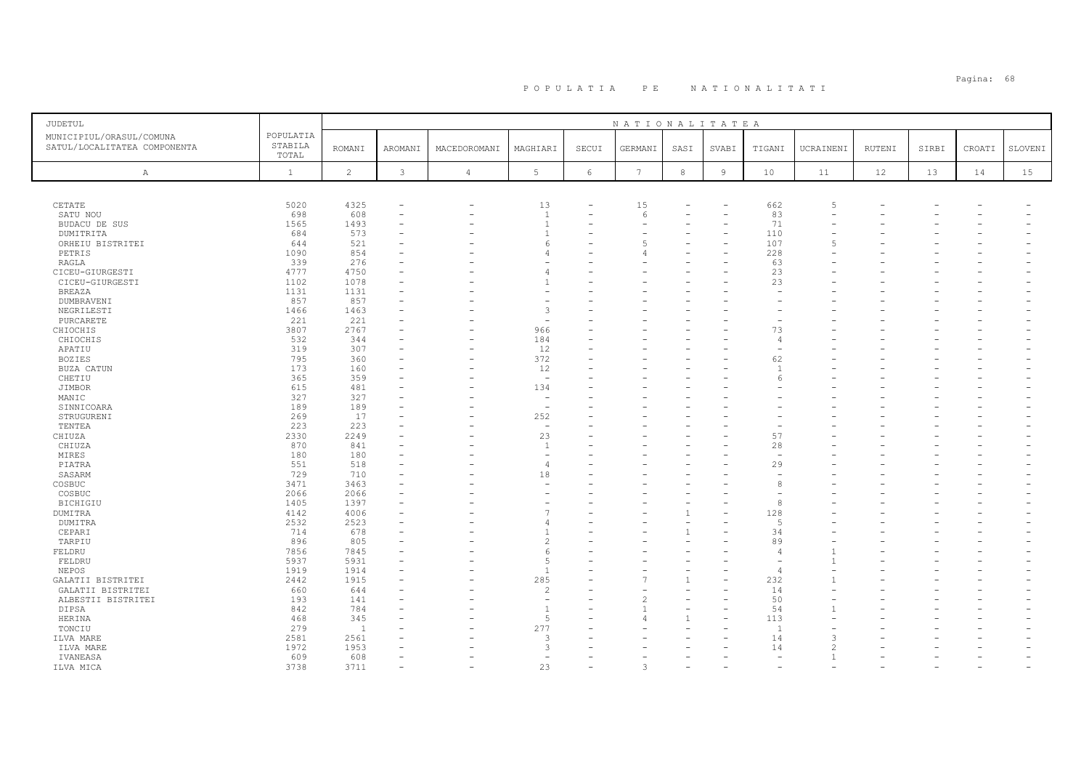| JUDETUL                      |              |                |              |                |                                            |                          | NATIONALITATEA  |                          |                          |                       |           |               |       |        |         |
|------------------------------|--------------|----------------|--------------|----------------|--------------------------------------------|--------------------------|-----------------|--------------------------|--------------------------|-----------------------|-----------|---------------|-------|--------|---------|
| MUNICIPIUL/ORASUL/COMUNA     | POPULATIA    |                |              |                |                                            |                          |                 |                          |                          |                       |           |               |       |        |         |
| SATUL/LOCALITATEA COMPONENTA | STABILA      | <b>ROMANI</b>  | AROMANI      | MACEDOROMANI   | MAGHIARI                                   | SECUI                    | GERMANI         | SASI                     | SVABI                    | TIGANI                | UCRAINENI | <b>RUTENI</b> | SIRBI | CROATI | SLOVENI |
|                              | TOTAL        |                |              |                |                                            |                          |                 |                          |                          |                       |           |               |       |        |         |
| A                            | $\mathbf{1}$ | $\overline{c}$ | $\mathbf{3}$ | $\overline{4}$ | $5\phantom{.0}$                            | $6\phantom{.}6$          | $7\phantom{.0}$ | $^{\rm 8}$               | $\overline{9}$           | 10                    | 11        | 12            | 13    | 14     | 15      |
|                              |              |                |              |                |                                            |                          |                 |                          |                          |                       |           |               |       |        |         |
|                              |              |                |              |                |                                            |                          |                 |                          |                          |                       |           |               |       |        |         |
|                              |              |                |              |                |                                            |                          |                 |                          |                          |                       |           |               |       |        |         |
| CETATE                       | 5020         | 4325           |              |                | 13                                         |                          | 15              |                          |                          | 662                   |           |               |       |        |         |
| SATU NOU                     | 698          | 608            |              |                | $\overline{1}$                             | $\overline{\phantom{0}}$ | 6               |                          | $\overline{\phantom{0}}$ | 83                    |           |               |       |        |         |
| BUDACU DE SUS                | 1565         | 1493           |              |                | $\overline{1}$                             |                          |                 |                          |                          | 71                    |           |               |       |        |         |
| DUMITRITA                    | 684          | 573            |              |                | $\overline{1}$                             |                          |                 |                          |                          | 110                   |           |               |       |        |         |
| ORHEIU BISTRITEI             | 644          | 521            |              |                | -6                                         |                          | 5               |                          |                          | 107                   |           |               |       |        |         |
| PETRIS                       | 1090         | 854            |              |                | 4                                          |                          |                 |                          |                          | 228                   |           |               |       |        |         |
| RAGLA                        | 339          | 276            |              |                |                                            |                          |                 |                          |                          | 63                    |           |               |       |        |         |
| CICEU-GIURGESTI              | 4777         | 4750           |              |                | 4                                          |                          |                 |                          |                          | 23                    |           |               |       |        |         |
| CICEU-GIURGESTI              | 1102         | 1078           |              |                |                                            |                          |                 |                          |                          | 23                    |           |               |       |        |         |
| <b>BREAZA</b>                | 1131         | 1131           |              |                |                                            |                          |                 |                          |                          |                       |           |               |       |        |         |
| DUMBRAVENI                   | 857          | 857            |              |                |                                            |                          |                 |                          |                          |                       |           |               |       |        |         |
| NEGRILESTI                   | 1466         | 1463           |              |                | 3                                          |                          |                 |                          |                          |                       |           |               |       |        |         |
| PURCARETE                    | 221          | 221            |              |                | $\overline{a}$                             |                          |                 |                          |                          |                       |           |               |       |        |         |
| CHIOCHIS                     | 3807         | 2767           |              |                | 966                                        |                          |                 |                          |                          | 73                    |           |               |       |        |         |
| CHIOCHIS                     | 532          | 344            |              |                | 184                                        |                          |                 |                          |                          | $\overline{4}$        |           |               |       |        |         |
| APATIU                       | 319          | 307            |              |                | 12                                         |                          |                 |                          |                          |                       |           |               |       |        |         |
| <b>BOZIES</b>                | 795          | 360            |              |                | 372                                        |                          |                 |                          |                          | 62                    |           |               |       |        |         |
| BUZA CATUN                   | 173          | 160            |              |                | 12                                         |                          |                 |                          |                          | $\overline{1}$        |           |               |       |        |         |
| CHETIU                       | 365          | 359            |              |                | $\overline{\phantom{0}}$                   |                          |                 |                          |                          | $\epsilon$            |           |               |       |        |         |
| JIMBOR                       | 615          | 481            |              |                | 134                                        |                          |                 |                          |                          |                       |           |               |       |        |         |
| MANIC                        | 327          | 327            |              |                | $\overline{\phantom{a}}$                   |                          |                 |                          |                          |                       |           |               |       |        |         |
| SINNICOARA                   | 189          | 189            |              |                | $\overline{\phantom{a}}$                   |                          |                 |                          |                          |                       |           |               |       |        |         |
| STRUGURENI                   | 269          | 17             |              |                | 252                                        |                          |                 |                          |                          |                       |           |               |       |        |         |
| TENTEA                       | 223          | 223            |              |                | $\overline{\phantom{a}}$                   |                          |                 |                          |                          |                       |           |               |       |        |         |
| CHIUZA                       | 2330         | 2249           |              |                | 23                                         |                          |                 |                          |                          | 57                    |           |               |       |        |         |
| CHIUZA                       | 870          | 841            |              |                | $\overline{1}$                             |                          |                 |                          |                          | 28                    |           |               |       |        |         |
| MIRES                        | 180          | 180            |              |                | $\sim$                                     |                          |                 |                          |                          |                       |           |               |       |        |         |
| PIATRA                       | 551          | 518            |              |                | $\overline{4}$                             |                          |                 |                          |                          | 29                    |           |               |       |        |         |
| SASARM                       | 729          | 710            |              |                | 18                                         |                          |                 |                          |                          |                       |           |               |       |        |         |
| COSBUC                       | 3471         | 3463           |              |                | $\overline{\phantom{a}}$                   |                          |                 |                          |                          |                       |           |               |       |        |         |
| COSBUC                       | 2066         | 2066           |              |                |                                            |                          |                 |                          |                          | 8                     |           |               |       |        |         |
| <b>BICHIGIU</b>              | 1405         | 1397           |              |                | $\overline{\phantom{a}}$<br>$\overline{7}$ |                          |                 |                          |                          |                       |           |               |       |        |         |
| <b>DUMITRA</b>               | 4142         | 4006           |              |                |                                            |                          |                 |                          |                          | 128<br>$\overline{5}$ |           |               |       |        |         |
| DUMITRA                      | 2532         | 2523           |              |                | 4                                          |                          |                 |                          |                          |                       |           |               |       |        |         |
| CEPARI                       | 714          | 678            |              |                |                                            |                          |                 |                          |                          | 34                    |           |               |       |        |         |
| TARPIU                       | 896          | 805            |              |                | 2                                          |                          |                 |                          |                          | 89                    |           |               |       |        |         |
| FELDRU                       | 7856         | 7845           |              |                | 6                                          |                          |                 |                          |                          | $\overline{4}$        |           |               |       |        |         |
| FELDRU                       | 5937<br>1919 | 5931           |              |                | 5<br>$\overline{1}$                        |                          |                 | $\overline{\phantom{a}}$ |                          |                       |           |               |       |        |         |
| NEPOS                        |              | 1914           |              |                |                                            |                          |                 | $\mathbf{1}$             |                          |                       |           |               |       |        |         |
| GALATII BISTRITEI            | 2442         | 1915           |              |                | 285                                        |                          |                 |                          |                          | 232                   |           |               |       |        |         |
| GALATII BISTRITEI            | 660          | 644            |              |                | $\overline{2}$                             |                          |                 |                          |                          | 14                    |           |               |       |        |         |
| ALBESTII BISTRITEI           | 193          | 141            |              |                | $\overline{a}$                             |                          |                 |                          |                          | 50                    |           |               |       |        |         |
| DIPSA                        | 842          | 784            |              |                | $\overline{1}$                             |                          |                 |                          |                          | 54                    |           |               |       |        |         |
| HERINA                       | 468          | 345            |              |                | 5                                          |                          |                 |                          |                          | 113<br>$\overline{1}$ |           |               |       |        |         |
| TONCIU                       | 279          | $\overline{1}$ |              |                | 277<br>3                                   |                          |                 |                          |                          |                       |           |               |       |        |         |
| ILVA MARE                    | 2581         | 2561           |              |                | 3                                          |                          |                 |                          |                          | 14                    |           |               |       |        |         |
| ILVA MARE                    | 1972<br>609  | 1953<br>608    |              |                | $\sim$                                     |                          |                 |                          |                          | 14<br>$\sim$          |           |               |       |        |         |
| IVANEASA                     | 3738         | 3711           |              |                | 23                                         |                          | 3               |                          |                          |                       |           |               |       |        |         |
| ILVA MICA                    |              |                |              |                |                                            |                          |                 |                          |                          |                       |           |               |       |        |         |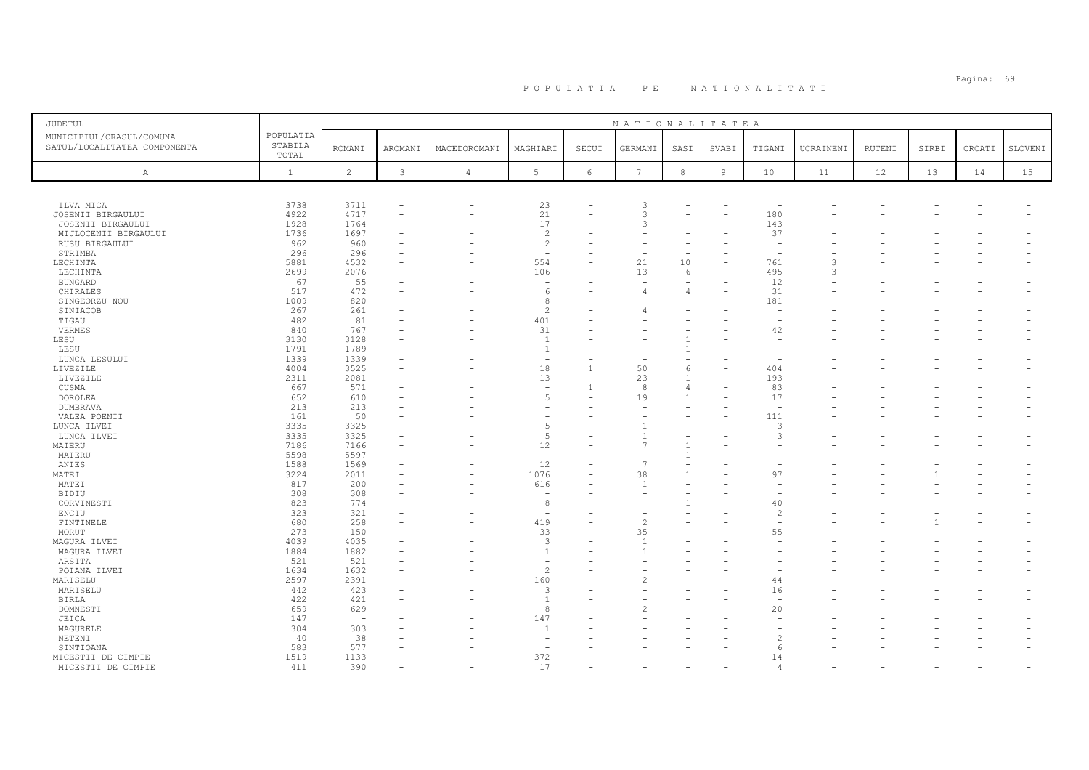| <b>JUDETUL</b>               |                  |                          |                |                          |                                 |                          | NATIONALITATEA  |                          |                          |                |           |        |       |        |         |
|------------------------------|------------------|--------------------------|----------------|--------------------------|---------------------------------|--------------------------|-----------------|--------------------------|--------------------------|----------------|-----------|--------|-------|--------|---------|
| MUNICIPIUL/ORASUL/COMUNA     | POPULATIA        |                          |                |                          |                                 |                          |                 |                          |                          |                |           |        |       |        |         |
| SATUL/LOCALITATEA COMPONENTA | STABILA<br>TOTAL | <b>ROMANI</b>            | AROMANI        | MACEDOROMANI             | MAGHIARI                        | SECUI                    | GERMANI         | SASI                     | SVABI                    | TIGANI         | UCRAINENI | RUTENI | SIRBI | CROATI | SLOVENI |
|                              |                  |                          |                |                          |                                 |                          |                 |                          |                          |                |           |        |       |        |         |
| Α                            | $\mathbf{1}$     | $\overline{c}$           | $\mathfrak{Z}$ | $\sqrt{4}$               | 5                               | $\epsilon$               | $7\phantom{.0}$ | $^{\rm 8}$               | $\overline{9}$           | 10             | 11        | 12     | 13    | 14     | 15      |
|                              |                  |                          |                |                          |                                 |                          |                 |                          |                          |                |           |        |       |        |         |
|                              |                  |                          |                |                          |                                 |                          |                 |                          |                          |                |           |        |       |        |         |
| ILVA MICA                    | 3738             | 3711                     |                | $\overline{\phantom{0}}$ | 23                              |                          | 3<br>3          |                          |                          |                |           |        |       |        |         |
| JOSENII BIRGAULUI            | 4922             | 4717                     |                |                          | 21                              | $\overline{\phantom{0}}$ | 3               |                          | $\overline{\phantom{0}}$ | 180            |           |        |       |        |         |
| JOSENII BIRGAULUI            | 1928             | 1764                     |                |                          | 17                              |                          |                 |                          |                          | 143            |           |        |       |        |         |
| MIJLOCENII BIRGAULUI         | 1736             | 1697                     |                |                          | $\overline{c}$                  |                          |                 |                          |                          | 37             |           |        |       |        |         |
| RUSU BIRGAULUI               | 962              | 960                      |                |                          | $\overline{c}$                  |                          |                 |                          |                          |                |           |        |       |        |         |
| STRIMBA                      | 296<br>5881      | 296                      |                |                          | $\overline{\phantom{a}}$<br>554 |                          |                 |                          |                          | 761            |           |        |       |        |         |
| LECHINTA                     |                  | 4532<br>2076             |                |                          | 106                             |                          | 21<br>13        | 10<br>6                  |                          |                |           |        |       |        |         |
| LECHINTA                     | 2699             | 55                       |                |                          |                                 |                          |                 |                          |                          | 495<br>12      |           |        |       |        |         |
| <b>BUNGARD</b>               | 67<br>517        | 472                      |                |                          | -6                              |                          |                 | $\overline{4}$           |                          | 31             |           |        |       |        |         |
| CHIRALES<br>SINGEORZU NOU    | 1009             | 820                      |                |                          | 8                               |                          |                 |                          |                          | 181            |           |        |       |        |         |
| SINIACOB                     | 267              | 261                      |                |                          | $\mathcal{L}$                   |                          |                 |                          |                          |                |           |        |       |        |         |
| TIGAU                        | 482              | 81                       |                |                          | 401                             |                          |                 |                          |                          |                |           |        |       |        |         |
| VERMES                       | 840              | 767                      |                |                          | 31                              |                          |                 |                          |                          | 42             |           |        |       |        |         |
| LESU                         | 3130             | 3128                     |                |                          | $\mathbf{1}$                    |                          |                 |                          |                          |                |           |        |       |        |         |
| LESU                         | 1791             | 1789                     |                |                          | $\overline{1}$                  |                          |                 |                          |                          |                |           |        |       |        |         |
| LUNCA LESULUI                | 1339             | 1339                     |                |                          | $\overline{\phantom{a}}$        |                          |                 | $\overline{\phantom{a}}$ |                          |                |           |        |       |        |         |
| LIVEZILE                     | 4004             | 3525                     |                |                          | 18                              | $\mathbf{1}$             | 50              | 6                        |                          | 404            |           |        |       |        |         |
| LIVEZILE                     | 2311             | 2081                     |                |                          | 13                              |                          | 23              | $\overline{1}$           |                          | 193            |           |        |       |        |         |
| CUSMA                        | 667              | 571                      |                |                          |                                 | $\mathbf{1}$             | 8               | $\overline{4}$           |                          | 83             |           |        |       |        |         |
| DOROLEA                      | 652              | 610                      |                |                          | -5                              |                          | 19              | $\mathbf{1}$             |                          | 17             |           |        |       |        |         |
| DUMBRAVA                     | 213              | 213                      |                |                          |                                 |                          |                 |                          |                          |                |           |        |       |        |         |
| VALEA POENII                 | 161              | 50                       |                |                          |                                 |                          |                 |                          |                          | 111            |           |        |       |        |         |
| LUNCA ILVEI                  | 3335             | 3325                     |                |                          | 5                               |                          |                 |                          |                          | 3              |           |        |       |        |         |
| LUNCA ILVEI                  | 3335             | 3325                     |                |                          | $\overline{5}$                  |                          |                 |                          |                          | ς              |           |        |       |        |         |
| MAIERU                       | 7186             | 7166                     |                |                          | 12                              | $\overline{\phantom{0}}$ |                 |                          |                          |                |           |        |       |        |         |
| MAIERU                       | 5598             | 5597                     |                |                          | . .                             |                          |                 |                          |                          |                |           |        |       |        |         |
| ANIES                        | 1588             | 1569                     |                |                          | 12                              |                          | 7               | $\equiv$                 |                          |                |           |        |       |        |         |
| MATEI                        | 3224             | 2011                     |                |                          | 1076                            |                          | 38              |                          |                          | 97             |           |        |       |        |         |
| MATEI                        | 817              | 200                      |                |                          | 616                             |                          |                 |                          |                          |                |           |        |       |        |         |
| BIDIU                        | 308              | 308                      |                |                          |                                 |                          |                 |                          |                          |                |           |        |       |        |         |
| CORVINESTI                   | 823              | 774                      |                |                          | 8                               |                          |                 |                          |                          | 40             |           |        |       |        |         |
| ENCIU                        | 323              | 321                      |                |                          |                                 |                          |                 |                          |                          | $\overline{c}$ |           |        |       |        |         |
| FINTINELE                    | 680              | 258                      |                |                          | 419                             |                          | $\overline{c}$  |                          |                          |                |           |        |       |        |         |
| MORUT                        | 273              | 150                      |                |                          | 33                              | $\overline{\phantom{0}}$ | 35              |                          |                          | 55             |           |        |       |        |         |
| MAGURA ILVEI                 | 4039             | 4035                     |                |                          | 3                               |                          |                 |                          |                          |                |           |        |       |        |         |
| MAGURA ILVEI                 | 1884             | 1882                     |                |                          | $\overline{1}$                  |                          |                 |                          |                          |                |           |        |       |        |         |
| ARSITA                       | 521              | 521                      |                |                          |                                 |                          |                 |                          |                          |                |           |        |       |        |         |
| POIANA ILVEI                 | 1634             | 1632                     |                |                          | $\mathcal{L}$                   | ۳                        |                 |                          |                          |                |           |        |       |        |         |
| MARISELU                     | 2597             | 2391                     |                |                          | 160                             |                          |                 |                          |                          | 44             |           |        |       |        |         |
| MARISELU                     | 442              | 423                      |                |                          | 3                               |                          |                 |                          |                          | 16             |           |        |       |        |         |
| <b>BIRLA</b>                 | 422              | 421                      |                |                          | $\overline{1}$                  |                          |                 |                          |                          |                |           |        |       |        |         |
| DOMNESTI                     | 659              | 629                      |                |                          | 8                               |                          | 2               |                          |                          | 20             |           |        |       |        |         |
| JEICA                        | 147              | $\overline{\phantom{0}}$ |                |                          | 147                             |                          |                 |                          |                          |                |           |        |       |        |         |
| MAGURELE                     | 304              | 303                      |                |                          | $\overline{1}$                  |                          |                 |                          |                          |                |           |        |       |        |         |
| NETENI                       | 40               | 38                       |                |                          |                                 |                          |                 |                          |                          |                |           |        |       |        |         |
| SINTIOANA                    | 583              | 577                      |                |                          |                                 |                          |                 |                          |                          | 6              |           |        |       |        |         |
| MICESTII DE CIMPIE           | 1519             | 1133                     |                |                          | 372                             |                          |                 |                          |                          | 14             |           |        |       |        |         |
| MICESTII DE CIMPIE           | 411              | 390                      |                |                          | 17                              |                          |                 |                          |                          |                |           |        |       |        |         |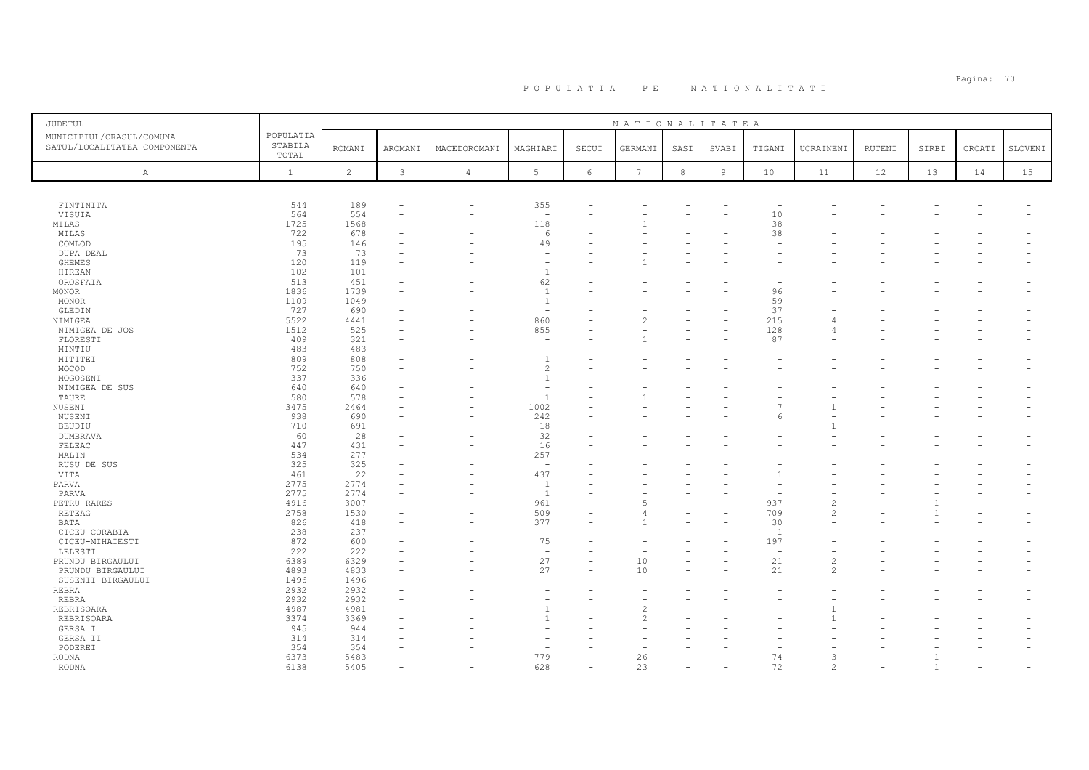| JUDETUL                                                  |                               |                |                          |                          |                          |            | NATIONALITATEA  |            |                |                          |                |               |       |        |         |
|----------------------------------------------------------|-------------------------------|----------------|--------------------------|--------------------------|--------------------------|------------|-----------------|------------|----------------|--------------------------|----------------|---------------|-------|--------|---------|
| MUNICIPIUL/ORASUL/COMUNA<br>SATUL/LOCALITATEA COMPONENTA | POPULATIA<br>STABILA<br>TOTAL | <b>ROMANI</b>  | AROMANI                  | MACEDOROMANI             | MAGHIARI                 | SECUI      | GERMANI         | SASI       | SVABI          | TIGANI                   | UCRAINENI      | <b>RUTENI</b> | SIRBI | CROATI | SLOVENI |
| $\mathbb{A}$                                             | $\mathbf{1}$                  | $\overline{c}$ | $\mathcal{E}$            | $\sqrt{4}$               | $5\phantom{.0}$          | $\epsilon$ | $7\phantom{.0}$ | $^{\rm 8}$ | $\overline{9}$ | 10                       | 11             | 12            | 13    | 14     | 15      |
|                                                          |                               |                |                          |                          |                          |            |                 |            |                |                          |                |               |       |        |         |
| FINTINITA                                                | 544                           | 189            |                          | $\overline{\phantom{0}}$ | 355                      |            |                 |            |                | $\overline{\phantom{a}}$ |                |               |       |        |         |
| VISUIA                                                   | 564                           | 554            |                          | $\overline{\phantom{0}}$ | $\overline{\phantom{a}}$ |            |                 |            |                | 10                       |                |               |       |        |         |
| MILAS                                                    | 1725                          | 1568           |                          |                          | 118                      |            |                 |            |                | 38                       |                |               |       |        |         |
| MILAS                                                    | 722                           | 678            |                          |                          | 6                        |            |                 |            |                | 38                       |                |               |       |        |         |
| COMLOD                                                   | 195                           | 146            |                          |                          | 49                       |            |                 |            |                |                          |                |               |       |        |         |
| DUPA DEAL                                                | 73                            | 73             |                          |                          | $\overline{\phantom{a}}$ |            |                 |            |                |                          |                |               |       |        |         |
| GHEMES                                                   | 120                           | 119            |                          |                          | $\overline{\phantom{a}}$ |            |                 |            |                |                          |                |               |       |        |         |
| HIREAN                                                   | 102                           | 101            |                          |                          | $\overline{1}$           |            |                 |            |                |                          |                |               |       |        |         |
| OROSFAIA                                                 | 513                           | 451            |                          |                          | 62                       |            |                 |            |                |                          |                |               |       |        |         |
| MONOR                                                    | 1836                          | 1739           |                          |                          | <sup>1</sup>             |            |                 |            |                | 96                       |                |               |       |        |         |
| MONOR                                                    | 1109                          | 1049           |                          |                          | $\overline{1}$           |            |                 |            |                | 59                       |                |               |       |        |         |
| GLEDIN                                                   | 727                           | 690            |                          |                          | $\sim$                   |            |                 |            |                | 37                       |                |               |       |        |         |
| NIMIGEA                                                  | 5522                          | 4441           |                          |                          | 860                      |            |                 |            |                | 215                      | $\sqrt{2}$     |               |       |        |         |
| NIMIGEA DE JOS                                           | 1512                          | 525            |                          |                          | 855                      |            |                 |            |                | 128                      | $\angle$       |               |       |        |         |
| FLORESTI                                                 | 409                           | 321            |                          |                          | $\overline{\phantom{a}}$ |            |                 |            |                | 87                       |                |               |       |        |         |
| MINTIU                                                   | 483                           | 483            |                          |                          |                          |            |                 |            |                |                          |                |               |       |        |         |
| MITITEI                                                  | 809                           | 808            |                          |                          | $\overline{1}$           |            |                 |            |                |                          |                |               |       |        |         |
| MOCOD                                                    | 752                           | 750            |                          |                          | $\overline{c}$           |            |                 |            |                |                          |                |               |       |        |         |
| MOGOSENI                                                 | 337                           | 336            |                          |                          | $\mathbf{1}$             |            |                 |            |                |                          |                |               |       |        |         |
| NIMIGEA DE SUS                                           | 640                           | 640            |                          |                          |                          |            |                 |            |                |                          |                |               |       |        |         |
| TAURE                                                    | 580                           | 578            |                          |                          | $\overline{1}$           |            |                 |            |                |                          |                |               |       |        |         |
| NUSENI                                                   | 3475                          | 2464           |                          |                          | 1002                     |            |                 |            |                |                          |                |               |       |        |         |
| NUSENI                                                   | 938                           | 690            |                          |                          | 242                      |            |                 |            |                |                          |                |               |       |        |         |
| <b>BEUDIU</b>                                            | 710                           | 691            |                          |                          | 18                       |            |                 |            |                |                          |                |               |       |        |         |
| DUMBRAVA                                                 | 60                            | 28             |                          |                          | 32                       |            |                 |            |                |                          |                |               |       |        |         |
| FELEAC                                                   | 447                           | 431            | $\overline{\phantom{a}}$ |                          | 16                       |            |                 |            |                |                          |                |               |       |        |         |
| MALIN                                                    | 534                           | 277            |                          |                          | 257                      |            |                 |            |                |                          |                |               |       |        |         |
| RUSU DE SUS                                              | 325                           | 325            |                          |                          | $\sim$                   |            |                 |            |                |                          |                |               |       |        |         |
| VITA                                                     | 461                           | 22             |                          |                          | 437                      |            |                 |            |                | $\mathbf{1}$             |                |               |       |        |         |
| PARVA                                                    | 2775                          | 2774           |                          |                          | $\overline{1}$           |            |                 |            |                |                          |                |               |       |        |         |
| PARVA                                                    | 2775                          | 2774           |                          |                          | $\overline{1}$           |            |                 |            |                |                          |                |               |       |        |         |
| PETRU RARES                                              | 4916                          | 3007           |                          |                          | 961                      |            |                 |            |                | 937                      | $\overline{c}$ |               |       |        |         |
| RETEAG                                                   | 2758                          | 1530           |                          |                          | 509                      |            |                 |            |                | 709                      | $\overline{c}$ |               |       |        |         |
| BATA                                                     | 826                           | 418            |                          |                          | 377                      |            |                 |            |                | 30                       |                |               |       |        |         |
| CICEU-CORABIA                                            | 238                           | 237            |                          |                          | $\overline{\phantom{a}}$ |            |                 |            |                | $\overline{1}$           |                |               |       |        |         |
| CICEU-MIHAIESTI                                          | 872                           | 600            |                          |                          | 75                       |            |                 |            |                | 197                      |                |               |       |        |         |
| LELESTI                                                  | 222                           | 222            |                          |                          | $\sim$                   |            |                 |            |                | $\overline{\phantom{a}}$ |                |               |       |        |         |
| PRUNDU BIRGAULUI                                         | 6389                          | 6329           |                          |                          | 27                       |            | 10              |            |                | 21                       | 2              |               |       |        |         |
| PRUNDU BIRGAULUI                                         | 4893                          | 4833           | $\equiv$                 |                          | 27                       | ۳          | 10              |            |                | 21                       | 2              |               |       |        |         |
| SUSENII BIRGAULUI                                        | 1496                          | 1496           |                          |                          |                          |            |                 |            |                |                          |                |               |       |        |         |
| REBRA                                                    | 2932                          | 2932           |                          |                          | ۰                        |            |                 |            |                |                          |                |               |       |        |         |
| REBRA                                                    | 2932                          | 2932           |                          |                          |                          |            |                 |            |                |                          |                |               |       |        |         |
| REBRISOARA                                               | 4987                          | 4981           |                          |                          | $\mathbf{1}$             |            |                 |            |                |                          |                |               |       |        |         |
| REBRISOARA                                               | 3374                          | 3369           |                          |                          | $\overline{1}$           |            |                 |            |                |                          |                |               |       |        |         |
| GERSA I                                                  | 945                           | 944            |                          |                          |                          |            |                 |            |                |                          |                |               |       |        |         |
| GERSA II                                                 | 314                           | 314            |                          |                          |                          |            |                 |            |                |                          |                |               |       |        |         |
| PODEREI                                                  | 354                           | 354            |                          |                          | ٠                        |            |                 |            |                |                          |                |               |       |        |         |
| RODNA                                                    | 6373                          | 5483           | $\equiv$                 |                          | 779                      |            | 26              |            |                | 74                       | 3              |               |       |        |         |
| RODNA                                                    | 6138                          | 5405           |                          |                          | 628                      |            | 23              |            |                | 72                       | $\mathcal{L}$  |               | -1    |        |         |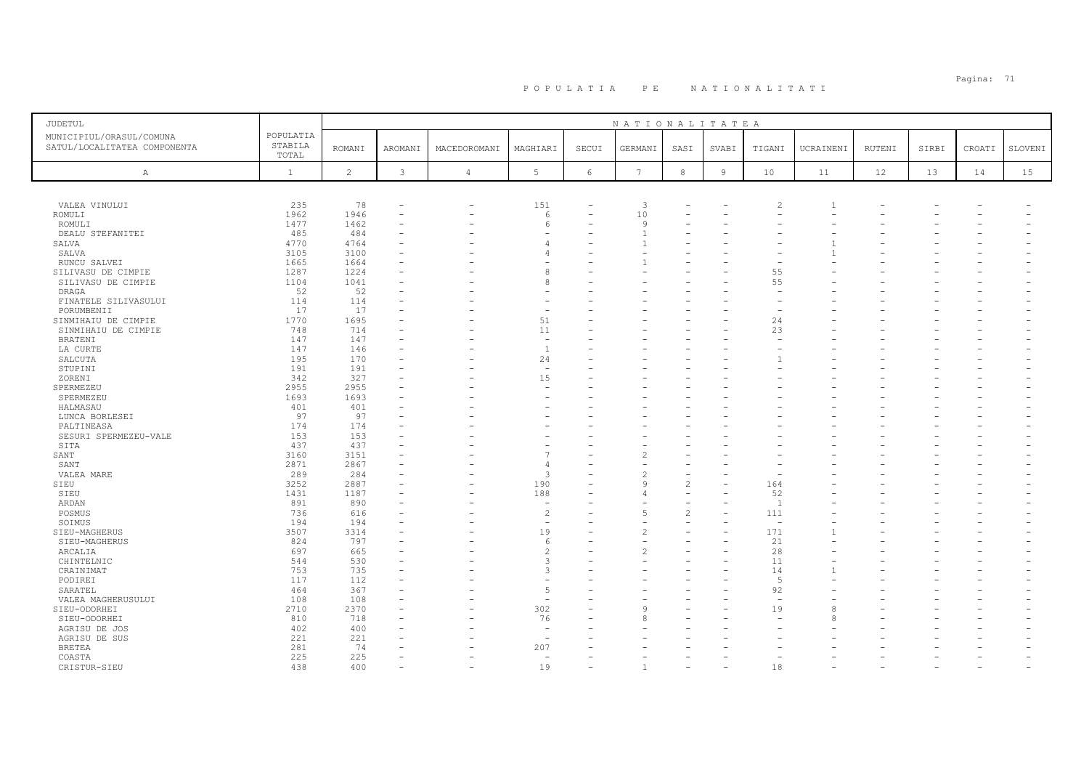| JUDETUL                                                  |                               |               |         |                |                          |       | NATIONALITATEA |                          |                |                          |           |        |       |        |         |
|----------------------------------------------------------|-------------------------------|---------------|---------|----------------|--------------------------|-------|----------------|--------------------------|----------------|--------------------------|-----------|--------|-------|--------|---------|
| MUNICIPIUL/ORASUL/COMUNA<br>SATUL/LOCALITATEA COMPONENTA | POPULATIA<br>STABILA<br>TOTAL | <b>ROMANI</b> | AROMANI | MACEDOROMANI   | MAGHIARI                 | SECUI | GERMANI        | SASI                     | SVABI          | TIGANI                   | UCRAINENI | RUTENI | SIRBI | CROATI | SLOVENI |
| $\mathbb{A}$                                             | $\mathbf{1}$                  | 2             | 3       | $\overline{4}$ | 5                        | 6     | 7              | 8                        | $\overline{9}$ | 10                       | 11        | 12     | 13    | 14     | 15      |
|                                                          |                               |               |         |                |                          |       |                |                          |                |                          |           |        |       |        |         |
| VALEA VINULUI                                            | 235                           | 78            |         |                | 151                      |       | 3              |                          |                | $\overline{2}$           |           |        |       |        |         |
| ROMULI                                                   | 1962                          | 1946          |         |                | 6                        |       | 10             |                          |                |                          |           |        |       |        |         |
| ROMULI                                                   | 1477                          | 1462          |         |                | 6                        |       | 9              |                          |                |                          |           |        |       |        |         |
| DEALU STEFANITEI                                         | 485                           | 484           |         |                |                          |       |                |                          |                |                          |           |        |       |        |         |
| SALVA                                                    | 4770                          | 4764          |         |                | Δ                        |       |                |                          |                |                          |           |        |       |        |         |
| SALVA                                                    | 3105                          | 3100          |         |                | 4                        |       |                |                          |                |                          |           |        |       |        |         |
| RUNCU SALVEI                                             | 1665                          | 1664          |         |                |                          |       |                |                          |                |                          |           |        |       |        |         |
| SILIVASU DE CIMPIE                                       | 1287                          | 1224          |         |                | 8                        |       |                |                          |                | 55                       |           |        |       |        |         |
| SILIVASU DE CIMPIE                                       | 1104                          | 1041          |         |                | 8                        |       |                |                          |                | 55                       |           |        |       |        |         |
| DRAGA                                                    | 52                            | 52            |         |                |                          |       |                |                          |                |                          |           |        |       |        |         |
| FINATELE SILIVASULUI                                     | 114                           | 114           |         |                |                          |       |                |                          |                |                          |           |        |       |        |         |
| PORUMBENII                                               | 17                            | 17            |         |                | ٠                        |       |                |                          |                |                          |           |        |       |        |         |
| SINMIHAIU DE CIMPIE                                      | 1770                          | 1695          |         |                | 51                       |       |                |                          |                | 24                       |           |        |       |        |         |
|                                                          | 748                           | 714           |         |                | 11                       |       |                |                          |                | 23                       |           |        |       |        |         |
| SINMIHAIU DE CIMPIE                                      | 147                           | 147           |         |                | $\overline{\phantom{m}}$ |       |                |                          |                |                          |           |        |       |        |         |
| BRATENI                                                  |                               |               |         |                |                          |       |                |                          |                |                          |           |        |       |        |         |
| LA CURTE                                                 | 147                           | 146           |         |                | $\overline{1}$           |       |                |                          |                |                          |           |        |       |        |         |
| SALCUTA                                                  | 195                           | 170           |         |                | 24                       |       |                |                          |                |                          |           |        |       |        |         |
| STUPINI                                                  | 191                           | 191           |         |                | $\sim$                   |       |                |                          |                |                          |           |        |       |        |         |
| ZORENI                                                   | 342                           | 327           |         |                | 15                       |       |                |                          |                |                          |           |        |       |        |         |
| SPERMEZEU                                                | 2955                          | 2955          |         |                | ÷                        |       |                |                          |                |                          |           |        |       |        |         |
| SPERMEZEU                                                | 1693                          | 1693          |         |                |                          |       |                |                          |                |                          |           |        |       |        |         |
| HALMASAU                                                 | 401                           | 401           |         |                |                          |       |                |                          |                |                          |           |        |       |        |         |
| LUNCA BORLESEI                                           | 97                            | 97            |         |                |                          |       |                |                          |                |                          |           |        |       |        |         |
| PALTINEASA                                               | 174                           | 174           |         |                |                          |       |                |                          |                |                          |           |        |       |        |         |
| SESURI SPERMEZEU-VALE                                    | 153                           | 153           |         |                |                          |       |                |                          |                |                          |           |        |       |        |         |
| SITA                                                     | 437                           | 437           |         |                |                          |       |                |                          |                |                          |           |        |       |        |         |
| SANT                                                     | 3160                          | 3151          |         |                |                          |       |                |                          |                |                          |           |        |       |        |         |
| SANT                                                     | 2871                          | 2867          |         |                | 4                        |       |                |                          |                |                          |           |        |       |        |         |
| VALEA MARE                                               | 289                           | 284           |         |                | 3                        |       |                |                          |                |                          |           |        |       |        |         |
| SIEU                                                     | 3252                          | 2887          |         |                | 190                      |       | Q              | $\overline{c}$           |                | 164                      |           |        |       |        |         |
| SIEU                                                     | 1431                          | 1187          |         |                | 188                      |       |                |                          |                | 52                       |           |        |       |        |         |
| ARDAN                                                    | 891                           | 890           |         |                | $\overline{\phantom{m}}$ |       |                | $\overline{\phantom{a}}$ |                | $\overline{1}$           |           |        |       |        |         |
| POSMUS                                                   | 736                           | 616           |         |                | $\overline{c}$           |       |                | 2                        |                | 111                      |           |        |       |        |         |
| SOIMUS                                                   | 194                           | 194           |         |                | $\overline{\phantom{a}}$ |       |                |                          |                | $\overline{\phantom{m}}$ |           |        |       |        |         |
| SIEU-MAGHERUS                                            | 3507                          | 3314          |         |                | 19                       |       |                |                          |                | 171                      |           |        |       |        |         |
|                                                          |                               |               |         |                |                          |       |                |                          |                |                          |           |        |       |        |         |
| SIEU-MAGHERUS                                            | 824                           | 797           |         |                | 6                        |       |                |                          |                | 21                       |           |        |       |        |         |
| ARCALIA                                                  | 697                           | 665           |         |                | $\mathfrak{D}$           |       |                |                          |                | 28                       |           |        |       |        |         |
| CHINTELNIC                                               | 544                           | 530           |         |                | 3                        |       |                |                          |                | 11                       |           |        |       |        |         |
| CRAINIMAT                                                | 753                           | 735           |         |                | 3                        |       |                |                          |                | 14                       |           |        |       |        |         |
| PODIREI                                                  | 117                           | 112           |         |                |                          |       |                |                          |                | $\sqrt{2}$               |           |        |       |        |         |
| SARATEL                                                  | 464                           | 367           |         |                | 5                        |       |                |                          |                | 92                       |           |        |       |        |         |
| VALEA MAGHERUSULUI                                       | 108                           | 108           |         |                |                          |       |                |                          |                |                          |           |        |       |        |         |
| SIEU-ODORHEI                                             | 2710                          | 2370          |         |                | 302                      |       |                |                          |                | 19                       | 8         |        |       |        |         |
| SIEU-ODORHEI                                             | 810                           | 718           |         |                | 76                       |       |                |                          |                |                          | 8         |        |       |        |         |
| AGRISU DE JOS                                            | 402                           | 400           |         |                | $\overline{\phantom{a}}$ |       |                |                          |                |                          |           |        |       |        |         |
| AGRISU DE SUS                                            | 221                           | 221           |         |                | $\overline{\phantom{a}}$ |       |                |                          |                |                          |           |        |       |        |         |
| <b>BRETEA</b>                                            | 281                           | 74            |         |                | 207                      |       |                |                          |                |                          |           |        |       |        |         |
| COASTA                                                   | 225                           | 225           |         |                | $\equiv$                 |       |                |                          |                |                          |           |        |       |        |         |
| CRISTUR-SIEU                                             | 438                           | 400           |         |                | 19                       |       |                |                          |                | 18                       |           |        |       |        |         |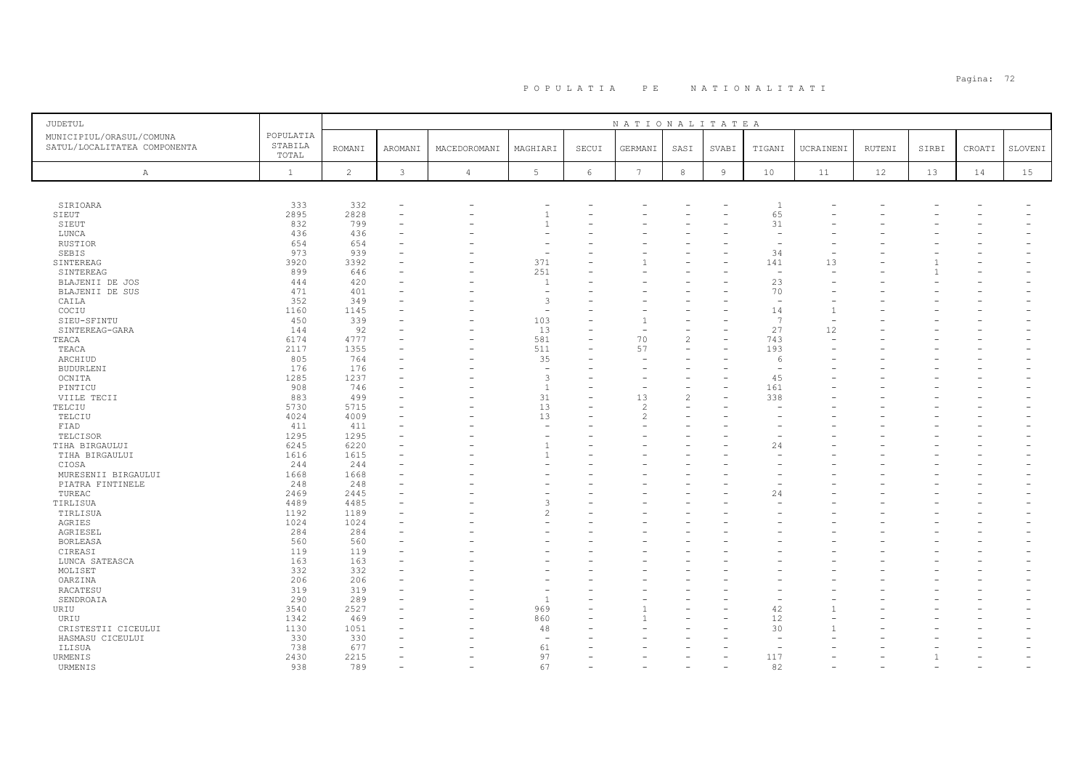| JUDETUL                      |                  |                |                          |                |                          |       | NATIONALITATEA |                |        |                          |                |        |       |        |         |
|------------------------------|------------------|----------------|--------------------------|----------------|--------------------------|-------|----------------|----------------|--------|--------------------------|----------------|--------|-------|--------|---------|
| MUNICIPIUL/ORASUL/COMUNA     | POPULATIA        |                |                          |                |                          |       |                |                |        |                          |                |        |       |        |         |
| SATUL/LOCALITATEA COMPONENTA | STABILA<br>TOTAL | <b>ROMANI</b>  | AROMANI                  | MACEDOROMANI   | MAGHIARI                 | SECUI | GERMANI        | SASI           | SVABI  | TIGANI                   | UCRAINENI      | RUTENI | SIRBI | CROATI | SLOVENI |
| $\mathbb{A}$                 | $\mathbf{1}$     | $\overline{c}$ | 3                        | $\overline{4}$ | $5\phantom{.0}$          | 6     | 7              | $^{\rm 8}$     | $\,$ 9 | 10                       | 11             | 12     | 13    | 14     | 15      |
|                              |                  |                |                          |                |                          |       |                |                |        |                          |                |        |       |        |         |
| SIRIOARA                     | 333              | 332            | ۰                        |                |                          |       |                |                |        | $\overline{1}$           |                |        |       |        |         |
| SIEUT                        | 2895             | 2828           | $\overline{\phantom{a}}$ |                | $\overline{1}$           |       |                |                |        | 65                       |                |        |       |        |         |
| SIEUT                        | 832              | 799            |                          |                |                          |       |                |                |        | 31                       |                |        |       |        |         |
| LUNCA                        | 436              | 436            | $\overline{\phantom{a}}$ |                |                          |       |                |                |        | $\overline{\phantom{0}}$ |                |        |       |        |         |
| RUSTIOR                      | 654              | 654            |                          |                |                          |       |                |                |        |                          |                |        |       |        |         |
| SEBIS                        | 973              | 939            |                          |                | $\overline{\phantom{a}}$ |       |                |                |        | 34                       |                |        |       |        |         |
| SINTEREAG                    | 3920             | 3392           |                          |                | 371                      |       |                |                |        | 141                      | 13             |        |       |        |         |
| SINTEREAG                    | 899              | 646            |                          |                | 251                      |       |                |                |        | $\overline{\phantom{a}}$ |                |        |       |        |         |
| BLAJENII DE JOS              | 444              | 420            |                          |                | $\mathbf{1}$             |       |                |                |        | 23                       |                |        |       |        |         |
| BLAJENII DE SUS              | 471              | 401            |                          |                | ÷,                       |       |                |                |        | 70                       |                |        |       |        |         |
| CAILA                        | 352              | 349            |                          |                | $\overline{3}$           |       |                |                |        | $\overline{\phantom{a}}$ |                |        |       |        |         |
| COCIU                        | 1160             | 1145           |                          |                | $\sim$                   |       |                |                |        | 14                       | $\overline{1}$ |        |       |        |         |
| SIEU-SFINTU                  | 450              | 339            |                          |                | 103                      |       |                |                |        | 7                        |                |        |       |        |         |
| SINTEREAG-GARA               | 144              | 92             | $\overline{\phantom{a}}$ |                | 13                       |       | 70             | $\overline{c}$ |        | 27                       | 12<br>÷        |        |       |        |         |
| TEACA<br>TEACA               | 6174<br>2117     | 4777<br>1355   |                          |                | 581<br>511               |       | 57             |                |        | 743<br>193               |                |        |       |        |         |
|                              | 805              | 764            |                          |                | 35                       |       |                |                |        |                          |                |        |       |        |         |
| ARCHIUD                      | 176              |                |                          |                | ÷,                       |       |                |                |        | -6                       |                |        |       |        |         |
| <b>BUDURLENI</b><br>OCNITA   | 1285             | 176<br>1237    |                          |                | $\overline{3}$           |       |                |                |        | 45                       |                |        |       |        |         |
| PINTICU                      | 908              | 746            |                          |                | $\mathbf{1}$             |       |                |                |        | 161                      |                |        |       |        |         |
| VIILE TECII                  | 883              | 499            |                          |                | 31                       |       | 13             | $\overline{c}$ |        | 338                      |                |        |       |        |         |
| TELCIU                       | 5730             | 5715           |                          |                | 13                       |       | $\overline{c}$ |                |        |                          |                |        |       |        |         |
| TELCIU                       | 4024             | 4009           |                          |                | 13                       |       |                |                |        |                          |                |        |       |        |         |
| FIAD                         | 411              | 411            |                          |                | $\sim$                   |       |                |                |        |                          |                |        |       |        |         |
| TELCISOR                     | 1295             | 1295           |                          |                | ÷                        |       |                |                |        |                          |                |        |       |        |         |
| TIHA BIRGAULUI               | 6245             | 6220           |                          |                | $\overline{1}$           |       |                |                |        | 24                       |                |        |       |        |         |
| TIHA BIRGAULUI               | 1616             | 1615           |                          |                |                          |       |                |                |        |                          |                |        |       |        |         |
| CIOSA                        | 244              | 244            |                          |                |                          |       |                |                |        |                          |                |        |       |        |         |
| MURESENII BIRGAULUI          | 1668             | 1668           |                          |                |                          |       |                |                |        |                          |                |        |       |        |         |
| PIATRA FINTINELE             | 248              | 248            |                          |                |                          |       |                |                |        |                          |                |        |       |        |         |
| TUREAC                       | 2469             | 2445           |                          |                |                          |       |                |                |        | 24                       |                |        |       |        |         |
| TIRLISUA                     | 4489             | 4485           |                          |                | 3                        |       |                |                |        |                          |                |        |       |        |         |
| TIRLISUA                     | 1192             | 1189           |                          |                | $\overline{c}$           |       |                |                |        |                          |                |        |       |        |         |
| AGRIES                       | 1024             | 1024           |                          |                |                          |       |                |                |        |                          |                |        |       |        |         |
| AGRIESEL                     | 284              | 284            |                          |                |                          |       |                |                |        |                          |                |        |       |        |         |
| <b>BORLEASA</b>              | 560              | 560            |                          |                |                          |       |                |                |        |                          |                |        |       |        |         |
| CIREASI                      | 119              | 119            |                          |                |                          |       |                |                |        |                          |                |        |       |        |         |
| LUNCA SATEASCA               | 163              | 163            |                          |                |                          |       |                |                |        |                          |                |        |       |        |         |
| MOLISET                      | 332              | 332            |                          |                |                          |       |                |                |        |                          |                |        |       |        |         |
| OARZINA                      | 206              | 206            |                          |                |                          |       |                |                |        |                          |                |        |       |        |         |
| RACATESU                     | 319              | 319            |                          |                | $\overline{\phantom{a}}$ |       |                |                |        |                          |                |        |       |        |         |
| SENDROAIA                    | 290              | 289            |                          |                | $\overline{1}$           |       |                |                |        |                          |                |        |       |        |         |
| URIU                         | 3540             | 2527           |                          |                | 969                      |       |                |                |        | 42                       |                |        |       |        |         |
| URIU                         | 1342             | 469            | ۰                        |                | 860                      |       |                |                |        | 12                       |                |        |       |        |         |
| CRISTESTII CICEULUI          | 1130             | 1051           |                          |                | 48                       |       |                |                |        | 30                       |                |        |       |        |         |
| HASMASU CICEULUI             | 330              | 330            |                          |                | $\overline{\phantom{a}}$ |       |                |                |        |                          |                |        |       |        |         |
| ILISUA                       | 738              | 677            |                          |                | 61                       |       |                |                |        |                          |                |        |       |        |         |
| URMENIS                      | 2430             | 2215           | $\overline{\phantom{a}}$ |                | 97                       |       |                |                |        | 117                      |                |        |       |        |         |
| URMENIS                      | 938              | 789            |                          |                | 67                       |       |                |                |        | 82                       |                |        |       |        |         |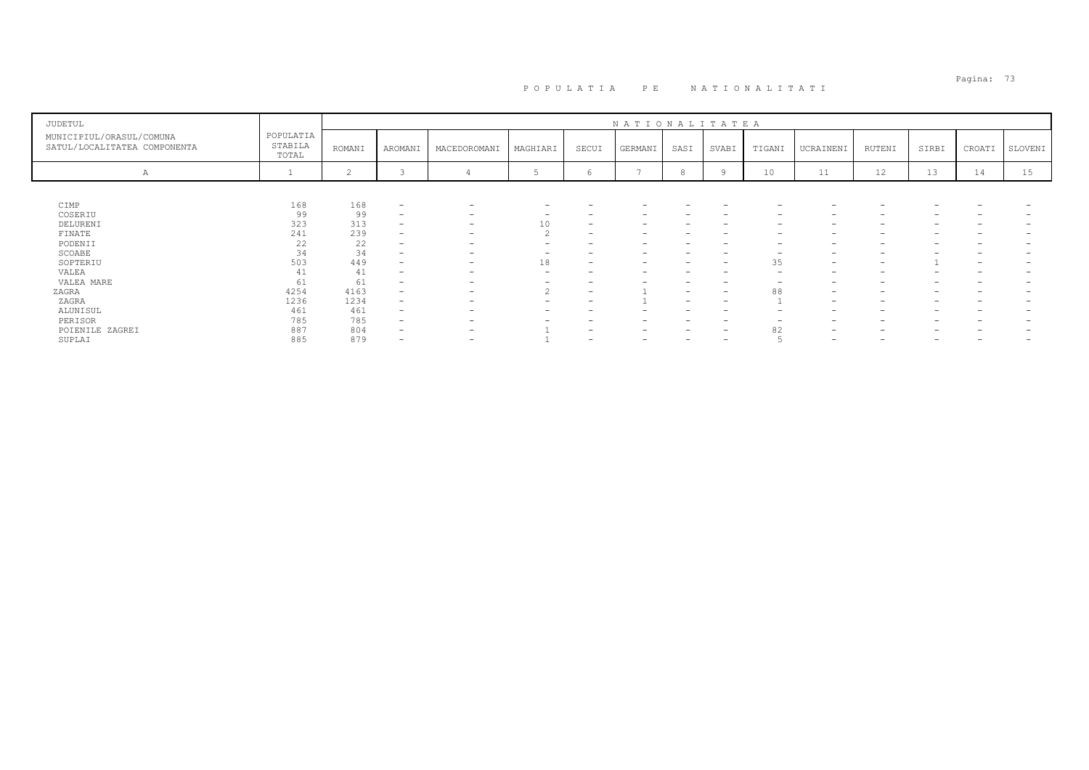| JUDETUL                                                  |                               |                |                          |                          |          |                          | NATIONALITATEA           |                          |                          |                          |                                                                           |                              |                                                                           |                          |         |
|----------------------------------------------------------|-------------------------------|----------------|--------------------------|--------------------------|----------|--------------------------|--------------------------|--------------------------|--------------------------|--------------------------|---------------------------------------------------------------------------|------------------------------|---------------------------------------------------------------------------|--------------------------|---------|
| MUNICIPIUL/ORASUL/COMUNA<br>SATUL/LOCALITATEA COMPONENTA | POPULATIA<br>STABILA<br>TOTAL | ROMANI         | AROMANI                  | MACEDOROMANI             | MAGHIARI | SECUI                    | GERMANI                  | SASI                     | SVABI                    | TIGANI                   | UCRAINENI                                                                 | RUTENI                       | SIRBI                                                                     | CROATI                   | SLOVENI |
| А                                                        |                               | $\overline{c}$ |                          |                          |          | 6                        |                          | 8                        |                          | 10                       | 11                                                                        | 12                           | 13                                                                        | 14                       | 15      |
|                                                          |                               |                |                          |                          |          |                          |                          |                          |                          |                          |                                                                           |                              |                                                                           |                          |         |
| CIMP                                                     | 168                           | 168            | $\overline{\phantom{a}}$ | $\overline{\phantom{a}}$ | -        |                          |                          |                          | $\overline{\phantom{0}}$ | $\overline{\phantom{a}}$ | -                                                                         |                              |                                                                           |                          |         |
| COSERIU                                                  | 99                            | 99             | $\overline{\phantom{a}}$ | $\overline{\phantom{a}}$ |          |                          |                          |                          |                          |                          | -                                                                         |                              |                                                                           |                          |         |
| DELURENI                                                 | 323                           | 313            | $\overline{\phantom{0}}$ | $\overline{\phantom{0}}$ | 10       | $\overline{\phantom{0}}$ | -                        |                          |                          | $\overline{\phantom{0}}$ | -                                                                         |                              |                                                                           |                          |         |
| FINATE                                                   | 241                           | 239            | $\qquad \qquad -$        | $\overline{\phantom{0}}$ | $\sim$   | $\overline{\phantom{a}}$ | -                        |                          |                          | $\overline{\phantom{0}}$ | $\hspace{1.0cm} \rule{1.5cm}{0.15cm} \hspace{1.0cm} \rule{1.5cm}{0.15cm}$ | $\qquad \qquad \blacksquare$ | $\overline{\phantom{0}}$                                                  |                          |         |
| PODENII                                                  | 22                            | 22             | -                        | $\overline{\phantom{0}}$ |          |                          | -                        |                          |                          |                          | -                                                                         |                              |                                                                           |                          |         |
| SCOABE                                                   | 34                            | 34             | $\overline{\phantom{0}}$ | $\overline{\phantom{0}}$ |          |                          |                          |                          |                          |                          | -                                                                         |                              |                                                                           |                          |         |
| SOPTERIU                                                 | 503                           | 449            | $\overline{\phantom{0}}$ | $\overline{\phantom{0}}$ | 18       |                          |                          |                          | $\overline{\phantom{0}}$ | 35                       | $\hspace{1.0cm} \rule{1.5cm}{0.15cm} \hspace{1.0cm} \rule{1.5cm}{0.15cm}$ | $\overline{\phantom{0}}$     |                                                                           |                          | -       |
| VALEA                                                    | 41                            | 41             | $\overline{\phantom{0}}$ | $\overline{\phantom{0}}$ |          |                          |                          |                          |                          |                          | -                                                                         |                              |                                                                           |                          |         |
| VALEA MARE                                               | 61                            | 61             | $\overline{\phantom{a}}$ | $\overline{\phantom{a}}$ | -        |                          |                          |                          | $\overline{\phantom{0}}$ | $\overline{\phantom{0}}$ | $\hspace{1.0cm} \rule{1.5cm}{0.15cm} \hspace{1.0cm} \rule{1.5cm}{0.15cm}$ |                              |                                                                           |                          |         |
| ZAGRA                                                    | 4254                          | 4163           | $\overline{\phantom{0}}$ | $\overline{\phantom{0}}$ |          | $\overline{\phantom{a}}$ |                          | -                        | $\overline{\phantom{0}}$ | 88                       | $\overline{\phantom{0}}$                                                  |                              |                                                                           |                          |         |
| ZAGRA                                                    | 1236                          | 1234           | $\qquad \qquad -$        | $\overline{\phantom{a}}$ | -        |                          |                          |                          | $\overline{\phantom{0}}$ |                          | $\qquad \qquad$                                                           |                              |                                                                           |                          |         |
| ALUNISUL                                                 | 461                           | 461            | $\overline{\phantom{0}}$ | $\overline{\phantom{a}}$ | -        |                          | -                        |                          | $\overline{\phantom{0}}$ |                          | $\overline{\phantom{0}}$                                                  | $\overline{\phantom{0}}$     | $\overline{\phantom{0}}$                                                  |                          |         |
| PERISOR                                                  | 785                           | 785            | $\overline{\phantom{0}}$ | $\overline{\phantom{0}}$ |          |                          |                          |                          |                          |                          | $\hspace{1.0cm} \rule{1.5cm}{0.15cm} \hspace{1.0cm} \rule{1.5cm}{0.15cm}$ | $\overline{\phantom{a}}$     |                                                                           |                          |         |
| POIENILE ZAGREI                                          | 887                           | 804            | $\qquad \qquad -$        | $\overline{\phantom{a}}$ |          | $\overline{\phantom{0}}$ | $\overline{\phantom{0}}$ | -                        | $\overline{\phantom{a}}$ | 82                       | $\overline{\phantom{0}}$                                                  | $\overline{\phantom{0}}$     | $\hspace{1.0cm} \rule{1.5cm}{0.15cm} \hspace{1.0cm} \rule{1.5cm}{0.15cm}$ |                          |         |
| SUPLAI                                                   | 885                           | 879            | $\overline{\phantom{0}}$ | $\overline{\phantom{0}}$ |          | $\overline{\phantom{0}}$ | $\overline{\phantom{0}}$ | $\overline{\phantom{0}}$ | $\overline{\phantom{0}}$ |                          | $\overline{\phantom{0}}$                                                  | $\overline{\phantom{a}}$     | $\overline{\phantom{0}}$                                                  | $\overline{\phantom{0}}$ | -       |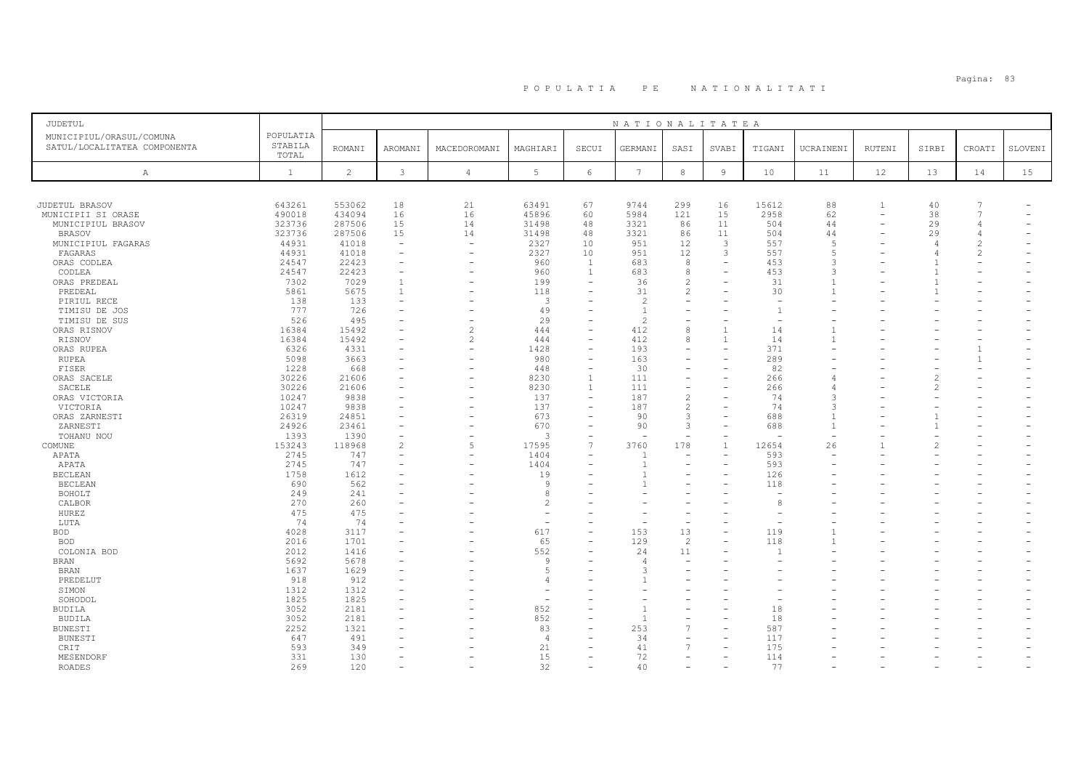# Pagina: 83 P O P U L A T I A P E N A T I O N A L I T A T I

| JUDETUL                                                  |                               |                |                          |                |                          |                          | NATIONALITATEA  |                          |                          |                |                |                |                |                          |         |
|----------------------------------------------------------|-------------------------------|----------------|--------------------------|----------------|--------------------------|--------------------------|-----------------|--------------------------|--------------------------|----------------|----------------|----------------|----------------|--------------------------|---------|
| MUNICIPIUL/ORASUL/COMUNA<br>SATUL/LOCALITATEA COMPONENTA | POPULATIA<br>STABILA<br>TOTAL | <b>ROMANI</b>  | AROMANI                  | MACEDOROMANI   | MAGHIARI                 | SECUI                    | GERMANI         | SASI                     | SVABI                    | TIGANI         | UCRAINENI      | RUTENI         | SIRBI          | CROATI                   | SLOVENI |
| $\mathbb{A}$                                             | $\mathbf{1}$                  | $\overline{c}$ | $\mathbf{3}$             | $\overline{4}$ | 5                        | 6                        | $7\phantom{.0}$ | 8                        | $\overline{9}$           | 10             | 11             | 12             | 13             | 14                       | 15      |
|                                                          |                               |                |                          |                |                          |                          |                 |                          |                          |                |                |                |                |                          |         |
| JUDETUL BRASOV                                           | 643261                        | 553062         | 18                       | 21             | 63491                    | 67                       | 9744            | 299                      | 16                       | 15612          | 88             | $\overline{1}$ | 40             | 7                        |         |
| MUNICIPII SI ORASE                                       | 490018                        | 434094         | 16                       | 16             | 45896                    | 60                       | 5984            | 121                      | 15                       | 2958           | 62             |                | 38             | $\overline{7}$           |         |
| MUNICIPIUL BRASOV                                        | 323736                        | 287506         | 15                       | 14             | 31498                    | 48                       | 3321            | 86                       | 11                       | 504            | 44             | -              | 29             | 4                        |         |
| <b>BRASOV</b>                                            | 323736                        | 287506         | 15                       | 14             | 31498                    | 48                       | 3321            | 86                       | 11                       | 504            | 44             |                | 29             | $\overline{4}$           |         |
| MUNICIPIUL FAGARAS                                       | 44931                         | 41018          | $\overline{\phantom{0}}$ | $\sim$         | 2327                     | 10                       | 951             | 12                       | $\overline{\mathbf{3}}$  | 557            | $\sqrt{2}$     |                | $\overline{4}$ | $\overline{c}$           |         |
| FAGARAS                                                  | 44931                         | 41018          |                          |                | 2327                     | 10                       | 951             | 12                       | 3                        | 557            |                |                |                | $\overline{c}$           |         |
| ORAS CODLEA                                              | 24547                         | 22423          | $\overline{\phantom{a}}$ |                | 960                      | <sup>1</sup>             | 683             | 8                        | $\sim$                   | 453            | $\mathcal{L}$  |                |                |                          |         |
| CODLEA                                                   | 24547                         | 22423          | $\overline{\phantom{a}}$ |                | 960                      | $\mathbf{1}$             | 683             | $^{\rm 8}$               |                          | 453            |                |                |                |                          |         |
|                                                          |                               |                | $\overline{1}$           |                | 199                      | $\overline{\phantom{a}}$ | 36              | 2                        |                          | 31             |                |                |                |                          |         |
| ORAS PREDEAL                                             | 7302                          | 7029           |                          |                |                          |                          | 31              |                          |                          |                |                |                |                |                          |         |
| PREDEAL                                                  | 5861                          | 5675           | 1                        |                | 118                      | $\overline{\phantom{a}}$ |                 | 2                        |                          | 30             |                |                |                |                          |         |
| PIRIUL RECE                                              | 138                           | 133            | $\overline{\phantom{a}}$ |                | 3                        | ۰                        | $\overline{c}$  | $\overline{\phantom{a}}$ |                          |                |                |                |                |                          |         |
| TIMISU DE JOS                                            | 777                           | 726            |                          |                | 49                       | $\overline{\phantom{a}}$ | $\overline{1}$  |                          |                          | $\overline{1}$ |                |                |                |                          |         |
| TIMISU DE SUS                                            | 526                           | 495            |                          |                | 29                       | $\overline{\phantom{a}}$ | $\overline{c}$  |                          |                          |                |                |                |                |                          |         |
| ORAS RISNOV                                              | 16384                         | 15492          |                          | $\overline{c}$ | 444                      | $\overline{\phantom{a}}$ | 412             | 8                        | $\mathbf{1}$             | 14             |                |                |                |                          |         |
| RISNOV                                                   | 16384                         | 15492          | $\overline{\phantom{a}}$ | 2              | 444                      | $\overline{\phantom{a}}$ | 412             | 8                        |                          | 14             |                |                |                |                          |         |
| ORAS RUPEA                                               | 6326                          | 4331           |                          |                | 1428                     | $\overline{\phantom{a}}$ | 193             |                          |                          | 371            |                |                |                | $\mathbf{1}$             |         |
| RUPEA                                                    | 5098                          | 3663           | $\equiv$                 |                | 980                      | $\equiv$                 | 163             |                          |                          | 289            |                |                |                | $\mathbf{1}$             |         |
| FISER                                                    | 1228                          | 668            |                          |                | 448                      | $\overline{\phantom{a}}$ | 30              | $\overline{\phantom{a}}$ | $\equiv$                 | 82             |                |                |                |                          |         |
| ORAS SACELE                                              | 30226                         | 21606          |                          |                | 8230                     | $\overline{1}$           | 111             | $\overline{\phantom{a}}$ |                          | 266            |                |                |                |                          |         |
| SACELE                                                   | 30226                         | 21606          |                          |                | 8230                     | $\mathbf{1}$             | 111             | $\overline{\phantom{a}}$ |                          | 266            |                |                |                |                          |         |
| ORAS VICTORIA                                            | 10247                         | 9838           |                          |                | 137                      | $\overline{\phantom{a}}$ | 187             | 2                        |                          | 74             |                |                |                |                          |         |
| VICTORIA                                                 | 10247                         | 9838           | $\equiv$                 |                | 137                      | $\overline{\phantom{a}}$ | 187             | 2                        | $\equiv$                 | 74             |                |                |                |                          |         |
| ORAS ZARNESTI                                            | 26319                         | 24851          |                          |                | 673                      | ÷                        | 90              | $\mathbf{3}$             |                          | 688            |                |                |                |                          |         |
| ZARNESTI                                                 | 24926                         | 23461          | $\qquad \qquad -$        |                | 670                      | $\qquad \qquad -$        | 90              | $\mathbf{3}$             |                          | 688            | $\overline{1}$ |                |                |                          |         |
| TOHANU NOU                                               | 1393                          | 1390           |                          |                | $\mathcal{R}$            | ÷                        |                 |                          |                          |                |                |                |                |                          |         |
| COMUNE                                                   | 153243                        | 118968         | $\overline{c}$           | 5              | 17595                    | $\overline{7}$           | 3760            | 178                      |                          | 12654          | 26             |                |                |                          |         |
| APATA                                                    | 2745                          | 747            | $\equiv$                 |                | 1404                     | $\overline{\phantom{a}}$ | 1               |                          |                          | 593            |                |                |                |                          |         |
| APATA                                                    | 2745                          | 747            |                          |                | 1404                     | $\overline{\phantom{a}}$ | $\mathbf{1}$    | $\overline{\phantom{0}}$ |                          | 593            |                |                |                |                          |         |
| <b>BECLEAN</b>                                           | 1758                          | 1612           |                          |                | 19                       |                          |                 |                          |                          | 126            |                |                |                |                          |         |
|                                                          | 690                           | 562            |                          |                | Q                        |                          |                 |                          |                          | 118            |                |                |                |                          |         |
| <b>BECLEAN</b>                                           |                               |                |                          |                |                          |                          |                 |                          |                          |                |                |                |                |                          |         |
| BOHOLT                                                   | 249                           | 241            |                          |                | 8<br>$\mathfrak{D}$      |                          |                 |                          |                          | 8              |                |                |                |                          |         |
| CALBOR                                                   | 270                           | 260            |                          |                |                          |                          |                 |                          |                          |                |                |                |                |                          |         |
| HUREZ                                                    | 475                           | 475            |                          |                |                          |                          | ۰               | $\overline{\phantom{a}}$ |                          |                |                |                |                |                          |         |
| LUTA                                                     | 74                            | 74             |                          |                | $\overline{\phantom{a}}$ | $\overline{\phantom{a}}$ | $\sim$          | $\overline{\phantom{a}}$ |                          |                |                |                |                |                          |         |
| <b>BOD</b>                                               | 4028                          | 3117           |                          |                | 617                      | $\equiv$                 | 153             | 13                       | $\equiv$                 | 119            |                |                |                |                          |         |
| <b>BOD</b>                                               | 2016                          | 1701           |                          |                | 65                       | $\overline{\phantom{a}}$ | 129             | 2                        |                          | 118            |                |                |                |                          |         |
| COLONIA BOD                                              | 2012                          | 1416           |                          |                | 552                      | $\overline{\phantom{a}}$ | 24              | 11                       |                          |                |                |                |                |                          |         |
| <b>BRAN</b>                                              | 5692                          | 5678           |                          |                | $\mathsf{Q}$             |                          | $\overline{4}$  | $\equiv$                 |                          |                |                |                |                |                          |         |
| <b>BRAN</b>                                              | 1637                          | 1629           |                          |                | 5                        |                          | 3               |                          |                          |                |                |                |                |                          |         |
| PREDELUT                                                 | 918                           | 912            |                          |                |                          |                          |                 |                          |                          |                |                |                |                |                          |         |
| SIMON                                                    | 1312                          | 1312           |                          |                |                          | $\overline{\phantom{a}}$ |                 |                          |                          |                |                |                |                |                          |         |
| SOHODOL                                                  | 1825                          | 1825           |                          |                |                          |                          |                 |                          |                          |                |                |                |                |                          |         |
| <b>BUDILA</b>                                            | 3052                          | 2181           |                          |                | 852                      |                          |                 |                          |                          | 18             |                |                |                |                          |         |
| <b>BUDILA</b>                                            | 3052                          | 2181           |                          |                | 852                      | $\overline{\phantom{a}}$ | 1               |                          |                          | 18             |                |                |                |                          |         |
| <b>BUNESTI</b>                                           | 2252                          | 1321           |                          |                | 83                       | $\overline{\phantom{a}}$ | 253             | $\overline{7}$           | $\equiv$                 | 587            |                |                |                |                          |         |
| BUNESTI                                                  | 647                           | 491            |                          |                | $\overline{4}$           |                          | 34              |                          |                          | 117            |                |                |                |                          |         |
| CRIT                                                     | 593                           | 349            |                          |                | 21                       |                          | 41              | $\overline{7}$           |                          | 175            |                |                |                |                          |         |
| MESENDORF                                                | 331                           | 130            |                          |                | 15                       | $\overline{\phantom{0}}$ | 72              | $\equiv$                 | $\equiv$                 | 114            |                |                |                |                          |         |
| <b>ROADES</b>                                            | 269                           | 120            | $\overline{\phantom{0}}$ |                | 32                       | $\overline{\phantom{a}}$ | 40              | $\overline{\phantom{0}}$ | $\overline{\phantom{a}}$ | 77             |                |                |                | $\overline{\phantom{0}}$ |         |
|                                                          |                               |                |                          |                |                          |                          |                 |                          |                          |                |                |                |                |                          |         |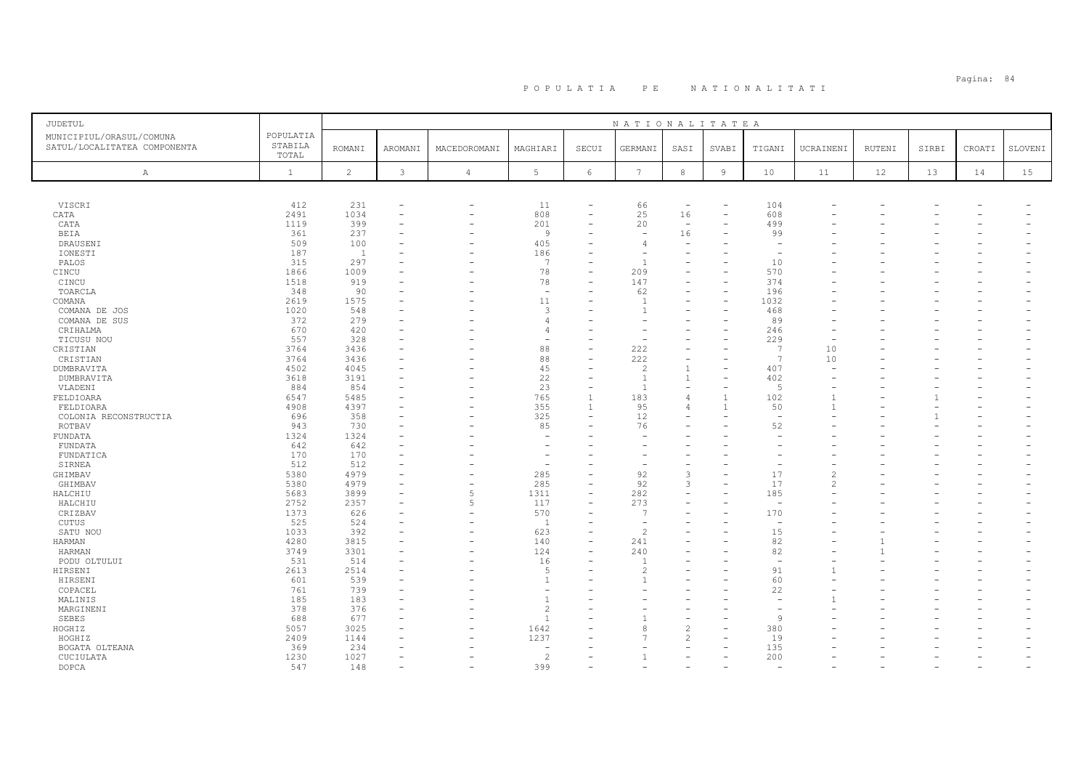| JUDETUL                                                  |                               |                |                          |                          |                          |                          | NATIONALITATEA           |                          |                |                          |                |               |       |        |         |
|----------------------------------------------------------|-------------------------------|----------------|--------------------------|--------------------------|--------------------------|--------------------------|--------------------------|--------------------------|----------------|--------------------------|----------------|---------------|-------|--------|---------|
| MUNICIPIUL/ORASUL/COMUNA<br>SATUL/LOCALITATEA COMPONENTA | POPULATIA<br>STABILA<br>TOTAL | <b>ROMANI</b>  | AROMANI                  | MACEDOROMANI             | MAGHIARI                 | SECUI                    | GERMANI                  | SASI                     | SVABI          | TIGANI                   | UCRAINENI      | <b>RUTENI</b> | SIRBI | CROATI | SLOVENI |
| A                                                        | $\mathbf{1}$                  | $\overline{c}$ | 3                        | $\overline{4}$           | $5\phantom{.0}$          | $\epsilon$               | $7\phantom{.0}$          | $^{\rm 8}$               | $\mathsf{9}$   | 10                       | 11             | 12            | 13    | 14     | 15      |
|                                                          |                               |                |                          |                          |                          |                          |                          |                          |                |                          |                |               |       |        |         |
| VISCRI                                                   | 412                           | 231            | $\overline{\phantom{a}}$ | ۰                        | 11                       |                          | 66                       | $\overline{\phantom{m}}$ |                | 104                      |                |               |       |        |         |
| CATA                                                     | 2491                          | 1034           | $\overline{\phantom{0}}$ | $\overline{\phantom{a}}$ | 808                      | $\overline{\phantom{0}}$ | 25                       | 16                       |                | 608                      |                |               |       |        |         |
| CATA                                                     | 1119                          | 399            |                          |                          | 201                      |                          | 20                       | $\sim$                   |                | 499                      |                |               |       |        |         |
| <b>BEIA</b>                                              | 361                           | 237            |                          |                          | $\overline{9}$           |                          | $\overline{\phantom{a}}$ | 16                       |                | 99                       |                |               |       |        |         |
| DRAUSENI                                                 | 509                           | 100            |                          |                          | 405                      |                          | $\overline{4}$           |                          |                |                          |                |               |       |        |         |
| IONESTI                                                  | 187                           | <sup>1</sup>   |                          |                          | 186                      |                          |                          |                          |                | $\overline{\phantom{a}}$ |                |               |       |        |         |
| PALOS                                                    | 315                           | 297            |                          |                          | 7                        |                          |                          |                          |                | 10                       |                |               |       |        |         |
| CINCU                                                    | 1866                          | 1009           |                          |                          | 78                       |                          | 209                      |                          |                | 570                      |                |               |       |        |         |
| CINCU                                                    | 1518                          | 919            |                          |                          | 78                       |                          | 147                      |                          |                | 374                      |                |               |       |        |         |
| TOARCLA                                                  | 348                           | 90             |                          |                          | $\overline{\phantom{a}}$ |                          | 62                       |                          |                | 196                      |                |               |       |        |         |
| COMANA                                                   | 2619                          | 1575           |                          |                          | 11                       |                          |                          |                          |                | 1032                     |                |               |       |        |         |
| COMANA DE JOS                                            | 1020                          | 548            |                          |                          | 3                        |                          |                          |                          |                | 468                      |                |               |       |        |         |
| COMANA DE SUS                                            | 372                           | 279            | ۰                        |                          | 4                        |                          |                          |                          |                | 89                       |                |               |       |        |         |
| CRIHALMA                                                 | 670                           | 420            |                          |                          | $\overline{4}$           |                          |                          |                          |                | 246                      |                |               |       |        |         |
| TICUSU NOU                                               | 557                           | 328            |                          |                          | $\overline{\phantom{a}}$ |                          |                          |                          |                | 229                      |                |               |       |        |         |
| CRISTIAN                                                 | 3764                          | 3436           |                          |                          | 88                       |                          | 222                      |                          |                | -7                       | 10             |               |       |        |         |
| CRISTIAN                                                 | 3764                          | 3436           |                          |                          | 88                       |                          | 222                      |                          |                | 7                        | 10             |               |       |        |         |
| DUMBRAVITA                                               | 4502                          | 4045           |                          |                          | 45                       |                          | $\overline{c}$           | $\mathbf{1}$             |                | 407                      |                |               |       |        |         |
| DUMBRAVITA                                               | 3618                          | 3191           | $\overline{\phantom{a}}$ |                          | 22                       |                          |                          | 1                        |                | 402                      |                |               |       |        |         |
| VLADENI                                                  | 884                           | 854            |                          |                          | 23                       |                          |                          |                          |                | $\sqrt{2}$               |                |               |       |        |         |
| FELDIOARA                                                | 6547                          | 5485           |                          | -                        | 765                      | $\overline{1}$           | 183                      | 4                        | -1             | 102                      |                |               |       |        |         |
| FELDIOARA                                                | 4908                          | 4397           | ۰                        |                          | 355                      | $\overline{1}$           | 95                       | 4                        | $\overline{1}$ | 50                       |                |               |       |        |         |
| COLONIA RECONSTRUCTIA                                    | 696                           | 358            |                          |                          | 325                      |                          | 12                       |                          |                | $\overline{\phantom{a}}$ |                |               |       |        |         |
| ROTBAV                                                   | 943                           | 730            |                          |                          | 85                       |                          | 76                       |                          |                | 52                       |                |               |       |        |         |
| FUNDATA                                                  | 1324                          | 1324           |                          |                          | ÷                        |                          |                          |                          |                |                          |                |               |       |        |         |
| FUNDATA                                                  | 642                           | 642            | ۰                        |                          |                          |                          |                          |                          |                |                          |                |               |       |        |         |
| FUNDATICA                                                | 170                           | 170            |                          |                          |                          |                          |                          |                          |                |                          |                |               |       |        |         |
| SIRNEA                                                   | 512                           | 512            |                          |                          | $\overline{\phantom{a}}$ |                          |                          |                          |                |                          |                |               |       |        |         |
|                                                          | 5380                          | 4979           |                          |                          | 285                      |                          | 92                       | 3                        |                | 17                       | 2              |               |       |        |         |
| GHIMBAV                                                  |                               | 4979           | ٠                        | ۰                        | 285                      |                          | 92                       | 3                        |                | 17                       | $\overline{2}$ |               |       |        |         |
| GHIMBAV                                                  | 5380<br>5683                  | 3899           | ۰                        | 5                        | 1311                     | $\overline{\phantom{a}}$ |                          |                          |                | 185                      |                |               |       |        |         |
| HALCHIU<br>HALCHIU                                       | 2752                          | 2357           | ٠                        | 5                        | 117                      | $\overline{\phantom{a}}$ | 282<br>273               |                          |                | $\overline{\phantom{a}}$ |                |               |       |        |         |
| CRIZBAV                                                  | 1373                          | 626            | ۰                        | $\rightarrow$            | 570                      |                          |                          |                          |                | 170                      |                |               |       |        |         |
|                                                          | 525                           | 524            |                          |                          | $\mathbf{1}$             |                          |                          |                          |                | $\overline{\phantom{a}}$ |                |               |       |        |         |
| CUTUS                                                    |                               |                | ÷                        | -                        | 623                      | $\equiv$                 |                          |                          |                | 15                       |                |               |       |        |         |
| SATU NOU                                                 | 1033                          | 392            |                          |                          |                          |                          |                          |                          |                |                          |                |               |       |        |         |
| HARMAN                                                   | 4280                          | 3815           |                          |                          | 140                      | $\overline{\phantom{0}}$ | 241                      |                          |                | 82                       |                |               |       |        |         |
| HARMAN                                                   | 3749                          | 3301           |                          |                          | 124                      |                          | 240                      |                          |                | 82                       |                |               |       |        |         |
| PODU OLTULUI                                             | 531                           | 514            |                          |                          | 16                       |                          |                          |                          |                | $\sim$                   |                |               |       |        |         |
| HIRSENI                                                  | 2613                          | 2514           | ÷                        |                          | 5                        |                          | $\mathcal{L}$            |                          |                | 91                       |                |               |       |        |         |
| HIRSENI                                                  | 601                           | 539            |                          |                          | $\overline{1}$           |                          |                          |                          |                | 60                       |                |               |       |        |         |
| COPACEL                                                  | 761                           | 739            |                          |                          | ÷,                       |                          |                          |                          |                | 22                       |                |               |       |        |         |
| MALINIS                                                  | 185                           | 183            |                          |                          | $\overline{1}$           |                          |                          |                          |                |                          |                |               |       |        |         |
| MARGINENI                                                | 378                           | 376            |                          |                          | $\overline{c}$           |                          |                          |                          |                |                          |                |               |       |        |         |
| SEBES                                                    | 688                           | 677            | $\overline{\phantom{a}}$ |                          | $\overline{1}$           |                          |                          |                          |                | 9                        |                |               |       |        |         |
| HOGHIZ                                                   | 5057                          | 3025           |                          |                          | 1642                     |                          | R                        | $\overline{c}$           |                | 380                      |                |               |       |        |         |
| HOGHIZ                                                   | 2409                          | 1144           |                          |                          | 1237                     |                          |                          | $\mathfrak{D}$           |                | 19                       |                |               |       |        |         |
| BOGATA OLTEANA                                           | 369                           | 234            |                          |                          |                          |                          |                          |                          |                | 135                      |                |               |       |        |         |
| CUCIULATA                                                | 1230                          | 1027           | $\equiv$                 |                          | $\overline{c}$           |                          |                          |                          |                | 200                      |                |               |       | ÷      |         |
| DOPCA                                                    | 547                           | 148            | $\overline{\phantom{a}}$ |                          | 399                      |                          |                          |                          |                | $\sim$                   |                |               |       |        |         |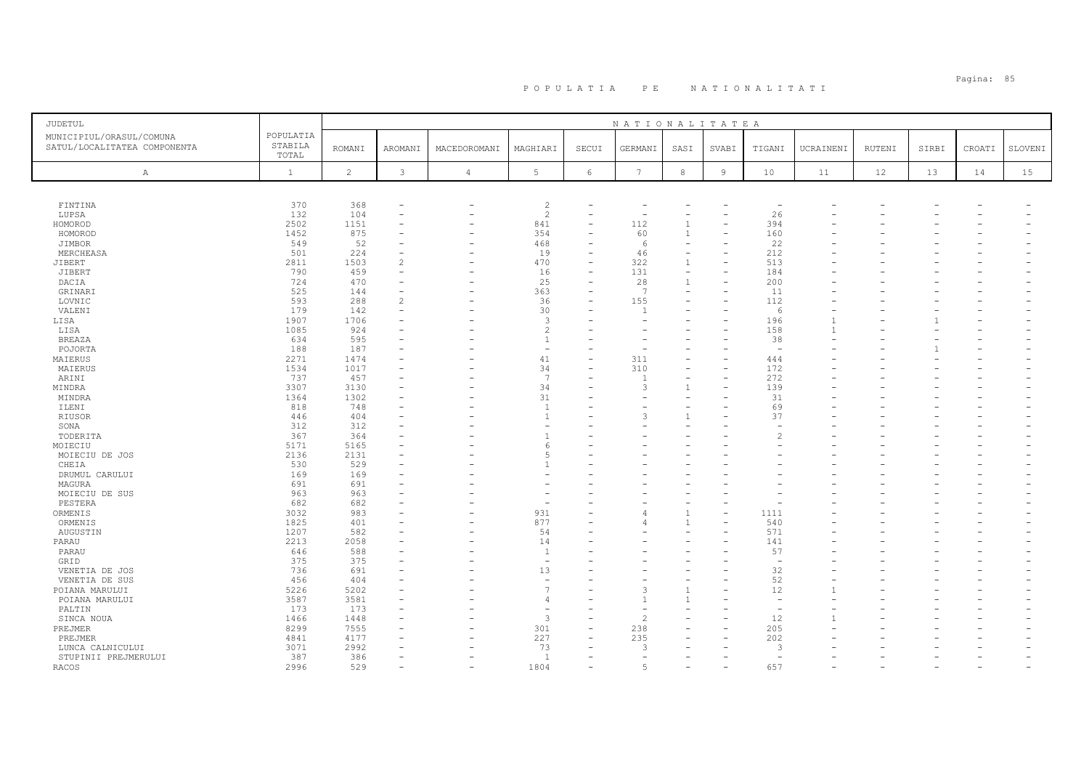| JUDETUL                      |                  |                |                |                          |                          |                          | NATIONALITATEA           |                          |                          |                          |           |        |       |        |         |
|------------------------------|------------------|----------------|----------------|--------------------------|--------------------------|--------------------------|--------------------------|--------------------------|--------------------------|--------------------------|-----------|--------|-------|--------|---------|
| MUNICIPIUL/ORASUL/COMUNA     | POPULATIA        |                |                |                          |                          |                          |                          |                          |                          |                          |           |        |       |        |         |
| SATUL/LOCALITATEA COMPONENTA | STABILA<br>TOTAL | <b>ROMANI</b>  | AROMANI        | MACEDOROMANI             | MAGHIARI                 | SECUI                    | GERMANI                  | SASI                     | SVABI                    | TIGANI                   | UCRAINENI | RUTENI | SIRBI | CROATI | SLOVENI |
|                              |                  |                |                |                          |                          |                          |                          |                          |                          |                          |           |        |       |        |         |
| Α                            | $\mathbf{1}$     | $\overline{c}$ | $\mathbf{3}$   | $\overline{4}$           | 5                        | 6                        | $7\phantom{.0}$          | $_{\rm 8}$               | $\overline{9}$           | 10                       | 11        | 12     | 13    | 14     | 15      |
|                              |                  |                |                |                          |                          |                          |                          |                          |                          |                          |           |        |       |        |         |
| FINTINA                      | 370              | 368            |                |                          | $\overline{c}$           |                          |                          |                          |                          |                          |           |        |       |        |         |
| LUPSA                        | 132              | 104            |                |                          | $\overline{c}$           | $\overline{\phantom{0}}$ | $\overline{\phantom{0}}$ |                          |                          | 26                       |           |        |       |        |         |
| HOMOROD                      | 2502             | 1151           |                |                          | 841                      |                          | 112                      | $\mathbf{1}$             |                          | 394                      |           |        |       |        |         |
| HOMOROD                      | 1452             | 875            |                | ۳                        | 354                      |                          | 60                       | $\mathbf{1}$             |                          | 160                      |           |        |       |        |         |
| JIMBOR                       | 549              | 52             |                | ۰                        | 468                      | $\overline{\phantom{0}}$ | 6                        |                          |                          | 22                       |           |        |       |        |         |
| MERCHEASA                    | 501              | 224            |                |                          | 19                       | $\overline{\phantom{a}}$ | 46                       |                          |                          | 212                      |           |        |       |        |         |
| JIBERT                       | 2811             | 1503           | $\mathfrak{D}$ |                          | 470                      | $\overline{\phantom{a}}$ | 322                      | $\mathbf{1}$             |                          | 513                      |           |        |       |        |         |
| JIBERT                       | 790              | 459            |                |                          | 16                       | -                        | 131                      | $\overline{\phantom{0}}$ |                          | 184                      |           |        |       |        |         |
| DACIA                        | 724              | 470            |                |                          | 25                       | $\overline{\phantom{0}}$ | 28                       | $\mathbf{1}$             | $\overline{\phantom{0}}$ | 200                      |           |        |       |        |         |
| GRINARI                      | 525              | 144            |                | $\overline{\phantom{a}}$ | 363                      | ÷                        | 7                        |                          |                          | 11                       |           |        |       |        |         |
| LOVNIC                       | 593              | 288            | $\mathfrak{D}$ |                          | 36                       | $\equiv$                 | 155                      |                          |                          | 112                      |           |        |       |        |         |
| VALENI                       | 179              | 142            |                |                          | 30                       |                          |                          |                          |                          | 6                        |           |        |       |        |         |
| LISA                         | 1907             | 1706           |                |                          | 3                        |                          | $\sim$                   |                          |                          | 196                      |           |        |       |        |         |
| LISA                         | 1085             | 924            |                |                          | $\overline{c}$           |                          |                          |                          |                          | 158                      |           |        |       |        |         |
| <b>BREAZA</b>                | 634              | 595            |                |                          | $\overline{1}$           |                          |                          |                          |                          | 38                       |           |        |       |        |         |
| POJORTA                      | 188              | 187            |                |                          | $\sim$                   |                          |                          |                          |                          |                          |           |        |       |        |         |
| MAIERUS                      | 2271             | 1474           |                |                          | 41                       | ۳                        | 311                      |                          |                          | 444                      |           |        |       |        |         |
| MAIERUS                      | 1534             | 1017           |                |                          | 34                       |                          | 310                      |                          |                          | 172                      |           |        |       |        |         |
| ARINI                        | 737              | 457            |                |                          | 7                        |                          |                          |                          |                          | 272                      |           |        |       |        |         |
| MINDRA                       | 3307             | 3130           |                |                          | 34                       | ۳                        | 3                        | $\mathbf{1}$             |                          | 139                      |           |        |       |        |         |
| MINDRA                       | 1364             | 1302           |                |                          | 31                       |                          |                          |                          |                          | 31                       |           |        |       |        |         |
| ILENI                        | 818              | 748            |                |                          | $\overline{1}$           |                          |                          |                          |                          | 69                       |           |        |       |        |         |
| <b>RIUSOR</b>                | 446              | 404            |                |                          | $\overline{1}$           |                          | 3                        |                          |                          | 37                       |           |        |       |        |         |
| SONA                         | 312              | 312            |                |                          |                          |                          |                          |                          |                          |                          |           |        |       |        |         |
| TODERITA                     | 367              | 364            |                |                          | $\mathbf{1}$             |                          |                          |                          |                          | $\mathcal{D}$            |           |        |       |        |         |
| MOIECIU                      | 5171             | 5165           |                |                          | 6                        |                          |                          |                          |                          |                          |           |        |       |        |         |
| MOIECIU DE JOS               | 2136             | 2131           |                |                          | 5                        |                          |                          |                          |                          |                          |           |        |       |        |         |
| CHEIA                        | 530              | 529            |                |                          |                          |                          |                          |                          |                          |                          |           |        |       |        |         |
| DRUMUL CARULUI               | 169              | 169            |                |                          |                          |                          |                          |                          |                          |                          |           |        |       |        |         |
|                              | 691              | 691            |                |                          |                          |                          |                          |                          |                          |                          |           |        |       |        |         |
| MAGURA                       |                  | 963            |                |                          |                          |                          |                          |                          |                          |                          |           |        |       |        |         |
| MOIECIU DE SUS<br>PESTERA    | 963<br>682       | 682            |                |                          | $\overline{\phantom{a}}$ |                          |                          |                          |                          |                          |           |        |       |        |         |
| ORMENIS                      | 3032             | 983            |                |                          | 931                      |                          |                          | $\mathbf{1}$             |                          | 1111                     |           |        |       |        |         |
| ORMENIS                      | 1825             | 401            |                |                          | 877                      |                          |                          |                          |                          | 540                      |           |        |       |        |         |
| AUGUSTIN                     | 1207             | 582            |                |                          | 54                       | ۳                        |                          |                          |                          | 571                      |           |        |       |        |         |
|                              | 2213             | 2058           |                |                          | 14                       |                          |                          |                          |                          | 141                      |           |        |       |        |         |
| PARAU                        |                  | 588            |                |                          | $\overline{1}$           |                          |                          |                          |                          | 57                       |           |        |       |        |         |
| PARAU                        | 646<br>375       | 375            |                |                          |                          |                          |                          |                          |                          |                          |           |        |       |        |         |
| GRID                         |                  | 691            |                |                          | 13                       | L.                       |                          |                          |                          | 32                       |           |        |       |        |         |
| VENETIA DE JOS               | 736              |                |                |                          | $\sim$                   |                          |                          |                          |                          |                          |           |        |       |        |         |
| VENETIA DE SUS               | 456              | 404            |                |                          | $\overline{7}$           |                          |                          |                          |                          | 52                       |           |        |       |        |         |
| POIANA MARULUI               | 5226             | 5202           |                |                          |                          |                          | 3                        |                          |                          | 12                       |           |        |       |        |         |
| POIANA MARULUI               | 3587             | 3581           |                |                          | $\overline{4}$           |                          |                          |                          |                          |                          |           |        |       |        |         |
| PALTIN                       | 173              | 173            |                |                          |                          |                          |                          |                          |                          | $\overline{\phantom{0}}$ |           |        |       |        |         |
| SINCA NOUA                   | 1466             | 1448           |                |                          | $\overline{3}$           | $\equiv$                 |                          |                          |                          | 12                       |           |        |       |        |         |
| PREJMER                      | 8299             | 7555           |                |                          | 301                      | $\overline{\phantom{0}}$ | 238                      |                          |                          | 205                      |           |        |       |        |         |
| PREJMER                      | 4841             | 4177           |                |                          | 227                      | $\equiv$                 | 235                      |                          |                          | 202                      |           |        |       |        |         |
| LUNCA CALNICULUI             | 3071             | 2992           |                |                          | 73                       |                          | 3                        |                          |                          | 3                        |           |        |       |        |         |
| STUPINII PREJMERULUI         | 387              | 386            |                |                          | $\overline{1}$           |                          |                          |                          |                          | $\overline{\phantom{a}}$ |           |        |       |        |         |
| RACOS                        | 2996             | 529            |                |                          | 1804                     |                          | 5                        |                          |                          | 657                      |           |        |       |        |         |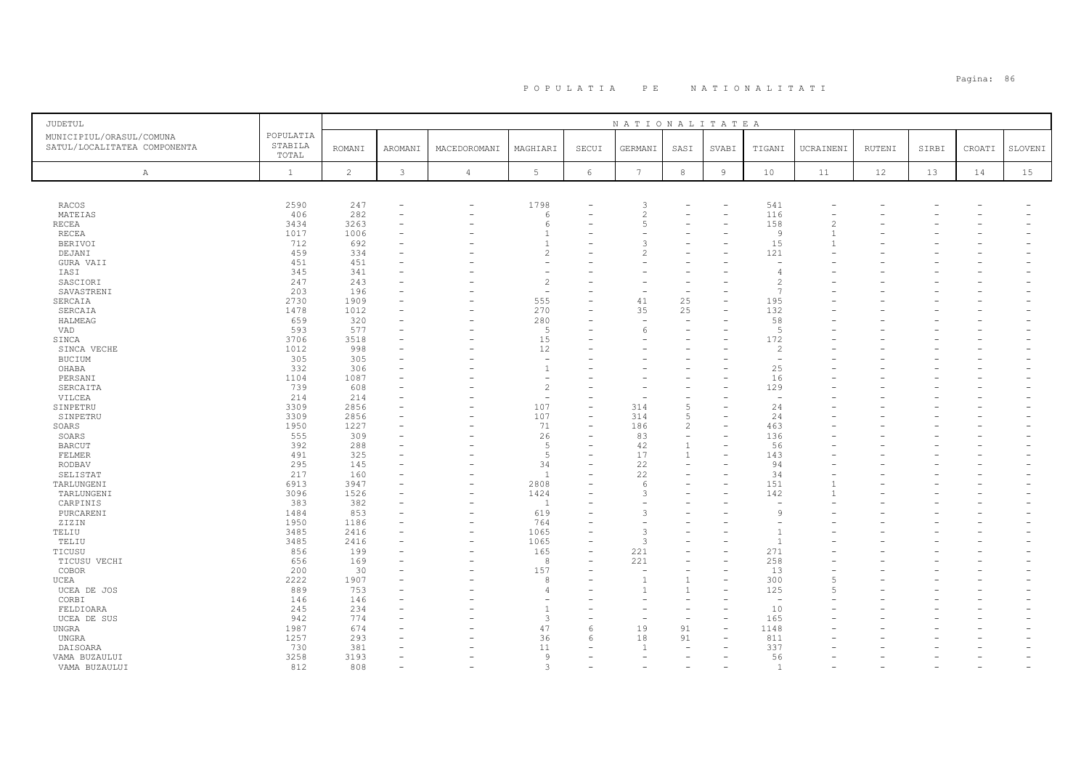| JUDETUL                                                  |                               |                |              |                          |                          |                          | NATIONALITATEA           |                          |                |                                          |                          |        |       |        |         |
|----------------------------------------------------------|-------------------------------|----------------|--------------|--------------------------|--------------------------|--------------------------|--------------------------|--------------------------|----------------|------------------------------------------|--------------------------|--------|-------|--------|---------|
| MUNICIPIUL/ORASUL/COMUNA<br>SATUL/LOCALITATEA COMPONENTA | POPULATIA<br>STABILA<br>TOTAL | <b>ROMANI</b>  | AROMANI      | MACEDOROMANI             | MAGHIARI                 | SECUI                    | GERMANI                  | SASI                     | SVABI          | TIGANI                                   | UCRAINENI                | RUTENI | SIRBI | CROATI | SLOVENI |
| $\mathbb{A}$                                             | $\mathbf{1}$                  | $\overline{c}$ | $\mathbf{3}$ | $\overline{4}$           | $5\phantom{.0}$          | 6                        | $7\phantom{.0}$          | 8                        | $\overline{9}$ | 10                                       | 11                       | 12     | 13    | 14     | 15      |
|                                                          |                               |                |              |                          |                          |                          |                          |                          |                |                                          |                          |        |       |        |         |
| <b>RACOS</b>                                             | 2590                          | 247            |              | $\equiv$                 | 1798                     |                          | 3                        |                          |                | 541                                      |                          |        |       |        |         |
| MATEIAS                                                  | 406                           | 282            | $\equiv$     |                          | 6                        | $\equiv$                 | $\overline{c}$           |                          | $\equiv$       | 116                                      |                          |        |       |        |         |
| RECEA                                                    | 3434                          | 3263           |              |                          | 6                        |                          | 5                        |                          |                | 158                                      | $\overline{\mathcal{L}}$ |        |       |        |         |
| RECEA                                                    | 1017                          | 1006           |              |                          | $\mathbf{1}$             |                          |                          |                          |                | 9                                        | $\mathbf{1}$             |        |       |        |         |
| BERIVOI                                                  | 712                           | 692            |              |                          | $\mathbf{1}$             |                          | 3                        |                          |                | 15                                       |                          |        |       |        |         |
| DEJANI                                                   | 459                           | 334            |              |                          | $\overline{2}$           |                          | 2                        |                          |                | 121                                      |                          |        |       |        |         |
| GURA VAII                                                | 451                           | 451            |              |                          |                          |                          |                          |                          |                | $\overline{\phantom{a}}$                 |                          |        |       |        |         |
| IASI                                                     | 345                           | 341            |              |                          |                          |                          |                          |                          |                |                                          |                          |        |       |        |         |
| SASCIORI                                                 | 247                           | 243            |              |                          | $\overline{c}$           |                          |                          |                          |                | $\mathcal{L}$                            |                          |        |       |        |         |
| SAVASTRENI                                               | 203                           | 196            |              |                          | $\overline{\phantom{a}}$ |                          |                          | $\overline{\phantom{a}}$ |                | $\overline{7}$                           |                          |        |       |        |         |
| SERCAIA                                                  | 2730                          | 1909           |              |                          | 555                      | L.                       | 41                       | 25                       |                | 195                                      |                          |        |       |        |         |
| SERCAIA                                                  | 1478                          | 1012           |              |                          | 270                      |                          | 35                       | 25                       |                | 132                                      |                          |        |       |        |         |
| HALMEAG                                                  | 659                           | 320            |              | ÷                        | 280                      |                          | $\overline{\phantom{a}}$ | $\equiv$                 |                | 58                                       |                          |        |       |        |         |
| <b>VAD</b>                                               | 593                           | 577            |              |                          | -5                       |                          | 6                        |                          |                | $\overline{5}$                           |                          |        |       |        |         |
| SINCA                                                    | 3706                          | 3518           |              |                          | 15                       |                          |                          |                          |                | 172                                      |                          |        |       |        |         |
| SINCA VECHE                                              | 1012                          | 998            |              |                          | 12                       |                          |                          |                          |                | 2                                        |                          |        |       |        |         |
| <b>BUCIUM</b>                                            | 305                           | 305            |              |                          | $\overline{\phantom{a}}$ |                          |                          |                          |                | $\overline{\phantom{a}}$                 |                          |        |       |        |         |
| OHABA                                                    | 332                           | 306            |              |                          | $\overline{1}$           |                          |                          |                          |                | 25                                       |                          |        |       |        |         |
| PERSANI                                                  | 1104                          | 1087           |              |                          | $\sim$                   |                          |                          |                          |                | 16                                       |                          |        |       |        |         |
| SERCAITA                                                 | 739                           | 608            |              |                          | $\overline{c}$           |                          |                          |                          |                | 129                                      |                          |        |       |        |         |
| VILCEA                                                   | 214                           | 214            |              |                          | $\overline{\phantom{a}}$ |                          |                          |                          |                | $\overline{\phantom{a}}$                 |                          |        |       |        |         |
| SINPETRU                                                 | 3309                          | 2856           |              |                          | 107                      | $\equiv$                 | 314                      | $\overline{5}$           |                | 24                                       |                          |        |       |        |         |
| SINPETRU                                                 | 3309                          | 2856           |              |                          | 107                      |                          | 314                      | 5                        |                | 24                                       |                          |        |       |        |         |
| SOARS                                                    | 1950                          | 1227           |              |                          | 71                       | $\equiv$                 | 186                      | 2                        |                | 463                                      |                          |        |       |        |         |
| SOARS                                                    | 555                           | 309            |              |                          | 26                       |                          | 83                       | $\equiv$                 |                | 136                                      |                          |        |       |        |         |
| <b>BARCUT</b>                                            | 392                           | 288            |              |                          | 5                        |                          | 42                       | $\mathbf{1}$             |                | 56                                       |                          |        |       |        |         |
| FELMER                                                   | 491                           | 325            |              |                          | $\overline{5}$           |                          | 17                       | $\mathbf{1}$             |                | 143                                      |                          |        |       |        |         |
|                                                          | 295                           | 145            |              |                          | 34                       |                          | 22                       | $\overline{\phantom{a}}$ |                | 94                                       |                          |        |       |        |         |
| RODBAV                                                   |                               |                |              |                          |                          |                          |                          |                          |                |                                          |                          |        |       |        |         |
| SELISTAT                                                 | 217                           | 160            |              |                          | 1                        |                          | 22                       |                          |                | 34                                       |                          |        |       |        |         |
| TARLUNGENI                                               | 6913                          | 3947           |              | ۰                        | 2808                     |                          | 6                        |                          |                | 151                                      |                          |        |       |        |         |
| TARLUNGENI                                               | 3096                          | 1526           |              | ۰                        | 1424                     |                          | 3                        |                          |                | 142                                      |                          |        |       |        |         |
| CARPINIS                                                 | 383                           | 382            |              | $\overline{\phantom{0}}$ | $\overline{1}$           |                          |                          |                          |                | $\overline{\phantom{a}}$<br>$\mathbf{Q}$ |                          |        |       |        |         |
| PURCARENI                                                | 1484                          | 853            |              | ۰                        | 619                      |                          | 3                        |                          |                |                                          |                          |        |       |        |         |
| ZIZIN                                                    | 1950                          | 1186           |              | ۰                        | 764                      |                          |                          |                          |                |                                          |                          |        |       |        |         |
| TELIU                                                    | 3485                          | 2416           |              | ۰                        | 1065                     | $\overline{\phantom{a}}$ | 3                        |                          |                |                                          |                          |        |       |        |         |
| TELIU                                                    | 3485                          | 2416           |              |                          | 1065                     |                          | $\mathcal{L}$            |                          |                | $\overline{1}$                           |                          |        |       |        |         |
| TICUSU                                                   | 856                           | 199            |              | $\overline{\phantom{a}}$ | 165                      | L,                       | 221                      |                          |                | 271                                      |                          |        |       |        |         |
| TICUSU VECHI                                             | 656                           | 169            |              |                          | 8                        |                          | 221                      |                          |                | 258                                      |                          |        |       |        |         |
| COBOR                                                    | 200                           | 30             |              |                          | 157                      | L.                       | $\sim$                   | $\overline{\phantom{a}}$ | $=$            | 13                                       |                          |        |       |        |         |
| UCEA                                                     | 2222                          | 1907           |              |                          | 8                        |                          | $\mathbf{1}$             | 1                        |                | 300                                      | 5                        |        |       |        |         |
| UCEA DE JOS                                              | 889                           | 753            |              |                          | $\overline{4}$           |                          |                          | $\mathbf{1}$             |                | 125                                      | 5                        |        |       |        |         |
| CORBI                                                    | 146                           | 146            |              |                          |                          |                          |                          |                          |                | $\overline{\phantom{a}}$                 |                          |        |       |        |         |
| FELDIOARA                                                | 245                           | 234            |              |                          | $\overline{1}$           |                          |                          | $\overline{\phantom{a}}$ |                | 10                                       |                          |        |       |        |         |
| UCEA DE SUS                                              | 942                           | 774            |              |                          | 3                        | $\equiv$                 |                          | $\equiv$                 |                | 165                                      |                          |        |       |        |         |
| UNGRA                                                    | 1987                          | 674            |              |                          | 47                       | 6                        | 19                       | 91                       |                | 1148                                     |                          |        |       |        |         |
| UNGRA                                                    | 1257                          | 293            |              |                          | 36                       | 6                        | 18                       | 91                       |                | 811                                      |                          |        |       |        |         |
| DAISOARA                                                 | 730                           | 381            |              |                          | 11                       |                          | $\overline{1}$           |                          |                | 337                                      |                          |        |       |        |         |
| VAMA BUZAULUI                                            | 3258                          | 3193           |              |                          | 9                        |                          | ۳                        |                          |                | 56                                       |                          |        |       | ÷      |         |
| VAMA BUZAULUI                                            | 812                           | 808            |              |                          | 3                        |                          |                          |                          |                | $\overline{1}$                           |                          |        |       |        |         |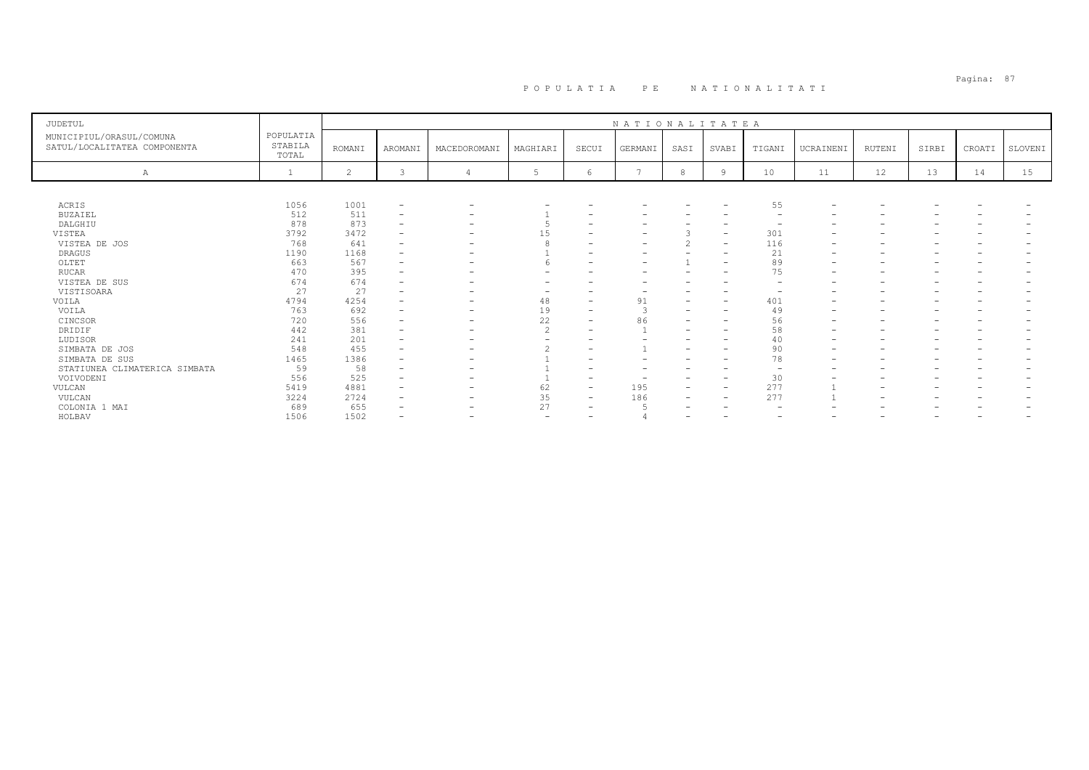| JUDETUL                                                  |                               |                |                          |                          |                          |                          | NATIONALITATEA |                   |                          |                          |                          |                          |       |        |         |
|----------------------------------------------------------|-------------------------------|----------------|--------------------------|--------------------------|--------------------------|--------------------------|----------------|-------------------|--------------------------|--------------------------|--------------------------|--------------------------|-------|--------|---------|
| MUNICIPIUL/ORASUL/COMUNA<br>SATUL/LOCALITATEA COMPONENTA | POPULATIA<br>STABILA<br>TOTAL | <b>ROMANI</b>  | AROMANI                  | MACEDOROMANI             | MAGHIARI                 | SECUI                    | GERMANI        | SASI              | SVABI                    | TIGANI                   | UCRAINENI                | RUTENI                   | SIRBI | CROATI | SLOVENI |
| Α                                                        |                               | $\overline{c}$ | 3                        |                          | .5                       | 6                        |                | 8                 | 9                        | 10                       | 11                       | 12                       | 13    | 14     | 15      |
|                                                          |                               |                |                          |                          |                          |                          |                |                   |                          |                          |                          |                          |       |        |         |
| ACRIS                                                    | 1056                          | 1001           | $\overline{\phantom{0}}$ | -                        |                          |                          |                |                   | $\overline{\phantom{a}}$ | 55                       | $\overline{\phantom{a}}$ |                          |       |        |         |
| <b>BUZAIEL</b>                                           | 512                           | 511            | $\overline{\phantom{0}}$ |                          |                          |                          |                |                   |                          | $\overline{\phantom{0}}$ |                          |                          |       |        |         |
| DALGHIU                                                  | 878                           | 873            | $\overline{\phantom{0}}$ |                          |                          |                          |                |                   | $\overline{\phantom{0}}$ | $\overline{\phantom{0}}$ |                          |                          |       |        |         |
| VISTEA                                                   | 3792                          | 3472           |                          |                          | 15                       |                          | -              |                   | $\overline{\phantom{a}}$ | 301                      |                          |                          |       |        |         |
| VISTEA DE JOS                                            | 768                           | 641            | $\overline{\phantom{a}}$ |                          |                          |                          |                | $\sim$            | $\overline{\phantom{a}}$ | 116                      | $\overline{\phantom{0}}$ |                          |       |        |         |
| <b>DRAGUS</b>                                            | 1190                          | 1168           |                          |                          |                          |                          |                |                   | $\overline{\phantom{0}}$ | 21                       | $\overline{\phantom{0}}$ | $\overline{\phantom{0}}$ |       |        |         |
| OLTET                                                    | 663                           | 567            |                          |                          |                          |                          |                |                   | $\overline{\phantom{0}}$ | 89                       | $\overline{\phantom{0}}$ | $\overline{\phantom{0}}$ |       |        |         |
| <b>RUCAR</b>                                             | 470                           | 395            |                          |                          |                          |                          |                |                   | $\overline{\phantom{0}}$ | 75                       | $\overline{\phantom{0}}$ |                          |       |        |         |
| VISTEA DE SUS                                            | 674                           | 674            |                          |                          |                          |                          |                |                   |                          |                          |                          |                          |       |        |         |
| VISTISOARA                                               | 27                            | 27             |                          |                          |                          |                          |                |                   | $\overline{\phantom{0}}$ | $\overline{\phantom{0}}$ | $\overline{\phantom{0}}$ |                          |       |        |         |
| VOILA                                                    | 4794                          | 4254           |                          |                          | 48                       | $\overline{\phantom{a}}$ | 91             | -                 | $\overline{\phantom{a}}$ | 401                      | $\overline{\phantom{0}}$ |                          |       |        |         |
| VOILA                                                    | 763                           | 692            |                          |                          | 19                       |                          |                |                   | ٠                        | 49                       |                          |                          |       |        |         |
| CINCSOR                                                  | 720                           | 556            |                          | $\overline{\phantom{0}}$ | 22                       |                          | 86             | -                 | $\overline{\phantom{0}}$ | 56                       |                          | -                        |       |        |         |
| DRIDIF                                                   | 442                           | 381            |                          |                          | $\mathfrak{D}$           |                          |                |                   | $\overline{\phantom{0}}$ | 58                       |                          |                          |       |        |         |
| LUDISOR                                                  | 241                           | 201            |                          |                          |                          |                          |                |                   | $\overline{\phantom{0}}$ | 40                       | $\overline{\phantom{a}}$ | $\overline{\phantom{0}}$ |       |        |         |
| SIMBATA DE JOS                                           | 548                           | 455            |                          | $\overline{\phantom{0}}$ |                          |                          |                | -                 | $\overline{\phantom{0}}$ | 90                       | $\overline{\phantom{0}}$ | $\overline{\phantom{0}}$ |       |        |         |
| SIMBATA DE SUS                                           | 1465                          | 1386           |                          |                          |                          |                          |                |                   | $\overline{\phantom{0}}$ | 78                       |                          |                          |       |        |         |
| STATIUNEA CLIMATERICA SIMBATA                            | 59                            | 58             |                          |                          |                          |                          |                |                   | $\overline{\phantom{0}}$ | $\overline{\phantom{0}}$ |                          |                          |       |        |         |
| VOIVODENI                                                | 556                           | 525            |                          |                          |                          |                          |                | -                 | $\overline{\phantom{a}}$ | 30                       |                          |                          |       |        |         |
| VULCAN                                                   | 5419                          | 4881           |                          |                          | 62                       | $\overline{\phantom{a}}$ | 195            |                   | $\overline{\phantom{0}}$ | 277                      |                          |                          |       |        |         |
| VULCAN                                                   | 3224                          | 2724           | $\overline{\phantom{0}}$ | $\overline{\phantom{0}}$ | 35                       | $\overline{\phantom{0}}$ | 186            | $\qquad \qquad -$ | $\overline{\phantom{a}}$ | 277                      |                          | $\overline{\phantom{a}}$ |       |        |         |
| COLONIA 1 MAI                                            | 689                           | 655            |                          |                          | 27                       | $\overline{\phantom{a}}$ |                |                   |                          |                          |                          |                          |       |        |         |
| HOLBAV                                                   | 1506                          | 1502           |                          |                          | $\overline{\phantom{0}}$ |                          |                |                   |                          | $\overline{\phantom{0}}$ |                          |                          |       |        |         |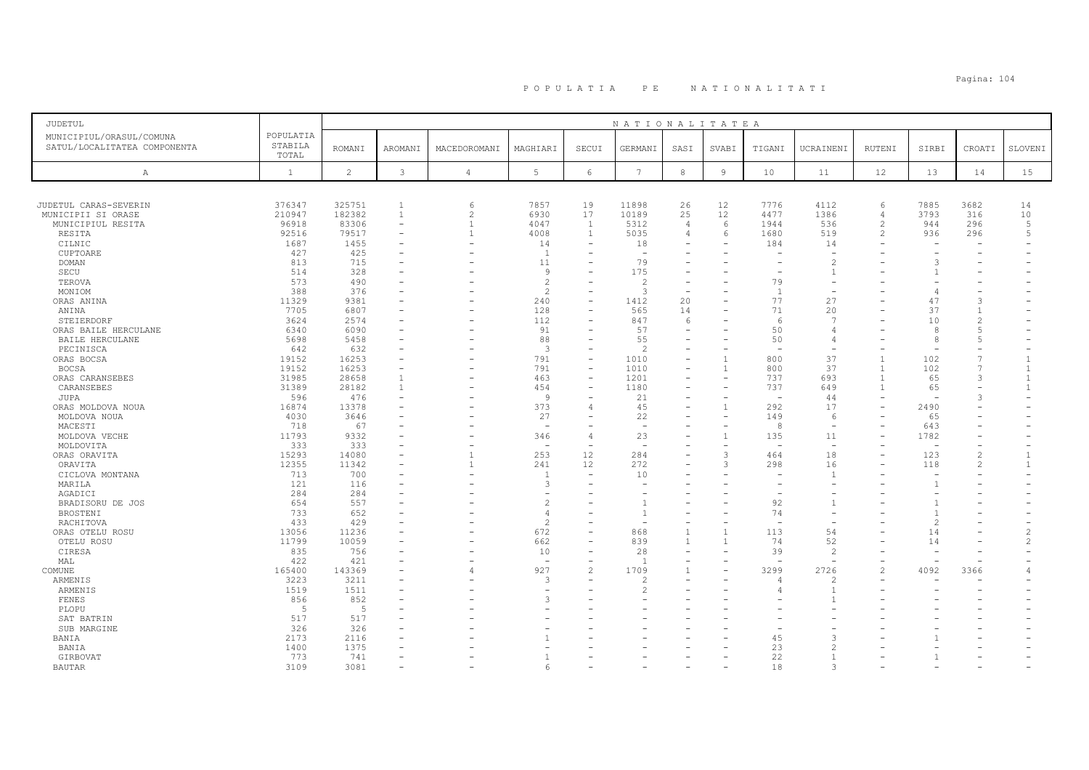# Pagina: 104 P O P U L A T I A P E N A T I O N A L I T A T I

| JUDETUL                                                  |                               |                |                          |                          |                 |                          | NATIONALITATEA           |                |                |                          |                          |                          |                          |                |                |
|----------------------------------------------------------|-------------------------------|----------------|--------------------------|--------------------------|-----------------|--------------------------|--------------------------|----------------|----------------|--------------------------|--------------------------|--------------------------|--------------------------|----------------|----------------|
| MUNICIPIUL/ORASUL/COMUNA<br>SATUL/LOCALITATEA COMPONENTA | POPULATIA<br>STABILA<br>TOTAL | <b>ROMANI</b>  | <b>AROMANI</b>           | MACEDOROMANI             | MAGHIARI        | SECUI                    | GERMANI                  | SASI           | SVABI          | TIGANI                   | UCRAINENI                | <b>RUTENI</b>            | SIRBI                    | CROATI         | SLOVENI        |
| A                                                        | $\mathbf{1}$                  | $\overline{c}$ | $\mathcal{E}$            | 4                        | $5\phantom{.0}$ | $6\phantom{.}6$          | $7\phantom{.0}$          | $^{\rm 8}$     | $\overline{9}$ | 10                       | 11                       | 12                       | 13                       | 14             | 15             |
|                                                          |                               |                |                          |                          |                 |                          |                          |                |                |                          |                          |                          |                          |                |                |
| JUDETUL CARAS-SEVERIN                                    | 376347                        | 325751         | $\mathbf{1}$             | 6                        | 7857            | 19                       | 11898                    | 26             | 12             | 7776                     | 4112                     | 6                        | 7885                     | 3682           | 14             |
| MUNICIPII SI ORASE                                       | 210947                        | 182382         | $\mathbf{1}$             | $\overline{\mathcal{L}}$ | 6930            | 17                       | 10189                    | 25             | 12             | 4477                     | 1386                     | $\overline{4}$           | 3793                     | 316            | 10             |
| MUNICIPIUL RESITA                                        | 96918                         | 83306          | $\overline{\phantom{a}}$ | $\mathbf{1}$             | 4047            | $\mathbf{1}$             | 5312                     | $\overline{4}$ | 6              | 1944                     | 536                      | $\overline{c}$           | 944                      | 296            | 5              |
| RESITA                                                   | 92516                         | 79517          | $\equiv$                 | $\mathbf{1}$             | 4008            | 1                        | 5035                     | 4              | $\kappa$       | 1680                     | 519                      | $\mathfrak{D}$           | 936                      | 296            | 5              |
| CILNIC                                                   | 1687                          | 1455           |                          |                          | 14              | $\overline{\phantom{a}}$ | 18                       |                |                | 184                      | 14                       |                          |                          |                |                |
| CUPTOARE                                                 | 427                           | 425            |                          |                          | 1               |                          | $\overline{\phantom{a}}$ |                |                |                          | $\sim$                   |                          |                          |                |                |
| <b>DOMAN</b>                                             | 813                           | 715            |                          |                          | 11              |                          | 79                       |                |                |                          | $\overline{c}$           |                          | 3                        |                |                |
| SECU                                                     | 514                           | 328            |                          |                          | 9               |                          | 175                      |                |                |                          | $\overline{1}$           |                          | -1                       |                |                |
| TEROVA                                                   | 573                           | 490            |                          |                          | $\overline{c}$  |                          | $\overline{c}$           |                |                | 79                       |                          |                          |                          |                |                |
| MONIOM                                                   | 388                           | 376            |                          |                          | $\overline{2}$  | ۳                        | 3                        | $\equiv$       |                | -1                       | $\overline{\phantom{a}}$ |                          | $\overline{4}$           |                |                |
| ORAS ANINA                                               | 11329                         | 9381           |                          |                          | 240             | $\overline{\phantom{a}}$ | 1412                     | 20             |                | 77                       | 27                       |                          | 47                       | 3              |                |
| ANINA                                                    | 7705                          | 6807           |                          |                          | 128             | $\equiv$                 | 565                      | 14             |                | 71                       | 20                       |                          | 37                       | $\mathbf{1}$   |                |
| STEIERDORF                                               | 3624                          | 2574           |                          |                          | 112             | -                        | 847                      | 6              |                | 6                        | -7                       |                          | 10                       | $\overline{c}$ |                |
| ORAS BAILE HERCULANE                                     | 6340                          | 6090           |                          |                          | 91              | $\overline{\phantom{a}}$ | 57                       | $\equiv$       |                | 50                       | $\angle$                 |                          | $\mathcal{R}$            | 5              |                |
| BAILE HERCULANE                                          | 5698                          | 5458           |                          |                          | 88              | L.                       | 55                       |                |                | 50                       | $\overline{4}$           |                          | 8                        | 5              |                |
| PECINISCA                                                | 642                           | 632            |                          |                          | $\mathbf{3}$    |                          | 2                        |                |                | $\sim$                   |                          |                          |                          |                |                |
| ORAS BOCSA                                               | 19152                         | 16253          |                          |                          | 791             | $\equiv$                 | 1010                     |                |                | 800                      | 37                       |                          | 102                      | $\overline{7}$ |                |
| <b>BOCSA</b>                                             | 19152                         | 16253          |                          |                          | 791             | $\overline{\phantom{a}}$ | 1010                     |                | $\overline{1}$ | 800                      | 37                       | $\overline{1}$           | 102                      | $\overline{7}$ | $\mathbf{1}$   |
|                                                          | 31985                         | 28658          | $\mathbf{1}$             |                          | 463             | $\equiv$                 | 1201                     |                |                | 737                      | 693                      | $\overline{1}$           | 65                       | 3              | $\mathbf{1}$   |
| ORAS CARANSEBES                                          |                               | 28182          | $\mathbf{1}$             |                          | 454             | $\overline{\phantom{a}}$ |                          |                |                | 737                      |                          | $\overline{1}$           |                          |                | $\mathbf{1}$   |
| CARANSEBES                                               | 31389                         |                |                          |                          |                 |                          | 1180                     |                |                |                          | 649                      |                          | 65                       |                |                |
| JUPA                                                     | 596                           | 476            |                          |                          | $\mathsf{Q}$    | $\overline{\phantom{a}}$ | 21                       |                |                | $\overline{\phantom{a}}$ | 44                       |                          | $\equiv$                 | 3              |                |
| ORAS MOLDOVA NOUA                                        | 16874                         | 13378          |                          |                          | 373             | $\overline{4}$           | 45                       |                | $\overline{1}$ | 292                      | 17                       |                          | 2490                     |                |                |
| MOLDOVA NOUA                                             | 4030                          | 3646           |                          |                          | 27              |                          | 22                       |                |                | 149                      | 6                        |                          | 65                       |                |                |
| MACESTI                                                  | 718                           | 67             |                          |                          | $\overline{a}$  |                          | $\sim$                   |                |                | 8                        | $\overline{\phantom{a}}$ | $\overline{\phantom{0}}$ | 643                      |                |                |
| MOLDOVA VECHE                                            | 11793                         | 9332           |                          |                          | 346             | $\overline{4}$           | 23                       |                |                | 135                      | 11                       |                          | 1782                     |                |                |
| MOLDOVITA                                                | 333                           | 333            |                          |                          | $\overline{a}$  | $\overline{\phantom{a}}$ | <u>_</u>                 |                |                | $\overline{\phantom{a}}$ | $\sim$                   |                          | $\overline{\phantom{a}}$ |                |                |
| ORAS ORAVITA                                             | 15293                         | 14080          |                          | $\mathbf{1}$             | 253             | 12                       | 284                      |                | $\mathcal{L}$  | 464                      | 18                       |                          | 123                      | $\mathfrak{D}$ |                |
| ORAVITA                                                  | 12355                         | 11342          |                          | $\mathbf{1}$             | 241             | 12                       | 272                      |                | 3              | 298                      | 16                       |                          | 118                      | $\overline{c}$ | $\mathbf{1}$   |
| CICLOVA MONTANA                                          | 713                           | 700            |                          |                          | $\overline{1}$  |                          | 10                       |                |                |                          | $\overline{1}$           |                          |                          |                |                |
| MARILA                                                   | 121                           | 116            |                          |                          | 3               |                          |                          |                |                |                          |                          |                          | 1                        |                |                |
| AGADICI                                                  | 284                           | 284            |                          |                          |                 |                          |                          |                |                |                          |                          |                          |                          |                |                |
| BRADISORU DE JOS                                         | 654                           | 557            |                          |                          | $\overline{c}$  |                          |                          |                |                | 92                       |                          |                          |                          |                |                |
| BROSTENI                                                 | 733                           | 652            |                          |                          | $\overline{4}$  |                          |                          |                |                | 74                       |                          |                          | $\overline{1}$           |                |                |
| RACHITOVA                                                | 433                           | 429            |                          |                          | $\overline{c}$  |                          |                          |                |                | $\overline{\phantom{0}}$ |                          |                          | $\mathfrak{D}$           |                |                |
| ORAS OTELU ROSU                                          | 13056                         | 11236          |                          |                          | 672             | $\equiv$                 | 868                      | $\mathbf{1}$   |                | 113                      | 54                       |                          | 14                       |                | $\mathfrak{D}$ |
| OTELU ROSU                                               | 11799                         | 10059          |                          |                          | 662             |                          | 839                      | $\mathbf{1}$   |                | 74                       | 52                       |                          | 14                       |                | $\overline{c}$ |
| CIRESA                                                   | 835                           | 756            |                          | L.                       | 10              | L.                       | 28                       | $\equiv$       |                | 39                       | $\overline{c}$           |                          | $\equiv$                 |                |                |
| MAL                                                      | 422                           | 421            |                          |                          | $\sim$          |                          |                          |                |                |                          |                          |                          | $\sim$                   |                |                |
| COMUNE                                                   | 165400                        | 143369         |                          | 4                        | 927             | $\overline{c}$           | 1709                     |                |                | 3299                     | 2726                     | $\overline{c}$           | 4092                     | 3366           |                |
| ARMENIS                                                  | 3223                          | 3211           |                          |                          | 3               |                          | $\mathfrak{D}$           |                |                | 4                        | 2                        |                          |                          |                |                |
| ARMENIS                                                  | 1519                          | 1511           |                          |                          | ۰               |                          | $\overline{c}$           |                |                |                          | $\overline{1}$           |                          |                          |                |                |
|                                                          |                               |                |                          |                          | 3               |                          |                          |                |                |                          | $\mathbf{1}$             |                          |                          |                |                |
| FENES                                                    | 856                           | 852<br>5       |                          |                          |                 |                          |                          |                |                |                          |                          |                          |                          |                |                |
| PLOPU                                                    | 5                             |                |                          |                          |                 |                          |                          |                |                |                          |                          |                          |                          |                |                |
| SAT BATRIN                                               | 517                           | 517            |                          |                          |                 |                          |                          |                |                |                          |                          |                          |                          |                |                |
| SUB MARGINE                                              | 326                           | 326            |                          |                          |                 |                          |                          |                |                |                          |                          |                          |                          |                |                |
| BANIA                                                    | 2173                          | 2116           |                          |                          |                 |                          |                          |                |                | 45                       |                          |                          |                          |                |                |
| BANIA                                                    | 1400                          | 1375           |                          |                          |                 |                          |                          |                |                | 23                       |                          |                          |                          |                |                |
| GIRBOVAT                                                 | 773                           | 741            |                          |                          |                 |                          |                          |                |                | 22                       | $\mathbf{1}$             |                          |                          |                |                |
| <b>BAUTAR</b>                                            | 3109                          | 3081           |                          |                          | 6               |                          |                          |                |                | 18                       | 3                        |                          |                          |                |                |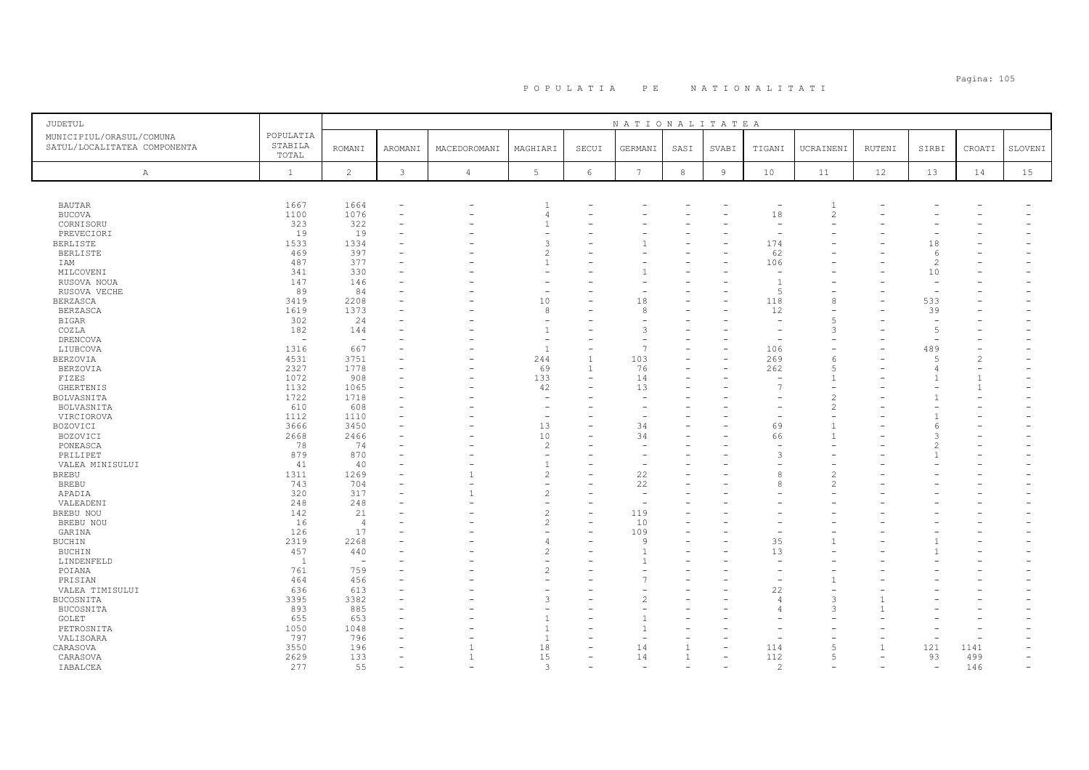# Pagina: 105 P O P U L A T I A P E N A T I O N A L I T A T I

| <b>JUDETUL</b>               |              |                |              |                          |                                |                          | NATIONALITATEA           |                |                          |                                 |                |                          |                          |                |         |
|------------------------------|--------------|----------------|--------------|--------------------------|--------------------------------|--------------------------|--------------------------|----------------|--------------------------|---------------------------------|----------------|--------------------------|--------------------------|----------------|---------|
| MUNICIPIUL/ORASUL/COMUNA     | POPULATIA    |                |              |                          |                                |                          |                          |                |                          |                                 |                |                          |                          |                |         |
| SATUL/LOCALITATEA COMPONENTA | STABILA      | <b>ROMANI</b>  | AROMANI      | MACEDOROMANI             | MAGHIARI                       | SECUI                    | GERMANI                  | SASI           | SVABI                    | TIGANI                          | UCRAINENI      | RUTENI                   | SIRBI                    | CROATI         | SLOVENI |
|                              | TOTAL        |                |              |                          |                                |                          |                          |                |                          |                                 |                |                          |                          |                |         |
|                              | $\mathbf{1}$ | $\overline{2}$ | $\mathbf{3}$ | $\overline{4}$           | 5                              | $\epsilon$               | $7\overline{ }$          | $^{\rm 8}$     | $\overline{9}$           | 10                              | 11             | 12                       | 13                       | 14             | 15      |
| $\mathbb{A}$                 |              |                |              |                          |                                |                          |                          |                |                          |                                 |                |                          |                          |                |         |
|                              |              |                |              |                          |                                |                          |                          |                |                          |                                 |                |                          |                          |                |         |
| <b>BAUTAR</b>                | 1667         | 1664           |              | ۰                        | -1                             |                          |                          |                |                          |                                 | $\overline{1}$ |                          |                          |                |         |
| <b>BUCOVA</b>                | 1100         | 1076           | $\sim$       |                          | $\overline{4}$                 | $\equiv$                 |                          |                |                          | 18                              | $\mathfrak{D}$ |                          |                          |                |         |
| CORNISORU                    | 323          | 322            |              |                          | $\mathbf{1}$                   |                          |                          |                |                          |                                 |                |                          |                          |                |         |
| PREVECIORI                   | 19           | 19             |              |                          | $\equiv$                       |                          |                          |                |                          |                                 |                |                          |                          |                |         |
| <b>BERLISTE</b>              | 1533         | 1334           |              |                          | 3                              |                          |                          |                |                          | 174                             |                |                          | 18                       |                |         |
| <b>BERLISTE</b>              | 469          | 397            |              |                          | $\overline{c}$                 |                          |                          |                |                          | 62                              |                |                          | 6                        |                |         |
| IAM                          | 487          | 377            |              |                          | $\mathbf{1}$                   |                          |                          |                |                          | 106                             |                |                          | 2                        |                |         |
| MILCOVENI                    | 341          | 330            |              |                          |                                |                          |                          |                |                          |                                 |                |                          | 10                       |                |         |
| RUSOVA NOUA                  | 147          | 146            |              |                          |                                |                          |                          |                |                          | $\overline{1}$                  |                |                          |                          |                |         |
| RUSOVA VECHE                 | 89           | 84             |              |                          | $\overline{\phantom{a}}$       | ۳                        |                          |                |                          | $\overline{5}$                  |                |                          | $\overline{\phantom{a}}$ |                |         |
| BERZASCA                     | 3419         | 2208           |              |                          | 10                             | ۳                        | 18                       |                |                          | 118                             |                |                          | 533                      |                |         |
| <b>BERZASCA</b>              | 1619         | 1373           |              |                          | 8                              |                          | 8                        |                |                          | 12                              |                |                          | 39                       |                |         |
| <b>BIGAR</b>                 | 302          | 24             |              |                          |                                |                          |                          |                |                          | $\overline{\phantom{a}}$        | $\overline{5}$ |                          | $\overline{\phantom{a}}$ |                |         |
| COZLA                        | 182          | 144            |              |                          | $\overline{1}$                 |                          | 3                        |                |                          |                                 |                |                          | $\overline{5}$           |                |         |
| DRENCOVA                     | $\sim$       | $\sim$         |              |                          | $\overline{\phantom{a}}$       |                          | $\sim$                   |                |                          |                                 |                |                          | $\overline{\phantom{0}}$ |                |         |
| LIUBCOVA                     | 1316         | 667            |              |                          | $\overline{1}$                 |                          | $\overline{7}$           |                |                          | 106                             |                |                          | 489                      |                |         |
| <b>BERZOVIA</b>              | 4531         | 3751           |              |                          | 244                            | $\mathbf{1}$             | 103                      |                | $\overline{\phantom{0}}$ | 269                             | -6             |                          | -5                       | $\overline{2}$ |         |
|                              | 2327         | 1778           |              |                          | 69                             | 1                        | 76                       |                |                          |                                 |                |                          | $\overline{4}$           |                |         |
| <b>BERZOVIA</b><br>FIZES     | 1072         | 908            |              | $\rightarrow$            | 133                            | ÷                        | 14                       |                |                          | 262<br>$\overline{\phantom{a}}$ |                |                          |                          | $\overline{1}$ |         |
|                              | 1132         | 1065           |              |                          |                                |                          | 13                       |                |                          | 7                               |                |                          |                          | -1             |         |
| <b>GHERTENIS</b>             | 1722         | 1718           |              |                          | 42<br>$\overline{\phantom{m}}$ |                          |                          |                |                          |                                 |                |                          |                          |                |         |
| BOLVASNITA                   |              |                |              |                          |                                |                          |                          |                |                          |                                 | $\mathcal{L}$  |                          |                          |                |         |
| BOLVASNITA                   | 610          | 608<br>1110    |              |                          |                                |                          |                          |                |                          |                                 |                |                          |                          |                |         |
| VIRCIOROVA                   | 1112         |                |              |                          | $\overline{\phantom{a}}$       |                          |                          |                |                          |                                 | $\overline{1}$ |                          |                          |                |         |
| BOZOVICI                     | 3666         | 3450           |              |                          | 13                             | -                        | 34                       |                |                          | 69                              |                |                          | 6                        |                |         |
| BOZOVICI                     | 2668         | 2466           |              |                          | 10                             | ۳                        | 34                       |                |                          | 66                              |                |                          | $\mathcal{L}$            |                |         |
| PONEASCA                     | 78<br>879    | 74             |              |                          | $\overline{c}$                 |                          | $\overline{\phantom{0}}$ |                |                          |                                 |                |                          |                          |                |         |
| PRILIPET                     |              | 870            |              |                          | $\overline{1}$                 |                          |                          |                |                          |                                 |                |                          |                          |                |         |
| VALEA MINISULUI              | 41           | 40             |              |                          |                                | $\overline{\phantom{0}}$ | $\overline{\phantom{0}}$ |                |                          |                                 |                |                          |                          |                |         |
| <b>BREBU</b>                 | 1311         | 1269           |              | $\mathbf{1}$             | $\overline{c}$                 |                          | 22                       |                |                          |                                 |                |                          |                          |                |         |
| <b>BREBU</b>                 | 743          | 704            |              |                          |                                |                          | 22                       |                |                          |                                 | $\mathcal{P}$  |                          |                          |                |         |
| APADIA                       | 320<br>248   | 317            |              | $\mathbf{1}$             | $\overline{c}$                 |                          |                          |                |                          |                                 |                |                          |                          |                |         |
| VALEADENI                    |              | 248            |              |                          | $\overline{\phantom{m}}$       |                          | $\overline{\phantom{0}}$ |                |                          |                                 |                |                          |                          |                |         |
| BREBU NOU                    | 142          | 21             |              |                          | $\overline{c}$                 |                          | 119                      |                |                          |                                 |                |                          |                          |                |         |
| BREBU NOU                    | 16           | $\overline{4}$ |              |                          | $\overline{c}$                 |                          | 10                       |                |                          |                                 |                |                          |                          |                |         |
| GARINA                       | 126          | 17             |              |                          |                                | $\overline{\phantom{0}}$ | 109                      |                |                          |                                 |                |                          |                          |                |         |
| <b>BUCHIN</b>                | 2319         | 2268           |              |                          | $\overline{4}$                 |                          | $\mathsf{Q}$             |                |                          | 35                              |                |                          |                          |                |         |
| <b>BUCHIN</b>                | 457          | 440            |              |                          | $\mathcal{D}$                  | ۳                        |                          |                |                          | 13                              |                |                          |                          |                |         |
| LINDENFELD                   | <sup>1</sup> | $\sim$         |              |                          |                                |                          |                          |                |                          |                                 |                |                          |                          |                |         |
| POIANA                       | 761          | 759            |              |                          | $\mathfrak{D}$                 | $\overline{\phantom{0}}$ |                          |                |                          | $\overline{\phantom{0}}$        |                |                          |                          |                |         |
| PRISIAN                      | 464          | 456            |              |                          |                                |                          |                          |                |                          |                                 |                |                          |                          |                |         |
| VALEA TIMISULUI              | 636          | 613            |              |                          |                                |                          |                          |                |                          | 22                              |                |                          |                          |                |         |
| BUCOSNITA                    | 3395         | 3382           |              |                          | 3                              |                          | $\overline{c}$           |                |                          | $\overline{4}$                  | 3              |                          |                          |                |         |
| BUCOSNITA                    | 893          | 885            |              |                          |                                |                          |                          |                |                          | $\overline{4}$                  | $\mathcal{A}$  |                          |                          |                |         |
| GOLET                        | 655          | 653            |              |                          | $\overline{1}$                 |                          |                          |                |                          |                                 |                |                          |                          |                |         |
| PETROSNITA                   | 1050         | 1048           |              |                          | $\mathbf{1}$                   |                          |                          |                |                          |                                 |                |                          |                          |                |         |
| VALISOARA                    | 797          | 796            |              |                          | $\overline{1}$                 |                          |                          |                |                          |                                 |                |                          |                          |                |         |
| CARASOVA                     | 3550         | 196            |              | $\mathbf{1}$             | 18                             | ۳                        | 14                       | $\overline{1}$ | $\overline{\phantom{m}}$ | 114                             | $\overline{5}$ | $\mathbf{1}$             | 121                      | 1141           |         |
| CARASOVA                     | 2629         | 133            |              | $\overline{1}$           | 15                             |                          | 14                       | $\mathbf{1}$   |                          | 112                             | $\overline{5}$ | $\overline{\phantom{m}}$ | 93                       | 499            |         |
| IABALCEA                     | 277          | 55             |              | $\overline{\phantom{a}}$ | 3                              |                          | $\overline{\phantom{0}}$ |                |                          | $\mathcal{D}$                   |                | $\overline{\phantom{a}}$ | $\overline{\phantom{a}}$ | 146            |         |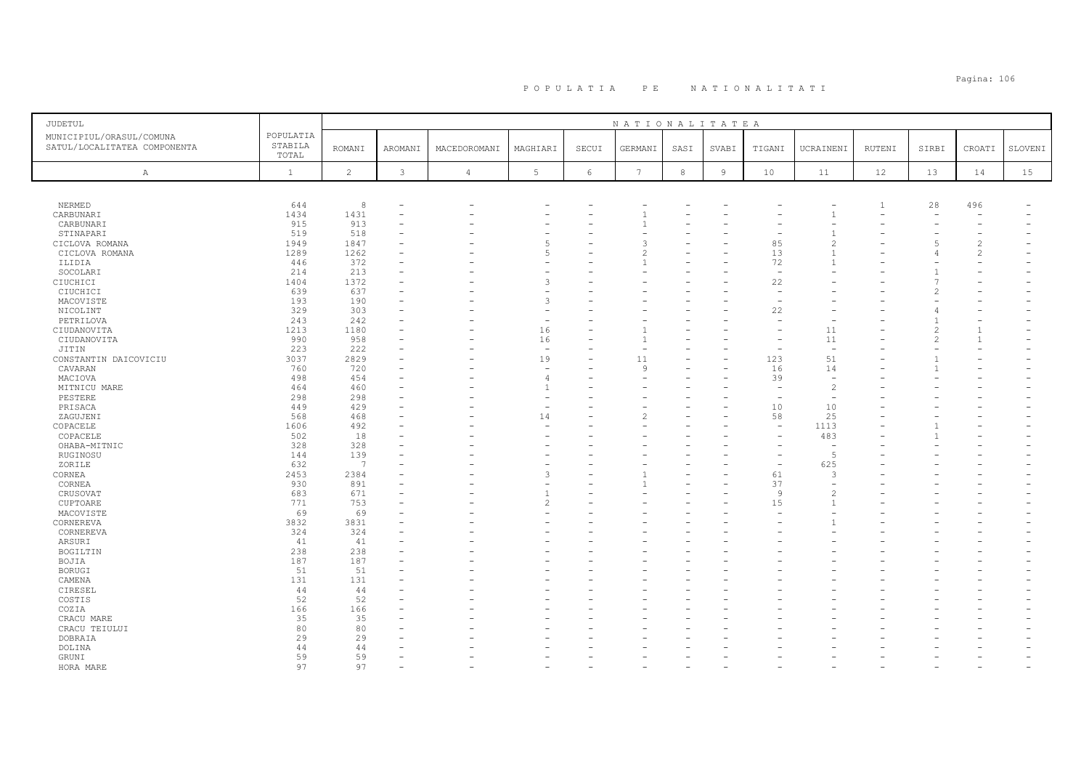# Pagina: 106 P O P U L A T I A P E N A T I O N A L I T A T I

| JUDETUL                                                  |                               |                 |         |                |                          |       | NATIONALITATEA  |      |                |                          |                          |                |       |                          |         |
|----------------------------------------------------------|-------------------------------|-----------------|---------|----------------|--------------------------|-------|-----------------|------|----------------|--------------------------|--------------------------|----------------|-------|--------------------------|---------|
| MUNICIPIUL/ORASUL/COMUNA<br>SATUL/LOCALITATEA COMPONENTA | POPULATIA<br>STABILA<br>TOTAL | <b>ROMANI</b>   | AROMANI | MACEDOROMANI   | MAGHIARI                 | SECUI | GERMANI         | SASI | SVABI          | TIGANI                   | UCRAINENI                | <b>RUTENI</b>  | SIRBI | CROATI                   | SLOVENI |
| Α                                                        | $\mathbf{1}$                  | $\overline{c}$  | 3       | $\overline{4}$ | 5                        | 6     | $7\phantom{.0}$ | 8    | $\overline{9}$ | 10                       | 11                       | 12             | 13    | 14                       | 15      |
|                                                          |                               |                 |         |                |                          |       |                 |      |                |                          |                          |                |       |                          |         |
| NERMED                                                   | 644                           | 8               |         |                |                          |       |                 |      |                |                          |                          | $\overline{1}$ | 28    | 496                      |         |
| CARBUNARI                                                | 1434                          | 1431            |         |                |                          |       |                 |      |                |                          |                          |                |       |                          |         |
| CARBUNARI                                                | 915                           | 913             |         |                |                          |       |                 |      |                |                          |                          |                |       |                          |         |
| STINAPARI                                                | 519                           | 518             |         |                |                          |       |                 |      |                |                          |                          |                |       |                          |         |
| CICLOVA ROMANA                                           | 1949                          | 1847            |         |                | 5                        |       | ٦               |      |                | 85                       | $\mathcal{D}$            |                |       | $\overline{c}$           |         |
| CICLOVA ROMANA                                           | 1289                          | 1262            |         |                | 5                        |       | 2               |      |                | 13                       | $\mathbf{1}$             |                |       | $\overline{c}$           |         |
| ILIDIA                                                   | 446                           | 372             |         |                |                          |       |                 |      |                | 72                       |                          |                |       |                          |         |
| SOCOLARI                                                 | 214                           | 213             |         |                |                          |       |                 |      |                | $\overline{\phantom{a}}$ |                          |                |       |                          |         |
| CIUCHICI                                                 | 1404                          | 1372            |         |                | 3                        |       |                 |      |                | 22                       |                          |                |       |                          |         |
| CIUCHICI                                                 | 639                           | 637             |         |                |                          |       |                 |      |                |                          |                          |                |       |                          |         |
| MACOVISTE                                                | 193                           | 190             |         |                | 3                        |       |                 |      |                |                          |                          |                |       |                          |         |
| NICOLINT                                                 | 329                           | 303             |         |                |                          |       |                 |      |                | 22                       |                          |                |       |                          |         |
| PETRILOVA                                                | 243                           | 242             |         |                | ۰                        |       |                 |      |                |                          |                          |                |       |                          |         |
| CIUDANOVITA                                              | 1213                          | 1180            |         |                | 16                       | L.    |                 |      |                |                          | 11                       |                |       | $\mathbf{1}$             |         |
| CIUDANOVITA                                              | 990                           | 958             |         |                | 16                       |       |                 |      |                |                          | 11                       |                |       | $\overline{1}$           |         |
| JITIN                                                    | 223                           | 222             |         |                | $\overline{\phantom{m}}$ |       |                 |      |                |                          | $\overline{\phantom{a}}$ |                |       |                          |         |
| CONSTANTIN DAICOVICIU                                    | 3037                          | 2829            |         |                | 19                       |       | 11              |      |                | 123                      | 51                       |                |       |                          |         |
| CAVARAN                                                  | 760                           | 720             |         |                | $\overline{\phantom{a}}$ |       | $\mathsf{Q}$    |      |                | 16                       | 14                       |                |       |                          |         |
| MACIOVA                                                  | 498                           | 454             |         |                | 4                        |       |                 |      |                | 39                       | $\sim$                   |                |       |                          |         |
| MITNICU MARE                                             | 464                           | 460             |         |                | 1                        |       |                 |      |                | $\overline{\phantom{a}}$ | $\overline{c}$           |                |       |                          |         |
| PESTERE                                                  | 298                           | 298             |         |                |                          |       |                 |      |                |                          |                          |                |       |                          |         |
| PRISACA                                                  | 449                           | 429             |         |                | $\overline{\phantom{m}}$ |       |                 |      |                | 10                       | 10                       |                |       |                          |         |
| ZAGUJENI                                                 | 568                           | 468             |         |                | 14                       |       |                 |      |                | 58                       | 25                       |                |       |                          |         |
| COPACELE                                                 | 1606                          | 492             |         |                |                          |       |                 |      |                |                          | 1113                     |                |       |                          |         |
| COPACELE                                                 | 502                           | 18              |         |                |                          |       |                 |      |                |                          | 483                      |                |       |                          |         |
| OHABA-MITNIC                                             | 328                           | 328             |         |                |                          |       |                 |      |                |                          | $\overline{a}$           |                |       |                          |         |
| RUGINOSU                                                 | 144                           | 139             |         |                |                          |       |                 |      |                |                          | $\overline{5}$           |                |       |                          |         |
| ZORILE                                                   | 632                           | $7\overline{ }$ |         |                |                          |       |                 |      |                |                          | 625                      |                |       |                          |         |
| CORNEA                                                   | 2453                          | 2384            |         |                | 3                        |       |                 |      |                | 61                       | 3                        |                |       |                          |         |
| CORNEA                                                   | 930                           | 891             |         |                |                          |       |                 |      |                | 37                       |                          |                |       |                          |         |
| CRUSOVAT                                                 | 683                           | 671             |         |                | $\overline{1}$           |       |                 |      |                | 9                        | $\overline{c}$           |                |       |                          |         |
| CUPTOARE                                                 | 771                           | 753             |         |                | $\mathcal{D}$            |       |                 |      |                | 15                       | $\overline{1}$           |                |       |                          |         |
| MACOVISTE                                                | 69                            | 69              |         |                |                          |       |                 |      |                |                          |                          |                |       |                          |         |
| CORNEREVA                                                | 3832                          | 3831            |         |                |                          |       |                 |      |                |                          | $\mathbf{1}$             |                |       |                          |         |
| CORNEREVA                                                | 324                           | 324             |         |                |                          |       |                 |      |                |                          |                          |                |       |                          |         |
| ARSURI                                                   | 41                            | 41              |         |                |                          |       |                 |      |                |                          |                          |                |       |                          |         |
| BOGILTIN                                                 | 238                           | 238             |         |                |                          |       |                 |      |                |                          |                          |                |       |                          |         |
| BOJIA                                                    | 187                           | 187             |         |                |                          |       |                 |      |                |                          |                          |                |       |                          |         |
| <b>BORUGI</b>                                            | 51                            | 51              |         |                |                          |       |                 |      |                |                          |                          |                |       |                          |         |
| CAMENA                                                   | 131                           | 131             |         |                |                          |       |                 |      |                |                          |                          |                |       |                          |         |
| CIRESEL                                                  | 44                            | 44              |         |                |                          |       |                 |      |                |                          |                          |                |       |                          |         |
| COSTIS                                                   | 52                            | 52              |         |                |                          |       |                 |      |                |                          |                          |                |       |                          |         |
| COZIA                                                    | 166                           | 166             |         |                |                          |       |                 |      |                |                          |                          |                |       |                          |         |
| CRACU MARE                                               | 35                            | 35              |         |                |                          |       |                 |      |                |                          |                          |                |       |                          |         |
| CRACU TEIULUI                                            | 80                            | 80              |         |                |                          |       |                 |      |                |                          |                          |                |       |                          |         |
| DOBRAIA                                                  | 29                            | 29              |         |                |                          |       |                 |      |                |                          |                          |                |       |                          |         |
|                                                          | 44                            | 44              |         |                |                          |       |                 |      |                |                          |                          |                |       |                          |         |
| DOLINA<br>GRUNI                                          | 59                            | 59              |         |                |                          |       |                 |      |                |                          |                          |                |       |                          |         |
|                                                          |                               |                 |         |                |                          |       |                 |      |                |                          |                          |                |       | $\overline{\phantom{0}}$ |         |
| HORA MARE                                                | 97                            | 97              |         |                |                          |       |                 |      |                |                          |                          |                |       |                          |         |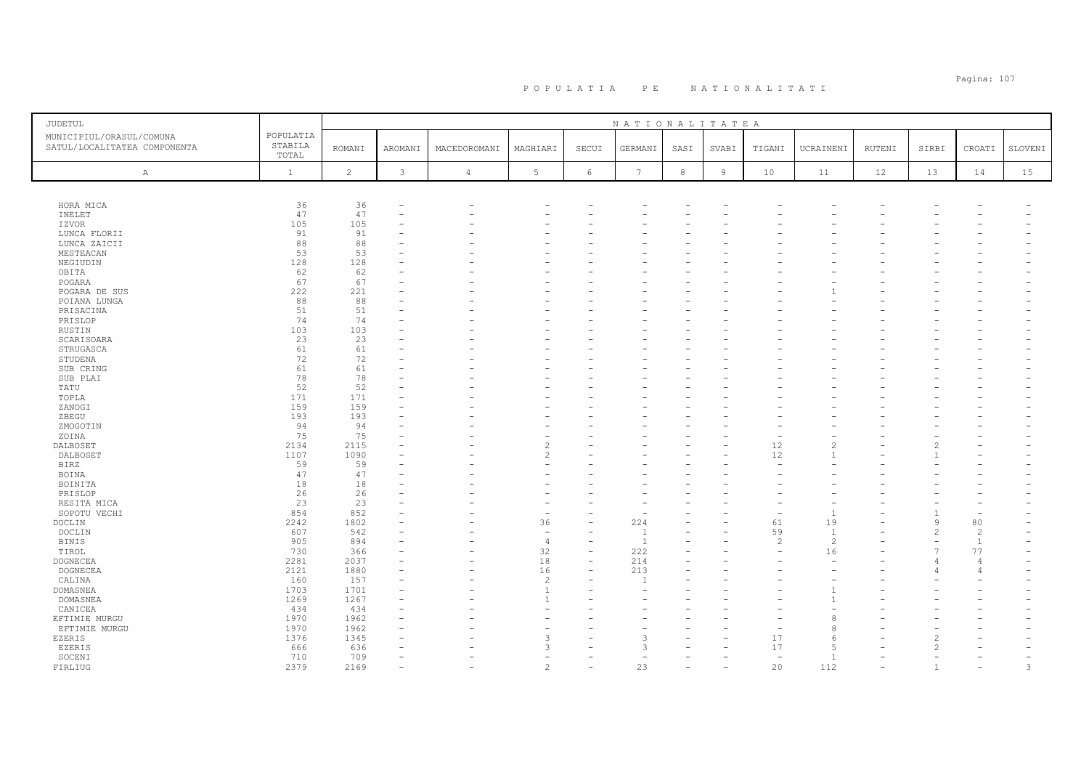# Pagina: 107 P O P U L A T I A P E N A T I O N A L I T A T I

| JUDETUL                                                  |                               |                |              |                |                                  |                               | NATIONALITATEA |      |                |                          |                          |        |                          |                          |                          |
|----------------------------------------------------------|-------------------------------|----------------|--------------|----------------|----------------------------------|-------------------------------|----------------|------|----------------|--------------------------|--------------------------|--------|--------------------------|--------------------------|--------------------------|
| MUNICIPIUL/ORASUL/COMUNA<br>SATUL/LOCALITATEA COMPONENTA | POPULATIA<br>STABILA<br>TOTAL | <b>ROMANI</b>  | AROMANI      | MACEDOROMANI   | MAGHIARI                         | SECUI                         | GERMANI        | SASI | SVABI          | TIGANI                   | UCRAINENI                | RUTENI | SIRBI                    | CROATI                   | SLOVENI                  |
| Α                                                        | $\mathbf{1}$                  | $\overline{c}$ | $\mathbf{3}$ | $\overline{4}$ | 5                                | 6                             | $\overline{7}$ | 8    | $\overline{9}$ | 10                       | 11                       | 12     | 13                       | 14                       | 15                       |
|                                                          |                               |                |              |                |                                  |                               |                |      |                |                          |                          |        |                          |                          |                          |
| HORA MICA                                                | 36                            | 36             |              |                |                                  |                               |                |      |                |                          |                          |        |                          |                          |                          |
| INELET                                                   | 47                            | 47             |              |                |                                  |                               |                |      |                |                          |                          |        |                          |                          |                          |
| IZVOR                                                    | 105                           | 105            |              |                |                                  |                               |                |      |                |                          |                          |        |                          |                          |                          |
| LUNCA FLORII                                             | 91                            | 91             |              |                |                                  |                               |                |      |                |                          |                          |        |                          |                          |                          |
| LUNCA ZAICII                                             | 88                            | 88             |              |                |                                  |                               |                |      |                |                          |                          |        |                          |                          |                          |
| MESTEACAN                                                | 53                            | 53             |              |                |                                  |                               |                |      |                |                          |                          |        |                          |                          |                          |
| NEGIUDIN                                                 | 128                           | 128            |              |                |                                  |                               |                |      |                |                          |                          |        |                          |                          |                          |
| OBITA                                                    | 62<br>67                      | 62<br>67       |              |                |                                  |                               |                |      |                |                          |                          |        |                          |                          |                          |
| POGARA                                                   | 222                           | 221            |              |                |                                  | $\overline{\phantom{0}}$      |                |      |                |                          |                          |        |                          |                          |                          |
| POGARA DE SUS                                            | 88                            | 88             |              |                |                                  |                               |                |      |                |                          |                          |        |                          |                          |                          |
| POIANA LUNGA<br>PRISACINA                                | 51                            | 51             |              |                |                                  |                               |                |      |                |                          |                          |        |                          |                          |                          |
| PRISLOP                                                  | 74                            | 74             |              |                |                                  |                               |                |      |                |                          |                          |        |                          |                          |                          |
| RUSTIN                                                   | 103                           | 103            |              |                |                                  |                               |                |      |                |                          |                          |        |                          |                          |                          |
| SCARISOARA                                               | 23                            | 23             |              |                |                                  |                               |                |      |                |                          |                          |        |                          |                          |                          |
| STRUGASCA                                                | 61                            | 61             |              |                |                                  |                               |                |      |                |                          |                          |        |                          |                          |                          |
| STUDENA                                                  | 72                            | 72             |              |                |                                  |                               |                |      |                |                          |                          |        |                          |                          |                          |
| SUB CRING                                                | 61                            | 61             |              |                |                                  |                               |                |      |                |                          |                          |        |                          |                          |                          |
| SUB PLAI                                                 | 78                            | 78             |              |                |                                  |                               |                |      |                |                          |                          |        |                          |                          |                          |
| TATU                                                     | 52                            | 52             |              |                |                                  |                               |                |      |                |                          |                          |        |                          |                          |                          |
| TOPLA                                                    | 171                           | 171            |              |                |                                  |                               |                |      |                |                          |                          |        |                          |                          |                          |
| ZANOGI                                                   | 159                           | 159            |              |                |                                  |                               |                |      |                |                          |                          |        |                          |                          |                          |
| ZBEGU                                                    | 193                           | 193            |              |                |                                  |                               |                |      |                |                          |                          |        |                          |                          |                          |
| ZMOGOTIN                                                 | 94                            | 94             |              |                |                                  |                               |                |      |                |                          |                          |        |                          |                          |                          |
| ZOINA                                                    | 75                            | 75             |              |                |                                  |                               |                |      |                |                          |                          |        |                          |                          |                          |
| DALBOSET                                                 | 2134                          | 2115           |              |                | $\overline{c}$                   |                               |                |      |                | 12                       | $\overline{\mathcal{L}}$ |        | 2                        |                          |                          |
| DALBOSET                                                 | 1107                          | 1090           |              |                | $\overline{c}$                   |                               |                |      |                | 12                       |                          |        |                          |                          |                          |
| <b>BIRZ</b>                                              | 59                            | 59             |              |                |                                  |                               |                |      |                |                          |                          |        |                          |                          |                          |
| BOINA                                                    | 47                            | 47             |              |                |                                  |                               |                |      |                |                          |                          |        |                          |                          |                          |
| BOINITA                                                  | 18                            | 18             |              |                |                                  |                               |                |      |                |                          |                          |        |                          |                          |                          |
| PRISLOP                                                  | 26                            | 26             |              |                |                                  |                               |                |      |                |                          |                          |        |                          |                          |                          |
| RESITA MICA                                              | 23                            | 23             |              |                |                                  |                               |                |      |                |                          |                          |        |                          |                          |                          |
| SOPOTU VECHI                                             | 854                           | 852            |              |                |                                  |                               |                |      |                |                          | $\overline{1}$           |        | $\mathbf{1}$             |                          |                          |
| DOCLIN                                                   | 2242                          | 1802           |              |                | 36                               | L.                            | 224            |      |                | 61                       | 19                       |        | 9                        | 80                       |                          |
| DOCLIN                                                   | 607                           | 542            |              |                | $\sim$                           |                               |                |      |                | 59                       | -1                       |        | 2                        | $\overline{c}$           |                          |
| <b>BINIS</b>                                             | 905                           | 894            |              |                | $\overline{4}$                   | $\overline{\phantom{0}}$      | $\overline{1}$ |      |                | $\overline{c}$           | $\overline{c}$           |        | $\overline{\phantom{m}}$ | $\mathbf{1}$             |                          |
| TIROL                                                    | 730                           | 366            |              |                | 32                               | $\overline{\phantom{a}}$      | 222            |      |                |                          | 16                       |        | $\overline{7}$           | 77                       |                          |
| <b>DOGNECEA</b>                                          | 2281                          | 2037           |              |                | $1\,8$                           | $\overline{\phantom{a}}$<br>÷ | 214            |      |                |                          | ÷                        |        |                          | $\Delta$<br>4            |                          |
| DOGNECEA                                                 | 2121<br>160                   | 1880<br>157    |              |                | 16                               |                               | 213            |      |                |                          |                          |        | $\sqrt{2}$               |                          |                          |
| CALINA<br>DOMASNEA                                       | 1703                          | 1701           |              |                | $\overline{c}$<br>$\overline{1}$ |                               |                |      |                |                          |                          |        |                          |                          |                          |
| DOMASNEA                                                 | 1269                          | 1267           |              |                | $\overline{1}$                   |                               |                |      |                |                          |                          |        |                          |                          |                          |
| CANICEA                                                  | 434                           | 434            |              |                |                                  |                               |                |      |                |                          |                          |        |                          |                          |                          |
|                                                          | 1970                          | 1962           |              |                |                                  |                               |                |      |                |                          | 8                        |        |                          |                          |                          |
| EFTIMIE MURGU<br>EFTIMIE MURGU                           | 1970                          | 1962           |              |                |                                  |                               |                |      |                |                          | 8                        |        |                          |                          |                          |
| EZERIS                                                   | 1376                          | 1345           |              |                | $\mathcal{R}$                    |                               | 3              |      |                | 17                       | -6                       |        | 2                        |                          |                          |
| <b>EZERIS</b>                                            | 666                           | 636            |              |                | $\mathcal{R}$                    |                               | $\mathcal{L}$  |      |                | 17                       | $\overline{5}$           |        | $\overline{2}$           |                          |                          |
| SOCENI                                                   | 710                           | 709            |              |                |                                  |                               |                |      |                | $\overline{\phantom{a}}$ | $\overline{1}$           |        |                          |                          | $\overline{\phantom{0}}$ |
| FIRLIUG                                                  | 2379                          | 2169           |              |                | $\overline{c}$                   | $\overline{\phantom{0}}$      | 23             |      |                | 20                       | 112                      |        | $\mathbf{1}$             | $\overline{\phantom{0}}$ | 3                        |
|                                                          |                               |                |              |                |                                  |                               |                |      |                |                          |                          |        |                          |                          |                          |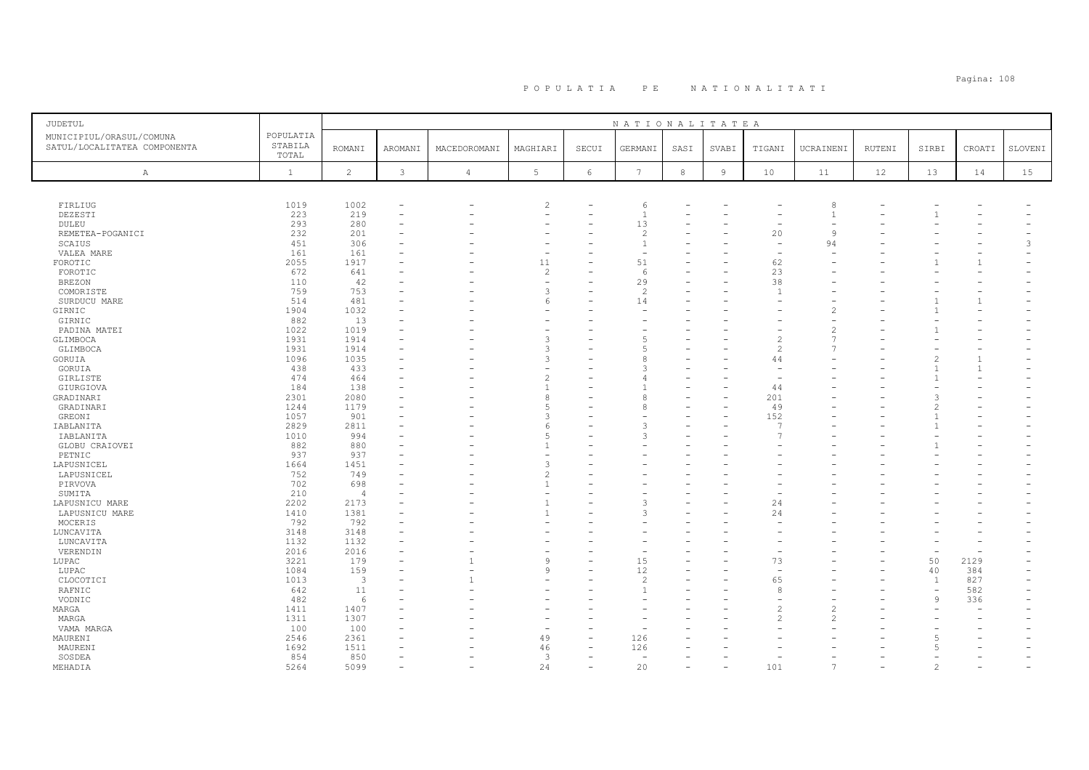# Pagina: 108 P O P U L A T I A P E N A T I O N A L I T A T I

| POPULATIA<br>MUNICIPIUL/ORASUL/COMUNA<br>STABILA<br>SATUL/LOCALITATEA COMPONENTA<br><b>ROMANI</b><br>AROMANI<br>MACEDOROMANI<br>MAGHIARI<br>SECUI<br>GERMANI<br>SASI<br>SVABI<br>UCRAINENI<br>RUTENI<br>SIRBI<br>CROATI<br>SLOVENI<br>TIGANI<br>TOTAL<br>$\overline{c}$<br>$\mathfrak{Z}$<br>5 <sub>5</sub><br>$6\,$<br>$7\phantom{.0}$<br>$\,8\,$<br>$\overline{9}$<br>$\mathbf{1}$<br>10<br>12<br>13<br>15<br>$\overline{4}$<br>11<br>14<br>$\mathbb{A}$<br>FIRLIUG<br>1019<br>1002<br>$\overline{c}$<br>6<br>8<br>DEZESTI<br>223<br>219<br>$\mathbf{1}$<br>$\overline{1}$<br>۰<br>293<br>280<br>13<br>DULEU<br>20<br>REMETEA-POGANICI<br>232<br>201<br>$\overline{c}$<br>9<br>451<br>306<br>94<br>3<br>SCAIUS<br>1<br>161<br>161<br>VALEA MARE<br>÷<br>2055<br>1917<br>11<br>51<br>62<br>FOROTIC<br>$\mathbf{1}$<br>672<br>$\overline{c}$<br>23<br>641<br>FOROTIC<br>6<br>38<br>29<br>110<br>42<br><b>BREZON</b><br>759<br>753<br>$\overline{c}$<br>COMORISTE<br>$\overline{1}$<br>SURDUCU MARE<br>514<br>481<br>14<br>$\mathbf{1}$<br>1904<br>1032<br>GIRNIC<br>GIRNIC<br>882<br>13<br>1022<br>1019<br>PADINA MATEI<br>1931<br>GLIMBOCA<br>1914<br>5<br>GLIMBOCA<br>1931<br>1914<br>1096<br>1035<br>GORUIA<br>44<br>۰<br>438<br>433<br>GORUIA<br>$\overline{1}$<br>474<br>GIRLISTE<br>464<br>184<br>138<br>44<br>GIURGIOVA<br>201<br>2301<br>2080<br>GRADINARI<br>8<br>8<br>GRADINARI<br>1244<br>1179<br>49<br>1057<br>901<br>GREONI<br>152<br>$\mathcal{R}$<br>2829<br>2811<br>IABLANITA<br>Р<br>$\mathcal{L}$<br>1010<br>994<br>IABLANITA<br>3<br>882<br>880<br>GLOBU CRAIOVEI<br>937<br>937<br>PETNIC<br>LAPUSNICEL<br>1664<br>1451<br>۰<br>752<br>749<br>LAPUSNICEL<br>702<br>698<br>PIRVOVA<br>210<br>SUMITA<br>$\overline{4}$<br>2202<br>2173<br>3<br>24<br>LAPUSNICU MARE<br>۳<br>1410<br>24<br>1381<br>LAPUSNICU MARE<br>3<br>792<br>792<br>MOCERIS<br>LUNCAVITA<br>3148<br>3148<br>1132<br>1132<br>LUNCAVITA<br>2016<br>2016<br>VERENDIN<br>۰<br>۰<br>$\overline{\phantom{0}}$<br>3221<br>73<br>50<br>LUPAC<br>179<br>15<br>2129<br>q<br>1084<br>159<br>12<br>40<br>384<br>LUPAC<br><sup>Q</sup><br>۰<br>827<br>CLOCOTICI<br>1013<br>3<br>$\overline{\mathcal{L}}$<br>65<br>$\mathbf{1}$<br>RAFNIC<br>642<br>11<br>582<br>8<br>$\overline{\phantom{a}}$<br>482<br>336<br>VODNIC<br>6<br>9<br>1411<br>1407<br>MARGA<br>1311<br>1307<br>MARGA<br>$\mathcal{P}$<br>100<br>100<br>VAMA MARGA<br>2361<br>49<br>126<br>MAURENI<br>2546<br>46<br>MAURENI<br>1692<br>1511<br>126<br>. 5<br>۰ | <b>JUDETUL</b> |     |     |  |   | NATIONALITATEA |  |  |  |  |
|---------------------------------------------------------------------------------------------------------------------------------------------------------------------------------------------------------------------------------------------------------------------------------------------------------------------------------------------------------------------------------------------------------------------------------------------------------------------------------------------------------------------------------------------------------------------------------------------------------------------------------------------------------------------------------------------------------------------------------------------------------------------------------------------------------------------------------------------------------------------------------------------------------------------------------------------------------------------------------------------------------------------------------------------------------------------------------------------------------------------------------------------------------------------------------------------------------------------------------------------------------------------------------------------------------------------------------------------------------------------------------------------------------------------------------------------------------------------------------------------------------------------------------------------------------------------------------------------------------------------------------------------------------------------------------------------------------------------------------------------------------------------------------------------------------------------------------------------------------------------------------------------------------------------------------------------------------------------------------------------------------------------------------------------------------------------------------------------------------------------------------------------------------------------------------------------------------------------------------------------------------------------------------------------------------------------------------------------------------------------------------------------------------------------------------------------------------------------------------------------------|----------------|-----|-----|--|---|----------------|--|--|--|--|
|                                                                                                                                                                                                                                                                                                                                                                                                                                                                                                                                                                                                                                                                                                                                                                                                                                                                                                                                                                                                                                                                                                                                                                                                                                                                                                                                                                                                                                                                                                                                                                                                                                                                                                                                                                                                                                                                                                                                                                                                                                                                                                                                                                                                                                                                                                                                                                                                                                                                                                   |                |     |     |  |   |                |  |  |  |  |
|                                                                                                                                                                                                                                                                                                                                                                                                                                                                                                                                                                                                                                                                                                                                                                                                                                                                                                                                                                                                                                                                                                                                                                                                                                                                                                                                                                                                                                                                                                                                                                                                                                                                                                                                                                                                                                                                                                                                                                                                                                                                                                                                                                                                                                                                                                                                                                                                                                                                                                   |                |     |     |  |   |                |  |  |  |  |
|                                                                                                                                                                                                                                                                                                                                                                                                                                                                                                                                                                                                                                                                                                                                                                                                                                                                                                                                                                                                                                                                                                                                                                                                                                                                                                                                                                                                                                                                                                                                                                                                                                                                                                                                                                                                                                                                                                                                                                                                                                                                                                                                                                                                                                                                                                                                                                                                                                                                                                   |                |     |     |  |   |                |  |  |  |  |
|                                                                                                                                                                                                                                                                                                                                                                                                                                                                                                                                                                                                                                                                                                                                                                                                                                                                                                                                                                                                                                                                                                                                                                                                                                                                                                                                                                                                                                                                                                                                                                                                                                                                                                                                                                                                                                                                                                                                                                                                                                                                                                                                                                                                                                                                                                                                                                                                                                                                                                   |                |     |     |  |   |                |  |  |  |  |
|                                                                                                                                                                                                                                                                                                                                                                                                                                                                                                                                                                                                                                                                                                                                                                                                                                                                                                                                                                                                                                                                                                                                                                                                                                                                                                                                                                                                                                                                                                                                                                                                                                                                                                                                                                                                                                                                                                                                                                                                                                                                                                                                                                                                                                                                                                                                                                                                                                                                                                   |                |     |     |  |   |                |  |  |  |  |
|                                                                                                                                                                                                                                                                                                                                                                                                                                                                                                                                                                                                                                                                                                                                                                                                                                                                                                                                                                                                                                                                                                                                                                                                                                                                                                                                                                                                                                                                                                                                                                                                                                                                                                                                                                                                                                                                                                                                                                                                                                                                                                                                                                                                                                                                                                                                                                                                                                                                                                   |                |     |     |  |   |                |  |  |  |  |
|                                                                                                                                                                                                                                                                                                                                                                                                                                                                                                                                                                                                                                                                                                                                                                                                                                                                                                                                                                                                                                                                                                                                                                                                                                                                                                                                                                                                                                                                                                                                                                                                                                                                                                                                                                                                                                                                                                                                                                                                                                                                                                                                                                                                                                                                                                                                                                                                                                                                                                   |                |     |     |  |   |                |  |  |  |  |
|                                                                                                                                                                                                                                                                                                                                                                                                                                                                                                                                                                                                                                                                                                                                                                                                                                                                                                                                                                                                                                                                                                                                                                                                                                                                                                                                                                                                                                                                                                                                                                                                                                                                                                                                                                                                                                                                                                                                                                                                                                                                                                                                                                                                                                                                                                                                                                                                                                                                                                   |                |     |     |  |   |                |  |  |  |  |
|                                                                                                                                                                                                                                                                                                                                                                                                                                                                                                                                                                                                                                                                                                                                                                                                                                                                                                                                                                                                                                                                                                                                                                                                                                                                                                                                                                                                                                                                                                                                                                                                                                                                                                                                                                                                                                                                                                                                                                                                                                                                                                                                                                                                                                                                                                                                                                                                                                                                                                   |                |     |     |  |   |                |  |  |  |  |
|                                                                                                                                                                                                                                                                                                                                                                                                                                                                                                                                                                                                                                                                                                                                                                                                                                                                                                                                                                                                                                                                                                                                                                                                                                                                                                                                                                                                                                                                                                                                                                                                                                                                                                                                                                                                                                                                                                                                                                                                                                                                                                                                                                                                                                                                                                                                                                                                                                                                                                   |                |     |     |  |   |                |  |  |  |  |
|                                                                                                                                                                                                                                                                                                                                                                                                                                                                                                                                                                                                                                                                                                                                                                                                                                                                                                                                                                                                                                                                                                                                                                                                                                                                                                                                                                                                                                                                                                                                                                                                                                                                                                                                                                                                                                                                                                                                                                                                                                                                                                                                                                                                                                                                                                                                                                                                                                                                                                   |                |     |     |  |   |                |  |  |  |  |
|                                                                                                                                                                                                                                                                                                                                                                                                                                                                                                                                                                                                                                                                                                                                                                                                                                                                                                                                                                                                                                                                                                                                                                                                                                                                                                                                                                                                                                                                                                                                                                                                                                                                                                                                                                                                                                                                                                                                                                                                                                                                                                                                                                                                                                                                                                                                                                                                                                                                                                   |                |     |     |  |   |                |  |  |  |  |
|                                                                                                                                                                                                                                                                                                                                                                                                                                                                                                                                                                                                                                                                                                                                                                                                                                                                                                                                                                                                                                                                                                                                                                                                                                                                                                                                                                                                                                                                                                                                                                                                                                                                                                                                                                                                                                                                                                                                                                                                                                                                                                                                                                                                                                                                                                                                                                                                                                                                                                   |                |     |     |  |   |                |  |  |  |  |
|                                                                                                                                                                                                                                                                                                                                                                                                                                                                                                                                                                                                                                                                                                                                                                                                                                                                                                                                                                                                                                                                                                                                                                                                                                                                                                                                                                                                                                                                                                                                                                                                                                                                                                                                                                                                                                                                                                                                                                                                                                                                                                                                                                                                                                                                                                                                                                                                                                                                                                   |                |     |     |  |   |                |  |  |  |  |
|                                                                                                                                                                                                                                                                                                                                                                                                                                                                                                                                                                                                                                                                                                                                                                                                                                                                                                                                                                                                                                                                                                                                                                                                                                                                                                                                                                                                                                                                                                                                                                                                                                                                                                                                                                                                                                                                                                                                                                                                                                                                                                                                                                                                                                                                                                                                                                                                                                                                                                   |                |     |     |  |   |                |  |  |  |  |
|                                                                                                                                                                                                                                                                                                                                                                                                                                                                                                                                                                                                                                                                                                                                                                                                                                                                                                                                                                                                                                                                                                                                                                                                                                                                                                                                                                                                                                                                                                                                                                                                                                                                                                                                                                                                                                                                                                                                                                                                                                                                                                                                                                                                                                                                                                                                                                                                                                                                                                   |                |     |     |  |   |                |  |  |  |  |
|                                                                                                                                                                                                                                                                                                                                                                                                                                                                                                                                                                                                                                                                                                                                                                                                                                                                                                                                                                                                                                                                                                                                                                                                                                                                                                                                                                                                                                                                                                                                                                                                                                                                                                                                                                                                                                                                                                                                                                                                                                                                                                                                                                                                                                                                                                                                                                                                                                                                                                   |                |     |     |  |   |                |  |  |  |  |
|                                                                                                                                                                                                                                                                                                                                                                                                                                                                                                                                                                                                                                                                                                                                                                                                                                                                                                                                                                                                                                                                                                                                                                                                                                                                                                                                                                                                                                                                                                                                                                                                                                                                                                                                                                                                                                                                                                                                                                                                                                                                                                                                                                                                                                                                                                                                                                                                                                                                                                   |                |     |     |  |   |                |  |  |  |  |
|                                                                                                                                                                                                                                                                                                                                                                                                                                                                                                                                                                                                                                                                                                                                                                                                                                                                                                                                                                                                                                                                                                                                                                                                                                                                                                                                                                                                                                                                                                                                                                                                                                                                                                                                                                                                                                                                                                                                                                                                                                                                                                                                                                                                                                                                                                                                                                                                                                                                                                   |                |     |     |  |   |                |  |  |  |  |
|                                                                                                                                                                                                                                                                                                                                                                                                                                                                                                                                                                                                                                                                                                                                                                                                                                                                                                                                                                                                                                                                                                                                                                                                                                                                                                                                                                                                                                                                                                                                                                                                                                                                                                                                                                                                                                                                                                                                                                                                                                                                                                                                                                                                                                                                                                                                                                                                                                                                                                   |                |     |     |  |   |                |  |  |  |  |
|                                                                                                                                                                                                                                                                                                                                                                                                                                                                                                                                                                                                                                                                                                                                                                                                                                                                                                                                                                                                                                                                                                                                                                                                                                                                                                                                                                                                                                                                                                                                                                                                                                                                                                                                                                                                                                                                                                                                                                                                                                                                                                                                                                                                                                                                                                                                                                                                                                                                                                   |                |     |     |  |   |                |  |  |  |  |
|                                                                                                                                                                                                                                                                                                                                                                                                                                                                                                                                                                                                                                                                                                                                                                                                                                                                                                                                                                                                                                                                                                                                                                                                                                                                                                                                                                                                                                                                                                                                                                                                                                                                                                                                                                                                                                                                                                                                                                                                                                                                                                                                                                                                                                                                                                                                                                                                                                                                                                   |                |     |     |  |   |                |  |  |  |  |
|                                                                                                                                                                                                                                                                                                                                                                                                                                                                                                                                                                                                                                                                                                                                                                                                                                                                                                                                                                                                                                                                                                                                                                                                                                                                                                                                                                                                                                                                                                                                                                                                                                                                                                                                                                                                                                                                                                                                                                                                                                                                                                                                                                                                                                                                                                                                                                                                                                                                                                   |                |     |     |  |   |                |  |  |  |  |
|                                                                                                                                                                                                                                                                                                                                                                                                                                                                                                                                                                                                                                                                                                                                                                                                                                                                                                                                                                                                                                                                                                                                                                                                                                                                                                                                                                                                                                                                                                                                                                                                                                                                                                                                                                                                                                                                                                                                                                                                                                                                                                                                                                                                                                                                                                                                                                                                                                                                                                   |                |     |     |  |   |                |  |  |  |  |
|                                                                                                                                                                                                                                                                                                                                                                                                                                                                                                                                                                                                                                                                                                                                                                                                                                                                                                                                                                                                                                                                                                                                                                                                                                                                                                                                                                                                                                                                                                                                                                                                                                                                                                                                                                                                                                                                                                                                                                                                                                                                                                                                                                                                                                                                                                                                                                                                                                                                                                   |                |     |     |  |   |                |  |  |  |  |
|                                                                                                                                                                                                                                                                                                                                                                                                                                                                                                                                                                                                                                                                                                                                                                                                                                                                                                                                                                                                                                                                                                                                                                                                                                                                                                                                                                                                                                                                                                                                                                                                                                                                                                                                                                                                                                                                                                                                                                                                                                                                                                                                                                                                                                                                                                                                                                                                                                                                                                   |                |     |     |  |   |                |  |  |  |  |
|                                                                                                                                                                                                                                                                                                                                                                                                                                                                                                                                                                                                                                                                                                                                                                                                                                                                                                                                                                                                                                                                                                                                                                                                                                                                                                                                                                                                                                                                                                                                                                                                                                                                                                                                                                                                                                                                                                                                                                                                                                                                                                                                                                                                                                                                                                                                                                                                                                                                                                   |                |     |     |  |   |                |  |  |  |  |
|                                                                                                                                                                                                                                                                                                                                                                                                                                                                                                                                                                                                                                                                                                                                                                                                                                                                                                                                                                                                                                                                                                                                                                                                                                                                                                                                                                                                                                                                                                                                                                                                                                                                                                                                                                                                                                                                                                                                                                                                                                                                                                                                                                                                                                                                                                                                                                                                                                                                                                   |                |     |     |  |   |                |  |  |  |  |
|                                                                                                                                                                                                                                                                                                                                                                                                                                                                                                                                                                                                                                                                                                                                                                                                                                                                                                                                                                                                                                                                                                                                                                                                                                                                                                                                                                                                                                                                                                                                                                                                                                                                                                                                                                                                                                                                                                                                                                                                                                                                                                                                                                                                                                                                                                                                                                                                                                                                                                   |                |     |     |  |   |                |  |  |  |  |
|                                                                                                                                                                                                                                                                                                                                                                                                                                                                                                                                                                                                                                                                                                                                                                                                                                                                                                                                                                                                                                                                                                                                                                                                                                                                                                                                                                                                                                                                                                                                                                                                                                                                                                                                                                                                                                                                                                                                                                                                                                                                                                                                                                                                                                                                                                                                                                                                                                                                                                   |                |     |     |  |   |                |  |  |  |  |
|                                                                                                                                                                                                                                                                                                                                                                                                                                                                                                                                                                                                                                                                                                                                                                                                                                                                                                                                                                                                                                                                                                                                                                                                                                                                                                                                                                                                                                                                                                                                                                                                                                                                                                                                                                                                                                                                                                                                                                                                                                                                                                                                                                                                                                                                                                                                                                                                                                                                                                   |                |     |     |  |   |                |  |  |  |  |
|                                                                                                                                                                                                                                                                                                                                                                                                                                                                                                                                                                                                                                                                                                                                                                                                                                                                                                                                                                                                                                                                                                                                                                                                                                                                                                                                                                                                                                                                                                                                                                                                                                                                                                                                                                                                                                                                                                                                                                                                                                                                                                                                                                                                                                                                                                                                                                                                                                                                                                   |                |     |     |  |   |                |  |  |  |  |
|                                                                                                                                                                                                                                                                                                                                                                                                                                                                                                                                                                                                                                                                                                                                                                                                                                                                                                                                                                                                                                                                                                                                                                                                                                                                                                                                                                                                                                                                                                                                                                                                                                                                                                                                                                                                                                                                                                                                                                                                                                                                                                                                                                                                                                                                                                                                                                                                                                                                                                   |                |     |     |  |   |                |  |  |  |  |
|                                                                                                                                                                                                                                                                                                                                                                                                                                                                                                                                                                                                                                                                                                                                                                                                                                                                                                                                                                                                                                                                                                                                                                                                                                                                                                                                                                                                                                                                                                                                                                                                                                                                                                                                                                                                                                                                                                                                                                                                                                                                                                                                                                                                                                                                                                                                                                                                                                                                                                   |                |     |     |  |   |                |  |  |  |  |
|                                                                                                                                                                                                                                                                                                                                                                                                                                                                                                                                                                                                                                                                                                                                                                                                                                                                                                                                                                                                                                                                                                                                                                                                                                                                                                                                                                                                                                                                                                                                                                                                                                                                                                                                                                                                                                                                                                                                                                                                                                                                                                                                                                                                                                                                                                                                                                                                                                                                                                   |                |     |     |  |   |                |  |  |  |  |
|                                                                                                                                                                                                                                                                                                                                                                                                                                                                                                                                                                                                                                                                                                                                                                                                                                                                                                                                                                                                                                                                                                                                                                                                                                                                                                                                                                                                                                                                                                                                                                                                                                                                                                                                                                                                                                                                                                                                                                                                                                                                                                                                                                                                                                                                                                                                                                                                                                                                                                   |                |     |     |  |   |                |  |  |  |  |
|                                                                                                                                                                                                                                                                                                                                                                                                                                                                                                                                                                                                                                                                                                                                                                                                                                                                                                                                                                                                                                                                                                                                                                                                                                                                                                                                                                                                                                                                                                                                                                                                                                                                                                                                                                                                                                                                                                                                                                                                                                                                                                                                                                                                                                                                                                                                                                                                                                                                                                   |                |     |     |  |   |                |  |  |  |  |
|                                                                                                                                                                                                                                                                                                                                                                                                                                                                                                                                                                                                                                                                                                                                                                                                                                                                                                                                                                                                                                                                                                                                                                                                                                                                                                                                                                                                                                                                                                                                                                                                                                                                                                                                                                                                                                                                                                                                                                                                                                                                                                                                                                                                                                                                                                                                                                                                                                                                                                   |                |     |     |  |   |                |  |  |  |  |
|                                                                                                                                                                                                                                                                                                                                                                                                                                                                                                                                                                                                                                                                                                                                                                                                                                                                                                                                                                                                                                                                                                                                                                                                                                                                                                                                                                                                                                                                                                                                                                                                                                                                                                                                                                                                                                                                                                                                                                                                                                                                                                                                                                                                                                                                                                                                                                                                                                                                                                   |                |     |     |  |   |                |  |  |  |  |
|                                                                                                                                                                                                                                                                                                                                                                                                                                                                                                                                                                                                                                                                                                                                                                                                                                                                                                                                                                                                                                                                                                                                                                                                                                                                                                                                                                                                                                                                                                                                                                                                                                                                                                                                                                                                                                                                                                                                                                                                                                                                                                                                                                                                                                                                                                                                                                                                                                                                                                   |                |     |     |  |   |                |  |  |  |  |
|                                                                                                                                                                                                                                                                                                                                                                                                                                                                                                                                                                                                                                                                                                                                                                                                                                                                                                                                                                                                                                                                                                                                                                                                                                                                                                                                                                                                                                                                                                                                                                                                                                                                                                                                                                                                                                                                                                                                                                                                                                                                                                                                                                                                                                                                                                                                                                                                                                                                                                   |                |     |     |  |   |                |  |  |  |  |
|                                                                                                                                                                                                                                                                                                                                                                                                                                                                                                                                                                                                                                                                                                                                                                                                                                                                                                                                                                                                                                                                                                                                                                                                                                                                                                                                                                                                                                                                                                                                                                                                                                                                                                                                                                                                                                                                                                                                                                                                                                                                                                                                                                                                                                                                                                                                                                                                                                                                                                   |                |     |     |  |   |                |  |  |  |  |
|                                                                                                                                                                                                                                                                                                                                                                                                                                                                                                                                                                                                                                                                                                                                                                                                                                                                                                                                                                                                                                                                                                                                                                                                                                                                                                                                                                                                                                                                                                                                                                                                                                                                                                                                                                                                                                                                                                                                                                                                                                                                                                                                                                                                                                                                                                                                                                                                                                                                                                   |                |     |     |  |   |                |  |  |  |  |
|                                                                                                                                                                                                                                                                                                                                                                                                                                                                                                                                                                                                                                                                                                                                                                                                                                                                                                                                                                                                                                                                                                                                                                                                                                                                                                                                                                                                                                                                                                                                                                                                                                                                                                                                                                                                                                                                                                                                                                                                                                                                                                                                                                                                                                                                                                                                                                                                                                                                                                   |                |     |     |  |   |                |  |  |  |  |
|                                                                                                                                                                                                                                                                                                                                                                                                                                                                                                                                                                                                                                                                                                                                                                                                                                                                                                                                                                                                                                                                                                                                                                                                                                                                                                                                                                                                                                                                                                                                                                                                                                                                                                                                                                                                                                                                                                                                                                                                                                                                                                                                                                                                                                                                                                                                                                                                                                                                                                   |                |     |     |  |   |                |  |  |  |  |
|                                                                                                                                                                                                                                                                                                                                                                                                                                                                                                                                                                                                                                                                                                                                                                                                                                                                                                                                                                                                                                                                                                                                                                                                                                                                                                                                                                                                                                                                                                                                                                                                                                                                                                                                                                                                                                                                                                                                                                                                                                                                                                                                                                                                                                                                                                                                                                                                                                                                                                   |                |     |     |  |   |                |  |  |  |  |
|                                                                                                                                                                                                                                                                                                                                                                                                                                                                                                                                                                                                                                                                                                                                                                                                                                                                                                                                                                                                                                                                                                                                                                                                                                                                                                                                                                                                                                                                                                                                                                                                                                                                                                                                                                                                                                                                                                                                                                                                                                                                                                                                                                                                                                                                                                                                                                                                                                                                                                   |                |     |     |  |   |                |  |  |  |  |
|                                                                                                                                                                                                                                                                                                                                                                                                                                                                                                                                                                                                                                                                                                                                                                                                                                                                                                                                                                                                                                                                                                                                                                                                                                                                                                                                                                                                                                                                                                                                                                                                                                                                                                                                                                                                                                                                                                                                                                                                                                                                                                                                                                                                                                                                                                                                                                                                                                                                                                   |                |     |     |  |   |                |  |  |  |  |
|                                                                                                                                                                                                                                                                                                                                                                                                                                                                                                                                                                                                                                                                                                                                                                                                                                                                                                                                                                                                                                                                                                                                                                                                                                                                                                                                                                                                                                                                                                                                                                                                                                                                                                                                                                                                                                                                                                                                                                                                                                                                                                                                                                                                                                                                                                                                                                                                                                                                                                   |                |     |     |  |   |                |  |  |  |  |
| ۰<br>۰                                                                                                                                                                                                                                                                                                                                                                                                                                                                                                                                                                                                                                                                                                                                                                                                                                                                                                                                                                                                                                                                                                                                                                                                                                                                                                                                                                                                                                                                                                                                                                                                                                                                                                                                                                                                                                                                                                                                                                                                                                                                                                                                                                                                                                                                                                                                                                                                                                                                                            | SOSDEA         | 854 | 850 |  | 3 |                |  |  |  |  |
| 5264<br>5099<br>24<br>20<br>101<br>MEHADIA<br>$\overline{7}$<br>$\overline{\phantom{a}}$<br>$\overline{\phantom{0}}$<br>۰<br>$\overline{\phantom{0}}$<br>$\overline{\phantom{0}}$<br>$\overline{\phantom{a}}$                                                                                                                                                                                                                                                                                                                                                                                                                                                                                                                                                                                                                                                                                                                                                                                                                                                                                                                                                                                                                                                                                                                                                                                                                                                                                                                                                                                                                                                                                                                                                                                                                                                                                                                                                                                                                                                                                                                                                                                                                                                                                                                                                                                                                                                                                     |                |     |     |  |   |                |  |  |  |  |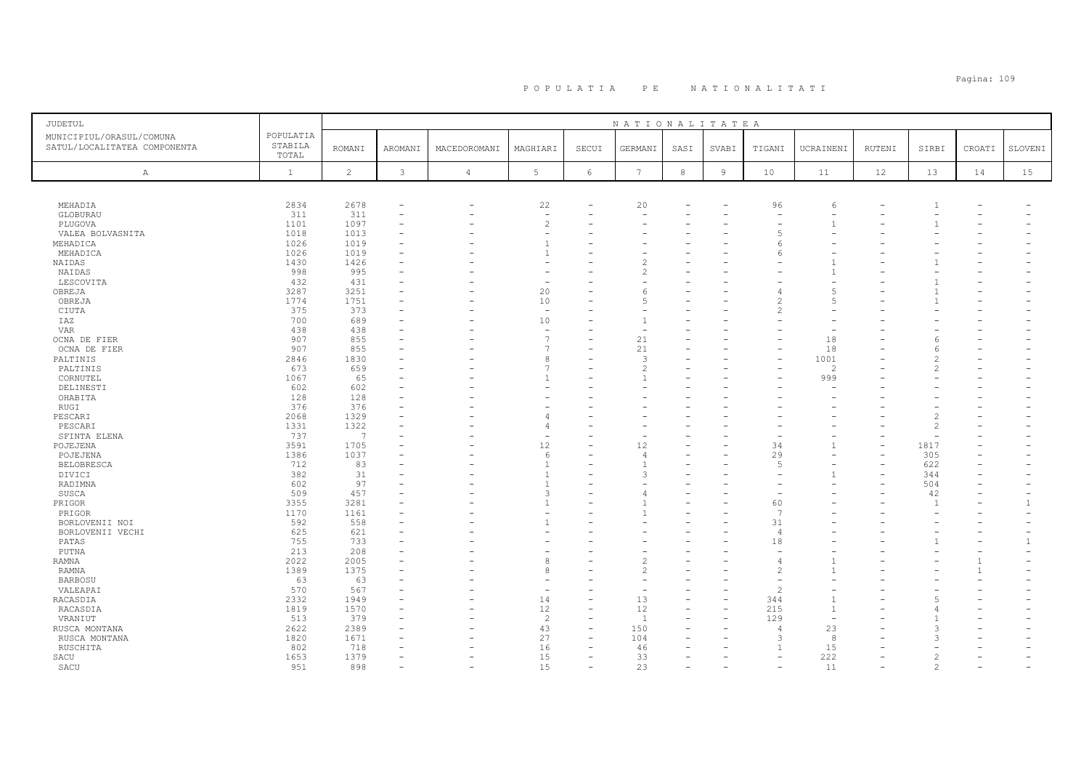# Pagina: 109 P O P U L A T I A P E N A T I O N A L I T A T I

| <b>JUDETUL</b>                                           |                               |                 |                |                          |                                |                          | NATIONALITATEA           |            |                |                          |                |        |                |        |                |
|----------------------------------------------------------|-------------------------------|-----------------|----------------|--------------------------|--------------------------------|--------------------------|--------------------------|------------|----------------|--------------------------|----------------|--------|----------------|--------|----------------|
| MUNICIPIUL/ORASUL/COMUNA<br>SATUL/LOCALITATEA COMPONENTA | POPULATIA<br>STABILA<br>TOTAL | <b>ROMANI</b>   | <b>AROMANI</b> | MACEDOROMANI             | MAGHIARI                       | SECUI                    | GERMANI                  | SASI       | SVABI          | TIGANI                   | UCRAINENI      | RUTENI | SIRBI          | CROATI | SLOVENI        |
| Α                                                        | $\mathbf{1}$                  | $\overline{c}$  | $\mathbf{3}$   | $\overline{4}$           | 5                              | $\epsilon$               | $7\phantom{.0}$          | $^{\rm 8}$ | $\overline{9}$ | 10                       | 11             | 12     | 13             | 14     | 15             |
|                                                          |                               |                 |                |                          |                                |                          |                          |            |                |                          |                |        |                |        |                |
| MEHADIA                                                  | 2834                          | 2678            |                | $\overline{\phantom{0}}$ | 22                             |                          | 20                       |            |                | 96                       | 6              |        |                |        |                |
| GLOBURAU                                                 | 311                           | 311             |                |                          | $\overline{\phantom{a}}$       |                          |                          |            |                |                          |                |        |                |        |                |
| PLUGOVA                                                  | 1101                          | 1097            |                |                          | $\overline{c}$                 |                          |                          |            |                |                          |                |        |                |        |                |
| VALEA BOLVASNITA                                         | 1018                          | 1013            |                |                          |                                |                          |                          |            |                |                          |                |        |                |        |                |
| MEHADICA                                                 | 1026                          | 1019            |                |                          | -1                             |                          |                          |            |                |                          |                |        |                |        |                |
| MEHADICA                                                 | 1026                          | 1019            |                |                          | $\overline{1}$                 |                          |                          |            |                |                          |                |        |                |        |                |
| NAIDAS                                                   | 1430                          | 1426            |                |                          |                                |                          |                          |            |                |                          |                |        |                |        |                |
| NAIDAS                                                   | 998                           | 995             |                |                          |                                |                          | $\overline{\mathcal{L}}$ |            |                |                          |                |        |                |        |                |
| LESCOVITA                                                | 432                           | 431             |                |                          |                                |                          |                          |            |                |                          |                |        |                |        |                |
| OBREJA                                                   | 3287                          | 3251            |                |                          | 20                             |                          | 6                        |            |                |                          | $\overline{5}$ |        |                |        |                |
| OBREJA                                                   | 1774                          | 1751            |                |                          | 10                             |                          | ц                        |            |                |                          | $\overline{5}$ |        |                |        |                |
| CIUTA                                                    | 375                           | 373             |                |                          | $\overline{\phantom{a}}$       |                          |                          |            |                |                          |                |        |                |        |                |
| IAZ                                                      | 700<br>438                    | 689<br>438      |                |                          | 10<br>$\overline{\phantom{a}}$ |                          |                          |            |                |                          |                |        |                |        |                |
| <b>VAR</b><br>OCNA DE FIER                               | 907                           | 855             |                |                          | $\overline{7}$                 | ÷                        | 21                       |            |                |                          | 18             |        |                |        |                |
|                                                          | 907                           | 855             |                |                          |                                |                          | 21                       |            |                |                          | 18             |        |                |        |                |
| OCNA DE FIER<br>PALTINIS                                 | 2846                          | 1830            |                |                          | 8                              |                          | 3                        |            |                |                          | 1001           |        |                |        |                |
| PALTINIS                                                 | 673                           | 659             |                |                          |                                |                          | $\overline{\mathcal{L}}$ |            |                |                          | $\overline{c}$ |        |                |        |                |
| CORNUTEL                                                 | 1067                          | 65              |                |                          | $\overline{1}$                 |                          |                          |            |                |                          | 999            |        |                |        |                |
| DELINESTI                                                | 602                           | 602             |                |                          |                                |                          |                          |            |                |                          |                |        |                |        |                |
| OHABITA                                                  | 128                           | 128             |                |                          |                                |                          |                          |            |                |                          |                |        |                |        |                |
| RUGI                                                     | 376                           | 376             |                |                          |                                |                          |                          |            |                |                          |                |        |                |        |                |
| PESCARI                                                  | 2068                          | 1329            |                |                          |                                |                          |                          |            |                |                          |                |        |                |        |                |
| PESCARI                                                  | 1331                          | 1322            |                |                          | $\Delta$                       |                          |                          |            |                |                          |                |        | $\mathcal{P}$  |        |                |
| SFINTA ELENA                                             | 737                           | $7\overline{ }$ |                |                          |                                |                          |                          |            |                |                          |                |        |                |        |                |
| POJEJENA                                                 | 3591                          | 1705            |                |                          | 12                             |                          | 12                       |            |                | 34                       | $\overline{1}$ |        | 1817           |        |                |
| POJEJENA                                                 | 1386                          | 1037            |                |                          | 6                              |                          |                          |            |                | 29                       |                |        | 305            |        |                |
| <b>BELOBRESCA</b>                                        | 712                           | 83              |                |                          | $\overline{1}$                 | $\equiv$                 |                          |            |                | $\overline{5}$           |                |        | 622            |        |                |
| DIVICI                                                   | 382                           | 31              |                |                          | $\overline{1}$                 |                          | 3                        |            |                |                          |                |        | 344            |        |                |
| RADIMNA                                                  | 602                           | 97              |                |                          | $\overline{1}$                 |                          |                          |            |                |                          |                |        | 504            |        |                |
| SUSCA                                                    | 509                           | 457             |                |                          | 3                              |                          |                          |            |                |                          |                |        | 42             |        |                |
| PRIGOR                                                   | 3355                          | 3281            |                |                          | $\mathbf{1}$                   |                          |                          |            |                | 60                       |                |        | $\overline{1}$ |        | $\mathbf{1}$   |
| PRIGOR                                                   | 1170                          | 1161            |                |                          |                                |                          |                          |            |                | 7                        |                |        |                |        |                |
| BORLOVENII NOI                                           | 592                           | 558             |                |                          |                                |                          |                          |            |                | 31                       |                |        |                |        |                |
| BORLOVENII VECHI                                         | 625                           | 621             |                |                          |                                |                          |                          |            |                | 4                        |                |        |                |        |                |
| PATAS                                                    | 755                           | 733             |                |                          |                                |                          |                          |            |                | 18                       |                |        |                |        | $\overline{1}$ |
| PUTNA                                                    | 213                           | 208             |                |                          |                                |                          |                          |            |                |                          |                |        |                |        |                |
| RAMNA                                                    | 2022                          | 2005            |                |                          | 8                              |                          | $\overline{c}$           |            |                |                          |                |        |                |        |                |
| RAMNA                                                    | 1389                          | 1375            |                |                          | 8                              | $\equiv$                 | $\overline{\mathcal{L}}$ |            |                | $\mathcal{D}$            |                |        |                | 1      |                |
| <b>BARBOSU</b>                                           | 63                            | 63              |                |                          |                                |                          |                          |            |                |                          |                |        |                |        |                |
| VALEAPAI                                                 | 570                           | 567             |                |                          | $\sim$                         |                          |                          |            |                | $\overline{\mathcal{L}}$ |                |        |                |        |                |
| RACASDIA                                                 | 2332                          | 1949            |                |                          | 14                             |                          | 13                       |            |                | 344                      | $\overline{1}$ |        |                |        |                |
| RACASDIA                                                 | 1819                          | 1570            |                |                          | 12                             | $\overline{\phantom{0}}$ | 12                       |            |                | 215                      | $\overline{1}$ |        |                |        |                |
| VRANIUT                                                  | 513                           | 379             |                |                          | $\overline{2}$                 | $\overline{\phantom{0}}$ | $\overline{1}$           |            |                | 129                      |                |        |                |        |                |
| RUSCA MONTANA                                            | 2622                          | 2389            |                |                          | 43                             | $\overline{\phantom{0}}$ | 150                      |            |                | $\Delta$                 | 23             |        |                |        |                |
| RUSCA MONTANA                                            | 1820                          | 1671            |                |                          | 27                             | $\overline{\phantom{0}}$ | 104                      |            |                | 3                        | 8              |        |                |        |                |
| RUSCHITA                                                 | 802                           | 718             |                |                          | 16                             |                          | 46                       |            |                |                          | 15             |        |                |        |                |
| SACU                                                     | 1653                          | 1379            | $\sim$         |                          | 15                             | $\equiv$                 | 33                       |            |                | $\overline{\phantom{0}}$ | 222            |        |                |        |                |
| SACU                                                     | 951                           | 898             |                |                          | 15                             | $\equiv$                 | 23                       |            |                |                          | 11             |        | $\mathcal{P}$  |        |                |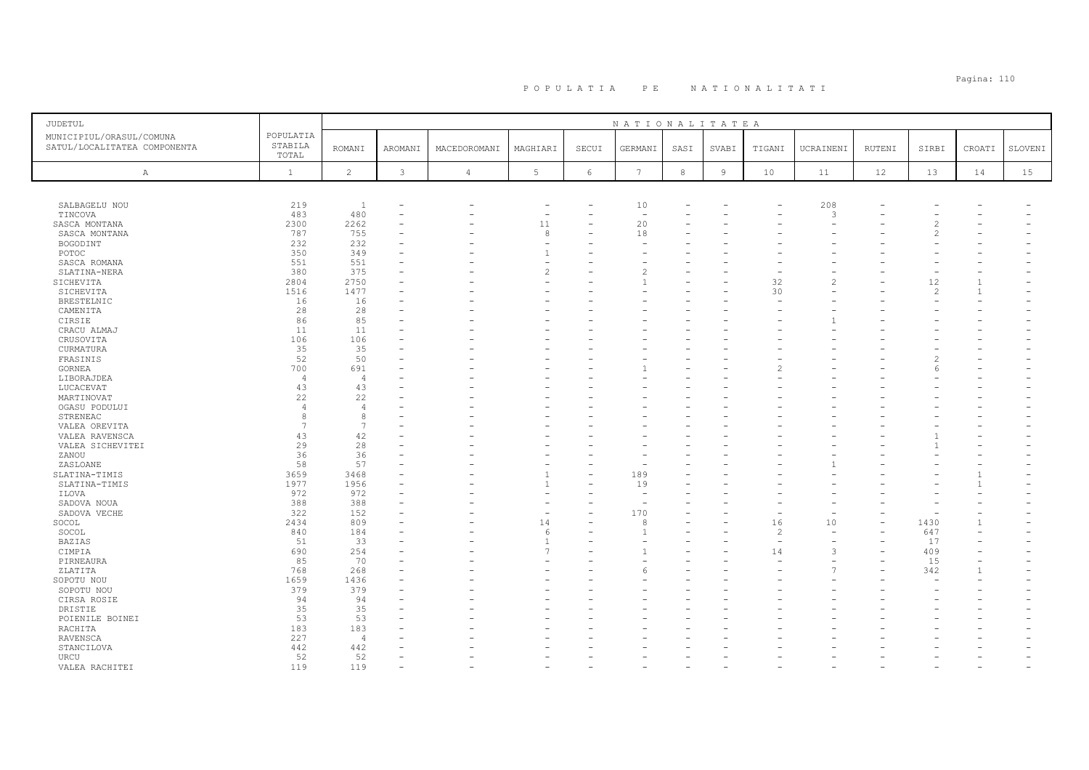| <b>JUDETUL</b>                                           |                               |                 |              |                |                 |            | NATIONALITATEA |        |                |               |               |        |       |              |         |
|----------------------------------------------------------|-------------------------------|-----------------|--------------|----------------|-----------------|------------|----------------|--------|----------------|---------------|---------------|--------|-------|--------------|---------|
| MUNICIPIUL/ORASUL/COMUNA<br>SATUL/LOCALITATEA COMPONENTA | POPULATIA<br>STABILA<br>TOTAL | <b>ROMANI</b>   | AROMANI      | MACEDOROMANI   | MAGHIARI        | SECUI      | GERMANI        | SASI   | SVABI          | TIGANI        | UCRAINENI     | RUTENI | SIRBI | CROATI       | SLOVENI |
| A                                                        | $\mathbf{1}$                  | $\overline{c}$  | $\mathbf{3}$ | $\overline{4}$ | $5\phantom{.0}$ | $\sqrt{6}$ | 7              | $\,$ 8 | $\overline{9}$ | 10            | 11            | 12     | 13    | 14           | 15      |
|                                                          |                               |                 |              |                |                 |            |                |        |                |               |               |        |       |              |         |
| SALBAGELU NOU                                            | 219                           | $\overline{1}$  |              |                | ٠               |            | 10             |        |                |               | 208           |        |       |              |         |
| TINCOVA                                                  | 483                           | 480             |              |                | ۰               |            |                |        |                |               | 3             |        |       |              |         |
| SASCA MONTANA                                            | 2300                          | 2262            |              |                | 11              |            | 20             |        |                |               |               |        |       |              |         |
| SASCA MONTANA                                            | 787                           | 755             |              |                | 8               |            | 18             |        |                |               |               |        |       |              |         |
| BOGODINT                                                 | 232                           | 232             |              |                |                 |            |                |        |                |               |               |        |       |              |         |
| POTOC                                                    | 350                           | 349             |              |                | $\overline{1}$  |            |                |        |                |               |               |        |       |              |         |
| SASCA ROMANA                                             | 551                           | 551             |              |                |                 |            |                |        |                |               |               |        |       |              |         |
| SLATINA-NERA                                             | 380                           | 375             |              |                | $\overline{c}$  |            |                |        |                |               |               |        |       |              |         |
| SICHEVITA                                                | 2804                          | 2750            |              |                |                 |            |                |        |                | 32            |               |        | 12    | $\mathbf{1}$ |         |
| SICHEVITA                                                | 1516                          | 1477            |              |                |                 |            |                |        |                | 30            |               |        | 2     | $\mathbf{1}$ |         |
| BRESTELNIC                                               | 16                            | 16              |              |                |                 |            |                |        |                |               |               |        |       |              |         |
| CAMENITA                                                 | 28                            | 28              |              |                |                 |            |                |        |                |               |               |        |       |              |         |
| CIRSIE                                                   | 86                            | 85              |              |                |                 |            |                |        |                |               |               |        |       |              |         |
| CRACU ALMAJ                                              | 11                            | 11              |              |                |                 |            |                |        |                |               |               |        |       |              |         |
| CRUSOVITA                                                | 106                           | 106             |              |                |                 |            |                |        |                |               |               |        |       |              |         |
| CURMATURA                                                | 35                            | 35              |              |                |                 |            |                |        |                |               |               |        |       |              |         |
|                                                          | 52                            | 50              |              |                |                 |            |                |        |                |               |               |        |       |              |         |
| FRASINIS                                                 |                               |                 |              |                |                 |            |                |        |                |               |               |        |       |              |         |
| GORNEA                                                   | 700                           | 691             |              |                |                 |            |                |        |                |               |               |        |       |              |         |
| LIBORAJDEA                                               | $\overline{4}$                | $\overline{4}$  |              |                |                 |            |                |        |                |               |               |        |       |              |         |
| LUCACEVAT                                                | 43                            | 43              |              |                |                 |            |                |        |                |               |               |        |       |              |         |
| MARTINOVAT                                               | 22                            | 22              |              |                |                 |            |                |        |                |               |               |        |       |              |         |
| OGASU PODULUI                                            | $\overline{4}$                | $\overline{4}$  |              |                |                 |            |                |        |                |               |               |        |       |              |         |
| STRENEAC                                                 | 8                             | 8               |              |                |                 |            |                |        |                |               |               |        |       |              |         |
| VALEA OREVITA                                            | $\overline{7}$                | $7\phantom{.0}$ |              |                |                 |            |                |        |                |               |               |        |       |              |         |
| VALEA RAVENSCA                                           | 43                            | 42              |              |                |                 |            |                |        |                |               |               |        |       |              |         |
| VALEA SICHEVITEI                                         | 29                            | 28              |              |                |                 |            |                |        |                |               |               |        |       |              |         |
| ZANOU                                                    | 36                            | 36              |              |                |                 |            |                |        |                |               |               |        |       |              |         |
| ZASLOANE                                                 | 58                            | 57              |              |                |                 | L.         |                |        |                |               |               |        |       |              |         |
| SLATINA-TIMIS                                            | 3659                          | 3468            |              |                |                 |            | 189            |        |                |               |               |        |       |              |         |
| SLATINA-TIMIS                                            | 1977                          | 1956            |              |                | $\mathbf{1}$    |            | 19             |        |                |               |               |        |       |              |         |
| ILOVA                                                    | 972                           | 972             |              |                |                 |            |                |        |                |               |               |        |       |              |         |
| SADOVA NOUA                                              | 388                           | 388             |              |                |                 |            |                |        |                |               |               |        |       |              |         |
| SADOVA VECHE                                             | 322                           | 152             |              |                |                 |            | 170            |        |                |               |               |        |       |              |         |
| SOCOL                                                    | 2434                          | 809             |              |                | 14              |            | 8              |        |                | 16            | 10            |        | 1430  |              |         |
| SOCOL                                                    | 840                           | 184             |              |                | 6               |            |                |        |                | $\mathcal{P}$ |               |        | 647   |              |         |
| <b>BAZIAS</b>                                            | 51                            | 33              |              |                | $\overline{1}$  |            |                |        |                |               |               |        | 17    |              |         |
| CIMPIA                                                   | 690                           | 254             |              |                | $\overline{7}$  |            |                |        |                | 14            | $\mathcal{R}$ |        | 409   |              |         |
| PIRNEAURA                                                | 85                            | 70              |              |                |                 |            |                |        |                |               |               |        | 15    |              |         |
| ZLATITA                                                  | 768                           | 268             |              |                |                 |            | ĥ              |        |                |               |               |        | 342   |              |         |
| SOPOTU NOU                                               | 1659                          | 1436            |              |                |                 |            |                |        |                |               |               |        |       |              |         |
|                                                          | 379                           | 379             |              |                |                 |            |                |        |                |               |               |        |       |              |         |
| SOPOTU NOU                                               |                               |                 |              |                |                 |            |                |        |                |               |               |        |       |              |         |
| CIRSA ROSIE                                              | 94                            | 94              |              |                |                 |            |                |        |                |               |               |        |       |              |         |
| DRISTIE                                                  | 35                            | 35              |              |                |                 |            |                |        |                |               |               |        |       |              |         |
| POIENILE BOINEI                                          | 53                            | 53              |              |                |                 |            |                |        |                |               |               |        |       |              |         |
| RACHITA                                                  | 183                           | 183             |              |                |                 |            |                |        |                |               |               |        |       |              |         |
| RAVENSCA                                                 | 227                           | $\overline{4}$  |              |                |                 |            |                |        |                |               |               |        |       |              |         |
| STANCILOVA                                               | 442                           | 442             |              |                |                 |            |                |        |                |               |               |        |       |              |         |
| URCU                                                     | 52                            | 52              |              |                |                 |            |                |        |                |               |               |        |       |              |         |
| VALEA RACHITEI                                           | 119                           | 119             |              |                |                 |            |                |        |                |               |               |        |       |              |         |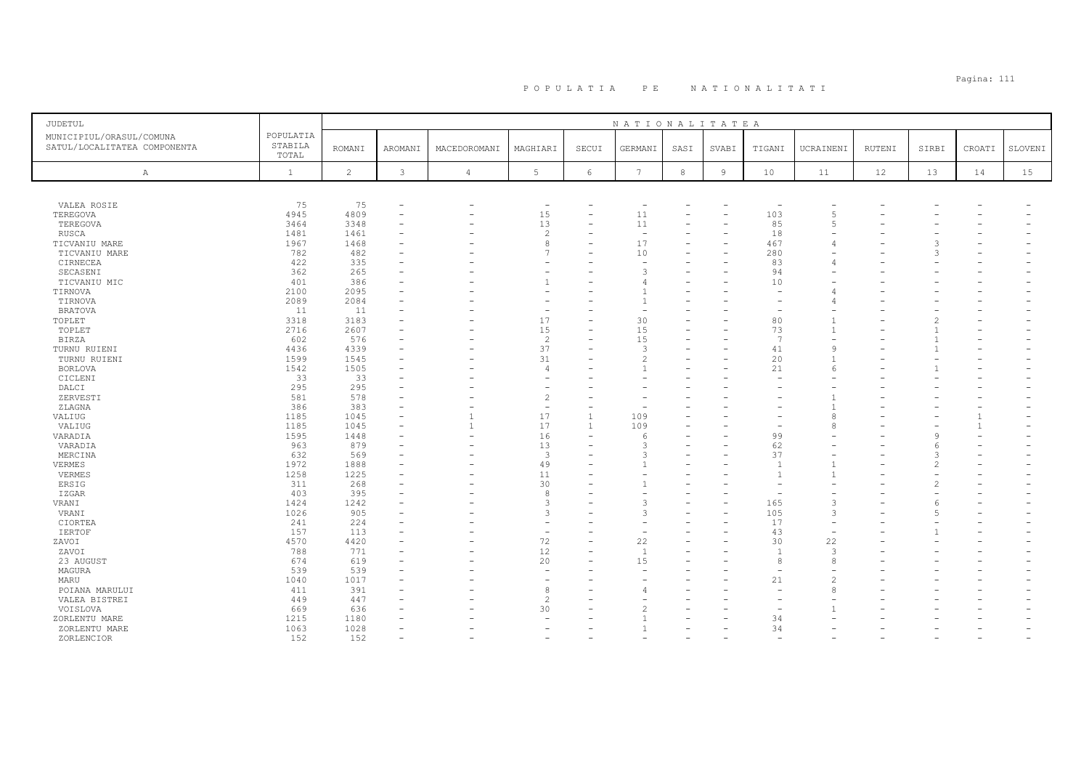| JUDETUL                      |              |                |         |                          |                          |              | NATIONALITATEA           |      |                |                |                |        |       |        |         |
|------------------------------|--------------|----------------|---------|--------------------------|--------------------------|--------------|--------------------------|------|----------------|----------------|----------------|--------|-------|--------|---------|
| MUNICIPIUL/ORASUL/COMUNA     | POPULATIA    |                |         |                          |                          |              |                          |      |                |                |                |        |       |        |         |
| SATUL/LOCALITATEA COMPONENTA | STABILA      | <b>ROMANI</b>  | AROMANI | MACEDOROMANI             | MAGHIARI                 | SECUI        | GERMANI                  | SASI | SVABI          | TIGANI         | UCRAINENI      | RUTENI | SIRBI | CROATI | SLOVENI |
|                              | TOTAL        |                |         |                          |                          |              |                          |      |                |                |                |        |       |        |         |
| $\mathbb{A}$                 | $\mathbf{1}$ | $\overline{c}$ | 3       | $\overline{4}$           | 5                        | 6            | $\overline{7}$           | 8    | $\overline{9}$ | 10             | 11             | 12     | 13    | 14     | 15      |
|                              |              |                |         |                          |                          |              |                          |      |                |                |                |        |       |        |         |
|                              |              |                |         |                          |                          |              |                          |      |                |                |                |        |       |        |         |
| VALEA ROSIE                  | 75           | 75             |         |                          | $\overline{\phantom{m}}$ |              |                          |      |                |                |                |        |       |        |         |
| TEREGOVA                     | 4945         | 4809           |         |                          | 15                       |              | 11                       |      |                | 103            | 5              |        |       |        |         |
| TEREGOVA                     | 3464         | 3348           |         |                          | 13                       | ۳            | 11                       |      |                | 85             | $\overline{5}$ |        |       |        |         |
| RUSCA                        | 1481         | 1461           |         |                          | $\overline{c}$           |              | $\sim$                   |      |                | 18             |                |        |       |        |         |
| TICVANIU MARE                | 1967         | 1468           |         |                          | 8                        | ۳            | 17                       |      |                | 467            |                |        |       |        |         |
| TICVANIU MARE                | 782          | 482            |         |                          | 7                        |              | 10                       |      |                | 280            |                |        |       |        |         |
| CIRNECEA                     | 422          | 335            |         |                          |                          |              |                          |      |                | 83             |                |        |       |        |         |
| SECASENI                     | 362          | 265            |         |                          |                          |              | 3                        |      |                | 94             |                |        |       |        |         |
| TICVANIU MIC                 | 401          | 386            |         |                          | -1                       |              |                          |      |                | 10             |                |        |       |        |         |
| TIRNOVA                      | 2100         | 2095           |         |                          |                          |              |                          |      |                |                |                |        |       |        |         |
| TIRNOVA                      | 2089         | 2084           |         |                          |                          | ۳            |                          |      |                |                |                |        |       |        |         |
| <b>BRATOVA</b>               | 11           | 11             |         |                          |                          |              |                          |      |                |                |                |        |       |        |         |
| TOPLET                       | 3318         | 3183           |         |                          | 17                       |              | 30                       |      |                | 80             |                |        |       |        |         |
| TOPLET                       | 2716         | 2607           |         |                          | 15                       | $\equiv$     | 15                       |      |                | 73             |                |        |       |        |         |
| <b>BIRZA</b>                 | 602          | 576            |         |                          | $\overline{c}$           |              | 15                       |      |                | 7              |                |        |       |        |         |
| TURNU RUIENI                 | 4436         | 4339           |         |                          | 37                       |              | 3                        |      |                | 41             | C              |        |       |        |         |
| TURNU RUIENI                 | 1599         | 1545           |         |                          | 31                       |              | $\overline{\mathcal{L}}$ |      |                | 20             |                |        |       |        |         |
| BORLOVA                      | 1542         | 1505           |         |                          | $\overline{4}$           |              |                          |      |                | 21             |                |        |       |        |         |
| CICLENI                      | 33           | 33             |         |                          |                          |              |                          |      |                |                |                |        |       |        |         |
| DALCI                        | 295          | 295            |         |                          |                          |              |                          |      |                |                |                |        |       |        |         |
| ZERVESTI                     | 581          | 578            |         |                          | $\mathcal{D}$            | ۳            |                          |      |                |                |                |        |       |        |         |
| ZLAGNA                       | 386          | 383            |         |                          | ۰                        |              |                          |      |                |                |                |        |       |        |         |
| VALIUG                       | 1185         | 1045           |         | $\overline{1}$           | 17                       | $\mathbf{1}$ | 109                      |      |                |                | 8              |        |       |        |         |
| VALIUG                       | 1185         | 1045           |         | $\overline{1}$           | 17                       | $\mathbf{1}$ | 109                      |      |                |                |                |        |       |        |         |
| VARADIA                      | 1595         | 1448           |         |                          | 16                       |              | 6                        |      |                | 99             |                |        |       |        |         |
| VARADIA                      | 963          | 879            |         | $\overline{\phantom{0}}$ | 13                       | ۳            | 3                        |      |                | 62             |                |        |       |        |         |
| MERCINA                      | 632          | 569            |         |                          | 3                        |              | 3                        |      |                | 37             |                |        | 3     |        |         |
| VERMES                       | 1972         | 1888           |         |                          | 49                       |              |                          |      |                | $\overline{1}$ |                |        |       |        |         |
| VERMES                       | 1258         | 1225           |         |                          | 11                       |              |                          |      |                |                |                |        |       |        |         |
| ERSIG                        | 311          | 268            |         |                          | 30                       |              |                          |      |                |                |                |        |       |        |         |
| IZGAR                        | 403          | 395            |         |                          | 8                        |              |                          |      |                |                |                |        |       |        |         |
| VRANI                        | 1424         | 1242           |         |                          | 3                        |              | 3                        |      |                | 165            |                |        |       |        |         |
| VRANI                        | 1026         | 905            |         |                          | 3                        |              | 3                        |      |                | 105            | 3              |        | -5    |        |         |
| CIORTEA                      | 241          | 224            |         |                          |                          |              |                          |      |                | 17             |                |        |       |        |         |
| <b>IERTOF</b>                | 157          | 113            |         |                          | ۰                        |              |                          |      |                | 43             |                |        |       |        |         |
| ZAVOI                        | 4570         | 4420           |         |                          | 72                       |              | 22                       |      |                | 30             | 22             |        |       |        |         |
| ZAVOI                        | 788          | 771            |         |                          | 12                       | $\equiv$     | <sup>1</sup>             |      |                | $\overline{1}$ | 3              |        |       |        |         |
| 23 AUGUST                    | 674          | 619            |         |                          | 20                       |              | 15                       |      |                | $\mathcal{R}$  | ε              |        |       |        |         |
| MAGURA                       | 539          | 539            |         |                          | $\overline{\phantom{a}}$ |              |                          |      |                |                |                |        |       |        |         |
| MARU                         | 1040         | 1017           |         |                          |                          |              |                          |      |                | 21             |                |        |       |        |         |
| POIANA MARULUI               | 411          | 391            |         |                          | 8                        |              |                          |      |                |                | ε              |        |       |        |         |
| VALEA BISTREI                | 449          | 447            |         |                          | $\overline{c}$           |              |                          |      |                |                |                |        |       |        |         |
| VOISLOVA                     | 669          | 636            |         |                          | 30                       |              |                          |      |                |                |                |        |       |        |         |
| ZORLENTU MARE                | 1215         | 1180           |         |                          |                          |              |                          |      |                | 34             |                |        |       |        |         |
| ZORLENTU MARE                | 1063         | 1028           |         |                          |                          |              |                          |      |                | 34             |                |        |       |        |         |
| ZORLENCIOR                   | 152          | 152            |         |                          |                          |              |                          |      |                |                |                |        |       |        |         |
|                              |              |                |         |                          |                          |              |                          |      |                |                |                |        |       |        |         |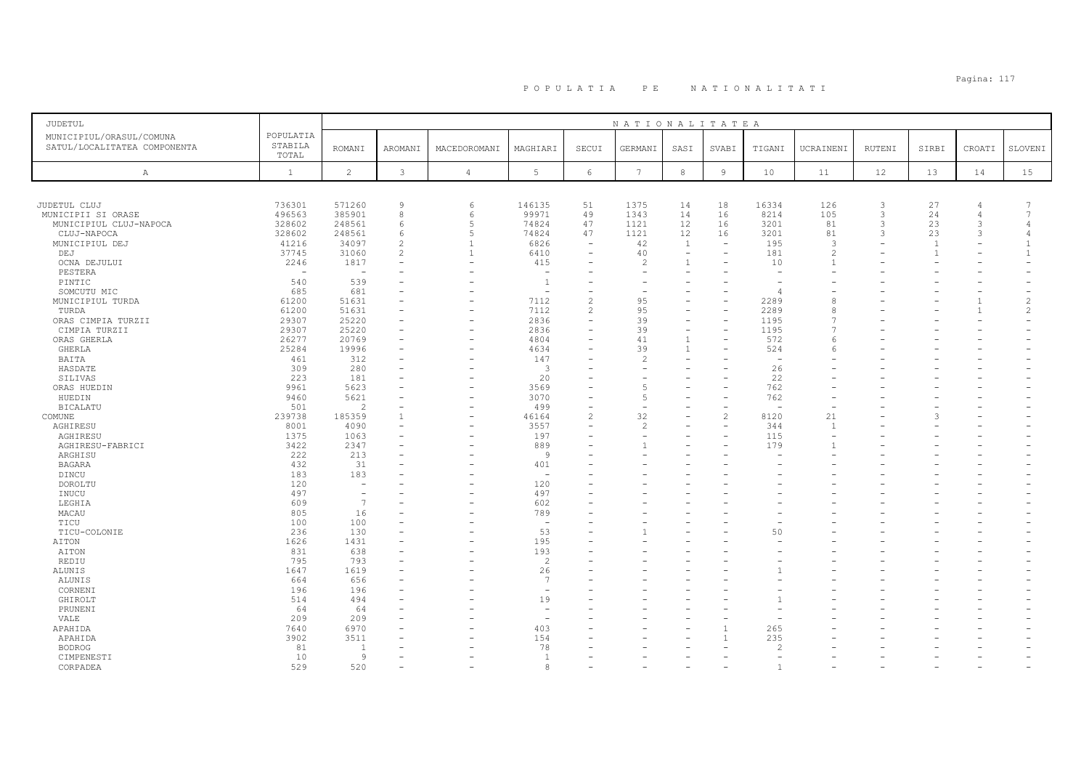# Pagina: 117 P O P U L A T I A P E N A T I O N A L I T A T I

| <b>JUDETUL</b>                                                                            |                          |                                 |                          |                                            |                          | NATIONALITATEA           |                          |                          |                                |                    |              |                |                |                |
|-------------------------------------------------------------------------------------------|--------------------------|---------------------------------|--------------------------|--------------------------------------------|--------------------------|--------------------------|--------------------------|--------------------------|--------------------------------|--------------------|--------------|----------------|----------------|----------------|
| POPULATIA<br>MUNICIPIUL/ORASUL/COMUNA<br>STABILA<br>SATUL/LOCALITATEA COMPONENTA<br>TOTAL | <b>ROMANI</b>            | AROMANI                         | MACEDOROMANI             | MAGHIARI                                   | SECUI                    | GERMANI                  | SASI                     | SVABI                    | TIGANI                         | UCRAINENI          | RUTENI       | SIRBI          | CROATI         | SLOVENI        |
| $\mathbf{1}$<br>Α                                                                         | $\overline{c}$           | $\mathbf{3}$                    | $\overline{4}$           | 5 <sub>1</sub>                             | $\epsilon$               | $7\phantom{.0}$          | $\,8\,$                  | $\overline{9}$           | 10                             | 11                 | 12           | 13             | 14             | 15             |
|                                                                                           |                          |                                 |                          |                                            |                          |                          |                          |                          |                                |                    |              |                |                |                |
|                                                                                           |                          |                                 |                          |                                            |                          |                          |                          |                          |                                |                    |              |                |                |                |
| JUDETUL CLUJ<br>736301                                                                    | 571260                   | $\overline{9}$                  | 6                        | 146135                                     | 51                       | 1375                     | 14                       | 18                       | 16334                          | 126                | $\mathbf{3}$ | 27             | $\overline{4}$ |                |
| 496563<br>MUNICIPII SI ORASE                                                              | 385901                   | 8                               | 6                        | 99971                                      | 49                       | 1343                     | 14                       | 16                       | 8214                           | 105                | 3            | 24             | 4              | 7              |
| MUNICIPIUL CLUJ-NAPOCA<br>328602                                                          | 248561                   | 6                               | 5                        | 74824                                      | 47                       | 1121                     | 12                       | 16                       | 3201                           | 81                 | 3            | 23             | 3              | $\overline{4}$ |
| 328602<br>CLUJ-NAPOCA                                                                     | 248561                   | 6                               | 5                        | 74824                                      | 47                       | 1121                     | 12                       | 16                       | 3201                           | 81                 | 3            | 23             | 3              | $\overline{4}$ |
| MUNICIPIUL DEJ<br>41216                                                                   | 34097                    | $\overline{c}$<br>$\mathcal{L}$ | -1                       | 6826                                       | $\overline{\phantom{a}}$ | 42                       | 1                        | $\overline{\phantom{a}}$ | 195                            | 3<br>$\mathcal{P}$ |              | $\overline{1}$ |                |                |
| 37745<br>DEJ                                                                              | 31060                    |                                 | $\mathbf{1}$             | 6410                                       | $\qquad \qquad -$        | 40<br>$\overline{c}$     | $\overline{\phantom{a}}$ | $\overline{\phantom{0}}$ | 181                            |                    |              |                |                |                |
| OCNA DEJULUI<br>2246                                                                      | 1817                     |                                 | ٠                        | 415<br>$\overline{\phantom{a}}$            |                          | L.                       | $\mathbf{1}$<br>$\equiv$ |                          | 10<br>$\overline{\phantom{0}}$ |                    |              |                |                |                |
| PESTERA<br>$\overline{\phantom{m}}$                                                       | $\overline{\phantom{a}}$ |                                 |                          |                                            |                          |                          |                          |                          |                                |                    |              |                |                |                |
| 540<br>PINTIC                                                                             | 539                      |                                 |                          | $\overline{1}$<br>$\overline{\phantom{a}}$ | $\overline{\phantom{0}}$ | $\overline{\phantom{a}}$ |                          |                          | $\overline{4}$                 |                    |              |                |                |                |
| 685<br>SOMCUTU MIC                                                                        | 681                      |                                 |                          |                                            | $\overline{c}$           |                          |                          |                          |                                |                    |              |                | $\mathbf{1}$   | 2              |
| 61200<br>MUNICIPIUL TURDA                                                                 | 51631                    |                                 |                          | 7112                                       |                          | 95                       |                          | $\overline{\phantom{m}}$ | 2289                           |                    |              |                | $\mathbf{1}$   | $\overline{c}$ |
| 61200<br>TURDA                                                                            | 51631<br>25220           |                                 |                          | 7112<br>2836                               | $\mathbf{2}$<br>۰        | 95<br>39                 | $\overline{\phantom{a}}$ | $\equiv$                 | 2289<br>1195                   |                    |              |                |                |                |
| 29307<br>ORAS CIMPIA TURZII<br>29307                                                      | 25220                    |                                 | ٠                        | 2836                                       | $\overline{\phantom{0}}$ | 39                       | $\overline{\phantom{m}}$ | $\equiv$                 | 1195                           |                    |              |                |                |                |
| CIMPIA TURZII<br>ORAS GHERLA<br>26277                                                     | 20769                    |                                 | $\sim$                   | 4804                                       | ۳                        | 41                       | $\overline{1}$           | $\equiv$                 | 572                            |                    |              |                |                |                |
| 25284<br><b>GHERLA</b>                                                                    | 19996                    |                                 |                          | 4634                                       |                          | 39                       | $\overline{1}$           |                          | 524                            |                    |              |                |                |                |
| 461<br>BAITA                                                                              | 312                      |                                 |                          | 147                                        | L,                       | $\overline{\mathcal{L}}$ | $\equiv$                 |                          | $\overline{\phantom{a}}$       |                    |              |                |                |                |
| 309                                                                                       | 280                      |                                 |                          | -3                                         |                          |                          |                          |                          | 26                             |                    |              |                |                |                |
| HASDATE<br>223<br>SILIVAS                                                                 | 181                      | $\equiv$                        |                          | 20                                         | ۳                        | L.                       | ÷                        | $\equiv$                 | 22                             |                    |              |                |                |                |
| 9961<br>ORAS HUEDIN                                                                       | 5623                     |                                 |                          | 3569                                       |                          | 5                        |                          |                          | 762                            |                    |              |                |                |                |
| 9460<br>HUEDIN                                                                            | 5621                     |                                 | $\overline{\phantom{0}}$ | 3070                                       | L,                       | $\overline{5}$           |                          | $\overline{\phantom{0}}$ | 762                            |                    |              |                |                |                |
| 501<br><b>BICALATU</b>                                                                    | 2                        |                                 |                          | 499                                        | ۰                        |                          |                          |                          |                                |                    |              |                |                |                |
| 239738<br>COMUNE                                                                          | 185359                   | $\overline{1}$                  | ۰                        | 46164                                      | $\overline{c}$           | 32                       |                          | $\overline{c}$           | 8120                           | 21                 |              | 3              |                |                |
| 8001<br>AGHIRESU                                                                          | 4090                     |                                 |                          | 3557                                       | ۰                        | $\mathfrak{D}$           |                          | $\overline{\phantom{0}}$ | 344                            | -1                 |              |                |                |                |
| 1375<br>AGHIRESU                                                                          | 1063                     |                                 |                          | 197                                        | ۰                        |                          |                          |                          | 115                            |                    |              |                |                |                |
| 3422<br>AGHIRESU-FABRICI                                                                  | 2347                     |                                 |                          | 889                                        | ۳                        |                          |                          |                          | 179                            |                    |              |                |                |                |
| 222<br>ARGHISU                                                                            | 213                      |                                 |                          | 9                                          |                          |                          |                          |                          |                                |                    |              |                |                |                |
| 432<br>BAGARA                                                                             | 31                       |                                 |                          | 401                                        | ۳                        |                          |                          |                          |                                |                    |              |                |                |                |
| 183<br>DINCU                                                                              | 183                      |                                 |                          | $\sim$                                     |                          |                          |                          |                          |                                |                    |              |                |                |                |
| 120<br>DOROLTU                                                                            | $\equiv$                 |                                 |                          | 120                                        |                          |                          |                          |                          |                                |                    |              |                |                |                |
| 497<br>INUCU                                                                              |                          |                                 |                          | 497                                        |                          |                          |                          |                          |                                |                    |              |                |                |                |
| 609<br>LEGHIA                                                                             | $\overline{7}$           |                                 |                          | 602                                        |                          |                          |                          |                          |                                |                    |              |                |                |                |
| 805<br>MACAU                                                                              | 16                       |                                 |                          | 789                                        |                          |                          |                          |                          |                                |                    |              |                |                |                |
| 100<br>TICU                                                                               | 100                      |                                 |                          | $\overline{\phantom{a}}$                   |                          |                          |                          |                          |                                |                    |              |                |                |                |
| TICU-COLONIE<br>236                                                                       | 130                      |                                 |                          | 53                                         | ۰                        |                          |                          |                          | 50                             |                    |              |                |                |                |
| 1626<br>AITON                                                                             | 1431                     |                                 |                          | 195                                        |                          |                          |                          |                          |                                |                    |              |                |                |                |
| 831<br>AITON                                                                              | 638                      |                                 |                          | 193                                        |                          |                          |                          |                          |                                |                    |              |                |                |                |
| 795<br>REDIU                                                                              | 793                      |                                 |                          | $\overline{2}$                             |                          |                          |                          |                          |                                |                    |              |                |                |                |
| 1647<br>ALUNIS                                                                            | 1619                     |                                 |                          | 26                                         | ۳                        |                          |                          |                          |                                |                    |              |                |                |                |
| 664<br>ALUNIS                                                                             | 656                      |                                 |                          | $\overline{7}$                             |                          |                          |                          |                          |                                |                    |              |                |                |                |
| 196<br>CORNENI                                                                            | 196                      |                                 |                          | $\overline{\phantom{a}}$                   |                          |                          |                          |                          |                                |                    |              |                |                |                |
| 514<br>GHIROLT                                                                            | 494                      |                                 |                          | 19                                         |                          |                          |                          |                          |                                |                    |              |                |                |                |
| 64<br>PRUNENI                                                                             | 64                       |                                 |                          | $\overline{\phantom{a}}$                   |                          |                          |                          |                          |                                |                    |              |                |                |                |
| VALE<br>209                                                                               | 209                      |                                 |                          |                                            |                          |                          |                          |                          |                                |                    |              |                |                |                |
| 7640<br>APAHIDA                                                                           | 6970                     |                                 |                          | 403                                        |                          |                          |                          |                          | 265                            |                    |              |                |                |                |
| APAHIDA<br>3902                                                                           | 3511                     |                                 |                          | 154                                        |                          |                          |                          |                          | 235                            |                    |              |                |                |                |
| 81<br><b>BODROG</b>                                                                       | -1                       |                                 |                          | 78                                         |                          |                          |                          |                          | $\mathcal{L}$                  |                    |              |                |                |                |
| 10<br>CIMPENESTI                                                                          | -9                       |                                 |                          | $\overline{1}$                             |                          |                          |                          |                          |                                |                    |              |                |                |                |
| 529<br>CORPADEA                                                                           | 520                      |                                 |                          | $\mathcal{R}$                              |                          |                          |                          |                          | $\overline{1}$                 |                    |              |                |                |                |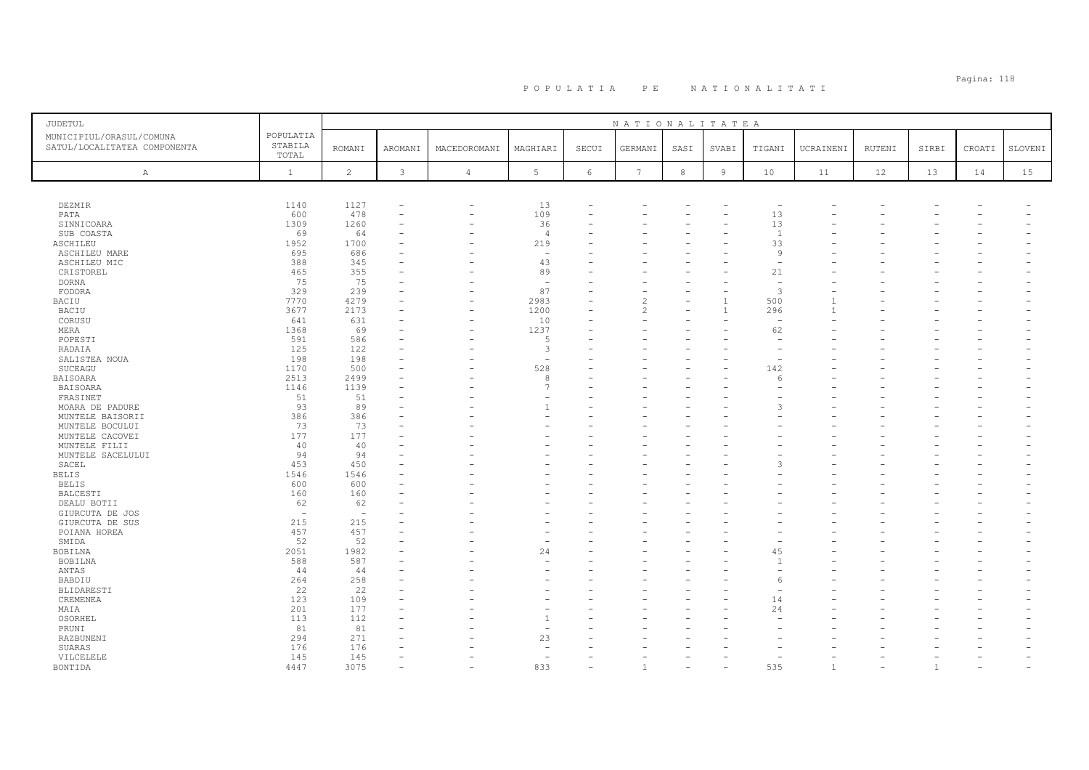# Pagina: 118 P O P U L A T I A P E N A T I O N A L I T A T I

| JUDETUL                                                  |                               |                                |              |                |                          |            | NATIONALITATEA           |         |                |                          |                |        |       |        |         |
|----------------------------------------------------------|-------------------------------|--------------------------------|--------------|----------------|--------------------------|------------|--------------------------|---------|----------------|--------------------------|----------------|--------|-------|--------|---------|
| MUNICIPIUL/ORASUL/COMUNA<br>SATUL/LOCALITATEA COMPONENTA | POPULATIA<br>STABILA<br>TOTAL | <b>ROMANI</b>                  | AROMANI      | MACEDOROMANI   | MAGHIARI                 | SECUI      | GERMANI                  | SASI    | SVABI          | TIGANI                   | UCRAINENI      | RUTENI | SIRBI | CROATI | SLOVENI |
| Α                                                        | $\mathbf{1}$                  | $\overline{c}$                 | $\mathbf{3}$ | $\overline{4}$ | 5                        | $\epsilon$ | $7\phantom{.0}$          | $\,8\,$ | $\overline{9}$ | 10                       | 11             | 12     | 13    | 14     | 15      |
|                                                          |                               |                                |              |                |                          |            |                          |         |                |                          |                |        |       |        |         |
| DEZMIR                                                   | 1140                          | 1127                           |              | $\equiv$       | 13                       |            |                          |         |                |                          |                |        |       |        |         |
| PATA                                                     | 600                           | 478                            |              | ۰              | 109                      | ۳          |                          |         |                | 13                       |                |        |       |        |         |
| SINNICOARA                                               | 1309                          | 1260                           |              |                | 36                       |            |                          |         |                | 13                       |                |        |       |        |         |
| SUB COASTA                                               | 69                            | 64                             |              |                | $\overline{4}$           |            |                          |         |                | $\overline{1}$           |                |        |       |        |         |
| ASCHILEU                                                 | 1952                          | 1700                           |              |                | 219                      |            |                          |         |                | 33                       |                |        |       |        |         |
| <b>ASCHILEU MARE</b>                                     | 695                           | 686                            |              |                | $\overline{\phantom{a}}$ |            |                          |         |                | 9                        |                |        |       |        |         |
| ASCHILEU MIC                                             | 388                           | 345                            |              |                | 43                       |            |                          |         |                |                          |                |        |       |        |         |
| CRISTOREL                                                | 465                           | 355                            |              |                | 89                       |            |                          |         |                | 21                       |                |        |       |        |         |
| <b>DORNA</b>                                             | 75                            | 75                             |              |                | $\sim$                   |            |                          |         |                | $\overline{\phantom{a}}$ |                |        |       |        |         |
| FODORA                                                   | 329                           | 239                            |              | ۰              | 87                       | ۳          |                          |         |                | 3                        |                |        |       |        |         |
| BACIU                                                    | 7770                          | 4279                           |              |                | 2983                     | L.         | $\overline{\mathcal{L}}$ |         |                | 500                      | $\overline{1}$ |        |       |        |         |
| <b>BACIU</b>                                             | 3677                          | 2173                           |              |                | 1200                     |            | $\mathfrak{D}$           |         |                | 296                      |                |        |       |        |         |
| CORUSU                                                   | 641                           | 631                            |              | ÷              | 10                       | ۳          |                          |         |                | $\overline{\phantom{a}}$ |                |        |       |        |         |
| MERA                                                     | 1368                          | 69                             |              | ۰              | 1237                     |            |                          |         |                | 62                       |                |        |       |        |         |
| POPESTI                                                  | 591                           | 586                            |              |                | 5                        |            |                          |         |                | $\sim$                   |                |        |       |        |         |
| RADAIA                                                   | 125                           | 122                            |              |                | 3                        |            |                          |         |                |                          |                |        |       |        |         |
| SALISTEA NOUA                                            | 198                           | 198                            |              |                | $\overline{\phantom{a}}$ |            |                          |         |                |                          |                |        |       |        |         |
| SUCEAGU                                                  | 1170                          | 500                            |              |                | 528                      |            |                          |         |                | 142                      |                |        |       |        |         |
| BAISOARA                                                 | 2513                          | 2499                           |              |                | 8                        |            |                          |         |                | 6                        |                |        |       |        |         |
| <b>BAISOARA</b>                                          | 1146                          | 1139                           |              |                | $\overline{7}$           |            |                          |         |                |                          |                |        |       |        |         |
| FRASINET                                                 | 51                            | 51                             |              |                |                          |            |                          |         |                |                          |                |        |       |        |         |
| MOARA DE PADURE                                          | 93                            | 89                             |              |                | $\overline{1}$           |            |                          |         |                |                          |                |        |       |        |         |
| MUNTELE BAISORII                                         | 386                           | 386                            |              |                |                          |            |                          |         |                |                          |                |        |       |        |         |
| MUNTELE BOCULUI                                          | 73                            | 73                             |              |                |                          |            |                          |         |                |                          |                |        |       |        |         |
| MUNTELE CACOVEI                                          | 177                           | 177                            |              |                |                          |            |                          |         |                |                          |                |        |       |        |         |
| MUNTELE FILII                                            | 40                            | 40                             |              |                |                          |            |                          |         |                |                          |                |        |       |        |         |
| MUNTELE SACELULUI                                        | 94                            | 94                             |              |                |                          |            |                          |         |                |                          |                |        |       |        |         |
| SACEL                                                    | 453                           | 450                            |              |                |                          |            |                          |         |                |                          |                |        |       |        |         |
| <b>BELIS</b>                                             | 1546                          | 1546                           |              |                |                          |            |                          |         |                |                          |                |        |       |        |         |
| <b>BELIS</b>                                             | 600                           | 600                            |              |                |                          |            |                          |         |                |                          |                |        |       |        |         |
| BALCESTI                                                 | 160                           | 160                            |              |                |                          |            |                          |         |                |                          |                |        |       |        |         |
| DEALU BOTII                                              | 62<br>$\sim$                  | 62<br>$\overline{\phantom{a}}$ |              |                |                          |            |                          |         |                |                          |                |        |       |        |         |
| GIURCUTA DE JOS<br>GIURCUTA DE SUS                       | 215                           | 215                            |              |                |                          |            |                          |         |                |                          |                |        |       |        |         |
| POIANA HOREA                                             | 457                           | 457                            |              |                |                          |            |                          |         |                |                          |                |        |       |        |         |
| SMIDA                                                    | 52                            | 52                             |              |                |                          |            |                          |         |                |                          |                |        |       |        |         |
| BOBILNA                                                  | 2051                          | 1982                           |              |                | 24                       |            |                          |         |                | 45                       |                |        |       |        |         |
| BOBILNA                                                  | 588                           | 587                            |              |                |                          |            |                          |         |                | -1                       |                |        |       |        |         |
| ANTAS                                                    | 44                            | 44                             |              |                |                          | L.         |                          |         |                |                          |                |        |       |        |         |
| BABDIU                                                   | 264                           | 258                            |              |                |                          |            |                          |         |                |                          |                |        |       |        |         |
| BLIDARESTI                                               | 22                            | 22                             |              |                |                          |            |                          |         |                |                          |                |        |       |        |         |
| CREMENEA                                                 | 123                           | 109                            |              |                |                          |            |                          |         |                | 14                       |                |        |       |        |         |
| MAIA                                                     | 201                           | 177                            |              |                |                          |            |                          |         |                | 24                       |                |        |       |        |         |
| OSORHEL                                                  | 113                           | 112                            |              |                | $\overline{1}$           |            |                          |         |                |                          |                |        |       |        |         |
| PRUNI                                                    | 81                            | 81                             |              |                |                          |            |                          |         |                |                          |                |        |       |        |         |
| RAZBUNENI                                                | 294                           | 271                            |              |                | 23                       |            |                          |         |                |                          |                |        |       |        |         |
| SUARAS                                                   | 176                           | 176                            |              |                |                          |            |                          |         |                |                          |                |        |       |        |         |
| VILCELELE                                                | 145                           | 145                            |              |                |                          |            |                          |         |                |                          |                |        |       |        |         |
| BONTIDA                                                  | 4447                          | 3075                           |              |                | 833                      |            |                          |         |                | 535                      | $\overline{1}$ |        | -1    |        |         |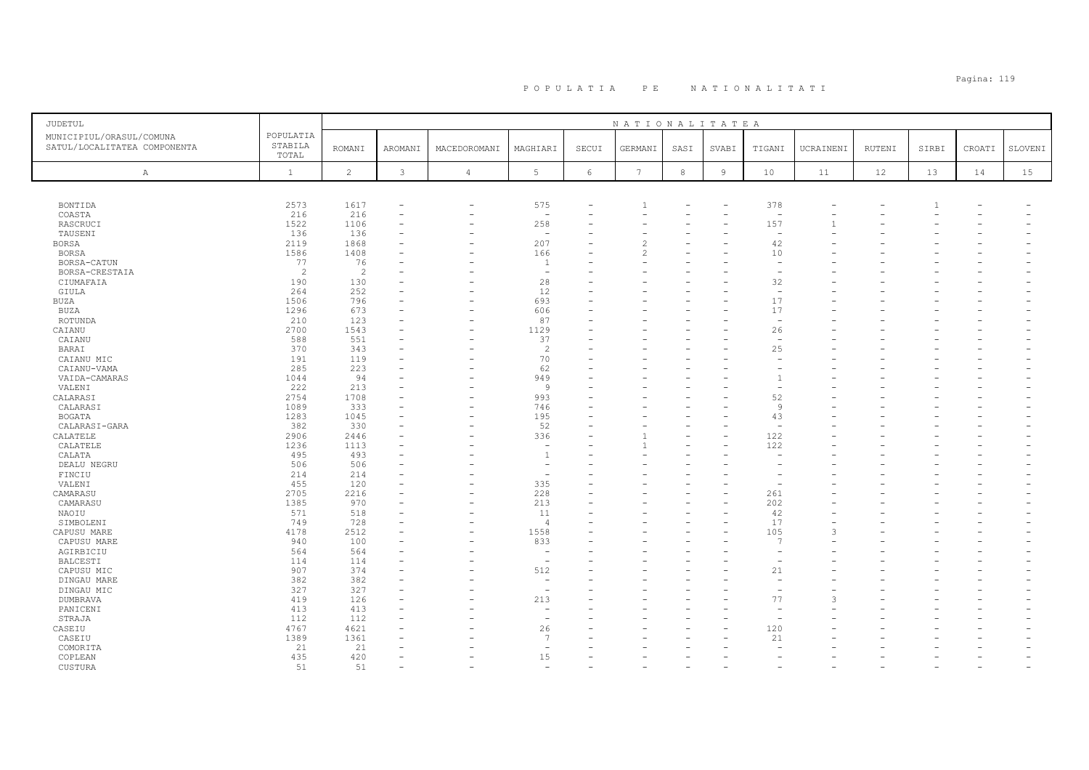# PO PULATIA PE NATIONALITATI POPULATIA PE NATIONALITATI POPULATIA PE PAGLINALITATI PER DENGAN PER PER DENGAN PER

| <b>JUDETUL</b>                                           |                               |                |                |                          |                          |                 | NATIONALITATEA  |            |                |                          |           |               |       |        |         |
|----------------------------------------------------------|-------------------------------|----------------|----------------|--------------------------|--------------------------|-----------------|-----------------|------------|----------------|--------------------------|-----------|---------------|-------|--------|---------|
| MUNICIPIUL/ORASUL/COMUNA<br>SATUL/LOCALITATEA COMPONENTA | POPULATIA<br>STABILA<br>TOTAL | <b>ROMANI</b>  | <b>AROMANI</b> | MACEDOROMANI             | MAGHIARI                 | SECUI           | GERMANI         | SASI       | SVABI          | TIGANI                   | UCRAINENI | <b>RUTENI</b> | SIRBI | CROATI | SLOVENI |
| A                                                        | $\mathbf{1}$                  | $\overline{c}$ | $\mathfrak{Z}$ | $\overline{4}$           | 5 <sub>1</sub>           | $6\phantom{.}6$ | $7\phantom{.0}$ | $^{\rm 8}$ | $\overline{9}$ | 10                       | 11        | 12            | 13    | 14     | 15      |
|                                                          |                               |                |                |                          |                          |                 |                 |            |                |                          |           |               |       |        |         |
| BONTIDA                                                  | 2573                          | 1617           |                | $\overline{\phantom{a}}$ | 575                      |                 |                 |            |                | 378                      |           |               |       |        |         |
| COASTA                                                   | 216                           | 216            |                |                          | $\overline{a}$           |                 |                 |            |                | $\overline{\phantom{0}}$ |           |               |       |        |         |
| RASCRUCI                                                 | 1522                          | 1106           |                |                          | 258                      |                 |                 |            |                | 157                      |           |               |       |        |         |
| TAUSENI                                                  | 136                           | 136            |                |                          | $\sim$                   |                 |                 |            |                | $\overline{\phantom{a}}$ |           |               |       |        |         |
| BORSA                                                    | 2119                          | 1868           |                |                          | 207                      |                 | 2               |            |                | 42                       |           |               |       |        |         |
| <b>BORSA</b>                                             | 1586                          | 1408           |                |                          | 166                      |                 |                 |            |                | 10                       |           |               |       |        |         |
| BORSA-CATUN                                              | 77                            | 76             |                |                          | -1                       |                 |                 |            |                |                          |           |               |       |        |         |
| BORSA-CRESTAIA                                           | 2                             | $\overline{c}$ |                |                          | $\sim$                   |                 |                 |            |                |                          |           |               |       |        |         |
| CIUMAFAIA                                                | 190                           | 130            |                |                          | 28                       |                 |                 |            |                | 32                       |           |               |       |        |         |
| GIULA                                                    | 264                           | 252            |                |                          | 12                       |                 |                 |            |                | $\overline{\phantom{a}}$ |           |               |       |        |         |
| BUZA                                                     | 1506                          | 796            |                |                          | 693                      |                 |                 |            |                | 17                       |           |               |       |        |         |
| <b>BUZA</b>                                              | 1296                          | 673            |                |                          | 606                      |                 |                 |            |                | 17                       |           |               |       |        |         |
| ROTUNDA                                                  | 210                           | 123            |                |                          | 87                       |                 |                 |            |                | $\overline{\phantom{a}}$ |           |               |       |        |         |
| CAIANU                                                   | 2700                          | 1543           |                | ÷                        | 1129                     |                 |                 |            |                | 26                       |           |               |       |        |         |
| CAIANU                                                   | 588                           | 551            |                |                          | 37                       |                 |                 |            |                | $\overline{\phantom{a}}$ |           |               |       |        |         |
| BARAI                                                    | 370                           | 343            |                |                          | $\overline{2}$           |                 |                 |            |                | 25                       |           |               |       |        |         |
| CAIANU MIC                                               | 191                           | 119            |                |                          | 70                       |                 |                 |            |                | $\overline{\phantom{a}}$ |           |               |       |        |         |
| CAIANU-VAMA                                              | 285                           | 223            |                |                          | 62                       |                 |                 |            |                |                          |           |               |       |        |         |
| VAIDA-CAMARAS                                            | 1044                          | 94             |                |                          | 949                      |                 |                 |            |                |                          |           |               |       |        |         |
| VALENI                                                   | 222                           | 213            |                |                          | 9                        |                 |                 |            |                |                          |           |               |       |        |         |
| CALARASI                                                 | 2754                          | 1708           |                | ۰                        | 993                      |                 |                 |            |                | 52                       |           |               |       |        |         |
| CALARASI                                                 | 1089                          | 333            |                |                          | 746                      |                 |                 |            |                | $\overline{9}$           |           |               |       |        |         |
| <b>BOGATA</b>                                            | 1283                          | 1045           |                |                          | 195                      |                 |                 |            |                | 43                       |           |               |       |        |         |
| CALARASI-GARA                                            | 382                           | 330            |                |                          | 52                       |                 |                 |            |                | $\overline{\phantom{a}}$ |           |               |       |        |         |
| CALATELE                                                 | 2906                          | 2446           |                |                          | 336                      |                 |                 |            |                | 122                      |           |               |       |        |         |
| CALATELE                                                 | 1236                          | 1113           |                |                          | $\overline{\phantom{m}}$ |                 |                 |            |                | 122                      |           |               |       |        |         |
| CALATA                                                   | 495                           | 493            |                |                          | $\overline{1}$           |                 |                 |            |                |                          |           |               |       |        |         |
| DEALU NEGRU                                              | 506                           | 506            |                |                          | $\sim$                   |                 |                 |            |                |                          |           |               |       |        |         |
| FINCIU                                                   | 214                           | 214            |                |                          | ÷,                       |                 |                 |            |                |                          |           |               |       |        |         |
| VALENI                                                   | 455                           | 120            |                |                          | 335                      |                 |                 |            |                |                          |           |               |       |        |         |
| CAMARASU                                                 | 2705                          | 2216           |                |                          | 228                      |                 |                 |            |                | 261                      |           |               |       |        |         |
| CAMARASU                                                 | 1385                          | 970            |                |                          | 213                      |                 |                 |            |                | 202                      |           |               |       |        |         |
| NAOIU                                                    | 571                           | 518            |                |                          | 11                       |                 |                 |            |                | 42                       |           |               |       |        |         |
| SIMBOLENI                                                | 749                           | 728            |                |                          | $\overline{4}$           |                 |                 |            |                | 17                       |           |               |       |        |         |
| CAPUSU MARE                                              | 4178                          | 2512           |                |                          | 1558                     |                 |                 |            |                | 105                      | 3         |               |       |        |         |
| CAPUSU MARE                                              | 940                           | 100            |                |                          | 833                      |                 |                 |            |                | $\overline{7}$           |           |               |       |        |         |
| AGIRBICIU                                                | 564                           | 564            |                |                          | $\overline{\phantom{a}}$ |                 |                 |            |                | $\overline{a}$           |           |               |       |        |         |
| BALCESTI                                                 | 114                           | 114            |                |                          | ÷,                       |                 |                 |            |                |                          |           |               |       |        |         |
| CAPUSU MIC                                               | 907                           | 374            |                |                          | 512                      |                 |                 |            |                | 21                       |           |               |       |        |         |
| DINGAU MARE                                              | 382                           | 382            |                |                          | $\sim$                   |                 |                 |            |                |                          |           |               |       |        |         |
| DINGAU MIC                                               | 327                           | 327            |                |                          | $\overline{\phantom{a}}$ |                 |                 |            |                |                          |           |               |       |        |         |
| DUMBRAVA                                                 | 419                           | 126            |                |                          | 213                      |                 |                 |            |                | 77                       | 3         |               |       |        |         |
| PANICENI                                                 | 413                           | 413            |                |                          | $\overline{\phantom{a}}$ |                 |                 |            |                |                          |           |               |       |        |         |
| STRAJA                                                   | 112                           | 112            |                |                          | $\overline{a}$           |                 |                 |            |                |                          |           |               |       |        |         |
| CASEIU                                                   | 4767                          | 4621           |                |                          | 26<br>$\overline{7}$     |                 |                 |            |                | 120                      |           |               |       |        |         |
| CASEIU                                                   | 1389                          | 1361           |                |                          | $\sim$                   |                 |                 |            |                | 21                       |           |               |       |        |         |
| COMORITA                                                 | 21<br>435                     | 21<br>420      |                |                          | 15                       |                 |                 |            |                |                          |           |               |       |        |         |
| COPLEAN                                                  | 51                            | 51             |                |                          | ÷                        |                 |                 |            |                |                          |           |               |       |        |         |
| CUSTURA                                                  |                               |                |                |                          |                          |                 |                 |            |                |                          |           |               |       |        |         |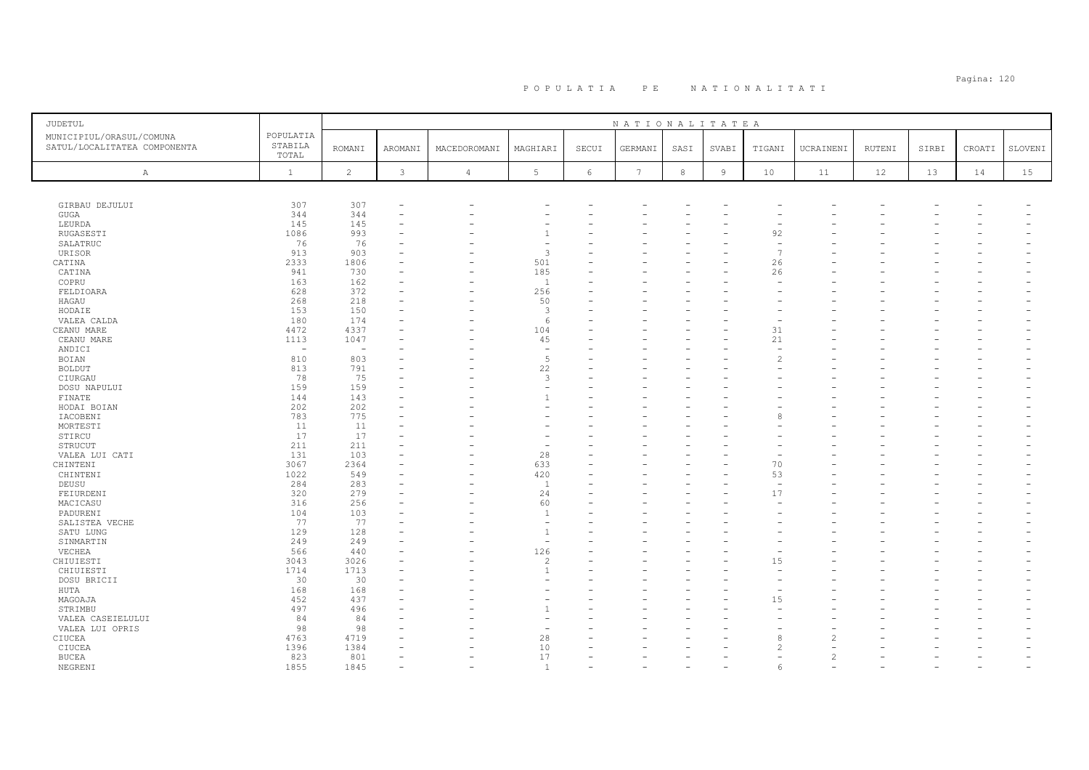# Pagina: 120 P O P U L A T I A P E N A T I O N A L I T A T I

| <b>JUDETUL</b>                                           |                               |                |              |                |                     |            | NATIONALITATEA |            |                |                          |               |        |       |        |         |
|----------------------------------------------------------|-------------------------------|----------------|--------------|----------------|---------------------|------------|----------------|------------|----------------|--------------------------|---------------|--------|-------|--------|---------|
| MUNICIPIUL/ORASUL/COMUNA<br>SATUL/LOCALITATEA COMPONENTA | POPULATIA<br>STABILA<br>TOTAL | <b>ROMANI</b>  | AROMANI      | MACEDOROMANI   | MAGHIARI            | SECUI      | GERMANI        | SASI       | SVABI          | TIGANI                   | UCRAINENI     | RUTENI | SIRBI | CROATI | SLOVENI |
| A                                                        | $\mathbf{1}$                  | $\overline{c}$ | $\mathbf{3}$ | $\overline{4}$ | $5\phantom{.0}$     | $\epsilon$ | 7              | $_{\rm 8}$ | $\overline{9}$ | 10                       | 11            | 12     | 13    | 14     | 15      |
|                                                          |                               |                |              |                |                     |            |                |            |                |                          |               |        |       |        |         |
| GIRBAU DEJULUI                                           | 307                           | 307            |              |                |                     |            |                |            |                |                          |               |        |       |        |         |
| GUGA                                                     | 344                           | 344            |              |                |                     |            |                |            |                |                          |               |        |       |        |         |
| LEURDA                                                   | 145                           | 145            |              |                |                     |            |                |            |                |                          |               |        |       |        |         |
| RUGASESTI                                                | 1086                          | 993            |              |                |                     |            |                |            |                | 92                       |               |        |       |        |         |
| SALATRUC                                                 | 76                            | 76             |              |                |                     |            |                |            |                | $\overline{\phantom{a}}$ |               |        |       |        |         |
| URISOR                                                   | 913                           | 903            |              |                | 3                   |            |                |            |                | $\overline{7}$           |               |        |       |        |         |
| CATINA                                                   | 2333                          | 1806           |              |                | 501                 |            |                |            |                | 26                       |               |        |       |        |         |
| CATINA                                                   | 941                           | 730            |              |                | 185                 |            |                |            |                | 26                       |               |        |       |        |         |
| COPRU                                                    | 163                           | 162            |              |                | $\overline{1}$      |            |                |            |                |                          |               |        |       |        |         |
| FELDIOARA                                                | 628                           | 372            |              |                | 256                 |            |                |            |                |                          |               |        |       |        |         |
| HAGAU                                                    | 268                           | 218            |              |                | 50                  |            |                |            |                |                          |               |        |       |        |         |
| HODAIE                                                   | 153                           | 150            |              |                | 3                   |            |                |            |                |                          |               |        |       |        |         |
| VALEA CALDA                                              | 180                           | 174            |              |                | 6                   |            |                |            |                |                          |               |        |       |        |         |
| CEANU MARE                                               | 4472                          | 4337           |              |                | 104                 |            |                |            |                | 31                       |               |        |       |        |         |
| CEANU MARE                                               | 1113                          | 1047           |              |                | 45                  |            |                |            |                | 21                       |               |        |       |        |         |
| ANDICI                                                   | $\overline{\phantom{a}}$      | $\sim$         |              |                | $\sim$              |            |                |            |                |                          |               |        |       |        |         |
| BOIAN                                                    | 810                           | 803            |              |                | 5                   |            |                |            |                |                          |               |        |       |        |         |
| <b>BOLDUT</b>                                            | 813                           | 791            |              |                | 22                  |            |                |            |                |                          |               |        |       |        |         |
| CIURGAU                                                  | 78                            | 75             |              |                | 3                   |            |                |            |                |                          |               |        |       |        |         |
| DOSU NAPULUI                                             | 159                           | 159            |              |                |                     |            |                |            |                |                          |               |        |       |        |         |
| FINATE                                                   | 144                           | 143            |              |                |                     |            |                |            |                |                          |               |        |       |        |         |
| HODAI BOIAN                                              | 202                           | 202            |              |                |                     |            |                |            |                |                          |               |        |       |        |         |
| IACOBENI                                                 | 783                           | 775            |              |                |                     |            |                |            |                |                          |               |        |       |        |         |
| MORTESTI                                                 | 11                            | 11             |              |                |                     |            |                |            |                |                          |               |        |       |        |         |
| STIRCU                                                   | 17                            | 17             |              |                |                     |            |                |            |                |                          |               |        |       |        |         |
| STRUCUT                                                  | 211                           | 211            |              |                |                     |            |                |            |                |                          |               |        |       |        |         |
| VALEA LUI CATI                                           | 131                           | 103            |              |                | 28                  |            |                |            |                |                          |               |        |       |        |         |
| CHINTENI                                                 | 3067                          | 2364           |              |                | 633                 | L.         |                |            |                | 70                       |               |        |       |        |         |
|                                                          | 1022                          | 549            |              |                |                     |            |                |            |                | 53                       |               |        |       |        |         |
| CHINTENI                                                 |                               |                |              |                | 420<br><sup>1</sup> |            |                |            |                | ÷,                       |               |        |       |        |         |
| DEUSU                                                    | 284                           | 283            |              |                |                     |            |                |            |                |                          |               |        |       |        |         |
| FEIURDENI                                                | 320<br>316                    | 279<br>256     |              |                | 24<br>60            |            |                |            |                | 17                       |               |        |       |        |         |
| MACICASU                                                 |                               |                |              |                | $\overline{1}$      |            |                |            |                |                          |               |        |       |        |         |
| PADURENI                                                 | 104                           | 103            |              |                | $\overline{a}$      |            |                |            |                |                          |               |        |       |        |         |
| SALISTEA VECHE                                           | 77                            | 77             |              |                | $\overline{1}$      |            |                |            |                |                          |               |        |       |        |         |
| SATU LUNG                                                | 129                           | 128            |              |                |                     |            |                |            |                |                          |               |        |       |        |         |
| SINMARTIN                                                | 249                           | 249            |              |                | $\sim$              |            |                |            |                |                          |               |        |       |        |         |
| VECHEA                                                   | 566                           | 440            |              |                | 126                 |            |                |            |                |                          |               |        |       |        |         |
| CHIUIESTI                                                | 3043                          | 3026           |              |                | $\overline{2}$      |            |                |            |                | 15                       |               |        |       |        |         |
| CHIUIESTI                                                | 1714                          | 1713           |              |                | $\overline{1}$      |            |                |            |                |                          |               |        |       |        |         |
| DOSU BRICII                                              | 30                            | 30             |              |                |                     |            |                |            |                |                          |               |        |       |        |         |
| HUTA                                                     | 168                           | 168            |              |                |                     |            |                |            |                |                          |               |        |       |        |         |
| MAGOAJA                                                  | 452                           | 437            |              |                |                     |            |                |            |                | 15                       |               |        |       |        |         |
| STRIMBU                                                  | 497                           | 496            |              |                |                     |            |                |            |                |                          |               |        |       |        |         |
| VALEA CASEIELULUI                                        | 84                            | 84             |              |                | ۰                   |            |                |            |                |                          |               |        |       |        |         |
| VALEA LUI OPRIS                                          | 98                            | 98             |              |                | ۰                   |            |                |            |                |                          |               |        |       |        |         |
| CIUCEA                                                   | 4763                          | 4719           |              |                | 28                  |            |                |            |                |                          |               |        |       |        |         |
| CIUCEA                                                   | 1396                          | 1384           |              |                | 10                  |            |                |            |                |                          |               |        |       |        |         |
| <b>BUCEA</b>                                             | 823                           | 801            |              |                | 17                  |            |                |            |                |                          | $\mathcal{P}$ |        |       |        |         |
| NEGRENI                                                  | 1855                          | 1845           |              |                | $\overline{1}$      |            |                |            |                |                          |               |        |       |        |         |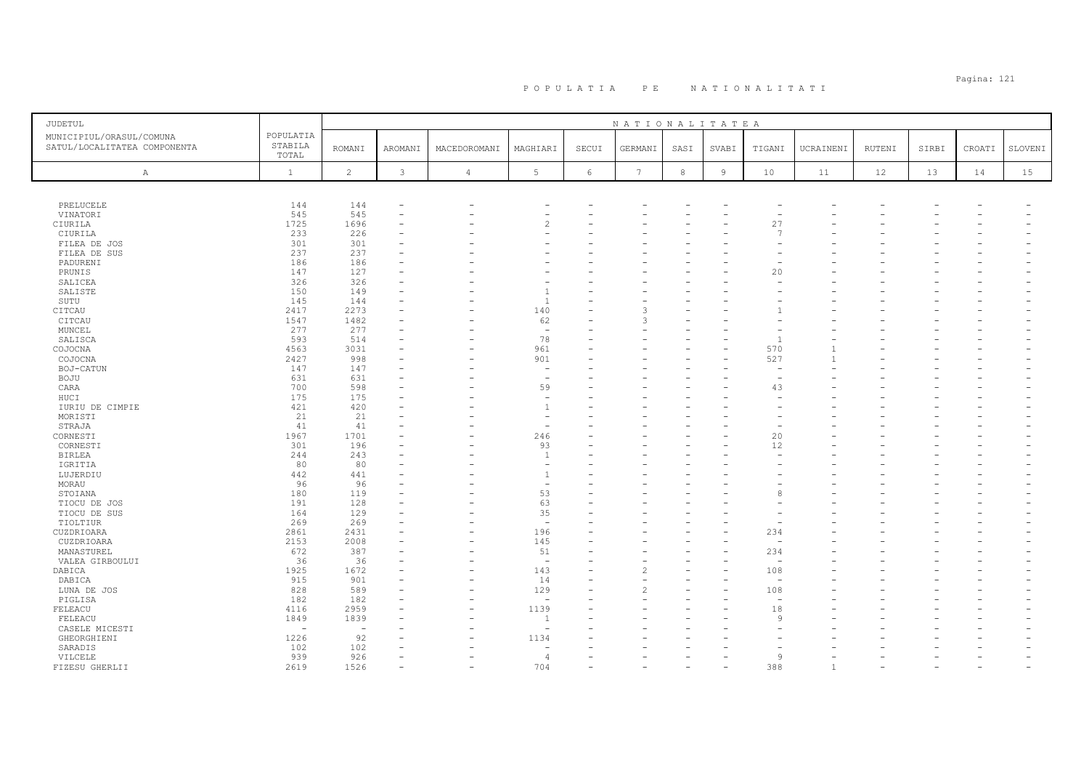# Pagina: 121 P O P U L A T I A P E N A T I O N A L I T A T I

| JUDETUL                                                  |                               |                          |              |                |                          |            | NATIONALITATEA   |        |                |                |                |        |       |        |         |
|----------------------------------------------------------|-------------------------------|--------------------------|--------------|----------------|--------------------------|------------|------------------|--------|----------------|----------------|----------------|--------|-------|--------|---------|
| MUNICIPIUL/ORASUL/COMUNA<br>SATUL/LOCALITATEA COMPONENTA | POPULATIA<br>STABILA<br>TOTAL | <b>ROMANI</b>            | AROMANI      | MACEDOROMANI   | MAGHIARI                 | SECUI      | GERMANI          | SASI   | SVABI          | TIGANI         | UCRAINENI      | RUTENI | SIRBI | CROATI | SLOVENI |
| Α                                                        | $\mathbf{1}$                  | $\overline{2}$           | $\mathbf{3}$ | $\overline{4}$ | 5 <sup>1</sup>           | $\epsilon$ | $\boldsymbol{7}$ | $\,$ 8 | $\overline{9}$ | 10             | 11             | 12     | 13    | 14     | 15      |
|                                                          |                               |                          |              |                |                          |            |                  |        |                |                |                |        |       |        |         |
| PRELUCELE                                                | 144                           | 144                      |              |                |                          |            |                  |        |                |                |                |        |       |        |         |
| VINATORI                                                 | 545                           | 545                      |              |                |                          |            |                  |        |                |                |                |        |       |        |         |
| CIURILA                                                  | 1725                          | 1696                     |              |                |                          |            |                  |        |                | 27             |                |        |       |        |         |
| CIURILA                                                  | 233                           | 226                      |              |                |                          |            |                  |        |                | $\overline{7}$ |                |        |       |        |         |
| FILEA DE JOS                                             | 301                           | 301                      |              |                |                          |            |                  |        |                |                |                |        |       |        |         |
| FILEA DE SUS                                             | 237                           | 237                      |              |                |                          |            |                  |        |                |                |                |        |       |        |         |
| PADURENI                                                 | 186                           | 186                      |              |                |                          |            |                  |        |                |                |                |        |       |        |         |
| PRUNIS                                                   | 147                           | 127                      |              |                |                          |            |                  |        |                | 20             |                |        |       |        |         |
| SALICEA                                                  | 326                           | 326                      |              |                |                          |            |                  |        |                |                |                |        |       |        |         |
| SALISTE                                                  | 150                           | 149                      |              |                |                          |            |                  |        |                |                |                |        |       |        |         |
| SUTU                                                     | 145                           | 144                      |              |                | $\mathbf{1}$             |            |                  |        |                |                |                |        |       |        |         |
| CITCAU                                                   | 2417                          | 2273                     |              |                | 140                      |            | ٦                |        |                |                |                |        |       |        |         |
| CITCAU                                                   | 1547                          | 1482                     |              |                | 62                       |            | 3                |        |                |                |                |        |       |        |         |
| MUNCEL                                                   | 277                           | 277                      |              |                | $\overline{a}$           |            |                  |        |                |                |                |        |       |        |         |
| SALISCA                                                  | 593                           | 514                      |              |                | 78                       |            |                  |        |                | $\overline{1}$ |                |        |       |        |         |
| COJOCNA                                                  | 4563                          | 3031                     |              |                | 961                      |            |                  |        |                | 570            |                |        |       |        |         |
| COJOCNA                                                  | 2427                          | 998                      |              |                | 901                      |            |                  |        |                | 527            |                |        |       |        |         |
| BOJ-CATUN                                                | 147                           | 147                      |              |                | $\overline{\phantom{a}}$ |            |                  |        |                |                |                |        |       |        |         |
| BOJU                                                     | 631                           | 631                      |              |                | $\overline{\phantom{a}}$ |            |                  |        |                |                |                |        |       |        |         |
| CARA                                                     | 700                           | 598                      |              |                | 59                       |            |                  |        |                | 43             |                |        |       |        |         |
| HUCI                                                     | 175                           | 175                      |              |                | $\equiv$                 |            |                  |        |                |                |                |        |       |        |         |
| IURIU DE CIMPIE                                          | 421                           | 420                      |              |                | $\overline{1}$           |            |                  |        |                |                |                |        |       |        |         |
| MORISTI                                                  | 21                            | 21                       |              |                |                          |            |                  |        |                |                |                |        |       |        |         |
| STRAJA                                                   | 41                            | 41                       |              |                | $\equiv$                 |            |                  |        |                |                |                |        |       |        |         |
| CORNESTI                                                 | 1967                          | 1701                     |              |                | 246                      |            |                  |        |                | 20             |                |        |       |        |         |
| CORNESTI                                                 | 301                           | 196                      |              |                | 93                       |            |                  |        |                | 12             |                |        |       |        |         |
| <b>BIRLEA</b>                                            | 244                           | 243                      |              |                | $\overline{1}$           |            |                  |        |                |                |                |        |       |        |         |
|                                                          | 80                            | 80                       |              |                | $\overline{\phantom{m}}$ |            |                  |        |                |                |                |        |       |        |         |
| IGRITIA                                                  |                               |                          |              |                | $\overline{1}$           |            |                  |        |                |                |                |        |       |        |         |
| LUJERDIU                                                 | 442                           | 441                      |              |                | $\overline{\phantom{m}}$ |            |                  |        |                |                |                |        |       |        |         |
| MORAU                                                    | 96                            | 96                       |              |                |                          |            |                  |        |                |                |                |        |       |        |         |
| STOIANA                                                  | 180                           | 119                      |              |                | 53                       |            |                  |        |                |                |                |        |       |        |         |
| TIOCU DE JOS                                             | 191                           | 128                      |              |                | 63                       |            |                  |        |                |                |                |        |       |        |         |
| TIOCU DE SUS                                             | 164                           | 129                      |              |                | 35                       |            |                  |        |                |                |                |        |       |        |         |
| TIOLTIUR                                                 | 269                           | 269                      |              |                | $\overline{\phantom{a}}$ |            |                  |        |                |                |                |        |       |        |         |
| CUZDRIOARA                                               | 2861                          | 2431                     |              |                | 196                      |            |                  |        |                | 234            |                |        |       |        |         |
| CUZDRIOARA                                               | 2153                          | 2008                     |              |                | 145                      |            |                  |        |                |                |                |        |       |        |         |
| MANASTUREL                                               | 672                           | 387                      |              |                | 51                       |            |                  |        |                | 234            |                |        |       |        |         |
| VALEA GIRBOULUI                                          | 36                            | 36                       |              |                | $\overline{\phantom{a}}$ |            |                  |        |                |                |                |        |       |        |         |
| DABICA                                                   | 1925                          | 1672                     |              |                | 143                      | L.         |                  |        |                | 108            |                |        |       |        |         |
| DABICA                                                   | 915                           | 901                      |              |                | 14                       |            |                  |        |                |                |                |        |       |        |         |
| LUNA DE JOS                                              | 828                           | 589                      |              |                | 129                      |            |                  |        |                | 108            |                |        |       |        |         |
| PIGLISA                                                  | 182                           | 182                      |              |                |                          |            |                  |        |                |                |                |        |       |        |         |
| FELEACU                                                  | 4116                          | 2959                     |              |                | 1139                     |            |                  |        |                | 18             |                |        |       |        |         |
| FELEACU                                                  | 1849                          | 1839                     |              |                | $\overline{1}$           |            |                  |        |                | <sup>Q</sup>   |                |        |       |        |         |
| CASELE MICESTI                                           | $\overline{\phantom{a}}$      | $\overline{\phantom{a}}$ |              |                | $\overline{\phantom{a}}$ |            |                  |        |                |                |                |        |       |        |         |
| GHEORGHIENI                                              | 1226                          | 92                       |              |                | 1134                     |            |                  |        |                |                |                |        |       |        |         |
| SARADIS                                                  | 102                           | 102                      |              |                |                          |            |                  |        |                |                |                |        |       |        |         |
| VILCELE                                                  | 939                           | 926                      |              |                | $\Delta$                 |            |                  |        |                | Q              |                |        |       |        |         |
| FIZESU GHERLII                                           | 2619                          | 1526                     |              |                | 704                      |            |                  |        |                | 388            | $\overline{1}$ |        |       |        |         |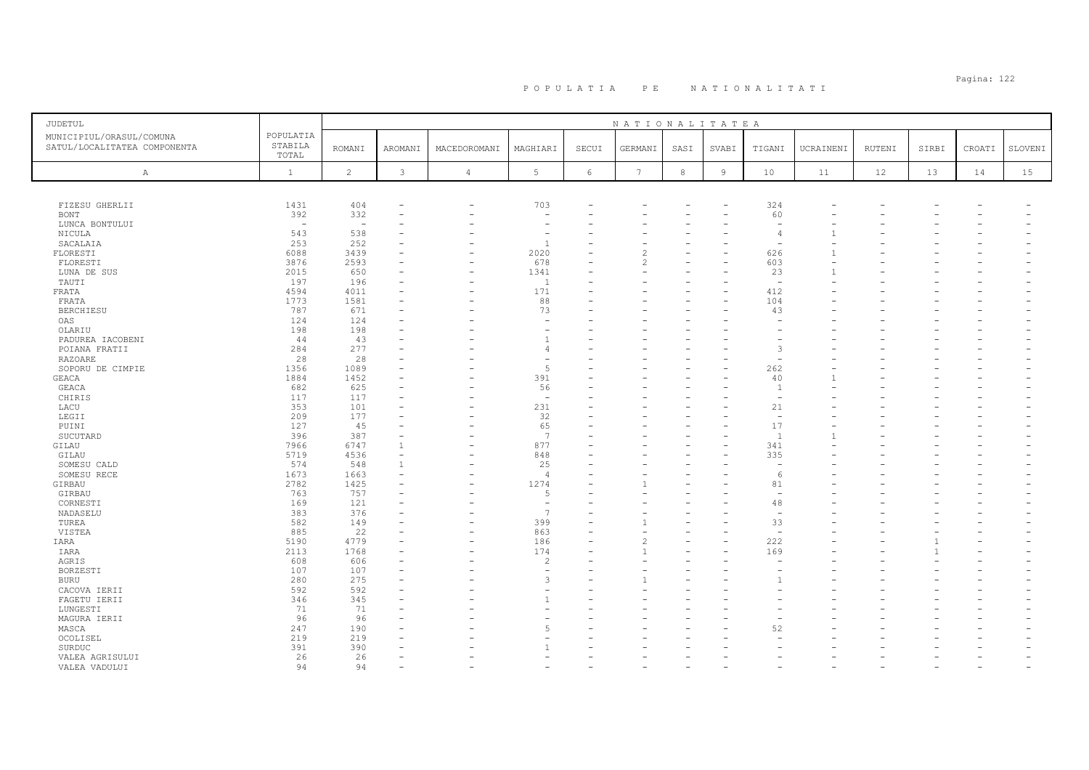| <b>JUDETUL</b>                                           |                               |                          |              |                |                          |            | NATIONALITATEA |      |                |                          |           |        |       |                          |         |
|----------------------------------------------------------|-------------------------------|--------------------------|--------------|----------------|--------------------------|------------|----------------|------|----------------|--------------------------|-----------|--------|-------|--------------------------|---------|
| MUNICIPIUL/ORASUL/COMUNA<br>SATUL/LOCALITATEA COMPONENTA | POPULATIA<br>STABILA<br>TOTAL | <b>ROMANI</b>            | AROMANI      | MACEDOROMANI   | MAGHIARI                 | SECUI      | GERMANI        | SASI | SVABI          | TIGANI                   | UCRAINENI | RUTENI | SIRBI | CROATI                   | SLOVENI |
| A                                                        | $\mathbf{1}$                  | $\overline{c}$           | $\mathbf{3}$ | $\overline{4}$ | $5\phantom{.0}$          | $\epsilon$ | 7              | 8    | $\overline{9}$ | 10                       | 11        | 12     | 13    | 14                       | 15      |
|                                                          |                               |                          |              |                |                          |            |                |      |                |                          |           |        |       |                          |         |
| FIZESU GHERLII                                           | 1431                          | 404                      |              | $\equiv$       | 703                      |            |                |      |                | 324                      |           |        |       |                          |         |
| <b>BONT</b>                                              | 392                           | 332                      |              |                |                          |            |                |      |                | 60                       |           |        |       |                          |         |
| LUNCA BONTULUI                                           | $\overline{\phantom{a}}$      | $\overline{\phantom{a}}$ |              |                | $\overline{\phantom{a}}$ |            |                |      |                | $\overline{\phantom{a}}$ |           |        |       |                          |         |
| NICULA                                                   | 543                           | 538                      |              |                | ٠                        |            |                |      |                |                          |           |        |       |                          |         |
| SACALAIA<br>FLORESTI                                     | 253<br>6088                   | 252<br>3439              |              |                | $\overline{1}$<br>2020   |            |                |      |                | 626                      |           |        |       |                          |         |
| FLORESTI                                                 | 3876                          | 2593                     |              |                | 678                      |            |                |      |                | 603                      |           |        |       |                          |         |
| LUNA DE SUS                                              | 2015                          | 650                      |              | ۰              | 1341                     |            |                |      |                | 23                       |           |        |       |                          |         |
| TAUTI                                                    | 197                           | 196                      |              |                | 1                        |            |                |      |                | $\overline{a}$           |           |        |       |                          |         |
| FRATA                                                    | 4594                          | 4011                     |              |                | 171                      |            |                |      |                | 412                      |           |        |       |                          |         |
| FRATA                                                    | 1773                          | 1581                     |              |                | 88                       |            |                |      |                | 104                      |           |        |       |                          |         |
| <b>BERCHIESU</b>                                         | 787                           | 671                      |              |                | 73                       |            |                |      |                | 43                       |           |        |       |                          |         |
| OAS                                                      | 124                           | 124                      |              |                |                          |            |                |      |                |                          |           |        |       |                          |         |
| OLARIU                                                   | 198                           | 198                      |              |                | ٠                        |            |                |      |                |                          |           |        |       |                          |         |
| PADUREA IACOBENI                                         | 44                            | 43                       |              |                | $\overline{1}$           |            |                |      |                |                          |           |        |       |                          |         |
| POIANA FRATII                                            | 284                           | 277                      |              |                | $\overline{4}$           |            |                |      |                | 3                        |           |        |       |                          |         |
| <b>RAZOARE</b>                                           | 28<br>1356                    | 28<br>1089               |              |                | ۰<br>5                   |            |                |      |                |                          |           |        |       |                          |         |
| SOPORU DE CIMPIE<br>GEACA                                | 1884                          | 1452                     |              |                | 391                      |            |                |      |                | 262<br>40                |           |        |       |                          |         |
| GEACA                                                    | 682                           | 625                      |              |                | 56                       |            |                |      |                | $\overline{1}$           |           |        |       |                          |         |
| CHIRIS                                                   | 117                           | 117                      |              |                | $\overline{\phantom{0}}$ |            |                |      |                | $\overline{\phantom{a}}$ |           |        |       |                          |         |
| LACU                                                     | 353                           | 101                      |              |                | 231                      |            |                |      |                | 21                       |           |        |       |                          |         |
| LEGII                                                    | 209                           | 177                      |              |                | 32                       |            |                |      |                | $\overline{\phantom{a}}$ |           |        |       |                          |         |
| PUINI                                                    | 127                           | 45                       |              |                | 65                       |            |                |      |                | 17                       |           |        |       |                          |         |
| SUCUTARD                                                 | 396                           | 387                      |              |                | 7                        |            |                |      |                | $\overline{1}$           |           |        |       |                          |         |
| GILAU                                                    | 7966                          | 6747                     | $\mathbf{1}$ |                | 877                      |            |                |      |                | 341                      |           |        |       |                          |         |
| GILAU                                                    | 5719                          | 4536                     |              |                | 848                      |            |                |      |                | 335                      |           |        |       |                          |         |
| SOMESU CALD                                              | 574                           | 548                      | $\mathbf{1}$ |                | 25                       |            |                |      |                |                          |           |        |       |                          |         |
| SOMESU RECE                                              | 1673                          | 1663                     |              |                | $\overline{4}$           |            |                |      |                | -6                       |           |        |       |                          |         |
| GIRBAU                                                   | 2782                          | 1425                     |              |                | 1274                     |            |                |      |                | 81                       |           |        |       |                          |         |
| GIRBAU                                                   | 763                           | 757                      |              |                | 5                        |            |                |      |                | $\sim$                   |           |        |       |                          |         |
| CORNESTI                                                 | 169                           | 121                      |              |                | $\overline{\phantom{m}}$ |            |                |      |                | 48                       |           |        |       |                          |         |
| NADASELU                                                 | 383                           | 376                      |              |                | $\overline{7}$           |            |                |      |                | ÷                        |           |        |       |                          |         |
| TUREA                                                    | 582                           | 149                      |              |                | 399                      |            |                |      |                | 33                       |           |        |       |                          |         |
| VISTEA                                                   | 885                           | 22<br>4779               |              |                | 863                      |            |                |      |                |                          |           |        |       |                          |         |
| IARA<br>IARA                                             | 5190<br>2113                  | 1768                     |              |                | 186<br>174               |            |                |      |                | 222<br>169               |           |        |       |                          |         |
| AGRIS                                                    | 608                           | 606                      |              |                | $\overline{c}$           |            |                |      |                |                          |           |        |       |                          |         |
| BORZESTI                                                 | 107                           | 107                      |              |                | $\overline{\phantom{a}}$ |            |                |      |                |                          |           |        |       |                          |         |
| <b>BURU</b>                                              | 280                           | 275                      |              |                | 3                        |            |                |      |                |                          |           |        |       |                          |         |
| CACOVA IERII                                             | 592                           | 592                      |              |                |                          |            |                |      |                |                          |           |        |       |                          |         |
| FAGETU IERII                                             | 346                           | 345                      |              |                |                          |            |                |      |                |                          |           |        |       |                          |         |
| LUNGESTI                                                 | 71                            | 71                       |              |                |                          |            |                |      |                |                          |           |        |       |                          |         |
| MAGURA IERII                                             | 96                            | 96                       |              |                |                          |            |                |      |                |                          |           |        |       |                          |         |
| MASCA                                                    | 247                           | 190                      |              |                | 5                        |            |                |      |                | 52                       |           |        |       |                          |         |
| OCOLISEL                                                 | 219                           | 219                      |              |                |                          |            |                |      |                |                          |           |        |       |                          |         |
| SURDUC                                                   | 391                           | 390                      |              |                |                          |            |                |      |                |                          |           |        |       |                          |         |
| VALEA AGRISULUI                                          | 26                            | 26                       |              |                |                          |            |                |      |                |                          |           |        |       |                          |         |
| VALEA VADULUI                                            | 94                            | 94                       |              |                |                          |            |                |      |                |                          |           |        |       | $\overline{\phantom{a}}$ |         |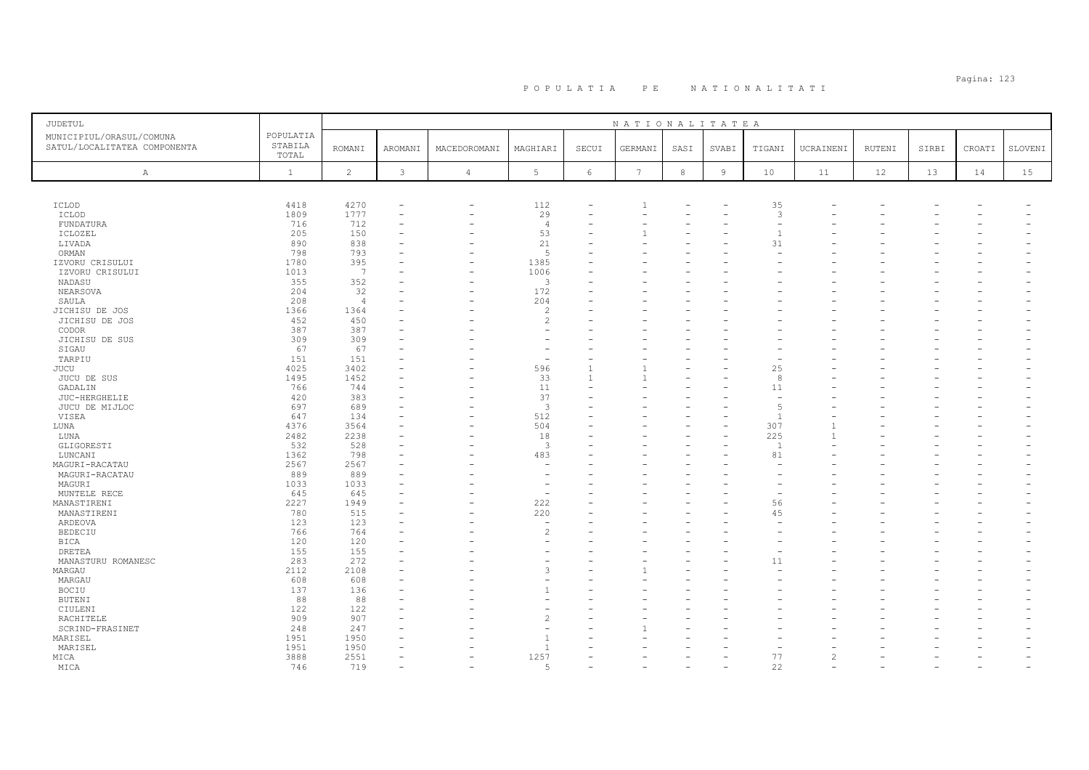# Pagina: 123 P O P U L A T I A P E N A T I O N A L I T A T I

| JUDETUL                                                  |                               |                |                          |                          |                          |                          | NATIONALITATEA |            |                |                          |                          |        |       |        |         |
|----------------------------------------------------------|-------------------------------|----------------|--------------------------|--------------------------|--------------------------|--------------------------|----------------|------------|----------------|--------------------------|--------------------------|--------|-------|--------|---------|
| MUNICIPIUL/ORASUL/COMUNA<br>SATUL/LOCALITATEA COMPONENTA | POPULATIA<br>STABILA<br>TOTAL | <b>ROMANI</b>  | AROMANI                  | MACEDOROMANI             | MAGHIARI                 | SECUI                    | GERMANI        | SASI       | SVABI          | TIGANI                   | UCRAINENI                | RUTENI | SIRBI | CROATI | SLOVENI |
| A                                                        | $\mathbf{1}$                  | $\overline{c}$ | 3                        | $\overline{4}$           | 5                        | 6                        | 7              | $^{\rm 8}$ | $\overline{9}$ | $10$                     | 11                       | 12     | 13    | 14     | 15      |
|                                                          |                               |                |                          |                          |                          |                          |                |            |                |                          |                          |        |       |        |         |
| ICLOD                                                    | 4418                          | 4270           |                          | $\overline{\phantom{a}}$ | 112                      |                          |                |            |                | 35                       |                          |        |       |        |         |
| ICLOD                                                    | 1809                          | 1777           | $\overline{\phantom{a}}$ | $\overline{\phantom{0}}$ | 29                       | $\overline{\phantom{0}}$ |                |            |                | 3                        |                          |        |       |        |         |
| FUNDATURA                                                | 716                           | 712            | ÷                        |                          | $\overline{4}$           |                          |                |            |                |                          |                          |        |       |        |         |
| ICLOZEL                                                  | 205                           | 150            | ۰                        |                          | 53                       |                          |                |            |                | $\mathbf{1}$             |                          |        |       |        |         |
| LIVADA                                                   | 890                           | 838            |                          |                          | 21                       |                          |                |            |                | 31                       |                          |        |       |        |         |
| ORMAN                                                    | 798                           | 793            |                          |                          | 5                        |                          |                |            |                |                          |                          |        |       |        |         |
| IZVORU CRISULUI                                          | 1780                          | 395            |                          |                          | 1385                     |                          |                |            |                |                          |                          |        |       |        |         |
| IZVORU CRISULUI                                          | 1013                          | 7              |                          |                          | 1006                     |                          |                |            |                |                          |                          |        |       |        |         |
| NADASU                                                   | 355                           | 352            |                          |                          | 3                        |                          |                |            |                |                          |                          |        |       |        |         |
| NEARSOVA                                                 | 204                           | 32             |                          | $\overline{\phantom{0}}$ | 172                      |                          |                |            |                |                          |                          |        |       |        |         |
| SAULA                                                    | 208                           | $\overline{4}$ |                          |                          | 204                      |                          |                |            |                |                          |                          |        |       |        |         |
| JICHISU DE JOS                                           | 1366                          | 1364           |                          |                          | $\overline{\mathcal{L}}$ |                          |                |            |                |                          |                          |        |       |        |         |
| JICHISU DE JOS                                           | 452                           | 450            |                          |                          | $\overline{c}$           |                          |                |            |                |                          |                          |        |       |        |         |
| CODOR                                                    | 387                           | 387            |                          |                          | ۰                        |                          |                |            |                |                          |                          |        |       |        |         |
| JICHISU DE SUS                                           | 309                           | 309            |                          |                          |                          |                          |                |            |                |                          |                          |        |       |        |         |
| SIGAU                                                    | 67                            | 67             |                          |                          |                          |                          |                |            |                |                          |                          |        |       |        |         |
| TARPIU                                                   | 151                           | 151            |                          |                          | ÷,                       |                          |                |            |                |                          |                          |        |       |        |         |
| JUCU                                                     | 4025                          | 3402           |                          |                          | 596                      |                          |                |            |                | 25                       |                          |        |       |        |         |
| JUCU DE SUS                                              | 1495                          | 1452           |                          |                          | 33                       | $\overline{1}$           |                |            |                | 8                        |                          |        |       |        |         |
| GADALIN                                                  | 766                           | 744            |                          |                          | 11                       |                          |                |            |                | 11                       |                          |        |       |        |         |
| JUC-HERGHELIE                                            | 420                           | 383            |                          |                          | 37                       |                          |                |            |                | $\overline{\phantom{a}}$ |                          |        |       |        |         |
| JUCU DE MIJLOC                                           | 697                           | 689            | ۰                        |                          | $\overline{3}$           |                          |                |            |                | 5                        |                          |        |       |        |         |
| VISEA                                                    | 647                           | 134            |                          |                          | 512                      |                          |                |            |                | $\overline{1}$           |                          |        |       |        |         |
| LUNA                                                     | 4376                          | 3564           |                          |                          | 504                      |                          |                |            |                | 307                      |                          |        |       |        |         |
| LUNA                                                     | 2482                          | 2238           |                          |                          | 18                       |                          |                |            |                | 225                      |                          |        |       |        |         |
| GLIGORESTI                                               | 532                           | 528            | ۰                        |                          | $\overline{\mathbf{3}}$  |                          |                |            |                | $\overline{1}$           |                          |        |       |        |         |
| LUNCANI                                                  | 1362                          | 798            |                          |                          | 483                      |                          |                |            |                | 81                       |                          |        |       |        |         |
| MAGURI-RACATAU                                           | 2567                          | 2567           |                          |                          | $\overline{\phantom{0}}$ |                          |                |            |                |                          |                          |        |       |        |         |
|                                                          | 889                           | 889            |                          |                          |                          |                          |                |            |                |                          |                          |        |       |        |         |
| MAGURI-RACATAU                                           |                               |                | ۰                        |                          | $\overline{\phantom{a}}$ |                          |                |            |                |                          |                          |        |       |        |         |
| MAGURI                                                   | 1033<br>645                   | 1033<br>645    | ۰                        |                          | $\overline{\phantom{a}}$ |                          |                |            |                |                          |                          |        |       |        |         |
| MUNTELE RECE<br>MANASTIRENI                              | 2227                          | 1949           | $\overline{\phantom{a}}$ |                          | 222                      |                          |                |            |                | 56                       |                          |        |       |        |         |
| MANASTIRENI                                              | 780                           | 515            | ۰                        |                          | 220                      |                          |                |            |                | 45                       |                          |        |       |        |         |
| ARDEOVA                                                  | 123                           | 123            |                          |                          | $\overline{\phantom{a}}$ |                          |                |            |                |                          |                          |        |       |        |         |
| <b>BEDECIU</b>                                           | 766                           | 764            | ۰                        |                          | $\overline{c}$           |                          |                |            |                |                          |                          |        |       |        |         |
|                                                          | 120                           | 120            |                          |                          | ÷                        |                          |                |            |                |                          |                          |        |       |        |         |
| BICA                                                     | 155                           | 155            |                          |                          |                          |                          |                |            |                |                          |                          |        |       |        |         |
| <b>DRETEA</b>                                            |                               |                |                          |                          |                          |                          |                |            |                |                          |                          |        |       |        |         |
| MANASTURU ROMANESC                                       | 283<br>2112                   | 272<br>2108    | ۰                        |                          | 3                        |                          |                |            |                | 11                       |                          |        |       |        |         |
| MARGAU                                                   |                               |                |                          |                          |                          |                          |                |            |                |                          |                          |        |       |        |         |
| MARGAU                                                   | 608                           | 608            |                          |                          |                          |                          |                |            |                |                          |                          |        |       |        |         |
| BOCIU                                                    | 137                           | 136            | ٠                        |                          | $\overline{1}$           |                          |                |            |                |                          |                          |        |       |        |         |
| BUTENI                                                   | 88                            | 88             |                          |                          |                          |                          |                |            |                |                          |                          |        |       |        |         |
| CIULENI                                                  | 122                           | 122            |                          |                          | ۰                        |                          |                |            |                |                          |                          |        |       |        |         |
| RACHITELE                                                | 909                           | 907            | ۰                        |                          | $\mathfrak{D}$           |                          |                |            |                |                          |                          |        |       |        |         |
| SCRIND-FRASINET                                          | 248                           | 247            |                          |                          | ۰                        |                          |                |            |                |                          |                          |        |       |        |         |
| MARISEL                                                  | 1951                          | 1950           |                          |                          | $\overline{1}$           |                          |                |            |                |                          |                          |        |       |        |         |
| MARISEL                                                  | 1951                          | 1950           |                          |                          | $\overline{1}$           |                          |                |            |                |                          |                          |        |       |        |         |
| MICA                                                     | 3888                          | 2551           | $\equiv$                 |                          | 1257                     |                          |                |            |                | 77                       | $\overline{\mathcal{L}}$ |        |       |        |         |
| MICA                                                     | 746                           | 719            | ÷                        |                          | $\sqrt{2}$               |                          |                |            |                | 22                       |                          |        |       |        |         |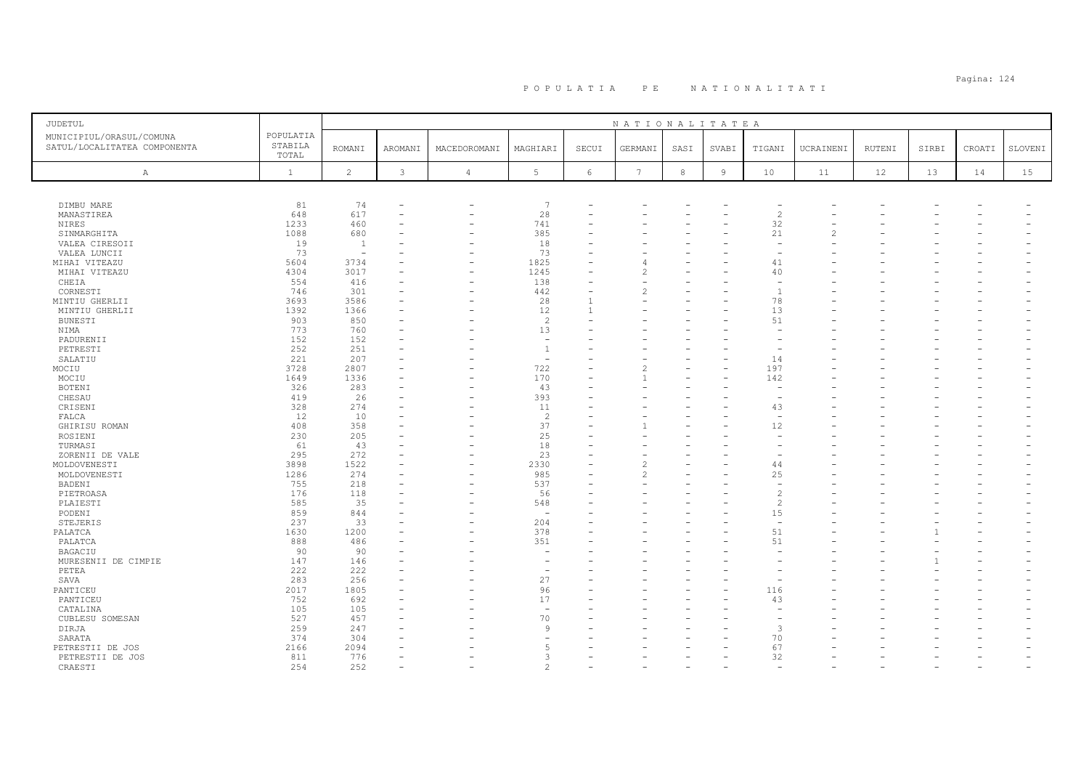### Pagina: 124 P O P U L A T I A P E N A T I O N A L I T A T I

| JUDETUL                        |              |                          |         |                          |                          |       | NATIONALITATEA  |            |                |                          |                |        |       |        |         |
|--------------------------------|--------------|--------------------------|---------|--------------------------|--------------------------|-------|-----------------|------------|----------------|--------------------------|----------------|--------|-------|--------|---------|
| MUNICIPIUL/ORASUL/COMUNA       | POPULATIA    |                          |         |                          |                          |       |                 |            |                |                          |                |        |       |        |         |
| SATUL/LOCALITATEA COMPONENTA   | STABILA      | <b>ROMANI</b>            | AROMANI | MACEDOROMANI             | MAGHIARI                 | SECUI | GERMANI         | SASI       | SVABI          | TIGANI                   | UCRAINENI      | RUTENI | SIRBI | CROATI | SLOVENI |
|                                | TOTAL        |                          |         |                          |                          |       |                 |            |                |                          |                |        |       |        |         |
| $\mathbb{A}$                   | $\mathbf{1}$ | 2                        | 3       | $\overline{4}$           | 5                        | 6     | $7\phantom{.0}$ | $^{\rm 8}$ | $\overline{9}$ | 10                       | 11             | 12     | 13    | 14     | 15      |
|                                |              |                          |         |                          |                          |       |                 |            |                |                          |                |        |       |        |         |
|                                |              |                          |         |                          |                          |       |                 |            |                |                          |                |        |       |        |         |
| DIMBU MARE                     | 81           | 74                       |         |                          | 7                        |       |                 |            |                |                          |                |        |       |        |         |
| MANASTIREA                     | 648          | 617                      | ۰       | $\overline{\phantom{0}}$ | 28                       |       |                 |            |                | 2                        |                |        |       |        |         |
| NIRES                          | 1233         | 460                      |         |                          | 741                      |       |                 |            |                | 32                       |                |        |       |        |         |
| SINMARGHITA                    | 1088         | 680                      |         |                          | 385                      |       |                 |            |                | 21                       | $\overline{c}$ |        |       |        |         |
| VALEA CIRESOII                 | 19           | 1                        |         |                          | 18                       |       |                 |            |                |                          |                |        |       |        |         |
| VALEA LUNCII                   | 73           | $\overline{\phantom{a}}$ |         |                          | 73                       |       |                 |            |                | $\overline{\phantom{0}}$ |                |        |       |        |         |
| MIHAI VITEAZU                  | 5604         | 3734                     |         |                          | 1825                     |       |                 |            |                | 41                       |                |        |       |        |         |
| MIHAI VITEAZU                  | 4304         | 3017                     |         |                          | 1245                     |       | $\mathfrak{D}$  |            |                | 40                       |                |        |       |        |         |
| CHEIA                          | 554          | 416                      |         |                          | 138                      |       |                 |            |                |                          |                |        |       |        |         |
| CORNESTI                       | 746          | 301                      |         |                          | 442                      |       |                 |            |                | $\overline{1}$           |                |        |       |        |         |
| MINTIU GHERLII                 | 3693         | 3586                     | ۰       |                          | 28                       |       |                 |            |                | 78                       |                |        |       |        |         |
| MINTIU GHERLII                 | 1392         | 1366                     |         |                          | 12                       |       |                 |            |                | 13                       |                |        |       |        |         |
| <b>BUNESTI</b>                 | 903          | 850                      | ۰       |                          | 2                        |       |                 |            |                | 51                       |                |        |       |        |         |
| NIMA                           | 773          | 760                      |         |                          | 13                       |       |                 |            |                |                          |                |        |       |        |         |
| PADURENII                      | 152          | 152                      | ۳       |                          | $\overline{\phantom{a}}$ |       |                 |            |                |                          |                |        |       |        |         |
| PETRESTI                       | 252          | 251                      |         |                          | $\mathbf{1}$             |       |                 |            |                |                          |                |        |       |        |         |
| SALATIU                        | 221          | 207                      |         |                          | $\overline{\phantom{a}}$ |       |                 |            |                | 14                       |                |        |       |        |         |
| MOCIU<br>MOCIU                 | 3728<br>1649 | 2807<br>1336             |         |                          | 722<br>170               |       |                 |            |                | 197<br>142               |                |        |       |        |         |
| <b>BOTENI</b>                  | 326          | 283                      |         |                          | 43                       |       |                 |            |                |                          |                |        |       |        |         |
| CHESAU                         | 419          | 26                       |         | $\overline{\phantom{0}}$ | 393                      |       |                 |            |                |                          |                |        |       |        |         |
| CRISENI                        | 328          | 274                      | ۰       |                          | 11                       |       |                 |            |                | 43                       |                |        |       |        |         |
| FALCA                          | 12           | 10                       |         |                          | 2                        |       |                 |            |                | $\overline{\phantom{a}}$ |                |        |       |        |         |
| GHIRISU ROMAN                  | 408          | 358                      |         |                          | 37                       |       |                 |            |                | 12                       |                |        |       |        |         |
| ROSIENI                        | 230          | 205                      |         |                          | 25                       |       |                 |            |                |                          |                |        |       |        |         |
| TURMASI                        | 61           | 43                       |         |                          | 18                       |       |                 |            |                |                          |                |        |       |        |         |
| ZORENII DE VALE                | 295          | 272                      |         |                          | 23                       |       |                 |            |                |                          |                |        |       |        |         |
| MOLDOVENESTI                   | 3898         | 1522                     |         |                          | 2330                     |       |                 |            |                | 44                       |                |        |       |        |         |
| MOLDOVENESTI                   | 1286         | 274                      |         |                          | 985                      |       | 2               |            |                | 25                       |                |        |       |        |         |
| BADENI                         | 755          | 218                      |         |                          | 537                      |       |                 |            |                |                          |                |        |       |        |         |
| PIETROASA                      | 176          | 118                      |         |                          | 56                       |       |                 |            |                | $\overline{c}$           |                |        |       |        |         |
| PLAIESTI                       | 585          | 35                       |         |                          | 548                      |       |                 |            |                | $\overline{2}$           |                |        |       |        |         |
| PODENI                         | 859          | 844                      |         |                          | $\overline{\phantom{a}}$ |       |                 |            |                | 15                       |                |        |       |        |         |
| STEJERIS                       | 237          | 33                       |         |                          | 204                      |       |                 |            |                | $\overline{\phantom{a}}$ |                |        |       |        |         |
| PALATCA                        | 1630         | 1200                     |         |                          | 378                      |       |                 |            |                | 51                       |                |        |       |        |         |
| PALATCA                        | 888<br>90    | 486<br>90                |         |                          | 351<br>$\sim$            |       |                 |            |                | 51                       |                |        |       |        |         |
| BAGACIU<br>MURESENII DE CIMPIE | 147          | 146                      |         |                          |                          |       |                 |            |                |                          |                |        |       |        |         |
| PETEA                          | 222          | 222                      |         |                          | $\overline{\phantom{a}}$ |       |                 |            |                |                          |                |        |       |        |         |
| SAVA                           | 283          | 256                      |         |                          | 27                       |       |                 |            |                |                          |                |        |       |        |         |
| PANTICEU                       | 2017         | 1805                     |         |                          | 96                       |       |                 |            |                | 116                      |                |        |       |        |         |
| PANTICEU                       | 752          | 692                      |         |                          | 17                       |       |                 |            |                | 43                       |                |        |       |        |         |
| CATALINA                       | 105          | 105                      |         |                          | $\overline{\phantom{a}}$ |       |                 |            |                |                          |                |        |       |        |         |
| CUBLESU SOMESAN                | 527          | 457                      | ÷       |                          | 70                       |       |                 |            |                |                          |                |        |       |        |         |
| DIRJA                          | 259          | 247                      |         |                          | 9                        |       |                 |            |                | 3                        |                |        |       |        |         |
| SARATA                         | 374          | 304                      |         |                          | ۰                        |       |                 |            |                | 70                       |                |        |       |        |         |
| PETRESTII DE JOS               | 2166         | 2094                     |         |                          | 5                        |       |                 |            |                | 67                       |                |        |       |        |         |
| PETRESTII DE JOS               | 811          | 776                      | ۳       |                          | 3                        |       |                 |            |                | 32                       |                |        |       |        |         |
| CRAESTI                        | 254          | 252                      |         |                          | $\mathfrak{D}$           |       |                 |            |                |                          |                |        |       |        |         |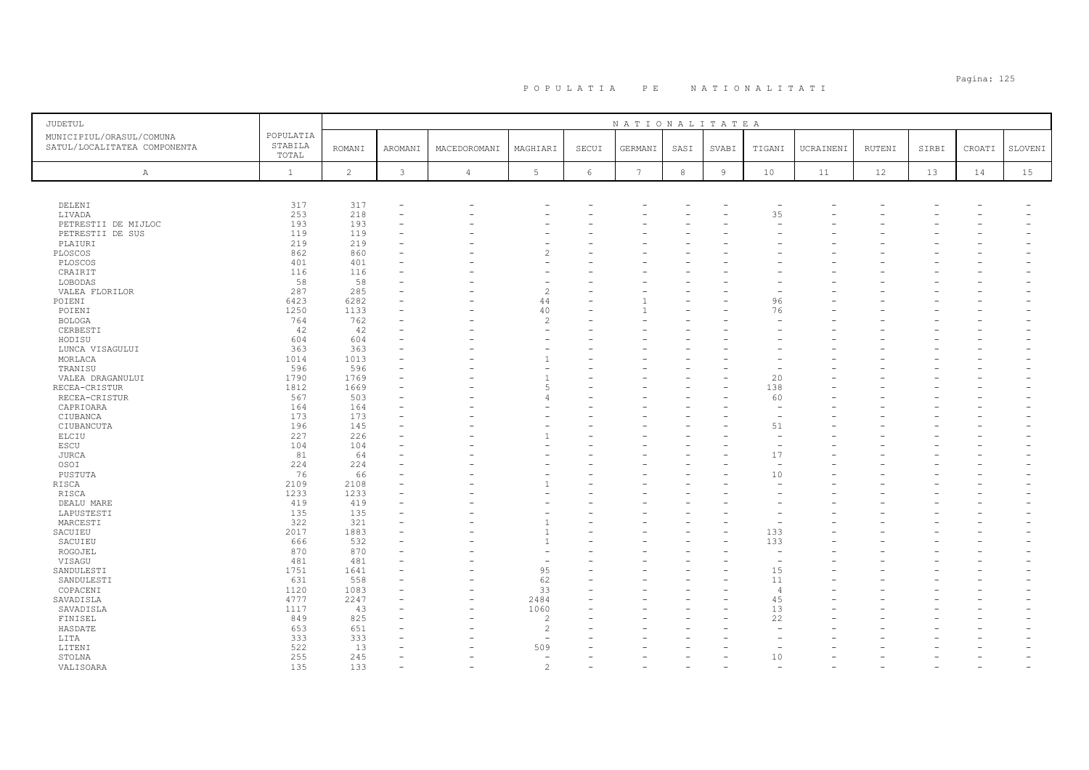| <b>JUDETUL</b>                                           |                               |                |               |                |                          |       | NATIONALITATEA  |            |                |                          |           |        |       |        |         |
|----------------------------------------------------------|-------------------------------|----------------|---------------|----------------|--------------------------|-------|-----------------|------------|----------------|--------------------------|-----------|--------|-------|--------|---------|
| MUNICIPIUL/ORASUL/COMUNA<br>SATUL/LOCALITATEA COMPONENTA | POPULATIA<br>STABILA<br>TOTAL | <b>ROMANI</b>  | AROMANI       | MACEDOROMANI   | MAGHIARI                 | SECUI | GERMANI         | SASI       | SVABI          | TIGANI                   | UCRAINENI | RUTENI | SIRBI | CROATI | SLOVENI |
| Α                                                        | $\mathbf{1}$                  | $\overline{c}$ | $\mathcal{E}$ | $\overline{4}$ | 5 <sub>1</sub>           | $6\,$ | $7\phantom{.0}$ | $^{\rm 8}$ | $\overline{9}$ | 10                       | 11        | 12     | 13    | 14     | 15      |
|                                                          |                               |                |               |                |                          |       |                 |            |                |                          |           |        |       |        |         |
| DELENI                                                   | 317                           | 317            |               |                |                          |       |                 |            |                |                          |           |        |       |        |         |
| LIVADA                                                   | 253                           | 218            |               |                |                          |       |                 |            |                | 35                       |           |        |       |        |         |
| PETRESTII DE MIJLOC                                      | 193                           | 193            |               |                |                          |       |                 |            |                |                          |           |        |       |        |         |
| PETRESTII DE SUS                                         | 119                           | 119            |               |                |                          |       |                 |            |                |                          |           |        |       |        |         |
| PLAIURI                                                  | 219                           | 219            |               |                |                          |       |                 |            |                |                          |           |        |       |        |         |
| PLOSCOS                                                  | 862                           | 860            |               |                |                          |       |                 |            |                |                          |           |        |       |        |         |
| PLOSCOS                                                  | 401                           | 401            |               |                |                          |       |                 |            |                |                          |           |        |       |        |         |
| CRAIRIT                                                  | 116                           | 116            |               |                |                          |       |                 |            |                |                          |           |        |       |        |         |
| LOBODAS                                                  | 58                            | 58             |               |                |                          |       |                 |            |                |                          |           |        |       |        |         |
| VALEA FLORILOR                                           | 287                           | 285            |               |                | $\overline{c}$           |       |                 |            |                |                          |           |        |       |        |         |
| POIENI                                                   | 6423                          | 6282           |               |                | 44                       |       |                 |            |                | 96                       |           |        |       |        |         |
| POIENI                                                   | 1250                          | 1133           |               |                | 40                       |       |                 |            |                | 76                       |           |        |       |        |         |
| <b>BOLOGA</b>                                            | 764                           | 762            |               |                | $\overline{2}$           |       |                 |            |                |                          |           |        |       |        |         |
| CERBESTI                                                 | 42                            | 42             |               |                |                          |       |                 |            |                |                          |           |        |       |        |         |
| HODISU                                                   | 604                           | 604            |               |                |                          |       |                 |            |                |                          |           |        |       |        |         |
| LUNCA VISAGULUI                                          | 363                           | 363            |               |                |                          |       |                 |            |                |                          |           |        |       |        |         |
| MORLACA                                                  | 1014                          | 1013           |               |                |                          | ۳     |                 |            |                |                          |           |        |       |        |         |
| TRANISU                                                  | 596                           | 596            |               |                |                          |       |                 |            |                |                          |           |        |       |        |         |
| VALEA DRAGANULUI                                         | 1790                          | 1769           |               |                |                          |       |                 |            |                | 20                       |           |        |       |        |         |
| RECEA-CRISTUR                                            | 1812                          | 1669           |               |                |                          |       |                 |            |                | 138                      |           |        |       |        |         |
| RECEA-CRISTUR                                            | 567                           | 503            |               |                |                          |       |                 |            |                | 60                       |           |        |       |        |         |
| CAPRIOARA                                                | 164                           | 164            |               |                |                          |       |                 |            |                |                          |           |        |       |        |         |
|                                                          | 173                           | 173            |               |                |                          |       |                 |            |                |                          |           |        |       |        |         |
| CIUBANCA                                                 | 196                           | 145            |               |                |                          | ÷     |                 |            |                | 51                       |           |        |       |        |         |
| CIUBANCUTA                                               | 227                           | 226            |               |                |                          |       |                 |            |                |                          |           |        |       |        |         |
| ELCIU                                                    |                               |                |               |                |                          |       |                 |            |                |                          |           |        |       |        |         |
| ESCU                                                     | 104                           | 104            |               |                |                          |       |                 |            |                |                          |           |        |       |        |         |
| <b>JURCA</b>                                             | 81                            | 64             |               |                |                          | ۳     |                 |            |                | 17                       |           |        |       |        |         |
| OSOI                                                     | 224                           | 224            |               |                |                          |       |                 |            |                | $\overline{\phantom{a}}$ |           |        |       |        |         |
| PUSTUTA                                                  | 76                            | 66             |               |                |                          |       |                 |            |                | 10                       |           |        |       |        |         |
| RISCA                                                    | 2109                          | 2108           |               |                |                          |       |                 |            |                |                          |           |        |       |        |         |
| RISCA                                                    | 1233                          | 1233           |               |                |                          |       |                 |            |                |                          |           |        |       |        |         |
| DEALU MARE                                               | 419                           | 419            |               |                |                          |       |                 |            |                |                          |           |        |       |        |         |
| LAPUSTESTI                                               | 135                           | 135            |               |                |                          |       |                 |            |                |                          |           |        |       |        |         |
| MARCESTI                                                 | 322                           | 321            |               |                |                          |       |                 |            |                |                          |           |        |       |        |         |
| SACUIEU                                                  | 2017                          | 1883           |               |                |                          | ÷     |                 |            | $=$            | 133                      |           |        |       |        |         |
| SACUIEU                                                  | 666                           | 532            |               |                |                          |       |                 |            |                | 133                      |           |        |       |        |         |
| ROGOJEL                                                  | 870                           | 870            |               |                |                          |       |                 |            |                | $\overline{\phantom{0}}$ |           |        |       |        |         |
| VISAGU                                                   | 481                           | 481            |               |                |                          |       |                 |            |                |                          |           |        |       |        |         |
| SANDULESTI                                               | 1751                          | 1641           |               |                | 95                       | ۳     |                 |            | $\equiv$       | 15                       |           |        |       |        |         |
| SANDULESTI                                               | 631                           | 558            |               |                | 62                       |       |                 |            |                | 11                       |           |        |       |        |         |
| COPACENI                                                 | 1120                          | 1083           |               |                | 33                       |       |                 |            |                | $\overline{4}$           |           |        |       |        |         |
| SAVADISLA                                                | 4777                          | 2247           |               |                | 2484                     |       |                 |            |                | 45                       |           |        |       |        |         |
| SAVADISLA                                                | 1117                          | 43             |               |                | 1060                     |       |                 |            |                | 13                       |           |        |       |        |         |
| FINISEL                                                  | 849                           | 825            |               |                | $\mathcal{P}$            |       |                 |            |                | 22                       |           |        |       |        |         |
| HASDATE                                                  | 653                           | 651            |               |                | $\overline{c}$           |       |                 |            |                |                          |           |        |       |        |         |
| LITA                                                     | 333                           | 333            |               |                | $\overline{\phantom{0}}$ |       |                 |            |                |                          |           |        |       |        |         |
| LITENI                                                   | 522                           | 13             |               |                | 509                      |       |                 |            |                |                          |           |        |       |        |         |
| STOLNA                                                   | 255                           | 245            | $\sim$        |                | $\overline{\phantom{a}}$ |       |                 |            |                | 10                       |           |        |       |        |         |
| VALISOARA                                                | 135                           | 133            |               |                | $\overline{c}$           |       |                 |            |                |                          |           |        |       |        |         |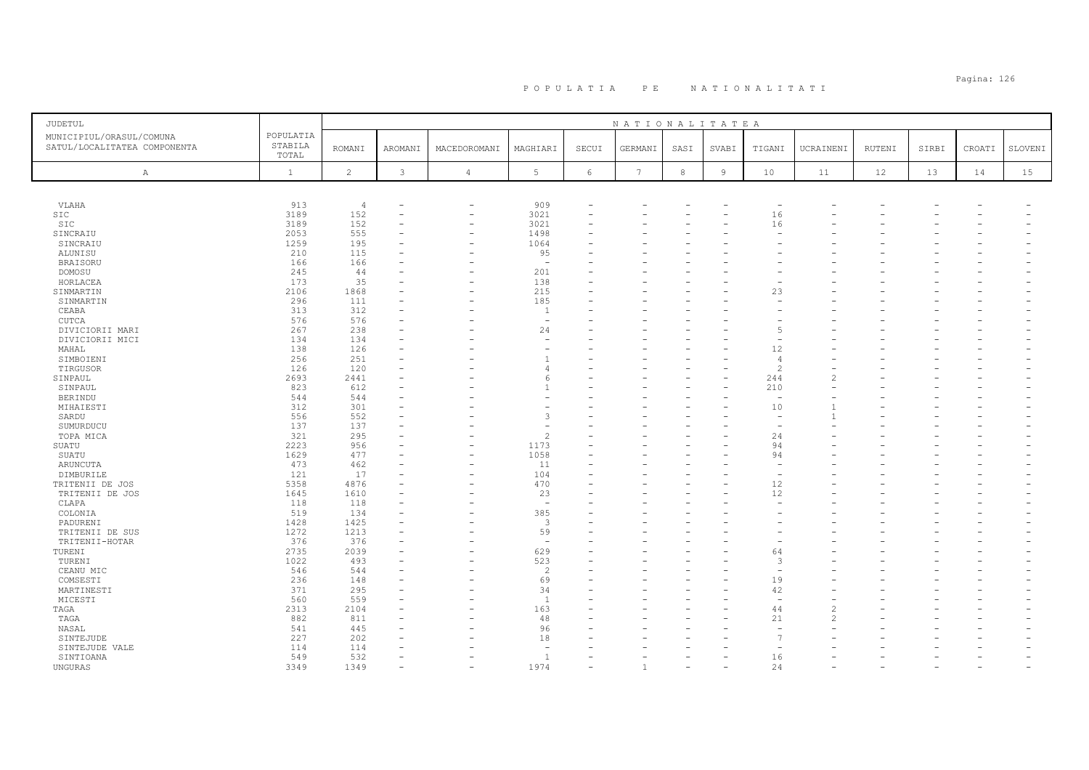### Pagina: 126 P O P U L A T I A P E N A T I O N A L I T A T I

| <b>JUDETUL</b>                                           |                               |                |               |                          |                          |            | NATIONALITATEA |      |                |                          |                          |        |       |        |         |
|----------------------------------------------------------|-------------------------------|----------------|---------------|--------------------------|--------------------------|------------|----------------|------|----------------|--------------------------|--------------------------|--------|-------|--------|---------|
| MUNICIPIUL/ORASUL/COMUNA<br>SATUL/LOCALITATEA COMPONENTA | POPULATIA<br>STABILA<br>TOTAL | <b>ROMANI</b>  | AROMANI       | MACEDOROMANI             | MAGHIARI                 | SECUI      | GERMANI        | SASI | SVABI          | TIGANI                   | UCRAINENI                | RUTENI | SIRBI | CROATI | SLOVENI |
| $\mathbb{A}$                                             | $\mathbf{1}$                  | $\overline{c}$ | $\mathcal{E}$ | $\sqrt{4}$               | $5\phantom{.0}$          | $\epsilon$ | 7              | 8    | $\overline{9}$ | 10                       | 11                       | 12     | 13    | 14     | 15      |
|                                                          |                               |                |               |                          |                          |            |                |      |                |                          |                          |        |       |        |         |
| VLAHA                                                    | 913                           | $\overline{4}$ |               | $\equiv$                 | 909                      |            |                |      |                | $\overline{\phantom{a}}$ |                          |        |       |        |         |
| SIC                                                      | 3189                          | 152            |               |                          | 3021                     |            |                |      |                | 16                       |                          |        |       |        |         |
| SIC                                                      | 3189                          | 152            |               | -                        | 3021                     |            |                |      |                | 16                       |                          |        |       |        |         |
| SINCRAIU                                                 | 2053                          | 555            |               | $\rightarrow$            | 1498                     |            |                |      |                |                          |                          |        |       |        |         |
| SINCRAIU                                                 | 1259                          | 195            |               |                          | 1064                     |            |                |      |                |                          |                          |        |       |        |         |
| ALUNISU                                                  | 210                           | 115            |               |                          | 95                       |            |                |      |                |                          |                          |        |       |        |         |
| <b>BRAISORU</b>                                          | 166                           | 166            |               |                          | $\overline{\phantom{a}}$ |            |                |      |                |                          |                          |        |       |        |         |
| DOMOSU                                                   | 245                           | 44             |               |                          | 201                      |            |                |      |                |                          |                          |        |       |        |         |
| HORLACEA                                                 | 173                           | 35             |               |                          | 138                      |            |                |      |                |                          |                          |        |       |        |         |
| SINMARTIN                                                | 2106                          | 1868           |               |                          | 215                      |            |                |      |                | 23                       |                          |        |       |        |         |
| SINMARTIN                                                | 296                           | 111            |               |                          | 185                      |            |                |      |                |                          |                          |        |       |        |         |
| CEABA                                                    | 313                           | 312            |               |                          | $\mathbf{1}$             |            |                |      |                |                          |                          |        |       |        |         |
| CUTCA                                                    | 576                           | 576            |               |                          | $\overline{\phantom{a}}$ |            |                |      |                |                          |                          |        |       |        |         |
| DIVICIORII MARI                                          | 267                           | 238            |               |                          | 24                       |            |                |      |                | $\overline{5}$           |                          |        |       |        |         |
| DIVICIORII MICI                                          | 134                           | 134            |               |                          | $\sim$                   |            |                |      |                |                          |                          |        |       |        |         |
| MAHAL                                                    | 138                           | 126            |               |                          | ٠                        |            |                |      |                | 12                       |                          |        |       |        |         |
| SIMBOIENI                                                | 256                           | 251            |               |                          | $\overline{1}$           |            |                |      |                | $\overline{4}$           |                          |        |       |        |         |
| TIRGUSOR                                                 | 126                           | 120            |               |                          | 4                        |            |                |      |                | $\overline{\mathcal{L}}$ |                          |        |       |        |         |
| SINPAUL                                                  | 2693                          | 2441           | $\equiv$      |                          | 6                        |            |                |      |                | 244                      | $\overline{\mathcal{L}}$ |        |       |        |         |
| SINPAUL                                                  | 823                           | 612            |               |                          | $\mathbf{1}$             |            |                |      |                | 210                      |                          |        |       |        |         |
| <b>BERINDU</b>                                           | 544                           | 544            |               |                          |                          |            |                |      |                | $\overline{\phantom{a}}$ |                          |        |       |        |         |
| MIHAIESTI                                                | 312                           | 301            |               |                          |                          |            |                |      |                | 10                       |                          |        |       |        |         |
| SARDU                                                    | 556                           | 552            |               |                          | 3                        |            |                |      |                | $\overline{\phantom{0}}$ |                          |        |       |        |         |
| SUMURDUCU                                                | 137                           | 137            |               |                          | $\overline{\phantom{a}}$ |            |                |      |                | $\overline{\phantom{0}}$ |                          |        |       |        |         |
|                                                          | 321                           | 295            |               |                          | $\overline{c}$           |            |                |      |                | 24                       |                          |        |       |        |         |
| TOPA MICA<br>SUATU                                       | 2223                          | 956            |               | L.                       | 1173                     |            |                |      |                | 94                       |                          |        |       |        |         |
|                                                          | 1629                          | 477            |               |                          | 1058                     |            |                |      |                | 94                       |                          |        |       |        |         |
| SUATU                                                    | 473                           |                |               | $\overline{\phantom{0}}$ |                          | L          |                |      |                | $\sim$                   |                          |        |       |        |         |
| ARUNCUTA                                                 |                               | 462            |               |                          | 11                       |            |                |      |                |                          |                          |        |       |        |         |
| DIMBURILE                                                | 121                           | 17             |               |                          | 104                      |            |                |      |                |                          |                          |        |       |        |         |
| TRITENII DE JOS                                          | 5358                          | 4876           |               |                          | 470                      |            |                |      |                | 12                       |                          |        |       |        |         |
| TRITENII DE JOS                                          | 1645                          | 1610           |               |                          | 23                       |            |                |      |                | 12                       |                          |        |       |        |         |
| CLAPA                                                    | 118                           | 118            |               |                          | $\overline{\phantom{a}}$ |            |                |      |                |                          |                          |        |       |        |         |
| COLONIA                                                  | 519                           | 134            |               |                          | 385                      |            |                |      |                |                          |                          |        |       |        |         |
| PADURENI                                                 | 1428                          | 1425           |               |                          | $\mathbf{3}$             |            |                |      |                |                          |                          |        |       |        |         |
| TRITENII DE SUS                                          | 1272                          | 1213           |               |                          | 59                       |            |                |      |                |                          |                          |        |       |        |         |
| TRITENII-HOTAR                                           | 376                           | 376            |               |                          | $\overline{\phantom{a}}$ |            |                |      |                |                          |                          |        |       |        |         |
| TURENI                                                   | 2735                          | 2039           |               |                          | 629                      |            |                |      |                | 64                       |                          |        |       |        |         |
| TURENI                                                   | 1022                          | 493            |               |                          | 523                      |            |                |      |                | 3                        |                          |        |       |        |         |
| CEANU MIC                                                | 546                           | 544            |               |                          | $\overline{c}$           |            |                |      |                | $\overline{\phantom{a}}$ |                          |        |       |        |         |
| COMSESTI                                                 | 236                           | 148            |               |                          | 69                       |            |                |      |                | 19                       |                          |        |       |        |         |
| MARTINESTI                                               | 371                           | 295            |               |                          | 34                       |            |                |      |                | 42                       |                          |        |       |        |         |
| MICESTI                                                  | 560                           | 559            |               |                          | $\overline{1}$           |            |                |      |                |                          |                          |        |       |        |         |
| TAGA                                                     | 2313                          | 2104           |               |                          | 163                      |            |                |      |                | 44                       | $\overline{c}$           |        |       |        |         |
| TAGA                                                     | 882                           | 811            |               |                          | 48                       |            |                |      |                | 21                       | $\overline{\mathcal{L}}$ |        |       |        |         |
| NASAL                                                    | 541                           | 445            |               |                          | 96                       |            |                |      |                |                          |                          |        |       |        |         |
| SINTEJUDE                                                | 227                           | 202            |               |                          | 18                       |            |                |      |                | $\overline{7}$           |                          |        |       |        |         |
| SINTEJUDE VALE                                           | 114                           | 114            |               |                          | ÷.                       |            |                |      |                |                          |                          |        |       |        |         |
| SINTIOANA                                                | 549                           | 532            |               |                          | $\overline{1}$           |            |                |      |                | 16                       |                          |        |       |        |         |
| UNGURAS                                                  | 3349                          | 1349           |               |                          | 1974                     |            |                |      |                | 24                       |                          |        |       |        |         |
|                                                          |                               |                |               |                          |                          |            |                |      |                |                          |                          |        |       |        |         |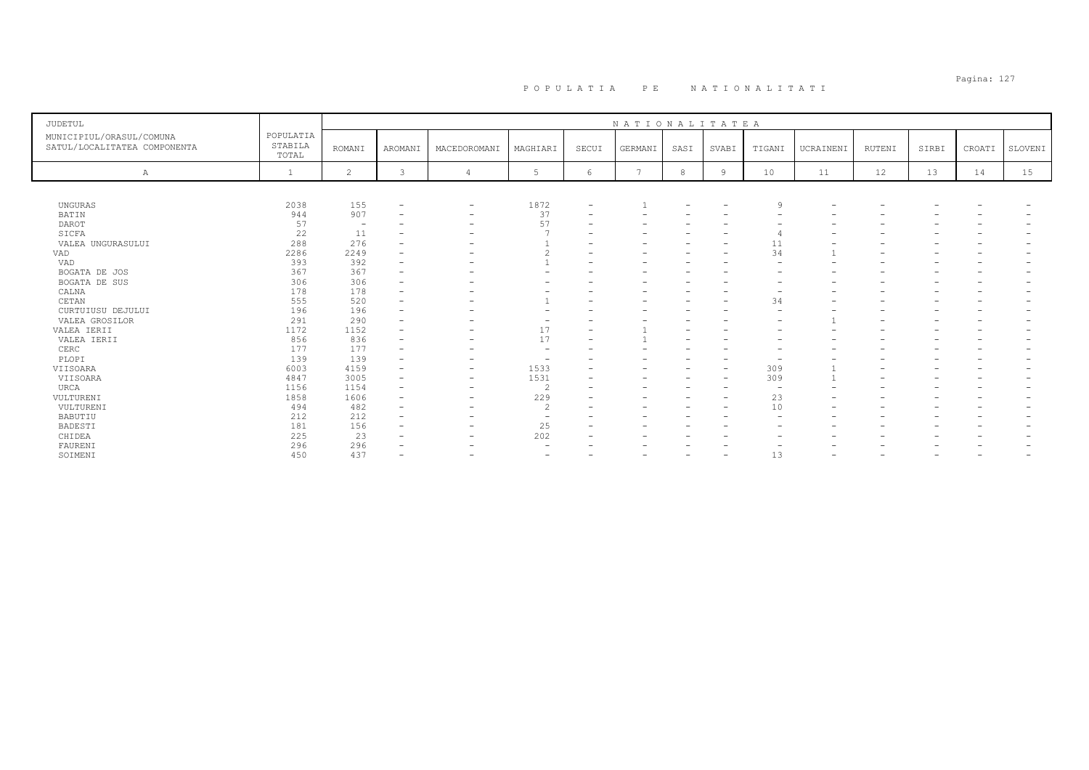# Pagina: 127 P O P U L A T I A P E N A T I O N A L I T A T I

| <b>JUDETUL</b>                                           |                               |                          |                          |                          |                          |                          | NATIONALITATEA |      |                          |                          |                          |        |       |        |         |
|----------------------------------------------------------|-------------------------------|--------------------------|--------------------------|--------------------------|--------------------------|--------------------------|----------------|------|--------------------------|--------------------------|--------------------------|--------|-------|--------|---------|
| MUNICIPIUL/ORASUL/COMUNA<br>SATUL/LOCALITATEA COMPONENTA | POPULATIA<br>STABILA<br>TOTAL | <b>ROMANI</b>            | <b>AROMANI</b>           | MACEDOROMANI             | MAGHIARI                 | SECUI                    | GERMANI        | SASI | SVABI                    | TIGANI                   | UCRAINENI                | RUTENI | SIRBI | CROATI | SLOVENI |
| Α                                                        |                               | $\overline{2}$           | 3                        |                          |                          | 6                        |                | 8    | 9                        | 10                       | 11                       | 12     | 13    | 14     | 15      |
|                                                          |                               |                          |                          |                          |                          |                          |                |      |                          |                          |                          |        |       |        |         |
| UNGURAS                                                  | 2038                          | 155                      | $\overline{\phantom{0}}$ | $\qquad \qquad$          | 1872                     | $\overline{\phantom{a}}$ |                |      | $\overline{\phantom{0}}$ | Q                        |                          |        |       |        |         |
| BATIN                                                    | 944                           | 907                      |                          | -                        | 37                       |                          |                |      |                          |                          |                          |        |       |        |         |
| DAROT                                                    | 57                            | $\overline{\phantom{a}}$ |                          | $\overline{\phantom{0}}$ | 57                       |                          |                |      |                          |                          |                          |        |       |        |         |
| SICFA                                                    | 22                            | 11                       |                          | $\overline{\phantom{0}}$ |                          |                          |                |      | $\overline{\phantom{0}}$ |                          |                          |        |       |        |         |
| VALEA UNGURASULUI                                        | 288                           | 276                      |                          |                          |                          |                          |                |      |                          | 11                       |                          |        |       |        |         |
| VAD                                                      | 2286                          | 2249                     |                          |                          | $\hat{ }$                |                          |                |      | $\overline{\phantom{0}}$ | 34                       |                          |        |       |        |         |
| VAD                                                      | 393                           | 392                      |                          |                          |                          |                          |                |      |                          | $\overline{\phantom{0}}$ |                          |        |       |        |         |
| BOGATA DE JOS                                            | 367                           | 367                      |                          |                          |                          |                          |                |      |                          |                          |                          |        |       |        |         |
| BOGATA DE SUS                                            | 306                           | 306                      |                          |                          |                          |                          |                |      |                          |                          |                          |        |       |        |         |
| CALNA                                                    | 178                           | 178                      |                          |                          |                          |                          |                |      |                          |                          |                          |        |       |        |         |
| CETAN                                                    | 555                           | 520                      |                          |                          |                          |                          |                |      |                          | 34                       |                          |        |       |        |         |
| CURTUIUSU DEJULUI                                        | 196                           | 196                      | $\overline{\phantom{0}}$ |                          |                          |                          |                |      |                          | $\overline{\phantom{0}}$ |                          |        |       |        |         |
| VALEA GROSILOR                                           | 291                           | 290                      |                          |                          |                          |                          |                |      |                          | $\overline{\phantom{0}}$ |                          |        |       |        |         |
| VALEA IERII                                              | 1172                          | 1152                     |                          |                          | 17                       |                          |                |      |                          |                          |                          |        |       |        |         |
| VALEA IERII                                              | 856                           | 836                      |                          |                          | 17                       |                          |                |      |                          |                          |                          |        |       |        |         |
| CERC                                                     | 177                           | 177                      | $\overline{\phantom{0}}$ |                          |                          |                          |                |      |                          | $\overline{\phantom{0}}$ |                          |        |       |        |         |
| PLOPI                                                    | 139                           | 139                      | $\overline{\phantom{0}}$ | -                        | $\overline{\phantom{a}}$ |                          |                |      | $\overline{\phantom{0}}$ | $\overline{\phantom{0}}$ |                          |        |       |        |         |
| VIISOARA                                                 | 6003                          | 4159                     |                          | $\overline{\phantom{0}}$ | 1533                     |                          |                |      | $\overline{\phantom{0}}$ | 309                      |                          |        |       |        |         |
| VIISOARA                                                 | 4847                          | 3005                     | $\overline{\phantom{0}}$ | $\qquad \qquad$          | 1531                     |                          |                |      | $\overline{\phantom{0}}$ | 309                      |                          |        |       |        |         |
| URCA                                                     | 1156                          | 1154                     |                          | -                        | $\overline{c}$           |                          |                |      |                          | $\overline{\phantom{a}}$ |                          |        |       |        |         |
| VULTURENI                                                | 1858                          | 1606                     | $\overline{\phantom{a}}$ | $\qquad \qquad$          | 229                      |                          | -              |      | $\overline{\phantom{0}}$ | 23                       |                          |        |       |        |         |
| VULTURENI                                                | 494                           | 482                      | $\overline{\phantom{0}}$ | $\overline{\phantom{0}}$ | $\overline{c}$           |                          |                |      | $\overline{\phantom{0}}$ | 10                       | $\overline{\phantom{0}}$ |        |       |        |         |
| BABUTIU                                                  | 212                           | 212                      |                          |                          | $\overline{\phantom{a}}$ |                          |                |      |                          | $\overline{\phantom{0}}$ |                          |        |       |        |         |
| BADESTI                                                  | 181                           | 156                      | $\overline{\phantom{0}}$ |                          | 25                       |                          | -              |      |                          |                          |                          |        |       |        |         |
| CHIDEA                                                   | 225                           | 23                       |                          |                          | 202                      |                          | -              |      |                          |                          |                          |        |       |        |         |
| FAURENI                                                  | 296                           | 296                      |                          |                          |                          |                          |                |      |                          |                          |                          |        |       |        |         |
| SOIMENI                                                  | 450                           | 437                      | $\overline{\phantom{0}}$ |                          | $\overline{\phantom{0}}$ |                          |                |      | $\overline{\phantom{0}}$ | 13                       |                          |        |       | -      |         |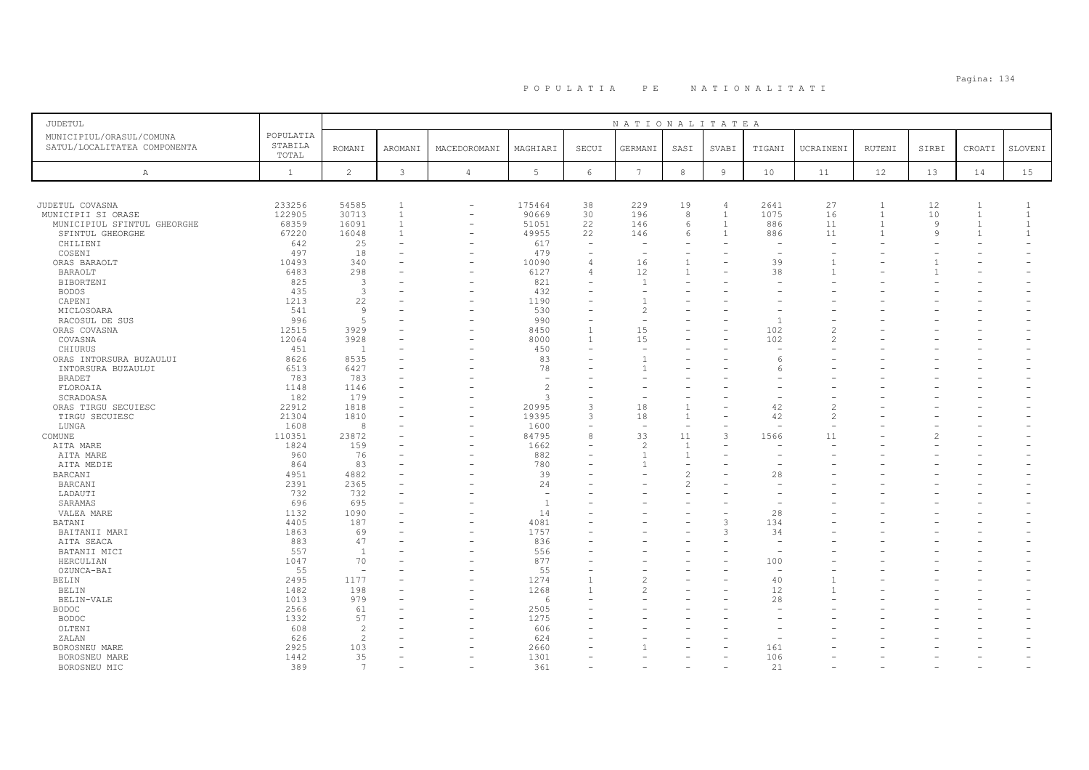# Pagina: 134 P O P U L A T I A P E N A T I O N A L I T A T I

| <b>JUDETUL</b>                                           |                               |                          |                |                          |                          |                          | NATIONALITATEA           |                          |                |        |               |                |                |                |                |
|----------------------------------------------------------|-------------------------------|--------------------------|----------------|--------------------------|--------------------------|--------------------------|--------------------------|--------------------------|----------------|--------|---------------|----------------|----------------|----------------|----------------|
| MUNICIPIUL/ORASUL/COMUNA<br>SATUL/LOCALITATEA COMPONENTA | POPULATIA<br>STABILA<br>TOTAL | <b>ROMANI</b>            | <b>AROMANI</b> | MACEDOROMANI             | MAGHIARI                 | SECUI                    | GERMANI                  | SASI                     | SVABI          | TIGANI | UCRAINENI     | RUTENI         | SIRBI          | CROATI         | SLOVENI        |
| Α                                                        | $\mathbf{1}$                  | $\overline{c}$           | $\mathbf{3}$   | $\overline{4}$           | 5                        | $\epsilon$               | $7\phantom{.0}$          | $^{\rm 8}$               | $\overline{9}$ | 10     | 11            | 12             | 13             | 14             | 15             |
|                                                          |                               |                          |                |                          |                          |                          |                          |                          |                |        |               |                |                |                |                |
| JUDETUL COVASNA                                          | 233256                        | 54585                    | 1              | $\overline{\phantom{a}}$ | 175464                   | 38                       | 229                      | 19                       | $\overline{4}$ | 2641   | 27            | 1              | 12             | 1              | -1             |
| MUNICIPII SI ORASE                                       | 122905                        | 30713                    | $\mathbf{1}$   | ۳                        | 90669                    | 30                       | 196                      | 8                        | $\overline{1}$ | 1075   | 16            | $\mathbf{1}$   | 10             | $\mathbf{1}$   | $\mathbf{1}$   |
| MUNICIPIUL SFINTUL GHEORGHE                              | 68359                         | 16091                    | $\mathbf{1}$   | $\overline{\phantom{0}}$ | 51051                    | 22                       | 146                      | 6                        | $\overline{1}$ | 886    | 11            | $\overline{1}$ | 9              | $\overline{1}$ | $\mathbf{1}$   |
| SFINTUL GHEORGHE                                         | 67220                         | 16048                    | $\mathbf{1}$   | ۰                        | 49955                    | 22                       | 146                      | 6                        | $\overline{1}$ | 886    | 11            |                | $\overline{9}$ | $\overline{1}$ | $\overline{1}$ |
| CHILIENI                                                 | 642                           | 25                       |                |                          | 617                      | ÷                        |                          |                          |                |        |               |                |                |                |                |
| COSENI                                                   | 497                           | 18                       |                |                          | 479                      | $\overline{\phantom{a}}$ | $\overline{\phantom{a}}$ | $\overline{\phantom{a}}$ |                |        |               |                |                |                |                |
| ORAS BARAOLT                                             | 10493                         | 340                      |                | ÷                        | 10090                    | 4                        | 16                       | $\mathbf{1}$             |                | 39     |               |                |                |                |                |
| BARAOLT                                                  | 6483                          | 298                      |                |                          | 6127                     | 4                        | 12                       | $\mathbf{1}$             |                | 38     | $\mathbf{1}$  |                |                |                |                |
| BIBORTENI                                                | 825                           | 3                        |                |                          | 821                      |                          | $\overline{1}$           |                          |                |        |               |                |                |                |                |
| <b>BODOS</b>                                             | 435                           | 3                        |                |                          | 432                      |                          |                          |                          |                |        |               |                |                |                |                |
| CAPENI                                                   | 1213                          | 22                       |                |                          | 1190                     |                          |                          |                          |                |        |               |                |                |                |                |
| MICLOSOARA                                               | 541                           | 9                        |                |                          | 530                      |                          | $\overline{c}$           |                          |                |        |               |                |                |                |                |
| RACOSUL DE SUS                                           | 996                           | 5                        |                |                          | 990                      | ۳                        |                          |                          |                | -1     |               |                |                |                |                |
| ORAS COVASNA                                             | 12515                         | 3929                     |                |                          | 8450                     | $\mathbf{1}$             | 15                       |                          |                | 102    |               |                |                |                |                |
| COVASNA                                                  | 12064                         | 3928                     |                | $\overline{\phantom{a}}$ | 8000                     | $\overline{1}$           | 15                       |                          |                | 102    | $\mathcal{D}$ |                |                |                |                |
| CHIURUS                                                  | 451                           | $\overline{1}$           |                |                          | 450                      |                          |                          |                          |                |        |               |                |                |                |                |
| ORAS INTORSURA BUZAULUI                                  | 8626                          | 8535                     |                |                          | 83                       |                          |                          |                          |                | 6      |               |                |                |                |                |
| INTORSURA BUZAULUI                                       | 6513                          | 6427                     |                |                          | 78                       |                          |                          |                          |                |        |               |                |                |                |                |
| BRADET                                                   | 783                           | 783                      |                |                          | $\overline{\phantom{a}}$ |                          |                          |                          |                |        |               |                |                |                |                |
| FLOROAIA                                                 | 1148                          | 1146                     |                |                          | $\overline{c}$           |                          |                          |                          |                |        |               |                |                |                |                |
| SCRADOASA                                                | 182                           | 179                      |                |                          | $\mathcal{R}$            |                          |                          |                          |                |        |               |                |                |                |                |
| ORAS TIRGU SECUIESC                                      | 22912                         | 1818                     |                |                          | 20995                    | 3                        | 18                       | $\mathbf{1}$             |                | 42     |               |                |                |                |                |
| TIRGU SECUIESC                                           | 21304                         | 1810                     |                | -                        | 19395                    | 3                        | 18                       | $\overline{1}$           |                | 42     | $\mathcal{L}$ |                |                |                |                |
| LUNGA                                                    | 1608                          | 8                        |                | ۰                        | 1600                     | ۳                        |                          | $\overline{\phantom{a}}$ |                |        |               |                |                |                |                |
| COMUNE                                                   | 110351                        | 23872                    |                | $\overline{\phantom{0}}$ | 84795                    | 8                        | 33                       | 11                       | 3              | 1566   | 11            |                |                |                |                |
| AITA MARE                                                | 1824                          | 159                      |                | ۰                        | 1662                     | ۳                        | $\overline{c}$           | $\mathbf{1}$             |                |        |               |                |                |                |                |
| AITA MARE                                                | 960                           | 76                       |                |                          | 882                      |                          |                          | $\mathbf{1}$             |                |        |               |                |                |                |                |
| AITA MEDIE                                               | 864                           | 83                       |                |                          | 780                      | L.                       |                          | $\overline{\phantom{0}}$ |                |        |               |                |                |                |                |
| BARCANI                                                  | 4951                          | 4882                     |                |                          | 39                       |                          |                          | $\overline{c}$           |                | 28     |               |                |                |                |                |
| <b>BARCANI</b>                                           | 2391                          | 2365                     |                |                          | 24                       |                          |                          | $\mathfrak{D}$           |                |        |               |                |                |                |                |
| LADAUTI                                                  | 732                           | 732                      |                |                          | $\sim$                   |                          |                          |                          |                |        |               |                |                |                |                |
| SARAMAS                                                  | 696                           | 695                      |                |                          | $\overline{1}$           |                          |                          |                          |                |        |               |                |                |                |                |
| VALEA MARE                                               | 1132                          | 1090                     |                |                          | 14                       |                          |                          |                          |                | 28     |               |                |                |                |                |
| <b>BATANI</b>                                            | 4405                          | 187                      |                |                          | 4081                     |                          |                          |                          | 3              | 134    |               |                |                |                |                |
| BAITANII MARI                                            | 1863                          | 69                       |                |                          | 1757                     |                          |                          |                          | 3              | 34     |               |                |                |                |                |
| AITA SEACA                                               | 883                           | 47                       |                | $\overline{\phantom{a}}$ | 836                      |                          |                          |                          |                |        |               |                |                |                |                |
| BATANII MICI                                             | 557                           | <sup>1</sup>             |                | ۰                        | 556                      |                          |                          |                          |                |        |               |                |                |                |                |
| HERCULIAN                                                | 1047                          | 70                       |                |                          | 877                      |                          |                          |                          |                | 100    |               |                |                |                |                |
| OZUNCA-BAI                                               | 55                            | $\overline{\phantom{a}}$ |                |                          | 55                       | -                        |                          |                          |                |        |               |                |                |                |                |
| BELIN                                                    | 2495                          | 1177                     |                | $\overline{\phantom{a}}$ | 1274                     |                          |                          |                          |                | 40     |               |                |                |                |                |
| <b>BELIN</b>                                             | 1482                          | 198                      |                |                          | 1268                     | $\mathbf{1}$             | $\overline{\mathcal{L}}$ |                          |                | 12     |               |                |                |                |                |
| BELIN-VALE                                               | 1013                          | 979                      |                |                          | 6                        |                          |                          |                          |                | 28     |               |                |                |                |                |
| <b>BODOC</b>                                             | 2566                          | 61                       |                |                          | 2505                     |                          |                          |                          |                |        |               |                |                |                |                |
| <b>BODOC</b>                                             | 1332                          | 57                       |                |                          | 1275                     |                          |                          |                          |                |        |               |                |                |                |                |
| OLTENI                                                   | 608                           | $\overline{c}$           |                |                          | 606                      |                          |                          |                          |                |        |               |                |                |                |                |
| ZALAN                                                    | 626                           | $\overline{c}$           |                |                          | 624                      |                          |                          |                          |                |        |               |                |                |                |                |
| BOROSNEU MARE                                            | 2925                          | 103                      |                |                          | 2660                     |                          |                          |                          |                | 161    |               |                |                |                |                |
| BOROSNEU MARE                                            | 1442                          | 35                       |                |                          | 1301                     |                          |                          |                          |                | 106    |               |                |                |                |                |
| BOROSNEU MIC                                             | 389                           | $7\phantom{.0}$          |                | $\overline{\phantom{a}}$ | 361                      |                          |                          |                          |                | 21     |               |                |                |                |                |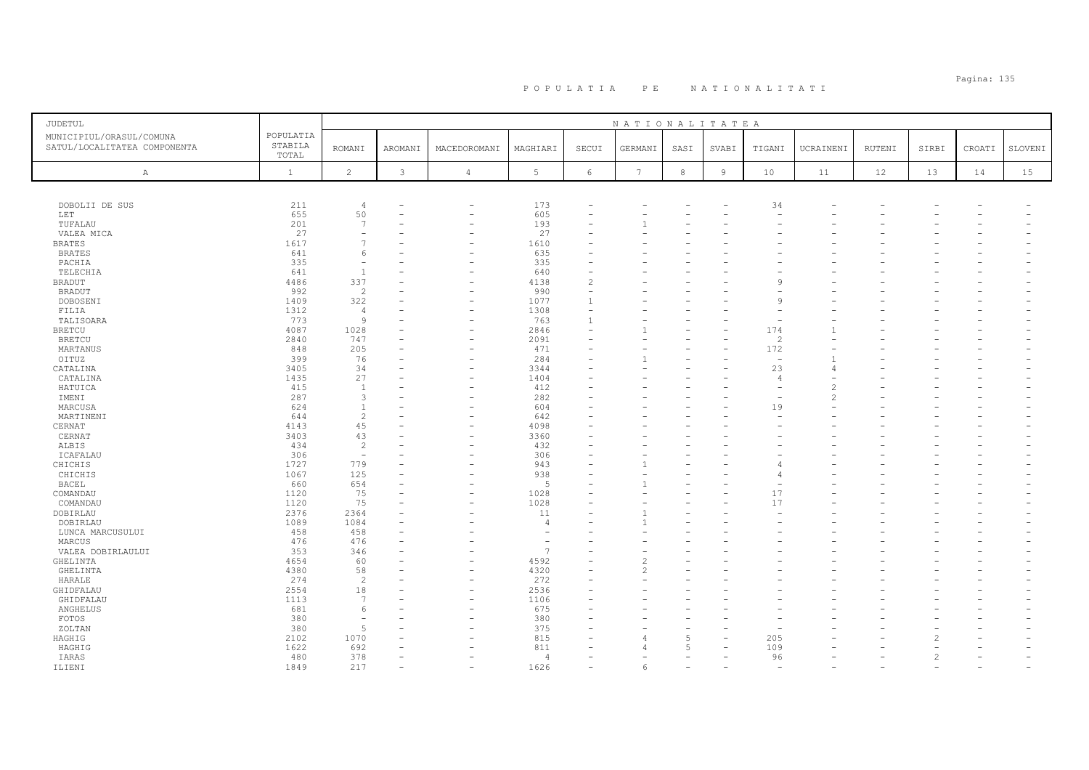| JUDETUL                                                  |                               | NATIONALITATEA           |                |                          |                          |                |                |                |                |                          |                          |        |       |        |         |
|----------------------------------------------------------|-------------------------------|--------------------------|----------------|--------------------------|--------------------------|----------------|----------------|----------------|----------------|--------------------------|--------------------------|--------|-------|--------|---------|
| MUNICIPIUL/ORASUL/COMUNA<br>SATUL/LOCALITATEA COMPONENTA | POPULATIA<br>STABILA<br>TOTAL | <b>ROMANI</b>            | <b>AROMANI</b> | MACEDOROMANI             | MAGHIARI                 | SECUI          | GERMANI        | SASI           | SVABI          | TIGANI                   | UCRAINENI                | RUTENI | SIRBI | CROATI | SLOVENI |
| A                                                        | $\mathbf{1}$                  | $\overline{c}$           | 3              | $\overline{4}$           | 5                        | 6              | 7              | 8              | $\overline{9}$ | 10                       | 11                       | 12     | 13    | 14     | 15      |
|                                                          |                               |                          |                |                          |                          |                |                |                |                |                          |                          |        |       |        |         |
| DOBOLII DE SUS                                           | 211                           | $\overline{4}$           |                | $\overline{\phantom{0}}$ | 173                      |                |                |                |                | 34                       |                          |        |       |        |         |
| <b>LET</b>                                               | 655                           | 50                       |                | $\overline{\phantom{0}}$ | 605                      |                |                |                |                |                          |                          |        |       |        |         |
| TUFALAU                                                  | 201                           | $\overline{7}$           |                |                          | 193                      |                |                |                |                |                          |                          |        |       |        |         |
| VALEA MICA                                               | 27                            | $\equiv$                 |                | L.                       | 27                       |                |                |                |                |                          |                          |        |       |        |         |
| <b>BRATES</b>                                            | 1617                          |                          |                |                          | 1610                     |                |                |                |                |                          |                          |        |       |        |         |
| <b>BRATES</b>                                            | 641                           | 6                        |                |                          | 635                      |                |                |                |                |                          |                          |        |       |        |         |
| PACHIA                                                   | 335                           |                          |                |                          | 335                      |                |                |                |                |                          |                          |        |       |        |         |
| TELECHIA                                                 | 641                           | <sup>1</sup>             |                |                          | 640                      |                |                |                |                |                          |                          |        |       |        |         |
| <b>BRADUT</b>                                            | 4486                          | 337                      |                |                          | 4138                     | $\overline{c}$ |                |                |                |                          |                          |        |       |        |         |
| <b>BRADUT</b>                                            | 992                           | 2                        |                | $\overline{\phantom{0}}$ | 990                      | ۰              |                |                |                |                          |                          |        |       |        |         |
| DOBOSENI                                                 | 1409                          | 322                      |                | $\equiv$                 | 1077                     |                |                |                |                | $\circ$                  |                          |        |       |        |         |
| FILIA                                                    | 1312                          | $\overline{4}$           |                |                          | 1308                     |                |                |                |                |                          |                          |        |       |        |         |
| TALISOARA                                                | 773                           | $\overline{9}$           |                |                          | 763                      |                |                |                |                |                          |                          |        |       |        |         |
| <b>BRETCU</b>                                            | 4087                          | 1028                     |                | $\overline{\phantom{0}}$ | 2846                     |                |                |                |                | 174                      |                          |        |       |        |         |
| <b>BRETCU</b>                                            | 2840                          | 747                      |                |                          | 2091                     |                |                |                |                | $\overline{c}$           |                          |        |       |        |         |
| MARTANUS                                                 | 848                           | 205                      |                |                          | 471                      |                |                |                |                | 172                      |                          |        |       |        |         |
| OITUZ                                                    | 399                           | 76                       |                | $\overline{\phantom{0}}$ | 284                      |                |                |                |                | $\overline{\phantom{a}}$ |                          |        |       |        |         |
| CATALINA                                                 | 3405                          | 34                       |                | $\overline{\phantom{0}}$ | 3344                     |                |                |                |                | 23                       | 4                        |        |       |        |         |
| CATALINA                                                 | 1435                          | 27                       |                |                          | 1404                     |                |                |                |                | $\angle$                 |                          |        |       |        |         |
| HATUICA                                                  | 415                           | $\overline{1}$           |                |                          | 412                      |                |                |                |                |                          | $\overline{\mathcal{L}}$ |        |       |        |         |
| IMENI                                                    | 287                           | 3                        |                | $\overline{\phantom{0}}$ | 282                      |                |                |                |                |                          | $\overline{\mathcal{L}}$ |        |       |        |         |
| MARCUSA                                                  | 624                           | $\overline{1}$           |                |                          | 604                      |                |                |                |                | 19                       |                          |        |       |        |         |
| MARTINENI                                                | 644                           | $\overline{c}$           |                |                          | 642                      |                |                |                |                |                          |                          |        |       |        |         |
| CERNAT                                                   | 4143                          | 45                       |                |                          | 4098                     |                |                |                |                |                          |                          |        |       |        |         |
| CERNAT                                                   | 3403                          | 43                       |                |                          | 3360                     |                |                |                |                |                          |                          |        |       |        |         |
| ALBIS                                                    | 434                           | $\overline{c}$           |                |                          | 432                      |                |                |                |                |                          |                          |        |       |        |         |
| ICAFALAU                                                 | 306                           | $\overline{\phantom{a}}$ |                |                          | 306                      |                |                |                |                |                          |                          |        |       |        |         |
| CHICHIS                                                  | 1727                          | 779                      |                | -                        | 943                      |                |                |                |                |                          |                          |        |       |        |         |
| CHICHIS                                                  | 1067                          | 125                      |                |                          | 938                      |                |                |                |                |                          |                          |        |       |        |         |
| BACEL                                                    | 660                           | 654                      |                |                          | $\overline{5}$           |                |                |                |                |                          |                          |        |       |        |         |
| COMANDAU                                                 | 1120                          | 75                       |                |                          | 1028                     |                |                |                |                | 17                       |                          |        |       |        |         |
| COMANDAU                                                 | 1120                          | 75                       |                |                          | 1028                     |                |                |                |                | 17                       |                          |        |       |        |         |
| DOBIRLAU                                                 | 2376                          | 2364                     |                |                          | 11                       |                |                |                |                |                          |                          |        |       |        |         |
| DOBIRLAU                                                 | 1089                          | 1084                     |                |                          | $\overline{4}$           |                |                |                |                |                          |                          |        |       |        |         |
| LUNCA MARCUSULUI                                         | 458                           | 458                      |                |                          | $\overline{\phantom{a}}$ |                |                |                |                |                          |                          |        |       |        |         |
| MARCUS                                                   | 476                           | 476                      |                |                          | $\overline{\phantom{a}}$ |                |                |                |                |                          |                          |        |       |        |         |
| VALEA DOBIRLAULUI                                        | 353                           | 346                      |                |                          | $\overline{7}$           |                |                |                |                |                          |                          |        |       |        |         |
| <b>GHELINTA</b>                                          | 4654                          | 60                       |                |                          | 4592                     |                | $\mathfrak{D}$ |                |                |                          |                          |        |       |        |         |
| GHELINTA                                                 | 4380                          | 58                       |                |                          | 4320                     |                |                |                |                |                          |                          |        |       |        |         |
| HARALE                                                   | 274                           | 2                        |                | $\overline{\phantom{0}}$ | 272                      |                |                |                |                |                          |                          |        |       |        |         |
| GHIDFALAU                                                | 2554                          | 18                       |                |                          | 2536                     |                |                |                |                |                          |                          |        |       |        |         |
| GHIDFALAU                                                | 1113                          | $\overline{7}$           |                |                          | 1106                     |                |                |                |                |                          |                          |        |       |        |         |
| ANGHELUS                                                 | 681                           | 6                        |                |                          | 675                      |                |                |                |                |                          |                          |        |       |        |         |
| FOTOS                                                    | 380                           | $\overline{\phantom{a}}$ |                |                          | 380                      |                |                |                |                |                          |                          |        |       |        |         |
| ZOLTAN                                                   | 380                           | 5                        |                |                          | 375                      |                |                |                |                |                          |                          |        |       |        |         |
| HAGHIG                                                   | 2102                          | 1070                     |                |                          | 815                      |                |                | $\overline{5}$ |                | 205                      |                          |        |       |        |         |
| HAGHIG                                                   | 1622                          | 692                      |                |                          | 811                      |                |                | $\overline{5}$ |                | 109                      |                          |        |       |        |         |
| IARAS                                                    | 480                           | 378                      |                |                          | $\overline{4}$           |                |                |                |                | 96                       |                          |        |       |        |         |
| ILIENI                                                   | 1849                          | 217                      |                |                          | 1626                     |                |                |                |                |                          |                          |        |       |        |         |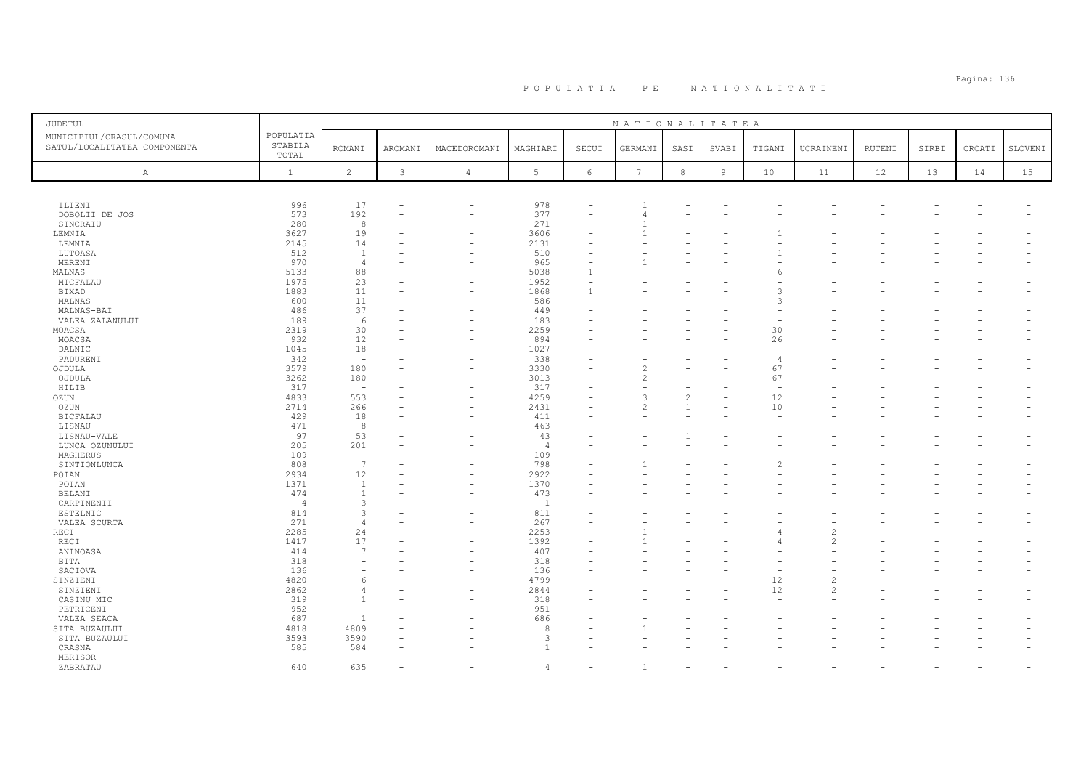| <b>JUDETUL</b>                                           |                               |                          |                |                          |                |                          | NATIONALITATEA |                |                |        |                          |        |       |        |         |
|----------------------------------------------------------|-------------------------------|--------------------------|----------------|--------------------------|----------------|--------------------------|----------------|----------------|----------------|--------|--------------------------|--------|-------|--------|---------|
| MUNICIPIUL/ORASUL/COMUNA<br>SATUL/LOCALITATEA COMPONENTA | POPULATIA<br>STABILA<br>TOTAL | <b>ROMANI</b>            | <b>AROMANI</b> | MACEDOROMANI             | MAGHIARI       | SECUI                    | GERMANI        | SASI           | SVABI          | TIGANI | UCRAINENI                | RUTENI | SIRBI | CROATI | SLOVENI |
| $\mathbb{A}$                                             | $\mathbf{1}$                  | $\overline{c}$           | $\mathbf{3}$   | $\overline{4}$           | 5              | 6                        | 7              | $^{\rm 8}$     | $\overline{9}$ | 10     | 11                       | 12     | 13    | 14     | 15      |
|                                                          |                               |                          |                |                          |                |                          |                |                |                |        |                          |        |       |        |         |
| ILIENI                                                   | 996                           | 17                       |                | $\overline{\phantom{a}}$ | 978            |                          |                |                |                |        |                          |        |       |        |         |
| DOBOLII DE JOS                                           | 573                           | 192                      |                | ۰                        | 377            | $\overline{\phantom{a}}$ | 4              |                |                |        |                          |        |       |        |         |
| SINCRAIU                                                 | 280                           | 8                        |                | ۰                        | 271            |                          |                |                |                |        |                          |        |       |        |         |
| LEMNIA                                                   | 3627                          | 19                       |                | L.                       | 3606           | L.                       |                |                |                |        |                          |        |       |        |         |
| LEMNIA                                                   | 2145                          | 14                       |                |                          | 2131           |                          |                |                |                |        |                          |        |       |        |         |
| LUTOASA                                                  | 512                           | $\mathbf{1}$             |                |                          | 510            |                          |                |                |                |        |                          |        |       |        |         |
| MERENI                                                   | 970                           | $\overline{4}$           |                |                          | 965            |                          |                |                |                |        |                          |        |       |        |         |
| MALNAS                                                   | 5133                          | 88                       |                |                          | 5038           |                          |                |                |                |        |                          |        |       |        |         |
| MICFALAU                                                 | 1975                          | 23<br>11                 |                |                          | 1952<br>1868   |                          |                |                |                |        |                          |        |       |        |         |
| <b>BIXAD</b><br>MALNAS                                   | 1883<br>600                   | 11                       |                | -<br>۰                   | 586            |                          |                |                |                |        |                          |        |       |        |         |
| MALNAS-BAI                                               | 486                           | 37                       |                |                          | 449            |                          |                |                |                |        |                          |        |       |        |         |
| VALEA ZALANULUI                                          | 189                           | 6                        |                |                          | 183            |                          |                |                |                |        |                          |        |       |        |         |
| MOACSA                                                   | 2319                          | 30                       |                |                          | 2259           |                          |                |                |                | 30     |                          |        |       |        |         |
| MOACSA                                                   | 932                           | 12                       |                |                          | 894            |                          |                |                |                | 26     |                          |        |       |        |         |
| DALNIC                                                   | 1045                          | 18                       |                |                          | 1027           |                          |                |                |                |        |                          |        |       |        |         |
| PADURENI                                                 | 342                           | $\sim$                   |                | ۰                        | 338            | ۳                        |                |                |                | -4     |                          |        |       |        |         |
| OJDULA                                                   | 3579                          | 180                      |                | ۰                        | 3330           |                          |                |                |                | 67     |                          |        |       |        |         |
| OJDULA                                                   | 3262                          | 180                      |                | ۰                        | 3013           |                          |                |                |                | 67     |                          |        |       |        |         |
| HILIB                                                    | 317                           | $\overline{\phantom{a}}$ |                |                          | 317            |                          |                |                |                |        |                          |        |       |        |         |
| OZUN                                                     | 4833                          | 553                      |                | $\overline{\phantom{0}}$ | 4259           |                          | 3              | $\mathfrak{D}$ |                | 12     |                          |        |       |        |         |
| OZUN                                                     | 2714                          | 266                      |                | L.                       | 2431           |                          | 2              | $\mathbf{1}$   |                | 10     |                          |        |       |        |         |
| <b>BICFALAU</b>                                          | 429                           | 18                       |                |                          | 411            |                          |                |                |                |        |                          |        |       |        |         |
| LISNAU                                                   | 471                           | 8                        |                |                          | 463            |                          |                |                |                |        |                          |        |       |        |         |
| LISNAU-VALE                                              | 97                            | 53                       |                |                          | 43             |                          |                | $\mathbf{1}$   |                |        |                          |        |       |        |         |
| LUNCA OZUNULUI                                           | 205                           | 201                      |                |                          | $\overline{4}$ |                          |                |                |                |        |                          |        |       |        |         |
| MAGHERUS                                                 | 109                           | $\overline{\phantom{a}}$ |                |                          | 109            |                          |                |                |                |        |                          |        |       |        |         |
| SINTIONLUNCA                                             | 808                           | $\overline{7}$           |                | ۰                        | 798            |                          |                |                |                |        |                          |        |       |        |         |
| POIAN                                                    | 2934                          | 12                       |                | ۰                        | 2922           |                          |                |                |                |        |                          |        |       |        |         |
| POIAN                                                    | 1371                          | $\overline{1}$           |                |                          | 1370           |                          |                |                |                |        |                          |        |       |        |         |
| BELANI                                                   | 474                           | $\mathbf{1}$             |                |                          | 473            |                          |                |                |                |        |                          |        |       |        |         |
| CARPINENII                                               | $\overline{4}$                | 3                        |                |                          | $\overline{1}$ |                          |                |                |                |        |                          |        |       |        |         |
| <b>ESTELNIC</b>                                          | 814                           | 3                        |                |                          | 811            |                          |                |                |                |        |                          |        |       |        |         |
| VALEA SCURTA                                             | 271                           | $\overline{4}$           |                |                          | 267            |                          |                |                |                |        |                          |        |       |        |         |
| RECI                                                     | 2285                          | 24                       |                | ۰                        | 2253           |                          |                |                |                |        |                          |        |       |        |         |
| RECI                                                     | 1417                          | 17                       |                | ۰                        | 1392           |                          |                |                |                |        | $\overline{\mathcal{L}}$ |        |       |        |         |
| ANINOASA                                                 | 414                           | $\overline{7}$           |                |                          | 407            |                          |                |                |                |        |                          |        |       |        |         |
| <b>BITA</b>                                              | 318                           |                          |                |                          | 318            |                          |                |                |                |        |                          |        |       |        |         |
| SACIOVA                                                  | 136                           |                          |                |                          | 136<br>4799    |                          |                |                |                | 12     | $\overline{\mathcal{L}}$ |        |       |        |         |
| SINZIENI                                                 | 4820                          | -6                       |                |                          | 2844           |                          |                |                |                |        |                          |        |       |        |         |
| SINZIENI                                                 | 2862<br>319                   |                          |                |                          | 318            |                          |                |                |                | 12     | 2                        |        |       |        |         |
| CASINU MIC                                               | 952                           |                          |                |                          | 951            |                          |                |                |                |        |                          |        |       |        |         |
| PETRICENI<br>VALEA SEACA                                 | 687                           | $\overline{1}$           |                |                          | 686            |                          |                |                |                |        |                          |        |       |        |         |
| SITA BUZAULUI                                            | 4818                          | 4809                     |                |                          | 8              |                          |                |                |                |        |                          |        |       |        |         |
| SITA BUZAULUI                                            | 3593                          | 3590                     |                |                          | 3              |                          |                |                |                |        |                          |        |       |        |         |
| CRASNA                                                   | 585                           | 584                      |                |                          |                |                          |                |                |                |        |                          |        |       |        |         |
| MERISOR                                                  | $\overline{\phantom{a}}$      | ÷                        |                |                          |                |                          |                |                |                |        |                          |        |       |        |         |
| ZABRATAU                                                 | 640                           | 635                      |                |                          |                |                          |                |                |                |        |                          |        |       |        |         |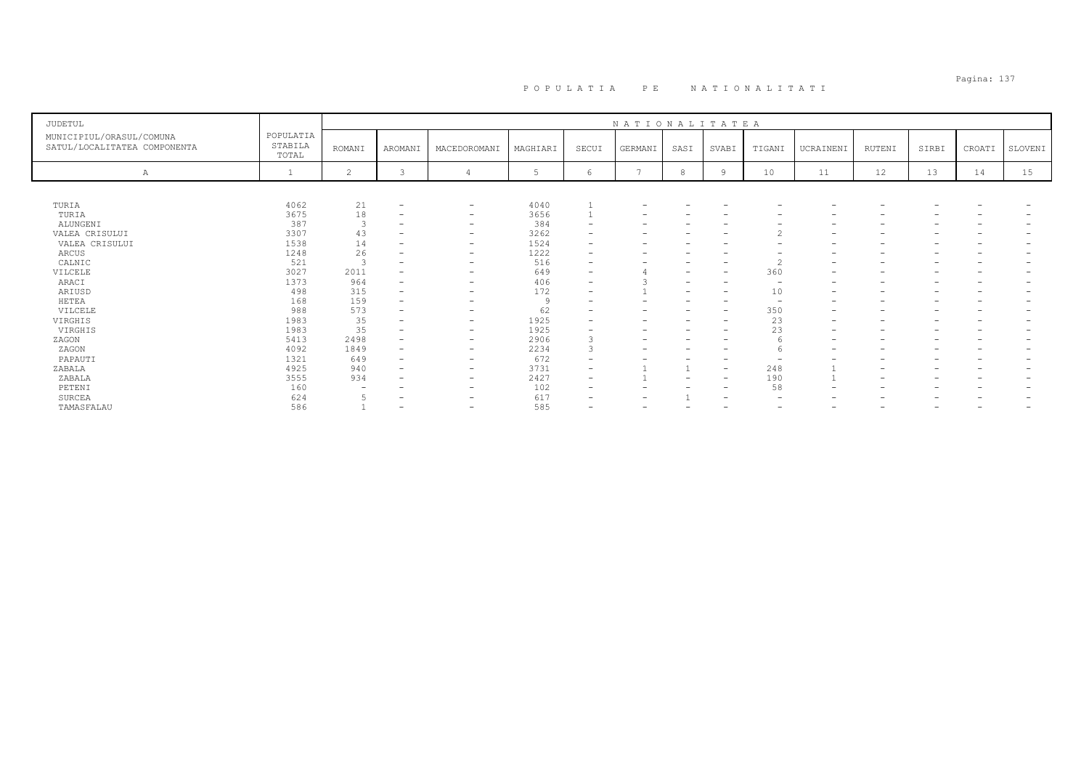# Pagina: 137 P O P U L A T I A P E N A T I O N A L I T A T I

| <b>JUDETUL</b>                                           |                               |                          |                          |                          |          |                          | NATIONALITATEA           |                          |                          |                          |                          |                          |                          |                          |                          |
|----------------------------------------------------------|-------------------------------|--------------------------|--------------------------|--------------------------|----------|--------------------------|--------------------------|--------------------------|--------------------------|--------------------------|--------------------------|--------------------------|--------------------------|--------------------------|--------------------------|
| MUNICIPIUL/ORASUL/COMUNA<br>SATUL/LOCALITATEA COMPONENTA | POPULATIA<br>STABILA<br>TOTAL | <b>ROMANI</b>            | AROMANI                  | MACEDOROMANI             | MAGHIARI | SECUI                    | GERMANI                  | SASI                     | SVABI                    | TIGANI                   | UCRAINENI                | RUTENI                   | SIRBI                    | CROATI                   | SLOVENI                  |
| Α                                                        |                               | $\overline{2}$           | 3                        |                          | 5        | 6                        |                          | 8                        | 9                        | 10                       | 11                       | 12                       | 13                       | 14                       | 15                       |
|                                                          |                               |                          |                          |                          |          |                          |                          |                          |                          |                          |                          |                          |                          |                          |                          |
| TURIA                                                    | 4062                          | 21                       | $\overline{\phantom{a}}$ | $\qquad \qquad -$        | 4040     |                          |                          |                          |                          |                          |                          |                          |                          |                          |                          |
| TURIA                                                    | 3675                          | 18                       | $\overline{\phantom{a}}$ | $\qquad \qquad -$        | 3656     |                          |                          |                          |                          |                          |                          |                          |                          |                          |                          |
| ALUNGENI                                                 | 387                           | 3                        | $\overline{\phantom{a}}$ | $\qquad \qquad -$        | 384      |                          | -                        |                          | $\overline{\phantom{0}}$ | $\overline{\phantom{0}}$ |                          | $\qquad \qquad$          |                          | $\overline{\phantom{0}}$ | $\overline{\phantom{0}}$ |
| VALEA CRISULUI                                           | 3307                          | 43                       | $\overline{\phantom{a}}$ | $\overline{\phantom{0}}$ | 3262     |                          |                          |                          |                          | $\overline{c}$           |                          |                          |                          |                          |                          |
| VALEA CRISULUI                                           | 1538                          | 14                       | $\overline{\phantom{a}}$ | $\overline{\phantom{m}}$ | 1524     |                          |                          |                          |                          |                          |                          |                          |                          |                          |                          |
| ARCUS                                                    | 1248                          | 26                       | $\overline{\phantom{0}}$ | $\overline{\phantom{a}}$ | 1222     |                          |                          |                          | $\overline{\phantom{0}}$ |                          | $\overline{\phantom{0}}$ | $\overline{\phantom{0}}$ |                          |                          |                          |
| CALNIC                                                   | 521                           | 3                        | $\overline{\phantom{0}}$ | $\overline{\phantom{0}}$ | 516      |                          |                          |                          | $\overline{\phantom{0}}$ | $\overline{c}$           |                          |                          |                          |                          |                          |
| VILCELE                                                  | 3027                          | 2011                     |                          | $\overline{\phantom{0}}$ | 649      |                          |                          |                          | $\overline{\phantom{a}}$ | 360                      | $\overline{\phantom{0}}$ | $\overline{\phantom{0}}$ |                          |                          |                          |
| ARACI                                                    | 1373                          | 964                      | $\overline{\phantom{m}}$ | $\overline{\phantom{0}}$ | 406      | $\overline{\phantom{0}}$ |                          | -                        | $\overline{\phantom{0}}$ | $\overline{\phantom{0}}$ |                          | -                        |                          |                          |                          |
| ARIUSD                                                   | 498                           | 315                      | $\overline{\phantom{a}}$ | $\overline{\phantom{0}}$ | 172      | $\overline{\phantom{a}}$ |                          | $\overline{\phantom{0}}$ | $\overline{\phantom{a}}$ | 10                       | $\overline{\phantom{0}}$ | $\overline{\phantom{0}}$ |                          |                          |                          |
| HETEA                                                    | 168                           | 159                      | $\overline{\phantom{m}}$ | $\overline{\phantom{0}}$ | 9        |                          |                          |                          | $\overline{\phantom{0}}$ | $\overline{\phantom{0}}$ | $\overline{\phantom{a}}$ | $\qquad \qquad$          |                          |                          |                          |
| VILCELE                                                  | 988                           | 573                      | $\overline{\phantom{m}}$ | -                        | 62       |                          |                          |                          | $\overline{\phantom{a}}$ | 350                      | $\overline{\phantom{a}}$ | $\overline{\phantom{0}}$ |                          |                          |                          |
| VIRGHIS                                                  | 1983                          | 35                       |                          | $\overline{\phantom{0}}$ | 1925     |                          |                          |                          | $\overline{\phantom{0}}$ | 23                       | $\overline{\phantom{0}}$ | $\overline{\phantom{0}}$ |                          |                          |                          |
| VIRGHIS                                                  | 1983                          | 35                       |                          | $\overline{\phantom{a}}$ | 1925     |                          |                          |                          | $\overline{\phantom{0}}$ | 23                       | $\overline{\phantom{0}}$ | $\overline{\phantom{0}}$ |                          |                          |                          |
| ZAGON                                                    | 5413                          | 2498                     | $\overline{\phantom{a}}$ | $\qquad \qquad -$        | 2906     |                          | $\overline{\phantom{0}}$ |                          | $\overline{\phantom{0}}$ |                          | $\overline{\phantom{0}}$ | $\overline{\phantom{0}}$ |                          |                          |                          |
| ZAGON                                                    | 4092                          | 1849                     | $\overline{\phantom{a}}$ | $\qquad \qquad -$        | 2234     |                          |                          |                          | $\overline{\phantom{0}}$ |                          | $\overline{\phantom{0}}$ | $\overline{\phantom{0}}$ |                          |                          |                          |
| PAPAUTI                                                  | 1321                          | 649                      | $\overline{\phantom{m}}$ | $\overline{\phantom{a}}$ | 672      |                          |                          |                          | $\overline{\phantom{0}}$ |                          |                          |                          |                          |                          |                          |
| ZABALA                                                   | 4925                          | 940                      | $\overline{\phantom{0}}$ | $\overline{\phantom{0}}$ | 3731     |                          |                          |                          | $\overline{\phantom{a}}$ | 248                      |                          |                          |                          |                          |                          |
| ZABALA                                                   | 3555                          | 934                      |                          | $\overline{\phantom{0}}$ | 2427     | $\overline{\phantom{a}}$ |                          | $\overline{\phantom{0}}$ | $\overline{\phantom{a}}$ | 190                      |                          | $\overline{\phantom{0}}$ |                          |                          |                          |
| PETENI                                                   | 160                           | $\overline{\phantom{0}}$ |                          | $\qquad \qquad -$        | 102      |                          |                          |                          | $\overline{\phantom{a}}$ | 58                       | $\overline{\phantom{0}}$ |                          |                          |                          |                          |
| SURCEA                                                   | 624                           |                          |                          | -                        | 617      |                          |                          |                          | $\overline{\phantom{0}}$ | $\overline{\phantom{0}}$ |                          |                          |                          |                          |                          |
| <b>TAMASFALAU</b>                                        | 586                           |                          | $\overline{\phantom{0}}$ | $\overline{\phantom{0}}$ | 585      | $\overline{\phantom{0}}$ | $\overline{\phantom{a}}$ | $\overline{\phantom{0}}$ | $\overline{\phantom{0}}$ | $\overline{\phantom{a}}$ | $\overline{\phantom{0}}$ | $\overline{\phantom{0}}$ | $\overline{\phantom{0}}$ | $\overline{\phantom{a}}$ | $\overline{\phantom{0}}$ |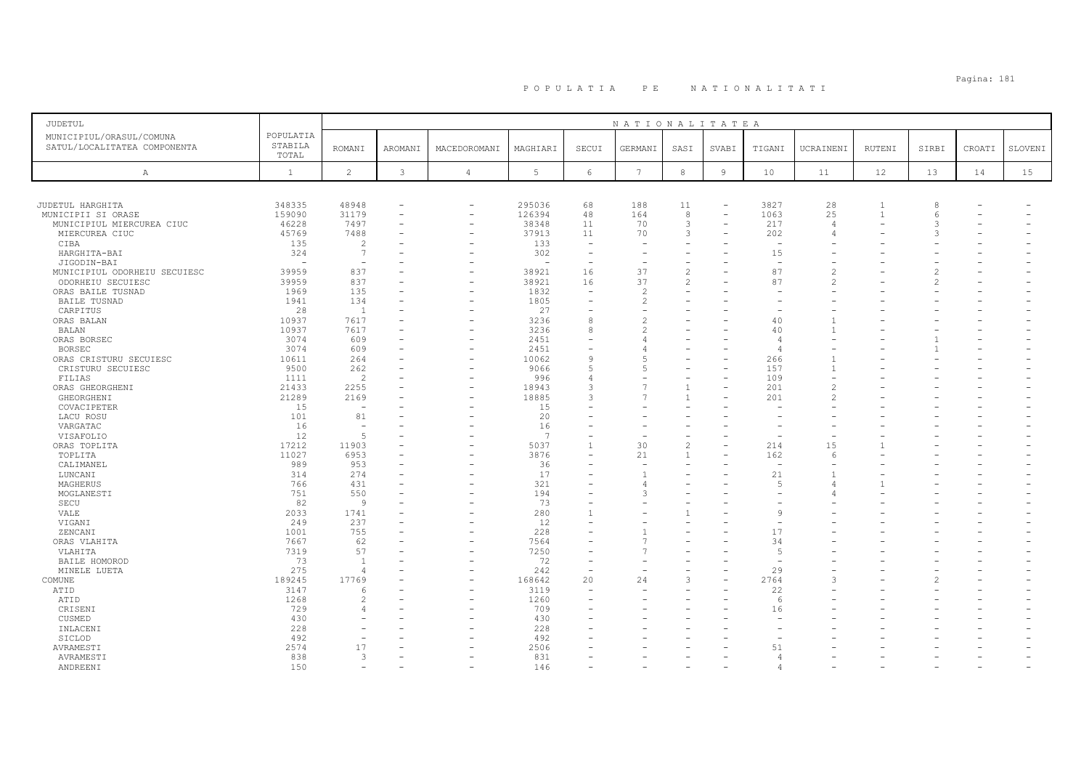| <b>JUDETUL</b>                                           |                               |                          |         |                          |             |                          | NATIONALITATEA           |                |                          |                          |                |                |               |        |         |
|----------------------------------------------------------|-------------------------------|--------------------------|---------|--------------------------|-------------|--------------------------|--------------------------|----------------|--------------------------|--------------------------|----------------|----------------|---------------|--------|---------|
| MUNICIPIUL/ORASUL/COMUNA<br>SATUL/LOCALITATEA COMPONENTA | POPULATIA<br>STABILA<br>TOTAL | <b>ROMANI</b>            | AROMANI | MACEDOROMANI             | MAGHIARI    | SECUI                    | GERMANI                  | SASI           | SVABI                    | TIGANI                   | UCRAINENI      | RUTENI         | SIRBI         | CROATI | SLOVENI |
| $\mathbb{A}$                                             | $\mathbf{1}$                  | $\overline{c}$           | 3       | $\overline{4}$           | 5           | 6                        | $7\phantom{.0}$          | 8              | 9                        | 10                       | 11             | 12             | 13            | 14     | 15      |
|                                                          |                               |                          |         |                          |             |                          |                          |                |                          |                          |                |                |               |        |         |
| JUDETUL HARGHITA                                         | 348335                        | 48948                    |         | $\overline{\phantom{a}}$ | 295036      | 68                       | 188                      | 11             | $\overline{\phantom{a}}$ | 3827                     | 28             |                |               |        |         |
| MUNICIPII SI ORASE                                       | 159090                        | 31179                    |         |                          | 126394      | 48                       | 164                      | 8              | $\equiv$                 | 1063                     | 25             | $\overline{1}$ | 6             |        |         |
| MUNICIPIUL MIERCUREA CIUC                                | 46228                         | 7497                     |         |                          | 38348       | 11                       | 70                       | $\mathbf{3}$   | $\sim$                   | 217                      | $\overline{4}$ |                |               |        |         |
| MIERCUREA CIUC                                           | 45769                         | 7488                     |         |                          | 37913       | 11                       | 70                       | 3              | $\rightarrow$            | 202                      |                |                |               |        |         |
| CIBA                                                     | 135                           | 2                        |         |                          | 133         | $\qquad \qquad -$        |                          |                |                          |                          |                |                |               |        |         |
| HARGHITA-BAI                                             | 324                           | 7                        |         |                          | 302         | $\overline{\phantom{a}}$ |                          |                |                          | 15                       |                |                |               |        |         |
| JIGODIN-BAI                                              |                               |                          |         |                          |             | ۰                        |                          |                |                          |                          |                |                |               |        |         |
| MUNICIPIUL ODORHEIU SECUIESC                             | 39959                         | 837                      |         |                          | 38921       | 16                       | 37                       | $\sqrt{2}$     |                          | 87                       |                |                |               |        |         |
| ODORHEIU SECUIESC                                        | 39959                         | 837                      |         |                          | 38921       | 16                       | 37                       | $\overline{c}$ |                          | 87                       | $\mathcal{P}$  |                | $\mathcal{P}$ |        |         |
| ORAS BAILE TUSNAD                                        | 1969                          | 135                      |         |                          | 1832        | $\overline{\phantom{m}}$ | $\overline{c}$           | $\equiv$       |                          |                          |                |                |               |        |         |
| <b>BAILE TUSNAD</b>                                      | 1941                          | 134                      |         |                          | 1805        | $\equiv$                 | $\overline{\mathcal{L}}$ |                |                          |                          |                |                |               |        |         |
| CARPITUS                                                 | 28                            | $\overline{1}$           |         |                          | 27          |                          |                          |                |                          |                          |                |                |               |        |         |
| ORAS BALAN                                               | 10937                         | 7617                     |         |                          | 3236        | 8                        | $\overline{\mathcal{L}}$ |                |                          | 40                       |                |                |               |        |         |
| <b>BALAN</b>                                             | 10937                         | 7617                     |         |                          | 3236        | 8                        |                          |                |                          | 40                       |                |                |               |        |         |
| ORAS BORSEC                                              | 3074                          | 609                      |         |                          | 2451        | ۰                        |                          |                |                          | $\overline{4}$           |                |                |               |        |         |
| <b>BORSEC</b>                                            | 3074                          | 609                      |         |                          | 2451        | ۰                        |                          |                |                          | $\overline{4}$           |                |                |               |        |         |
|                                                          | 10611                         | 264                      |         |                          | 10062       | 9                        | $\overline{5}$           |                | $\rightarrow$            | 266                      |                |                |               |        |         |
| ORAS CRISTURU SECUIESC                                   |                               |                          |         |                          |             |                          | 5                        |                |                          |                          | $\overline{1}$ |                |               |        |         |
| CRISTURU SECUIESC                                        | 9500                          | 262                      |         |                          | 9066<br>996 | 5<br>$\overline{4}$      |                          |                |                          | 157<br>109               |                |                |               |        |         |
| FILIAS                                                   | 1111                          | $\overline{2}$           |         |                          | 18943       | 3                        | 7                        | $\mathbf{1}$   | $\overline{\phantom{0}}$ | 201                      |                |                |               |        |         |
| ORAS GHEORGHENI                                          | 21433                         | 2255                     |         |                          |             |                          | 7                        |                |                          |                          |                |                |               |        |         |
| GHEORGHENI                                               | 21289                         | 2169                     |         |                          | 18885       | 3                        |                          |                |                          | 201                      |                |                |               |        |         |
| COVACIPETER                                              | 15                            | $\overline{\phantom{a}}$ |         |                          | 15          | ÷                        |                          |                |                          |                          |                |                |               |        |         |
| LACU ROSU                                                | 101                           | 81                       |         |                          | 20          |                          |                          |                |                          |                          |                |                |               |        |         |
| VARGATAC                                                 | 16                            | $\overline{\phantom{a}}$ |         |                          | 16          |                          |                          |                |                          |                          |                |                |               |        |         |
| VISAFOLIO                                                | 12                            | $\overline{5}$           |         |                          | 7           |                          |                          |                |                          |                          |                |                |               |        |         |
| ORAS TOPLITA                                             | 17212                         | 11903                    |         |                          | 5037        | $\mathbf{1}$             | 30                       | $\overline{c}$ |                          | 214                      | 15             |                |               |        |         |
| TOPLITA                                                  | 11027                         | 6953                     |         |                          | 3876        | ٠                        | 21                       | $\overline{1}$ |                          | 162                      | $\epsilon$     |                |               |        |         |
| CALIMANEL                                                | 989                           | 953                      |         |                          | 36          |                          | ۰                        |                |                          | $\overline{\phantom{0}}$ |                |                |               |        |         |
| LUNCANI                                                  | 314                           | 274                      |         |                          | 17          | ÷                        |                          |                |                          | 21                       |                |                |               |        |         |
| MAGHERUS                                                 | 766                           | 431                      |         |                          | 321         |                          |                          |                |                          | $\overline{5}$           |                |                |               |        |         |
| MOGLANESTI                                               | 751                           | 550                      |         |                          | 194         | $\qquad \qquad -$        | 3                        |                |                          |                          |                |                |               |        |         |
| SECU                                                     | 82                            | 9                        |         |                          | 73          |                          |                          |                |                          |                          |                |                |               |        |         |
| VALE                                                     | 2033                          | 1741                     |         |                          | 280         |                          |                          |                |                          | $\mathsf{Q}$             |                |                |               |        |         |
| VIGANI                                                   | 249                           | 237                      |         |                          | 12          |                          |                          |                |                          |                          |                |                |               |        |         |
| ZENCANI                                                  | 1001                          | 755                      |         |                          | 228         | $\equiv$                 |                          |                |                          | 17                       |                |                |               |        |         |
| ORAS VLAHITA                                             | 7667                          | 62                       |         |                          | 7564        | ۰                        | 7                        |                |                          | 34                       |                |                |               |        |         |
| VLAHITA                                                  | 7319                          | 57                       |         |                          | 7250        |                          |                          |                |                          | $\sqrt{2}$               |                |                |               |        |         |
| BAILE HOMOROD                                            | 73                            | $\overline{1}$           |         |                          | 72          | $\overline{\phantom{a}}$ | $\overline{\phantom{a}}$ |                |                          | $\overline{\phantom{0}}$ |                |                |               |        |         |
| MINELE LUETA                                             | 275                           | $\overline{4}$           |         |                          | 242         | ÷                        |                          |                |                          | 29                       |                |                |               |        |         |
| COMUNE                                                   | 189245                        | 17769                    |         |                          | 168642      | 20                       | 24                       | 3              | L.                       | 2764                     |                |                |               |        |         |
| ATID                                                     | 3147                          | 6                        |         |                          | 3119        |                          |                          |                |                          | 22                       |                |                |               |        |         |
| ATID                                                     | 1268                          | 2                        |         |                          | 1260        | $\overline{\phantom{a}}$ |                          |                |                          | 6                        |                |                |               |        |         |
| CRISENI                                                  | 729                           |                          |         |                          | 709         |                          |                          |                |                          | 16                       |                |                |               |        |         |
| CUSMED                                                   | 430                           |                          |         |                          | 430         |                          |                          |                |                          |                          |                |                |               |        |         |
| INLACENI                                                 | 228                           |                          |         |                          | 228         |                          |                          |                |                          |                          |                |                |               |        |         |
| SICLOD                                                   | 492                           |                          |         |                          | 492         |                          |                          |                |                          |                          |                |                |               |        |         |
| AVRAMESTI                                                | 2574                          | 17                       |         |                          | 2506        |                          |                          |                |                          | 51                       |                |                |               |        |         |
| AVRAMESTI                                                | 838                           | 3                        |         |                          | 831         |                          |                          |                |                          | $\overline{4}$           |                |                |               |        |         |
| ANDREENI                                                 | 150                           |                          |         |                          | 146         |                          |                          |                |                          |                          |                |                |               |        |         |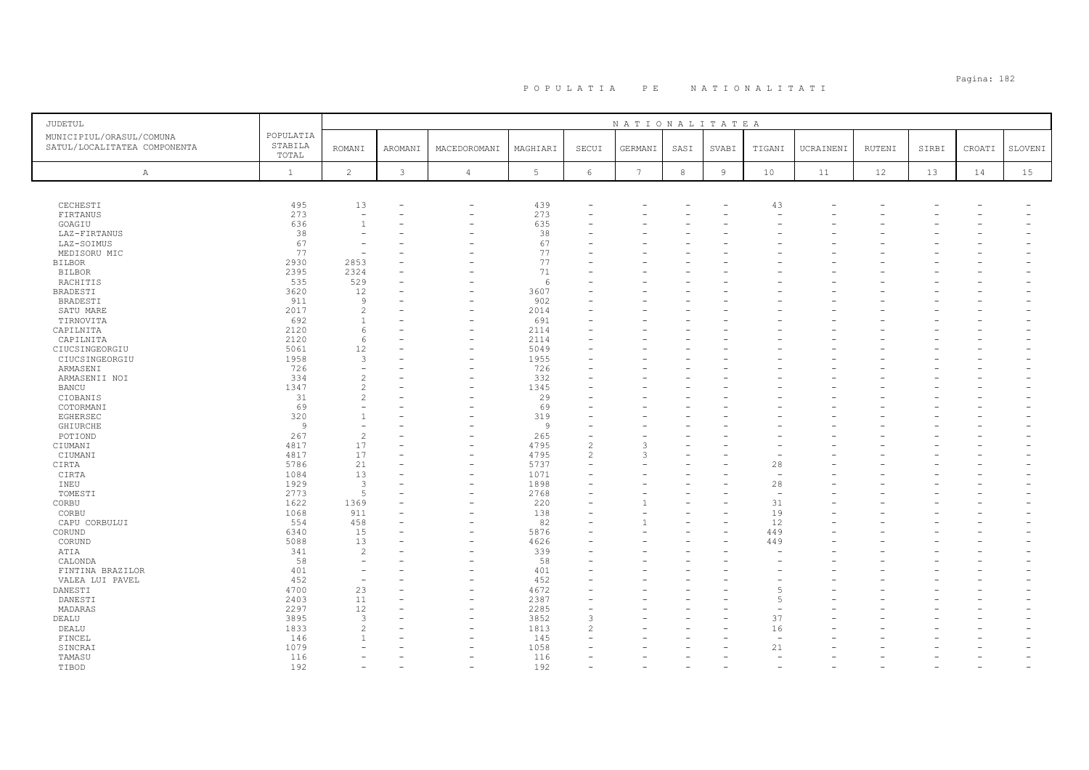| JUDETUL                                                  |                               |                          |         |                          |              |                          | NATIONALITATEA  |            |                |                          |           |        |       |        |         |
|----------------------------------------------------------|-------------------------------|--------------------------|---------|--------------------------|--------------|--------------------------|-----------------|------------|----------------|--------------------------|-----------|--------|-------|--------|---------|
| MUNICIPIUL/ORASUL/COMUNA<br>SATUL/LOCALITATEA COMPONENTA | POPULATIA<br>STABILA<br>TOTAL | <b>ROMANI</b>            | AROMANI | MACEDOROMANI             | MAGHIARI     | SECUI                    | GERMANI         | SASI       | SVABI          | TIGANI                   | UCRAINENI | RUTENI | SIRBI | CROATI | SLOVENI |
| $\mathbb{A}$                                             | $\mathbf{1}$                  | 2                        | 3       | $\overline{4}$           | 5            | 6                        | $7\phantom{.0}$ | $^{\rm 8}$ | $\overline{9}$ | 10                       | 11        | 12     | 13    | 14     | 15      |
|                                                          |                               |                          |         |                          |              |                          |                 |            |                |                          |           |        |       |        |         |
| CECHESTI                                                 | 495                           | 13                       |         | ۰                        | 439          |                          |                 |            |                | 43                       |           |        |       |        |         |
| FIRTANUS                                                 | 273                           | $\equiv$                 |         | $\overline{\phantom{a}}$ | 273          | L.                       |                 |            |                | $\overline{a}$           |           |        |       |        |         |
| GOAGIU                                                   | 636                           | $\overline{1}$           |         |                          | 635          |                          |                 |            |                |                          |           |        |       |        |         |
| LAZ-FIRTANUS                                             | 38                            |                          |         |                          | 38           |                          |                 |            |                |                          |           |        |       |        |         |
| LAZ-SOIMUS                                               | 67                            |                          |         |                          | 67           |                          |                 |            |                |                          |           |        |       |        |         |
| MEDISORU MIC                                             | 77                            | $\overline{\phantom{a}}$ |         |                          | 77           |                          |                 |            |                |                          |           |        |       |        |         |
| <b>BILBOR</b>                                            | 2930                          | 2853                     |         |                          | 77           |                          |                 |            |                |                          |           |        |       |        |         |
| <b>BILBOR</b>                                            | 2395                          | 2324                     |         |                          | 71           |                          |                 |            |                |                          |           |        |       |        |         |
| RACHITIS                                                 | 535                           | 529                      |         |                          | 6            |                          |                 |            |                |                          |           |        |       |        |         |
| BRADESTI                                                 | 3620                          | 12                       |         | L.                       | 3607         |                          |                 |            |                |                          |           |        |       |        |         |
| BRADESTI                                                 | 911                           | 9                        |         |                          | 902          |                          |                 |            |                |                          |           |        |       |        |         |
| SATU MARE                                                | 2017                          | $\overline{2}$           |         |                          | 2014         |                          |                 |            |                |                          |           |        |       |        |         |
| TIRNOVITA                                                | 692                           | $\overline{1}$           |         |                          | 691          |                          |                 |            |                |                          |           |        |       |        |         |
| CAPILNITA                                                | 2120                          | 6                        |         |                          | 2114         |                          |                 |            |                |                          |           |        |       |        |         |
| CAPILNITA                                                | 2120<br>5061                  | 6                        |         | ۰<br>۰                   | 2114<br>5049 |                          |                 |            |                |                          |           |        |       |        |         |
| CIUCSINGEORGIU                                           | 1958                          | 12<br>3                  |         | ۰                        | 1955         |                          |                 |            |                |                          |           |        |       |        |         |
| CIUCSINGEORGIU<br>ARMASENI                               | 726                           | $\overline{\phantom{m}}$ |         | ۰                        | 726          |                          |                 |            |                |                          |           |        |       |        |         |
| ARMASENII NOI                                            | 334                           | $\overline{c}$           |         |                          | 332          |                          |                 |            |                |                          |           |        |       |        |         |
| <b>BANCU</b>                                             | 1347                          | $\mathcal{L}$            |         |                          | 1345         |                          |                 |            |                |                          |           |        |       |        |         |
| CIOBANIS                                                 | 31                            | $\overline{c}$           |         |                          | 29           |                          |                 |            |                |                          |           |        |       |        |         |
| COTORMANI                                                | 69                            |                          |         |                          | 69           |                          |                 |            |                |                          |           |        |       |        |         |
| EGHERSEC                                                 | 320                           | $\mathbf{1}$             |         |                          | 319          |                          |                 |            |                |                          |           |        |       |        |         |
| GHIURCHE                                                 | 9                             | $\overline{\phantom{m}}$ |         |                          | 9            |                          |                 |            |                |                          |           |        |       |        |         |
| POTIOND                                                  | 267                           | $\mathbf{2}$             |         | ۰                        | 265          |                          |                 |            |                |                          |           |        |       |        |         |
| CIUMANI                                                  | 4817                          | 17                       |         | ۰                        | 4795         | $\overline{2}$           | 3               |            |                |                          |           |        |       |        |         |
| CIUMANI                                                  | 4817                          | 17                       |         | $\overline{\phantom{0}}$ | 4795         | $\overline{2}$           | 3               |            |                |                          |           |        |       |        |         |
| CIRTA                                                    | 5786                          | 21                       |         | $\overline{\phantom{a}}$ | 5737         | $\overline{\phantom{a}}$ |                 |            |                | 28                       |           |        |       |        |         |
| CIRTA                                                    | 1084                          | 13                       |         | Ē.                       | 1071         |                          |                 |            |                | $\overline{\phantom{a}}$ |           |        |       |        |         |
| INEU                                                     | 1929                          | 3                        |         |                          | 1898         |                          |                 |            |                | 28                       |           |        |       |        |         |
| TOMESTI                                                  | 2773                          | 5                        |         |                          | 2768         |                          |                 |            |                | $\overline{\phantom{a}}$ |           |        |       |        |         |
| CORBU                                                    | 1622                          | 1369                     |         |                          | 220          |                          |                 |            |                | 31                       |           |        |       |        |         |
| CORBU                                                    | 1068                          | 911                      |         |                          | 138          |                          |                 |            |                | 19                       |           |        |       |        |         |
| CAPU CORBULUI                                            | 554                           | 458                      |         | ۰                        | 82           |                          |                 |            |                | 12                       |           |        |       |        |         |
| CORUND                                                   | 6340                          | 15                       |         | ۰                        | 5876         |                          |                 |            |                | 449                      |           |        |       |        |         |
| CORUND                                                   | 5088                          | 13                       |         | Ē.                       | 4626         |                          |                 |            |                | 449                      |           |        |       |        |         |
| ATIA                                                     | 341                           | $\overline{c}$           |         |                          | 339          |                          |                 |            |                |                          |           |        |       |        |         |
| CALONDA                                                  | 58                            | $\overline{\phantom{m}}$ |         |                          | 58           |                          |                 |            |                |                          |           |        |       |        |         |
| FINTINA BRAZILOR                                         | 401                           | $\equiv$                 |         |                          | 401          |                          |                 |            |                |                          |           |        |       |        |         |
| VALEA LUI PAVEL                                          | 452                           | $\overline{\phantom{a}}$ |         |                          | 452          |                          |                 |            |                |                          |           |        |       |        |         |
| DANESTI                                                  | 4700                          | 23                       |         |                          | 4672         |                          |                 |            |                | -5                       |           |        |       |        |         |
| DANESTI                                                  | 2403                          | 11                       |         | -                        | 2387         |                          |                 |            |                | $\overline{5}$           |           |        |       |        |         |
| MADARAS                                                  | 2297                          | 12                       |         | $\overline{\phantom{0}}$ | 2285         |                          |                 |            |                |                          |           |        |       |        |         |
| DEALU                                                    | 3895                          | 3                        |         |                          | 3852         | 3                        |                 |            |                | 37                       |           |        |       |        |         |
| DEALU                                                    | 1833                          | $\overline{c}$           |         | ۰                        | 1813         | $\overline{2}$           |                 |            |                | 16                       |           |        |       |        |         |
| FINCEL                                                   | 146                           |                          |         |                          | 145          |                          |                 |            |                | $\overline{\phantom{a}}$ |           |        |       |        |         |
| SINCRAI                                                  | 1079                          |                          |         |                          | 1058         |                          |                 |            |                | 21                       |           |        |       |        |         |
| TAMASU                                                   | 116                           |                          |         |                          | 116          |                          |                 |            |                |                          |           |        |       |        |         |
| TIBOD                                                    | 192                           |                          |         |                          | 192          |                          |                 |            |                |                          |           |        |       |        |         |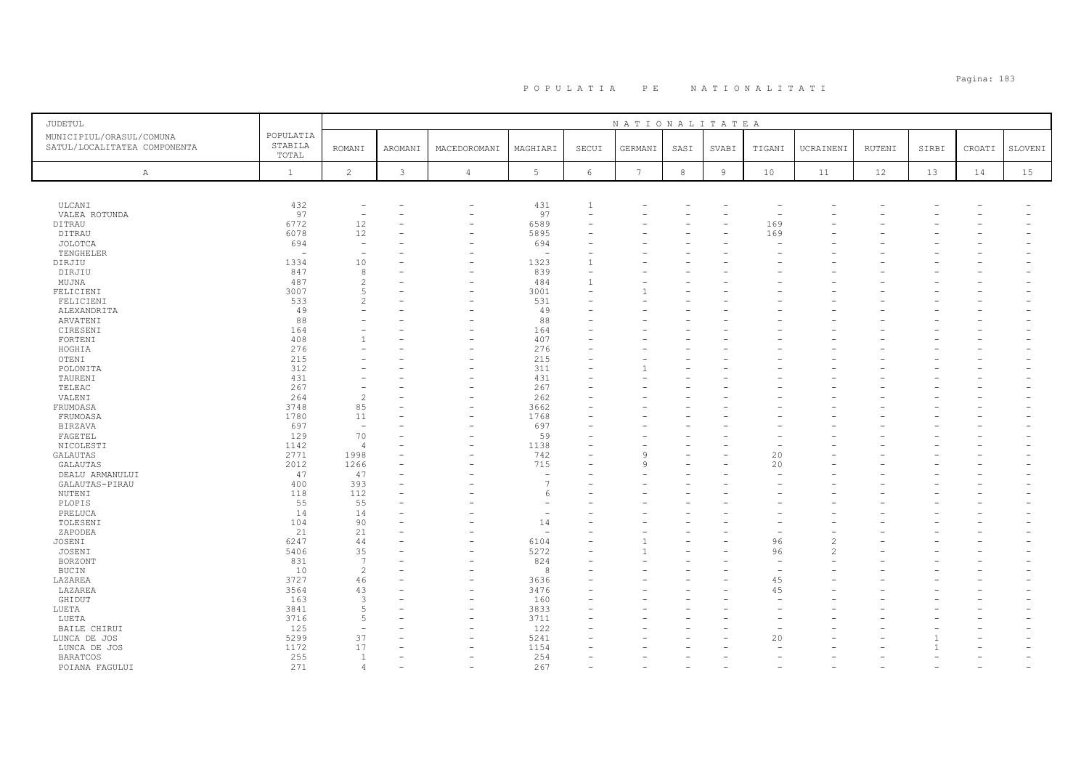| <b>JUDETUL</b>                                           |                               |                                  |              |                          |                          |                          | NATIONALITATEA  |      |                |        |                |        |       |        |         |
|----------------------------------------------------------|-------------------------------|----------------------------------|--------------|--------------------------|--------------------------|--------------------------|-----------------|------|----------------|--------|----------------|--------|-------|--------|---------|
| MUNICIPIUL/ORASUL/COMUNA<br>SATUL/LOCALITATEA COMPONENTA | POPULATIA<br>STABILA<br>TOTAL | <b>ROMANI</b>                    | AROMANI      | MACEDOROMANI             | MAGHIARI                 | SECUI                    | GERMANI         | SASI | SVABI          | TIGANI | UCRAINENI      | RUTENI | SIRBI | CROATI | SLOVENI |
| $\mathbb{A}$                                             | $\mathbf{1}$                  | $\overline{2}$                   | $\mathbf{3}$ | $\overline{4}$           | $5\phantom{.0}$          | $\epsilon$               | $7\phantom{.0}$ | 8    | $\overline{9}$ | 10     | 11             | 12     | 13    | 14     | 15      |
|                                                          |                               |                                  |              |                          |                          |                          |                 |      |                |        |                |        |       |        |         |
| ULCANI                                                   | 432                           | $\overline{\phantom{m}}$         |              | -                        | 431                      | $\mathbf{1}$             |                 |      |                |        |                |        |       |        |         |
| VALEA ROTUNDA                                            | 97                            | $\equiv$                         |              | ۰                        | 97                       | $\overline{\phantom{a}}$ |                 |      |                |        |                |        |       |        |         |
| DITRAU                                                   | 6772                          | 12                               |              |                          | 6589                     |                          |                 |      |                | 169    |                |        |       |        |         |
| DITRAU                                                   | 6078                          | 12                               |              | Ē.                       | 5895                     |                          |                 |      |                | 169    |                |        |       |        |         |
| JOLOTCA                                                  | 694                           | $\overline{\phantom{m}}$         |              |                          | 694                      |                          |                 |      |                |        |                |        |       |        |         |
| TENGHELER                                                | $\overline{\phantom{a}}$      | $\overline{\phantom{a}}$         |              |                          | $\overline{\phantom{a}}$ |                          |                 |      |                |        |                |        |       |        |         |
| DIRJIU                                                   | 1334                          | 10                               |              |                          | 1323                     | $\mathbf{1}$             |                 |      |                |        |                |        |       |        |         |
| DIRJIU                                                   | 847                           | 8                                |              |                          | 839                      | ÷<br>$\mathbf{1}$        |                 |      |                |        |                |        |       |        |         |
| MUJNA<br>FELICIENI                                       | 487<br>3007                   | $\overline{c}$<br>$\overline{5}$ |              | $\overline{\phantom{0}}$ | 484<br>3001              | $\overline{\phantom{a}}$ |                 |      |                |        |                |        |       |        |         |
| FELICIENI                                                | 533                           | $\overline{c}$                   |              |                          | 531                      |                          |                 |      |                |        |                |        |       |        |         |
| ALEXANDRITA                                              | 49                            |                                  |              |                          | 49                       |                          |                 |      |                |        |                |        |       |        |         |
| ARVATENI                                                 | 88                            |                                  |              |                          | 88                       |                          |                 |      |                |        |                |        |       |        |         |
| CIRESENI                                                 | 164                           |                                  |              |                          | 164                      |                          |                 |      |                |        |                |        |       |        |         |
| FORTENI                                                  | 408                           |                                  |              | ÷                        | 407                      |                          |                 |      |                |        |                |        |       |        |         |
| HOGHIA                                                   | 276                           |                                  |              |                          | 276                      |                          |                 |      |                |        |                |        |       |        |         |
| OTENI                                                    | 215                           |                                  |              |                          | 215                      |                          |                 |      |                |        |                |        |       |        |         |
| POLONITA                                                 | 312                           |                                  |              |                          | 311                      |                          |                 |      |                |        |                |        |       |        |         |
| TAURENI                                                  | 431                           |                                  |              | L.                       | 431                      |                          |                 |      |                |        |                |        |       |        |         |
| TELEAC                                                   | 267                           |                                  |              |                          | 267                      |                          |                 |      |                |        |                |        |       |        |         |
| VALENI                                                   | 264                           | $\overline{c}$                   |              |                          | 262                      |                          |                 |      |                |        |                |        |       |        |         |
| FRUMOASA                                                 | 3748                          | 85                               |              |                          | 3662                     |                          |                 |      |                |        |                |        |       |        |         |
| FRUMOASA                                                 | 1780                          | 11                               |              | ۰                        | 1768                     |                          |                 |      |                |        |                |        |       |        |         |
| <b>BIRZAVA</b>                                           | 697                           | $\overline{\phantom{a}}$         |              |                          | 697                      |                          |                 |      |                |        |                |        |       |        |         |
| FAGETEL                                                  | 129                           | 70                               |              | ÷                        | 59                       |                          |                 |      |                |        |                |        |       |        |         |
| NICOLESTI                                                | 1142                          | $\overline{4}$                   |              |                          | 1138                     |                          |                 |      |                |        |                |        |       |        |         |
| <b>GALAUTAS</b>                                          | 2771                          | 1998                             |              |                          | 742                      |                          | $\alpha$        |      |                | 20     |                |        |       |        |         |
| GALAUTAS                                                 | 2012                          | 1266                             |              |                          | 715                      |                          | 9               |      |                | 20     |                |        |       |        |         |
| DEALU ARMANULUI                                          | 47                            | 47                               |              |                          | ÷.                       |                          |                 |      |                |        |                |        |       |        |         |
| GALAUTAS-PIRAU                                           | 400                           | 393                              |              |                          | $\overline{7}$           |                          |                 |      |                |        |                |        |       |        |         |
| NUTENI                                                   | 118                           | 112                              |              |                          | -6                       |                          |                 |      |                |        |                |        |       |        |         |
| PLOPIS                                                   | 55                            | 55                               |              |                          | ۰                        |                          |                 |      |                |        |                |        |       |        |         |
| PRELUCA                                                  | 14                            | 14                               |              |                          |                          |                          |                 |      |                |        |                |        |       |        |         |
| TOLESENI                                                 | 104                           | 90<br>21                         |              |                          | 14<br>۰                  |                          |                 |      |                |        |                |        |       |        |         |
| ZAPODEA                                                  | 21<br>6247                    | 44                               |              |                          | 6104                     |                          |                 |      |                | 96     | $\overline{c}$ |        |       |        |         |
| JOSENI<br>JOSENI                                         | 5406                          | 35                               |              | ÷                        | 5272                     |                          |                 |      |                | 96     | $\mathcal{P}$  |        |       |        |         |
| <b>BORZONT</b>                                           | 831                           | $\overline{7}$                   |              |                          | 824                      |                          |                 |      |                |        |                |        |       |        |         |
| <b>BUCIN</b>                                             | 10                            | $\overline{c}$                   |              | ۰                        | 8                        |                          |                 |      |                |        |                |        |       |        |         |
| LAZAREA                                                  | 3727                          | 46                               |              | ۰                        | 3636                     |                          |                 |      |                | 45     |                |        |       |        |         |
| LAZAREA                                                  | 3564                          | 43                               |              | ۰                        | 3476                     |                          |                 |      |                | 45     |                |        |       |        |         |
| GHIDUT                                                   | 163                           | 3                                |              |                          | 160                      |                          |                 |      |                |        |                |        |       |        |         |
| LUETA                                                    | 3841                          | 5                                |              |                          | 3833                     |                          |                 |      |                |        |                |        |       |        |         |
| LUETA                                                    | 3716                          | 5                                |              |                          | 3711                     |                          |                 |      |                |        |                |        |       |        |         |
| BAILE CHIRUI                                             | 125                           | $\overline{\phantom{a}}$         |              |                          | 122                      |                          |                 |      |                |        |                |        |       |        |         |
| LUNCA DE JOS                                             | 5299                          | 37                               |              |                          | 5241                     |                          |                 |      |                | 20     |                |        |       |        |         |
| LUNCA DE JOS                                             | 1172                          | 17                               |              |                          | 1154                     |                          |                 |      |                |        |                |        |       |        |         |
| <b>BARATCOS</b>                                          | 255                           | <sup>1</sup>                     |              | ۰                        | 254                      |                          |                 |      |                |        |                |        |       |        |         |
| POIANA FAGULUI                                           | 271                           | $\overline{4}$                   |              | $\overline{\phantom{0}}$ | 267                      |                          |                 |      |                |        |                |        |       |        |         |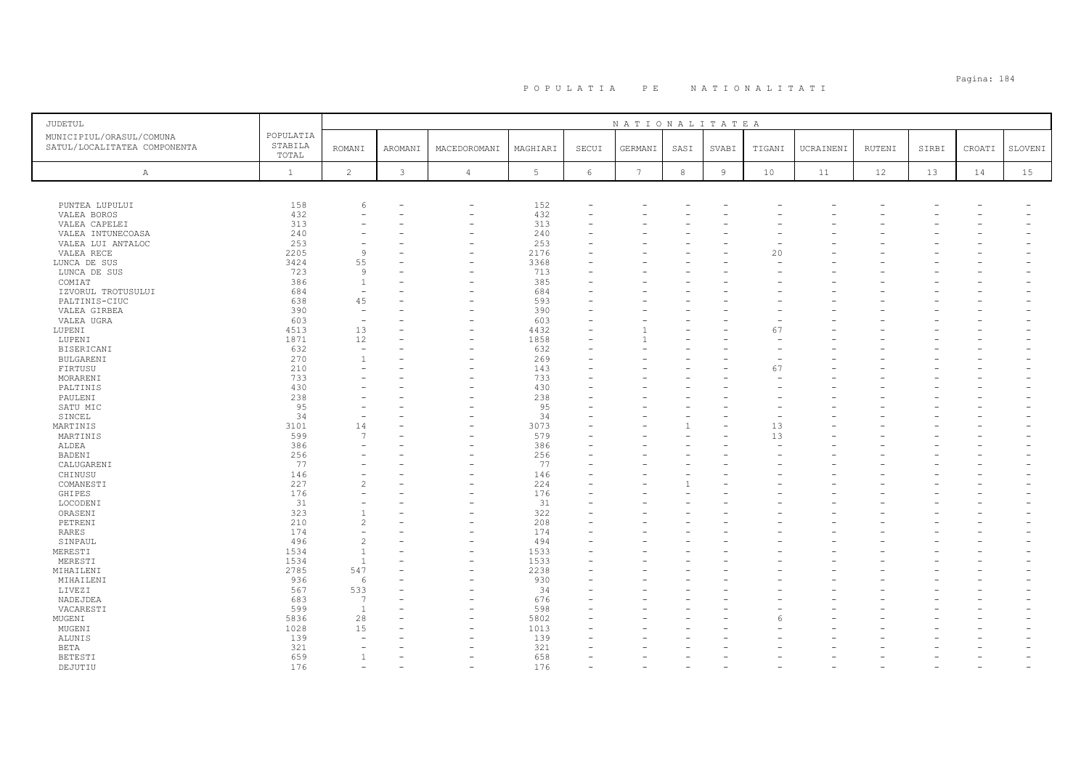| JUDETUL                                                  |                               |                          |                |                          |                 |       | NATIONALITATEA  |            |                |        |           |        |       |        |         |
|----------------------------------------------------------|-------------------------------|--------------------------|----------------|--------------------------|-----------------|-------|-----------------|------------|----------------|--------|-----------|--------|-------|--------|---------|
| MUNICIPIUL/ORASUL/COMUNA<br>SATUL/LOCALITATEA COMPONENTA | POPULATIA<br>STABILA<br>TOTAL | <b>ROMANI</b>            | AROMANI        | MACEDOROMANI             | MAGHIARI        | SECUI | GERMANI         | SASI       | SVABI          | TIGANI | UCRAINENI | RUTENI | SIRBI | CROATI | SLOVENI |
| $\, {\bf A}$                                             | $\mathbf{1}$                  | $\overline{c}$           | $\mathfrak{Z}$ | $\overline{4}$           | $5\phantom{.0}$ | 6     | $7\overline{ }$ | $^{\rm 8}$ | $\overline{9}$ | 10     | 11        | 12     | 13    | 14     | 15      |
|                                                          |                               |                          |                |                          |                 |       |                 |            |                |        |           |        |       |        |         |
| PUNTEA LUPULUI                                           | 158                           | 6                        |                | $\overline{\phantom{m}}$ | 152             |       |                 |            |                |        |           |        |       |        |         |
| VALEA BOROS                                              | 432                           |                          |                | $\overline{\phantom{0}}$ | 432             |       |                 |            |                |        |           |        |       |        |         |
| VALEA CAPELEI                                            | 313                           |                          |                | $\overline{\phantom{0}}$ | 313             |       |                 |            |                |        |           |        |       |        |         |
| VALEA INTUNECOASA                                        | 240                           |                          |                |                          | 240             |       |                 |            |                |        |           |        |       |        |         |
| VALEA LUI ANTALOC                                        | 253                           |                          |                |                          | 253             |       |                 |            |                |        |           |        |       |        |         |
| VALEA RECE                                               | 2205                          | 9                        |                |                          | 2176            |       |                 |            |                | 20     |           |        |       |        |         |
| LUNCA DE SUS                                             | 3424                          | 55                       |                |                          | 3368            |       |                 |            |                |        |           |        |       |        |         |
| LUNCA DE SUS                                             | 723                           | -9                       |                |                          | 713             |       |                 |            |                |        |           |        |       |        |         |
| COMIAT                                                   | 386                           | 1                        |                |                          | 385             |       |                 |            |                |        |           |        |       |        |         |
| IZVORUL TROTUSULUI                                       | 684                           | $\overline{\phantom{m}}$ |                |                          | 684             |       |                 |            |                |        |           |        |       |        |         |
| PALTINIS-CIUC                                            | 638                           | 45                       |                |                          | 593             |       |                 |            |                |        |           |        |       |        |         |
| VALEA GIRBEA                                             | 390                           | $\equiv$                 |                |                          | 390             |       |                 |            |                |        |           |        |       |        |         |
| VALEA UGRA                                               | 603                           | $\overline{\phantom{0}}$ | -              |                          | 603             |       |                 |            |                |        |           |        |       |        |         |
| LUPENI                                                   | 4513                          | 13                       |                |                          | 4432            |       |                 |            |                | 67     |           |        |       |        |         |
| LUPENI                                                   | 1871                          | 12                       |                | $\equiv$                 | 1858            |       |                 |            |                |        |           |        |       |        |         |
| BISERICANI                                               | 632                           | $\sim$                   |                |                          | 632             |       |                 |            |                |        |           |        |       |        |         |
| BULGARENI                                                | 270                           | $\mathbf{1}$             |                |                          | 269             |       |                 |            |                |        |           |        |       |        |         |
| FIRTUSU                                                  | 210                           |                          |                |                          | 143             |       |                 |            |                | 67     |           |        |       |        |         |
| MORARENI                                                 | 733                           |                          |                |                          | 733             |       |                 |            |                |        |           |        |       |        |         |
| PALTINIS                                                 | 430                           |                          |                |                          | 430             |       |                 |            |                |        |           |        |       |        |         |
| PAULENI                                                  | 238                           |                          |                |                          | 238             |       |                 |            |                |        |           |        |       |        |         |
| SATU MIC                                                 | 95                            |                          |                |                          | 95              |       |                 |            |                |        |           |        |       |        |         |
| SINCEL                                                   | 34                            |                          |                |                          | 34              |       |                 |            |                |        |           |        |       |        |         |
| MARTINIS                                                 | 3101                          | 14                       |                |                          | 3073            |       |                 |            |                | 13     |           |        |       |        |         |
| MARTINIS                                                 | 599                           | 7                        |                |                          | 579             |       |                 |            |                | 13     |           |        |       |        |         |
| ALDEA                                                    | 386                           |                          |                |                          | 386             |       |                 |            |                |        |           |        |       |        |         |
| <b>BADENI</b>                                            | 256                           |                          |                |                          | 256             |       |                 |            |                |        |           |        |       |        |         |
| CALUGARENI                                               | 77                            |                          |                |                          | 77              |       |                 |            |                |        |           |        |       |        |         |
| CHINUSU                                                  | 146                           |                          |                |                          | 146             |       |                 |            |                |        |           |        |       |        |         |
| COMANESTI                                                | 227                           | $\overline{c}$           |                |                          | 224             |       |                 |            |                |        |           |        |       |        |         |
| GHIPES                                                   | 176                           |                          |                |                          | 176             |       |                 |            |                |        |           |        |       |        |         |
| LOCODENI                                                 | 31                            |                          |                |                          | 31              |       |                 |            |                |        |           |        |       |        |         |
| ORASENI                                                  | 323                           | $\mathbf{1}$             |                |                          | 322             |       |                 |            |                |        |           |        |       |        |         |
| PETRENI                                                  | 210                           | $\overline{c}$           |                |                          | 208             |       |                 |            |                |        |           |        |       |        |         |
| RARES                                                    | 174                           |                          |                |                          | 174             |       |                 |            |                |        |           |        |       |        |         |
| SINPAUL                                                  | 496                           | $\overline{c}$           |                |                          | 494             |       |                 |            |                |        |           |        |       |        |         |
| MERESTI                                                  | 1534                          | $\overline{1}$           |                |                          | 1533            |       |                 |            |                |        |           |        |       |        |         |
| MERESTI                                                  | 1534                          | $\overline{1}$           |                |                          | 1533            |       |                 |            |                |        |           |        |       |        |         |
| MIHAILENI                                                | 2785                          | 547                      |                |                          | 2238            |       |                 |            |                |        |           |        |       |        |         |
| MIHAILENI                                                | 936                           | 6                        |                |                          | 930             |       |                 |            |                |        |           |        |       |        |         |
| LIVEZI                                                   | 567                           | 533                      |                |                          | 34              |       |                 |            |                |        |           |        |       |        |         |
| NADEJDEA                                                 | 683                           | 7                        |                |                          | 676             |       |                 |            |                |        |           |        |       |        |         |
| VACARESTI                                                | 599                           | <sup>1</sup>             |                |                          | 598             |       |                 |            |                |        |           |        |       |        |         |
| MUGENI                                                   | 5836                          | 28                       |                |                          | 5802            |       |                 |            |                |        |           |        |       |        |         |
| MUGENI                                                   | 1028                          | 15                       |                |                          | 1013            |       |                 |            |                |        |           |        |       |        |         |
| ALUNIS                                                   | 139                           | ۰                        |                |                          | 139             |       |                 |            |                |        |           |        |       |        |         |
| <b>BETA</b>                                              | 321                           |                          |                |                          | 321             |       |                 |            |                |        |           |        |       |        |         |
| <b>BETESTI</b>                                           | 659                           | -1                       |                |                          | 658             |       |                 |            |                |        |           |        |       |        |         |
| DEJUTIU                                                  | 176                           |                          |                |                          | 176             |       |                 |            |                |        |           |        |       |        |         |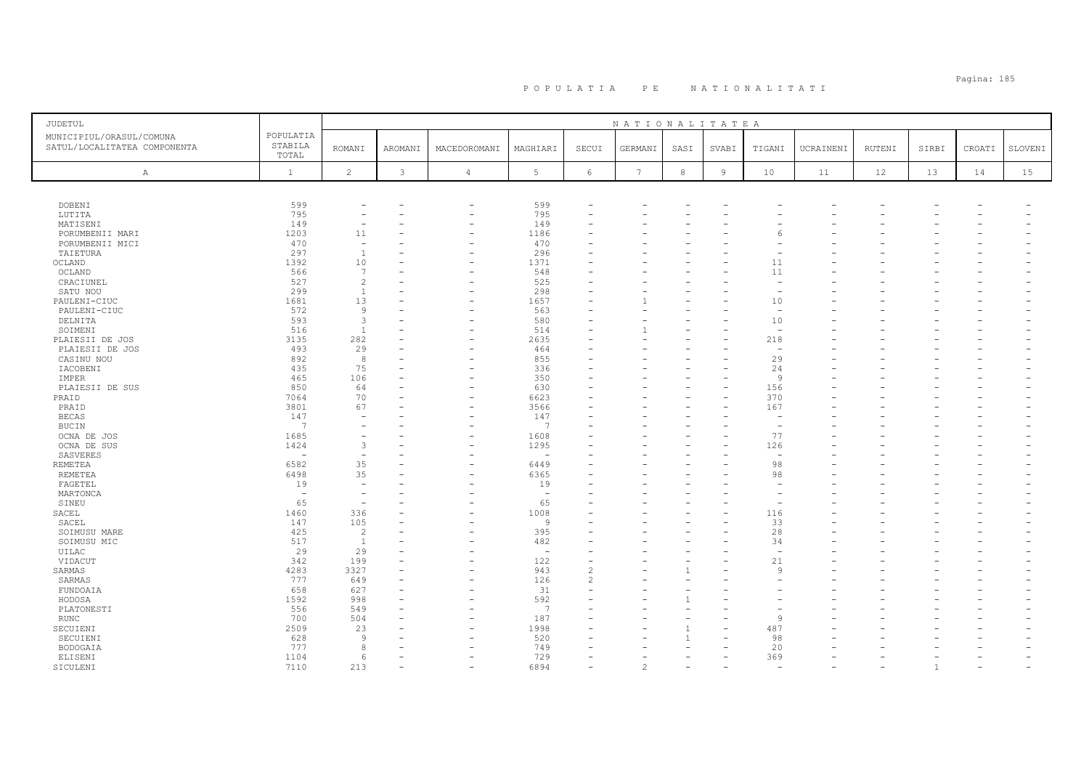# Pagina: 185 P O P U L A T I A P E N A T I O N A L I T A T I

| JUDETUL                                                  |                               |                          |                |                          |                          |                          | NATIONALITATEA  |            |                |                          |           |        |       |        |         |
|----------------------------------------------------------|-------------------------------|--------------------------|----------------|--------------------------|--------------------------|--------------------------|-----------------|------------|----------------|--------------------------|-----------|--------|-------|--------|---------|
| MUNICIPIUL/ORASUL/COMUNA<br>SATUL/LOCALITATEA COMPONENTA | POPULATIA<br>STABILA<br>TOTAL | <b>ROMANI</b>            | <b>AROMANI</b> | MACEDOROMANI             | MAGHIARI                 | SECUI                    | GERMANI         | SASI       | SVABI          | TIGANI                   | UCRAINENI | RUTENI | SIRBI | CROATI | SLOVENI |
| Α                                                        | $\mathbf{1}$                  | $\overline{c}$           | $\mathbf{3}$   | $\overline{4}$           | 5                        | $6\phantom{.}6$          | $7\phantom{.0}$ | $^{\rm 8}$ | $\overline{9}$ | 10                       | 11        | 12     | 13    | 14     | 15      |
|                                                          |                               |                          |                |                          |                          |                          |                 |            |                |                          |           |        |       |        |         |
| DOBENI                                                   | 599                           |                          |                | -                        | 599                      |                          |                 |            |                |                          |           |        |       |        |         |
| LUTITA                                                   | 795                           |                          |                |                          | 795                      |                          |                 |            |                |                          |           |        |       |        |         |
| MATISENI                                                 | 149                           |                          |                | ۰                        | 149                      |                          |                 |            |                |                          |           |        |       |        |         |
| PORUMBENII MARI                                          | 1203                          | 11                       |                | ÷                        | 1186                     |                          |                 |            |                |                          |           |        |       |        |         |
| PORUMBENII MICI                                          | 470                           | $\overline{\phantom{a}}$ |                |                          | 470                      |                          |                 |            |                |                          |           |        |       |        |         |
| TAIETURA                                                 | 297                           | $\overline{1}$           |                |                          | 296                      |                          |                 |            |                |                          |           |        |       |        |         |
| OCLAND                                                   | 1392                          | 10                       |                | Ē,                       | 1371                     |                          |                 |            |                | 11                       |           |        |       |        |         |
| OCLAND                                                   | 566                           | 7                        |                |                          | 548                      |                          |                 |            |                | 11                       |           |        |       |        |         |
| CRACIUNEL                                                | 527                           | $\overline{c}$           |                |                          | 525                      |                          |                 |            |                |                          |           |        |       |        |         |
| SATU NOU                                                 | 299                           | $\overline{1}$           |                | ۰                        | 298                      |                          |                 |            |                | $\overline{\phantom{a}}$ |           |        |       |        |         |
| PAULENI-CIUC                                             | 1681                          | 13                       |                |                          | 1657                     |                          |                 |            |                | 10                       |           |        |       |        |         |
| PAULENI-CIUC                                             | 572                           | $\overline{9}$           |                |                          | 563                      |                          |                 |            |                | $\overline{a}$           |           |        |       |        |         |
| DELNITA                                                  | 593<br>516                    | 3<br>$\overline{1}$      |                | ÷                        | 580<br>514               |                          |                 |            |                | 10<br>$\sim$             |           |        |       |        |         |
| SOIMENI                                                  | 3135                          | 282                      |                |                          | 2635                     |                          |                 |            |                | 218                      |           |        |       |        |         |
| PLAIESII DE JOS<br>PLAIESII DE JOS                       | 493                           | 29                       |                |                          | 464                      |                          |                 |            |                |                          |           |        |       |        |         |
|                                                          | 892                           | 8                        |                |                          | 855                      |                          |                 |            |                | 29                       |           |        |       |        |         |
| CASINU NOU<br>IACOBENI                                   | 435                           | 75                       |                |                          | 336                      |                          |                 |            |                | 24                       |           |        |       |        |         |
| IMPER                                                    | 465                           | 106                      |                |                          | 350                      |                          |                 |            |                | -9                       |           |        |       |        |         |
| PLAIESII DE SUS                                          | 850                           | 64                       |                |                          | 630                      |                          |                 |            |                | 156                      |           |        |       |        |         |
| PRAID                                                    | 7064                          | 70                       |                | $\overline{\phantom{0}}$ | 6623                     |                          |                 |            |                | 370                      |           |        |       |        |         |
| PRAID                                                    | 3801                          | 67                       |                |                          | 3566                     |                          |                 |            |                | 167                      |           |        |       |        |         |
| <b>BECAS</b>                                             | 147                           |                          |                |                          | 147                      |                          |                 |            |                | $\overline{\phantom{0}}$ |           |        |       |        |         |
| <b>BUCIN</b>                                             | $\overline{7}$                |                          |                |                          | 7                        |                          |                 |            |                | $\overline{a}$           |           |        |       |        |         |
| OCNA DE JOS                                              | 1685                          |                          |                |                          | 1608                     |                          |                 |            |                | 77                       |           |        |       |        |         |
| OCNA DE SUS                                              | 1424                          | 3                        |                |                          | 1295                     |                          |                 |            |                | 126                      |           |        |       |        |         |
| SASVERES                                                 | $\sim$                        | $\overline{\phantom{0}}$ |                |                          | $\overline{a}$           |                          |                 |            |                |                          |           |        |       |        |         |
| <b>REMETEA</b>                                           | 6582                          | 35                       |                |                          | 6449                     |                          |                 |            |                | 98                       |           |        |       |        |         |
| REMETEA                                                  | 6498                          | 35                       |                |                          | 6365                     |                          |                 |            |                | 98                       |           |        |       |        |         |
| FAGETEL                                                  | 19                            | $\overline{\phantom{a}}$ |                |                          | 19                       |                          |                 |            |                |                          |           |        |       |        |         |
| MARTONCA                                                 | $\overline{\phantom{a}}$      | $\overline{\phantom{0}}$ |                |                          | ÷.                       |                          |                 |            |                |                          |           |        |       |        |         |
| SINEU                                                    | 65                            | $\overline{\phantom{a}}$ |                |                          | 65                       |                          |                 |            |                |                          |           |        |       |        |         |
| SACEL                                                    | 1460                          | 336                      |                |                          | 1008                     |                          |                 |            |                | 116                      |           |        |       |        |         |
| SACEL                                                    | 147                           | 105                      |                |                          | 9                        |                          |                 |            |                | 33                       |           |        |       |        |         |
| SOIMUSU MARE                                             | 425                           | $\overline{c}$           |                |                          | 395                      |                          |                 |            |                | 28                       |           |        |       |        |         |
| SOIMUSU MIC                                              | 517                           | $\mathbf{1}$             |                |                          | 482                      |                          |                 |            |                | 34                       |           |        |       |        |         |
| UILAC                                                    | 29                            | 29                       |                |                          | $\overline{\phantom{a}}$ |                          |                 |            |                | $\overline{\phantom{0}}$ |           |        |       |        |         |
| VIDACUT                                                  | 342                           | 199                      |                |                          | 122                      |                          |                 |            |                | 21                       |           |        |       |        |         |
| SARMAS                                                   | 4283                          | 3327                     |                |                          | 943                      | $\overline{\mathcal{L}}$ |                 |            |                | 9                        |           |        |       |        |         |
| SARMAS                                                   | 777                           | 649                      |                |                          | 126                      | $\overline{\mathcal{L}}$ |                 |            |                |                          |           |        |       |        |         |
| FUNDOAIA                                                 | 658                           | 627                      |                |                          | 31                       |                          |                 |            |                |                          |           |        |       |        |         |
| HODOSA                                                   | 1592                          | 998                      |                |                          | 592                      |                          |                 |            |                |                          |           |        |       |        |         |
| PLATONESTI                                               | 556                           | 549                      |                |                          | $\overline{7}$           |                          |                 |            |                |                          |           |        |       |        |         |
| <b>RUNC</b>                                              | 700                           | 504                      |                |                          | 187                      |                          |                 |            |                | $\circ$                  |           |        |       |        |         |
| SECUIENI                                                 | 2509                          | 23                       |                |                          | 1998                     |                          |                 |            |                | 487                      |           |        |       |        |         |
| SECUIENI                                                 | 628<br>777                    | 9<br>8                   |                |                          | 520                      |                          |                 |            |                | 98                       |           |        |       |        |         |
| BODOGAIA                                                 |                               |                          |                |                          | 749<br>729               |                          |                 |            |                | 20                       |           |        |       |        |         |
| ELISENI                                                  | 1104<br>7110                  | 6<br>213                 |                |                          | 6894                     |                          | $\mathfrak{D}$  |            |                | 369                      |           |        |       |        |         |
| SICULENI                                                 |                               |                          |                |                          |                          |                          |                 |            |                |                          |           |        |       |        |         |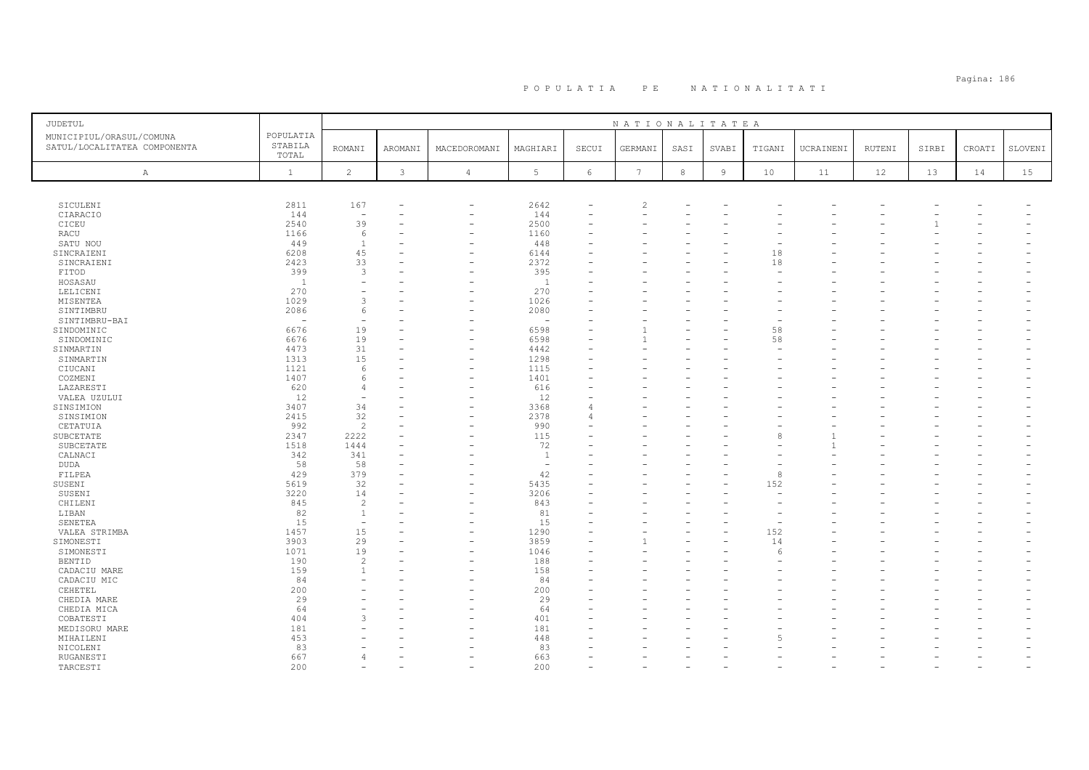# Pagina: 186 P O P U L A T I A P E N A T I O N A L I T A T I

| JUDETUL                      |                          |                          |         |                          |                          |          | NATIONALITATEA |      |                |        |           |        |       |        |         |
|------------------------------|--------------------------|--------------------------|---------|--------------------------|--------------------------|----------|----------------|------|----------------|--------|-----------|--------|-------|--------|---------|
| MUNICIPIUL/ORASUL/COMUNA     | POPULATIA                |                          |         |                          |                          |          |                |      |                |        |           |        |       |        |         |
| SATUL/LOCALITATEA COMPONENTA | STABILA                  | <b>ROMANI</b>            | AROMANI | MACEDOROMANI             | MAGHIARI                 | SECUI    | GERMANI        | SASI | SVABI          | TIGANI | UCRAINENI | RUTENI | SIRBI | CROATI | SLOVENI |
|                              | TOTAL                    |                          |         |                          |                          |          |                |      |                |        |           |        |       |        |         |
| A                            | <sup>1</sup>             | 2                        | 3       | $\overline{4}$           | 5                        | 6        | 7              | 8    | $\overline{9}$ | 10     | 11        | 12     | 13    | 14     | 15      |
|                              |                          |                          |         |                          |                          |          |                |      |                |        |           |        |       |        |         |
| SICULENI                     | 2811                     | 167                      |         | L.                       | 2642                     |          | $\overline{c}$ |      |                |        |           |        |       |        |         |
| CIARACIO                     | 144                      | $\overline{\phantom{0}}$ |         |                          | 144                      | $\equiv$ |                |      |                |        |           |        |       |        |         |
| CICEU                        | 2540                     | 39                       |         |                          | 2500                     |          |                |      |                |        |           |        |       |        |         |
| RACU                         | 1166                     | 6                        |         |                          | 1160                     |          |                |      |                |        |           |        |       |        |         |
| SATU NOU                     | 449                      | <sup>1</sup>             |         |                          | 448                      |          |                |      |                |        |           |        |       |        |         |
| SINCRAIENI                   | 6208                     | 45                       |         | $\equiv$                 | 6144                     |          |                |      |                | 18     |           |        |       |        |         |
| SINCRAIENI                   | 2423                     | 33                       |         | $\overline{\phantom{a}}$ | 2372                     |          |                |      |                | 18     |           |        |       |        |         |
| FITOD                        | 399                      | 3                        |         |                          | 395                      |          |                |      |                |        |           |        |       |        |         |
| HOSASAU                      | $\overline{1}$           | $\sim$                   |         |                          | $\overline{1}$           |          |                |      |                |        |           |        |       |        |         |
| LELICENI                     | 270                      |                          |         |                          | 270                      |          |                |      |                |        |           |        |       |        |         |
| MISENTEA                     | 1029                     | 3                        |         |                          | 1026                     |          |                |      |                |        |           |        |       |        |         |
| SINTIMBRU                    | 2086                     | 6                        |         |                          | 2080                     |          |                |      |                |        |           |        |       |        |         |
| SINTIMBRU-BAI                | $\overline{\phantom{a}}$ | $\overline{\phantom{a}}$ |         |                          | $\overline{\phantom{a}}$ |          |                |      |                |        |           |        |       |        |         |
| SINDOMINIC                   | 6676                     | 19                       |         | $\overline{\phantom{a}}$ | 6598                     |          |                |      |                | 58     |           |        |       |        |         |
| SINDOMINIC                   | 6676                     | 19                       |         |                          | 6598                     |          |                |      |                | 58     |           |        |       |        |         |
| SINMARTIN                    | 4473                     | 31                       |         | $\overline{\phantom{0}}$ | 4442                     |          |                |      |                |        |           |        |       |        |         |
| SINMARTIN                    | 1313                     | 15                       |         |                          | 1298                     |          |                |      |                |        |           |        |       |        |         |
| CIUCANI<br>COZMENI           | 1121<br>1407             | 6<br>6                   |         |                          | 1115<br>1401             |          |                |      |                |        |           |        |       |        |         |
| LAZARESTI                    | 620                      | $\overline{4}$           |         |                          | 616                      |          |                |      |                |        |           |        |       |        |         |
| VALEA UZULUI                 | 12                       | $\sim$                   |         |                          | 12                       |          |                |      |                |        |           |        |       |        |         |
| SINSIMION                    | 3407                     | 34                       |         |                          | 3368                     |          |                |      |                |        |           |        |       |        |         |
| SINSIMION                    | 2415                     | 32                       |         | -                        | 2378                     |          |                |      |                |        |           |        |       |        |         |
| CETATUIA                     | 992                      | 2                        |         |                          | 990                      |          |                |      |                |        |           |        |       |        |         |
| SUBCETATE                    | 2347                     | 2222                     |         |                          | 115                      |          |                |      |                | 8      |           |        |       |        |         |
| SUBCETATE                    | 1518                     | 1444                     |         |                          | 72                       |          |                |      |                |        |           |        |       |        |         |
| CALNACI                      | 342                      | 341                      |         |                          | $\mathbf{1}$             |          |                |      |                |        |           |        |       |        |         |
| DUDA                         | 58                       | 58                       |         |                          | $\overline{\phantom{a}}$ |          |                |      |                |        |           |        |       |        |         |
| FILPEA                       | 429                      | 379                      |         |                          | 42                       |          |                |      |                | 8      |           |        |       |        |         |
| SUSENI                       | 5619                     | 32                       |         |                          | 5435                     |          |                |      |                | 152    |           |        |       |        |         |
| SUSENI                       | 3220                     | 14                       |         | $\overline{\phantom{0}}$ | 3206                     |          |                |      |                |        |           |        |       |        |         |
| CHILENI                      | 845                      | $\overline{c}$           |         |                          | 843                      |          |                |      |                |        |           |        |       |        |         |
| LIBAN                        | 82                       | $\overline{1}$           |         |                          | 81                       |          |                |      |                |        |           |        |       |        |         |
| SENETEA                      | 15                       | $\overline{\phantom{a}}$ |         |                          | 15                       |          |                |      |                |        |           |        |       |        |         |
| VALEA STRIMBA                | 1457                     | 15                       |         |                          | 1290                     |          |                |      |                | 152    |           |        |       |        |         |
| SIMONESTI                    | 3903                     | 29                       |         |                          | 3859                     |          |                |      |                | 14     |           |        |       |        |         |
| SIMONESTI                    | 1071                     | 19                       |         |                          | 1046                     |          |                |      |                | 6      |           |        |       |        |         |
| <b>BENTID</b>                | 190                      | $\overline{c}$           |         |                          | 188                      |          |                |      |                |        |           |        |       |        |         |
| CADACIU MARE                 | 159                      | $\overline{1}$           |         |                          | 158                      |          |                |      |                |        |           |        |       |        |         |
| CADACIU MIC                  | 84                       |                          |         |                          | 84                       |          |                |      |                |        |           |        |       |        |         |
| CEHETEL                      | 200                      |                          |         |                          | 200                      |          |                |      |                |        |           |        |       |        |         |
| CHEDIA MARE                  | 29                       |                          |         |                          | 29                       |          |                |      |                |        |           |        |       |        |         |
| CHEDIA MICA                  | 64                       |                          |         |                          | 64                       |          |                |      |                |        |           |        |       |        |         |
| COBATESTI                    | 404                      | 3                        |         |                          | 401                      |          |                |      |                |        |           |        |       |        |         |
| MEDISORU MARE                | 181                      |                          |         |                          | 181                      |          |                |      |                |        |           |        |       |        |         |
| MIHAILENI                    | 453                      |                          |         |                          | 448                      |          |                |      |                |        |           |        |       |        |         |
| NICOLENI                     | 83                       |                          |         |                          | 83                       |          |                |      |                |        |           |        |       |        |         |
| RUGANESTI                    | 667                      | $\overline{4}$           | ۰       |                          | 663                      |          |                |      |                |        |           |        |       |        |         |
| TARCESTI                     | 200                      |                          |         |                          | 200                      |          |                |      |                |        |           |        |       |        |         |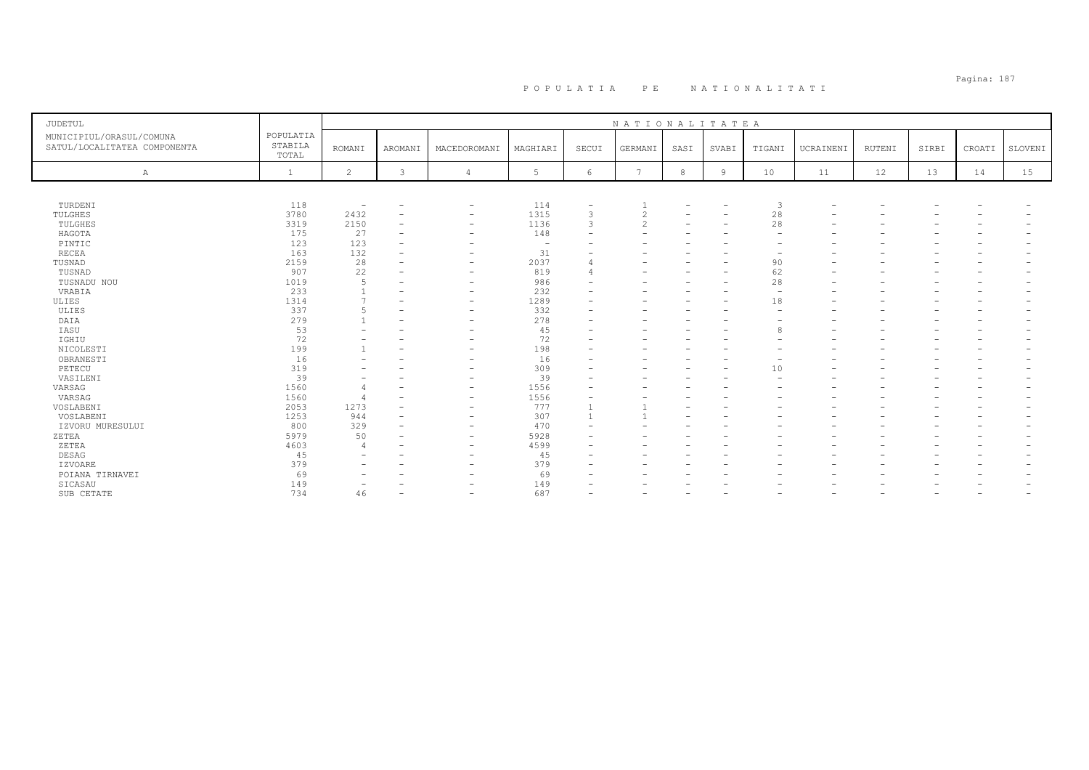# Pagina: 187 P O P U L A T I A P E N A T I O N A L I T A T I

| <b>JUDETUL</b>                                           |                               |                          |                          |                          |             |               | NATIONALITATEA  |      |                          |                          |                          |                          |                          |        |         |
|----------------------------------------------------------|-------------------------------|--------------------------|--------------------------|--------------------------|-------------|---------------|-----------------|------|--------------------------|--------------------------|--------------------------|--------------------------|--------------------------|--------|---------|
|                                                          |                               |                          |                          |                          |             |               |                 |      |                          |                          |                          |                          |                          |        |         |
| MUNICIPIUL/ORASUL/COMUNA<br>SATUL/LOCALITATEA COMPONENTA | POPULATIA<br>STABILA<br>TOTAL | <b>ROMANI</b>            | AROMANI                  | MACEDOROMANI             | MAGHIARI    | SECUI         | GERMANI         | SASI | SVABI                    | TIGANI                   | UCRAINENI                | RUTENI                   | SIRBI                    | CROATI | SLOVENI |
| Α                                                        |                               | 2                        | 3                        |                          | 5           | 6             | $\overline{ }$  | 8    | 9                        | 10                       | 11                       | 12                       | 13                       | 14     | 15      |
|                                                          |                               |                          |                          |                          |             |               |                 |      |                          |                          |                          |                          |                          |        |         |
| TURDENI                                                  | 118                           | $\overline{\phantom{a}}$ |                          | -                        | 114         |               |                 |      | $\overline{\phantom{a}}$ | 3                        |                          |                          |                          |        |         |
| TULGHES                                                  | 3780                          | 2432                     | $\overline{\phantom{m}}$ | $\overline{\phantom{a}}$ | 1315        |               | $\bigcirc$<br>∠ | ۳    | $\overline{\phantom{a}}$ | 28                       |                          |                          |                          |        |         |
| TULGHES                                                  | 3319                          | 2150                     | $\overline{\phantom{m}}$ | -                        | 1136        | $\mathcal{R}$ | $\overline{c}$  | -    | $\overline{\phantom{m}}$ | 28                       |                          |                          |                          |        |         |
| HAGOTA                                                   | 175                           | 27                       |                          | $\overline{\phantom{0}}$ | 148         |               |                 |      |                          |                          |                          |                          |                          |        |         |
| PINTIC                                                   | 123                           | 123                      | $\overline{\phantom{a}}$ |                          | <b>1979</b> |               |                 |      | ۰                        |                          |                          |                          |                          |        |         |
| RECEA                                                    | 163                           | 132                      | $\overline{\phantom{m}}$ | -                        | 31          |               |                 |      |                          | $\overline{\phantom{0}}$ |                          |                          |                          |        |         |
| TUSNAD                                                   | 2159                          | 28                       |                          |                          | 2037        |               |                 |      |                          | 90                       |                          |                          |                          |        |         |
| TUSNAD                                                   | 907                           | 22                       | -                        | $\overline{\phantom{0}}$ | 819         |               |                 |      | $\overline{\phantom{0}}$ | 62                       |                          |                          |                          |        |         |
| TUSNADU NOU                                              | 1019                          | 5                        |                          |                          | 986         |               |                 |      | ۰                        | 28                       |                          |                          |                          |        |         |
| VRABIA                                                   | 233                           |                          |                          | $\overline{\phantom{0}}$ | 232         |               |                 |      | ۰                        | $\overline{\phantom{a}}$ |                          |                          |                          |        |         |
| ULIES                                                    | 1314                          |                          |                          | $\overline{\phantom{0}}$ | 1289        |               |                 |      | ۰                        | 18                       |                          |                          |                          |        |         |
| ULIES                                                    | 337                           |                          | $\overline{\phantom{a}}$ | $\overline{\phantom{0}}$ | 332         |               |                 |      |                          | $\overline{\phantom{0}}$ |                          |                          |                          |        |         |
| DAIA                                                     | 279                           |                          | $\overline{\phantom{a}}$ | $\overline{\phantom{0}}$ | 278         |               |                 |      |                          |                          |                          |                          |                          |        |         |
| IASU                                                     | 53                            |                          |                          |                          | 45          |               |                 |      |                          | 8                        |                          |                          |                          |        |         |
| IGHIU                                                    | 72                            |                          | ٠                        | -                        | 72          |               |                 |      |                          |                          |                          |                          |                          |        |         |
| NICOLESTI                                                | 199                           |                          | $\overline{\phantom{a}}$ | $\overline{\phantom{0}}$ | 198         |               |                 |      |                          |                          |                          |                          |                          |        |         |
| OBRANESTI                                                | 16                            |                          |                          |                          | 16          |               |                 |      |                          |                          |                          |                          |                          |        |         |
| PETECU                                                   | 319                           | $\overline{\phantom{0}}$ |                          | $\overline{\phantom{0}}$ | 309         |               |                 |      | $\overline{\phantom{a}}$ | 10                       |                          |                          |                          |        |         |
| VASILENI                                                 | 39                            | -                        | -                        | $\overline{\phantom{0}}$ | 39          |               |                 |      |                          |                          |                          |                          |                          |        |         |
| VARSAG                                                   | 1560                          |                          |                          |                          | 1556        |               |                 |      |                          |                          |                          |                          |                          |        |         |
|                                                          |                               | $\overline{4}$           |                          | -                        |             |               |                 |      |                          |                          |                          |                          |                          |        |         |
| VARSAG                                                   | 1560                          | $\overline{4}$           | $\overline{\phantom{a}}$ | $\overline{\phantom{0}}$ | 1556        |               |                 |      |                          |                          |                          |                          |                          |        |         |
| VOSLABENI                                                | 2053                          | 1273                     |                          | $\overline{\phantom{0}}$ | 777         |               |                 |      |                          |                          |                          |                          |                          |        |         |
| VOSLABENI                                                | 1253                          | 944                      |                          | $\overline{\phantom{0}}$ | 307         |               |                 |      |                          |                          |                          |                          |                          |        |         |
| IZVORU MURESULUI                                         | 800                           | 329                      |                          | $\overline{\phantom{0}}$ | 470         |               |                 |      |                          |                          |                          |                          |                          |        |         |
| ZETEA                                                    | 5979                          | 50                       |                          | $\overline{\phantom{0}}$ | 5928        |               |                 |      |                          |                          |                          |                          |                          |        |         |
| ZETEA                                                    | 4603                          | $\overline{4}$           |                          |                          | 4599        |               |                 |      |                          |                          |                          |                          |                          |        |         |
| DESAG                                                    | 45                            | -                        | -                        | $\overline{\phantom{0}}$ | 45          |               |                 |      |                          |                          |                          |                          |                          |        |         |
| IZVOARE                                                  | 379                           |                          |                          | $\overline{\phantom{0}}$ | 379         |               |                 |      |                          |                          |                          |                          |                          |        |         |
| POIANA TIRNAVEI                                          | 69                            |                          |                          |                          | 69          |               |                 |      |                          |                          |                          |                          |                          |        |         |
| SICASAU                                                  | 149                           |                          |                          |                          | 149         |               |                 |      |                          |                          |                          |                          |                          |        |         |
| SUB CETATE                                               | 734                           | 46                       | $\overline{\phantom{0}}$ | $\overline{\phantom{0}}$ | 687         |               |                 |      | $\overline{\phantom{0}}$ | $\overline{\phantom{0}}$ | $\overline{\phantom{0}}$ | $\overline{\phantom{0}}$ | $\overline{\phantom{0}}$ |        |         |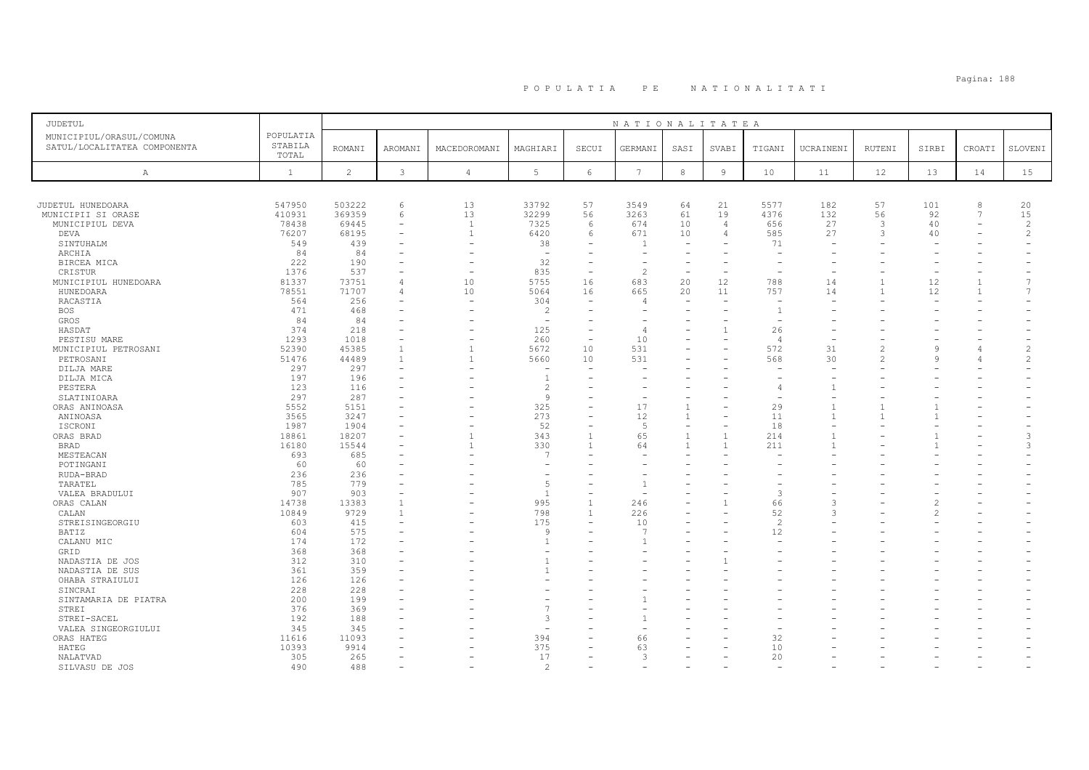| <b>JUDETUL</b>                                           |                               |                |                          |                          |                          |                               | NATIONALITATEA       |                          |                |                          |           |                |              |                          |                |
|----------------------------------------------------------|-------------------------------|----------------|--------------------------|--------------------------|--------------------------|-------------------------------|----------------------|--------------------------|----------------|--------------------------|-----------|----------------|--------------|--------------------------|----------------|
| MUNICIPIUL/ORASUL/COMUNA<br>SATUL/LOCALITATEA COMPONENTA | POPULATIA<br>STABILA<br>TOTAL | <b>ROMANI</b>  | <b>AROMANI</b>           | MACEDOROMANI             | MAGHIARI                 | SECUI                         | GERMANI              | SASI                     | SVABI          | TIGANI                   | UCRAINENI | RUTENI         | SIRBI        | CROATI                   | SLOVENI        |
| $\mathbb{A}$                                             | $\mathbf{1}$                  | $\overline{c}$ | 3                        | $\overline{4}$           | 5                        | $\epsilon$                    | $7\phantom{.0}$      | $^{\rm 8}$               | 9              | 10                       | 11        | 12             | 13           | 14                       | 15             |
|                                                          |                               |                |                          |                          |                          |                               |                      |                          |                |                          |           |                |              |                          |                |
|                                                          |                               |                |                          |                          |                          |                               |                      |                          |                |                          |           |                |              |                          |                |
| JUDETUL HUNEDOARA                                        | 547950                        | 503222         | 6                        | 13                       | 33792                    | 57                            | 3549                 | 64                       | 21             | 5577                     | 182       | 57             | 101          | 8                        | 20             |
| MUNICIPII SI ORASE                                       | 410931                        | 369359         | 6                        | 13                       | 32299                    | 56                            | 3263                 | 61                       | 19             | 4376                     | 132       | 56             | 92           | 7                        | 15             |
| MUNICIPIUL DEVA                                          | 78438                         | 69445          | $\overline{\phantom{a}}$ | $\mathbf{1}$             | 7325                     | 6                             | 674                  | 10                       | $\overline{4}$ | 656                      | 27        | 3              | 40           | $\overline{\phantom{m}}$ | $\overline{c}$ |
| DEVA                                                     | 76207                         | 68195          | $\equiv$                 | $\overline{1}$           | 6420                     | 6                             | 671                  | 10                       | $\overline{4}$ | 585                      | 27        | 3              | 40           |                          | 2              |
| SINTUHALM                                                | 549                           | 439            |                          | ۰                        | 38                       |                               |                      |                          |                | 71                       |           |                |              |                          |                |
| ARCHIA                                                   | 84                            | 84             |                          | L.                       | $\overline{\phantom{0}}$ | ۰                             | $\rightarrow$        | $\equiv$                 |                | $\overline{\phantom{0}}$ |           |                |              |                          |                |
| BIRCEA MICA                                              | 222                           | 190            |                          | $\rightarrow$            | 32                       | ۰                             |                      |                          |                |                          |           |                |              |                          |                |
| CRISTUR                                                  | 1376                          | 537            |                          | $\overline{\phantom{a}}$ | 835                      | $\overline{\phantom{a}}$      | $\overline{c}$       | $\sim$                   | $\equiv$       |                          |           |                | $\equiv$     |                          | $\overline{7}$ |
| MUNICIPIUL HUNEDOARA                                     | 81337                         | 73751          | 4                        | 10                       | 5755                     | 16                            | 683                  | 20                       | 12             | 788                      | 14        | $\mathbf{1}$   | 12           | $\mathbf{1}$             | $\overline{7}$ |
| HUNEDOARA                                                | 78551                         | 71707          |                          | 10                       | 5064                     | 16                            | 665                  | 20                       | 11             | 757                      | 14        | $\mathbf{1}$   | 12           | $\overline{1}$           |                |
| RACASTIA                                                 | 564                           | 256            |                          | $\overline{\phantom{a}}$ | 304                      | ۰                             | 4                    |                          |                |                          |           |                |              |                          |                |
| <b>BOS</b>                                               | 471                           | 468            |                          |                          | $\overline{c}$           |                               |                      |                          |                |                          |           |                |              |                          |                |
| GROS                                                     | 84                            | 84             |                          |                          | $\overline{a}$           |                               |                      |                          |                |                          |           |                |              |                          |                |
| HASDAT                                                   | 374                           | 218            |                          | $\rightarrow$            | 125                      | $\overline{\phantom{0}}$<br>÷ |                      |                          |                | 26                       |           |                |              |                          |                |
| PESTISU MARE                                             | 1293                          | 1018           |                          |                          | 260                      |                               | 10                   |                          |                | $\overline{4}$           |           |                |              |                          |                |
| MUNICIPIUL PETROSANI                                     | 52390                         | 45385          | $\mathbf{1}$             | $\mathbf{1}$             | 5672                     | 10                            | 531                  |                          |                | 572                      | 31        | $\mathfrak{D}$ | $\mathsf{Q}$ |                          | $\overline{c}$ |
| PETROSANI                                                | 51476                         | 44489          | $\mathbf{1}$             | $\mathbf{1}$             | 5660                     | 10                            | 531                  |                          |                | 568                      | 30        | $\mathfrak{D}$ | $\mathsf{Q}$ |                          | $\overline{c}$ |
| DILJA MARE                                               | 297                           | 297            |                          |                          |                          |                               |                      |                          |                |                          |           |                |              |                          |                |
| DILJA MICA                                               | 197                           | 196            |                          |                          | $\overline{1}$           |                               |                      |                          |                |                          |           |                |              |                          |                |
| PESTERA                                                  | 123                           | 116            |                          |                          | $\overline{c}$           |                               |                      |                          |                | 4                        |           |                |              |                          |                |
| SLATINIOARA                                              | 297                           | 287            |                          |                          | 9                        |                               |                      |                          |                |                          |           |                |              |                          |                |
| ORAS ANINOASA                                            | 5552                          | 5151           |                          |                          | 325                      |                               | 17                   | $\mathbf{1}$             |                | 29                       |           |                |              |                          |                |
| ANINOASA                                                 | 3565                          | 3247           |                          |                          | 273                      |                               | 12                   | $\mathbf{1}$             |                | 11                       |           |                |              |                          |                |
| ISCRONI                                                  | 1987                          | 1904           |                          |                          | 52                       | $\overline{\phantom{0}}$      | -5                   | $\overline{\phantom{0}}$ |                | 18                       |           |                |              |                          |                |
| ORAS BRAD                                                | 18861                         | 18207          |                          |                          | 343                      |                               | 65                   | $\overline{1}$           |                | 214                      |           |                |              |                          | 3              |
| BRAD                                                     | 16180                         | 15544          |                          | $\mathbf{1}$             | 330<br>f.                | $\mathbf{1}$                  | 64                   | $\overline{1}$           |                | 211                      |           |                |              |                          | 3              |
| MESTEACAN                                                | 693                           | 685            |                          |                          |                          |                               |                      |                          |                |                          |           |                |              |                          |                |
| POTINGANI                                                | 60                            | 60             |                          |                          |                          |                               |                      |                          |                |                          |           |                |              |                          |                |
| RUDA-BRAD                                                | 236                           | 236            |                          |                          |                          |                               |                      |                          |                |                          |           |                |              |                          |                |
| TARATEL                                                  | 785                           | 779            |                          |                          | 5                        |                               |                      |                          |                |                          |           |                |              |                          |                |
| VALEA BRADULUI                                           | 907                           | 903            | $\overline{1}$           |                          | $\overline{1}$<br>995    | $\mathbf{1}$                  |                      |                          |                | $\mathcal{R}$<br>66      |           |                | 2            |                          |                |
| ORAS CALAN                                               | 14738                         | 13383          | $\overline{1}$           |                          |                          | $\mathbf{1}$                  | 246                  |                          |                |                          |           |                |              |                          |                |
| CALAN                                                    | 10849                         | 9729           |                          |                          | 798                      |                               | 226                  |                          |                | 52                       |           |                |              |                          |                |
| STREISINGEORGIU                                          | 603                           | 415<br>575     |                          |                          | 175<br>9                 | $\overline{\phantom{0}}$      | 10<br>$\overline{7}$ |                          |                | $\overline{2}$<br>12     |           |                |              |                          |                |
| BATIZ                                                    | 604                           |                |                          |                          | $\overline{1}$           |                               |                      |                          |                |                          |           |                |              |                          |                |
| CALANU MIC                                               | 174                           | 172            |                          |                          |                          |                               |                      |                          |                |                          |           |                |              |                          |                |
| GRID                                                     | 368                           | 368            |                          |                          |                          |                               |                      |                          |                |                          |           |                |              |                          |                |
| NADASTIA DE JOS                                          | 312<br>361                    | 310<br>359     |                          |                          | -1<br>$\mathbf{1}$       | $\equiv$                      |                      |                          |                |                          |           |                |              |                          |                |
| NADASTIA DE SUS                                          |                               |                |                          |                          |                          |                               |                      |                          |                |                          |           |                |              |                          |                |
| OHABA STRAIULUI                                          | 126                           | 126            |                          |                          |                          |                               |                      |                          |                |                          |           |                |              |                          |                |
| SINCRAI                                                  | 228                           | 228            |                          |                          |                          |                               |                      |                          |                |                          |           |                |              |                          |                |
| SINTAMARIA DE PIATRA                                     | 200                           | 199            |                          |                          |                          |                               |                      |                          |                |                          |           |                |              |                          |                |
| STREI                                                    | 376                           | 369            |                          |                          | 3                        |                               |                      |                          |                |                          |           |                |              |                          |                |
| STREI-SACEL                                              | 192                           | 188            |                          |                          | $\overline{\phantom{a}}$ |                               |                      |                          |                |                          |           |                |              |                          |                |
| VALEA SINGEORGIULUI                                      | 345                           | 345            |                          |                          |                          | $\overline{\phantom{0}}$      |                      |                          |                |                          |           |                |              |                          |                |
| ORAS HATEG                                               | 11616                         | 11093          |                          |                          | 394                      |                               | 66                   |                          |                | 32                       |           |                |              |                          |                |
| HATEG                                                    | 10393                         | 9914           |                          |                          | 375<br>17                |                               | 63<br>3              |                          |                | 10<br>20                 |           |                |              |                          |                |
| NALATVAD                                                 | 305                           | 265            |                          |                          | $\mathcal{D}$            |                               |                      |                          |                |                          |           |                |              |                          |                |
| SILVASU DE JOS                                           | 490                           | 488            |                          |                          |                          |                               |                      |                          |                |                          |           |                |              |                          |                |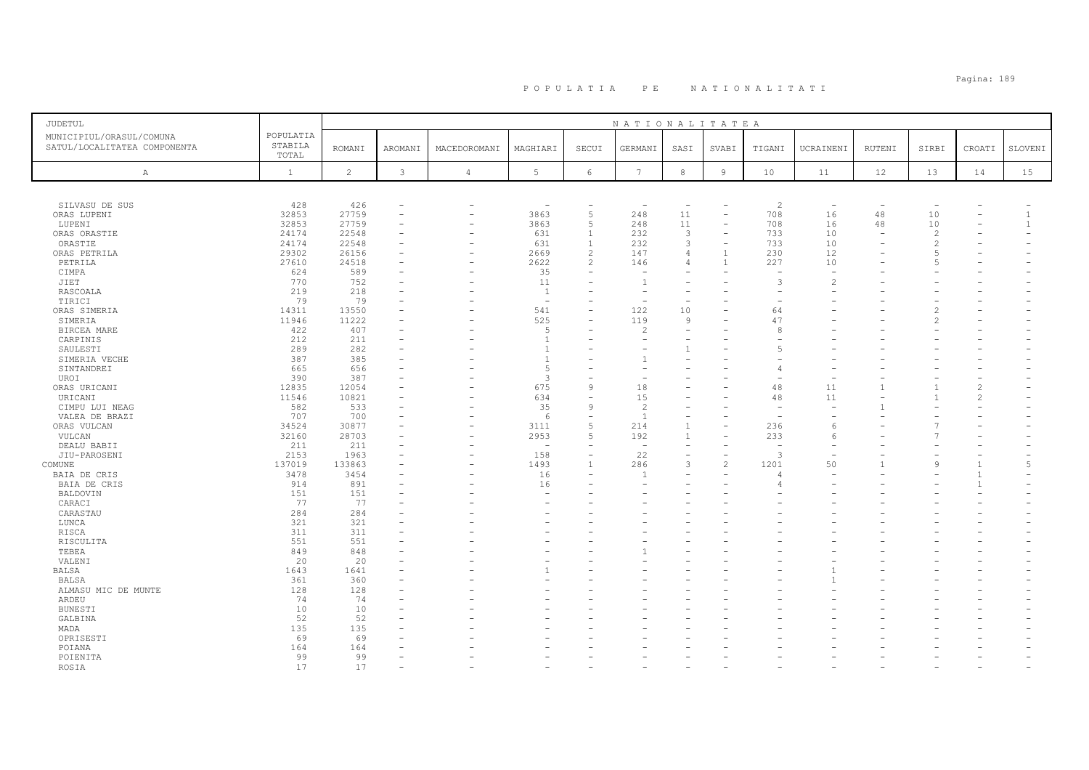| JUDETUL                                                  |                               |                |         |                          |                |                          | NATIONALITATEA           |                          |                          |                          |                          |                          |                          |                |                |
|----------------------------------------------------------|-------------------------------|----------------|---------|--------------------------|----------------|--------------------------|--------------------------|--------------------------|--------------------------|--------------------------|--------------------------|--------------------------|--------------------------|----------------|----------------|
| MUNICIPIUL/ORASUL/COMUNA<br>SATUL/LOCALITATEA COMPONENTA | POPULATIA<br>STABILA<br>TOTAL | <b>ROMANI</b>  | AROMANI | MACEDOROMANI             | MAGHIARI       | SECUI                    | GERMANI                  | SASI                     | SVABI                    | TIGANI                   | UCRAINENI                | RUTENI                   | SIRBI                    | CROATI         | SLOVENI        |
| Α                                                        | $\mathbf{1}$                  | $\overline{2}$ | 3       | $\overline{4}$           | 5              | 6                        | $7\overline{ }$          | 8                        | $\overline{9}$           | 10 <sup>°</sup>          | 11                       | 12                       | 13                       | 14             | 15             |
|                                                          |                               |                |         |                          |                |                          |                          |                          |                          |                          |                          |                          |                          |                |                |
| SILVASU DE SUS                                           | 428                           | 426            |         | $\overline{\phantom{0}}$ | $\sim$         | L,                       | $\overline{\phantom{a}}$ | $\overline{\phantom{m}}$ |                          | $\overline{c}$           | $\overline{\phantom{a}}$ | $\overline{\phantom{a}}$ | $\overline{\phantom{m}}$ |                |                |
| ORAS LUPENI                                              | 32853                         | 27759          |         |                          | 3863           | 5                        | 248                      | 11                       |                          | 708                      | 16                       | 48                       | 10                       |                | $\mathbf{1}$   |
| LUPENI                                                   | 32853                         | 27759          |         | -                        | 3863           | 5                        | 248                      | 11                       | $\overline{\phantom{a}}$ | 708                      | 16                       | 48                       | 10                       |                | $\mathbf{1}$   |
| ORAS ORASTIE                                             | 24174                         | 22548          |         | $\overline{\phantom{a}}$ | 631            | $\mathbf{1}$             | 232                      | 3                        |                          | 733                      | 10                       |                          | $\overline{c}$           |                |                |
| ORASTIE                                                  | 24174                         | 22548          |         |                          | 631            | $\overline{1}$           | 232                      | 3                        |                          | 733                      | 10                       |                          | $\mathcal{D}$            |                |                |
| ORAS PETRILA                                             | 29302                         | 26156          |         | ۰                        | 2669           | $\overline{2}$           | 147                      | $\overline{4}$           |                          | 230                      | 12                       |                          |                          |                |                |
| PETRILA                                                  | 27610                         | 24518          |         | $\overline{\phantom{a}}$ | 2622           | $\overline{\mathcal{L}}$ | 146                      | $\Delta$                 |                          | 227                      | 10                       |                          |                          |                |                |
| CIMPA                                                    | 624<br>770                    | 589<br>752     |         | ۰                        | 35<br>11       | $\equiv$                 | $\sim$<br>$\overline{1}$ |                          |                          | 3                        | ÷<br>$\mathfrak{D}$      |                          |                          |                |                |
| JIET                                                     | 219                           | 218            |         |                          | $\overline{1}$ |                          | $\rightarrow$            |                          |                          |                          |                          |                          |                          |                |                |
| RASCOALA<br>TIRICI                                       | 79                            | 79             |         |                          |                |                          |                          |                          |                          |                          |                          |                          |                          |                |                |
| ORAS SIMERIA                                             | 14311                         | 13550          |         |                          | 541            | $\overline{\phantom{0}}$ | 122                      | 10                       |                          | 64                       |                          |                          | $\mathfrak{D}$           |                |                |
| SIMERIA                                                  | 11946                         | 11222          |         |                          | 525            |                          | 119                      | 9                        |                          | 47                       |                          |                          | $\mathfrak{D}$           |                |                |
| BIRCEA MARE                                              | 422                           | 407            |         |                          | .5             |                          | $\mathfrak{D}$           | $\equiv$                 |                          | $\mathcal{R}$            |                          |                          |                          |                |                |
| CARPINIS                                                 | 212                           | 211            |         |                          | $\overline{1}$ |                          |                          |                          |                          |                          |                          |                          |                          |                |                |
| SAULESTI                                                 | 289                           | 282            |         |                          | $\overline{1}$ |                          |                          |                          |                          |                          |                          |                          |                          |                |                |
| SIMERIA VECHE                                            | 387                           | 385            |         |                          | $\overline{1}$ |                          |                          |                          |                          |                          |                          |                          |                          |                |                |
| SINTANDREI                                               | 665                           | 656            |         |                          | 5              |                          |                          |                          |                          |                          |                          |                          |                          |                |                |
| UROI                                                     | 390                           | 387            |         |                          | $\overline{3}$ |                          |                          |                          |                          |                          |                          |                          |                          |                |                |
| ORAS URICANI                                             | 12835                         | 12054          |         |                          | 675            | 9                        | 18                       |                          |                          | 48                       | 11                       |                          |                          | $\overline{c}$ |                |
| URICANI                                                  | 11546                         | 10821          |         |                          | 634            | $\equiv$                 | 15                       |                          |                          | 48                       | 11                       |                          |                          | $\overline{c}$ |                |
| CIMPU LUI NEAG                                           | 582                           | 533            |         |                          | 35             | 9                        | 2                        |                          |                          |                          |                          |                          |                          |                |                |
| VALEA DE BRAZI                                           | 707                           | 700            |         |                          | 6              | $\equiv$                 | $\overline{1}$           |                          |                          |                          |                          |                          |                          |                |                |
| ORAS VULCAN                                              | 34524                         | 30877          |         |                          | 3111           | 5                        | 214                      | $\mathbf{1}$             |                          | 236                      | 6                        |                          |                          |                |                |
| VULCAN                                                   | 32160                         | 28703          |         |                          | 2953           | 5                        | 192                      | $\mathbf{1}$             |                          | 233                      | 6                        |                          |                          |                |                |
| DEALU BABII                                              | 211                           | 211            |         |                          |                |                          | $\overline{\phantom{a}}$ |                          |                          | $\overline{\phantom{a}}$ |                          |                          |                          |                |                |
| JIU-PAROSENI                                             | 2153                          | 1963           |         |                          | 158            | L.                       | 22                       |                          |                          | 3                        |                          |                          |                          |                |                |
| COMUNE                                                   | 137019                        | 133863         |         |                          | 1493           |                          | 286                      | 3                        | $\mathfrak{D}$           | 1201                     | 50                       |                          | 9                        |                | $\overline{5}$ |
| BAIA DE CRIS                                             | 3478                          | 3454           |         |                          | 16             |                          |                          |                          |                          |                          |                          |                          |                          | 1              |                |
| BAIA DE CRIS                                             | 914                           | 891            |         |                          | 16             |                          |                          |                          |                          |                          |                          |                          |                          | $\mathbf{1}$   |                |
| BALDOVIN                                                 | 151                           | 151            |         |                          |                |                          |                          |                          |                          |                          |                          |                          |                          |                |                |
| CARACI                                                   | 77                            | 77             |         |                          |                |                          |                          |                          |                          |                          |                          |                          |                          |                |                |
| CARASTAU                                                 | 284                           | 284            |         |                          |                |                          |                          |                          |                          |                          |                          |                          |                          |                |                |
| LUNCA                                                    | 321                           | 321            |         |                          |                |                          |                          |                          |                          |                          |                          |                          |                          |                |                |
| RISCA                                                    | 311                           | 311            |         |                          |                |                          |                          |                          |                          |                          |                          |                          |                          |                |                |
| RISCULITA                                                | 551                           | 551            |         |                          |                |                          |                          |                          |                          |                          |                          |                          |                          |                |                |
| TEBEA                                                    | 849                           | 848            |         |                          |                |                          |                          |                          |                          |                          |                          |                          |                          |                |                |
| VALENI                                                   | 20<br>1643                    | 20<br>1641     |         |                          |                | $=$                      |                          |                          |                          |                          |                          |                          |                          |                |                |
| BALSA                                                    | 361                           | 360            |         |                          |                |                          |                          |                          |                          |                          |                          |                          |                          |                |                |
| BALSA                                                    | 128                           | 128            |         |                          |                |                          |                          |                          |                          |                          |                          |                          |                          |                |                |
| ALMASU MIC DE MUNTE<br>ARDEU                             | 74                            | 74             |         |                          |                |                          |                          |                          |                          |                          |                          |                          |                          |                |                |
| <b>BUNESTI</b>                                           | 10                            | 10             |         |                          |                |                          |                          |                          |                          |                          |                          |                          |                          |                |                |
| GALBINA                                                  | 52                            | 52             |         |                          |                |                          |                          |                          |                          |                          |                          |                          |                          |                |                |
| MADA                                                     | 135                           | 135            |         |                          |                |                          |                          |                          |                          |                          |                          |                          |                          |                |                |
| OPRISESTI                                                | 69                            | 69             |         |                          |                |                          |                          |                          |                          |                          |                          |                          |                          |                |                |
| POIANA                                                   | 164                           | 164            |         |                          |                |                          |                          |                          |                          |                          |                          |                          |                          |                |                |
| POIENITA                                                 | 99                            | 99             |         |                          |                |                          |                          |                          |                          |                          |                          |                          |                          |                |                |
| ROSIA                                                    | 17                            | 17             |         |                          |                |                          |                          |                          |                          |                          |                          |                          |                          |                |                |
|                                                          |                               |                |         |                          |                |                          |                          |                          |                          |                          |                          |                          |                          |                |                |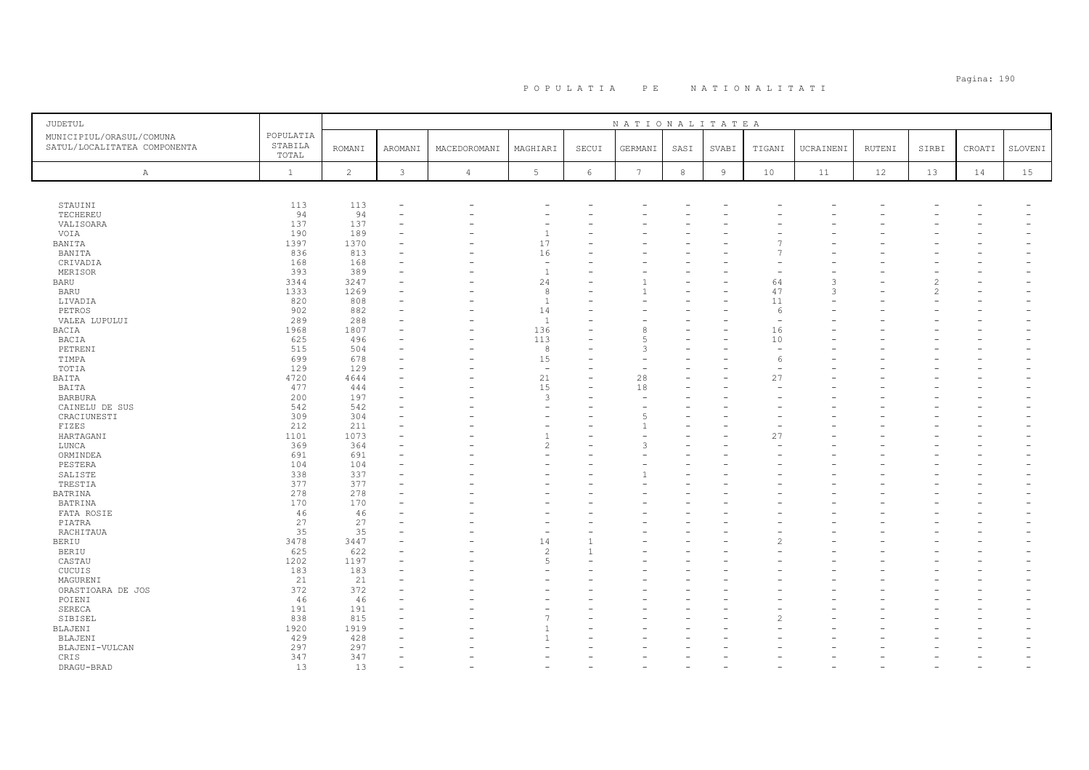| JUDETUL                                                  |                               |               |         |                |                          |       | NATIONALITATEA |      |                |                               |                    |        |                |        |         |
|----------------------------------------------------------|-------------------------------|---------------|---------|----------------|--------------------------|-------|----------------|------|----------------|-------------------------------|--------------------|--------|----------------|--------|---------|
| MUNICIPIUL/ORASUL/COMUNA<br>SATUL/LOCALITATEA COMPONENTA | POPULATIA<br>STABILA<br>TOTAL | <b>ROMANI</b> | AROMANI | MACEDOROMANI   | MAGHIARI                 | SECUI | GERMANI        | SASI | SVABI          | TIGANI                        | UCRAINENI          | RUTENI | SIRBI          | CROATI | SLOVENI |
| A                                                        | $\mathbf{1}$                  | 2             | 3       | $\overline{4}$ | 5                        | 6     | 7              | $^8$ | $\overline{9}$ | 10                            | 11                 | 12     | 13             | 14     | 15      |
|                                                          |                               |               |         |                |                          |       |                |      |                |                               |                    |        |                |        |         |
|                                                          |                               |               |         |                |                          |       |                |      |                |                               |                    |        |                |        |         |
| STAUINI                                                  | 113                           | 113           |         |                |                          |       |                |      |                |                               |                    |        |                |        |         |
| TECHEREU                                                 | 94                            | 94            |         |                |                          |       |                |      |                |                               |                    |        |                |        |         |
| VALISOARA                                                | 137                           | 137           |         |                |                          |       |                |      |                |                               |                    |        |                |        |         |
| VOIA                                                     | 190                           | 189           |         |                | $\overline{1}$           |       |                |      |                |                               |                    |        |                |        |         |
| BANITA                                                   | 1397                          | 1370          |         |                | 17                       |       |                |      |                |                               |                    |        |                |        |         |
| BANITA                                                   | 836                           | 813           |         |                | 16                       |       |                |      |                |                               |                    |        |                |        |         |
| CRIVADIA                                                 | 168                           | 168           |         |                | $\overline{\phantom{a}}$ |       |                |      |                |                               |                    |        |                |        |         |
| MERISOR                                                  | 393                           | 389           |         |                | $\overline{1}$           |       |                |      |                |                               |                    |        |                |        |         |
| <b>BARU</b>                                              | 3344                          | 3247<br>1269  |         |                | 24                       |       |                |      |                | 64<br>47                      | 3<br>$\mathcal{R}$ |        | $\mathfrak{D}$ |        |         |
| <b>BARU</b>                                              | 1333                          |               |         |                | 8                        |       |                |      |                |                               |                    |        |                |        |         |
| LIVADIA<br>PETROS                                        | 820<br>902                    | 808<br>882    |         |                | $\overline{1}$<br>14     |       |                |      |                | 11                            |                    |        |                |        |         |
| VALEA LUPULUI                                            | 289                           | 288           |         |                | $\overline{1}$           |       |                |      |                | 6<br>$\overline{\phantom{a}}$ |                    |        |                |        |         |
| BACIA                                                    | 1968                          | 1807          |         |                | 136                      |       | 8              |      |                | 16                            |                    |        |                |        |         |
| BACIA                                                    | 625                           | 496           |         |                | 113                      |       | $\sqrt{2}$     |      |                | 10                            |                    |        |                |        |         |
| PETRENI                                                  | 515                           | 504           |         |                | 8                        |       | 3              |      |                |                               |                    |        |                |        |         |
| TIMPA                                                    | 699                           | 678           |         |                | 15                       |       |                |      |                | 6                             |                    |        |                |        |         |
| TOTIA                                                    | 129                           | 129           |         |                | $\overline{\phantom{a}}$ |       |                |      |                |                               |                    |        |                |        |         |
| BAITA                                                    | 4720                          | 4644          |         |                | 21                       |       | 28             |      |                | 27                            |                    |        |                |        |         |
| BAITA                                                    | 477                           | 444           |         |                | 15                       |       | 18             |      |                |                               |                    |        |                |        |         |
| <b>BARBURA</b>                                           | 200                           | 197           |         |                | $\overline{3}$           |       |                |      |                |                               |                    |        |                |        |         |
| CAINELU DE SUS                                           | 542                           | 542           |         |                | $\overline{\phantom{a}}$ |       |                |      |                |                               |                    |        |                |        |         |
| CRACIUNESTI                                              | 309                           | 304           |         |                | ۰                        |       |                |      |                |                               |                    |        |                |        |         |
| FIZES                                                    | 212                           | 211           |         |                | $\overline{\phantom{a}}$ |       |                |      |                |                               |                    |        |                |        |         |
| HARTAGANI                                                | 1101                          | 1073          |         |                | $\overline{1}$           |       |                |      |                | 27                            |                    |        |                |        |         |
| LUNCA                                                    | 369                           | 364           |         |                | $\overline{c}$           |       | 3              |      |                |                               |                    |        |                |        |         |
| ORMINDEA                                                 | 691                           | 691           |         |                | $\overline{\phantom{a}}$ |       |                |      |                |                               |                    |        |                |        |         |
| PESTERA                                                  | 104                           | 104           |         |                |                          |       |                |      |                |                               |                    |        |                |        |         |
| SALISTE                                                  | 338                           | 337           |         |                |                          |       |                |      |                |                               |                    |        |                |        |         |
| TRESTIA                                                  | 377                           | 377           |         |                |                          |       |                |      |                |                               |                    |        |                |        |         |
| BATRINA                                                  | 278                           | 278           |         |                |                          |       |                |      |                |                               |                    |        |                |        |         |
| <b>BATRINA</b>                                           | 170                           | 170           |         |                |                          |       |                |      |                |                               |                    |        |                |        |         |
| FATA ROSIE                                               | 46                            | 46            |         |                |                          |       |                |      |                |                               |                    |        |                |        |         |
| PIATRA                                                   | 27                            | 27            |         |                |                          |       |                |      |                |                               |                    |        |                |        |         |
| RACHITAUA                                                | 35                            | 35            |         |                | ÷                        |       |                |      |                |                               |                    |        |                |        |         |
| BERIU                                                    | 3478                          | 3447          |         |                | 14                       |       |                |      |                |                               |                    |        |                |        |         |
| <b>BERIU</b>                                             | 625                           | 622           |         |                | $\overline{c}$           |       |                |      |                |                               |                    |        |                |        |         |
| CASTAU                                                   | 1202                          | 1197          |         |                | 5                        |       |                |      |                |                               |                    |        |                |        |         |
| CUCUIS                                                   | 183                           | 183           |         |                |                          |       |                |      |                |                               |                    |        |                |        |         |
| MAGURENI                                                 | 21                            | 21            |         |                |                          |       |                |      |                |                               |                    |        |                |        |         |
| ORASTIOARA DE JOS                                        | 372                           | 372           |         |                |                          |       |                |      |                |                               |                    |        |                |        |         |
| POIENI                                                   | 46<br>191                     | 46<br>191     |         |                |                          |       |                |      |                |                               |                    |        |                |        |         |
| SERECA                                                   | 838                           | 815           |         |                |                          |       |                |      |                |                               |                    |        |                |        |         |
| SIBISEL<br>BLAJENI                                       | 1920                          | 1919          |         |                |                          |       |                |      |                |                               |                    |        |                |        |         |
| BLAJENI                                                  | 429                           | 428           |         |                | $\overline{1}$           |       |                |      |                |                               |                    |        |                |        |         |
| BLAJENI-VULCAN                                           | 297                           | 297           |         |                |                          |       |                |      |                |                               |                    |        |                |        |         |
| CRIS                                                     | 347                           | 347           |         |                |                          |       |                |      |                |                               |                    |        |                |        |         |
| DRAGU-BRAD                                               | 13                            | 1.3           |         |                |                          |       |                |      |                |                               |                    |        |                |        |         |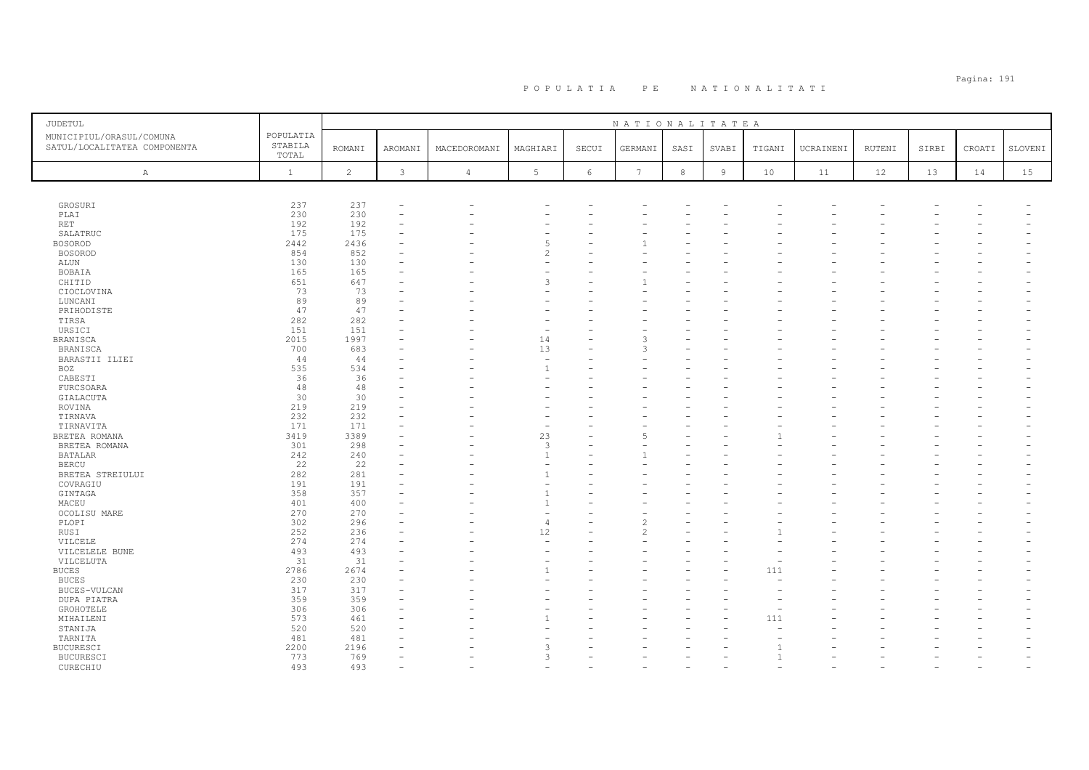| JUDETUL                                                  |                               |                |              |                |                          |            | NATIONALITATEA  |            |                |        |           |        |       |        |         |
|----------------------------------------------------------|-------------------------------|----------------|--------------|----------------|--------------------------|------------|-----------------|------------|----------------|--------|-----------|--------|-------|--------|---------|
| MUNICIPIUL/ORASUL/COMUNA<br>SATUL/LOCALITATEA COMPONENTA | POPULATIA<br>STABILA<br>TOTAL | <b>ROMANI</b>  | AROMANI      | MACEDOROMANI   | MAGHIARI                 | SECUI      | GERMANI         | SASI       | SVABI          | TIGANI | UCRAINENI | RUTENI | SIRBI | CROATI | SLOVENI |
| Α                                                        | $\mathbf{1}$                  | $\overline{c}$ | $\mathbf{3}$ | $\overline{4}$ | 5                        | $\epsilon$ | $7\phantom{.0}$ | $_{\rm 8}$ | $\overline{9}$ | 10     | 11        | 12     | 13    | 14     | 15      |
|                                                          |                               |                |              |                |                          |            |                 |            |                |        |           |        |       |        |         |
| GROSURI                                                  | 237                           | 237            |              |                |                          |            |                 |            |                |        |           |        |       |        |         |
| PLAI                                                     | 230                           | 230            |              |                |                          |            |                 |            |                |        |           |        |       |        |         |
| RET                                                      | 192                           | 192            |              |                |                          |            |                 |            |                |        |           |        |       |        |         |
| SALATRUC                                                 | 175                           | 175            |              |                |                          |            |                 |            |                |        |           |        |       |        |         |
| <b>BOSOROD</b>                                           | 2442                          | 2436           |              |                | 5                        |            |                 |            |                |        |           |        |       |        |         |
| <b>BOSOROD</b>                                           | 854                           | 852            |              |                | $\mathcal{P}$            |            |                 |            |                |        |           |        |       |        |         |
| ALUN                                                     | 130                           | 130            |              |                |                          |            |                 |            |                |        |           |        |       |        |         |
| BOBAIA                                                   | 165                           | 165            |              |                |                          |            |                 |            |                |        |           |        |       |        |         |
| CHITID                                                   | 651                           | 647            |              |                | $\mathcal{R}$            |            |                 |            |                |        |           |        |       |        |         |
| CIOCLOVINA                                               | 73                            | 73             |              |                |                          |            |                 |            |                |        |           |        |       |        |         |
| LUNCANI                                                  | 89                            | 89             |              |                |                          |            |                 |            |                |        |           |        |       |        |         |
| PRIHODISTE                                               | 47<br>282                     | 47<br>282      |              |                |                          |            |                 |            |                |        |           |        |       |        |         |
| TIRSA<br>URSICI                                          | 151                           | 151            |              |                |                          |            |                 |            |                |        |           |        |       |        |         |
| <b>BRANISCA</b>                                          | 2015                          | 1997           |              |                | 14                       |            | २               |            |                |        |           |        |       |        |         |
| BRANISCA                                                 | 700                           | 683            |              |                | 13                       |            | 3               |            |                |        |           |        |       |        |         |
| BARASTII ILIEI                                           | 44                            | 44             |              |                | $\overline{\phantom{m}}$ |            |                 |            |                |        |           |        |       |        |         |
| <b>BOZ</b>                                               | 535                           | 534            |              |                | $\mathbf{1}$             |            |                 |            |                |        |           |        |       |        |         |
| CABESTI                                                  | 36                            | 36             |              |                |                          |            |                 |            |                |        |           |        |       |        |         |
| FURCSOARA                                                | 48                            | 48             |              |                |                          |            |                 |            |                |        |           |        |       |        |         |
| GIALACUTA                                                | 30                            | 30             |              |                |                          |            |                 |            |                |        |           |        |       |        |         |
| ROVINA                                                   | 219                           | 219            |              |                |                          |            |                 |            |                |        |           |        |       |        |         |
| TIRNAVA                                                  | 232                           | 232            |              |                |                          |            |                 |            |                |        |           |        |       |        |         |
| TIRNAVITA                                                | 171                           | 171            |              |                |                          |            |                 |            |                |        |           |        |       |        |         |
| BRETEA ROMANA                                            | 3419                          | 3389           |              |                | 23                       |            | 5               |            |                |        |           |        |       |        |         |
| BRETEA ROMANA                                            | 301                           | 298            |              |                | 3                        |            |                 |            |                |        |           |        |       |        |         |
| BATALAR                                                  | 242                           | 240            |              |                | $\overline{1}$           |            |                 |            |                |        |           |        |       |        |         |
| <b>BERCU</b>                                             | 22                            | 22             |              |                |                          | L.         |                 |            |                |        |           |        |       |        |         |
| BRETEA STREIULUI                                         | 282                           | 281            |              |                | $\overline{1}$           |            |                 |            |                |        |           |        |       |        |         |
| COVRAGIU                                                 | 191                           | 191            |              |                |                          |            |                 |            |                |        |           |        |       |        |         |
| GINTAGA                                                  | 358                           | 357            |              |                | -1                       |            |                 |            |                |        |           |        |       |        |         |
| MACEU                                                    | 401                           | 400            |              |                | $\mathbf{1}$             |            |                 |            |                |        |           |        |       |        |         |
| OCOLISU MARE                                             | 270                           | 270            |              |                |                          |            |                 |            |                |        |           |        |       |        |         |
| PLOPI                                                    | 302                           | 296            |              |                | $\overline{4}$           |            |                 |            |                |        |           |        |       |        |         |
| RUSI                                                     | 252                           | 236            |              |                | 12                       |            | 2               |            |                |        |           |        |       |        |         |
| VILCELE                                                  | 274                           | 274            |              |                |                          |            |                 |            |                |        |           |        |       |        |         |
| VILCELELE BUNE                                           | 493                           | 493            |              |                |                          |            |                 |            |                |        |           |        |       |        |         |
| VILCELUTA                                                | 31                            | 31             |              |                | $\overline{1}$           | ۳          |                 |            |                |        |           |        |       |        |         |
| <b>BUCES</b>                                             | 2786                          | 2674           |              |                |                          |            |                 |            |                | 111    |           |        |       |        |         |
| <b>BUCES</b>                                             | 230                           | 230            |              |                |                          |            |                 |            |                |        |           |        |       |        |         |
| BUCES-VULCAN                                             | 317                           | 317            |              |                |                          |            |                 |            |                |        |           |        |       |        |         |
| DUPA PIATRA                                              | 359<br>306                    | 359<br>306     |              |                |                          |            |                 |            |                |        |           |        |       |        |         |
| GROHOTELE                                                | 573                           | 461            |              |                |                          |            |                 |            |                | 111    |           |        |       |        |         |
| MIHAILENI<br>STANIJA                                     | 520                           | 520            |              |                |                          |            |                 |            |                |        |           |        |       |        |         |
| TARNITA                                                  | 481                           | 481            |              |                |                          |            |                 |            |                |        |           |        |       |        |         |
| <b>BUCURESCI</b>                                         | 2200                          | 2196           |              |                | 3                        |            |                 |            |                |        |           |        |       |        |         |
| <b>BUCURESCI</b>                                         | 773                           | 769            |              |                | $\mathcal{R}$            |            |                 |            |                |        |           |        |       |        |         |
| CURECHIU                                                 | 493                           | 493            |              |                |                          |            |                 |            |                |        |           |        |       |        |         |
|                                                          |                               |                |              |                |                          |            |                 |            |                |        |           |        |       |        |         |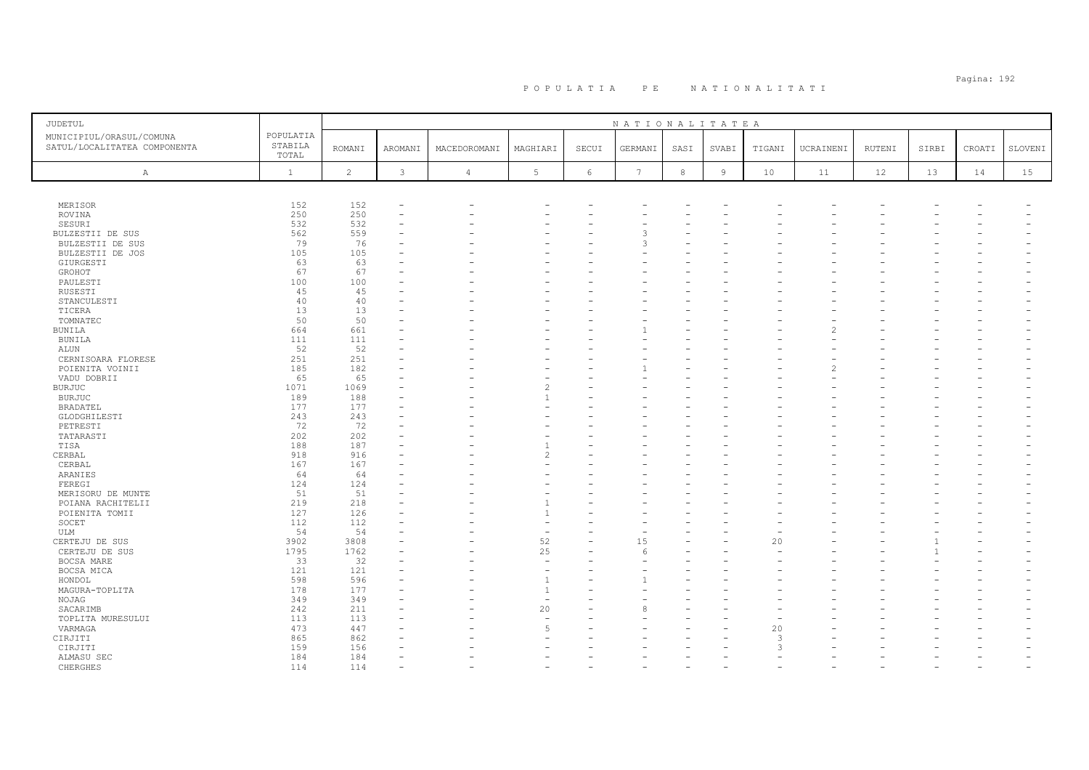# Pagina: 192 P O P U L A T I A P E N A T I O N A L I T A T I

| <b>JUDETUL</b>                                           |                               |                |              |                |                          |       | NATIONALITATEA  |            |                |               |           |        |       |        |         |
|----------------------------------------------------------|-------------------------------|----------------|--------------|----------------|--------------------------|-------|-----------------|------------|----------------|---------------|-----------|--------|-------|--------|---------|
| MUNICIPIUL/ORASUL/COMUNA<br>SATUL/LOCALITATEA COMPONENTA | POPULATIA<br>STABILA<br>TOTAL | <b>ROMANI</b>  | AROMANI      | MACEDOROMANI   | MAGHIARI                 | SECUI | GERMANI         | SASI       | SVABI          | TIGANI        | UCRAINENI | RUTENI | SIRBI | CROATI | SLOVENI |
| $\mathbb{A}$                                             | $\mathbf{1}$                  | $\overline{c}$ | $\mathbf{3}$ | $\overline{4}$ | 5                        | 6     | $7\phantom{.0}$ | $^{\rm 8}$ | $\overline{9}$ | 10            | 11        | 12     | 13    | 14     | 15      |
|                                                          |                               |                |              |                |                          |       |                 |            |                |               |           |        |       |        |         |
| MERISOR                                                  | 152                           | 152            |              |                |                          |       |                 |            |                |               |           |        |       |        |         |
| ROVINA                                                   | 250                           | 250            |              |                |                          |       |                 |            |                |               |           |        |       |        |         |
| SESURI                                                   | 532                           | 532            |              |                |                          |       |                 |            |                |               |           |        |       |        |         |
| BULZESTII DE SUS                                         | 562                           | 559            |              |                |                          |       | 3               |            |                |               |           |        |       |        |         |
| BULZESTII DE SUS                                         | 79                            | 76             |              |                |                          |       | 3               |            |                |               |           |        |       |        |         |
| BULZESTII DE JOS                                         | 105                           | 105            |              |                |                          |       |                 |            |                |               |           |        |       |        |         |
| GIURGESTI                                                | 63                            | 63             |              |                |                          |       |                 |            |                |               |           |        |       |        |         |
| GROHOT                                                   | 67                            | 67             |              |                |                          |       |                 |            |                |               |           |        |       |        |         |
| PAULESTI                                                 | 100                           | 100            |              |                |                          |       |                 |            |                |               |           |        |       |        |         |
| RUSESTI                                                  | 45                            | 45             |              |                |                          |       |                 |            |                |               |           |        |       |        |         |
| STANCULESTI                                              | 40                            | 40             |              |                |                          |       |                 |            |                |               |           |        |       |        |         |
|                                                          | 13                            | 13             |              |                |                          |       |                 |            |                |               |           |        |       |        |         |
| TICERA<br>TOMNATEC                                       | 50                            | 50             |              |                |                          |       |                 |            |                |               |           |        |       |        |         |
|                                                          | 664                           | 661            |              |                |                          |       |                 |            |                |               | 2         |        |       |        |         |
| BUNILA<br><b>BUNILA</b>                                  | 111                           | 111            |              |                |                          |       |                 |            |                |               |           |        |       |        |         |
|                                                          |                               |                |              |                |                          |       |                 |            |                |               |           |        |       |        |         |
| ALUN                                                     | 52                            | 52             |              |                |                          |       |                 |            |                |               |           |        |       |        |         |
| CERNISOARA FLORESE                                       | 251                           | 251            |              |                |                          |       |                 |            |                |               |           |        |       |        |         |
| POIENITA VOINII                                          | 185                           | 182            |              |                |                          |       |                 |            |                |               |           |        |       |        |         |
| VADU DOBRII                                              | 65                            | 65             |              |                | $\overline{\mathcal{L}}$ |       |                 |            |                |               |           |        |       |        |         |
| <b>BURJUC</b>                                            | 1071                          | 1069           |              |                |                          |       |                 |            |                |               |           |        |       |        |         |
| <b>BURJUC</b>                                            | 189                           | 188            |              |                | $\overline{1}$           |       |                 |            |                |               |           |        |       |        |         |
| BRADATEL                                                 | 177                           | 177            |              |                |                          |       |                 |            |                |               |           |        |       |        |         |
| GLODGHILESTI                                             | 243                           | 243            |              |                |                          |       |                 |            |                |               |           |        |       |        |         |
| PETRESTI                                                 | 72                            | 72             |              |                |                          |       |                 |            |                |               |           |        |       |        |         |
| TATARASTI                                                | 202                           | 202            |              |                |                          |       |                 |            |                |               |           |        |       |        |         |
| TISA                                                     | 188                           | 187            |              |                |                          |       |                 |            |                |               |           |        |       |        |         |
| CERBAL                                                   | 918                           | 916            |              |                | $\mathcal{P}$            |       |                 |            |                |               |           |        |       |        |         |
| CERBAL                                                   | 167                           | 167            |              |                |                          |       |                 |            |                |               |           |        |       |        |         |
| ARANIES                                                  | 64                            | 64             |              |                |                          |       |                 |            |                |               |           |        |       |        |         |
| FEREGI                                                   | 124                           | 124            |              |                |                          |       |                 |            |                |               |           |        |       |        |         |
| MERISORU DE MUNTE                                        | 51                            | 51             |              |                |                          |       |                 |            |                |               |           |        |       |        |         |
| POIANA RACHITELII                                        | 219                           | 218            |              |                | $\overline{1}$           |       |                 |            |                |               |           |        |       |        |         |
| POIENITA TOMII                                           | 127                           | 126            |              |                |                          |       |                 |            |                |               |           |        |       |        |         |
| SOCET                                                    | 112                           | 112            |              |                |                          |       |                 |            |                |               |           |        |       |        |         |
| ULM                                                      | 54                            | 54             |              |                | $\sim$                   |       |                 |            |                |               |           |        |       |        |         |
| CERTEJU DE SUS                                           | 3902                          | 3808           |              |                | 52                       |       | 15              |            |                | 20            |           |        |       |        |         |
| CERTEJU DE SUS                                           | 1795                          | 1762           |              |                | 25                       |       | 6               |            |                |               |           |        |       |        |         |
| BOCSA MARE                                               | 33                            | 32             |              |                | $\overline{\phantom{m}}$ |       |                 |            |                |               |           |        |       |        |         |
| BOCSA MICA                                               | 121                           | 121            |              |                |                          |       |                 |            |                |               |           |        |       |        |         |
| HONDOL                                                   | 598                           | 596            |              |                | $\overline{1}$           |       |                 |            |                |               |           |        |       |        |         |
| MAGURA-TOPLITA                                           | 178                           | 177            |              |                | $\overline{1}$           |       |                 |            |                |               |           |        |       |        |         |
| NOJAG                                                    | 349                           | 349            |              |                | $\equiv$                 |       |                 |            |                |               |           |        |       |        |         |
| SACARIMB                                                 | 242                           | 211            |              |                | 20                       |       |                 |            |                |               |           |        |       |        |         |
| TOPLITA MURESULUI                                        | 113                           | 113            |              |                |                          |       |                 |            |                |               |           |        |       |        |         |
| VARMAGA                                                  | 473                           | 447            |              |                | 5                        |       |                 |            |                | 20            |           |        |       |        |         |
| CIRJITI                                                  | 865                           | 862            |              |                |                          |       |                 |            |                | $\mathcal{R}$ |           |        |       |        |         |
| CIRJITI                                                  | 159                           | 156            |              |                |                          |       |                 |            |                | $\mathcal{R}$ |           |        |       |        |         |
| ALMASU SEC                                               | 184                           | 184            |              |                |                          |       |                 |            |                |               |           |        |       |        |         |
| CHERGHES                                                 | 114                           | 114            |              |                |                          |       |                 |            |                |               |           |        |       |        |         |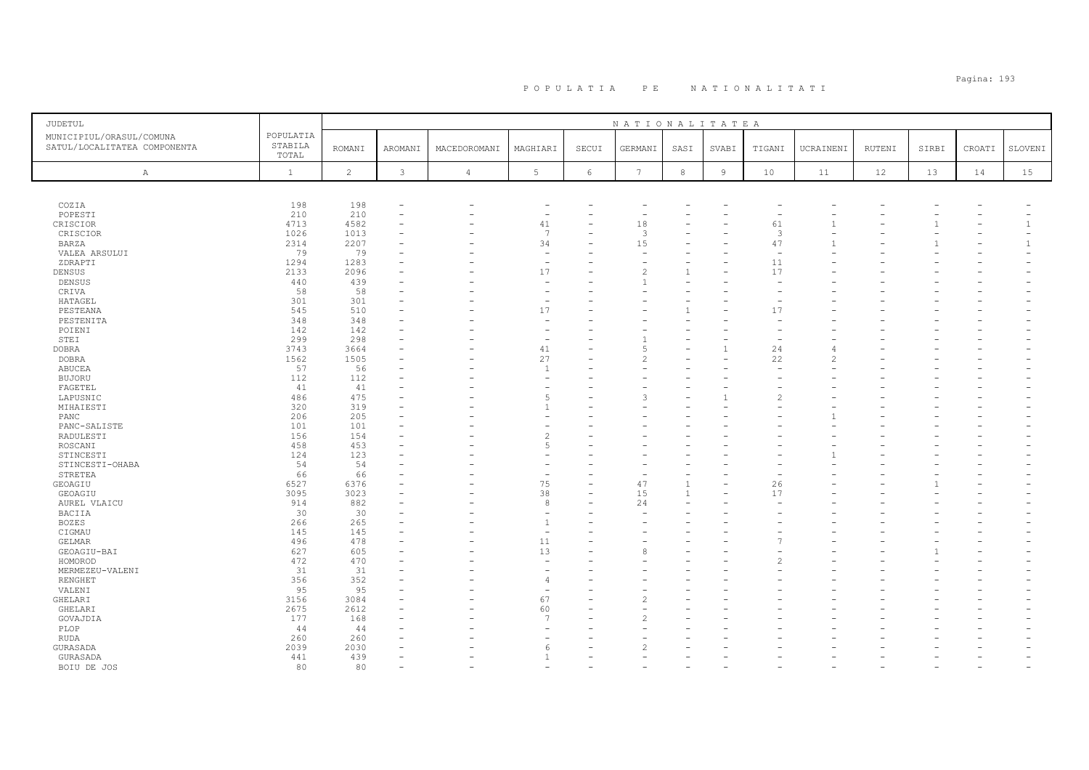| <b>JUDETUL</b>                                           |                               |                |                          |                |                          |            | NATIONALITATEA  |              |                |                          |           |        |       |        |                          |
|----------------------------------------------------------|-------------------------------|----------------|--------------------------|----------------|--------------------------|------------|-----------------|--------------|----------------|--------------------------|-----------|--------|-------|--------|--------------------------|
| MUNICIPIUL/ORASUL/COMUNA<br>SATUL/LOCALITATEA COMPONENTA | POPULATIA<br>STABILA<br>TOTAL | <b>ROMANI</b>  | AROMANI                  | MACEDOROMANI   | MAGHIARI                 | SECUI      | GERMANI         | SASI         | SVABI          | TIGANI                   | UCRAINENI | RUTENI | SIRBI | CROATI | SLOVENI                  |
| $\mathbb{A}$                                             | $\mathbf{1}$                  | $\overline{c}$ | $\mathfrak{Z}$           | $\overline{4}$ | $5\phantom{.0}$          | $\epsilon$ | $7\overline{ }$ | $^{\rm 8}$   | $\,$ 9         | 10                       | 11        | 12     | 13    | 14     | 15                       |
|                                                          |                               |                |                          |                |                          |            |                 |              |                |                          |           |        |       |        |                          |
| COZIA                                                    | 198                           | 198            | $\overline{\phantom{a}}$ |                | ۰                        |            |                 |              |                |                          |           |        |       |        |                          |
| POPESTI                                                  | 210                           | 210            |                          |                | $\overline{\phantom{a}}$ |            |                 |              |                | $\overline{\phantom{a}}$ |           |        |       |        | $\overline{\phantom{0}}$ |
| CRISCIOR                                                 | 4713                          | 4582           |                          |                | 41                       |            | 18              |              |                | 61                       |           |        |       |        | $\mathbf{1}$             |
| CRISCIOR                                                 | 1026<br>2314                  | 1013<br>2207   |                          |                | $\overline{7}$<br>34     |            | 3<br>15         |              |                | 3<br>47                  |           |        |       |        | $\equiv$<br>$\mathbf{1}$ |
| <b>BARZA</b>                                             | 79                            | 79             |                          |                | ÷,                       |            |                 |              |                | ÷,                       |           |        |       |        | $\sim$                   |
| VALEA ARSULUI<br>ZDRAPTI                                 | 1294                          | 1283           |                          |                | $\sim$                   |            |                 |              |                | 11                       |           |        |       |        |                          |
| DENSUS                                                   | 2133                          | 2096           |                          |                | 17                       |            |                 | $\mathbf{1}$ |                | 17                       |           |        |       |        |                          |
| DENSUS                                                   | 440                           | 439            |                          |                |                          |            |                 |              |                |                          |           |        |       |        |                          |
| CRIVA                                                    | 58                            | 58             |                          |                | $\overline{\phantom{a}}$ |            |                 |              |                |                          |           |        |       |        |                          |
| HATAGEL                                                  | 301                           | 301            |                          |                | ۰                        |            |                 |              |                |                          |           |        |       |        |                          |
| PESTEANA                                                 | 545                           | 510            |                          |                | 17                       |            |                 |              |                | 17                       |           |        |       |        |                          |
| PESTENITA                                                | 348                           | 348            |                          |                |                          |            |                 |              |                |                          |           |        |       |        |                          |
| POIENI                                                   | 142                           | 142            |                          |                | $\overline{\phantom{a}}$ |            |                 |              |                | $\overline{\phantom{0}}$ |           |        |       |        |                          |
| STEI                                                     | 299                           | 298            |                          |                | $\overline{\phantom{a}}$ |            |                 |              |                |                          |           |        |       |        |                          |
| <b>DOBRA</b>                                             | 3743                          | 3664           |                          |                | 41                       |            |                 |              | $\overline{1}$ | 24                       | $\Delta$  |        |       |        |                          |
| <b>DOBRA</b>                                             | 1562                          | 1505           |                          |                | 27                       |            |                 |              |                | 22                       |           |        |       |        |                          |
| ABUCEA                                                   | 57                            | 56             |                          |                | $\overline{1}$           |            |                 |              |                |                          |           |        |       |        |                          |
| <b>BUJORU</b>                                            | 112                           | 112            |                          |                | $\sim$                   |            |                 |              |                |                          |           |        |       |        |                          |
| FAGETEL                                                  | 41                            | 41             |                          |                |                          |            |                 |              |                |                          |           |        |       |        |                          |
| LAPUSNIC                                                 | 486                           | 475            |                          |                | 5                        |            | 3               |              |                | $\overline{c}$           |           |        |       |        |                          |
| MIHAIESTI                                                | 320                           | 319            |                          |                | $\overline{1}$           |            |                 |              |                |                          |           |        |       |        |                          |
| PANC                                                     | 206                           | 205            |                          |                | ۰                        |            |                 |              |                |                          |           |        |       |        |                          |
| PANC-SALISTE                                             | 101                           | 101            |                          |                |                          |            |                 |              |                |                          |           |        |       |        |                          |
| RADULESTI                                                | 156                           | 154            |                          |                | $\overline{c}$           |            |                 |              |                |                          |           |        |       |        |                          |
| ROSCANI                                                  | 458                           | 453            |                          |                | 5                        |            |                 |              |                |                          |           |        |       |        |                          |
| STINCESTI                                                | 124                           | 123            |                          |                |                          |            |                 |              |                |                          |           |        |       |        |                          |
| STINCESTI-OHABA                                          | 54                            | 54             |                          |                | ۰                        |            |                 |              |                |                          |           |        |       |        |                          |
| STRETEA                                                  | 66                            | 66             |                          |                | $\overline{\phantom{a}}$ |            |                 |              |                |                          |           |        |       |        |                          |
| GEOAGIU                                                  | 6527                          | 6376           |                          |                | 75                       |            | 47              | $\mathbf{1}$ |                | 26                       |           |        |       |        |                          |
| GEOAGIU                                                  | 3095<br>914                   | 3023<br>882    |                          |                | 38<br>8                  |            | 15<br>24        | 1<br>÷       |                | 17<br>÷                  |           |        |       |        | ÷                        |
| AUREL VLAICU                                             | 30                            | 30             |                          |                | ÷,                       |            |                 |              |                |                          |           |        |       |        |                          |
| BACIIA<br><b>BOZES</b>                                   | 266                           | 265            |                          |                | $\overline{1}$           |            |                 |              |                |                          |           |        |       |        |                          |
| CIGMAU                                                   | 145                           | 145            |                          |                | $\sim$                   |            |                 |              |                |                          |           |        |       |        |                          |
| <b>GELMAR</b>                                            | 496                           | 478            |                          |                | 11                       |            |                 |              |                |                          |           |        |       |        |                          |
| GEOAGIU-BAI                                              | 627                           | 605            |                          |                | 13                       |            |                 |              |                |                          |           |        |       |        |                          |
| HOMOROD                                                  | 472                           | 470            |                          |                | $\sim$                   |            |                 |              |                | $\mathcal{D}$            |           |        |       |        |                          |
| MERMEZEU-VALENI                                          | 31                            | 31             |                          |                | $\overline{\phantom{a}}$ |            |                 |              |                |                          |           |        |       |        |                          |
| RENGHET                                                  | 356                           | 352            |                          |                | $\overline{4}$           |            |                 |              |                |                          |           |        |       |        |                          |
| VALENI                                                   | 95                            | 95             |                          |                | $\overline{\phantom{a}}$ |            |                 |              |                |                          |           |        |       |        |                          |
| GHELARI                                                  | 3156                          | 3084           |                          |                | 67                       |            |                 |              |                |                          |           |        |       |        |                          |
| GHELARI                                                  | 2675                          | 2612           |                          |                | 60                       |            |                 |              |                |                          |           |        |       |        |                          |
| GOVAJDIA                                                 | 177                           | 168            |                          |                | $\overline{7}$           |            |                 |              |                |                          |           |        |       |        |                          |
| PLOP                                                     | 44                            | 44             |                          |                |                          |            |                 |              |                |                          |           |        |       |        |                          |
| <b>RUDA</b>                                              | 260                           | 260            |                          |                |                          |            |                 |              |                |                          |           |        |       |        |                          |
| GURASADA                                                 | 2039                          | 2030           |                          |                | 6                        |            |                 |              |                |                          |           |        |       |        |                          |
| GURASADA                                                 | 441                           | 439            |                          |                | $\overline{1}$           |            |                 |              |                |                          |           |        |       |        |                          |
| BOIU DE JOS                                              | 80                            | 80             |                          |                |                          |            |                 |              |                |                          |           |        |       |        |                          |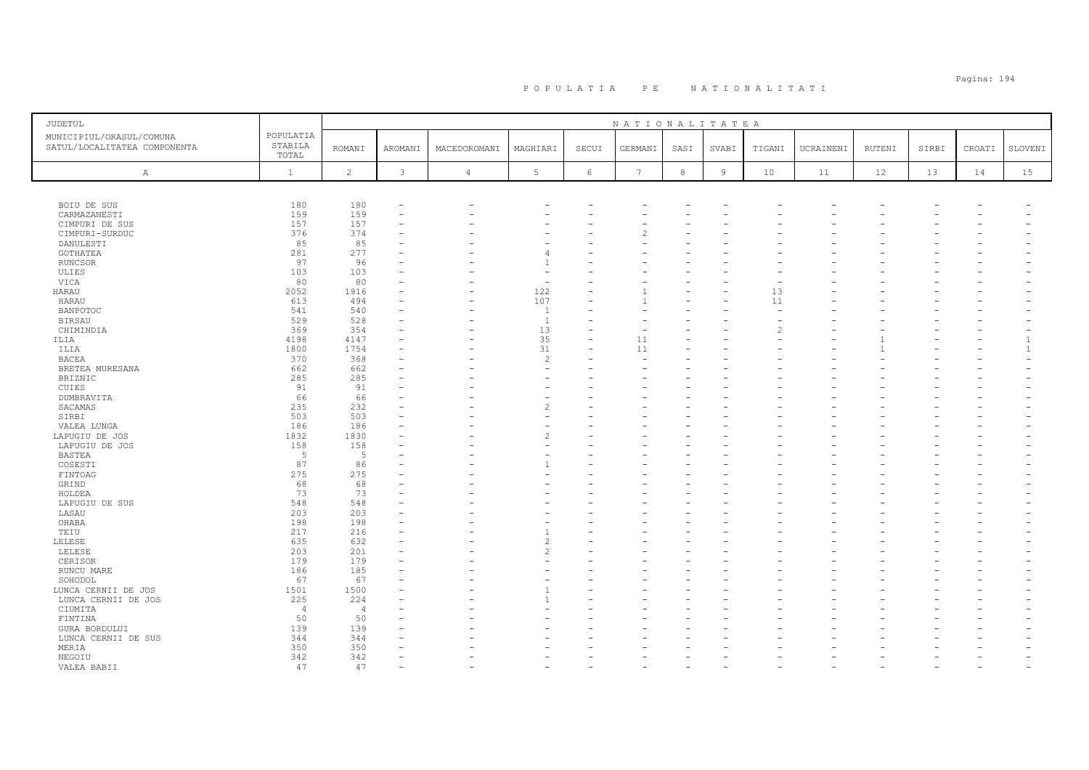| JUDETUL                                                  |                               |                |               |              |                          |            | NATIONALITATEA  |            |       |        |           |        |       |        |         |
|----------------------------------------------------------|-------------------------------|----------------|---------------|--------------|--------------------------|------------|-----------------|------------|-------|--------|-----------|--------|-------|--------|---------|
| MUNICIPIUL/ORASUL/COMUNA<br>SATUL/LOCALITATEA COMPONENTA | POPULATIA<br>STABILA<br>TOTAL | <b>ROMANI</b>  | AROMANI       | MACEDOROMANI | MAGHIARI                 | SECUI      | GERMANI         | SASI       | SVABI | TIGANI | UCRAINENI | RUTENI | SIRBI | CROATI | SLOVENI |
| $\mathbb{A}$                                             | $\mathbf{1}$                  | $\overline{c}$ | $\mathcal{E}$ | $\sqrt{4}$   | $5\phantom{.0}$          | $\epsilon$ | $7\phantom{.0}$ | $^{\rm 8}$ | $\,9$ | 10     | 11        | 12     | 13    | 14     | 15      |
|                                                          |                               |                |               |              |                          |            |                 |            |       |        |           |        |       |        |         |
| BOIU DE SUS                                              | 180                           | 180            |               |              |                          |            |                 |            |       |        |           |        |       |        |         |
| CARMAZANESTI                                             | 159                           | 159            |               |              |                          |            |                 |            |       |        |           |        |       |        |         |
| CIMPURI DE SUS                                           | 157                           | 157            |               |              |                          |            |                 |            |       |        |           |        |       |        |         |
| CIMPURI-SURDUC                                           | 376<br>85                     | 374<br>85      |               |              |                          |            |                 |            |       |        |           |        |       |        |         |
| DANULESTI                                                | 281                           | 277            |               |              | $\overline{4}$           |            |                 |            |       |        |           |        |       |        |         |
| GOTHATEA                                                 | 97                            | 96             |               |              | $\mathbf{1}$             |            |                 |            |       |        |           |        |       |        |         |
| RUNCSOR<br>ULIES                                         | 103                           | 103            |               |              | $\overline{\phantom{a}}$ |            |                 |            |       |        |           |        |       |        |         |
| VICA                                                     | 80                            | 80             |               |              | $\sim$                   |            |                 |            |       |        |           |        |       |        |         |
| HARAU                                                    | 2052                          | 1916           |               |              | 122                      |            |                 |            |       | 13     |           |        |       |        |         |
| HARAU                                                    | 613                           | 494            |               |              | 107                      |            |                 |            |       | 11     |           |        |       |        |         |
| <b>BANPOTOC</b>                                          | 541                           | 540            |               |              | $\overline{1}$           |            |                 |            |       |        |           |        |       |        |         |
| <b>BIRSAU</b>                                            | 529                           | 528            |               |              | $\overline{1}$           |            |                 |            |       |        |           |        |       |        |         |
| CHIMINDIA                                                | 369                           | 354            |               |              | 13                       |            |                 |            |       |        |           |        |       |        |         |
| ILIA                                                     | 4198                          | 4147           |               |              | 35                       |            | 11              |            |       |        |           |        |       |        |         |
| ILIA                                                     | 1800                          | 1754           |               |              | 31                       |            | 11              |            |       |        |           |        |       |        |         |
| <b>BACEA</b>                                             | 370                           | 368            |               |              | $\overline{c}$           |            |                 |            |       |        |           |        |       |        |         |
| BRETEA MURESANA                                          | 662                           | 662            |               |              | $\overline{\phantom{a}}$ |            |                 |            |       |        |           |        |       |        |         |
| BRIZNIC                                                  | 285                           | 285            |               |              |                          |            |                 |            |       |        |           |        |       |        |         |
| CUIES                                                    | 91                            | 91             |               |              |                          |            |                 |            |       |        |           |        |       |        |         |
| DUMBRAVITA                                               | 66                            | 66             |               |              | $\overline{\phantom{a}}$ |            |                 |            |       |        |           |        |       |        |         |
| SACAMAS                                                  | 235                           | 232            |               |              | $\overline{c}$           |            |                 |            |       |        |           |        |       |        |         |
| SIRBI                                                    | 503                           | 503            |               |              |                          |            |                 |            |       |        |           |        |       |        |         |
| VALEA LUNGA                                              | 186                           | 186            |               |              | $\overline{\phantom{a}}$ |            |                 |            |       |        |           |        |       |        |         |
| LAPUGIU DE JOS                                           | 1832                          | 1830           |               |              | $\overline{c}$           |            |                 |            |       |        |           |        |       |        |         |
| LAPUGIU DE JOS                                           | 158                           | 158            |               |              | $\overline{\phantom{a}}$ |            |                 |            |       |        |           |        |       |        |         |
| BASTEA                                                   | -5                            | - 5            |               |              |                          |            |                 |            |       |        |           |        |       |        |         |
| COSESTI                                                  | 87                            | 86             |               |              | $\mathbf{1}$             |            |                 |            |       |        |           |        |       |        |         |
| FINTOAG                                                  | 275                           | 275            |               |              |                          |            |                 |            |       |        |           |        |       |        |         |
| GRIND                                                    | 68                            | 68             |               |              |                          |            |                 |            |       |        |           |        |       |        |         |
| HOLDEA                                                   | 73                            | 73             |               |              |                          |            |                 |            |       |        |           |        |       |        |         |
| LAPUGIU DE SUS                                           | 548                           | 548            |               |              |                          |            |                 |            |       |        |           |        |       |        |         |
| LASAU                                                    | 203                           | 203            |               |              |                          |            |                 |            |       |        |           |        |       |        |         |
| OHABA                                                    | 198                           | 198            |               |              |                          |            |                 |            |       |        |           |        |       |        |         |
| TEIU                                                     | 217                           | 216            |               |              |                          |            |                 |            |       |        |           |        |       |        |         |
| LELESE                                                   | 635                           | 632            |               |              | $\overline{c}$           |            |                 |            |       |        |           |        |       |        |         |
| LELESE                                                   | 203                           | 201            |               |              | $\overline{\mathcal{L}}$ |            |                 |            |       |        |           |        |       |        |         |
| CERISOR                                                  | 179                           | 179            |               |              |                          |            |                 |            |       |        |           |        |       |        |         |
| RUNCU MARE                                               | 186                           | 185            |               |              |                          |            |                 |            |       |        |           |        |       |        |         |
| SOHODOL                                                  | 67                            | 67             |               |              |                          |            |                 |            |       |        |           |        |       |        |         |
| LUNCA CERNII DE JOS                                      | 1501                          | 1500           |               |              |                          |            |                 |            |       |        |           |        |       |        |         |
| LUNCA CERNII DE JOS                                      | 225                           | 224            |               |              |                          |            |                 |            |       |        |           |        |       |        |         |
| CIUMITA                                                  | $\overline{4}$                | $\overline{4}$ |               |              |                          |            |                 |            |       |        |           |        |       |        |         |
| FINTINA                                                  | 50                            | 50             |               |              |                          |            |                 |            |       |        |           |        |       |        |         |
| GURA BORDULUI                                            | 139                           | 139            |               |              |                          |            |                 |            |       |        |           |        |       |        |         |
| LUNCA CERNII DE SUS                                      | 344                           | 344            |               |              |                          |            |                 |            |       |        |           |        |       |        |         |
| MERIA                                                    | 350                           | 350<br>342     |               |              |                          |            |                 |            |       |        |           |        |       |        |         |
| NEGOIU                                                   | 342<br>47                     | 47             |               |              |                          |            |                 |            |       |        |           |        |       |        |         |
| VALEA BABII                                              |                               |                |               |              |                          |            |                 |            |       |        |           |        |       |        |         |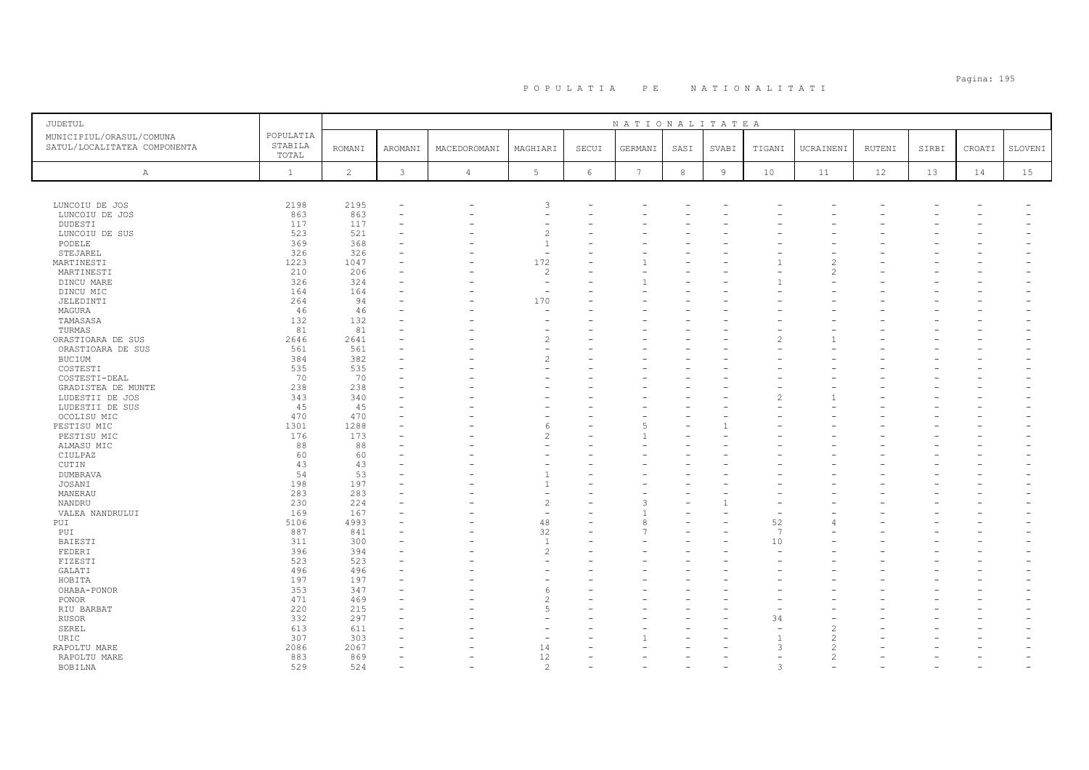# Pagina: 195 P O P U L A T I A P E N A T I O N A L I T A T I

| JUDETUL                                                  |                               |                |                          |                |                          |       | NATIONALITATEA  |            |        |                |                          |        |       |        |         |
|----------------------------------------------------------|-------------------------------|----------------|--------------------------|----------------|--------------------------|-------|-----------------|------------|--------|----------------|--------------------------|--------|-------|--------|---------|
| MUNICIPIUL/ORASUL/COMUNA<br>SATUL/LOCALITATEA COMPONENTA | POPULATIA<br>STABILA<br>TOTAL | <b>ROMANI</b>  | AROMANI                  | MACEDOROMANI   | MAGHIARI                 | SECUI | GERMANI         | SASI       | SVABI  | TIGANI         | UCRAINENI                | RUTENI | SIRBI | CROATI | SLOVENI |
| $\mathbb{A}$                                             | $\mathbf{1}$                  | $\overline{c}$ | 3                        | $\overline{4}$ | 5                        | 6     | $7\phantom{.0}$ | $_{\rm 8}$ | $\,$ 9 | $10$           | 11                       | 12     | 13    | 14     | 15      |
|                                                          |                               |                |                          |                |                          |       |                 |            |        |                |                          |        |       |        |         |
| LUNCOIU DE JOS                                           | 2198                          | 2195           | ۰                        |                | 3                        |       |                 |            |        |                |                          |        |       |        |         |
| LUNCOIU DE JOS                                           | 863                           | 863            | $\overline{\phantom{0}}$ |                |                          |       |                 |            |        |                |                          |        |       |        |         |
| DUDESTI                                                  | 117                           | 117            |                          |                |                          |       |                 |            |        |                |                          |        |       |        |         |
| LUNCOIU DE SUS                                           | 523                           | 521            |                          |                | $\overline{c}$           |       |                 |            |        |                |                          |        |       |        |         |
| PODELE                                                   | 369                           | 368            |                          |                | $\overline{1}$           |       |                 |            |        |                |                          |        |       |        |         |
| STEJAREL                                                 | 326                           | 326            |                          |                | $\overline{\phantom{a}}$ |       |                 |            |        |                |                          |        |       |        |         |
| MARTINESTI                                               | 1223                          | 1047           |                          |                | 172                      |       |                 |            |        |                | $\mathfrak{D}$           |        |       |        |         |
| MARTINESTI                                               | 210                           | 206            | ۰                        |                | $\overline{c}$           |       |                 |            |        |                | $\overline{\mathcal{L}}$ |        |       |        |         |
| DINCU MARE                                               | 326                           | 324            |                          |                | $\overline{\phantom{a}}$ |       |                 |            |        |                |                          |        |       |        |         |
| DINCU MIC                                                | 164                           | 164            |                          |                | $\overline{\phantom{a}}$ |       |                 |            |        |                |                          |        |       |        |         |
| JELEDINTI                                                | 264                           | 94             |                          |                | 170                      |       |                 |            |        |                |                          |        |       |        |         |
| MAGURA<br>TAMASASA                                       | 46<br>132                     | 46<br>132      |                          |                | $\overline{\phantom{a}}$ |       |                 |            |        |                |                          |        |       |        |         |
| TURMAS                                                   | 81                            | 81             |                          |                | $\overline{\phantom{a}}$ |       |                 |            |        |                |                          |        |       |        |         |
| ORASTIOARA DE SUS                                        | 2646                          | 2641           | $\overline{\phantom{0}}$ |                | $\overline{\mathcal{L}}$ |       |                 |            |        |                |                          |        |       |        |         |
| ORASTIOARA DE SUS                                        | 561                           | 561            |                          |                |                          |       |                 |            |        |                |                          |        |       |        |         |
| <b>BUCIUM</b>                                            | 384                           | 382            |                          |                | $\overline{\mathcal{L}}$ |       |                 |            |        |                |                          |        |       |        |         |
| COSTESTI                                                 | 535                           | 535            |                          |                |                          |       |                 |            |        |                |                          |        |       |        |         |
| COSTESTI-DEAL                                            | 70                            | 70             |                          |                |                          |       |                 |            |        |                |                          |        |       |        |         |
| GRADISTEA DE MUNTE                                       | 238                           | 238            |                          |                |                          |       |                 |            |        |                |                          |        |       |        |         |
| LUDESTII DE JOS                                          | 343                           | 340            |                          |                |                          |       |                 |            |        |                |                          |        |       |        |         |
| LUDESTII DE SUS                                          | 45                            | 45             |                          |                |                          |       |                 |            |        |                |                          |        |       |        |         |
| OCOLISU MIC                                              | 470                           | 470            |                          |                |                          |       |                 |            |        |                |                          |        |       |        |         |
| PESTISU MIC                                              | 1301                          | 1288           |                          |                | 6                        |       |                 |            |        |                |                          |        |       |        |         |
| PESTISU MIC                                              | 176                           | 173            |                          |                | $\overline{\mathcal{L}}$ |       |                 |            |        |                |                          |        |       |        |         |
| ALMASU MIC                                               | 88                            | 88             |                          |                |                          |       |                 |            |        |                |                          |        |       |        |         |
| CIULPAZ                                                  | 60                            | 60             |                          |                |                          |       |                 |            |        |                |                          |        |       |        |         |
| CUTIN                                                    | 43                            | 43             |                          |                |                          |       |                 |            |        |                |                          |        |       |        |         |
| <b>DUMBRAVA</b>                                          | 54                            | 53             |                          |                |                          |       |                 |            |        |                |                          |        |       |        |         |
| JOSANI                                                   | 198                           | 197            |                          |                | $\overline{1}$           |       |                 |            |        |                |                          |        |       |        |         |
| MANERAU                                                  | 283                           | 283            |                          |                |                          |       |                 |            |        |                |                          |        |       |        |         |
| NANDRU                                                   | 230                           | 224            |                          |                | $\overline{c}$           |       |                 |            |        |                |                          |        |       |        |         |
| VALEA NANDRULUI                                          | 169                           | 167            |                          |                | $\overline{\phantom{a}}$ |       |                 |            |        |                |                          |        |       |        |         |
| PUI                                                      | 5106                          | 4993           |                          |                | 48                       |       |                 |            |        | 52             |                          |        |       |        |         |
| PUI                                                      | 887                           | 841            |                          |                | 32                       |       |                 |            |        | $\overline{7}$ |                          |        |       |        |         |
| BAIESTI                                                  | 311                           | 300            |                          |                | $\overline{1}$           |       |                 |            |        | 10             |                          |        |       |        |         |
| FEDERI<br>FIZESTI                                        | 396<br>523                    | 394<br>523     |                          |                | $\overline{c}$           |       |                 |            |        |                |                          |        |       |        |         |
| GALATI                                                   | 496                           | 496            |                          |                |                          |       |                 |            |        |                |                          |        |       |        |         |
| HOBITA                                                   | 197                           | 197            |                          |                |                          |       |                 |            |        |                |                          |        |       |        |         |
| OHABA-PONOR                                              | 353                           | 347            |                          |                | 6                        |       |                 |            |        |                |                          |        |       |        |         |
| PONOR                                                    | 471                           | 469            |                          |                | $\overline{\mathcal{L}}$ |       |                 |            |        |                |                          |        |       |        |         |
| RIU BARBAT                                               | 220                           | 215            |                          |                | 5                        |       |                 |            |        |                |                          |        |       |        |         |
| <b>RUSOR</b>                                             | 332                           | 297            |                          |                |                          |       |                 |            |        | 34             |                          |        |       |        |         |
| SEREL                                                    | 613                           | 611            |                          |                |                          |       |                 |            |        |                | $\overline{c}$           |        |       |        |         |
| URIC                                                     | 307                           | 303            |                          |                |                          |       |                 |            |        | $\mathbf{1}$   | $\overline{c}$           |        |       |        |         |
| RAPOLTU MARE                                             | 2086                          | 2067           |                          |                | 14                       |       |                 |            |        | 3              | $\overline{c}$           |        |       |        |         |
| RAPOLTU MARE                                             | 883                           | 869            |                          |                | 12                       |       |                 |            |        |                | $\overline{c}$           |        |       |        |         |
| BOBILNA                                                  | 529                           | 524            |                          |                | $\overline{c}$           |       |                 |            |        | 3              | ۰                        |        |       |        |         |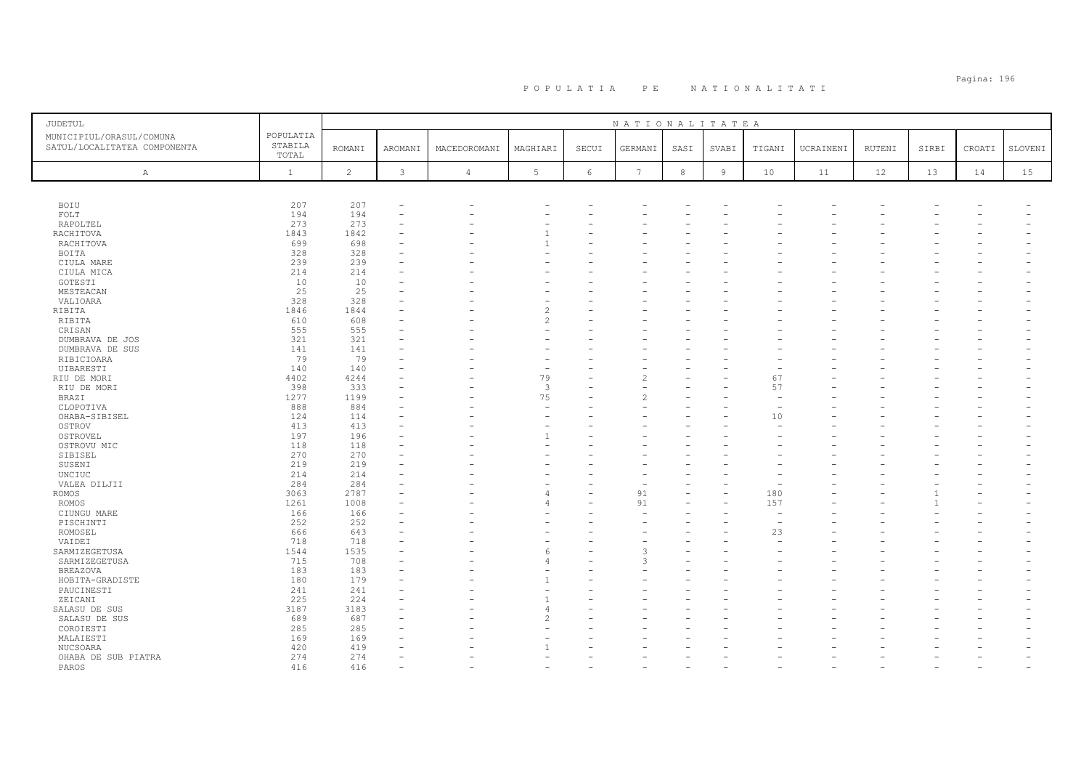# Pagina: 196 P O P U L A T I A P E N A T I O N A L I T A T I

| <b>JUDETUL</b>                                           |                               | NATIONALITATEA |                |                |                |            |                 |            |                |                          |           |        |       |        |         |
|----------------------------------------------------------|-------------------------------|----------------|----------------|----------------|----------------|------------|-----------------|------------|----------------|--------------------------|-----------|--------|-------|--------|---------|
| MUNICIPIUL/ORASUL/COMUNA<br>SATUL/LOCALITATEA COMPONENTA | POPULATIA<br>STABILA<br>TOTAL | <b>ROMANI</b>  | AROMANI        | MACEDOROMANI   | MAGHIARI       | SECUI      | GERMANI         | SASI       | SVABI          | TIGANI                   | UCRAINENI | RUTENI | SIRBI | CROATI | SLOVENI |
| Α                                                        | $\mathbf{1}$                  | $\overline{c}$ | $\mathfrak{Z}$ | $\overline{4}$ | 5 <sup>1</sup> | $\epsilon$ | $7\phantom{.0}$ | $^{\rm 8}$ | $\overline{9}$ | $10$                     | 11        | 12     | 13    | 14     | 15      |
|                                                          |                               |                |                |                |                |            |                 |            |                |                          |           |        |       |        |         |
| BOIU                                                     | 207                           | 207            |                |                |                |            |                 |            |                |                          |           |        |       |        |         |
| FOLT                                                     | 194                           | 194            |                |                |                |            |                 |            |                |                          |           |        |       |        |         |
| RAPOLTEL                                                 | 273                           | 273            |                |                |                |            |                 |            |                |                          |           |        |       |        |         |
| RACHITOVA                                                | 1843                          | 1842           |                |                | $\overline{1}$ |            |                 |            |                |                          |           |        |       |        |         |
| RACHITOVA                                                | 699                           | 698            |                |                |                |            |                 |            |                |                          |           |        |       |        |         |
| BOITA                                                    | 328                           | 328            |                |                |                |            |                 |            |                |                          |           |        |       |        |         |
| CIULA MARE                                               | 239                           | 239            |                |                |                |            |                 |            |                |                          |           |        |       |        |         |
| CIULA MICA                                               | 214                           | 214            |                |                |                |            |                 |            |                |                          |           |        |       |        |         |
| GOTESTI                                                  | 10                            | 10             |                |                |                |            |                 |            |                |                          |           |        |       |        |         |
| MESTEACAN                                                | 25                            | 25             |                |                |                |            |                 |            |                |                          |           |        |       |        |         |
| VALIOARA                                                 | 328                           | 328            |                |                |                |            |                 |            |                |                          |           |        |       |        |         |
| RIBITA                                                   | 1846                          | 1844           |                |                | $\overline{c}$ |            |                 |            |                |                          |           |        |       |        |         |
| RIBITA                                                   | 610                           | 608            |                |                | $\mathfrak{D}$ |            |                 |            |                |                          |           |        |       |        |         |
| CRISAN                                                   | 555                           | 555            |                |                |                |            |                 |            |                |                          |           |        |       |        |         |
| DUMBRAVA DE JOS                                          | 321                           | 321            |                |                |                |            |                 |            |                |                          |           |        |       |        |         |
|                                                          | 141                           | 141            |                |                |                |            |                 |            |                |                          |           |        |       |        |         |
| DUMBRAVA DE SUS                                          | 79                            |                |                |                |                |            |                 |            |                |                          |           |        |       |        |         |
| RIBICIOARA                                               |                               | 79             |                |                |                |            |                 |            |                |                          |           |        |       |        |         |
| UIBARESTI                                                | 140                           | 140<br>4244    |                |                |                |            |                 |            |                |                          |           |        |       |        |         |
| RIU DE MORI                                              | 4402                          |                |                |                | 79             | L.         |                 |            |                | 67                       |           |        |       |        |         |
| RIU DE MORI                                              | 398                           | 333            |                |                | $\mathbf{3}$   |            |                 |            |                | 57                       |           |        |       |        |         |
| BRAZI                                                    | 1277                          | 1199           |                |                | 75             |            |                 |            |                |                          |           |        |       |        |         |
| CLOPOTIVA                                                | 888                           | 884            |                |                | $\equiv$       |            |                 |            |                |                          |           |        |       |        |         |
| OHABA-SIBISEL                                            | 124                           | 114            |                |                |                |            |                 |            |                | 10                       |           |        |       |        |         |
| OSTROV                                                   | 413                           | 413            |                |                |                |            |                 |            |                |                          |           |        |       |        |         |
| OSTROVEL                                                 | 197                           | 196            |                |                | $\overline{1}$ |            |                 |            |                |                          |           |        |       |        |         |
| OSTROVU MIC                                              | 118                           | 118            |                |                |                |            |                 |            |                |                          |           |        |       |        |         |
| SIBISEL                                                  | 270                           | 270            |                |                |                |            |                 |            |                |                          |           |        |       |        |         |
| SUSENI                                                   | 219                           | 219            |                |                |                |            |                 |            |                |                          |           |        |       |        |         |
| UNCIUC                                                   | 214                           | 214            |                |                |                |            |                 |            |                |                          |           |        |       |        |         |
| VALEA DILJII                                             | 284                           | 284            |                |                |                |            |                 |            |                |                          |           |        |       |        |         |
| ROMOS                                                    | 3063                          | 2787           |                |                | $\Delta$       | L,         | 91              |            |                | 180                      |           |        |       |        |         |
| ROMOS                                                    | 1261                          | 1008           |                |                |                |            | 91              |            |                | 157                      |           |        |       |        |         |
| CIUNGU MARE                                              | 166                           | 166            |                |                |                |            |                 |            |                | $\overline{\phantom{a}}$ |           |        |       |        |         |
| PISCHINTI                                                | 252                           | 252            |                |                |                |            |                 |            |                | $\overline{\phantom{a}}$ |           |        |       |        |         |
| ROMOSEL                                                  | 666                           | 643            |                |                |                |            |                 |            |                | 23                       |           |        |       |        |         |
| VAIDEI                                                   | 718                           | 718            |                |                |                |            |                 |            |                |                          |           |        |       |        |         |
| SARMIZEGETUSA                                            | 1544                          | 1535           |                |                | 6              |            |                 |            |                |                          |           |        |       |        |         |
| SARMIZEGETUSA                                            | 715                           | 708            |                |                | $\Delta$       |            | 3               |            |                |                          |           |        |       |        |         |
| BREAZOVA                                                 | 183                           | 183            |                |                |                |            |                 |            |                |                          |           |        |       |        |         |
| HOBITA-GRADISTE                                          | 180                           | 179            |                |                |                |            |                 |            |                |                          |           |        |       |        |         |
| PAUCINESTI                                               | 241                           | 241            |                |                |                |            |                 |            |                |                          |           |        |       |        |         |
| ZEICANI                                                  | 225                           | 224            |                |                |                |            |                 |            |                |                          |           |        |       |        |         |
| SALASU DE SUS                                            | 3187                          | 3183           |                |                | $\Delta$       |            |                 |            |                |                          |           |        |       |        |         |
| SALASU DE SUS                                            | 689                           | 687            |                |                |                |            |                 |            |                |                          |           |        |       |        |         |
| COROIESTI                                                | 285                           | 285            |                |                |                |            |                 |            |                |                          |           |        |       |        |         |
| MALAIESTI                                                | 169                           | 169            |                |                |                |            |                 |            |                |                          |           |        |       |        |         |
| NUCSOARA                                                 | 420                           | 419            |                |                |                |            |                 |            |                |                          |           |        |       |        |         |
| OHABA DE SUB PIATRA                                      | 274                           | 274            |                |                |                |            |                 |            |                |                          |           |        |       |        |         |
| PAROS                                                    | 416                           | 416            |                |                |                |            |                 |            |                |                          |           |        |       |        |         |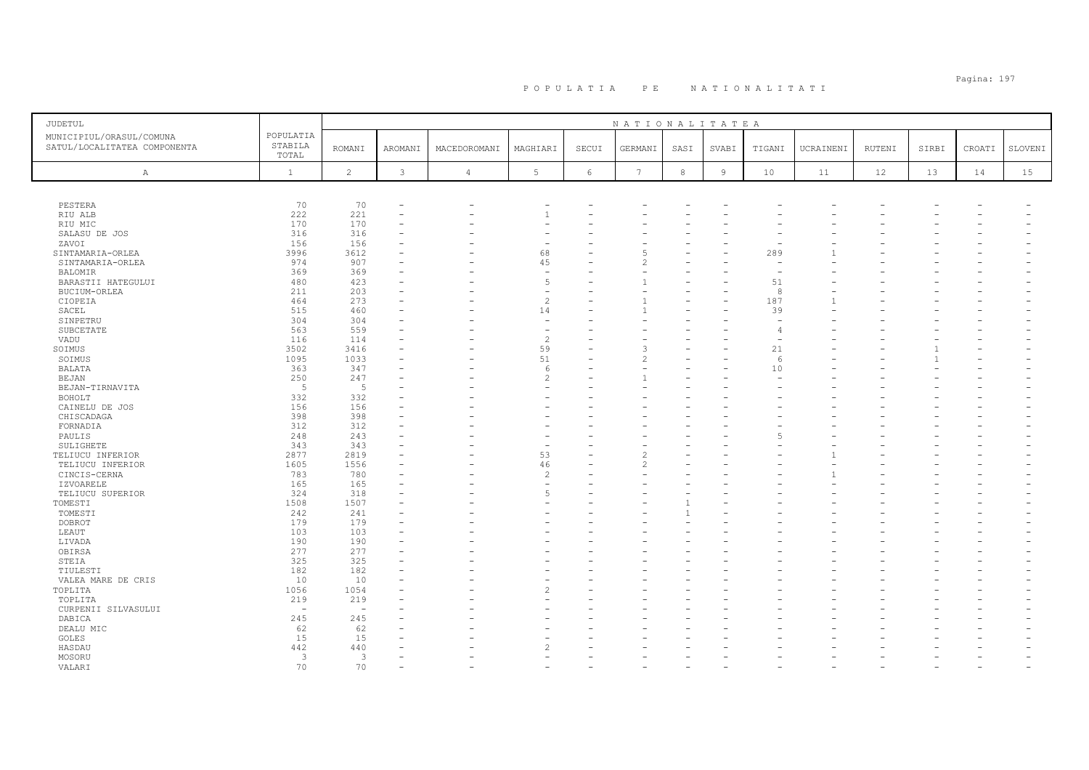| <b>JUDETUL</b>                                           |                               |                |              |                |                          |            | NATIONALITATEA           |              |                |        |           |        |       |        |         |
|----------------------------------------------------------|-------------------------------|----------------|--------------|----------------|--------------------------|------------|--------------------------|--------------|----------------|--------|-----------|--------|-------|--------|---------|
| MUNICIPIUL/ORASUL/COMUNA<br>SATUL/LOCALITATEA COMPONENTA | POPULATIA<br>STABILA<br>TOTAL | <b>ROMANI</b>  | AROMANI      | MACEDOROMANI   | MAGHIARI                 | SECUI      | GERMANI                  | SASI         | SVABI          | TIGANI | UCRAINENI | RUTENI | SIRBI | CROATI | SLOVENI |
| A                                                        | $\mathbf{1}$                  | $\overline{c}$ | $\mathbf{3}$ | $\overline{4}$ | $5\phantom{.0}$          | $\epsilon$ | 7                        | $^{\rm 8}$   | $\overline{9}$ | 10     | 11        | 12     | 13    | 14     | 15      |
|                                                          |                               |                |              |                |                          |            |                          |              |                |        |           |        |       |        |         |
| PESTERA                                                  | 70                            | 70             |              |                |                          |            |                          |              |                |        |           |        |       |        |         |
| RIU ALB                                                  | 222                           | 221            |              |                |                          |            |                          |              |                |        |           |        |       |        |         |
| RIU MIC                                                  | 170                           | 170            |              |                |                          |            |                          |              |                |        |           |        |       |        |         |
| SALASU DE JOS                                            | 316                           | 316            |              |                |                          |            |                          |              |                |        |           |        |       |        |         |
| ZAVOI                                                    | 156                           | 156            |              |                |                          |            |                          |              |                |        |           |        |       |        |         |
| SINTAMARIA-ORLEA                                         | 3996                          | 3612           |              |                | 68                       |            | ц                        |              |                | 289    |           |        |       |        |         |
| SINTAMARIA-ORLEA                                         | 974                           | 907            |              |                | 45                       |            | 2                        |              |                |        |           |        |       |        |         |
| BALOMIR                                                  | 369                           | 369            |              |                | $\overline{\phantom{a}}$ |            |                          |              |                |        |           |        |       |        |         |
| BARASTII HATEGULUI                                       | 480                           | 423            |              |                | 5                        |            |                          |              |                | 51     |           |        |       |        |         |
| BUCIUM-ORLEA                                             | 211                           | 203            |              |                | $\overline{\phantom{m}}$ |            |                          |              |                | 8      |           |        |       |        |         |
| CIOPEIA                                                  | 464                           | 273            |              |                | $\overline{c}$           |            |                          |              |                | 187    |           |        |       |        |         |
| SACEL                                                    | 515                           | 460            |              |                | 14                       |            |                          |              |                | 39     |           |        |       |        |         |
| SINPETRU                                                 | 304                           | 304            |              |                | $\overline{\phantom{a}}$ |            |                          |              |                |        |           |        |       |        |         |
| SUBCETATE                                                | 563                           | 559            |              |                | $\overline{\phantom{a}}$ |            |                          |              |                | 4      |           |        |       |        |         |
| VADU                                                     | 116                           | 114            |              |                | $\overline{c}$           |            |                          |              |                |        |           |        |       |        |         |
| SOIMUS                                                   | 3502                          | 3416           |              |                | 59                       |            | 3                        |              |                | 21     |           |        |       |        |         |
| SOIMUS                                                   | 1095                          | 1033           |              |                | 51                       | L.         | $\overline{\phantom{0}}$ |              |                | 6      |           |        |       |        |         |
| BALATA                                                   | 363                           | 347            |              |                | 6                        |            |                          |              |                | 10     |           |        |       |        |         |
| BEJAN                                                    | 250                           | 247            |              |                | $\overline{c}$           |            |                          |              |                |        |           |        |       |        |         |
| BEJAN-TIRNAVITA                                          | -5                            | 5              |              |                |                          |            |                          |              |                |        |           |        |       |        |         |
| BOHOLT                                                   | 332                           | 332            |              |                |                          |            |                          |              |                |        |           |        |       |        |         |
| CAINELU DE JOS                                           | 156                           | 156            |              |                |                          |            |                          |              |                |        |           |        |       |        |         |
| CHISCADAGA                                               | 398                           | 398            |              |                |                          |            |                          |              |                |        |           |        |       |        |         |
| FORNADIA                                                 | 312                           | 312            |              |                |                          |            |                          |              |                |        |           |        |       |        |         |
| PAULIS                                                   | 248                           | 243            |              |                |                          |            |                          |              |                |        |           |        |       |        |         |
| SULIGHETE                                                | 343                           | 343            |              |                | ÷                        |            |                          |              |                |        |           |        |       |        |         |
| TELIUCU INFERIOR                                         | 2877                          | 2819           |              |                | 53                       |            |                          |              |                |        |           |        |       |        |         |
| TELIUCU INFERIOR                                         | 1605                          | 1556           |              |                | 46                       | L.         | $\mathfrak{D}$           |              |                |        |           |        |       |        |         |
| CINCIS-CERNA                                             | 783                           | 780            |              |                | $\overline{c}$           |            |                          |              |                |        |           |        |       |        |         |
| IZVOARELE                                                | 165                           | 165            |              |                | ÷,                       |            |                          |              |                |        |           |        |       |        |         |
| TELIUCU SUPERIOR                                         | 324                           | 318            |              |                | 5                        |            |                          |              |                |        |           |        |       |        |         |
| TOMESTI                                                  | 1508                          | 1507           |              |                |                          |            |                          |              |                |        |           |        |       |        |         |
| TOMESTI                                                  | 242                           | 241            |              |                |                          |            |                          | $\mathbf{1}$ |                |        |           |        |       |        |         |
| <b>DOBROT</b>                                            | 179                           | 179            |              |                |                          |            |                          |              |                |        |           |        |       |        |         |
| LEAUT                                                    | 103                           | 103            |              |                |                          |            |                          |              |                |        |           |        |       |        |         |
| LIVADA                                                   | 190                           | 190            |              |                |                          |            |                          |              |                |        |           |        |       |        |         |
| OBIRSA                                                   | 277                           | 277            |              |                |                          |            |                          |              |                |        |           |        |       |        |         |
| STEIA                                                    | 325                           | 325            |              |                |                          |            |                          |              |                |        |           |        |       |        |         |
| TIULESTI                                                 | 182                           | 182            |              |                |                          | L.         |                          |              |                |        |           |        |       |        |         |
| VALEA MARE DE CRIS                                       | 10                            | 10             |              |                |                          |            |                          |              |                |        |           |        |       |        |         |
| TOPLITA                                                  | 1056                          | 1054           |              |                | $\overline{c}$           |            |                          |              |                |        |           |        |       |        |         |
| TOPLITA                                                  | 219                           | 219            |              |                |                          |            |                          |              |                |        |           |        |       |        |         |
| CURPENII SILVASULUI                                      | $\overline{\phantom{a}}$      | $\sim$         |              |                |                          |            |                          |              |                |        |           |        |       |        |         |
| DABICA                                                   | 245                           | 245            |              |                |                          |            |                          |              |                |        |           |        |       |        |         |
| DEALU MIC                                                | 62                            | 62             |              |                |                          |            |                          |              |                |        |           |        |       |        |         |
| <b>GOLES</b>                                             | 15                            | 15             |              |                |                          |            |                          |              |                |        |           |        |       |        |         |
| HASDAU                                                   | 442                           | 440            |              |                | $\overline{c}$           |            |                          |              |                |        |           |        |       |        |         |
| MOSORU                                                   | $\overline{\mathbf{3}}$       | 3              |              |                |                          |            |                          |              |                |        |           |        |       |        |         |
| VALARI                                                   | 70                            | 70             |              |                |                          |            |                          |              |                |        |           |        |       |        |         |
|                                                          |                               |                |              |                |                          |            |                          |              |                |        |           |        |       |        |         |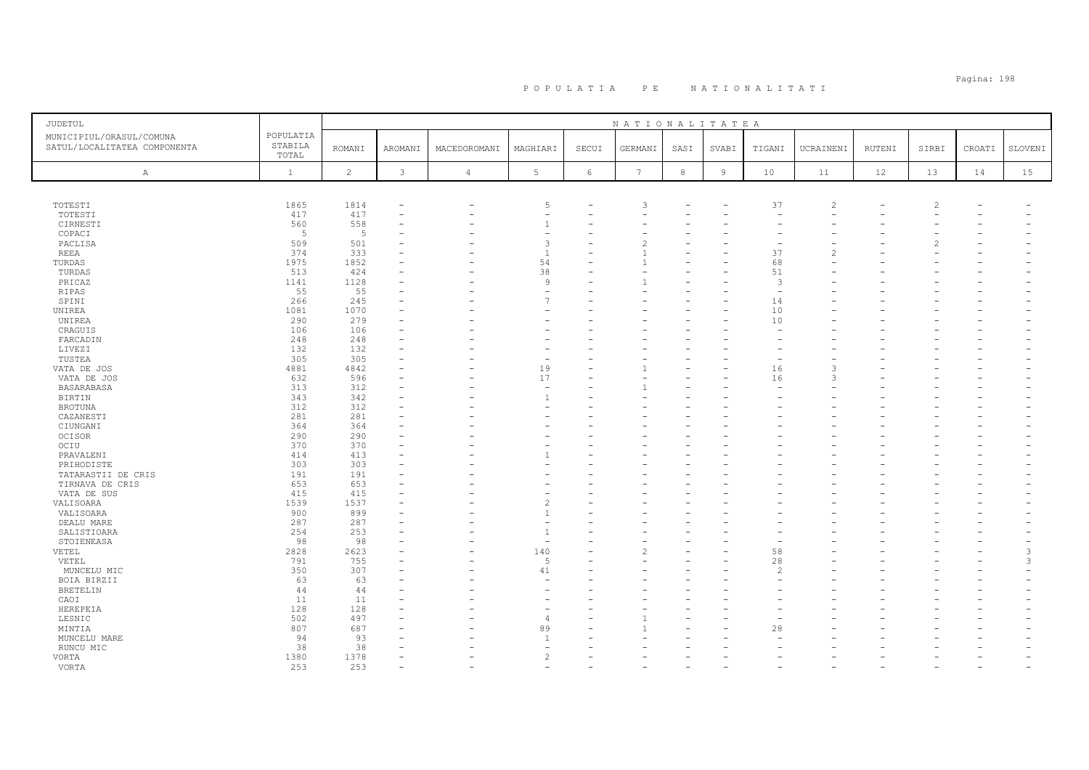| JUDETUL                                                  |                               |                |                          |                |                               |       | NATIONALITATEA  |        |                |                          |                |               |       |        |         |
|----------------------------------------------------------|-------------------------------|----------------|--------------------------|----------------|-------------------------------|-------|-----------------|--------|----------------|--------------------------|----------------|---------------|-------|--------|---------|
| MUNICIPIUL/ORASUL/COMUNA<br>SATUL/LOCALITATEA COMPONENTA | POPULATIA<br>STABILA<br>TOTAL | <b>ROMANI</b>  | AROMANI                  | MACEDOROMANI   | MAGHIARI                      | SECUI | GERMANI         | SASI   | SVABI          | TIGANI                   | UCRAINENI      | <b>RUTENI</b> | SIRBI | CROATI | SLOVENI |
| A                                                        | $\mathbf{1}$                  | $\overline{c}$ | 3                        | $\overline{4}$ | $\mathbb 5$                   | 6     | $7\phantom{.0}$ | $\,$ 8 | $\overline{9}$ | $10$                     | 11             | 12            | 13    | 14     | 15      |
|                                                          |                               |                |                          |                |                               |       |                 |        |                |                          |                |               |       |        |         |
|                                                          |                               |                |                          |                |                               |       |                 |        |                |                          |                |               |       |        |         |
| TOTESTI                                                  | 1865                          | 1814           |                          |                | 5                             |       | 3               |        |                | 37                       | $\overline{c}$ |               |       |        |         |
| TOTESTI                                                  | 417                           | 417            | $\overline{\phantom{0}}$ |                | ٠                             |       |                 |        |                | $\overline{\phantom{a}}$ |                |               |       |        |         |
| CIRNESTI                                                 | 560                           | 558            |                          |                | $\overline{1}$                |       |                 |        |                |                          |                |               |       |        |         |
| COPACI                                                   | 5                             | 5              |                          |                | ۰                             |       |                 |        |                |                          |                |               |       |        |         |
| PACLISA                                                  | 509                           | 501            |                          |                | $\overline{3}$                |       | 2               |        |                |                          |                |               |       |        |         |
| <b>REEA</b>                                              | 374                           | 333            |                          |                | $\overline{1}$                |       |                 |        |                | 37                       | 2              |               |       |        |         |
| TURDAS                                                   | 1975                          | 1852           |                          |                | 54                            |       |                 |        |                | 68                       |                |               |       |        |         |
| TURDAS                                                   | 513                           | 424            |                          |                | 38                            |       |                 |        |                | 51                       |                |               |       |        |         |
| PRICAZ                                                   | 1141                          | 1128           |                          |                | 9                             |       |                 |        |                | 3                        |                |               |       |        |         |
| RIPAS                                                    | 55                            | 55             |                          |                | $\overline{\phantom{0}}$      |       |                 |        |                | $\overline{\phantom{a}}$ |                |               |       |        |         |
| SPINI                                                    | 266                           | 245            | ۰                        |                | $\overline{7}$                |       |                 |        |                | 14                       |                |               |       |        |         |
| UNIREA                                                   | 1081                          | 1070           | ۳                        |                |                               |       |                 |        |                | 10                       |                |               |       |        |         |
| UNIREA                                                   | 290<br>106                    | 279<br>106     |                          |                |                               |       |                 |        |                | 10                       |                |               |       |        |         |
| CRAGUIS<br>FARCADIN                                      | 248                           | 248            | $\overline{\phantom{0}}$ |                |                               |       |                 |        |                |                          |                |               |       |        |         |
| LIVEZI                                                   | 132                           | 132            |                          |                |                               |       |                 |        |                |                          |                |               |       |        |         |
| TUSTEA                                                   | 305                           | 305            |                          |                | ۰                             |       |                 |        |                |                          |                |               |       |        |         |
| VATA DE JOS                                              | 4881                          | 4842           |                          |                | 19                            |       |                 |        |                | 16                       | 3              |               |       |        |         |
| VATA DE JOS                                              | 632                           | 596            |                          |                | 17                            |       |                 |        |                | 16                       | 3              |               |       |        |         |
| BASARABASA                                               | 313                           | 312            |                          |                | ٠                             |       |                 |        |                |                          |                |               |       |        |         |
| <b>BIRTIN</b>                                            | 343                           | 342            |                          |                | $\mathbf{1}$                  |       |                 |        |                |                          |                |               |       |        |         |
| <b>BROTUNA</b>                                           | 312                           | 312            | ۰                        |                | ۰                             |       |                 |        |                |                          |                |               |       |        |         |
| CAZANESTI                                                | 281                           | 281            |                          |                |                               |       |                 |        |                |                          |                |               |       |        |         |
| CIUNGANI                                                 | 364                           | 364            |                          |                |                               |       |                 |        |                |                          |                |               |       |        |         |
| OCISOR                                                   | 290                           | 290            |                          |                |                               |       |                 |        |                |                          |                |               |       |        |         |
| OCIU                                                     | 370                           | 370            | ۳                        |                |                               |       |                 |        |                |                          |                |               |       |        |         |
| PRAVALENI                                                | 414                           | 413            |                          |                | 1                             |       |                 |        |                |                          |                |               |       |        |         |
| PRIHODISTE                                               | 303                           | 303            |                          |                |                               |       |                 |        |                |                          |                |               |       |        |         |
| TATARASTII DE CRIS                                       | 191                           | 191            |                          |                |                               |       |                 |        |                |                          |                |               |       |        |         |
| TIRNAVA DE CRIS                                          | 653                           | 653            |                          |                |                               |       |                 |        |                |                          |                |               |       |        |         |
| VATA DE SUS                                              | 415                           | 415            |                          |                |                               |       |                 |        |                |                          |                |               |       |        |         |
| VALISOARA                                                | 1539                          | 1537           |                          |                | $\overline{\mathcal{L}}$      |       |                 |        |                |                          |                |               |       |        |         |
| VALISOARA                                                | 900                           | 899            | ۰                        |                | $\mathbf{1}$                  |       |                 |        |                |                          |                |               |       |        |         |
| DEALU MARE                                               | 287                           | 287            |                          |                |                               |       |                 |        |                |                          |                |               |       |        |         |
| SALISTIOARA                                              | 254                           | 253            | ۰                        |                | $\overline{1}$                |       |                 |        |                |                          |                |               |       |        |         |
| STOIENEASA                                               | 98                            | 98             |                          |                | ÷                             |       |                 |        |                |                          |                |               |       |        |         |
| VETEL                                                    | 2828                          | 2623           |                          |                | 140                           |       |                 |        |                | 58                       |                |               |       |        | 3       |
| VETEL                                                    | 791                           | 755            |                          |                | 5                             |       |                 |        |                | 28                       |                |               |       |        | 3       |
| MUNCELU MIC                                              | 350                           | 307            | ۳                        |                | 41                            |       |                 |        |                | $\mathcal{L}$            |                |               |       |        |         |
| BOIA BIRZII                                              | 63                            | 63             |                          |                |                               |       |                 |        |                |                          |                |               |       |        |         |
| <b>BRETELIN</b>                                          | 44                            | 44             |                          |                |                               |       |                 |        |                |                          |                |               |       |        |         |
| CAOI                                                     | 11                            | 11             |                          |                |                               |       |                 |        |                |                          |                |               |       |        |         |
| HEREPEIA                                                 | 128                           | 128            |                          |                | ۰                             |       |                 |        |                |                          |                |               |       |        |         |
| LESNIC                                                   | 502                           | 497            | ۰                        |                | $\overline{4}$                |       |                 |        |                |                          |                |               |       |        |         |
| MINTIA                                                   | 807                           | 687            |                          |                | 89                            |       |                 |        |                | 28                       |                |               |       |        |         |
| MUNCELU MARE                                             | 94                            | 93             |                          |                | $\overline{1}$                |       |                 |        |                |                          |                |               |       |        |         |
| RUNCU MIC                                                | 38                            | 38<br>1378     | ۳                        |                | ۰<br>$\overline{\mathcal{L}}$ |       |                 |        |                |                          |                |               |       |        |         |
| VORTA<br>VORTA                                           | 1380<br>253                   | 253            |                          |                |                               |       |                 |        |                |                          |                |               |       |        |         |
|                                                          |                               |                |                          |                |                               |       |                 |        |                |                          |                |               |       |        |         |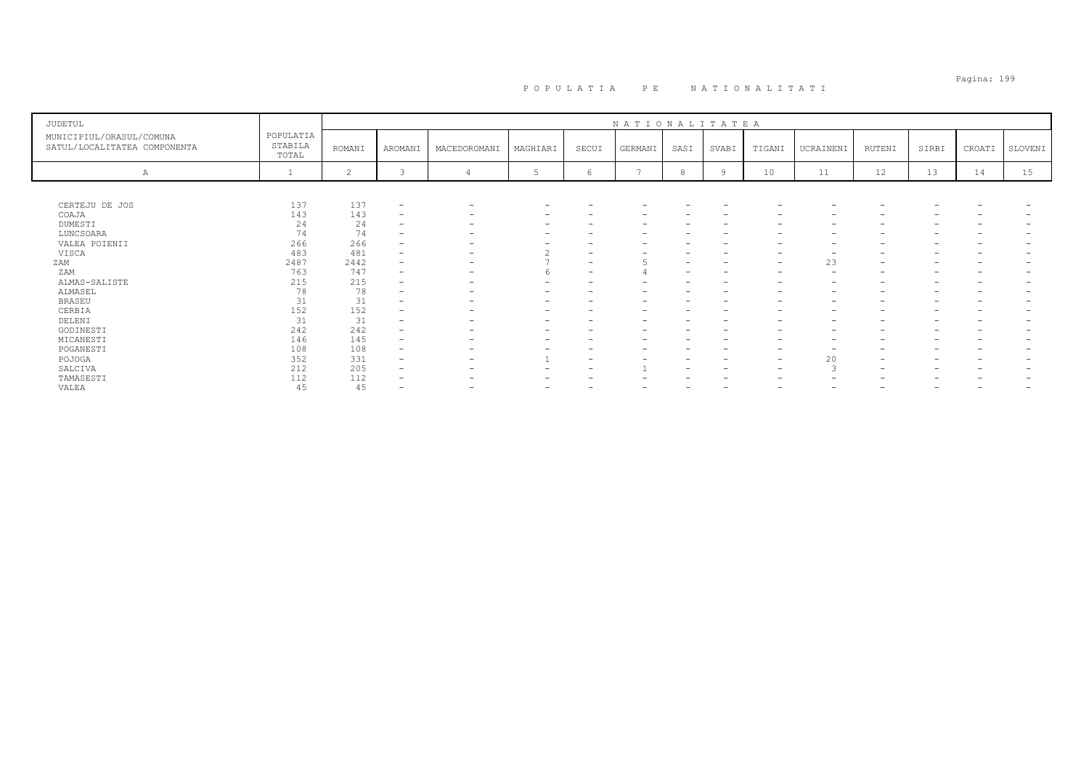# Pagina: 199 P O P U L A T I A P E N A T I O N A L I T A T I

| JUDETUL                                                  |                               |        |                          |                          |          |                          | NATIONALITATEA |      |                                 |                          |                          |                          |                          |        |         |
|----------------------------------------------------------|-------------------------------|--------|--------------------------|--------------------------|----------|--------------------------|----------------|------|---------------------------------|--------------------------|--------------------------|--------------------------|--------------------------|--------|---------|
| MUNICIPIUL/ORASUL/COMUNA<br>SATUL/LOCALITATEA COMPONENTA | POPULATIA<br>STABILA<br>TOTAL | ROMANI | AROMANI                  | MACEDOROMANI             | MAGHIARI | SECUI                    | GERMANI        | SASI | SVABI                           | TIGANI                   | UCRAINENI                | RUTENI                   | SIRBI                    | CROATI | SLOVENI |
| А                                                        |                               | 2      | 3                        |                          | 5        | 6                        | $\overline{ }$ |      | $\overline{9}$                  | 10                       | 11                       | 12                       | 13                       | 14     | 15      |
|                                                          |                               |        |                          |                          |          |                          |                |      |                                 |                          |                          |                          |                          |        |         |
| CERTEJU DE JOS                                           | 137                           | 137    | $\overline{\phantom{a}}$ |                          |          |                          |                |      |                                 |                          | $\overline{\phantom{0}}$ |                          |                          |        |         |
| COAJA                                                    | 143                           | 143    | $\overline{\phantom{0}}$ |                          |          |                          |                |      |                                 |                          | -                        |                          |                          |        |         |
| DUMESTI                                                  | 24                            | 24     | $\overline{\phantom{0}}$ |                          |          | -                        | -              |      | $\hspace{0.1mm}-\hspace{0.1mm}$ | $\overline{\phantom{0}}$ | $\overline{\phantom{0}}$ |                          | -                        |        |         |
| LUNCSOARA                                                | 74                            | 74     | -                        |                          |          |                          |                |      |                                 |                          | -                        |                          |                          |        |         |
| VALEA POIENII                                            | 266                           | 266    |                          |                          |          |                          |                |      |                                 |                          | -                        |                          |                          |        |         |
| VISCA                                                    | 483                           | 481    | $\qquad \qquad$          | $\overline{\phantom{a}}$ |          | $\overline{\phantom{a}}$ |                |      |                                 |                          | $\overline{\phantom{0}}$ |                          |                          |        |         |
| ZAM                                                      | 2487                          | 2442   | -                        | $\overline{\phantom{0}}$ |          | $\overline{\phantom{0}}$ |                |      |                                 | $\overline{\phantom{a}}$ | 23                       | $\overline{\phantom{0}}$ |                          |        |         |
| ZAM                                                      | 763                           | 747    | $\qquad \qquad$          |                          |          | $\overline{\phantom{a}}$ |                |      |                                 | $\overline{\phantom{0}}$ | $\qquad \qquad$          |                          | -                        |        |         |
| ALMAS-SALISTE                                            | 215                           | 215    | -                        |                          |          | -                        |                |      |                                 |                          | $\qquad \qquad$          |                          | $\overline{\phantom{0}}$ |        |         |
| ALMASEL                                                  | 78                            | 78     | $\overline{\phantom{0}}$ |                          |          |                          |                |      |                                 |                          | $\overline{\phantom{0}}$ |                          |                          |        |         |
| <b>BRASEU</b>                                            | 31                            | 31     |                          |                          |          | -                        |                |      |                                 |                          | $\overline{\phantom{0}}$ |                          |                          |        |         |
| CERBIA                                                   | 152                           | 152    | -                        |                          |          |                          |                |      |                                 |                          | $\overline{\phantom{0}}$ |                          |                          |        |         |
| DELENI                                                   | 31                            | 31     | -                        |                          |          |                          |                |      |                                 |                          | -                        |                          |                          |        |         |
| GODINESTI                                                | 242                           | 242    | -                        |                          |          | -                        |                |      |                                 | $\overline{\phantom{0}}$ | $\overline{\phantom{0}}$ |                          | $\overline{\phantom{0}}$ |        |         |
| MICANESTI                                                | 146                           | 145    | -                        |                          |          |                          |                |      |                                 |                          | -                        |                          |                          |        |         |
| POGANESTI                                                | 108                           | 108    | -                        |                          |          | -                        |                |      | $\overline{\phantom{0}}$        |                          | -                        |                          | -                        |        |         |
| POJOGA                                                   | 352                           | 331    | $\overline{\phantom{0}}$ |                          |          | $\overline{\phantom{a}}$ |                |      |                                 | $\overline{\phantom{0}}$ | 20                       | $\overline{\phantom{0}}$ | $\overline{\phantom{0}}$ |        |         |
| SALCIVA                                                  | 212                           | 205    |                          |                          |          | -                        |                |      |                                 | $\overline{\phantom{0}}$ | З                        |                          |                          |        |         |
| TAMASESTI                                                | 112                           | 112    | -                        |                          |          |                          |                |      |                                 |                          | $\overline{\phantom{0}}$ |                          |                          |        |         |
| VALEA                                                    | 45                            | 45     |                          |                          |          | $\overline{\phantom{0}}$ | -              |      | $\overline{\phantom{0}}$        | $\overline{\phantom{0}}$ | -                        | $\overline{\phantom{0}}$ | -                        |        |         |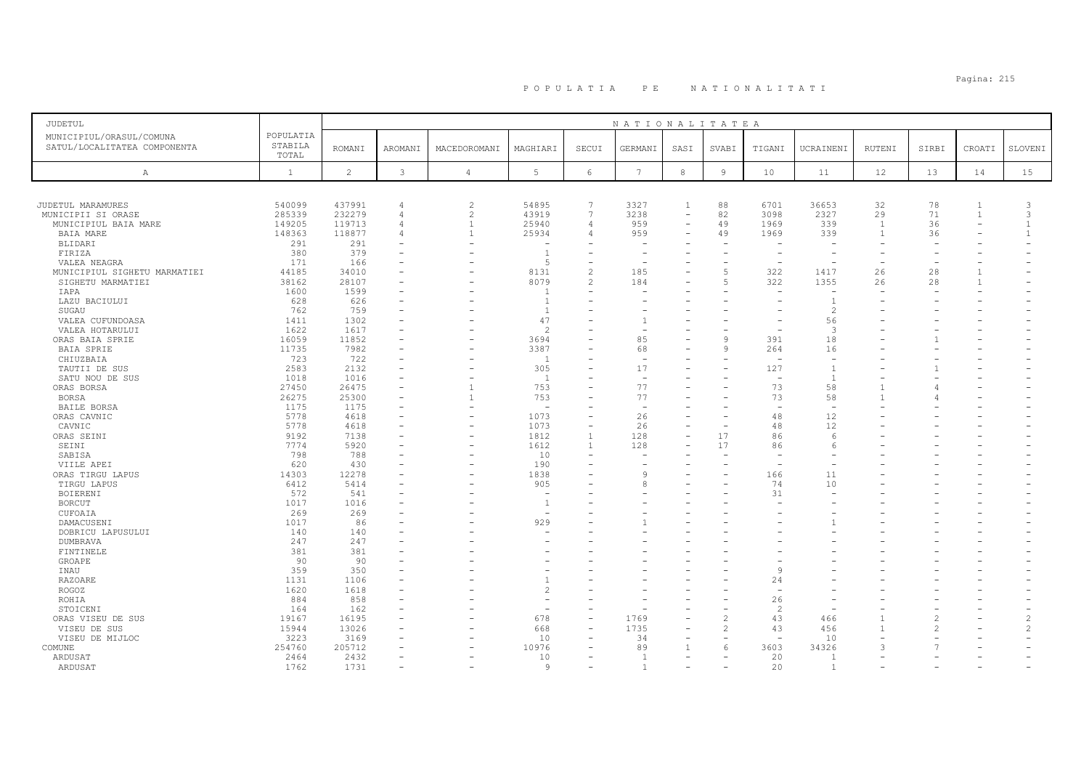# Pagina: 215 P O P U L A T I A P E N A T I O N A L I T A T I

| <b>JUDETUL</b>                                           |                               |                |                |                |                          |                          | NATIONALITATEA           |                          |                          |                          |                          |              |       |                          |                |
|----------------------------------------------------------|-------------------------------|----------------|----------------|----------------|--------------------------|--------------------------|--------------------------|--------------------------|--------------------------|--------------------------|--------------------------|--------------|-------|--------------------------|----------------|
| MUNICIPIUL/ORASUL/COMUNA<br>SATUL/LOCALITATEA COMPONENTA | POPULATIA<br>STABILA<br>TOTAL | <b>ROMANI</b>  | AROMANI        | MACEDOROMANI   | MAGHIARI                 | SECUI                    | GERMANI                  | SASI                     | SVABI                    | TIGANI                   | UCRAINENI                | RUTENI       | SIRBI | CROATI                   | SLOVENI        |
| A                                                        | $\mathbf{1}$                  | $\overline{c}$ | 3              | $\overline{4}$ | 5                        | 6                        | $7\phantom{.0}$          | $^{\rm 8}$               | $\overline{9}$           | 10                       | 11                       | 12           | 13    | 14                       | 15             |
|                                                          |                               |                |                |                |                          |                          |                          |                          |                          |                          |                          |              |       |                          |                |
| JUDETUL MARAMURES                                        | 540099                        | 437991         | $\overline{4}$ | $\overline{c}$ | 54895                    | $\overline{7}$           | 3327                     | $\overline{1}$           | 88                       | 6701                     | 36653                    | 32           | 78    | $\mathbf{1}$             | 3              |
| MUNICIPII SI ORASE                                       | 285339                        | 232279         | 4              | 2              | 43919                    | $7\phantom{.0}$          | 3238                     | $\overline{\phantom{a}}$ | 82                       | 3098                     | 2327                     | 29           | 71    | $\mathbf{1}$             | 3              |
| MUNICIPIUL BAIA MARE                                     | 149205                        | 119713         | $\overline{4}$ | $\mathbf{1}$   | 25940                    | $\overline{4}$           | 959                      | $\overline{\phantom{m}}$ | 49                       | 1969                     | 339                      | <sup>1</sup> | 36    | $\overline{\phantom{a}}$ | $\overline{1}$ |
| <b>BAIA MARE</b>                                         | 148363                        | 118877         | $\overline{4}$ | $\overline{1}$ | 25934                    | $\overline{4}$           | 959                      | $\equiv$                 | 49                       | 1969                     | 339                      | $\mathbf{1}$ | 36    |                          | $\overline{1}$ |
| BLIDARI                                                  | 291                           | 291            |                |                |                          |                          |                          |                          |                          |                          |                          |              |       |                          |                |
| FIRIZA                                                   | 380                           | 379            |                |                | $\overline{1}$           | $\overline{\phantom{a}}$ | $\overline{\phantom{m}}$ | $\overline{\phantom{m}}$ | ۳                        | $\overline{a}$           |                          |              |       |                          |                |
| VALEA NEAGRA                                             | 171                           | 166            |                |                | .5                       | $\overline{\phantom{a}}$ | $\sim$                   |                          |                          | $\overline{\phantom{a}}$ |                          |              |       |                          |                |
| MUNICIPIUL SIGHETU MARMATIEI                             | 44185                         | 34010          |                |                | 8131                     | $\overline{2}$           | 185                      | $\overline{\phantom{a}}$ | $\overline{5}$           | 322                      | 1417                     | 26           | 28    | $\mathbf{1}$             |                |
| SIGHETU MARMATIEI                                        | 38162                         | 28107          |                |                | 8079                     | $\overline{c}$           | 184                      |                          | $\overline{5}$           | 322                      | 1355                     | 26           | 28    | $\mathbf{1}$             |                |
| IAPA                                                     | 1600                          | 1599           |                |                | -1                       | ÷                        |                          |                          |                          |                          | $\overline{\phantom{a}}$ |              |       |                          |                |
| LAZU BACIULUI                                            | 628                           | 626            |                |                | $\overline{1}$           |                          |                          |                          |                          |                          | $\overline{1}$           |              |       |                          |                |
| SUGAU                                                    | 762                           | 759            |                |                | $\overline{1}$           |                          |                          |                          |                          |                          | $\mathfrak{D}$           |              |       |                          |                |
| VALEA CUFUNDOASA                                         | 1411                          | 1302           |                |                | 47                       |                          | $\mathbf{1}$             |                          |                          |                          | 56                       |              |       |                          |                |
| VALEA HOTARULUI                                          | 1622                          | 1617           |                |                | $\overline{2}$           |                          | $\sim$                   |                          |                          |                          | 3                        |              |       |                          |                |
|                                                          |                               |                |                |                |                          | $\overline{\phantom{a}}$ | 85                       |                          | $\mathbf{Q}$             | 391                      | 18                       |              |       |                          |                |
| ORAS BAIA SPRIE                                          | 16059                         | 11852          |                |                | 3694                     |                          |                          |                          | 9                        |                          |                          |              |       |                          |                |
| BAIA SPRIE                                               | 11735                         | 7982           |                |                | 3387                     | ÷                        | 68                       |                          |                          | 264                      | 16                       |              |       |                          |                |
| CHIUZBAIA                                                | 723                           | 722            |                |                | $\mathbf{1}$             |                          | $\overline{\phantom{a}}$ |                          | $\equiv$                 | $\overline{\phantom{a}}$ | $\sim$                   |              |       |                          |                |
| TAUTII DE SUS                                            | 2583                          | 2132           |                |                | 305                      |                          | 17                       |                          |                          | 127                      | $\overline{1}$           |              |       |                          |                |
| SATU NOU DE SUS                                          | 1018                          | 1016           |                |                | <sup>1</sup>             |                          | $\sim$                   |                          |                          | $\overline{\phantom{a}}$ | $\overline{1}$           |              |       |                          |                |
| ORAS BORSA                                               | 27450                         | 26475          |                | $\mathbf{1}$   | 753                      |                          | 77                       |                          |                          | 73                       | 58                       |              |       |                          |                |
| <b>BORSA</b>                                             | 26275                         | 25300          |                | $\overline{1}$ | 753                      | ÷                        | 77                       |                          |                          | 73                       | 58                       |              |       |                          |                |
| BAILE BORSA                                              | 1175                          | 1175           |                |                |                          |                          | $\overline{\phantom{a}}$ |                          |                          | $\overline{\phantom{a}}$ |                          |              |       |                          |                |
| ORAS CAVNIC                                              | 5778                          | 4618           |                |                | 1073                     | $\overline{\phantom{a}}$ | 26                       |                          | $\equiv$                 | 48                       | 12                       |              |       |                          |                |
| CAVNIC                                                   | 5778                          | 4618           |                |                | 1073                     | $\overline{\phantom{a}}$ | 26                       | $\overline{\phantom{a}}$ | $\overline{\phantom{a}}$ | 48                       | 12                       |              |       |                          |                |
| ORAS SEINI                                               | 9192                          | 7138           |                |                | 1812                     | $\mathbf{1}$             | 128                      | $\equiv$                 | 17                       | 86                       | 6                        |              |       |                          |                |
| SEINI                                                    | 7774                          | 5920           |                |                | 1612                     | <sup>1</sup>             | 128                      |                          | 17                       | 86                       | 6                        |              |       |                          |                |
| SABISA                                                   | 798                           | 788            |                |                | 10                       | $\overline{\phantom{a}}$ |                          |                          |                          |                          |                          |              |       |                          |                |
| VIILE APEI                                               | 620                           | 430            |                |                | 190                      | $\overline{\phantom{a}}$ | $\overline{\phantom{0}}$ | $\equiv$                 | ۳                        | $\overline{a}$           |                          |              |       |                          |                |
| ORAS TIRGU LAPUS                                         | 14303                         | 12278          |                |                | 1838                     |                          | $\mathcal{Q}$            |                          |                          | 166                      | 11                       |              |       |                          |                |
| TIRGU LAPUS                                              | 6412                          | 5414           |                |                | 905                      |                          | $\mathsf{R}$             |                          |                          | 74                       | 10                       |              |       |                          |                |
| BOIERENI                                                 | 572                           | 541            |                |                |                          |                          |                          |                          |                          | 31                       |                          |              |       |                          |                |
| <b>BORCUT</b>                                            | 1017                          | 1016           |                |                | $\overline{1}$           |                          |                          |                          |                          |                          |                          |              |       |                          |                |
| CUFOAIA                                                  | 269                           | 269            |                |                |                          |                          |                          |                          |                          |                          |                          |              |       |                          |                |
| DAMACUSENI                                               | 1017                          | 86             |                |                | 929                      |                          |                          |                          |                          |                          |                          |              |       |                          |                |
| DOBRICU LAPUSULUI                                        | 140                           | 140            |                |                |                          |                          |                          |                          |                          |                          |                          |              |       |                          |                |
| DUMBRAVA                                                 | 247                           | 247            |                |                |                          |                          |                          |                          |                          |                          |                          |              |       |                          |                |
| FINTINELE                                                | 381                           | 381            |                |                |                          |                          |                          |                          |                          |                          |                          |              |       |                          |                |
| GROAPE                                                   | 90                            | 90             |                |                |                          |                          |                          |                          |                          |                          |                          |              |       |                          |                |
| INAU                                                     | 359                           | 350            |                |                |                          | $\overline{\phantom{a}}$ |                          |                          |                          | $\circ$                  |                          |              |       |                          |                |
| RAZOARE                                                  | 1131                          | 1106           |                |                |                          |                          |                          |                          |                          | 24                       |                          |              |       |                          |                |
| ROGOZ                                                    | 1620                          | 1618           |                |                | $\overline{c}$           |                          |                          |                          |                          |                          |                          |              |       |                          |                |
| ROHIA                                                    | 884                           | 858            |                |                |                          |                          |                          |                          |                          | 26                       |                          |              |       |                          |                |
| STOICENI                                                 | 164                           | 162            |                |                | $\overline{\phantom{a}}$ | $\overline{\phantom{a}}$ | ۰                        | $\overline{\phantom{a}}$ |                          | 2                        |                          |              |       |                          |                |
| ORAS VISEU DE SUS                                        | 19167                         | 16195          |                |                | 678                      | $\equiv$                 | 1769                     |                          | $\overline{\mathcal{L}}$ | 43                       | 466                      |              |       |                          | $\mathcal{L}$  |
| VISEU DE SUS                                             | 15944                         | 13026          |                |                | 668                      | $\overline{\phantom{a}}$ | 1735                     | $\equiv$                 | $\mathcal{L}$            | 43                       | 456                      |              |       |                          | $\mathcal{L}$  |
| VISEU DE MIJLOC                                          | 3223                          | 3169           |                |                | 10                       | $\equiv$                 | 34                       | $\overline{\phantom{a}}$ | $\overline{\phantom{0}}$ | $\overline{\phantom{a}}$ | 10                       |              |       |                          |                |
| COMUNE                                                   | 254760                        | 205712         |                |                | 10976                    |                          | 89                       | $\overline{1}$           | 6                        | 3603                     | 34326                    | 3            |       |                          |                |
| ARDUSAT                                                  | 2464                          | 2432           | $\equiv$       |                | 10                       |                          | $\overline{1}$           | $\equiv$                 | $\sim$                   | 20                       | $\overline{1}$           |              |       |                          |                |
| ARDUSAT                                                  | 1762                          | 1731           | $\sim$         |                | -9                       | $\overline{\phantom{a}}$ | $\mathbf{1}$             | $\equiv$                 |                          | 20                       | $\overline{1}$           |              |       |                          |                |
|                                                          |                               |                |                |                |                          |                          |                          |                          |                          |                          |                          |              |       |                          |                |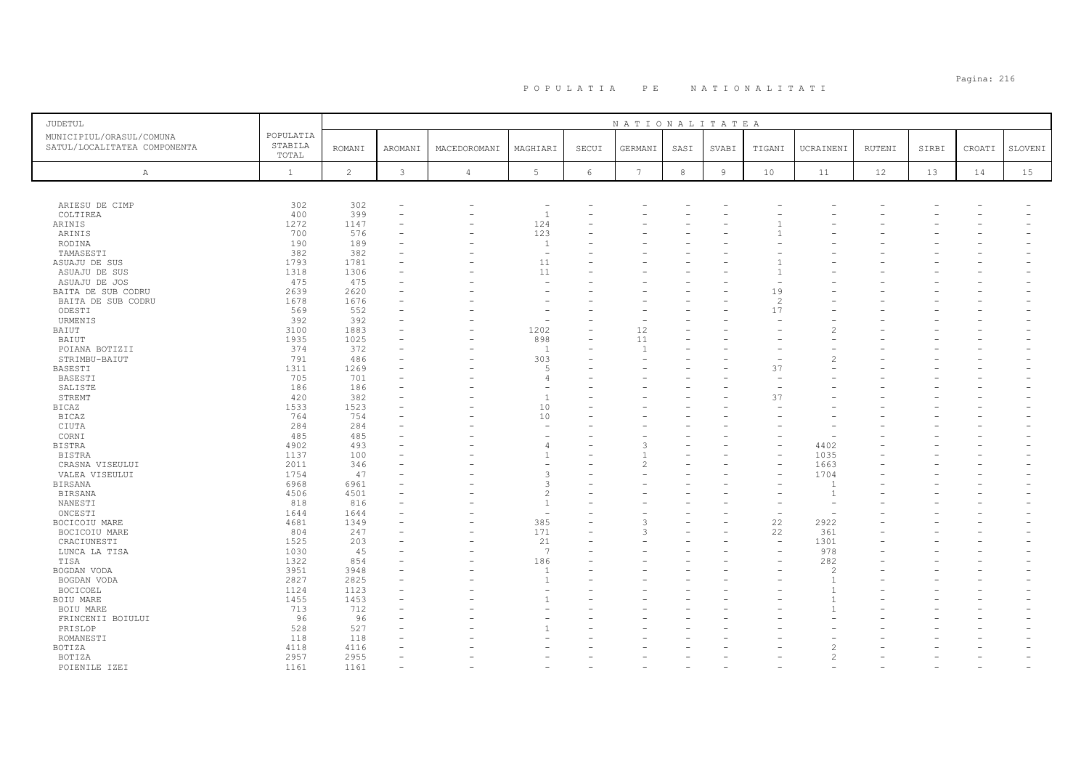| <b>JUDETUL</b>                                           |                               |                |                |                          |                          |            | NATIONALITATEA           |            |                |                |                          |        |       |        |         |
|----------------------------------------------------------|-------------------------------|----------------|----------------|--------------------------|--------------------------|------------|--------------------------|------------|----------------|----------------|--------------------------|--------|-------|--------|---------|
| MUNICIPIUL/ORASUL/COMUNA<br>SATUL/LOCALITATEA COMPONENTA | POPULATIA<br>STABILA<br>TOTAL | <b>ROMANI</b>  | <b>AROMANI</b> | MACEDOROMANI             | MAGHIARI                 | SECUI      | GERMANI                  | SASI       | SVABI          | TIGANI         | UCRAINENI                | RUTENI | SIRBI | CROATI | SLOVENI |
| Α                                                        | $\mathbf{1}$                  | $\overline{c}$ | $\mathbf{3}$   | $\overline{4}$           | 5                        | $\epsilon$ | $7\phantom{.0}$          | $^{\rm 8}$ | $\overline{9}$ | 10             | 11                       | 12     | 13    | 14     | 15      |
|                                                          |                               |                |                |                          |                          |            |                          |            |                |                |                          |        |       |        |         |
| ARIESU DE CIMP                                           | 302                           | 302            |                | $\overline{\phantom{0}}$ | $\overline{\phantom{a}}$ |            |                          |            |                |                |                          |        |       |        |         |
| COLTIREA                                                 | 400                           | 399            |                |                          | $\overline{1}$           |            |                          |            |                |                |                          |        |       |        |         |
| ARINIS                                                   | 1272                          | 1147           |                |                          | 124                      |            |                          |            |                |                |                          |        |       |        |         |
| ARINIS                                                   | 700                           | 576            |                |                          | 123                      |            |                          |            |                |                |                          |        |       |        |         |
| RODINA                                                   | 190                           | 189            |                |                          | $\overline{1}$           |            |                          |            |                |                |                          |        |       |        |         |
| TAMASESTI                                                | 382                           | 382            |                |                          | $\overline{\phantom{a}}$ |            |                          |            |                |                |                          |        |       |        |         |
| ASUAJU DE SUS                                            | 1793                          | 1781           |                |                          | 11                       |            |                          |            |                |                |                          |        |       |        |         |
| ASUAJU DE SUS                                            | 1318                          | 1306           |                |                          | 11                       |            |                          |            |                |                |                          |        |       |        |         |
| ASUAJU DE JOS                                            | 475                           | 475            |                |                          |                          |            |                          |            |                |                |                          |        |       |        |         |
| BAITA DE SUB CODRU                                       | 2639                          | 2620           |                |                          |                          |            |                          |            |                | 19             |                          |        |       |        |         |
| BAITA DE SUB CODRU                                       | 1678                          | 1676           |                |                          |                          |            |                          |            |                | $\overline{2}$ |                          |        |       |        |         |
| ODESTI                                                   | 569                           | 552            |                |                          |                          |            |                          |            |                | 17             |                          |        |       |        |         |
| URMENIS                                                  | 392                           | 392            |                |                          |                          |            |                          |            |                |                |                          |        |       |        |         |
| BAIUT                                                    | 3100                          | 1883           |                |                          | 1202                     |            | 12                       |            |                |                |                          |        |       |        |         |
| BAIUT                                                    | 1935                          | 1025           |                |                          | 898                      |            | 11                       |            |                |                |                          |        |       |        |         |
| POIANA BOTIZII                                           | 374<br>791                    | 372<br>486     |                |                          | $\overline{1}$<br>303    |            |                          |            |                |                |                          |        |       |        |         |
| STRIMBU-BAIUT                                            | 1311                          | 1269           |                |                          | -5                       |            |                          |            |                | 37             |                          |        |       |        |         |
| BASESTI<br>BASESTI                                       | 705                           | 701            |                |                          | $\Delta$                 |            |                          |            |                |                |                          |        |       |        |         |
| SALISTE                                                  | 186                           | 186            |                |                          |                          |            |                          |            |                |                |                          |        |       |        |         |
| STREMT                                                   | 420                           | 382            |                |                          | $\overline{1}$           |            |                          |            |                | 37             |                          |        |       |        |         |
| <b>BICAZ</b>                                             | 1533                          | 1523           |                |                          | 10                       |            |                          |            |                |                |                          |        |       |        |         |
| <b>BICAZ</b>                                             | 764                           | 754            |                |                          | 10                       |            |                          |            |                |                |                          |        |       |        |         |
| CIUTA                                                    | 284                           | 284            |                |                          |                          |            |                          |            |                |                |                          |        |       |        |         |
| CORNI                                                    | 485                           | 485            |                |                          |                          |            |                          |            |                |                |                          |        |       |        |         |
| <b>BISTRA</b>                                            | 4902                          | 493            |                |                          |                          |            | 3                        |            |                |                | 4402                     |        |       |        |         |
| BISTRA                                                   | 1137                          | 100            |                |                          |                          |            |                          |            |                |                | 1035                     |        |       |        |         |
| CRASNA VISEULUI                                          | 2011                          | 346            |                |                          |                          |            | $\overline{\mathcal{L}}$ |            |                |                | 1663                     |        |       |        |         |
| VALEA VISEULUI                                           | 1754                          | 47             |                |                          | 3                        |            |                          |            |                |                | 1704                     |        |       |        |         |
| BIRSANA                                                  | 6968                          | 6961           |                |                          | $\mathcal{L}$            |            |                          |            |                |                | $\overline{1}$           |        |       |        |         |
| <b>BIRSANA</b>                                           | 4506                          | 4501           |                |                          | $\overline{c}$           |            |                          |            |                |                | $\overline{1}$           |        |       |        |         |
| NANESTI                                                  | 818                           | 816            |                |                          | $\overline{1}$           |            |                          |            |                |                |                          |        |       |        |         |
| ONCESTI                                                  | 1644                          | 1644           |                |                          |                          |            |                          |            |                |                |                          |        |       |        |         |
| BOCICOIU MARE                                            | 4681                          | 1349           |                |                          | 385                      |            | २                        |            |                | 22             | 2922                     |        |       |        |         |
| BOCICOIU MARE                                            | 804                           | 247            |                |                          | 171                      | $=$        | 3                        |            |                | 22             | 361                      |        |       |        |         |
| CRACIUNESTI                                              | 1525                          | 203            |                |                          | 21                       |            |                          |            |                |                | 1301                     |        |       |        |         |
| LUNCA LA TISA                                            | 1030                          | 45             |                |                          | 7                        |            |                          |            |                |                | 978                      |        |       |        |         |
| TISA                                                     | 1322                          | 854            |                |                          | 186                      |            |                          |            |                |                | 282                      |        |       |        |         |
| BOGDAN VODA                                              | 3951                          | 3948           |                |                          | $\overline{1}$           | ÷          |                          |            |                |                | $\overline{\mathcal{L}}$ |        |       |        |         |
| BOGDAN VODA                                              | 2827                          | 2825           |                |                          | $\overline{1}$           |            |                          |            |                |                | $\overline{1}$           |        |       |        |         |
| <b>BOCICOEL</b>                                          | 1124                          | 1123           |                |                          |                          |            |                          |            |                |                | $\overline{1}$           |        |       |        |         |
| <b>BOIU MARE</b>                                         | 1455                          | 1453           |                |                          | $\overline{1}$           |            |                          |            |                |                | -1                       |        |       |        |         |
| BOIU MARE                                                | 713                           | 712            |                |                          |                          |            |                          |            |                |                |                          |        |       |        |         |
| FRINCENII BOIULUI                                        | 96                            | 96             |                |                          |                          |            |                          |            |                |                |                          |        |       |        |         |
| PRISLOP                                                  | 528                           | 527            |                |                          |                          |            |                          |            |                |                |                          |        |       |        |         |
| ROMANESTI                                                | 118                           | 118            |                |                          |                          |            |                          |            |                |                |                          |        |       |        |         |
| BOTIZA                                                   | 4118                          | 4116           |                |                          |                          |            |                          |            |                |                |                          |        |       |        |         |
| BOTIZA                                                   | 2957                          | 2955           |                |                          |                          |            |                          |            |                |                | $\mathcal{P}$            |        |       |        |         |
| POIENILE IZEI                                            | 1161                          | 1161           |                |                          |                          |            |                          |            |                |                |                          |        |       |        |         |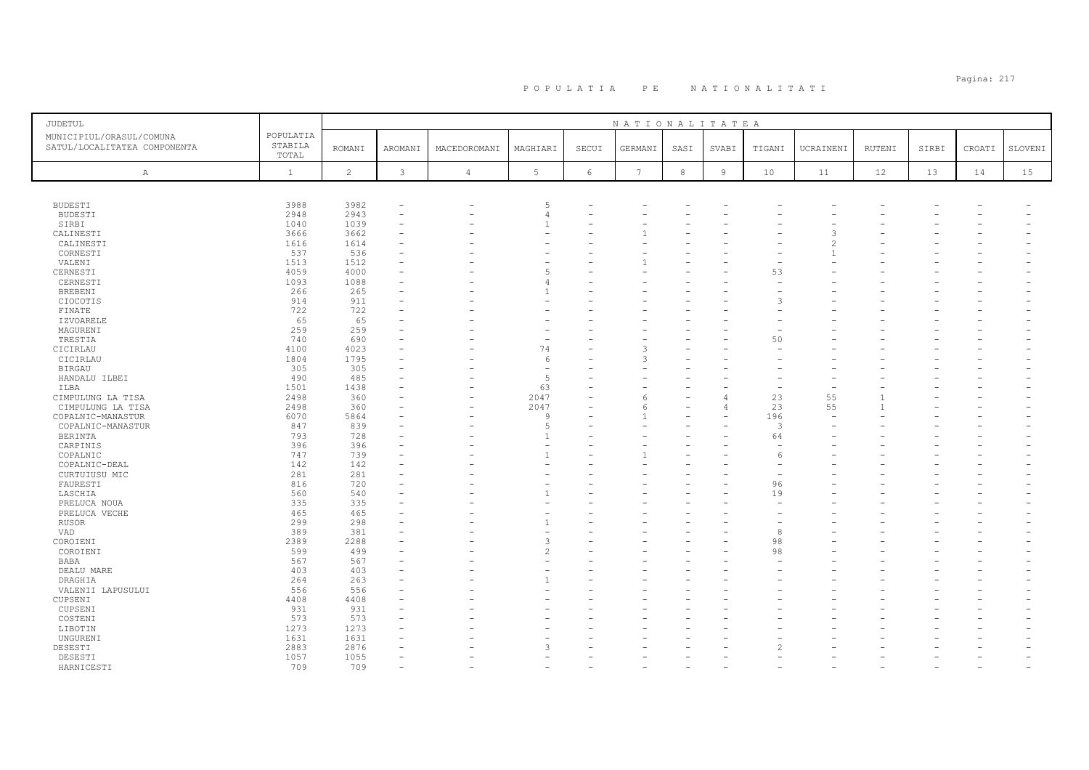| <b>JUDETUL</b>                                           |                               |                |              |                |                          |            | NATIONALITATEA |            |                |               |           |        |       |        |         |
|----------------------------------------------------------|-------------------------------|----------------|--------------|----------------|--------------------------|------------|----------------|------------|----------------|---------------|-----------|--------|-------|--------|---------|
| MUNICIPIUL/ORASUL/COMUNA<br>SATUL/LOCALITATEA COMPONENTA | POPULATIA<br>STABILA<br>TOTAL | <b>ROMANI</b>  | AROMANI      | MACEDOROMANI   | MAGHIARI                 | SECUI      | GERMANI        | SASI       | SVABI          | TIGANI        | UCRAINENI | RUTENI | SIRBI | CROATI | SLOVENI |
| A                                                        | $\mathbf{1}$                  | $\overline{c}$ | $\mathbf{3}$ | $\overline{4}$ | $5\phantom{.0}$          | $\epsilon$ | 7              | $^{\rm 8}$ | $\overline{9}$ | 10            | 11        | 12     | 13    | 14     | 15      |
|                                                          |                               |                |              |                |                          |            |                |            |                |               |           |        |       |        |         |
| <b>BUDESTI</b>                                           | 3988                          | 3982           |              |                | 5                        |            |                |            |                |               |           |        |       |        |         |
| <b>BUDESTI</b>                                           | 2948                          | 2943           |              |                | $\overline{4}$           |            |                |            |                |               |           |        |       |        |         |
| SIRBI                                                    | 1040                          | 1039           |              |                |                          |            |                |            |                |               |           |        |       |        |         |
| CALINESTI                                                | 3666                          | 3662           |              |                |                          |            |                |            |                |               |           |        |       |        |         |
| CALINESTI                                                | 1616                          | 1614           |              |                |                          |            |                |            |                |               |           |        |       |        |         |
| CORNESTI                                                 | 537                           | 536            |              |                |                          |            |                |            |                |               |           |        |       |        |         |
| VALENI                                                   | 1513                          | 1512           |              |                |                          |            |                |            |                |               |           |        |       |        |         |
| CERNESTI                                                 | 4059                          | 4000           |              |                | $\overline{a}$           |            |                |            |                | 53            |           |        |       |        |         |
| CERNESTI                                                 | 1093                          | 1088           |              |                | 4                        |            |                |            |                |               |           |        |       |        |         |
| <b>BREBENI</b>                                           | 266                           | 265            |              |                |                          |            |                |            |                |               |           |        |       |        |         |
| CIOCOTIS                                                 | 914                           | 911            |              |                |                          |            |                |            |                |               |           |        |       |        |         |
| FINATE                                                   | 722<br>65                     | 722<br>65      |              |                |                          |            |                |            |                |               |           |        |       |        |         |
| IZVOARELE<br>MAGURENI                                    | 259                           | 259            |              |                |                          |            |                |            |                |               |           |        |       |        |         |
| TRESTIA                                                  | 740                           | 690            |              |                |                          |            |                |            |                | 50            |           |        |       |        |         |
| CICIRLAU                                                 | 4100                          | 4023           |              |                | 74                       |            |                |            |                |               |           |        |       |        |         |
| CICIRLAU                                                 | 1804                          | 1795           |              |                | 6                        |            | 3              |            |                |               |           |        |       |        |         |
| BIRGAU                                                   | 305                           | 305            |              |                |                          |            |                |            |                |               |           |        |       |        |         |
| HANDALU ILBEI                                            | 490                           | 485            |              |                | 5                        |            |                |            |                |               |           |        |       |        |         |
| ILBA                                                     | 1501                          | 1438           |              |                | 63                       |            |                |            |                |               |           |        |       |        |         |
| CIMPULUNG LA TISA                                        | 2498                          | 360            |              | ۰              | 2047                     |            | 6              |            |                | 23            | 55        |        |       |        |         |
| CIMPULUNG LA TISA                                        | 2498                          | 360            |              |                | 2047                     |            | 6              |            |                | 23            | 55        |        |       |        |         |
| COPALNIC-MANASTUR                                        | 6070                          | 5864           |              |                | $\mathsf{Q}$             |            |                |            |                | 196           |           |        |       |        |         |
| COPALNIC-MANASTUR                                        | 847                           | 839            |              |                | 5                        |            |                |            |                | $\mathcal{R}$ |           |        |       |        |         |
| BERINTA                                                  | 793                           | 728            |              |                |                          |            |                |            |                | 64            |           |        |       |        |         |
| CARPINIS                                                 | 396                           | 396            |              |                | ÷                        |            |                |            |                | $\sim$        |           |        |       |        |         |
| COPALNIC                                                 | 747                           | 739            |              |                |                          |            |                |            |                |               |           |        |       |        |         |
| COPALNIC-DEAL                                            | 142                           | 142            |              |                |                          |            |                |            |                |               |           |        |       |        |         |
| CURTUIUSU MIC                                            | 281                           | 281            |              |                |                          |            |                |            |                |               |           |        |       |        |         |
| FAURESTI                                                 | 816                           | 720            |              |                |                          |            |                |            |                | 96            |           |        |       |        |         |
| LASCHIA                                                  | 560                           | 540            |              |                |                          |            |                |            |                | 19            |           |        |       |        |         |
| PRELUCA NOUA                                             | 335                           | 335            |              |                |                          |            |                |            |                |               |           |        |       |        |         |
| PRELUCA VECHE                                            | 465                           | 465            |              |                |                          |            |                |            |                |               |           |        |       |        |         |
| <b>RUSOR</b>                                             | 299                           | 298            |              |                |                          |            |                |            |                |               |           |        |       |        |         |
| VAD                                                      | 389                           | 381            |              |                |                          |            |                |            |                | 8             |           |        |       |        |         |
| COROIENI                                                 | 2389                          | 2288           |              |                | 3                        |            |                |            |                | 98            |           |        |       |        |         |
| COROIENI                                                 | 599                           | 499            |              |                | $\overline{\mathcal{L}}$ |            |                |            |                | 98            |           |        |       |        |         |
| BABA                                                     | 567                           | 567            |              |                |                          |            |                |            |                |               |           |        |       |        |         |
| DEALU MARE                                               | 403                           | 403            |              |                |                          |            |                |            |                |               |           |        |       |        |         |
| DRAGHIA                                                  | 264                           | 263            |              |                | $\mathbf{1}$             |            |                |            |                |               |           |        |       |        |         |
| VALENII LAPUSULUI                                        | 556                           | 556            |              |                |                          |            |                |            |                |               |           |        |       |        |         |
| CUPSENI                                                  | 4408                          | 4408           |              |                |                          |            |                |            |                |               |           |        |       |        |         |
| CUPSENI                                                  | 931                           | 931            |              |                |                          |            |                |            |                |               |           |        |       |        |         |
| COSTENI                                                  | 573                           | 573            |              |                |                          |            |                |            |                |               |           |        |       |        |         |
| LIBOTIN                                                  | 1273                          | 1273           |              |                |                          |            |                |            |                |               |           |        |       |        |         |
| UNGURENI                                                 | 1631                          | 1631           |              |                |                          |            |                |            |                |               |           |        |       |        |         |
| DESESTI                                                  | 2883                          | 2876           |              |                | 3                        |            |                |            |                |               |           |        |       |        |         |
| DESESTI                                                  | 1057                          | 1055           |              |                |                          |            |                |            |                |               |           |        |       |        |         |
| HARNICESTI                                               | 709                           | 709            |              |                |                          |            |                |            |                |               |           |        |       |        |         |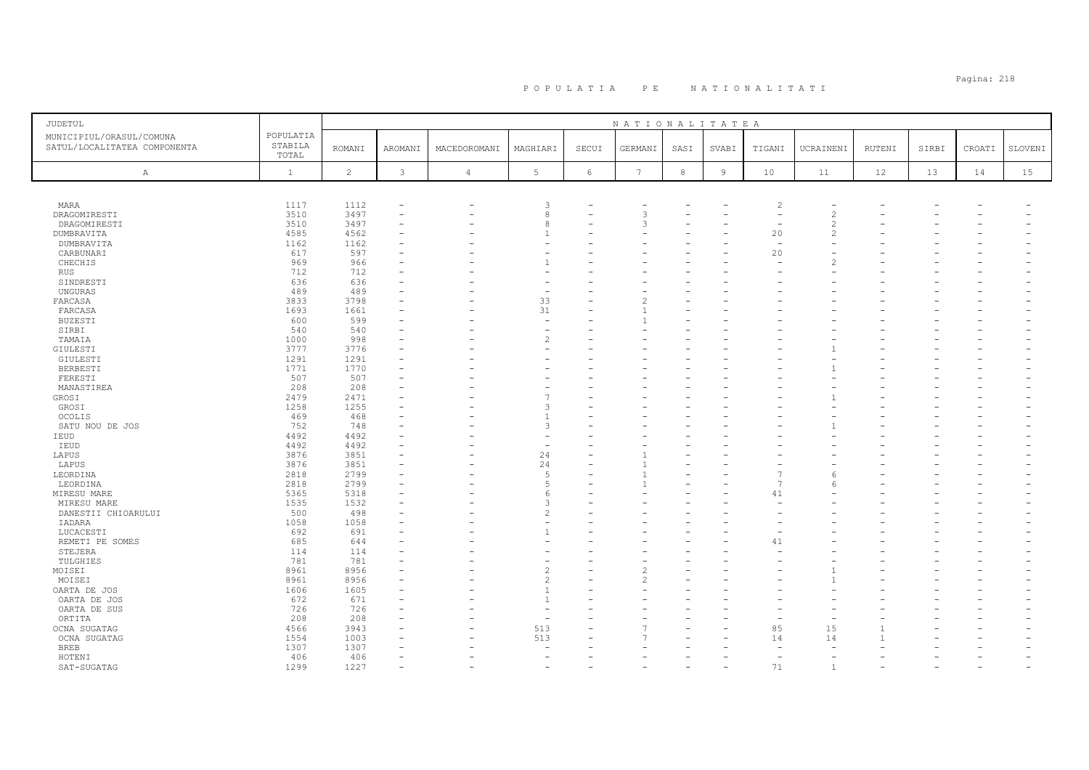| <b>JUDETUL</b>                                           |                               |                |                |              |                 |            | NATIONALITATEA  |         |                |                |                          |               |       |        |         |
|----------------------------------------------------------|-------------------------------|----------------|----------------|--------------|-----------------|------------|-----------------|---------|----------------|----------------|--------------------------|---------------|-------|--------|---------|
| MUNICIPIUL/ORASUL/COMUNA<br>SATUL/LOCALITATEA COMPONENTA | POPULATIA<br>STABILA<br>TOTAL | <b>ROMANI</b>  | <b>AROMANI</b> | MACEDOROMANI | MAGHIARI        | SECUI      | GERMANI         | SASI    | SVABI          | TIGANI         | UCRAINENI                | <b>RUTENI</b> | SIRBI | CROATI | SLOVENI |
| A                                                        | $\mathbf{1}$                  | $\overline{c}$ | $\mathbf{3}$   | $\sqrt{4}$   | $5\phantom{.0}$ | $\epsilon$ | $7\phantom{.0}$ | $\,8\,$ | $\overline{9}$ | 10             | 11                       | 12            | 13    | 14     | 15      |
|                                                          |                               |                |                |              |                 |            |                 |         |                |                |                          |               |       |        |         |
| MARA                                                     | 1117                          | 1112           |                |              | 3               |            |                 |         |                | $\overline{c}$ |                          |               |       |        |         |
| DRAGOMIRESTI                                             | 3510                          | 3497           |                |              | 8               |            | 3               |         |                |                | $\mathcal{D}$            |               |       |        |         |
| DRAGOMIRESTI                                             | 3510                          | 3497           |                |              | 8               |            | 3               |         |                |                | $\overline{\mathcal{L}}$ |               |       |        |         |
| DUMBRAVITA                                               | 4585                          | 4562           |                |              |                 |            |                 |         |                | 20             | $\mathcal{D}$            |               |       |        |         |
| DUMBRAVITA                                               | 1162                          | 1162           |                |              |                 |            |                 |         |                |                |                          |               |       |        |         |
| CARBUNARI                                                | 617                           | 597            |                |              |                 |            |                 |         |                | 20             |                          |               |       |        |         |
| CHECHIS                                                  | 969                           | 966            |                |              |                 |            |                 |         |                |                |                          |               |       |        |         |
| RUS                                                      | 712                           | 712            |                |              |                 |            |                 |         |                |                |                          |               |       |        |         |
| SINDRESTI                                                | 636                           | 636            |                |              |                 |            |                 |         |                |                |                          |               |       |        |         |
| UNGURAS                                                  | 489                           | 489            |                |              | ۰               |            |                 |         |                |                |                          |               |       |        |         |
| FARCASA                                                  | 3833                          | 3798           |                |              | 33              |            |                 |         |                |                |                          |               |       |        |         |
| FARCASA                                                  | 1693                          | 1661           |                |              | 31              |            |                 |         |                |                |                          |               |       |        |         |
| <b>BUZESTI</b>                                           | 600                           | 599            |                |              | ٠               |            |                 |         |                |                |                          |               |       |        |         |
| SIRBI                                                    | 540                           | 540            |                |              | ۰               |            |                 |         |                |                |                          |               |       |        |         |
| TAMAIA                                                   | 1000                          | 998            |                |              | $\overline{c}$  |            |                 |         |                |                |                          |               |       |        |         |
| GIULESTI                                                 | 3777                          | 3776           |                |              |                 |            |                 |         |                |                |                          |               |       |        |         |
| GIULESTI                                                 | 1291                          | 1291           |                |              |                 |            |                 |         |                |                |                          |               |       |        |         |
| BERBESTI                                                 | 1771                          | 1770           |                |              |                 |            |                 |         |                |                |                          |               |       |        |         |
| FERESTI                                                  | 507                           | 507            |                |              |                 |            |                 |         |                |                |                          |               |       |        |         |
| MANASTIREA                                               | 208                           | 208            |                |              |                 |            |                 |         |                |                |                          |               |       |        |         |
| GROSI                                                    | 2479                          | 2471           |                |              |                 |            |                 |         |                |                |                          |               |       |        |         |
| GROSI                                                    | 1258                          | 1255           |                |              | 3               |            |                 |         |                |                |                          |               |       |        |         |
| <b>OCOLIS</b>                                            | 469                           | 468            |                |              |                 |            |                 |         |                |                |                          |               |       |        |         |
| SATU NOU DE JOS                                          | 752                           | 748            |                |              | 3               |            |                 |         |                |                |                          |               |       |        |         |
| IEUD                                                     | 4492                          | 4492           |                |              |                 |            |                 |         |                |                |                          |               |       |        |         |
| IEUD                                                     | 4492                          | 4492           |                |              |                 |            |                 |         |                |                |                          |               |       |        |         |
| LAPUS                                                    | 3876                          | 3851           |                |              | 24              |            |                 |         |                |                |                          |               |       |        |         |
| LAPUS                                                    | 3876                          | 3851           |                |              | 24              |            |                 |         |                |                |                          |               |       |        |         |
| LEORDINA                                                 | 2818                          | 2799           |                |              | .5              |            |                 |         |                |                | 6                        |               |       |        |         |
| LEORDINA                                                 | 2818                          | 2799           |                |              | .5              |            |                 |         |                | $\overline{7}$ | $\sqrt{2}$               |               |       |        |         |
| MIRESU MARE                                              | 5365                          | 5318           |                |              | 6               |            |                 |         |                | 41             |                          |               |       |        |         |
| MIRESU MARE                                              | 1535                          | 1532           |                |              | 3               |            |                 |         |                |                |                          |               |       |        |         |
| DANESTII CHIOARULUI                                      | 500                           | 498            |                |              | $\overline{c}$  |            |                 |         |                |                |                          |               |       |        |         |
| IADARA                                                   | 1058                          | 1058           |                |              |                 |            |                 |         |                |                |                          |               |       |        |         |
| LUCACESTI                                                | 692                           | 691            |                |              |                 |            |                 |         |                |                |                          |               |       |        |         |
| REMETI PE SOMES                                          | 685                           | 644            |                |              |                 |            |                 |         |                | 41             |                          |               |       |        |         |
| STEJERA                                                  | 114                           | 114            |                |              |                 |            |                 |         |                |                |                          |               |       |        |         |
| TULGHIES                                                 | 781                           | 781            |                |              |                 |            |                 |         |                |                |                          |               |       |        |         |
| MOISEI                                                   | 8961                          | 8956           |                |              | $\overline{c}$  |            |                 |         |                |                |                          |               |       |        |         |
| MOISEI                                                   | 8961                          | 8956           |                |              | $\overline{c}$  |            | 2               |         |                |                |                          |               |       |        |         |
| OARTA DE JOS                                             | 1606                          | 1605           |                |              | $\overline{1}$  |            |                 |         |                |                |                          |               |       |        |         |
| OARTA DE JOS                                             | 672                           | 671            |                |              | $\overline{1}$  |            |                 |         |                |                |                          |               |       |        |         |
| OARTA DE SUS                                             | 726                           | 726            |                |              |                 |            |                 |         |                |                |                          |               |       |        |         |
| ORTITA                                                   | 208                           | 208            |                |              | ۰               |            |                 |         |                |                |                          |               |       |        |         |
| OCNA SUGATAG                                             | 4566                          | 3943           |                |              | 513             |            |                 |         |                | 85             | 15                       |               |       |        |         |
| OCNA SUGATAG                                             | 1554                          | 1003           |                |              | 513             |            |                 |         |                | 14             | 14                       |               |       |        |         |
| <b>BREB</b>                                              | 1307                          | 1307           |                |              |                 |            |                 |         |                |                |                          |               |       |        |         |
| HOTENI                                                   | 406                           | 406            |                |              |                 |            |                 |         |                |                |                          |               |       |        |         |
| SAT-SUGATAG                                              | 1299                          | 1227           |                |              |                 |            |                 |         |                | 71             | $\overline{1}$           |               |       |        |         |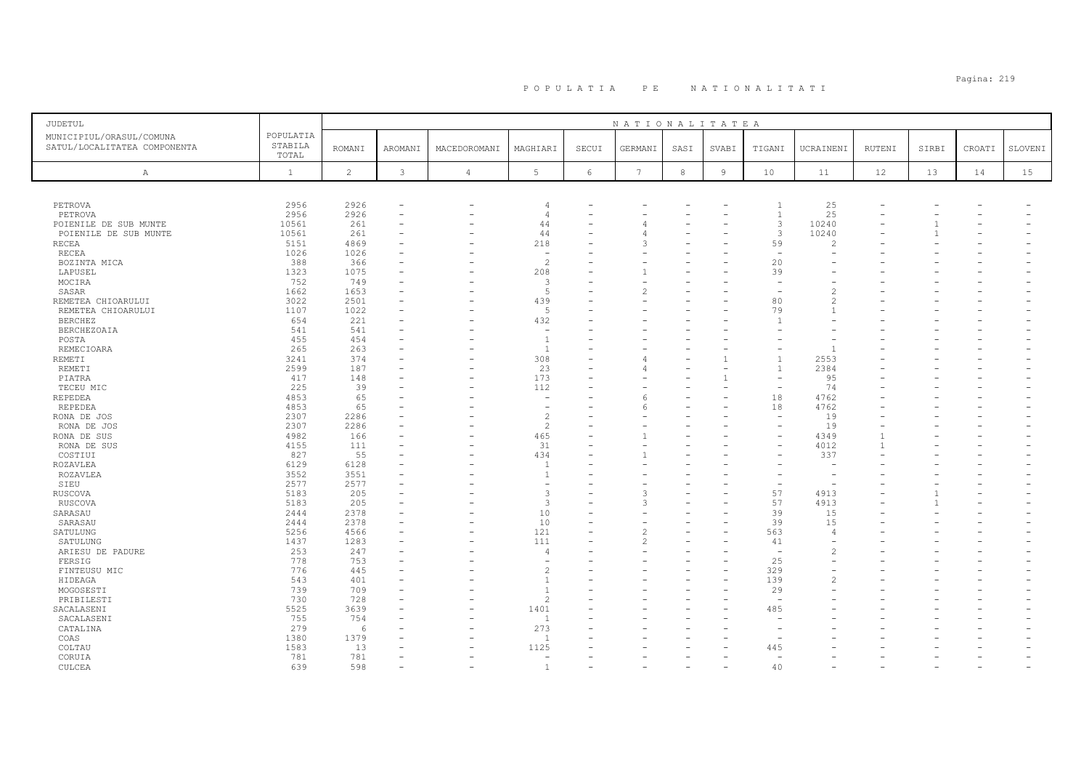# Pagina: 219 P O P U L A T I A P E N A T I O N A L I T A T I

| JUDETUL                                                  |                               |                |              |                          |                          |                          | NATIONALITATEA                |      |                |                                |                |        |       |                          |         |
|----------------------------------------------------------|-------------------------------|----------------|--------------|--------------------------|--------------------------|--------------------------|-------------------------------|------|----------------|--------------------------------|----------------|--------|-------|--------------------------|---------|
| MUNICIPIUL/ORASUL/COMUNA<br>SATUL/LOCALITATEA COMPONENTA | POPULATIA<br>STABILA<br>TOTAL | <b>ROMANI</b>  | AROMANI      | MACEDOROMANI             | MAGHIARI                 | SECUI                    | GERMANI                       | SASI | SVABI          | TIGANI                         | UCRAINENI      | RUTENI | SIRBI | CROATI                   | SLOVENI |
| Α                                                        | $\mathbf{1}$                  | $\overline{c}$ | $\mathbf{3}$ | $\overline{4}$           | 5                        | 6                        | $7\overline{ }$               | 8    | $\overline{9}$ | 10 <sup>°</sup>                | 11             | 12     | 13    | 14                       | 15      |
|                                                          |                               |                |              |                          |                          |                          |                               |      |                |                                |                |        |       |                          |         |
| PETROVA                                                  | 2956                          | 2926           |              |                          | $\Delta$                 |                          |                               |      |                | $\overline{1}$                 | 25             |        |       |                          |         |
| PETROVA                                                  | 2956                          | 2926           |              |                          | $\Delta$                 |                          |                               |      |                | $\overline{1}$                 | 25             |        |       |                          |         |
| POIENILE DE SUB MUNTE                                    | 10561                         | 261            |              |                          | 44                       |                          |                               |      |                | 3                              | 10240          |        |       |                          |         |
| POIENILE DE SUB MUNTE                                    | 10561                         | 261            |              |                          | 44                       |                          |                               |      |                | 3                              | 10240          |        |       |                          |         |
| RECEA                                                    | 5151                          | 4869           |              |                          | 218                      |                          | २                             |      |                | 59                             | $\mathcal{D}$  |        |       |                          |         |
| RECEA                                                    | 1026                          | 1026           |              |                          |                          |                          |                               |      |                | $\overline{\phantom{a}}$       |                |        |       |                          |         |
| BOZINTA MICA                                             | 388                           | 366            |              |                          | $\overline{c}$           |                          |                               |      |                | 20                             |                |        |       |                          |         |
| LAPUSEL                                                  | 1323                          | 1075<br>749    |              |                          | 208                      |                          |                               |      |                | 39                             |                |        |       |                          |         |
| MOCIRA                                                   | 752<br>1662                   | 1653           |              |                          | 3<br>5                   |                          | $\overline{\mathcal{L}}$      |      |                |                                | $\mathcal{D}$  |        |       |                          |         |
| SASAR                                                    | 3022                          | 2501           |              |                          | 439                      |                          |                               |      |                | 80                             |                |        |       |                          |         |
| REMETEA CHIOARULUI<br>REMETEA CHIOARULUI                 | 1107                          | 1022           |              |                          | 5                        |                          |                               |      |                | 79                             | $\overline{1}$ |        |       |                          |         |
| <b>BERCHEZ</b>                                           | 654                           | 221            |              |                          | 432                      |                          |                               |      |                |                                |                |        |       |                          |         |
| <b>BERCHEZOAIA</b>                                       | 541                           | 541            |              |                          | $\overline{\phantom{a}}$ |                          |                               |      |                |                                |                |        |       |                          |         |
| POSTA                                                    | 455                           | 454            |              |                          | $\overline{1}$           |                          |                               |      |                |                                |                |        |       |                          |         |
| REMECIOARA                                               | 265                           | 263            |              |                          | <sup>1</sup>             |                          |                               |      |                |                                | $\overline{1}$ |        |       |                          |         |
| <b>REMETI</b>                                            | 3241                          | 374            |              |                          | 308                      |                          |                               |      |                | $\mathbf{1}$                   | 2553           |        |       |                          |         |
| REMETI                                                   | 2599                          | 187            |              |                          | 23                       | $\overline{\phantom{0}}$ |                               |      |                | $\mathbf{1}$                   | 2384           |        |       |                          |         |
| PIATRA                                                   | 417                           | 148            |              |                          | 173                      |                          |                               |      |                |                                | 95             |        |       |                          |         |
| TECEU MIC                                                | 225                           | 39             |              |                          | 112                      |                          |                               |      |                | $\overline{\phantom{a}}$       | 74             |        |       |                          |         |
| <b>REPEDEA</b>                                           | 4853                          | 65             |              |                          |                          |                          | 6                             |      |                | 18                             | 4762           |        |       |                          |         |
| REPEDEA                                                  | 4853                          | 65             |              |                          | $\overline{\phantom{a}}$ |                          |                               |      |                | 18                             | 4762           |        |       |                          |         |
| RONA DE JOS                                              | 2307                          | 2286           |              |                          | $\mathcal{L}$            |                          |                               |      |                | $\overline{\phantom{a}}$       | 19             |        |       |                          |         |
| RONA DE JOS                                              | 2307                          | 2286           |              |                          | $\overline{c}$           |                          |                               |      |                |                                | 19             |        |       |                          |         |
| RONA DE SUS                                              | 4982                          | 166            |              |                          | 465                      | $\overline{\phantom{0}}$ |                               |      |                |                                | 4349           |        |       |                          |         |
| RONA DE SUS                                              | 4155                          | 111            |              | $\overline{\phantom{a}}$ | 31                       |                          |                               |      |                |                                | 4012           |        |       |                          |         |
| COSTIUI                                                  | 827                           | 55             |              |                          | 434                      | ۰                        |                               |      |                |                                | 337            |        |       |                          |         |
| ROZAVLEA                                                 | 6129                          | 6128           |              |                          | $\overline{1}$           |                          |                               |      |                |                                |                |        |       |                          |         |
| ROZAVLEA                                                 | 3552                          | 3551           |              |                          | $\overline{1}$           |                          |                               |      |                |                                |                |        |       |                          |         |
| SIEU                                                     | 2577                          | 2577           |              |                          |                          |                          |                               |      |                |                                |                |        |       |                          |         |
| RUSCOVA                                                  | 5183                          | 205            |              |                          | 3                        |                          | $\mathcal{L}$                 |      |                | 57                             | 4913           |        |       |                          |         |
| RUSCOVA                                                  | 5183                          | 205            |              |                          | 3                        |                          | 3                             |      |                | 57                             | 4913           |        |       |                          |         |
| SARASAU                                                  | 2444                          | 2378           |              |                          | 10                       |                          |                               |      |                | 39                             | 15             |        |       |                          |         |
| SARASAU                                                  | 2444                          | 2378           |              |                          | 10                       |                          |                               |      |                | 39                             | 15             |        |       |                          |         |
| SATULUNG                                                 | 5256                          | 4566<br>1283   |              |                          | 121<br>111               |                          | $\overline{\mathcal{L}}$<br>2 |      |                | 563                            | $\overline{4}$ |        |       |                          |         |
| SATULUNG                                                 | 1437                          |                |              |                          |                          | $\overline{\phantom{0}}$ |                               |      |                | 41<br>$\overline{\phantom{a}}$ |                |        |       |                          |         |
| ARIESU DE PADURE                                         | 253                           | 247            |              |                          | $\overline{4}$           |                          |                               |      |                | 25                             |                |        |       |                          |         |
| FERSIG<br>FINTEUSU MIC                                   | 778<br>776                    | 753<br>445     |              |                          | $\mathfrak{D}$           |                          |                               |      |                | 329                            |                |        |       |                          |         |
| HIDEAGA                                                  | 543                           | 401            |              |                          | $\overline{1}$           | $\overline{\phantom{0}}$ |                               |      |                | 139                            |                |        |       |                          |         |
| MOGOSESTI                                                | 739                           | 709            |              |                          | $\overline{1}$           |                          |                               |      |                | 29                             |                |        |       |                          |         |
| PRIBILESTI                                               | 730                           | 728            |              |                          | $\overline{c}$           |                          |                               |      |                | $\overline{\phantom{a}}$       |                |        |       |                          |         |
| SACALASENI                                               | 5525                          | 3639           |              |                          | 1401                     |                          |                               |      |                | 485                            |                |        |       |                          |         |
| SACALASENI                                               | 755                           | 754            |              | $\overline{\phantom{0}}$ | $\overline{1}$           |                          |                               |      |                |                                |                |        |       |                          |         |
| CATALINA                                                 | 279                           | 6              |              |                          | 273                      |                          |                               |      |                |                                |                |        |       |                          |         |
| COAS                                                     | 1380                          | 1379           |              |                          | $\overline{1}$           |                          |                               |      |                |                                |                |        |       |                          |         |
| COLTAU                                                   | 1583                          | 13             |              |                          | 1125                     |                          |                               |      |                | 445                            |                |        |       |                          |         |
| CORUIA                                                   | 781                           | 781            |              |                          |                          |                          |                               |      |                |                                |                |        |       |                          |         |
| CULCEA                                                   | 639                           | 598            |              | $\overline{\phantom{a}}$ | $\overline{1}$           | $\overline{\phantom{0}}$ |                               |      |                | 40                             |                |        |       | $\overline{\phantom{0}}$ |         |
|                                                          |                               |                |              |                          |                          |                          |                               |      |                |                                |                |        |       |                          |         |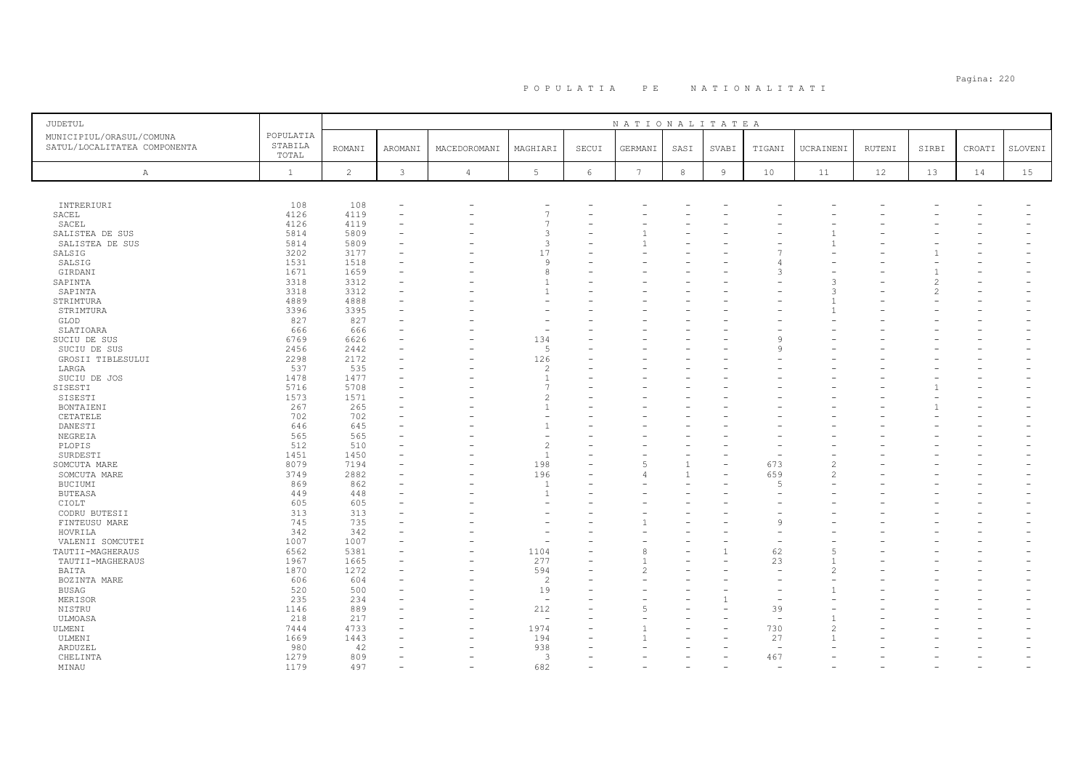| JUDETUL                                                  |                               |                |                |                |                |                 | NATIONALITATEA  |              |                |                |               |        |       |        |         |
|----------------------------------------------------------|-------------------------------|----------------|----------------|----------------|----------------|-----------------|-----------------|--------------|----------------|----------------|---------------|--------|-------|--------|---------|
| MUNICIPIUL/ORASUL/COMUNA<br>SATUL/LOCALITATEA COMPONENTA | POPULATIA<br>STABILA<br>TOTAL | <b>ROMANI</b>  | <b>AROMANI</b> | MACEDOROMANI   | MAGHIARI       | SECUI           | GERMANI         | SASI         | SVABI          | TIGANI         | UCRAINENI     | RUTENI | SIRBI | CROATI | SLOVENI |
| Α                                                        | $\mathbf{1}$                  | $\overline{c}$ | $\mathbf{3}$   | $\overline{4}$ | 5 <sup>1</sup> | $6\phantom{.}6$ | $7\phantom{.0}$ | $^{\rm 8}$   | $\overline{9}$ | 10             | 11            | 12     | 13    | 14     | 15      |
|                                                          |                               |                |                |                |                |                 |                 |              |                |                |               |        |       |        |         |
| INTRERIURI                                               | 108                           | 108            |                |                |                |                 |                 |              |                |                |               |        |       |        |         |
| SACEL                                                    | 4126                          | 4119           |                |                | $\overline{7}$ |                 |                 |              |                |                |               |        |       |        |         |
| SACEL                                                    | 4126                          | 4119           |                |                | $\overline{7}$ |                 |                 |              |                |                |               |        |       |        |         |
| SALISTEA DE SUS                                          | 5814                          | 5809           |                |                | 3              |                 |                 |              |                |                |               |        |       |        |         |
| SALISTEA DE SUS                                          | 5814                          | 5809           |                |                | 3              |                 |                 |              |                |                |               |        |       |        |         |
| SALSIG                                                   | 3202                          | 3177           |                |                | 17             |                 |                 |              |                |                |               |        |       |        |         |
| SALSIG                                                   | 1531                          | 1518           |                |                | 9              |                 |                 |              |                |                |               |        |       |        |         |
| GIRDANI                                                  | 1671                          | 1659           |                |                | 8              |                 |                 |              |                |                |               |        |       |        |         |
| SAPINTA                                                  | 3318                          | 3312           |                |                | $\mathbf{1}$   |                 |                 |              |                |                | $\mathcal{L}$ |        |       |        |         |
| SAPINTA                                                  | 3318                          | 3312           |                |                |                |                 |                 |              |                |                | ₹             |        |       |        |         |
| STRIMTURA                                                | 4889                          | 4888           |                |                |                |                 |                 |              |                |                | $\mathbf{1}$  |        |       |        |         |
| STRIMTURA                                                | 3396                          | 3395           |                |                |                |                 |                 |              |                |                |               |        |       |        |         |
| GLOD                                                     | 827                           | 827            |                |                |                |                 |                 |              |                |                |               |        |       |        |         |
| SLATIOARA                                                | 666                           | 666            |                |                | $\sim$         |                 |                 |              |                |                |               |        |       |        |         |
| SUCIU DE SUS                                             | 6769                          | 6626           |                |                | 134            |                 |                 |              |                |                |               |        |       |        |         |
| SUCIU DE SUS                                             | 2456                          | 2442           |                |                | 5              |                 |                 |              |                |                |               |        |       |        |         |
| GROSII TIBLESULUI                                        | 2298                          | 2172           |                |                | 126            |                 |                 |              |                |                |               |        |       |        |         |
| LARGA                                                    | 537                           | 535            |                |                | $\overline{c}$ |                 |                 |              |                |                |               |        |       |        |         |
| SUCIU DE JOS                                             | 1478                          | 1477           |                |                | $\overline{1}$ |                 |                 |              |                |                |               |        |       |        |         |
| SISESTI                                                  | 5716                          | 5708           |                |                | $\overline{7}$ |                 |                 |              |                |                |               |        |       |        |         |
| SISESTI                                                  | 1573                          | 1571           |                |                | $\overline{c}$ |                 |                 |              |                |                |               |        |       |        |         |
| BONTAIENI                                                | 267                           | 265            |                |                | $\overline{1}$ |                 |                 |              |                |                |               |        |       |        |         |
| CETATELE                                                 | 702                           | 702            |                |                |                |                 |                 |              |                |                |               |        |       |        |         |
| DANESTI                                                  | 646                           | 645            |                |                | $\overline{1}$ | ۳               |                 |              |                |                |               |        |       |        |         |
| NEGREIA                                                  | 565                           | 565            |                |                |                |                 |                 |              |                |                |               |        |       |        |         |
| PLOPIS                                                   | 512                           | 510            |                |                | $\overline{c}$ |                 |                 |              |                |                |               |        |       |        |         |
| SURDESTI                                                 | 1451                          | 1450           |                |                | $\overline{1}$ |                 |                 |              |                |                |               |        |       |        |         |
|                                                          | 8079                          | 7194           |                |                | 198            | $\equiv$        | 5               |              |                | 673            |               |        |       |        |         |
| SOMCUTA MARE                                             | 3749                          | 2882           |                |                | 196            |                 |                 | $\mathbf{1}$ |                | 659            | 2             |        |       |        |         |
| SOMCUTA MARE                                             |                               |                |                |                |                |                 |                 |              |                |                |               |        |       |        |         |
| BUCIUMI                                                  | 869                           | 862            |                |                | $\overline{1}$ |                 |                 |              |                | -5             |               |        |       |        |         |
| <b>BUTEASA</b>                                           | 449                           | 448            |                |                | $\overline{1}$ |                 |                 |              |                |                |               |        |       |        |         |
| CIOLT                                                    | 605                           | 605            |                |                |                |                 |                 |              |                |                |               |        |       |        |         |
| CODRU BUTESII                                            | 313                           | 313            |                |                |                |                 |                 |              |                |                |               |        |       |        |         |
| FINTEUSU MARE                                            | 745                           | 735            |                |                |                |                 |                 |              |                |                |               |        |       |        |         |
| HOVRILA                                                  | 342                           | 342            |                |                |                | ۳               |                 |              |                |                |               |        |       |        |         |
| VALENII SOMCUTEI                                         | 1007                          | 1007           |                |                |                |                 |                 |              |                |                |               |        |       |        |         |
| TAUTII-MAGHERAUS                                         | 6562                          | 5381           |                |                | 1104           | L.              |                 |              |                | 62             | 5             |        |       |        |         |
| TAUTII-MAGHERAUS                                         | 1967                          | 1665           |                |                | 277            |                 |                 |              |                | 23             |               |        |       |        |         |
| BAITA                                                    | 1870                          | 1272           |                |                | 594            | L.              | $\mathfrak{D}$  |              |                | $\overline{a}$ |               |        |       |        |         |
| BOZINTA MARE                                             | 606                           | 604            |                |                | $\overline{c}$ |                 |                 |              |                |                |               |        |       |        |         |
| BUSAG                                                    | 520                           | 500            |                |                | 19             |                 |                 |              |                |                |               |        |       |        |         |
| MERISOR                                                  | 235                           | 234            |                |                | $\sim$         |                 |                 |              |                |                |               |        |       |        |         |
| NISTRU                                                   | 1146                          | 889            |                |                | 212            |                 | 5               |              |                | 39             |               |        |       |        |         |
| ULMOASA                                                  | 218                           | 217            |                |                |                |                 |                 |              |                | <u>_</u>       |               |        |       |        |         |
| ULMENI                                                   | 7444                          | 4733           |                |                | 1974           |                 |                 |              |                | 730            | $\mathcal{P}$ |        |       |        |         |
| ULMENI                                                   | 1669                          | 1443           |                |                | 194            |                 |                 |              |                | 27             |               |        |       |        |         |
| ARDUZEL                                                  | 980                           | 42             |                |                | 938            |                 |                 |              |                | $\sim$         |               |        |       |        |         |
| CHELINTA                                                 | 1279                          | 809            |                |                | $\overline{3}$ |                 |                 |              |                | 467            |               |        |       |        |         |
| MINAU                                                    | 1179                          | 497            |                |                | 682            |                 |                 |              |                |                |               |        |       |        |         |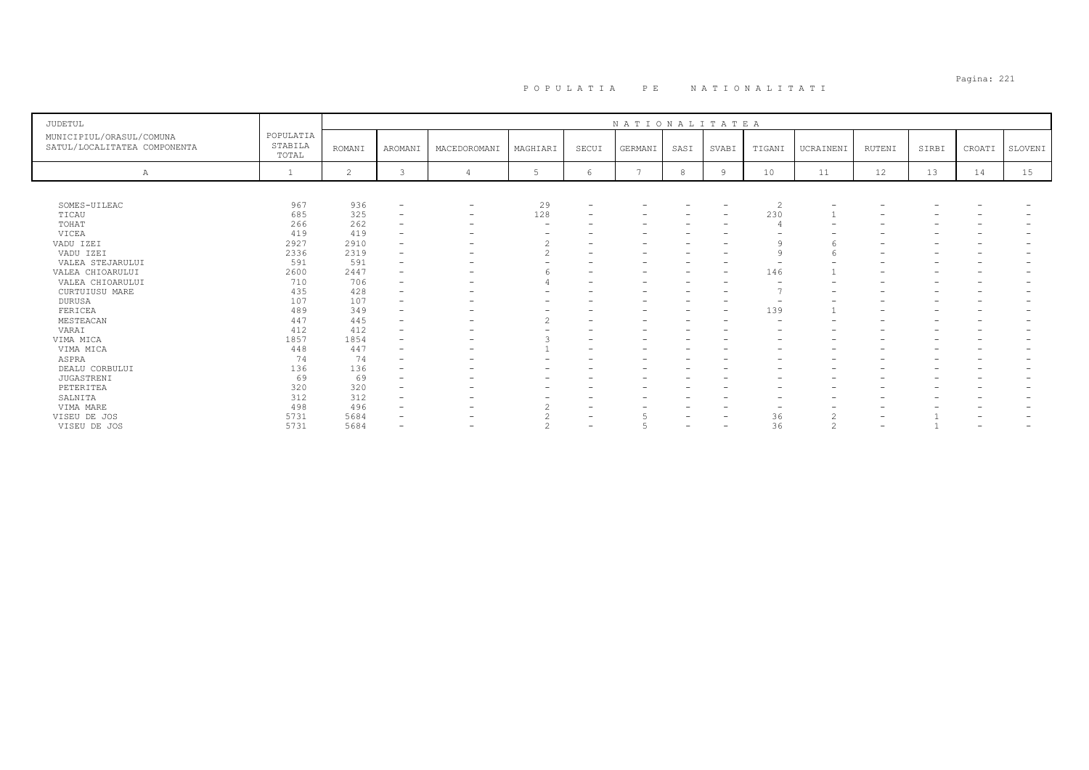# Pagina: 221 P O P U L A T I A P E N A T I O N A L I T A T I

| <b>JUDETUL</b>                                           |                               |                |                          |                          |                          |       | NATIONALITATEA |      |                          |                          |           |                          |       |                          |                   |
|----------------------------------------------------------|-------------------------------|----------------|--------------------------|--------------------------|--------------------------|-------|----------------|------|--------------------------|--------------------------|-----------|--------------------------|-------|--------------------------|-------------------|
| MUNICIPIUL/ORASUL/COMUNA<br>SATUL/LOCALITATEA COMPONENTA | POPULATIA<br>STABILA<br>TOTAL | <b>ROMANI</b>  | AROMANI                  | MACEDOROMANI             | MAGHIARI                 | SECUI | GERMANI        | SASI | SVABI                    | TIGANI                   | UCRAINENI | <b>RUTENI</b>            | SIRBI | CROATI                   | SLOVENI           |
| Α                                                        |                               | $\overline{c}$ |                          |                          |                          | 6     |                | 8    | 9                        | 10                       | 11        | 12                       | 13    | 14                       | 15                |
|                                                          |                               |                |                          |                          |                          |       |                |      |                          |                          |           |                          |       |                          |                   |
| SOMES-UILEAC                                             | 967                           | 936            | $\qquad \qquad -$        |                          | 29                       |       |                |      | $\overline{\phantom{a}}$ | 2                        |           |                          |       |                          |                   |
| TICAU                                                    | 685                           | 325            | $\qquad \qquad -$        | $\qquad \qquad -$        | 128                      |       |                |      | $\overline{\phantom{a}}$ | 230                      |           |                          |       |                          |                   |
| TOHAT                                                    | 266                           | 262            | $\overline{\phantom{0}}$ | $\overline{\phantom{0}}$ | $\overline{\phantom{a}}$ |       |                |      | $\overline{\phantom{a}}$ |                          |           | $\overline{\phantom{0}}$ |       |                          |                   |
| VICEA                                                    | 419                           | 419            |                          |                          |                          |       |                |      |                          |                          |           |                          |       |                          |                   |
| VADU IZEI                                                | 2927                          | 2910           | $\qquad \qquad -$        |                          | $\Omega$                 |       |                |      |                          |                          |           |                          |       |                          |                   |
| VADU IZEI                                                | 2336                          | 2319           | $\qquad \qquad -$        |                          | $\hat{ }$                |       |                |      |                          | $\alpha$                 |           |                          |       |                          |                   |
| VALEA STEJARULUI                                         | 591                           | 591            | $\qquad \qquad -$        |                          |                          |       |                |      |                          |                          |           |                          |       |                          |                   |
| VALEA CHIOARULUI                                         | 2600                          | 2447           | $\overline{\phantom{0}}$ |                          |                          |       |                |      | $\overline{\phantom{0}}$ | 146                      |           |                          |       |                          |                   |
| VALEA CHIOARULUI                                         | 710                           | 706            |                          |                          |                          |       |                |      |                          |                          |           |                          |       |                          |                   |
| CURTUIUSU MARE                                           | 435                           | 428            |                          |                          |                          |       |                |      |                          | $\overline{ }$           |           |                          |       |                          |                   |
| <b>DURUSA</b>                                            | 107                           | 107            | $\qquad \qquad -$        |                          |                          |       |                |      | -                        | $\overline{\phantom{a}}$ |           |                          |       |                          |                   |
| FERICEA                                                  | 489                           | 349            |                          |                          |                          |       |                |      | $\overline{\phantom{0}}$ | 139                      |           |                          |       |                          |                   |
| MESTEACAN                                                | 447                           | 445            | $\overline{\phantom{0}}$ |                          | $\mathcal{P}$            |       |                |      |                          | $\overline{\phantom{a}}$ |           |                          |       |                          |                   |
| VARAI                                                    | 412                           | 412            |                          |                          |                          |       |                |      |                          |                          |           |                          |       |                          |                   |
| VIMA MICA                                                | 1857                          | 1854           | -                        |                          |                          |       |                |      |                          |                          |           |                          |       |                          |                   |
| VIMA MICA                                                | 448                           | 447            | $\overline{\phantom{0}}$ |                          |                          |       |                |      |                          |                          |           |                          |       |                          |                   |
| ASPRA                                                    | 74                            | 74             |                          |                          |                          |       |                |      |                          |                          |           |                          |       |                          |                   |
| DEALU CORBULUI                                           | 136                           | 136            |                          |                          |                          |       |                |      |                          |                          |           |                          |       |                          |                   |
| <b>JUGASTRENI</b>                                        | 69                            | 69             |                          |                          |                          |       |                |      |                          |                          |           |                          |       |                          |                   |
| PETERITEA                                                | 320                           | 320            |                          |                          |                          |       |                |      |                          |                          |           |                          |       |                          |                   |
| SALNITA                                                  | 312                           | 312            | $\overline{\phantom{0}}$ |                          |                          |       | -              |      |                          |                          |           |                          |       |                          |                   |
| VIMA MARE                                                | 498                           | 496            |                          |                          |                          |       |                |      |                          |                          |           |                          |       |                          |                   |
| VISEU DE JOS                                             | 5731                          | 5684           |                          |                          |                          |       | 5              |      | $\overline{\phantom{a}}$ | 36                       | $\bigcap$ |                          |       |                          |                   |
| VISEU DE JOS                                             | 5731                          | 5684           | $\overline{\phantom{0}}$ | $\overline{\phantom{0}}$ |                          |       |                | -    | $\overline{\phantom{a}}$ | 36                       | $\sim$    | $\overline{\phantom{0}}$ |       | $\overline{\phantom{0}}$ | $\qquad \qquad -$ |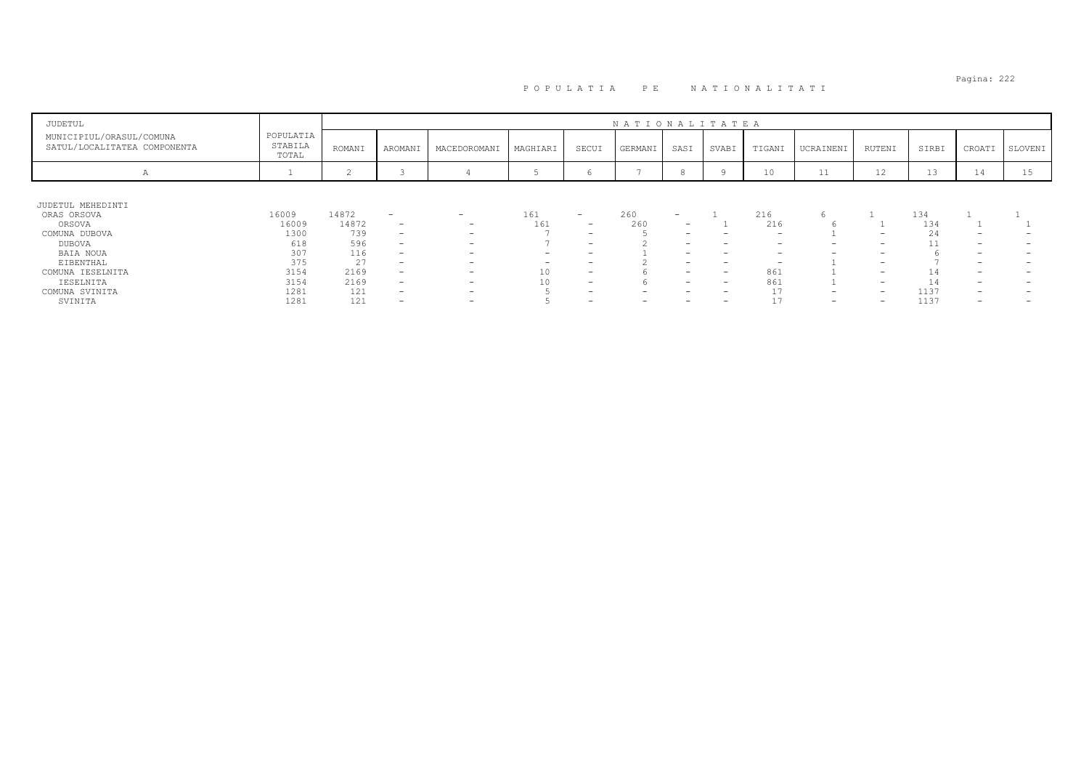| JUDETUL                                                  |                               |        |                          |                          |                          |                          | NATIONALITATEA |                          |                                 |                          |                          |                          |       |                          |         |
|----------------------------------------------------------|-------------------------------|--------|--------------------------|--------------------------|--------------------------|--------------------------|----------------|--------------------------|---------------------------------|--------------------------|--------------------------|--------------------------|-------|--------------------------|---------|
| MUNICIPIUL/ORASUL/COMUNA<br>SATUL/LOCALITATEA COMPONENTA | POPULATIA<br>STABILA<br>TOTAL | ROMANI | AROMANI                  | MACEDOROMANI             | MAGHIARI                 | SECUI                    | GERMANI        | SASI                     | SVABI                           | TIGANI                   | UCRAINENI                | RUTENI                   | SIRBI | CROATI                   | SLOVENI |
| A                                                        |                               |        |                          |                          |                          | O                        |                |                          |                                 | 10                       | 11                       | 12                       | 13    | 14                       | 15      |
|                                                          |                               |        |                          |                          |                          |                          |                |                          |                                 |                          |                          |                          |       |                          |         |
| JUDETUL MEHEDINTI                                        |                               |        |                          |                          |                          |                          |                |                          |                                 |                          |                          |                          |       |                          |         |
| ORAS ORSOVA                                              | 16009                         | 14872  | $\overline{\phantom{m}}$ | $-$                      | 161                      | $\overline{\phantom{0}}$ | 260            | $\overline{\phantom{a}}$ |                                 | 216                      |                          |                          | 134   |                          |         |
| ORSOVA                                                   | 16009                         | 14872  | $\overline{\phantom{0}}$ | $\overline{\phantom{0}}$ | 161                      | $\overline{\phantom{0}}$ | 260            | -                        |                                 | 216                      |                          |                          | 134   |                          |         |
| COMUNA DUBOVA                                            | 1300                          | 739    | -                        | $\overline{\phantom{0}}$ |                          | $\overline{\phantom{0}}$ |                | -                        |                                 | $\overline{\phantom{0}}$ |                          | $\overline{\phantom{0}}$ | 24    |                          |         |
| DUBOVA                                                   | 618                           | 596    | -                        | $\overline{\phantom{a}}$ |                          | $\overline{\phantom{0}}$ |                | -                        | -                               | $\overline{\phantom{0}}$ | $\overline{\phantom{0}}$ | $\overline{\phantom{0}}$ | 11    | $\overline{\phantom{0}}$ |         |
| BAIA NOUA                                                | 307                           | 116    | -                        | $\overline{\phantom{0}}$ | -                        |                          |                | -                        | -                               | $\overline{\phantom{0}}$ | $\overline{\phantom{0}}$ | $\overline{\phantom{a}}$ |       | $\overline{\phantom{a}}$ |         |
| EIBENTHAL                                                | 375                           | 27     | $\overline{\phantom{0}}$ | $\overline{\phantom{a}}$ | $\overline{\phantom{0}}$ |                          |                | -                        | $\overline{\phantom{0}}$        | $\overline{\phantom{0}}$ |                          | $\overline{\phantom{0}}$ |       | $\overline{\phantom{a}}$ |         |
| COMUNA IESELNITA                                         | 3154                          | 2169   | $\overline{\phantom{0}}$ | $\overline{\phantom{a}}$ | 10                       | $\overline{\phantom{a}}$ |                | -                        | $\hspace{0.1mm}-\hspace{0.1mm}$ | 861                      |                          | $\overline{\phantom{a}}$ | 14    | $\overline{\phantom{a}}$ |         |
| IESELNITA                                                | 3154                          | 2169   | -                        | $\overline{\phantom{0}}$ | 10                       | $\overline{\phantom{0}}$ |                | -                        | $\hspace{0.1mm}-\hspace{0.1mm}$ | 861                      |                          | $\overline{\phantom{0}}$ | 14    | -                        |         |
| COMUNA SVINITA                                           | 1281                          | 121    | -                        | $\overline{\phantom{a}}$ |                          | $\overline{\phantom{a}}$ | -              | -                        | $\overline{\phantom{0}}$        | 17                       | $\overline{\phantom{a}}$ | $\overline{\phantom{0}}$ | 1137  | $\overline{\phantom{a}}$ |         |
| SVINITA                                                  | 1281                          | 121    | $\overline{\phantom{0}}$ | -                        |                          |                          |                |                          | -                               | 17                       | $\overline{\phantom{a}}$ | $\overline{\phantom{0}}$ | 1137  | -                        |         |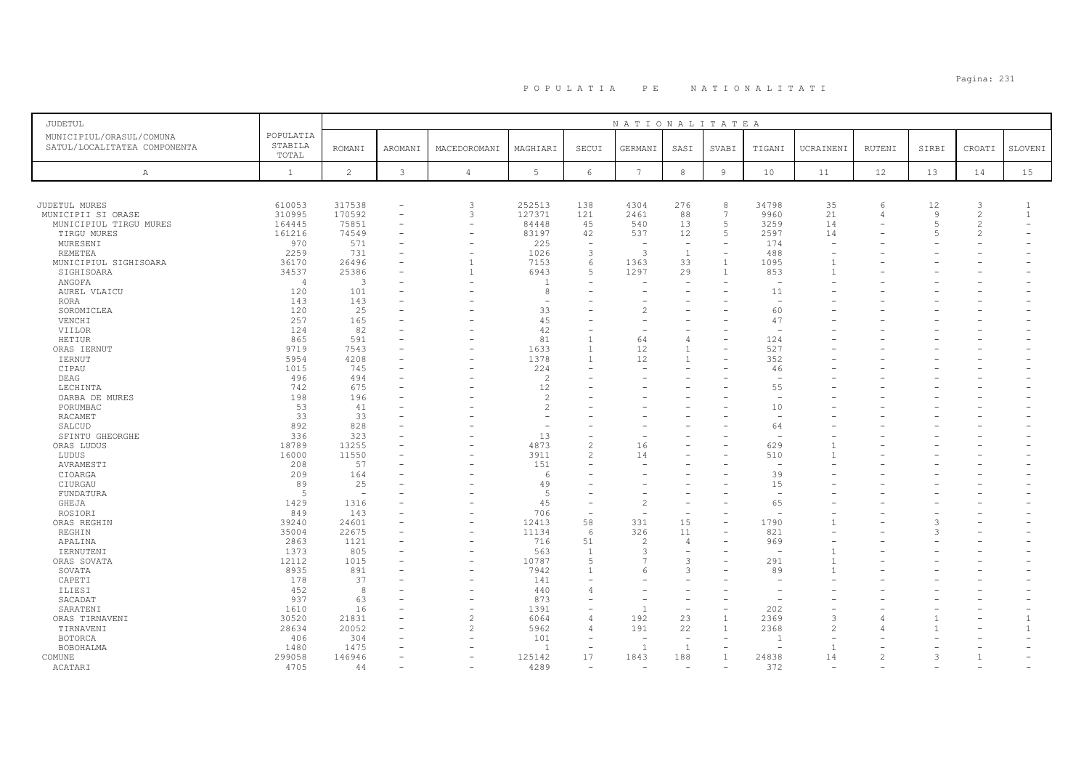# Pagina: 231 P O P U L A T I A P E N A T I O N A L I T A T I

| <b>JUDETUL</b>               |                  |                |                          |                          |                      |                          | NATIONALITATEA           |                          |                          |                          |           |                |                |                |                          |
|------------------------------|------------------|----------------|--------------------------|--------------------------|----------------------|--------------------------|--------------------------|--------------------------|--------------------------|--------------------------|-----------|----------------|----------------|----------------|--------------------------|
| MUNICIPIUL/ORASUL/COMUNA     | POPULATIA        |                |                          |                          |                      |                          |                          |                          |                          |                          |           |                |                |                |                          |
| SATUL/LOCALITATEA COMPONENTA | STABILA<br>TOTAL | <b>ROMANI</b>  | <b>AROMANI</b>           | MACEDOROMANI             | MAGHIARI             | SECUI                    | GERMANI                  | SASI                     | SVABI                    | TIGANI                   | UCRAINENI | RUTENI         | SIRBI          | CROATI         | SLOVENI                  |
| Α                            | $\mathbf{1}$     | $\overline{c}$ | $\mathbf{3}$             | $\overline{4}$           | 5                    | $6\overline{6}$          | $7\phantom{.0}$          | $^{\rm 8}$               | $\overline{9}$           | 10                       | 11        | 12             | 13             | 14             | 15                       |
|                              |                  |                |                          |                          |                      |                          |                          |                          |                          |                          |           |                |                |                |                          |
| JUDETUL MURES                | 610053           | 317538         | $\overline{\phantom{a}}$ | 3                        | 252513               | 138                      | 4304                     | 276                      | 8                        | 34798                    | 35        | 6              | 12             | 3              | -1                       |
| MUNICIPII SI ORASE           | 310995           | 170592         | $\overline{\phantom{a}}$ | 3                        | 127371               | 121                      | 2461                     | 88                       | 7                        | 9960                     | 21        | 4              | 9              | 2              | $\mathbf{1}$             |
| MUNICIPIUL TIRGU MURES       | 164445           | 75851          | $\equiv$                 | $\equiv$                 | 84448                | 45                       | 540                      | 13                       | 5                        | 3259                     | 14        |                | $\overline{5}$ | 2              | $\overline{\phantom{0}}$ |
| TIRGU MURES                  | 161216           | 74549          | $\overline{\phantom{a}}$ | $\overline{\phantom{a}}$ | 83197                | 42                       | 537                      | 12                       | 5                        | 2597                     | 14        |                | -5             | $\mathfrak{D}$ |                          |
| MURESENI                     | 970              | 571            |                          |                          | 225                  | $\overline{\phantom{0}}$ |                          | $\overline{\phantom{m}}$ |                          | 174                      |           |                |                |                |                          |
| REMETEA                      | 2259             | 731            |                          |                          | 1026                 | 3                        | $\mathcal{R}$            | $\mathbf{1}$             | $\overline{\phantom{0}}$ | 488                      |           |                |                |                |                          |
| MUNICIPIUL SIGHISOARA        | 36170            | 26496          |                          | $\overline{1}$           | 7153                 | 6                        | 1363                     | 33                       | $\mathbf{1}$             | 1095                     |           |                |                |                |                          |
| SIGHISOARA                   | 34537            | 25386          |                          | 1                        | 6943                 | 5                        | 1297                     | 29                       | $\mathbf{1}$             | 853                      |           |                |                |                |                          |
| ANGOFA                       | $\overline{4}$   | 3              |                          |                          | $\overline{1}$       | $\overline{\phantom{0}}$ |                          |                          |                          |                          |           |                |                |                |                          |
| AUREL VLAICU                 | 120              | 101            |                          |                          | 8                    |                          |                          |                          |                          | 11                       |           |                |                |                |                          |
| RORA                         | 143              | 143            |                          |                          |                      |                          |                          |                          |                          | $\overline{\phantom{a}}$ |           |                |                |                |                          |
| SOROMICLEA                   | 120              | 25             |                          |                          | 33                   |                          | $\overline{\mathcal{L}}$ |                          |                          | 60                       |           |                |                |                |                          |
| VENCHI                       | 257              | 165            |                          |                          | 45                   |                          |                          |                          |                          | 47                       |           |                |                |                |                          |
| VIILOR                       | 124              | 82             |                          |                          | 42                   | ۳                        | $\sim$                   |                          |                          |                          |           |                |                |                |                          |
| HETIUR                       | 865              | 591            |                          |                          | 81                   | $\overline{1}$           | 64                       | $\overline{4}$           | $\equiv$                 | 124                      |           |                |                |                |                          |
| ORAS IERNUT                  | 9719             | 7543           |                          |                          | 1633                 | $\overline{1}$           | 12                       | $\overline{1}$           |                          | 527                      |           |                |                |                |                          |
| <b>IERNUT</b>                | 5954             | 4208           |                          |                          | 1378                 | $\mathbf{1}$             | 12                       |                          |                          | 352                      |           |                |                |                |                          |
|                              |                  |                |                          |                          |                      |                          |                          |                          |                          |                          |           |                |                |                |                          |
| CIPAU                        | 1015<br>496      | 745<br>494     |                          |                          | 224<br>$\mathcal{P}$ |                          |                          |                          |                          | 46                       |           |                |                |                |                          |
| DEAG                         | 742              | 675            |                          |                          | 12                   |                          |                          |                          |                          | 55                       |           |                |                |                |                          |
| LECHINTA                     |                  |                |                          |                          |                      |                          |                          |                          |                          | $\overline{\phantom{0}}$ |           |                |                |                |                          |
| OARBA DE MURES               | 198              | 196            |                          |                          | 2                    |                          |                          |                          |                          |                          |           |                |                |                |                          |
| PORUMBAC                     | 53               | 41             |                          |                          | $\overline{c}$       |                          |                          |                          |                          | 10                       |           |                |                |                |                          |
| RACAMET                      | 33               | 33             |                          |                          |                      |                          |                          |                          |                          |                          |           |                |                |                |                          |
| SALCUD                       | 892              | 828            |                          |                          | $\sim$               | ۳                        | ۰                        |                          |                          | 64                       |           |                |                |                |                          |
| SFINTU GHEORGHE              | 336              | 323            |                          |                          | 13                   | ۰                        |                          |                          |                          |                          |           |                |                |                |                          |
| ORAS LUDUS                   | 18789            | 13255          |                          |                          | 4873                 | $\overline{c}$           | 16                       |                          |                          | 629                      |           |                |                |                |                          |
| LUDUS                        | 16000            | 11550          |                          |                          | 3911                 | $\mathfrak{D}$           | 14                       |                          |                          | 510                      |           |                |                |                |                          |
| AVRAMESTI                    | 208              | 57             |                          |                          | 151                  | L,                       | Ē.                       |                          |                          | $\overline{\phantom{a}}$ |           |                |                |                |                          |
| CIOARGA                      | 209              | 164            |                          |                          | 6                    |                          |                          |                          |                          | 39                       |           |                |                |                |                          |
| CIURGAU                      | 89               | 25             |                          |                          | 49                   |                          |                          |                          |                          | 15                       |           |                |                |                |                          |
| FUNDATURA                    | 5                |                |                          |                          | 5                    | ۰                        |                          |                          |                          | <b>1</b>                 |           |                |                |                |                          |
| GHEJA                        | 1429             | 1316           |                          |                          | 45                   | $\overline{\phantom{0}}$ | $\overline{c}$           |                          |                          | 65                       |           |                |                |                |                          |
| ROSIORI                      | 849              | 143            |                          |                          | 706                  | ÷,                       |                          |                          |                          |                          |           |                |                |                |                          |
| ORAS REGHIN                  | 39240            | 24601          |                          | $\overline{\phantom{0}}$ | 12413                | 58                       | 331                      | 15                       | $\overline{\phantom{0}}$ | 1790                     |           |                | 3              |                |                          |
| REGHIN                       | 35004            | 22675          |                          | $\overline{\phantom{0}}$ | 11134                | 6                        | 326                      | 11                       | $\equiv$                 | 821                      |           |                | 3              |                |                          |
| APALINA                      | 2863             | 1121           |                          |                          | 716                  | 51                       | $\overline{c}$           | $\overline{4}$           |                          | 969                      |           |                |                |                |                          |
| IERNUTENI                    | 1373             | 805            | $\sim$                   |                          | 563                  | $\overline{1}$           | 3                        | $\overline{\phantom{a}}$ |                          | $\overline{\phantom{0}}$ |           |                |                |                |                          |
| ORAS SOVATA                  | 12112            | 1015           |                          |                          | 10787                | $\overline{2}$           |                          | 3                        |                          | 291                      |           |                |                |                |                          |
| SOVATA                       | 8935             | 891            |                          |                          | 7942                 | $\mathbf{1}$             | 6                        | 3                        |                          | 89                       |           |                |                |                |                          |
| CAPETI                       | 178              | 37             |                          |                          | 141                  |                          |                          |                          |                          |                          |           |                |                |                |                          |
| ILIESI                       | 452              | 8              |                          |                          | 440                  | 4                        |                          |                          |                          |                          |           |                |                |                |                          |
| SACADAT                      | 937              | 63             |                          |                          | 873                  |                          |                          | $\overline{\phantom{a}}$ |                          |                          |           |                |                |                |                          |
| SARATENI                     | 1610             | 16             |                          | $\overline{\phantom{0}}$ | 1391                 | $\overline{\phantom{0}}$ | $\mathbf{1}$             | $\overline{\phantom{a}}$ | $\overline{\phantom{0}}$ | 202                      |           |                |                |                |                          |
| ORAS TIRNAVENI               | 30520            | 21831          |                          | $\overline{2}$           | 6064                 | $\overline{4}$           | 192                      | 23                       |                          | 2369                     |           |                |                |                | $\overline{1}$           |
| TIRNAVENI                    | 28634            | 20052          |                          | $\overline{c}$           | 5962                 | $\overline{4}$           | 191                      | 22                       | $\mathbf{1}$             | 2368                     |           |                |                |                |                          |
| <b>BOTORCA</b>               | 406              | 304            |                          |                          | 101                  | $\overline{\phantom{a}}$ | $\overline{\phantom{a}}$ | $\overline{\phantom{0}}$ | $\overline{\phantom{0}}$ |                          |           |                |                |                |                          |
| BOBOHALMA                    | 1480             | 1475           |                          |                          | $\overline{1}$       | $\sim$                   | $\overline{1}$           | 1                        |                          |                          |           |                |                |                |                          |
| COMUNE                       | 299058           | 146946         |                          |                          | 125142               | 17                       | 1843                     | 188                      |                          | 24838                    | 14        | $\mathfrak{D}$ |                | $\mathbf{1}$   |                          |
| ACATARI                      | 4705             | 44             |                          |                          | 4289                 | $\overline{\phantom{a}}$ | $\sim$                   | $\sim$                   |                          | 372                      |           |                |                |                |                          |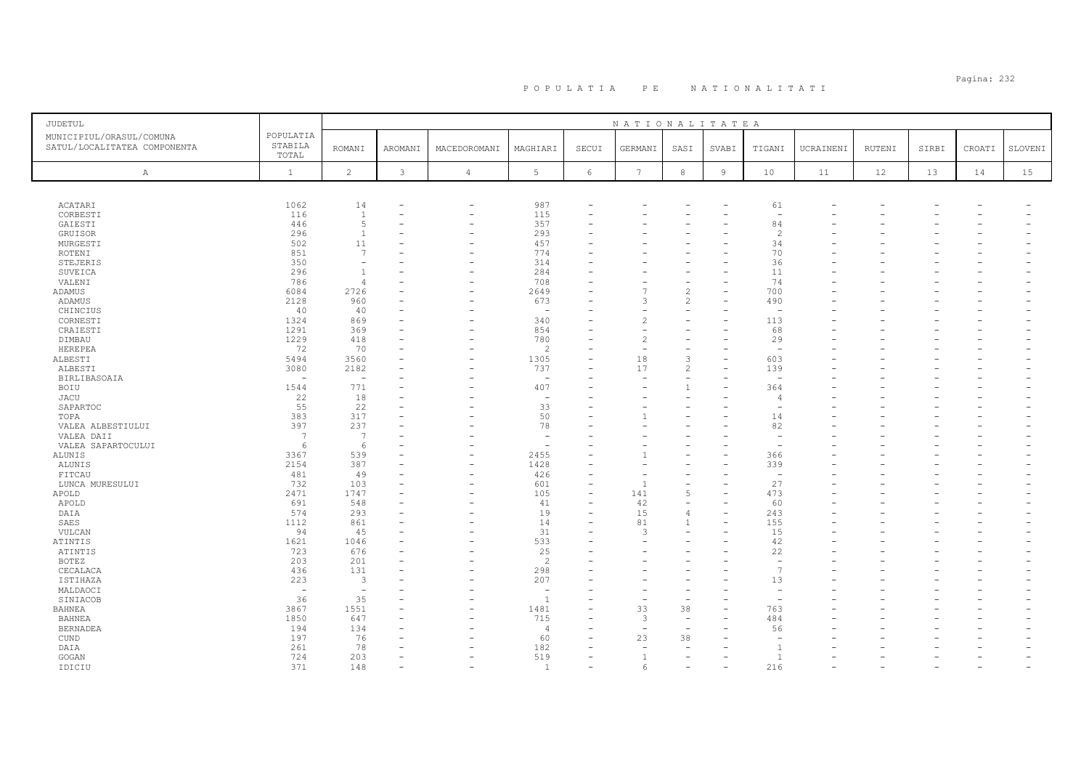# Pagina: 232 P O P U L A T I A P E N A T I O N A L I T A T I

| JUDETUL                                                  |                               |                          |              |                          |                          |                          | NATIONALITATEA  |                          |                |                          |           |        |       |        |         |
|----------------------------------------------------------|-------------------------------|--------------------------|--------------|--------------------------|--------------------------|--------------------------|-----------------|--------------------------|----------------|--------------------------|-----------|--------|-------|--------|---------|
| MUNICIPIUL/ORASUL/COMUNA<br>SATUL/LOCALITATEA COMPONENTA | POPULATIA<br>STABILA<br>TOTAL | <b>ROMANI</b>            | AROMANI      | MACEDOROMANI             | MAGHIARI                 | SECUI                    | GERMANI         | SASI                     | SVABI          | TIGANI                   | UCRAINENI | RUTENI | SIRBI | CROATI | SLOVENI |
| $\mathbb{A}$                                             | $\mathbf{1}$                  | $\overline{c}$           | $\mathbf{3}$ | $\overline{4}$           | 5                        | 6                        | $7\phantom{.0}$ | $^{\rm 8}$               | $\overline{9}$ | 10                       | 11        | 12     | 13    | 14     | 15      |
|                                                          |                               |                          |              |                          |                          |                          |                 |                          |                |                          |           |        |       |        |         |
| ACATARI                                                  | 1062                          | 14                       |              | -                        | 987                      |                          |                 |                          |                | 61                       |           |        |       |        |         |
| CORBESTI                                                 | 116                           | <sup>1</sup>             | ۰            | $\overline{\phantom{0}}$ | 115                      |                          |                 |                          |                | $\overline{\phantom{a}}$ |           |        |       |        |         |
| GAIESTI                                                  | 446                           | 5                        |              | $\overline{\phantom{0}}$ | 357                      |                          |                 |                          |                | 84                       |           |        |       |        |         |
| GRUISOR                                                  | 296                           | <sup>1</sup>             |              | $\overline{\phantom{0}}$ | 293                      |                          |                 |                          |                | $\overline{\mathcal{L}}$ |           |        |       |        |         |
| MURGESTI                                                 | 502                           | 11                       |              |                          | 457                      |                          |                 |                          |                | 34                       |           |        |       |        |         |
| ROTENI                                                   | 851                           | 7<br>۰                   |              |                          | 774                      |                          |                 |                          |                | 70                       |           |        |       |        |         |
| STEJERIS                                                 | 350<br>296                    | <sup>1</sup>             |              |                          | 314<br>284               |                          |                 |                          |                | 36<br>11                 |           |        |       |        |         |
| SUVEICA                                                  | 786                           | $\overline{4}$           |              |                          | 708                      |                          |                 |                          |                | 74                       |           |        |       |        |         |
| VALENI<br>ADAMUS                                         | 6084                          | 2726                     |              | $\overline{\phantom{0}}$ | 2649                     |                          |                 | $\overline{c}$           |                | 700                      |           |        |       |        |         |
| ADAMUS                                                   | 2128                          | 960                      | ۰            | $\overline{\phantom{0}}$ | 673                      |                          | 3               | 2                        |                | 490                      |           |        |       |        |         |
| CHINCIUS                                                 | 40                            | 40                       |              |                          | $\overline{\phantom{a}}$ |                          |                 |                          |                | $\overline{\phantom{a}}$ |           |        |       |        |         |
| CORNESTI                                                 | 1324                          | 869                      | ۰            |                          | 340                      |                          |                 | $\overline{\phantom{0}}$ |                | 113                      |           |        |       |        |         |
| CRAIESTI                                                 | 1291                          | 369                      |              |                          | 854                      |                          |                 |                          |                | 68                       |           |        |       |        |         |
| DIMBAU                                                   | 1229                          | 418                      | ۰            | $\overline{\phantom{0}}$ | 780                      |                          |                 |                          |                | 29                       |           |        |       |        |         |
| HEREPEA                                                  | 72                            | 70                       |              |                          | $\overline{2}$           |                          |                 |                          |                | $\sim$                   |           |        |       |        |         |
| ALBESTI                                                  | 5494                          | 3560                     |              |                          | 1305                     |                          | 18              | 3                        |                | 603                      |           |        |       |        |         |
| ALBESTI                                                  | 3080                          | 2182                     |              |                          | 737                      |                          | 17              | $\overline{c}$           |                | 139                      |           |        |       |        |         |
| <b>BIRLIBASOAIA</b>                                      | $\overline{\phantom{a}}$      | $\overline{\phantom{a}}$ |              |                          | $\overline{\phantom{0}}$ |                          |                 | $\overline{\phantom{a}}$ |                | $\overline{\phantom{a}}$ |           |        |       |        |         |
| <b>BOIU</b>                                              | 1544                          | 771                      |              |                          | 407                      |                          |                 | $\mathbf{1}$             |                | 364                      |           |        |       |        |         |
| JACU                                                     | 22                            | 18                       |              |                          | $\overline{\phantom{m}}$ |                          |                 |                          |                | $\overline{4}$           |           |        |       |        |         |
| SAPARTOC                                                 | 55                            | 22                       | ۰            |                          | 33                       |                          |                 |                          |                | $\overline{\phantom{a}}$ |           |        |       |        |         |
| TOPA                                                     | 383                           | 317                      |              |                          | 50                       |                          |                 |                          |                | 14                       |           |        |       |        |         |
| VALEA ALBESTIULUI                                        | 397                           | 237                      |              |                          | 78                       |                          |                 |                          |                | 82                       |           |        |       |        |         |
| VALEA DAII                                               | -7                            | 7                        |              |                          | ۰                        |                          |                 |                          |                | $\sim$                   |           |        |       |        |         |
| VALEA SAPARTOCULUI                                       | 6                             | 6                        | ۳            |                          | $\sim$                   |                          |                 |                          |                |                          |           |        |       |        |         |
| ALUNIS                                                   | 3367                          | 539                      |              |                          | 2455                     |                          |                 |                          |                | 366                      |           |        |       |        |         |
| ALUNIS                                                   | 2154                          | 387                      |              |                          | 1428                     |                          |                 |                          |                | 339                      |           |        |       |        |         |
| FITCAU                                                   | 481                           | 49                       |              |                          | 426                      |                          |                 |                          |                |                          |           |        |       |        |         |
| LUNCA MURESULUI                                          | 732                           | 103                      | ۰            |                          | 601                      | $\overline{\phantom{0}}$ |                 | $\overline{\phantom{a}}$ |                | 27                       |           |        |       |        |         |
| APOLD                                                    | 2471                          | 1747                     | ۰            |                          | 105                      | $\overline{\phantom{a}}$ | 141             | 5                        |                | 473                      |           |        |       |        |         |
| APOLD                                                    | 691                           | 548                      | ۰            | -                        | 41                       | $\overline{\phantom{a}}$ | 42              | $\overline{\phantom{a}}$ |                | 60                       |           |        |       |        |         |
| DAIA                                                     | 574                           | 293                      | ۰            |                          | 19                       |                          | 15              | $\overline{4}$           |                | 243                      |           |        |       |        |         |
| SAES                                                     | 1112                          | 861                      | ۳            |                          | 14                       |                          | 81              | 1<br>$\sim$              |                | 155                      |           |        |       |        |         |
| VULCAN                                                   | 94<br>1621                    | 45                       |              |                          | 31<br>533                |                          | 3               |                          |                | 15<br>42                 |           |        |       |        |         |
| ATINTIS<br>ATINTIS                                       | 723                           | 1046<br>676              |              |                          | 25                       |                          |                 |                          |                | 22                       |           |        |       |        |         |
| <b>BOTEZ</b>                                             | 203                           | 201                      |              |                          | 2                        |                          |                 |                          |                | $\sim$                   |           |        |       |        |         |
| CECALACA                                                 | 436                           | 131                      | ۳            | $\equiv$                 | 298                      |                          |                 | $\equiv$                 |                | $\overline{7}$           |           |        |       |        |         |
| ISTIHAZA                                                 | 223                           | 3                        |              |                          | 207                      |                          |                 |                          |                | 13                       |           |        |       |        |         |
| MALDAOCI                                                 | $\overline{\phantom{0}}$      | $\overline{\phantom{a}}$ |              |                          | $\overline{\phantom{a}}$ |                          |                 |                          |                | $\overline{\phantom{0}}$ |           |        |       |        |         |
| SINIACOB                                                 | 36                            | 35                       |              |                          | <sup>1</sup>             |                          |                 | $\overline{\phantom{0}}$ |                |                          |           |        |       |        |         |
| BAHNEA                                                   | 3867                          | 1551                     |              |                          | 1481                     |                          | 33              | 38                       |                | 763                      |           |        |       |        |         |
| <b>BAHNEA</b>                                            | 1850                          | 647                      | ۰            |                          | 715                      |                          | 3               | $\overline{\phantom{0}}$ |                | 484                      |           |        |       |        |         |
| <b>BERNADEA</b>                                          | 194                           | 134                      | ۰            |                          | $\overline{4}$           |                          |                 | $\overline{\phantom{a}}$ |                | 56                       |           |        |       |        |         |
| CUND                                                     | 197                           | 76                       |              |                          | 60                       |                          | 23              | 38                       |                | $\overline{\phantom{a}}$ |           |        |       |        |         |
| DAIA                                                     | 261                           | 78                       |              |                          | 182                      |                          |                 |                          |                | $\overline{1}$           |           |        |       |        |         |
| GOGAN                                                    | 724                           | 203                      | ÷            |                          | 519                      |                          |                 | $\equiv$                 |                | $\overline{1}$           |           |        |       |        |         |
| IDICIU                                                   | 371                           | 148                      | ۳            |                          | <sup>1</sup>             |                          | 6               |                          |                | 216                      |           |        |       |        |         |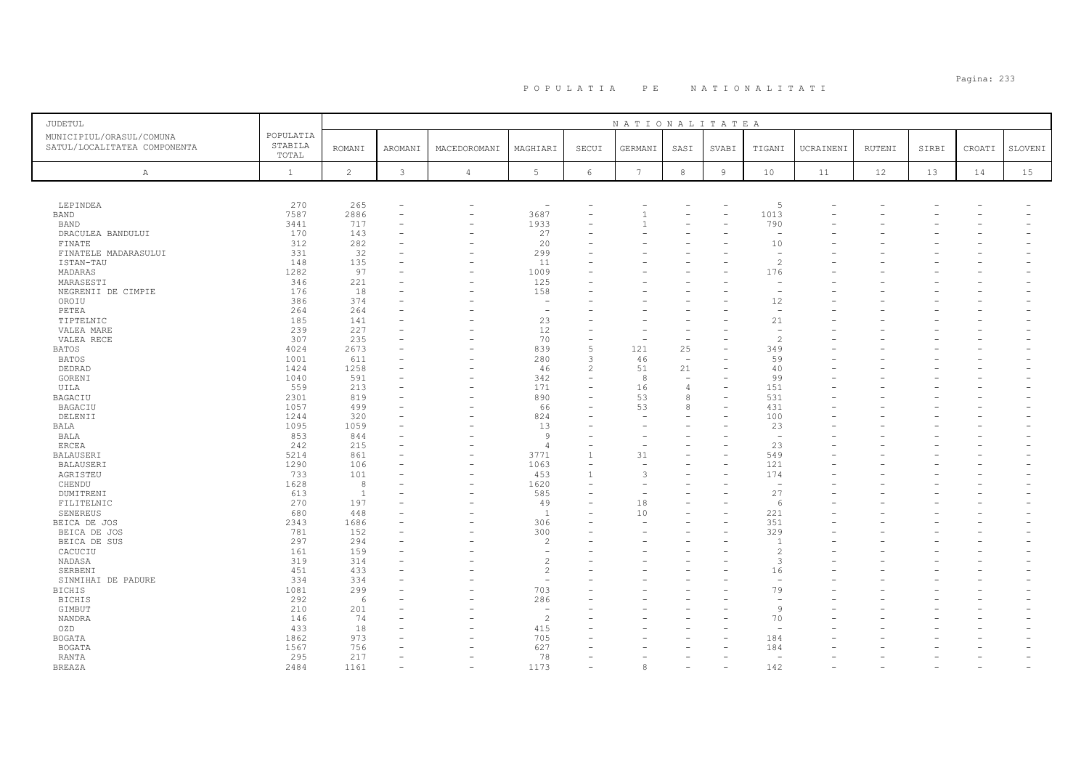# Pagina: 233 P O P U L A T I A P E N A T I O N A L I T A T I

| <b>JUDETUL</b>                                           |                               |                |                          |                          |                          |                          | NATIONALITATEA  |                                |                |                          |           |               |       |        |         |
|----------------------------------------------------------|-------------------------------|----------------|--------------------------|--------------------------|--------------------------|--------------------------|-----------------|--------------------------------|----------------|--------------------------|-----------|---------------|-------|--------|---------|
| MUNICIPIUL/ORASUL/COMUNA<br>SATUL/LOCALITATEA COMPONENTA | POPULATIA<br>STABILA<br>TOTAL | <b>ROMANI</b>  | AROMANI                  | MACEDOROMANI             | MAGHIARI                 | SECUI                    | GERMANI         | SASI                           | SVABI          | TIGANI                   | UCRAINENI | <b>RUTENI</b> | SIRBI | CROATI | SLOVENI |
| Α                                                        | $\mathbf{1}$                  | $\overline{c}$ | $\mathbf{3}$             | $\overline{4}$           | 5                        | $\epsilon$               | $7\phantom{.0}$ | $_{\rm 8}$                     | $\overline{9}$ | 10                       | 11        | 12            | 13    | 14     | 15      |
|                                                          |                               |                |                          |                          |                          |                          |                 |                                |                |                          |           |               |       |        |         |
| LEPINDEA                                                 | 270                           | 265            | $\overline{\phantom{a}}$ | $\overline{\phantom{0}}$ | $\overline{\phantom{a}}$ |                          |                 |                                |                | 5                        |           |               |       |        |         |
| <b>BAND</b>                                              | 7587                          | 2886           |                          |                          | 3687                     |                          |                 |                                |                | 1013                     |           |               |       |        |         |
| <b>BAND</b>                                              | 3441                          | 717            |                          | ۳                        | 1933                     |                          |                 |                                |                | 790                      |           |               |       |        |         |
| DRACULEA BANDULUI                                        | 170                           | 143            |                          | $\rightarrow$            | 27                       | ۳                        |                 |                                |                | $\overline{\phantom{a}}$ |           |               |       |        |         |
| FINATE                                                   | 312                           | 282            |                          |                          | 20                       |                          |                 |                                |                | 10                       |           |               |       |        |         |
| FINATELE MADARASULUI                                     | 331                           | 32             |                          |                          | 299                      |                          |                 |                                |                | $\overline{\phantom{m}}$ |           |               |       |        |         |
| ISTAN-TAU                                                | 148                           | 135            |                          | ۰                        | 11                       |                          |                 |                                |                | $\overline{\mathcal{L}}$ |           |               |       |        |         |
| MADARAS                                                  | 1282                          | 97             |                          | L.                       | 1009                     | L.                       |                 |                                |                | 176                      |           |               |       |        |         |
| MARASESTI                                                | 346                           | 221            |                          |                          | 125                      |                          |                 |                                |                |                          |           |               |       |        |         |
| NEGRENII DE CIMPIE                                       | 176                           | 18             |                          | ۳                        | 158                      |                          |                 |                                |                | $\overline{\phantom{a}}$ |           |               |       |        |         |
| OROIU                                                    | 386                           | 374            |                          |                          |                          |                          |                 |                                |                | 12                       |           |               |       |        |         |
| PETEA                                                    | 264                           | 264            |                          |                          | $\overline{\phantom{a}}$ |                          |                 |                                |                | $\overline{\phantom{a}}$ |           |               |       |        |         |
| TIPTELNIC                                                | 185                           | 141            |                          |                          | 23                       |                          |                 |                                |                | 21                       |           |               |       |        |         |
| VALEA MARE                                               | 239                           | 227            |                          |                          | 12                       | ۳                        |                 |                                |                | $\overline{\phantom{a}}$ |           |               |       |        |         |
| VALEA RECE                                               | 307                           | 235            |                          |                          | 70                       | $\equiv$                 |                 | $\equiv$                       |                | $\mathcal{D}$            |           |               |       |        |         |
| <b>BATOS</b>                                             | 4024<br>1001                  | 2673<br>611    |                          | L.                       | 839<br>280               | 5<br>3                   | 121             | 25                             |                | 349<br>59                |           |               |       |        |         |
| <b>BATOS</b>                                             |                               |                |                          |                          |                          | $\overline{c}$           | 46              | $\equiv$                       |                |                          |           |               |       |        |         |
| DEDRAD<br>GORENI                                         | 1424<br>1040                  | 1258<br>591    |                          | $\rightarrow$            | 46<br>342                | $\equiv$                 | 51<br>8         | 21<br>$\overline{\phantom{a}}$ |                | 40<br>99                 |           |               |       |        |         |
| UILA                                                     | 559                           | 213            |                          |                          | 171                      |                          | 16              | $\overline{4}$                 |                | 151                      |           |               |       |        |         |
| BAGACIU                                                  | 2301                          | 819            |                          | ۳                        | 890                      | L,                       | 53              | 8                              |                | 531                      |           |               |       |        |         |
| BAGACIU                                                  | 1057                          | 499            |                          |                          | 66                       |                          | 53              | $\mathcal{R}$                  |                | 431                      |           |               |       |        |         |
| DELENII                                                  | 1244                          | 320            |                          |                          | 824                      |                          |                 |                                |                | 100                      |           |               |       |        |         |
| <b>BALA</b>                                              | 1095                          | 1059           |                          |                          | 13                       | ۳                        |                 |                                |                | 23                       |           |               |       |        |         |
| BALA                                                     | 853                           | 844            |                          |                          | 9                        |                          |                 |                                |                | $\overline{\phantom{a}}$ |           |               |       |        |         |
| <b>ERCEA</b>                                             | 242                           | 215            |                          |                          | $\overline{4}$           | $\equiv$                 |                 |                                |                | 23                       |           |               |       |        |         |
| <b>BALAUSERI</b>                                         | 5214                          | 861            |                          |                          | 3771                     | $\mathbf{1}$             | 31              |                                |                | 549                      |           |               |       |        |         |
| BALAUSERI                                                | 1290                          | 106            |                          | L.                       | 1063                     | $\overline{\phantom{a}}$ | $\rightarrow$   |                                | $\equiv$       | 121                      |           |               |       |        |         |
| AGRISTEU                                                 | 733                           | 101            |                          | Ē,                       | 453                      | $\mathbf{1}$             | 3               |                                |                | 174                      |           |               |       |        |         |
| CHENDU                                                   | 1628                          | 8              |                          | -                        | 1620                     |                          |                 |                                |                | $\overline{\phantom{a}}$ |           |               |       |        |         |
| DUMITRENI                                                | 613                           | $\overline{1}$ |                          |                          | 585                      |                          |                 |                                |                | 27                       |           |               |       |        |         |
| FILITELNIC                                               | 270                           | 197            |                          |                          | 49                       |                          | 18              |                                |                | 6                        |           |               |       |        |         |
| SENEREUS                                                 | 680                           | 448            |                          |                          | $\overline{1}$           |                          | 10              |                                |                | 221                      |           |               |       |        |         |
| BEICA DE JOS                                             | 2343                          | 1686           |                          |                          | 306                      |                          |                 |                                |                | 351                      |           |               |       |        |         |
| BEICA DE JOS                                             | 781                           | 152            |                          |                          | 300                      | $\overline{\phantom{0}}$ |                 |                                |                | 329                      |           |               |       |        |         |
| BEICA DE SUS                                             | 297                           | 294            |                          |                          | $\overline{c}$           |                          |                 |                                |                |                          |           |               |       |        |         |
| CACUCIU                                                  | 161                           | 159            |                          |                          | $\overline{\phantom{m}}$ |                          |                 |                                |                | $\mathcal{L}$            |           |               |       |        |         |
| NADASA                                                   | 319                           | 314            |                          |                          | $\overline{c}$           |                          |                 |                                |                | 3                        |           |               |       |        |         |
| SERBENI                                                  | 451                           | 433            |                          |                          | $\overline{c}$           | L.                       |                 |                                |                | 16                       |           |               |       |        |         |
| SINMIHAI DE PADURE                                       | 334                           | 334            |                          |                          | $\sim$                   |                          |                 |                                |                |                          |           |               |       |        |         |
| <b>BICHIS</b>                                            | 1081                          | 299            |                          |                          | 703                      |                          |                 |                                |                | 79                       |           |               |       |        |         |
| <b>BICHIS</b>                                            | 292                           | 6              |                          |                          | 286                      |                          |                 |                                |                |                          |           |               |       |        |         |
| GIMBUT                                                   | 210                           | 201            |                          |                          | $\overline{\phantom{m}}$ |                          |                 |                                |                | 9                        |           |               |       |        |         |
| NANDRA                                                   | 146                           | 74             |                          |                          | $\mathcal{D}$            |                          |                 |                                |                | 70                       |           |               |       |        |         |
| OZD                                                      | 433                           | 18             |                          |                          | 415                      |                          |                 |                                |                |                          |           |               |       |        |         |
| <b>BOGATA</b>                                            | 1862                          | 973            |                          |                          | 705                      | ۳                        |                 |                                |                | 184                      |           |               |       |        |         |
| <b>BOGATA</b>                                            | 1567                          | 756            |                          |                          | 627                      |                          |                 |                                |                | 184                      |           |               |       |        |         |
| <b>RANTA</b>                                             | 295                           | 217            |                          |                          | 78                       |                          |                 |                                |                | $\overline{a}$           |           |               |       |        |         |
| <b>BREAZA</b>                                            | 2484                          | 1161           |                          | L.                       | 1173                     |                          | 8               |                                |                | 142                      |           |               |       |        |         |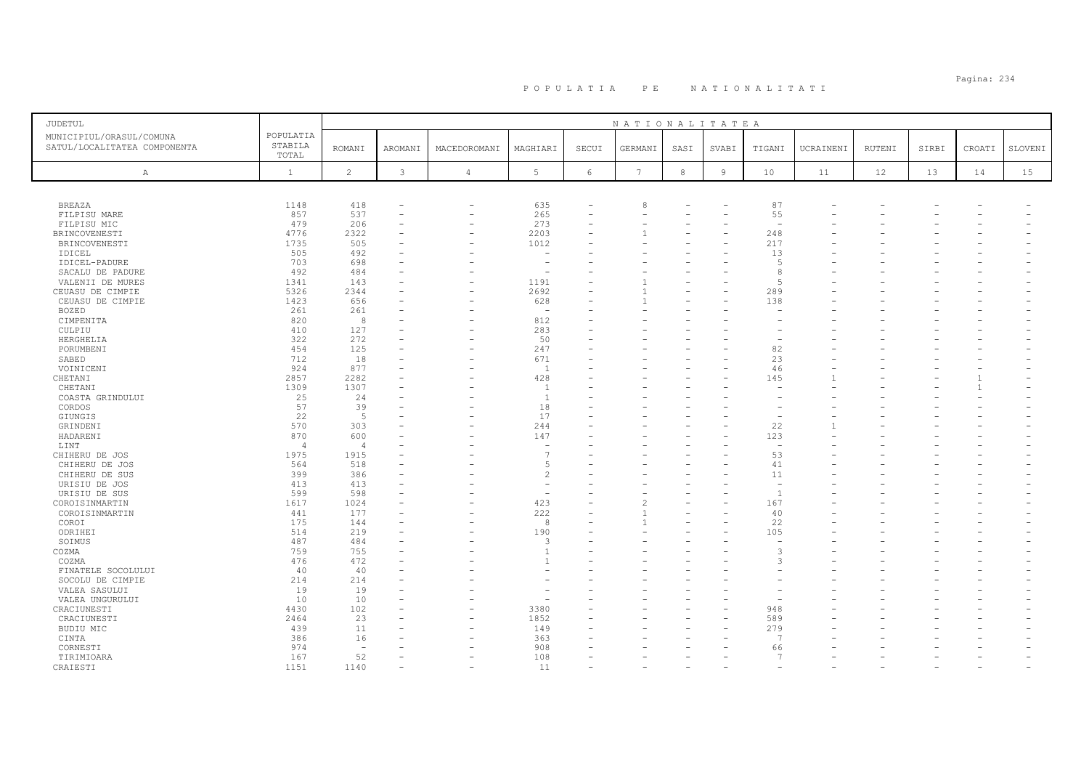| <b>JUDETUL</b>                                           |                               |                |                |                          |                 |                 | NATIONALITATEA  |         |                |                          |           |               |       |              |         |
|----------------------------------------------------------|-------------------------------|----------------|----------------|--------------------------|-----------------|-----------------|-----------------|---------|----------------|--------------------------|-----------|---------------|-------|--------------|---------|
| MUNICIPIUL/ORASUL/COMUNA<br>SATUL/LOCALITATEA COMPONENTA | POPULATIA<br>STABILA<br>TOTAL | <b>ROMANI</b>  | AROMANI        | MACEDOROMANI             | MAGHIARI        | SECUI           | GERMANI         | SASI    | SVABI          | TIGANI                   | UCRAINENI | <b>RUTENI</b> | SIRBI | CROATI       | SLOVENI |
| A                                                        | $\mathbf{1}$                  | $\overline{c}$ | $\mathfrak{Z}$ | $\overline{4}$           | $5\phantom{.0}$ | $6\phantom{.}6$ | $7\phantom{.0}$ | $\,8\,$ | $\overline{9}$ | 10                       | 11        | 12            | 13    | 14           | 15      |
|                                                          |                               |                |                |                          |                 |                 |                 |         |                |                          |           |               |       |              |         |
| <b>BREAZA</b>                                            | 1148                          | 418            |                | $\overline{\phantom{a}}$ | 635             |                 | 8               |         |                | 87                       |           |               |       |              |         |
| FILPISU MARE                                             | 857                           | 537            |                | ۰                        | 265             | ۳               |                 |         |                | 55                       |           |               |       |              |         |
| FILPISU MIC                                              | 479                           | 206            |                | ۰                        | 273             |                 |                 |         |                | $\overline{\phantom{a}}$ |           |               |       |              |         |
| BRINCOVENESTI                                            | 4776                          | 2322           |                |                          | 2203            |                 |                 |         |                | 248                      |           |               |       |              |         |
| BRINCOVENESTI                                            | 1735                          | 505            |                |                          | 1012            |                 |                 |         |                | 217                      |           |               |       |              |         |
| IDICEL                                                   | 505                           | 492            |                |                          |                 |                 |                 |         |                | 13                       |           |               |       |              |         |
| IDICEL-PADURE                                            | 703                           | 698            |                |                          |                 |                 |                 |         |                | -5                       |           |               |       |              |         |
| SACALU DE PADURE                                         | 492                           | 484            |                |                          | $\sim$          |                 |                 |         |                | -8                       |           |               |       |              |         |
| VALENII DE MURES                                         | 1341                          | 143            |                |                          | 1191            |                 |                 |         |                | $\overline{5}$           |           |               |       |              |         |
| CEUASU DE CIMPIE                                         | 5326                          | 2344           |                |                          | 2692            |                 |                 |         |                | 289                      |           |               |       |              |         |
| CEUASU DE CIMPIE                                         | 1423                          | 656            |                |                          | 628             |                 |                 |         |                | 138                      |           |               |       |              |         |
| <b>BOZED</b>                                             | 261                           | 261            |                |                          | $\sim$          |                 |                 |         |                |                          |           |               |       |              |         |
| CIMPENITA                                                | 820                           | 8              |                |                          | 812             |                 |                 |         |                |                          |           |               |       |              |         |
| CULPIU                                                   | 410                           | 127            |                |                          | 283             |                 |                 |         |                |                          |           |               |       |              |         |
| HERGHELIA                                                | 322                           | 272            |                |                          | 50              |                 |                 |         |                |                          |           |               |       |              |         |
| PORUMBENI                                                | 454                           | 125            |                |                          | 247<br>671      |                 |                 |         |                | 82                       |           |               |       |              |         |
| SABED                                                    | 712                           | 18             |                |                          |                 |                 |                 |         |                | 23                       |           |               |       |              |         |
| VOINICENI                                                | 924<br>2857                   | 877<br>2282    |                |                          | 1<br>428        |                 |                 |         |                | 46<br>145                |           |               |       |              |         |
| CHETANI<br>CHETANI                                       | 1309                          | 1307           |                |                          | 1               |                 |                 |         |                |                          |           |               |       | $\mathbf{1}$ |         |
| COASTA GRINDULUI                                         | 25                            | 24             |                |                          | 1               |                 |                 |         |                |                          |           |               |       |              |         |
| CORDOS                                                   | 57                            | 39             |                |                          | 18              |                 |                 |         |                |                          |           |               |       |              |         |
| <b>GIUNGIS</b>                                           | 22                            | 5              |                |                          | 17              |                 |                 |         |                |                          |           |               |       |              |         |
| GRINDENI                                                 | 570                           | 303            |                |                          | 244             |                 |                 |         |                | 22                       |           |               |       |              |         |
| HADARENI                                                 | 870                           | 600            |                |                          | 147             |                 |                 |         |                | 123                      |           |               |       |              |         |
| LINT                                                     | $\overline{4}$                | $\overline{4}$ |                |                          | $\sim$          |                 |                 |         |                | $\overline{\phantom{a}}$ |           |               |       |              |         |
| CHIHERU DE JOS                                           | 1975                          | 1915           |                |                          | 7               |                 |                 |         |                | 53                       |           |               |       |              |         |
| CHIHERU DE JOS                                           | 564                           | 518            |                |                          | 5               |                 |                 |         |                | 41                       |           |               |       |              |         |
| CHIHERU DE SUS                                           | 399                           | 386            |                |                          | $\overline{c}$  |                 |                 |         |                | 11                       |           |               |       |              |         |
| URISIU DE JOS                                            | 413                           | 413            |                |                          | $\sim$          |                 |                 |         |                | $\overline{\phantom{a}}$ |           |               |       |              |         |
| URISIU DE SUS                                            | 599                           | 598            |                |                          | ÷               |                 |                 |         |                | $\overline{1}$           |           |               |       |              |         |
| COROISINMARTIN                                           | 1617                          | 1024           |                |                          | 423             |                 |                 |         |                | 167                      |           |               |       |              |         |
| COROISINMARTIN                                           | 441                           | 177            |                |                          | 222             |                 |                 |         |                | 40                       |           |               |       |              |         |
| COROI                                                    | 175                           | 144            |                |                          | 8               |                 |                 |         |                | 22                       |           |               |       |              |         |
| ODRIHEI                                                  | 514                           | 219            |                |                          | 190             |                 |                 |         |                | 105                      |           |               |       |              |         |
| SOIMUS                                                   | 487                           | 484            |                |                          | 3               |                 |                 |         |                |                          |           |               |       |              |         |
| COZMA                                                    | 759                           | 755            |                |                          | $\overline{1}$  |                 |                 |         |                | 3                        |           |               |       |              |         |
| COZMA                                                    | 476                           | 472            |                |                          | $\overline{1}$  |                 |                 |         |                | -3                       |           |               |       |              |         |
| FINATELE SOCOLULUI                                       | 40                            | 40             |                |                          |                 |                 |                 |         |                |                          |           |               |       |              |         |
| SOCOLU DE CIMPIE                                         | 214                           | 214            |                |                          |                 |                 |                 |         |                |                          |           |               |       |              |         |
| VALEA SASULUI                                            | 19                            | 19             |                |                          |                 |                 |                 |         |                |                          |           |               |       |              |         |
| VALEA UNGURULUI                                          | 10                            | 10             |                |                          |                 |                 |                 |         |                |                          |           |               |       |              |         |
| CRACIUNESTI                                              | 4430                          | 102            |                |                          | 3380            |                 |                 |         |                | 948                      |           |               |       |              |         |
| CRACIUNESTI                                              | 2464                          | 23             |                |                          | 1852            |                 |                 |         |                | 589                      |           |               |       |              |         |
| BUDIU MIC                                                | 439                           | 11             |                |                          | 149             |                 |                 |         |                | 279<br>$\overline{7}$    |           |               |       |              |         |
| CINTA                                                    | 386                           | 16             |                |                          | 363             |                 |                 |         |                |                          |           |               |       |              |         |
| CORNESTI                                                 | 974<br>167                    | $\sim$<br>52   |                |                          | 908<br>108      |                 |                 |         |                | 66<br>$\overline{7}$     |           |               |       |              |         |
| TIRIMIOARA<br>CRAIESTI                                   | 1151                          | 1140           |                |                          | 11              |                 |                 |         |                |                          |           |               |       |              |         |
|                                                          |                               |                |                |                          |                 |                 |                 |         |                |                          |           |               |       |              |         |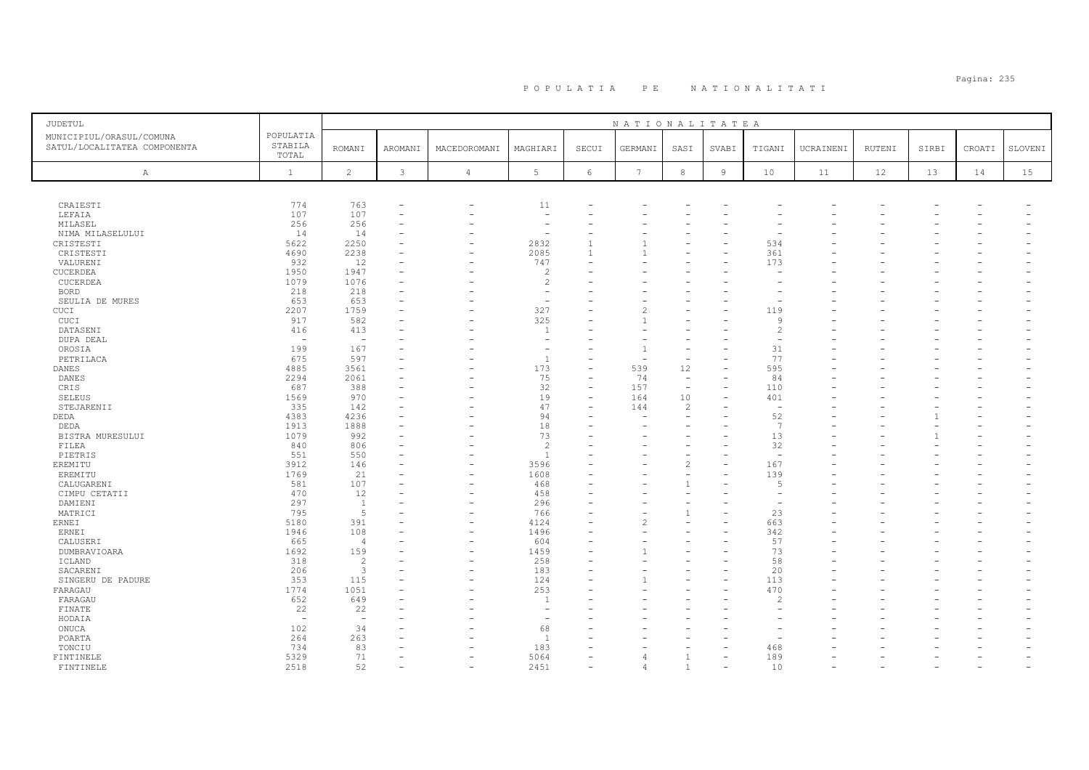# Pagina: 235 P O P U L A T I A P E N A T I O N A L I T A T I

| JUDETUL                                                  |                               |                                           |                               |                          |                                                      |       | NATIONALITATEA |                                      |                |                          |           |               |       |        |         |
|----------------------------------------------------------|-------------------------------|-------------------------------------------|-------------------------------|--------------------------|------------------------------------------------------|-------|----------------|--------------------------------------|----------------|--------------------------|-----------|---------------|-------|--------|---------|
| MUNICIPIUL/ORASUL/COMUNA<br>SATUL/LOCALITATEA COMPONENTA | POPULATIA<br>STABILA<br>TOTAL | <b>ROMANI</b>                             | AROMANI                       | MACEDOROMANI             | MAGHIARI                                             | SECUI | GERMANI        | SASI                                 | SVABI          | TIGANI                   | UCRAINENI | <b>RUTENI</b> | SIRBI | CROATI | SLOVENI |
| $\mathbb{A}$                                             | $\mathbf{1}$                  | $\overline{c}$                            | 3                             | $\sqrt{4}$               | 5                                                    | 6     | 7              | $^{\rm 8}$                           | $\overline{9}$ | $10$                     | 11        | 12            | 13    | 14     | 15      |
|                                                          |                               |                                           |                               |                          |                                                      |       |                |                                      |                |                          |           |               |       |        |         |
|                                                          |                               |                                           |                               |                          |                                                      |       |                |                                      |                |                          |           |               |       |        |         |
| CRAIESTI                                                 | 774                           | 763                                       | $\overline{\phantom{a}}$      | -                        | 11                                                   |       |                |                                      |                |                          |           |               |       |        |         |
| LEFAIA                                                   | 107<br>256                    | 107<br>256                                | $\overline{\phantom{a}}$<br>۰ |                          | $\overline{\phantom{a}}$<br>$\overline{\phantom{a}}$ |       |                |                                      |                |                          |           |               |       |        |         |
| MILASEL<br>NIMA MILASELULUI                              | 14                            | 14                                        | $\overline{\phantom{a}}$      |                          | $\overline{\phantom{a}}$                             |       |                |                                      |                |                          |           |               |       |        |         |
| CRISTESTI                                                | 5622                          | 2250                                      |                               |                          | 2832                                                 |       |                |                                      |                | 534                      |           |               |       |        |         |
| CRISTESTI                                                | 4690                          | 2238                                      |                               |                          | 2085                                                 |       |                |                                      |                | 361                      |           |               |       |        |         |
| VALURENI                                                 | 932                           | 12                                        |                               |                          | 747                                                  |       |                |                                      |                | 173                      |           |               |       |        |         |
| CUCERDEA                                                 | 1950                          | 1947                                      |                               |                          | $\overline{c}$                                       |       |                |                                      |                |                          |           |               |       |        |         |
| CUCERDEA                                                 | 1079                          | 1076                                      |                               |                          | $\overline{c}$                                       |       |                |                                      |                |                          |           |               |       |        |         |
| <b>BORD</b>                                              | 218                           | 218                                       |                               |                          | ÷,                                                   |       |                |                                      |                |                          |           |               |       |        |         |
| SEULIA DE MURES                                          | 653                           | 653                                       |                               |                          | $\overline{\phantom{a}}$                             |       |                |                                      |                |                          |           |               |       |        |         |
| CUCI                                                     | 2207                          | 1759                                      |                               |                          | 327                                                  |       |                |                                      |                | 119                      |           |               |       |        |         |
| CUCI                                                     | 917                           | 582                                       |                               |                          | 325                                                  |       |                |                                      |                | Q                        |           |               |       |        |         |
| DATASENI                                                 | 416                           | 413                                       |                               |                          | $\overline{1}$                                       |       |                |                                      |                | $\mathcal{L}$            |           |               |       |        |         |
| DUPA DEAL                                                | $\overline{\phantom{a}}$      | $\overline{\phantom{0}}$                  |                               |                          | ۰                                                    |       |                |                                      |                |                          |           |               |       |        |         |
| OROSIA                                                   | 199                           | 167                                       |                               |                          | $\overline{\phantom{a}}$                             |       |                |                                      |                | 31                       |           |               |       |        |         |
| PETRILACA                                                | 675                           | 597                                       |                               |                          | $\mathbf{1}$                                         |       |                | $\overline{\phantom{0}}$             |                | 77                       |           |               |       |        |         |
| <b>DANES</b>                                             | 4885                          | 3561                                      |                               |                          | 173                                                  |       | 539            | 12                                   |                | 595                      |           |               |       |        |         |
| <b>DANES</b>                                             | 2294                          | 2061<br>388                               |                               |                          | 75<br>32                                             |       | 74             | $\overline{\phantom{a}}$<br>$\equiv$ |                | 84                       |           |               |       |        |         |
| CRIS                                                     | 687<br>1569                   | 970                                       |                               |                          | 19                                                   |       | 157<br>164     | 10                                   |                | 110<br>401               |           |               |       |        |         |
| <b>SELEUS</b><br>STEJARENII                              | 335                           | 142                                       |                               |                          | 47                                                   |       | 144            | 2                                    |                | $\overline{\phantom{a}}$ |           |               |       |        |         |
| DEDA                                                     | 4383                          | 4236                                      |                               |                          | 94                                                   |       |                |                                      |                | 52                       |           |               |       |        |         |
| DEDA                                                     | 1913                          | 1888                                      |                               |                          | 18                                                   |       |                |                                      |                | 7                        |           |               |       |        |         |
| BISTRA MURESULUI                                         | 1079                          | 992                                       |                               |                          | 73                                                   |       |                |                                      |                | 13                       |           |               |       |        |         |
| FILEA                                                    | 840                           | 806                                       | $\overline{\phantom{a}}$      |                          | $\overline{c}$                                       |       |                |                                      |                | 32                       |           |               |       |        |         |
| PIETRIS                                                  | 551                           | 550                                       |                               |                          | $\mathbf{1}$                                         |       |                |                                      |                | $\overline{\phantom{a}}$ |           |               |       |        |         |
| EREMITU                                                  | 3912                          | 146                                       |                               |                          | 3596                                                 |       |                | 2                                    |                | 167                      |           |               |       |        |         |
| EREMITU                                                  | 1769                          | 21                                        |                               |                          | 1608                                                 |       |                |                                      |                | 139                      |           |               |       |        |         |
| CALUGARENI                                               | 581                           | 107                                       |                               |                          | 468                                                  |       |                | $\overline{1}$                       |                | 5                        |           |               |       |        |         |
| CIMPU CETATII                                            | 470                           | 12                                        |                               |                          | 458                                                  |       |                |                                      |                |                          |           |               |       |        |         |
| DAMIENI                                                  | 297                           | $\mathbf{1}$                              |                               |                          | 296                                                  |       |                | $\overline{\phantom{a}}$             |                |                          |           |               |       |        |         |
| MATRICI                                                  | 795                           | 5                                         |                               |                          | 766                                                  |       |                | $\mathbf{1}$                         |                | 23                       |           |               |       |        |         |
| <b>ERNEI</b>                                             | 5180                          | 391                                       |                               |                          | 4124                                                 |       |                |                                      |                | 663                      |           |               |       |        |         |
| ERNEI                                                    | 1946                          | 108                                       |                               | $\overline{\phantom{0}}$ | 1496                                                 |       |                |                                      |                | 342                      |           |               |       |        |         |
| CALUSERI                                                 | 665                           | $\overline{4}$                            |                               |                          | 604                                                  |       |                |                                      |                | 57                       |           |               |       |        |         |
| DUMBRAVIOARA                                             | 1692                          | 159                                       |                               |                          | 1459                                                 |       |                |                                      |                | 73<br>58                 |           |               |       |        |         |
| ICLAND<br>SACARENI                                       | 318<br>206                    | $\overline{c}$<br>$\overline{\mathbf{3}}$ |                               | ۳                        | 258<br>183                                           |       |                |                                      |                | 20                       |           |               |       |        |         |
| SINGERU DE PADURE                                        | 353                           | 115                                       |                               |                          | 124                                                  |       |                |                                      |                | 113                      |           |               |       |        |         |
| FARAGAU                                                  | 1774                          | 1051                                      |                               |                          | 253                                                  |       |                |                                      |                | 470                      |           |               |       |        |         |
| FARAGAU                                                  | 652                           | 649                                       |                               |                          | $\overline{1}$                                       |       |                |                                      |                | 2                        |           |               |       |        |         |
| FINATE                                                   | 22                            | 22                                        |                               |                          | $\overline{\phantom{a}}$                             |       |                |                                      |                |                          |           |               |       |        |         |
| HODAIA                                                   | $\overline{\phantom{a}}$      | $\overline{\phantom{0}}$                  |                               |                          | $\overline{\phantom{a}}$                             |       |                |                                      |                |                          |           |               |       |        |         |
| ONUCA                                                    | 102                           | 34                                        |                               |                          | 68                                                   |       |                |                                      |                |                          |           |               |       |        |         |
| POARTA                                                   | 264                           | 263                                       |                               |                          | 1                                                    |       |                |                                      |                |                          |           |               |       |        |         |
| TONCIU                                                   | 734                           | 83                                        |                               |                          | 183                                                  |       |                |                                      |                | 468                      |           |               |       |        |         |
| FINTINELE                                                | 5329                          | 71                                        | ÷                             |                          | 5064                                                 |       |                | $\mathbf{1}$                         |                | 189                      |           |               |       |        |         |
| FINTINELE                                                | 2518                          | 52                                        |                               |                          | 2451                                                 |       |                | $\mathbf{1}$                         |                | 10                       |           |               |       |        |         |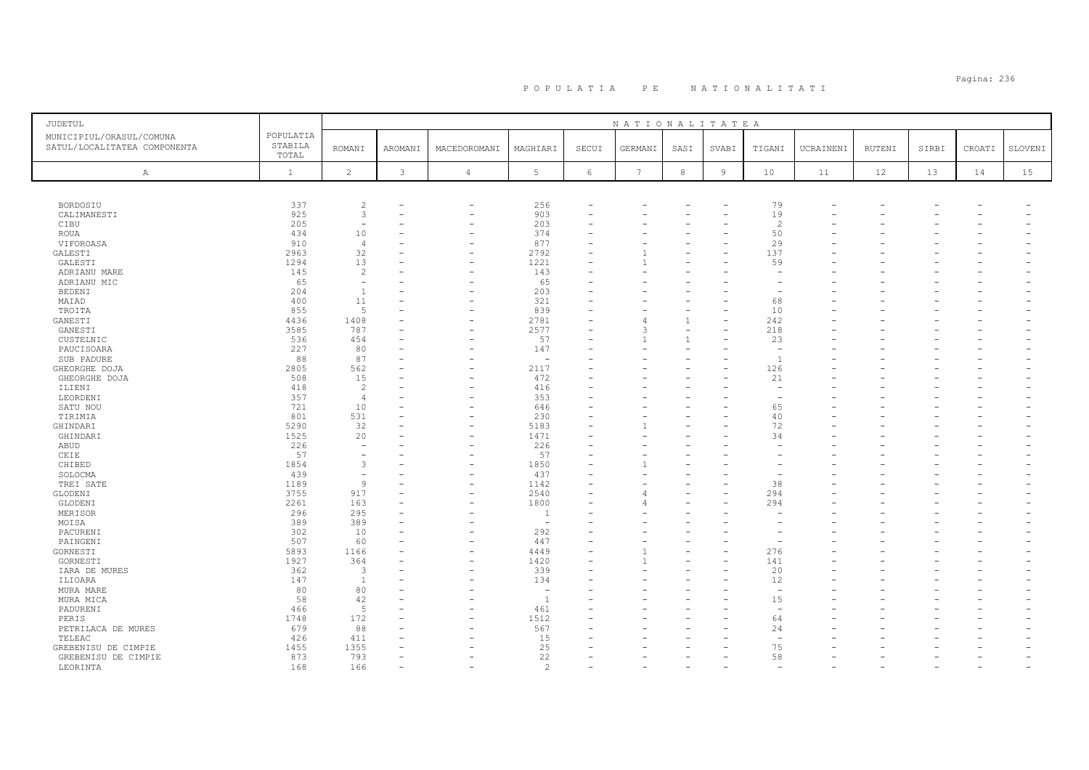# Pagina: 236 P O P U L A T I A P E N A T I O N A L I T A T I

| JUDETUL                                                  |                               |                          |              |                |                          |            | NATIONALITATEA  |              |        |                          |           |               |       |        |         |
|----------------------------------------------------------|-------------------------------|--------------------------|--------------|----------------|--------------------------|------------|-----------------|--------------|--------|--------------------------|-----------|---------------|-------|--------|---------|
| MUNICIPIUL/ORASUL/COMUNA<br>SATUL/LOCALITATEA COMPONENTA | POPULATIA<br>STABILA<br>TOTAL | <b>ROMANI</b>            | AROMANI      | MACEDOROMANI   | MAGHIARI                 | SECUI      | GERMANI         | SASI         | SVABI  | TIGANI                   | UCRAINENI | <b>RUTENI</b> | SIRBI | CROATI | SLOVENI |
| A                                                        | $\mathbf{1}$                  | $\overline{c}$           | $\mathbf{3}$ | $\overline{4}$ | $5\phantom{.0}$          | $\epsilon$ | $7\phantom{.0}$ | $\,8\,$      | $\,$ 9 | 10                       | 11        | 12            | 13    | 14     | 15      |
|                                                          |                               |                          |              |                |                          |            |                 |              |        |                          |           |               |       |        |         |
| BORDOSIU                                                 | 337                           | $\overline{c}$           |              | -              | 256                      |            |                 |              |        | 79                       |           |               |       |        |         |
| CALIMANESTI                                              | 925                           | 3                        |              | ۰              | 903                      |            |                 |              |        | 19                       |           |               |       |        |         |
| CIBU                                                     | 205<br>434                    | $\equiv$                 |              | ÷              | 203<br>374               |            |                 |              |        | $\overline{c}$<br>50     |           |               |       |        |         |
| ROUA<br>VIFOROASA                                        | 910                           | 10<br>$\overline{4}$     |              |                | 877                      |            |                 |              |        | 29                       |           |               |       |        |         |
| GALESTI                                                  | 2963                          | 32                       |              |                | 2792                     |            |                 |              |        | 137                      |           |               |       |        |         |
| GALESTI                                                  | 1294                          | 13                       |              |                | 1221                     |            |                 |              |        | 59                       |           |               |       |        |         |
| ADRIANU MARE                                             | 145                           | $\overline{2}$           |              |                | 143                      |            |                 |              |        |                          |           |               |       |        |         |
| ADRIANU MIC                                              | 65                            | $\overline{\phantom{m}}$ |              |                | 65                       |            |                 |              |        |                          |           |               |       |        |         |
| <b>BEDENI</b>                                            | 204                           | $\overline{1}$           |              |                | 203                      |            |                 |              |        |                          |           |               |       |        |         |
| MAIAD                                                    | 400                           | 11                       |              |                | 321                      |            |                 |              |        | 68                       |           |               |       |        |         |
| TROITA                                                   | 855                           | 5                        |              |                | 839                      |            |                 |              |        | 10                       |           |               |       |        |         |
| GANESTI                                                  | 4436                          | 1408                     |              |                | 2781                     |            |                 | $\mathbf{1}$ |        | 242                      |           |               |       |        |         |
| GANESTI                                                  | 3585                          | 787                      |              |                | 2577                     |            |                 | $\mathbf{1}$ |        | 218                      |           |               |       |        |         |
| CUSTELNIC<br>PAUCISOARA                                  | 536<br>227                    | 454<br>80                |              |                | 57<br>147                |            |                 |              |        | 23                       |           |               |       |        |         |
| SUB PADURE                                               | 88                            | 87                       |              |                | $\overline{\phantom{a}}$ |            |                 |              |        | $\overline{1}$           |           |               |       |        |         |
| GHEORGHE DOJA                                            | 2805                          | 562                      |              |                | 2117                     |            |                 |              |        | 126                      |           |               |       |        |         |
| GHEORGHE DOJA                                            | 508                           | 15                       |              |                | 472                      |            |                 |              |        | 21                       |           |               |       |        |         |
| ILIENI                                                   | 418                           | $\overline{c}$           |              |                | 416                      |            |                 |              |        |                          |           |               |       |        |         |
| LEORDENI                                                 | 357                           | $\overline{4}$           |              |                | 353                      |            |                 |              |        | $\overline{\phantom{a}}$ |           |               |       |        |         |
| SATU NOU                                                 | 721                           | 10                       |              |                | 646                      |            |                 |              |        | 65                       |           |               |       |        |         |
| TIRIMIA                                                  | 801                           | 531                      |              |                | 230                      |            |                 |              |        | 40                       |           |               |       |        |         |
| GHINDARI                                                 | 5290                          | 32                       |              |                | 5183                     |            |                 |              |        | 72                       |           |               |       |        |         |
| GHINDARI                                                 | 1525                          | 20                       |              |                | 1471                     |            |                 |              |        | 34                       |           |               |       |        |         |
| ABUD                                                     | 226                           | $\equiv$                 |              |                | 226                      |            |                 |              |        |                          |           |               |       |        |         |
| CEIE                                                     | 57                            |                          |              |                | 57                       |            |                 |              |        |                          |           |               |       |        |         |
| CHIBED                                                   | 1854                          | 3                        |              |                | 1850                     |            |                 |              |        |                          |           |               |       |        |         |
| SOLOCMA                                                  | 439                           |                          |              |                | 437                      |            |                 |              |        |                          |           |               |       |        |         |
| TREI SATE                                                | 1189                          | 9                        |              |                | 1142                     |            |                 |              |        | 38                       |           |               |       |        |         |
| GLODENI                                                  | 3755                          | 917                      |              |                | 2540                     |            |                 |              |        | 294                      |           |               |       |        |         |
| GLODENI<br>MERISOR                                       | 2261<br>296                   | 163<br>295               |              |                | 1800<br>1                |            |                 |              |        | 294                      |           |               |       |        |         |
| MOISA                                                    | 389                           | 389                      |              |                | $\sim$                   |            |                 |              |        |                          |           |               |       |        |         |
| PACURENI                                                 | 302                           | 10                       |              |                | 292                      |            |                 |              |        |                          |           |               |       |        |         |
| PAINGENI                                                 | 507                           | 60                       |              |                | 447                      |            |                 |              |        |                          |           |               |       |        |         |
| GORNESTI                                                 | 5893                          | 1166                     |              | L.             | 4449                     |            |                 |              |        | 276                      |           |               |       |        |         |
| GORNESTI                                                 | 1927                          | 364                      |              |                | 1420                     |            |                 |              |        | 141                      |           |               |       |        |         |
| IARA DE MURES                                            | 362                           | 3                        |              |                | 339                      |            |                 |              |        | 20                       |           |               |       |        |         |
| ILIOARA                                                  | 147                           | <sup>1</sup>             |              |                | 134                      |            |                 |              |        | 12                       |           |               |       |        |         |
| MURA MARE                                                | 80                            | 80                       |              |                | $\overline{a}$           |            |                 |              |        | ÷,                       |           |               |       |        |         |
| MURA MICA                                                | 58                            | 42                       |              |                | $\overline{1}$           |            |                 |              |        | 15                       |           |               |       |        |         |
| PADURENI                                                 | 466                           | 5                        |              |                | 461                      |            |                 |              |        | $\overline{\phantom{a}}$ |           |               |       |        |         |
| PERIS                                                    | 1748                          | 172                      |              |                | 1512                     |            |                 |              |        | 64                       |           |               |       |        |         |
| PETRILACA DE MURES                                       | 679                           | 88                       |              |                | 567                      |            |                 |              |        | 24                       |           |               |       |        |         |
| TELEAC                                                   | 426                           | 411                      |              |                | 15                       |            |                 |              |        | $\overline{\phantom{a}}$ |           |               |       |        |         |
| GREBENISU DE CIMPIE                                      | 1455<br>873                   | 1355<br>793              |              |                | 25<br>22                 |            |                 |              |        | 75<br>58                 |           |               |       |        |         |
| GREBENISU DE CIMPIE<br>LEORINTA                          | 168                           | 166                      |              |                | $\mathcal{D}$            |            |                 |              |        |                          |           |               |       |        |         |
|                                                          |                               |                          |              |                |                          |            |                 |              |        |                          |           |               |       |        |         |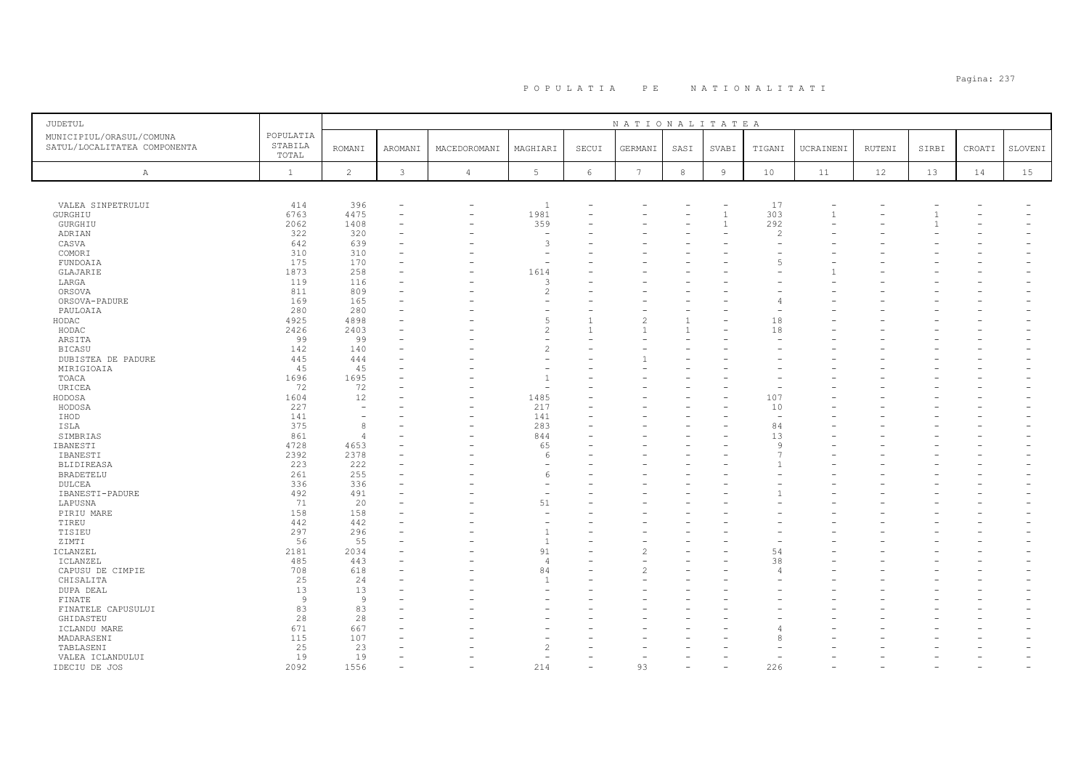| JUDETUL                                                  |                               |                          |         |                          |                          |       | NATIONALITATEA  |              |                |               |           |        |       |        |         |
|----------------------------------------------------------|-------------------------------|--------------------------|---------|--------------------------|--------------------------|-------|-----------------|--------------|----------------|---------------|-----------|--------|-------|--------|---------|
| MUNICIPIUL/ORASUL/COMUNA<br>SATUL/LOCALITATEA COMPONENTA | POPULATIA<br>STABILA<br>TOTAL | <b>ROMANI</b>            | AROMANI | MACEDOROMANI             | MAGHIARI                 | SECUI | GERMANI         | SASI         | SVABI          | TIGANI        | UCRAINENI | RUTENI | SIRBI | CROATI | SLOVENI |
| $\mathbb{A}$                                             | $\mathbf{1}$                  | $\overline{c}$           | 3       | $\overline{4}$           | 5                        | 6     | $7\phantom{.0}$ | $^{\rm 8}$   | $\overline{9}$ | 10            | 11        | 12     | 13    | 14     | 15      |
|                                                          |                               |                          |         |                          |                          |       |                 |              |                |               |           |        |       |        |         |
| VALEA SINPETRULUI                                        | 414                           | 396                      | ۰       | $\overline{\phantom{0}}$ | $\mathbf{1}$             |       |                 |              |                | 17            |           |        |       |        |         |
| GURGHIU                                                  | 6763                          | 4475                     | ۰       | $\overline{\phantom{0}}$ | 1981                     |       |                 |              | $\overline{1}$ | 303           | 1         |        |       |        |         |
| GURGHIU                                                  | 2062                          | 1408                     |         |                          | 359                      |       |                 |              | $\overline{1}$ | 292           |           |        |       |        |         |
| ADRIAN                                                   | 322                           | 320                      |         |                          | $\overline{\phantom{a}}$ |       |                 |              |                | $\mathcal{L}$ |           |        |       |        |         |
| CASVA                                                    | 642                           | 639                      |         |                          | $\overline{3}$           |       |                 |              |                |               |           |        |       |        |         |
| COMORI                                                   | 310                           | 310                      |         |                          |                          |       |                 |              |                |               |           |        |       |        |         |
| FUNDOAIA                                                 | 175                           | 170                      |         |                          | ÷                        |       |                 |              |                | 5             |           |        |       |        |         |
| GLAJARIE                                                 | 1873                          | 258                      |         |                          | 1614                     |       |                 |              |                |               |           |        |       |        |         |
| LARGA                                                    | 119                           | 116                      |         |                          | 3                        |       |                 |              |                |               |           |        |       |        |         |
| ORSOVA                                                   | 811                           | 809                      |         |                          | $\overline{c}$           |       |                 |              |                |               |           |        |       |        |         |
| ORSOVA-PADURE                                            | 169                           | 165                      |         |                          | ۰                        |       |                 |              |                |               |           |        |       |        |         |
| PAULOAIA                                                 | 280                           | 280                      |         |                          |                          |       |                 |              |                |               |           |        |       |        |         |
| HODAC                                                    | 4925                          | 4898                     |         |                          | 5                        |       |                 | $\mathbf{1}$ |                | 18            |           |        |       |        |         |
| HODAC                                                    | 2426                          | 2403                     |         |                          | $\overline{c}$           |       |                 |              |                | 18            |           |        |       |        |         |
| ARSITA                                                   | 99                            | 99                       |         |                          | ۰                        |       |                 |              |                |               |           |        |       |        |         |
| <b>BICASU</b>                                            | 142                           | 140                      |         |                          | $\overline{c}$           |       |                 |              |                |               |           |        |       |        |         |
| DUBISTEA DE PADURE                                       | 445                           | 444                      |         |                          |                          |       |                 |              |                |               |           |        |       |        |         |
| MIRIGIOAIA                                               | 45<br>1696                    | 45<br>1695               |         |                          | $\overline{1}$           |       |                 |              |                |               |           |        |       |        |         |
| TOACA<br>URICEA                                          | 72                            | 72                       |         |                          |                          |       |                 |              |                |               |           |        |       |        |         |
| HODOSA                                                   | 1604                          | 12                       |         |                          | 1485                     |       |                 |              |                | 107           |           |        |       |        |         |
| HODOSA                                                   | 227                           | $\overline{\phantom{a}}$ |         |                          | 217                      |       |                 |              |                | 10            |           |        |       |        |         |
| IHOD                                                     | 141                           | $\sim$                   |         |                          | 141                      |       |                 |              |                | $\sim$        |           |        |       |        |         |
| ISLA                                                     | 375                           | 8                        |         |                          | 283                      |       |                 |              |                | 84            |           |        |       |        |         |
| SIMBRIAS                                                 | 861                           | 4                        |         |                          | 844                      |       |                 |              |                | 13            |           |        |       |        |         |
| IBANESTI                                                 | 4728                          | 4653                     | ۰       |                          | 65                       |       |                 |              |                | 9             |           |        |       |        |         |
| IBANESTI                                                 | 2392                          | 2378                     |         |                          | 6                        |       |                 |              |                |               |           |        |       |        |         |
| BLIDIREASA                                               | 223                           | 222                      |         |                          | $\overline{\phantom{a}}$ |       |                 |              |                |               |           |        |       |        |         |
| BRADETELU                                                | 261                           | 255                      |         |                          | 6                        |       |                 |              |                |               |           |        |       |        |         |
| DULCEA                                                   | 336                           | 336                      |         |                          | ٠                        |       |                 |              |                |               |           |        |       |        |         |
| IBANESTI-PADURE                                          | 492                           | 491                      |         |                          | ۰                        |       |                 |              |                |               |           |        |       |        |         |
| LAPUSNA                                                  | 71                            | 20                       |         |                          | 51                       |       |                 |              |                |               |           |        |       |        |         |
| PIRIU MARE                                               | 158                           | 158                      |         |                          |                          |       |                 |              |                |               |           |        |       |        |         |
| TIREU                                                    | 442                           | 442                      |         |                          |                          |       |                 |              |                |               |           |        |       |        |         |
| TISIEU                                                   | 297                           | 296                      | ÷       |                          | $\overline{1}$           |       |                 |              |                |               |           |        |       |        |         |
| ZIMTI                                                    | 56                            | 55                       |         |                          | $\mathbf{1}$             |       |                 |              |                |               |           |        |       |        |         |
| ICLANZEL                                                 | 2181                          | 2034                     |         |                          | 91                       |       |                 |              |                | 54            |           |        |       |        |         |
| ICLANZEL                                                 | 485                           | 443                      |         |                          | $\overline{4}$           |       |                 |              |                | 38            |           |        |       |        |         |
| CAPUSU DE CIMPIE                                         | 708                           | 618                      |         |                          | 84                       |       |                 |              |                | $\sqrt{2}$    |           |        |       |        |         |
| CHISALITA                                                | 25                            | 24                       |         |                          | $\mathbf{1}$             |       |                 |              |                |               |           |        |       |        |         |
| DUPA DEAL                                                | 13                            | 13                       |         |                          |                          |       |                 |              |                |               |           |        |       |        |         |
| FINATE                                                   | -9                            | $\overline{9}$           |         |                          |                          |       |                 |              |                |               |           |        |       |        |         |
| FINATELE CAPUSULUI                                       | 83                            | 83                       |         |                          |                          |       |                 |              |                |               |           |        |       |        |         |
| GHIDASTEU                                                | 28                            | 28                       |         |                          |                          |       |                 |              |                |               |           |        |       |        |         |
| ICLANDU MARE                                             | 671                           | 667                      |         |                          |                          |       |                 |              |                |               |           |        |       |        |         |
| MADARASENI                                               | 115                           | 107                      |         |                          |                          |       |                 |              |                | Я             |           |        |       |        |         |
| TABLASENI                                                | 25                            | 23                       |         |                          | $\overline{c}$<br>÷      |       |                 |              |                |               |           |        |       |        |         |
| VALEA ICLANDULUI                                         | 19                            | 19                       |         |                          |                          |       |                 |              |                |               |           |        |       |        |         |
| IDECIU DE JOS                                            | 2092                          | 1556                     |         |                          | 214                      |       | 93              |              |                | 226           |           |        |       |        |         |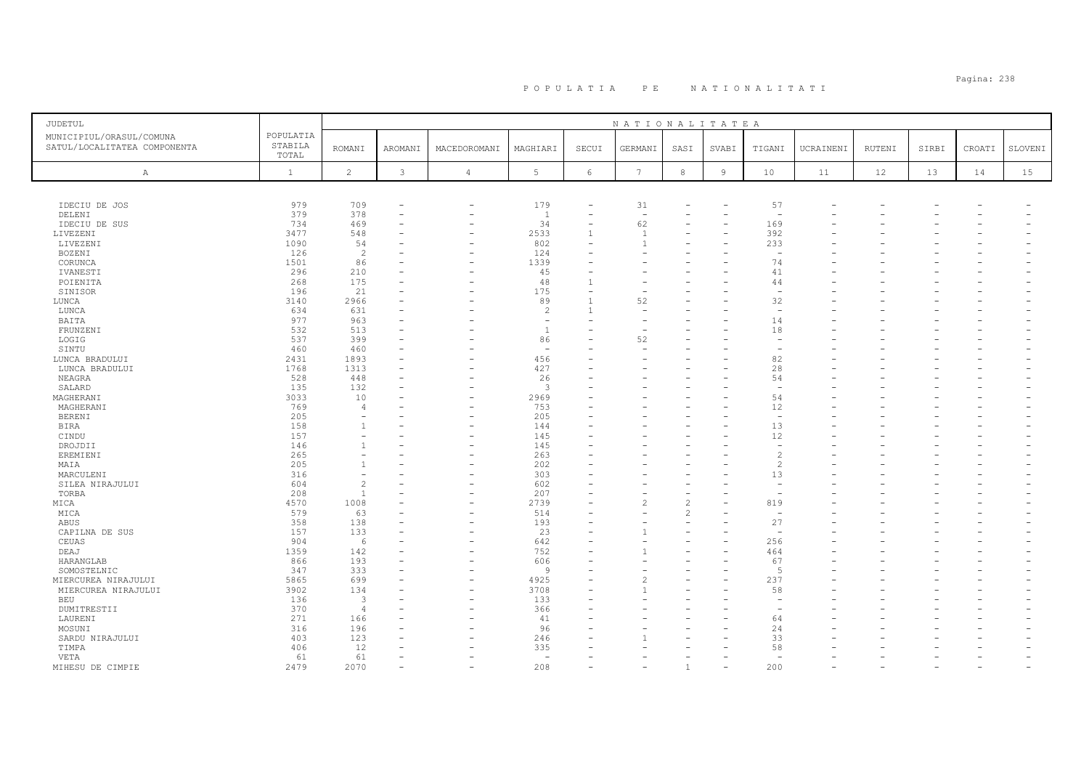| JUDETUL                      |              |                |                          |                |                          |            | NATIONALITATEA           |                          |        |                                            |           |        |       |        |         |
|------------------------------|--------------|----------------|--------------------------|----------------|--------------------------|------------|--------------------------|--------------------------|--------|--------------------------------------------|-----------|--------|-------|--------|---------|
| MUNICIPIUL/ORASUL/COMUNA     | POPULATIA    |                |                          |                |                          |            |                          |                          |        |                                            |           |        |       |        |         |
| SATUL/LOCALITATEA COMPONENTA | STABILA      | ROMANI         | AROMANI                  | MACEDOROMANI   | MAGHIARI                 | SECUI      | GERMANI                  | SASI                     | SVABI  | TIGANI                                     | UCRAINENI | RUTENI | SIRBI | CROATI | SLOVENI |
|                              | TOTAL        |                |                          |                |                          |            |                          |                          |        |                                            |           |        |       |        |         |
| $\mathbb{A}$                 | $\mathbf{1}$ | $\overline{c}$ | 3                        | $\overline{4}$ | 5                        | $\epsilon$ | $7\phantom{.0}$          | $^{\rm 8}$               | $\,$ 9 | $10$                                       | 11        | 12     | 13    | 14     | 15      |
|                              |              |                |                          |                |                          |            |                          |                          |        |                                            |           |        |       |        |         |
|                              |              |                |                          |                |                          |            |                          |                          |        |                                            |           |        |       |        |         |
| IDECIU DE JOS                | 979          | 709            | ۰                        | -              | 179                      |            | 31                       |                          |        | 57                                         |           |        |       |        |         |
| DELENI                       | 379          | 378            | $\overline{\phantom{a}}$ |                | $\overline{1}$           |            | $\overline{\phantom{a}}$ |                          |        | $\overline{\phantom{0}}$                   |           |        |       |        |         |
| IDECIU DE SUS                | 734          | 469            |                          |                | 34                       |            | 62                       |                          |        | 169                                        |           |        |       |        |         |
| LIVEZENI                     | 3477         | 548            |                          |                | 2533                     |            |                          |                          |        | 392                                        |           |        |       |        |         |
| LIVEZENI                     | 1090         | 54             |                          |                | 802                      |            |                          |                          |        | 233                                        |           |        |       |        |         |
| BOZENI                       | 126          | $\overline{c}$ |                          |                | 124                      |            |                          |                          |        | $\overline{\phantom{a}}$                   |           |        |       |        |         |
| CORUNCA                      | 1501         | 86             |                          |                | 1339                     |            |                          |                          |        | 74                                         |           |        |       |        |         |
| IVANESTI                     | 296          | 210            |                          |                | 45                       |            |                          |                          |        | 41                                         |           |        |       |        |         |
| POIENITA                     | 268          | 175            |                          |                | 48                       |            |                          |                          |        | 44                                         |           |        |       |        |         |
| SINISOR                      | 196          | 21             |                          |                | 175                      |            |                          |                          |        | $\overline{\phantom{a}}$                   |           |        |       |        |         |
| LUNCA                        | 3140         | 2966           |                          |                | 89                       |            | 52                       |                          |        | 32                                         |           |        |       |        |         |
| LUNCA                        | 634          | 631            |                          |                | $\overline{c}$           |            |                          |                          |        | $\overline{\phantom{a}}$                   |           |        |       |        |         |
| BAITA                        | 977          | 963            |                          |                | $\overline{\phantom{a}}$ |            |                          |                          |        | 14                                         |           |        |       |        |         |
| FRUNZENI                     | 532          | 513            |                          |                | 1                        |            |                          |                          |        | 18                                         |           |        |       |        |         |
| LOGIG                        | 537          | 399            |                          |                | 86                       |            | 52                       |                          |        | $\overline{\phantom{a}}$                   |           |        |       |        |         |
| SINTU                        | 460          | 460            |                          |                | ۰                        |            |                          |                          |        |                                            |           |        |       |        |         |
| LUNCA BRADULUI               | 2431         | 1893           |                          |                | 456                      |            |                          |                          |        | 82                                         |           |        |       |        |         |
| LUNCA BRADULUI               | 1768         | 1313           |                          |                | 427                      |            |                          |                          |        | 28                                         |           |        |       |        |         |
| NEAGRA                       | 528          | 448            |                          |                | 26                       |            |                          |                          |        | 54                                         |           |        |       |        |         |
| SALARD                       | 135          | 132            |                          |                | 3                        |            |                          |                          |        | <b>1</b>                                   |           |        |       |        |         |
| MAGHERANI                    | 3033         | 10             |                          |                | 2969                     |            |                          |                          |        | 54                                         |           |        |       |        |         |
| MAGHERANI                    | 769          | $\overline{A}$ |                          |                | 753                      |            |                          |                          |        | 12                                         |           |        |       |        |         |
| <b>BERENI</b>                | 205          |                |                          |                | 205                      |            |                          |                          |        | $\overline{\phantom{a}}$                   |           |        |       |        |         |
| <b>BIRA</b>                  | 158          |                |                          |                | 144                      |            |                          |                          |        | 13                                         |           |        |       |        |         |
| CINDU                        | 157          |                |                          |                | 145                      |            |                          |                          |        | 12                                         |           |        |       |        |         |
| DROJDII                      | 146          |                |                          |                | 145                      |            |                          |                          |        | $\overline{\phantom{0}}$<br>$\mathfrak{D}$ |           |        |       |        |         |
| EREMIENI                     | 265<br>205   |                |                          |                | 263<br>202               |            |                          |                          |        | $\mathfrak{D}$                             |           |        |       |        |         |
| MAIA                         | 316          |                |                          |                | 303                      |            |                          |                          |        |                                            |           |        |       |        |         |
| MARCULENI                    | 604          | $\overline{c}$ |                          |                | 602                      |            |                          |                          |        | 13                                         |           |        |       |        |         |
| SILEA NIRAJULUI<br>TORBA     | 208          | $\mathbf{1}$   |                          |                | 207                      |            |                          |                          |        | $\overline{\phantom{0}}$                   |           |        |       |        |         |
| MICA                         | 4570         | 1008           |                          |                | 2739                     |            | 2                        | $\overline{c}$           |        | 819                                        |           |        |       |        |         |
| MICA                         | 579          | 63             |                          |                | 514                      |            |                          | $\overline{c}$           |        | $\overline{\phantom{a}}$                   |           |        |       |        |         |
| ABUS                         | 358          | 138            |                          |                | 193                      |            |                          | $\overline{\phantom{a}}$ |        | 27                                         |           |        |       |        |         |
| CAPILNA DE SUS               | 157          | 133            |                          |                | 23                       |            |                          |                          |        | ÷                                          |           |        |       |        |         |
| CEUAS                        | 904          | 6              |                          |                | 642                      |            |                          |                          |        | 256                                        |           |        |       |        |         |
| DEAJ                         | 1359         | 142            |                          |                | 752                      |            |                          |                          |        | 464                                        |           |        |       |        |         |
| HARANGLAB                    | 866          | 193            |                          |                | 606                      |            |                          |                          |        | 67                                         |           |        |       |        |         |
| SOMOSTELNIC                  | 347          | 333            |                          |                | 9                        |            |                          |                          |        | 5                                          |           |        |       |        |         |
| MIERCUREA NIRAJULUI          | 5865         | 699            |                          |                | 4925                     |            |                          |                          |        | 237                                        |           |        |       |        |         |
| MIERCUREA NIRAJULUI          | 3902         | 134            |                          |                | 3708                     |            |                          |                          |        | 58                                         |           |        |       |        |         |
| BEU                          | 136          | $\overline{3}$ |                          |                | 133                      |            |                          |                          |        |                                            |           |        |       |        |         |
| DUMITRESTII                  | 370          | $\overline{4}$ |                          |                | 366                      |            |                          |                          |        |                                            |           |        |       |        |         |
| LAURENI                      | 271          | 166            |                          |                | 41                       |            |                          |                          |        | 64                                         |           |        |       |        |         |
| MOSUNI                       | 316          | 196            |                          |                | 96                       |            |                          |                          |        | 24                                         |           |        |       |        |         |
| SARDU NIRAJULUI              | 403          | 123            |                          |                | 246                      |            |                          |                          |        | 33                                         |           |        |       |        |         |
| TIMPA                        | 406          | 12             |                          |                | 335                      |            |                          |                          |        | 58                                         |           |        |       |        |         |
| VETA                         | 61           | 61             |                          |                | $\sim$                   |            |                          |                          |        |                                            |           |        |       |        |         |
| MIHESU DE CIMPIE             | 2479         | 2070           |                          |                | 208                      |            |                          |                          |        | 200                                        |           |        |       |        |         |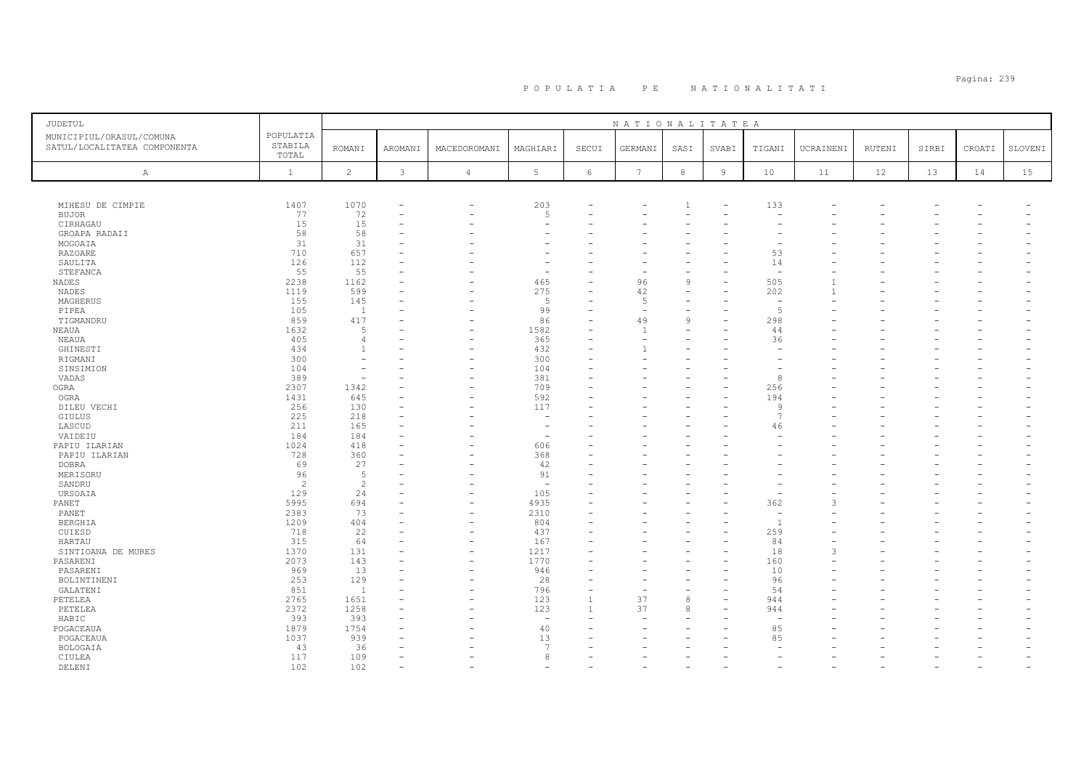| JUDETUL                                                  |                               |                          |                          |                          |                          |                | NATIONALITATEA  |                |                |                                |           |               |       |        |         |
|----------------------------------------------------------|-------------------------------|--------------------------|--------------------------|--------------------------|--------------------------|----------------|-----------------|----------------|----------------|--------------------------------|-----------|---------------|-------|--------|---------|
| MUNICIPIUL/ORASUL/COMUNA<br>SATUL/LOCALITATEA COMPONENTA | POPULATIA<br>STABILA<br>TOTAL | <b>ROMANI</b>            | AROMANI                  | MACEDOROMANI             | MAGHIARI                 | SECUI          | GERMANI         | SASI           | SVABI          | TIGANI                         | UCRAINENI | <b>RUTENI</b> | SIRBI | CROATI | SLOVENI |
| A                                                        | $\mathbf{1}$                  | 2                        | 3                        | $\overline{4}$           | 5                        | 6              | $7\phantom{.0}$ | $^{\rm 8}$     | $\overline{9}$ | 10                             | 11        | 12            | 13    | 14     | 15      |
|                                                          |                               |                          |                          |                          |                          |                |                 |                |                |                                |           |               |       |        |         |
|                                                          |                               |                          |                          |                          |                          |                |                 |                |                |                                |           |               |       |        |         |
| MIHESU DE CIMPIE                                         | 1407                          | 1070                     |                          | $\overline{\phantom{0}}$ | 203                      |                |                 | -1             |                | 133                            |           |               |       |        |         |
| <b>BUJOR</b>                                             | 77                            | 72                       | $\overline{\phantom{a}}$ |                          | 5                        | ۳              |                 |                |                |                                |           |               |       |        |         |
| CIRHAGAU                                                 | 15                            | 15                       |                          |                          | <u>.</u>                 |                |                 |                |                |                                |           |               |       |        |         |
| GROAPA RADAII                                            | 58<br>31                      | 58                       |                          |                          |                          |                |                 |                |                |                                |           |               |       |        |         |
| MOGOAIA                                                  |                               | 31<br>657                |                          |                          |                          |                |                 |                |                |                                |           |               |       |        |         |
| <b>RAZOARE</b>                                           | 710                           | 112                      |                          |                          |                          |                |                 |                |                | 53                             |           |               |       |        |         |
| SAULITA<br>STEFANCA                                      | 126<br>55                     | 55                       |                          |                          | $\overline{\phantom{a}}$ |                |                 |                |                | 14<br>$\overline{\phantom{a}}$ |           |               |       |        |         |
| NADES                                                    | 2238                          | 1162                     |                          |                          | 465                      |                | 96              | $\mathbf{Q}$   |                | 505                            |           |               |       |        |         |
| NADES                                                    | 1119                          | 599                      |                          |                          | 275                      |                | 42              |                |                | 202                            |           |               |       |        |         |
| MAGHERUS                                                 | 155                           | 145                      |                          |                          | 5                        |                | $\overline{5}$  |                |                | $\overline{\phantom{a}}$       |           |               |       |        |         |
| PIPEA                                                    | 105                           | $\overline{1}$           |                          |                          | 99                       |                |                 |                |                | 5                              |           |               |       |        |         |
| TIGMANDRU                                                | 859                           | 417                      |                          | $\equiv$                 | 86                       | L.             | 49              | $\overline{9}$ |                | 298                            |           |               |       |        |         |
| NEAUA                                                    | 1632                          | 5                        |                          |                          | 1582                     |                |                 |                |                | 44                             |           |               |       |        |         |
| NEAUA                                                    | 405                           | $\overline{4}$           |                          | $\overline{\phantom{0}}$ | 365                      |                |                 |                |                | 36                             |           |               |       |        |         |
| GHINESTI                                                 | 434                           | $\overline{1}$           |                          |                          | 432                      |                |                 |                |                |                                |           |               |       |        |         |
| RIGMANI                                                  | 300                           |                          |                          | -                        | 300                      |                |                 |                |                |                                |           |               |       |        |         |
| SINSIMION                                                | 104                           |                          |                          |                          | 104                      |                |                 |                |                |                                |           |               |       |        |         |
| VADAS                                                    | 389                           | $\overline{\phantom{a}}$ |                          |                          | 381                      |                |                 |                |                | -8                             |           |               |       |        |         |
| OGRA                                                     | 2307                          | 1342                     |                          |                          | 709                      |                |                 |                |                | 256                            |           |               |       |        |         |
| OGRA                                                     | 1431                          | 645                      |                          |                          | 592                      |                |                 |                |                | 194                            |           |               |       |        |         |
| DILEU VECHI                                              | 256                           | 130                      |                          |                          | 117                      |                |                 |                |                | $\overline{9}$                 |           |               |       |        |         |
| <b>GIULUS</b>                                            | 225                           | 218                      |                          |                          | $\overline{\phantom{a}}$ |                |                 |                |                | 5                              |           |               |       |        |         |
| LASCUD                                                   | 211                           | 165                      |                          |                          |                          |                |                 |                |                | 46                             |           |               |       |        |         |
| VAIDEIU                                                  | 184                           | 184                      |                          |                          |                          |                |                 |                |                |                                |           |               |       |        |         |
| PAPIU ILARIAN                                            | 1024                          | 418                      |                          |                          | 606                      |                |                 |                |                |                                |           |               |       |        |         |
| PAPIU ILARIAN                                            | 728                           | 360                      |                          |                          | 368                      |                |                 |                |                |                                |           |               |       |        |         |
| <b>DOBRA</b>                                             | 69                            | 27                       |                          |                          | 42                       |                |                 |                |                |                                |           |               |       |        |         |
| MERISORU                                                 | 96                            | 5                        |                          |                          | 91                       |                |                 |                |                |                                |           |               |       |        |         |
| SANDRU                                                   | $\overline{2}$                | 2                        |                          |                          | $\sim$                   |                |                 |                |                |                                |           |               |       |        |         |
| URSOAIA                                                  | 129                           | 24                       |                          |                          | 105                      |                |                 |                |                |                                |           |               |       |        |         |
| PANET                                                    | 5995                          | 694                      |                          | $\rightarrow$            | 4935                     |                |                 |                |                | 362                            | 3         |               |       |        |         |
| PANET                                                    | 2383                          | 73                       |                          |                          | 2310                     |                |                 |                |                | $\overline{\phantom{a}}$       |           |               |       |        |         |
| <b>BERGHIA</b>                                           | 1209                          | 404                      |                          |                          | 804                      |                |                 |                |                | $\overline{1}$                 |           |               |       |        |         |
| CUIESD                                                   | 718                           | 22                       |                          |                          | 437                      |                |                 |                |                | 259                            |           |               |       |        |         |
| HARTAU                                                   | 315                           | 64                       |                          |                          | 167                      |                |                 |                |                | 84                             |           |               |       |        |         |
| SINTIOANA DE MURES                                       | 1370                          | 131                      |                          | -                        | 1217                     |                |                 |                |                | 18                             | 3         |               |       |        |         |
| PASARENI                                                 | 2073                          | 143                      |                          |                          | 1770                     |                |                 |                |                | 160                            |           |               |       |        |         |
| PASARENI                                                 | 969                           | 13                       |                          | $\overline{\phantom{0}}$ | 946                      |                |                 |                |                | 10                             |           |               |       |        |         |
| BOLINTINENI                                              | 253                           | 129                      |                          |                          | 28                       |                |                 |                |                | 96                             |           |               |       |        |         |
| <b>GALATENI</b>                                          | 851                           | $\overline{1}$           |                          |                          | 796                      |                |                 |                |                | 54                             |           |               |       |        |         |
| PETELEA                                                  | 2765                          | 1651                     |                          |                          | 123                      |                | 37              | 8              |                | 944                            |           |               |       |        |         |
| PETELEA                                                  | 2372                          | 1258                     |                          |                          | 123                      | $\overline{1}$ | 37              | 8              |                | 944                            |           |               |       |        |         |
| HABIC                                                    | 393                           | 393                      |                          |                          | $\overline{\phantom{a}}$ |                |                 |                |                |                                |           |               |       |        |         |
| POGACEAUA                                                | 1879                          | 1754                     |                          |                          | 40                       |                |                 |                |                | 85                             |           |               |       |        |         |
| POGACEAUA                                                | 1037                          | 939                      |                          |                          | 13                       |                |                 |                |                | 85                             |           |               |       |        |         |
| <b>BOLOGAIA</b>                                          | 43                            | 36                       |                          |                          | $\overline{7}$           |                |                 |                |                |                                |           |               |       |        |         |
| CIULEA                                                   | 117                           | 109                      |                          |                          | 8                        |                |                 |                |                |                                |           |               |       |        |         |
| DELENI                                                   | 102                           | 102                      |                          |                          |                          |                |                 |                |                |                                |           |               |       |        |         |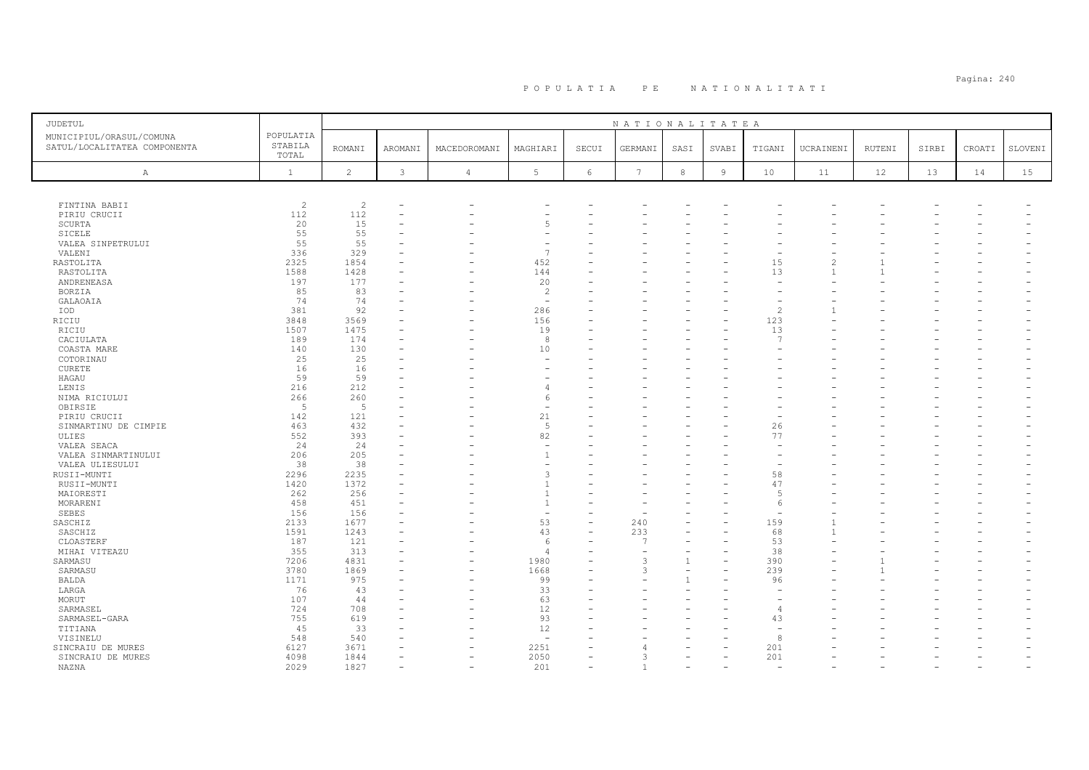# Pagina: 240 P O P U L A T I A P E N A T I O N A L I T A T I

| JUDETUL                                                  |                               |                |                |                |                          |                          | NATIONALITATEA |              |                |                          |                          |        |       |        |         |
|----------------------------------------------------------|-------------------------------|----------------|----------------|----------------|--------------------------|--------------------------|----------------|--------------|----------------|--------------------------|--------------------------|--------|-------|--------|---------|
| MUNICIPIUL/ORASUL/COMUNA<br>SATUL/LOCALITATEA COMPONENTA | POPULATIA<br>STABILA<br>TOTAL | <b>ROMANI</b>  | <b>AROMANI</b> | MACEDOROMANI   | MAGHIARI                 | SECUI                    | GERMANI        | SASI         | SVABI          | TIGANI                   | UCRAINENI                | RUTENI | SIRBI | CROATI | SLOVENI |
| $\mathbb{A}$                                             | $\mathbf{1}$                  | $\overline{c}$ | $\mathbf{3}$   | $\overline{4}$ | 5                        | 6                        | $\overline{7}$ | 8            | $\overline{9}$ | 10                       | 11                       | 12     | 13    | 14     | 15      |
|                                                          |                               |                |                |                |                          |                          |                |              |                |                          |                          |        |       |        |         |
| FINTINA BABII                                            | $\overline{c}$                | $\overline{c}$ |                |                |                          |                          |                |              |                |                          |                          |        |       |        |         |
| PIRIU CRUCII                                             | 112                           | 112            |                |                |                          |                          |                |              |                |                          |                          |        |       |        |         |
| SCURTA                                                   | 20                            | 15             |                |                | $\overline{5}$           |                          |                |              |                |                          |                          |        |       |        |         |
| SICELE                                                   | 55                            | 55             |                |                |                          |                          |                |              |                |                          |                          |        |       |        |         |
| VALEA SINPETRULUI                                        | 55                            | 55             |                |                |                          |                          |                |              |                |                          |                          |        |       |        |         |
| VALENI                                                   | 336                           | 329            |                |                | $\overline{7}$           |                          |                |              |                |                          |                          |        |       |        |         |
| RASTOLITA                                                | 2325                          | 1854           |                |                | 452                      |                          |                |              |                | 15                       | $\overline{\mathcal{L}}$ |        |       |        |         |
| RASTOLITA                                                | 1588                          | 1428           |                |                | 144                      |                          |                |              |                | 13                       | $\overline{1}$           |        |       |        |         |
| ANDRENEASA                                               | 197                           | 177            |                |                | 20                       |                          |                |              |                |                          |                          |        |       |        |         |
| BORZIA                                                   | 85                            | 83             |                |                | $\overline{c}$           |                          |                |              |                |                          |                          |        |       |        |         |
| GALAOAIA                                                 | 74                            | 74             |                |                | $\sim$                   |                          |                |              |                |                          |                          |        |       |        |         |
| IOD                                                      | 381                           | 92             |                |                | 286                      |                          |                |              |                | $\overline{c}$           |                          |        |       |        |         |
| RICIU                                                    | 3848                          | 3569           |                |                | 156                      |                          |                |              |                | 123                      |                          |        |       |        |         |
| RICIU                                                    | 1507                          | 1475           |                |                | 19                       |                          |                |              |                | 13                       |                          |        |       |        |         |
| CACIULATA                                                | 189                           | 174            |                |                | 8                        |                          |                |              |                | $\overline{7}$           |                          |        |       |        |         |
| COASTA MARE                                              | 140                           | 130            |                |                | 10                       |                          |                |              |                |                          |                          |        |       |        |         |
| COTORINAU                                                | 25                            | 25             |                |                |                          |                          |                |              |                |                          |                          |        |       |        |         |
| <b>CURETE</b>                                            | 16                            | 16             |                |                |                          |                          |                |              |                |                          |                          |        |       |        |         |
| HAGAU                                                    | 59                            | 59             |                |                |                          |                          |                |              |                |                          |                          |        |       |        |         |
| LENIS                                                    | 216                           | 212            |                |                |                          |                          |                |              |                |                          |                          |        |       |        |         |
| NIMA RICIULUI                                            | 266                           | 260            |                |                | 6                        |                          |                |              |                |                          |                          |        |       |        |         |
| OBIRSIE                                                  | -5                            | 5              |                |                |                          |                          |                |              |                |                          |                          |        |       |        |         |
| PIRIU CRUCII                                             | 142                           | 121            |                |                | 21                       | ÷                        |                |              |                |                          |                          |        |       |        |         |
| SINMARTINU DE CIMPIE                                     | 463                           | 432            |                |                | 5                        |                          |                |              |                | 26                       |                          |        |       |        |         |
| ULIES                                                    | 552                           | 393            |                |                | 82                       |                          |                |              |                | 77                       |                          |        |       |        |         |
| VALEA SEACA                                              | 24                            | 24             |                |                | $\overline{\phantom{a}}$ |                          |                |              |                |                          |                          |        |       |        |         |
| VALEA SINMARTINULUI                                      | 206                           | 205            |                |                | $\overline{1}$           |                          |                |              |                |                          |                          |        |       |        |         |
|                                                          | 38                            | 38             |                |                |                          |                          |                |              |                |                          |                          |        |       |        |         |
| VALEA ULIESULUI                                          | 2296                          | 2235           |                |                | $\mathcal{R}$            |                          |                |              |                | 58                       |                          |        |       |        |         |
| RUSII-MUNTI                                              |                               |                |                |                | $\overline{1}$           |                          |                |              |                |                          |                          |        |       |        |         |
| RUSII-MUNTI                                              | 1420                          | 1372           |                |                | $\overline{1}$           |                          |                |              |                | 47<br>$\overline{5}$     |                          |        |       |        |         |
| MAIORESTI                                                | 262                           | 256            |                |                | $\overline{1}$           |                          |                |              |                |                          |                          |        |       |        |         |
| MORARENI                                                 | 458                           | 451            |                |                | $\overline{\phantom{a}}$ |                          |                |              |                | 6                        |                          |        |       |        |         |
| SEBES                                                    | 156                           | 156            |                |                |                          |                          |                |              |                |                          |                          |        |       |        |         |
| SASCHIZ                                                  | 2133                          | 1677           |                |                | 53                       | $\overline{\phantom{0}}$ | 240            |              |                | 159                      |                          |        |       |        |         |
| SASCHIZ                                                  | 1591                          | 1243           |                |                | 43                       |                          | 233            |              |                | 68                       |                          |        |       |        |         |
| CLOASTERF                                                | 187                           | 121            |                |                | -6                       | $\equiv$                 | $\overline{7}$ |              |                | 53                       |                          |        |       |        |         |
| MIHAI VITEAZU                                            | 355                           | 313            |                |                | $\Delta$                 |                          |                |              |                | 38                       |                          |        |       |        |         |
| SARMASU                                                  | 7206                          | 4831           |                |                | 1980                     |                          | $\mathcal{R}$  | $\mathbf{1}$ |                | 390                      |                          |        |       |        |         |
| SARMASU                                                  | 3780                          | 1869           |                |                | 1668                     |                          | 3              |              |                | 239                      |                          |        |       |        |         |
| BALDA                                                    | 1171                          | 975            |                |                | 99                       |                          |                |              |                | 96                       |                          |        |       |        |         |
| LARGA                                                    | 76                            | 43             |                |                | 33                       |                          |                |              |                |                          |                          |        |       |        |         |
| MORUT                                                    | 107                           | 44             |                |                | 63                       |                          |                |              |                |                          |                          |        |       |        |         |
| SARMASEL                                                 | 724                           | 708            |                |                | 12                       |                          |                |              |                | $\overline{4}$           |                          |        |       |        |         |
| SARMASEL-GARA                                            | 755                           | 619            |                |                | 93                       |                          |                |              |                | 43                       |                          |        |       |        |         |
| TITIANA                                                  | 45                            | 33             |                |                | 12                       |                          |                |              |                | $\overline{\phantom{a}}$ |                          |        |       |        |         |
| VISINELU                                                 | 548                           | 540            |                |                | $\sim$                   |                          |                |              |                | 8                        |                          |        |       |        |         |
| SINCRAIU DE MURES                                        | 6127                          | 3671           |                |                | 2251                     | $\equiv$                 |                |              |                | 201                      |                          |        |       |        |         |
| SINCRAIU DE MURES                                        | 4098                          | 1844           |                |                | 2050                     |                          |                |              |                | 201                      |                          |        |       |        |         |
| NAZNA                                                    | 2029                          | 1827           | $\equiv$       | $\equiv$       | 201                      | $\equiv$                 |                |              |                | $\overline{a}$           |                          |        |       |        |         |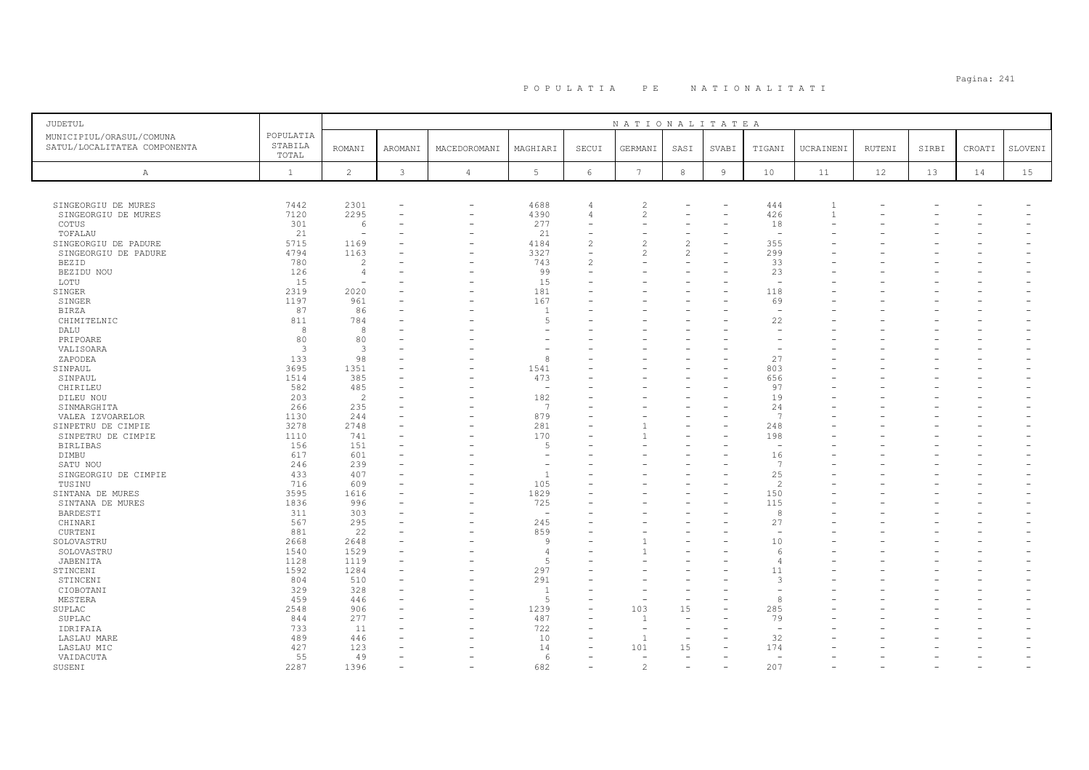| JUDETUL                      |                  |                          |          |                               |                          |                          | NATIONALITATEA                   |                          |                |                          |                |               |       |        |         |
|------------------------------|------------------|--------------------------|----------|-------------------------------|--------------------------|--------------------------|----------------------------------|--------------------------|----------------|--------------------------|----------------|---------------|-------|--------|---------|
| MUNICIPIUL/ORASUL/COMUNA     | POPULATIA        |                          |          |                               |                          |                          |                                  |                          |                |                          |                |               |       |        |         |
| SATUL/LOCALITATEA COMPONENTA | STABILA<br>TOTAL | <b>ROMANI</b>            | AROMANI  | MACEDOROMANI                  | MAGHIARI                 | SECUI                    | GERMANI                          | SASI                     | SVABI          | TIGANI                   | UCRAINENI      | <b>RUTENI</b> | SIRBI | CROATI | SLOVENI |
|                              |                  |                          |          |                               |                          |                          |                                  |                          |                |                          |                |               |       |        |         |
| Α                            | $\mathbf{1}$     | 2                        | 3        | $\overline{4}$                | 5                        | 6                        | $7\phantom{.0}$                  | 8                        | $\overline{9}$ | 10                       | 11             | 12            | 13    | 14     | 15      |
|                              |                  |                          |          |                               |                          |                          |                                  |                          |                |                          |                |               |       |        |         |
|                              |                  |                          |          |                               |                          |                          |                                  |                          |                |                          | $\overline{1}$ |               |       |        |         |
| SINGEORGIU DE MURES          | 7442<br>7120     | 2301<br>2295             | $\equiv$ | $\qquad \qquad -$<br>$\equiv$ | 4688<br>4390             | 4<br>$\overline{4}$      | $\overline{c}$<br>$\mathfrak{D}$ |                          |                | 444<br>426               | $\overline{1}$ |               |       |        |         |
| SINGEORGIU DE MURES<br>COTUS | 301              | 6                        |          |                               | 277                      | $\overline{\phantom{0}}$ |                                  |                          |                | 18                       |                |               |       |        |         |
| TOFALAU                      | 21               | $\overline{\phantom{a}}$ |          |                               | 21                       |                          |                                  |                          |                | $\overline{\phantom{a}}$ |                |               |       |        |         |
| SINGEORGIU DE PADURE         | 5715             | 1169                     |          |                               | 4184                     | $\mathfrak{D}$           | 2                                | 2                        |                | 355                      |                |               |       |        |         |
| SINGEORGIU DE PADURE         | 4794             | 1163                     |          |                               | 3327                     | $\overline{\phantom{a}}$ |                                  | 2                        |                | 299                      |                |               |       |        |         |
| BEZID                        | 780              | 2                        |          |                               | 743                      | $\mathfrak{D}$           |                                  |                          |                | 33                       |                |               |       |        |         |
| BEZIDU NOU                   | 126              | $\overline{4}$           |          |                               | 99                       |                          |                                  |                          |                | 23                       |                |               |       |        |         |
| LOTU                         | 15               |                          |          |                               | 15                       |                          |                                  |                          |                | $\overline{\phantom{a}}$ |                |               |       |        |         |
| SINGER                       | 2319             | 2020                     |          |                               | 181                      |                          |                                  |                          |                | 118                      |                |               |       |        |         |
| SINGER                       | 1197             | 961                      |          |                               | 167                      |                          |                                  |                          |                | 69                       |                |               |       |        |         |
|                              | 87               |                          |          |                               | $\overline{1}$           |                          |                                  |                          |                | $\sim$                   |                |               |       |        |         |
| <b>BIRZA</b>                 | 811              | 86<br>784                |          |                               | 5                        |                          |                                  |                          |                | 22                       |                |               |       |        |         |
| CHIMITELNIC                  | 8                | 8                        |          |                               |                          |                          |                                  |                          |                |                          |                |               |       |        |         |
| DALU                         |                  |                          |          |                               |                          |                          |                                  |                          |                |                          |                |               |       |        |         |
| PRIPOARE                     | 80               | 80                       |          |                               |                          |                          |                                  |                          |                |                          |                |               |       |        |         |
| VALISOARA                    | 3                | 3                        |          |                               |                          |                          |                                  |                          |                |                          |                |               |       |        |         |
| ZAPODEA                      | 133              | 98                       |          |                               | 8                        |                          |                                  |                          |                | 27                       |                |               |       |        |         |
| SINPAUL                      | 3695             | 1351                     |          |                               | 1541                     |                          |                                  |                          |                | 803                      |                |               |       |        |         |
| SINPAUL                      | 1514             | 385                      |          |                               | 473                      |                          |                                  |                          |                | 656                      |                |               |       |        |         |
| CHIRILEU                     | 582              | 485                      |          |                               | $\sim$                   |                          |                                  |                          |                | 97                       |                |               |       |        |         |
| DILEU NOU                    | 203              | 2                        |          |                               | 182                      |                          |                                  |                          |                | 19                       |                |               |       |        |         |
| SINMARGHITA                  | 266              | 235                      |          |                               | 7                        |                          |                                  |                          |                | 24                       |                |               |       |        |         |
| VALEA IZVOARELOR             | 1130             | 244                      |          |                               | 879                      |                          |                                  |                          |                | $\overline{7}$           |                |               |       |        |         |
| SINPETRU DE CIMPIE           | 3278             | 2748                     |          |                               | 281                      |                          |                                  |                          |                | 248                      |                |               |       |        |         |
| SINPETRU DE CIMPIE           | 1110             | 741                      |          |                               | 170                      |                          |                                  |                          |                | 198                      |                |               |       |        |         |
| <b>BIRLIBAS</b>              | 156              | 151                      |          |                               | -5                       |                          |                                  |                          |                | $\overline{\phantom{a}}$ |                |               |       |        |         |
| DIMBU                        | 617              | 601                      |          |                               |                          |                          |                                  |                          |                | 16                       |                |               |       |        |         |
| SATU NOU                     | 246              | 239                      |          |                               | $\overline{\phantom{a}}$ |                          |                                  |                          |                | 7                        |                |               |       |        |         |
| SINGEORGIU DE CIMPIE         | 433              | 407                      |          |                               | $\mathbf{1}$             |                          |                                  |                          |                | 25                       |                |               |       |        |         |
| TUSINU                       | 716              | 609                      |          |                               | 105                      |                          |                                  |                          |                | $\mathcal{D}$            |                |               |       |        |         |
| SINTANA DE MURES             | 3595             | 1616                     | ۳        |                               | 1829                     |                          |                                  |                          |                | 150                      |                |               |       |        |         |
| SINTANA DE MURES             | 1836             | 996                      |          |                               | 725                      |                          |                                  |                          |                | 115                      |                |               |       |        |         |
| BARDESTI                     | 311              | 303                      |          |                               | $\overline{\phantom{a}}$ |                          |                                  |                          |                | 8                        |                |               |       |        |         |
| CHINARI                      | 567              | 295                      |          |                               | 245                      |                          |                                  |                          |                | 27                       |                |               |       |        |         |
| CURTENI                      | 881              | 22                       |          |                               | 859                      |                          |                                  |                          |                | $\overline{\phantom{a}}$ |                |               |       |        |         |
| SOLOVASTRU                   | 2668             | 2648                     |          |                               | -9                       |                          |                                  |                          |                | 10                       |                |               |       |        |         |
| SOLOVASTRU                   | 1540             | 1529                     |          |                               | $\overline{4}$           |                          |                                  |                          |                | -6                       |                |               |       |        |         |
| JABENITA                     | 1128             | 1119                     |          |                               | .5                       |                          |                                  |                          |                |                          |                |               |       |        |         |
| STINCENI                     | 1592             | 1284                     |          |                               | 297                      |                          |                                  |                          |                | 11                       |                |               |       |        |         |
| STINCENI                     | 804              | 510                      |          |                               | 291                      |                          |                                  |                          |                | 3                        |                |               |       |        |         |
| CIOBOTANI                    | 329              | 328                      |          |                               | $\overline{1}$           |                          |                                  |                          |                |                          |                |               |       |        |         |
| MESTERA                      | 459              | 446                      |          |                               | .5                       |                          |                                  | $\overline{\phantom{a}}$ |                | 8                        |                |               |       |        |         |
| SUPLAC                       | 2548             | 906                      |          |                               | 1239                     |                          | 103                              | 15                       |                | 285                      |                |               |       |        |         |
| SUPLAC                       | 844              | 277                      |          |                               | 487                      |                          |                                  | $\overline{\phantom{a}}$ |                | 79                       |                |               |       |        |         |
| IDRIFAIA                     | 733              | 11                       |          |                               | 722                      |                          |                                  |                          |                |                          |                |               |       |        |         |
| LASLAU MARE                  | 489              | 446                      |          |                               | 10                       |                          | $\overline{1}$                   | $\overline{\phantom{a}}$ |                | 32                       |                |               |       |        |         |
| LASLAU MIC                   | 427              | 123                      |          |                               | 14                       |                          | 101                              | 15                       |                | 174                      |                |               |       |        |         |
| VAIDACUTA                    | 55               | 49                       |          |                               | 6                        |                          | $\equiv$                         | $\overline{\phantom{0}}$ |                | $\overline{a}$           |                |               |       |        |         |
| SUSENI                       | 2287             | 1396                     |          |                               | 682                      |                          | $\mathcal{P}$                    |                          |                | 207                      |                |               |       |        |         |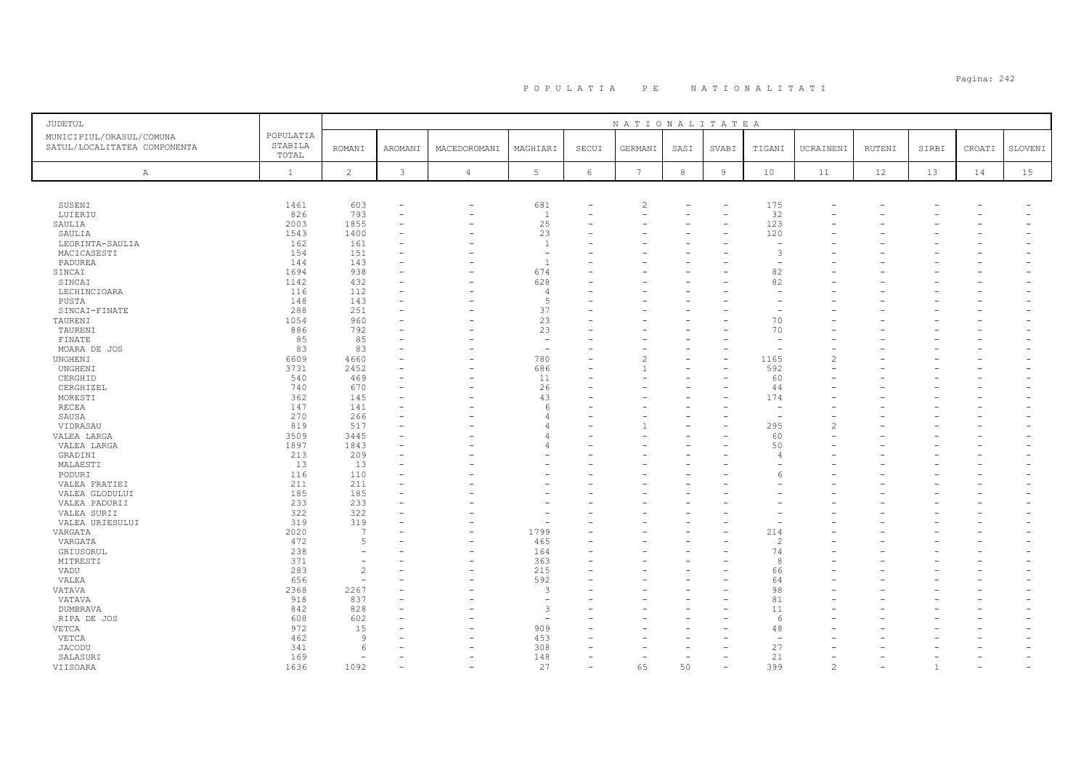# Pagina: 242 P O P U L A T I A P E N A T I O N A L I T A T I

| <b>JUDETUL</b>                                           |                               |                |              |                          |                |                          | NATIONALITATEA           |                  |                          |                          |                |                          |       |                          |         |
|----------------------------------------------------------|-------------------------------|----------------|--------------|--------------------------|----------------|--------------------------|--------------------------|------------------|--------------------------|--------------------------|----------------|--------------------------|-------|--------------------------|---------|
| MUNICIPIUL/ORASUL/COMUNA<br>SATUL/LOCALITATEA COMPONENTA | POPULATIA<br>STABILA<br>TOTAL | <b>ROMANI</b>  | AROMANI      | MACEDOROMANI             | MAGHIARI       | SECUI                    | GERMANI                  | SASI             | SVABI                    | TIGANI                   | UCRAINENI      | RUTENI                   | SIRBI | CROATI                   | SLOVENI |
| Α                                                        | $\mathbf{1}$                  | $\overline{c}$ | $\mathbf{3}$ | $\overline{4}$           | 5              | $6\,$                    | $7\phantom{.0}$          | $\boldsymbol{8}$ | $\overline{9}$           | 10                       | 11             | 12                       | 13    | 14                       | 15      |
|                                                          |                               |                |              |                          |                |                          |                          |                  |                          |                          |                |                          |       |                          |         |
| SUSENI                                                   | 1461                          | 603            |              | $\overline{\phantom{0}}$ | 681            |                          | $\overline{\mathcal{L}}$ |                  |                          | 175                      |                |                          |       |                          |         |
| LUIERIU                                                  | 826                           | 793            |              |                          | $\overline{1}$ | $\equiv$                 | $\rightarrow$            |                  | $\equiv$                 | 32                       |                |                          |       |                          |         |
| SAULIA                                                   | 2003                          | 1855           |              |                          | 25             |                          |                          |                  |                          | 123                      |                |                          |       |                          |         |
| SAULIA                                                   | 1543                          | 1400           | $\equiv$     |                          | 23             | ÷                        |                          |                  | ۳                        | 120                      |                |                          |       |                          |         |
| LEORINTA-SAULIA                                          | 162                           | 161            |              |                          | $\mathbf{1}$   |                          |                          |                  |                          |                          |                |                          |       |                          |         |
| MACICASESTI                                              | 154                           | 151            |              |                          | ÷,             |                          |                          |                  |                          | 3                        |                |                          |       |                          |         |
| PADUREA                                                  | 144                           | 143            |              |                          | $\overline{1}$ |                          |                          |                  |                          |                          |                |                          |       |                          |         |
| SINCAI                                                   | 1694                          | 938            |              |                          | 674            |                          |                          |                  |                          | 82                       |                |                          |       |                          |         |
| SINCAI                                                   | 1142                          | 432            |              |                          | 628            |                          |                          |                  |                          | 82                       |                |                          |       |                          |         |
| LECHINCIOARA                                             | 116                           | 112            |              |                          | $\Delta$       |                          |                          |                  |                          |                          |                |                          |       |                          |         |
| PUSTA                                                    | 148                           | 143            |              |                          | 5              |                          |                          |                  |                          |                          |                |                          |       |                          |         |
| SINCAI-FINATE                                            | 288                           | 251            |              |                          | 37             |                          |                          |                  |                          |                          |                |                          |       |                          |         |
| TAURENI                                                  | 1054                          | 960            |              |                          | 23             |                          |                          |                  |                          | 70<br>70                 |                |                          |       |                          |         |
| TAURENI<br>FINATE                                        | 886<br>85                     | 792<br>85      |              |                          | 23<br>$\sim$   |                          |                          |                  |                          | $\overline{\phantom{a}}$ |                |                          |       |                          |         |
| MOARA DE JOS                                             | 83                            | 83             |              |                          | <u>.</u>       |                          |                          |                  |                          |                          |                |                          |       |                          |         |
| UNGHENI                                                  | 6609                          | 4660           |              |                          | 780            | $\equiv$                 | $\overline{\mathcal{L}}$ |                  | $\equiv$                 | 1165                     |                |                          |       |                          |         |
|                                                          | 3731                          | 2452           |              |                          | 686            |                          |                          |                  |                          | 592                      |                |                          |       |                          |         |
| UNGHENI<br>CERGHID                                       | 540                           | 469            | $\equiv$     |                          | 11             | ÷                        |                          |                  |                          | 60                       |                |                          |       |                          |         |
| CERGHIZEL                                                | 740                           | 670            |              |                          | 26             |                          |                          |                  |                          | 44                       |                |                          |       |                          |         |
| MORESTI                                                  | 362                           | 145            |              |                          | 43             |                          |                          |                  |                          | 174                      |                |                          |       |                          |         |
| RECEA                                                    | 147                           | 141            |              |                          | -6             |                          |                          |                  |                          |                          |                |                          |       |                          |         |
| SAUSA                                                    | 270                           | 266            |              |                          |                |                          |                          |                  |                          |                          |                |                          |       |                          |         |
| VIDRASAU                                                 | 819                           | 517            |              |                          |                | $\overline{\phantom{0}}$ |                          |                  |                          | 295                      |                |                          |       |                          |         |
| VALEA LARGA                                              | 3509                          | 3445           |              |                          |                |                          |                          |                  |                          | 60                       |                |                          |       |                          |         |
| VALEA LARGA                                              | 1897                          | 1843           |              |                          |                |                          |                          |                  |                          | 50                       |                |                          |       |                          |         |
| GRADINI                                                  | 213                           | 209            |              |                          |                |                          |                          |                  |                          | $\Delta$                 |                |                          |       |                          |         |
| MALAESTI                                                 | 13                            | 13             |              |                          |                | $\overline{\phantom{0}}$ |                          |                  |                          |                          |                |                          |       |                          |         |
| PODURI                                                   | 116                           | 110            |              |                          |                |                          |                          |                  |                          |                          |                |                          |       |                          |         |
| VALEA FRATIEI                                            | 211                           | 211            |              |                          |                |                          |                          |                  |                          |                          |                |                          |       |                          |         |
| VALEA GLODULUI                                           | 185                           | 185            |              |                          |                |                          |                          |                  |                          |                          |                |                          |       |                          |         |
| VALEA PADURII                                            | 233                           | 233            |              |                          |                |                          |                          |                  |                          |                          |                |                          |       |                          |         |
| VALEA SURII                                              | 322                           | 322            |              |                          |                |                          |                          |                  |                          |                          |                |                          |       |                          |         |
| VALEA URIESULUI                                          | 319                           | 319            |              |                          |                |                          |                          |                  |                          |                          |                |                          |       |                          |         |
| VARGATA                                                  | 2020                          | 7              |              |                          | 1799           |                          |                          |                  |                          | 214                      |                |                          |       |                          |         |
| VARGATA                                                  | 472                           | 5              |              | $\overline{\phantom{0}}$ | 465            |                          |                          |                  |                          | $\mathcal{D}$            |                |                          |       |                          |         |
| GRIUSORUL                                                | 238                           |                |              | $\sim$                   | 164            | $=$                      |                          |                  |                          | 74                       |                |                          |       |                          |         |
| MITRESTI                                                 | 371                           |                |              |                          | 363            |                          |                          |                  |                          | 8                        |                |                          |       |                          |         |
| VADU                                                     | 283                           | $\mathfrak{D}$ |              |                          | 215            | $\overline{\phantom{0}}$ |                          |                  |                          | 66                       |                |                          |       |                          |         |
| VALEA                                                    | 656                           | $\sim$         |              |                          | 592            |                          |                          |                  |                          | 64                       |                |                          |       |                          |         |
| <b>VATAVA</b>                                            | 2368                          | 2267           |              |                          | 3              |                          |                          |                  |                          | 98                       |                |                          |       |                          |         |
| VATAVA                                                   | 918                           | 837            |              |                          | ÷              |                          |                          |                  |                          | 81                       |                |                          |       |                          |         |
| DUMBRAVA                                                 | 842                           | 828            |              |                          | 3              |                          |                          |                  |                          | 11                       |                |                          |       |                          |         |
| RIPA DE JOS                                              | 608                           | 602            |              |                          |                |                          |                          |                  |                          | 6                        |                |                          |       |                          |         |
| VETCA                                                    | 972                           | 15             |              |                          | 909            |                          |                          |                  |                          | 48                       |                |                          |       |                          |         |
| VETCA                                                    | 462                           | 9              |              |                          | 453            |                          |                          |                  |                          |                          |                |                          |       |                          |         |
| <b>JACODU</b>                                            | 341                           | 6              |              |                          | 308            |                          |                          |                  |                          | 27                       |                |                          |       |                          |         |
| SALASURI                                                 | 169                           |                |              |                          | 148            | $\overline{\phantom{0}}$ |                          |                  |                          | 21                       |                |                          |       |                          |         |
| VIISOARA                                                 | 1636                          | 1092           |              | $\overline{\phantom{0}}$ | 27             | $\overline{\phantom{0}}$ | 65                       | 50               | $\overline{\phantom{a}}$ | 399                      | $\overline{c}$ | $\overline{\phantom{0}}$ | -1    | $\overline{\phantom{a}}$ |         |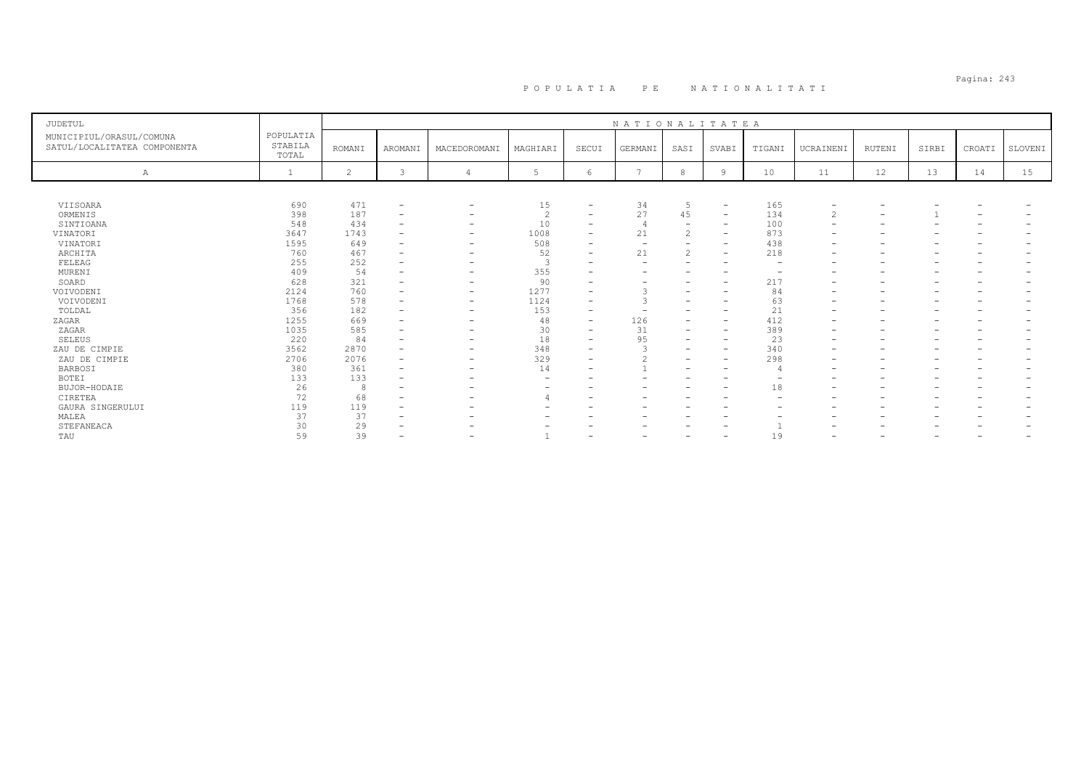# Pagina: 243 P O P U L A T I A P E N A T I O N A L I T A T I

| <b>JUDETUL</b>                                           |                               |                |                          |                          |                |                          | NATIONALITATEA           |                          |                          |                          |                          |                          |       |        |         |
|----------------------------------------------------------|-------------------------------|----------------|--------------------------|--------------------------|----------------|--------------------------|--------------------------|--------------------------|--------------------------|--------------------------|--------------------------|--------------------------|-------|--------|---------|
| MUNICIPIUL/ORASUL/COMUNA<br>SATUL/LOCALITATEA COMPONENTA | POPULATIA<br>STABILA<br>TOTAL | <b>ROMANI</b>  | AROMANI                  | MACEDOROMANI             | MAGHIARI       | SECUI                    | GERMANI                  | SASI                     | SVABI                    | TIGANI                   | UCRAINENI                | RUTENI                   | SIRBI | CROATI | SLOVENI |
| Α                                                        |                               | $\overline{2}$ | ₹                        |                          | -5             | 6                        | $\overline{ }$           | 8                        | 9                        | 10                       | 11                       | 12                       | 13    | 14     | 15      |
|                                                          |                               |                |                          |                          |                |                          |                          |                          |                          |                          |                          |                          |       |        |         |
| VIISOARA                                                 | 690                           | 471            | $\overline{\phantom{a}}$ | -                        | 15             | $\overline{\phantom{a}}$ | 34                       | 5                        | $\overline{\phantom{a}}$ | 165                      | $\overline{\phantom{a}}$ |                          |       |        |         |
| ORMENIS                                                  | 398                           | 187            | $\overline{\phantom{0}}$ | $\overline{\phantom{0}}$ | $\overline{c}$ | $\overline{\phantom{a}}$ | 27                       | 45                       | $\overline{\phantom{a}}$ | 134                      | 2                        | $\overline{\phantom{0}}$ |       |        |         |
| SINTIOANA                                                | 548                           | 434            | $\overline{\phantom{0}}$ |                          | 10             |                          | $\overline{4}$           |                          | $\overline{\phantom{0}}$ | 100                      |                          |                          |       |        |         |
| VINATORI                                                 | 3647                          | 1743           | $\overline{\phantom{0}}$ | -                        | 1008           | $\overline{\phantom{a}}$ | 21                       | $\hat{ }$<br>۷           | $\overline{\phantom{a}}$ | 873                      | $\overline{\phantom{a}}$ |                          |       |        |         |
| VINATORI                                                 | 1595                          | 649            |                          | -                        | 508            |                          | $\overline{\phantom{0}}$ | -                        | $\qquad \qquad -$        | 438                      | $\overline{\phantom{a}}$ | $\overline{\phantom{0}}$ |       |        |         |
| ARCHITA                                                  | 760                           | 467            |                          | -                        | 52             |                          | 21                       | $\mathbf{2}$             | $\overline{\phantom{a}}$ | 218                      |                          |                          |       |        |         |
| FELEAG                                                   | 255                           | 252            |                          |                          | $\mathcal{R}$  |                          | $\overline{\phantom{0}}$ | $\overline{\phantom{0}}$ | $\qquad \qquad -$        | $\overline{\phantom{0}}$ |                          |                          |       |        |         |
| MURENI                                                   | 409                           | 54             |                          |                          | 355            |                          |                          |                          |                          |                          |                          |                          |       |        |         |
| SOARD                                                    | 628                           | 321            |                          | $\overline{\phantom{0}}$ | 90             |                          |                          |                          | $\overline{\phantom{0}}$ | 217                      |                          |                          |       |        |         |
| VOIVODENI                                                | 2124                          | 760            | $\overline{\phantom{a}}$ | $\qquad \qquad$          | 1277           | $\overline{\phantom{a}}$ |                          | $\overline{\phantom{0}}$ | $\overline{\phantom{0}}$ | 84                       | $\overline{\phantom{0}}$ | $\overline{\phantom{0}}$ |       |        |         |
| VOIVODENI                                                | 1768                          | 578            |                          | $\qquad \qquad$          | 1124           |                          |                          |                          | $\overline{\phantom{0}}$ | 63                       | $\overline{\phantom{0}}$ |                          |       |        |         |
| TOLDAL                                                   | 356                           | 182            | $\overline{\phantom{a}}$ | $\qquad \qquad$          | 153            |                          |                          | -                        | $\qquad \qquad -$        | 21                       |                          |                          |       |        |         |
| ZAGAR                                                    | 1255                          | 669            | $\overline{\phantom{0}}$ | $\overline{\phantom{0}}$ | 48             | $\overline{\phantom{a}}$ | 126                      | $\overline{\phantom{0}}$ | $\overline{\phantom{a}}$ | 412                      |                          |                          |       |        |         |
| ZAGAR                                                    | 1035                          | 585            |                          |                          | 30             | $\overline{\phantom{a}}$ | 31                       |                          | $\overline{\phantom{a}}$ | 389                      |                          |                          |       |        |         |
| <b>SELEUS</b>                                            | 220                           | 84             |                          |                          | 18             | $\overline{\phantom{a}}$ | 95                       | -                        | $\overline{\phantom{a}}$ | 23                       | $\overline{\phantom{a}}$ |                          |       |        |         |
| ZAU DE CIMPIE                                            | 3562                          | 2870           |                          | -                        | 348            | $\overline{\phantom{0}}$ |                          | -                        | $\overline{\phantom{a}}$ | 340                      | $\overline{\phantom{0}}$ |                          |       |        |         |
| ZAU DE CIMPIE                                            | 2706                          | 2076           |                          | $\overline{\phantom{0}}$ | 329            |                          | $\bigcirc$               | $\overline{\phantom{0}}$ | $\overline{\phantom{0}}$ | 298                      |                          |                          |       |        |         |
| <b>BARBOSI</b>                                           | 380                           | 361            | $\overline{\phantom{0}}$ | $\overline{\phantom{0}}$ | 14             |                          |                          | -                        | $\overline{\phantom{a}}$ |                          |                          |                          |       |        |         |
| <b>BOTEI</b>                                             | 133                           | 133            |                          |                          |                |                          |                          |                          | $\overline{\phantom{0}}$ |                          |                          |                          |       |        |         |
| BUJOR-HODAIE                                             | 26                            | 8              |                          |                          |                |                          |                          |                          | $\overline{\phantom{0}}$ | 18                       |                          |                          |       |        |         |
| CIRETEA                                                  | 72                            | 68             |                          |                          |                |                          |                          |                          |                          | $\overline{\phantom{0}}$ |                          |                          |       |        |         |
| GAURA SINGERULUI                                         | 119                           | 119            |                          |                          |                |                          |                          |                          |                          |                          |                          |                          |       |        |         |
| MALEA                                                    | 37                            | 37             | $\overline{\phantom{0}}$ |                          |                |                          |                          |                          | -                        |                          |                          | -                        |       |        |         |
| STEFANEACA                                               | 30                            | 29             |                          |                          |                |                          |                          |                          |                          |                          |                          |                          |       |        |         |
| TAU                                                      | 59                            | 39             |                          |                          |                |                          |                          |                          | $\overline{\phantom{0}}$ | 19                       |                          |                          |       |        |         |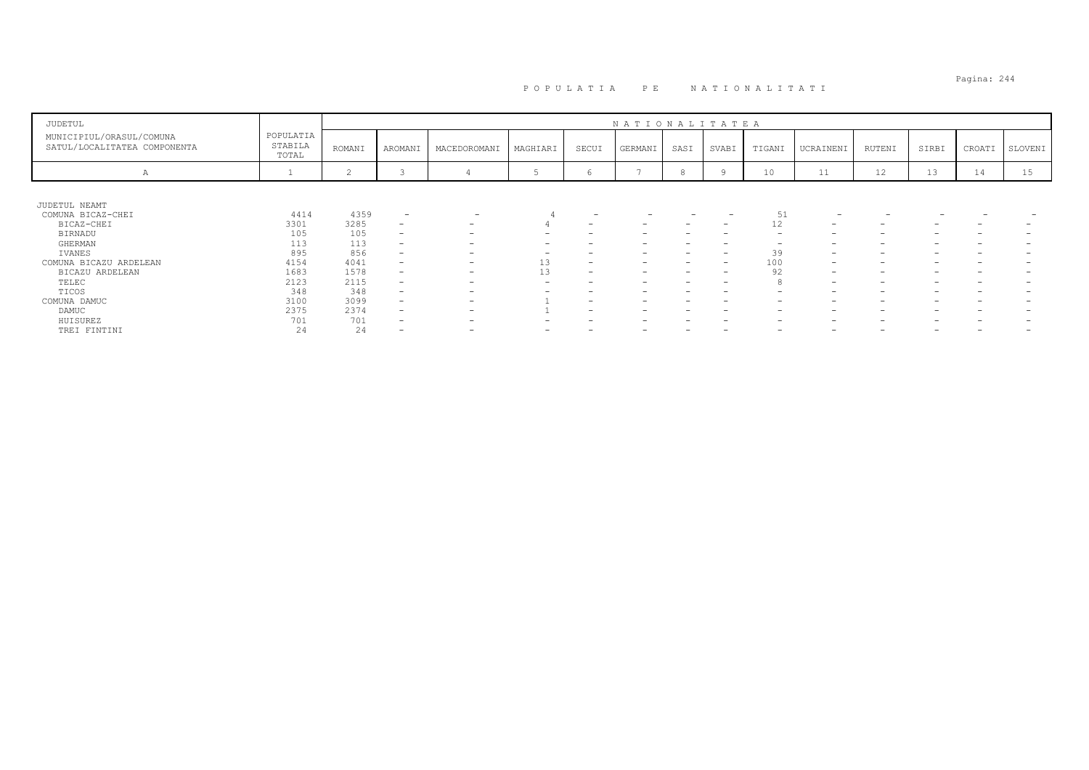# Pagina: 244 P O P U L A T I A P E N A T I O N A L I T A T I

| JUDETUL                                                  |                               |        |                          |                          |          |                          | NATIONALITATEA           |      |                                 |                          |                          |                          |       |        |         |
|----------------------------------------------------------|-------------------------------|--------|--------------------------|--------------------------|----------|--------------------------|--------------------------|------|---------------------------------|--------------------------|--------------------------|--------------------------|-------|--------|---------|
| MUNICIPIUL/ORASUL/COMUNA<br>SATUL/LOCALITATEA COMPONENTA | POPULATIA<br>STABILA<br>TOTAL | ROMANI | AROMANI                  | MACEDOROMANI             | MAGHIARI | SECUI                    | GERMANI                  | SASI | SVABI                           | TIGANI                   | UCRAINENI                | RUTENI                   | SIRBI | CROATI | SLOVENI |
| A                                                        |                               |        |                          |                          |          | O                        |                          | Ö    |                                 | 10                       | 11                       | 12                       | 13    | 14     | 15      |
|                                                          |                               |        |                          |                          |          |                          |                          |      |                                 |                          |                          |                          |       |        |         |
| JUDETUL NEAMT                                            |                               |        |                          |                          |          |                          |                          |      |                                 |                          |                          |                          |       |        |         |
| COMUNA BICAZ-CHEI                                        | 4414                          | 4359   | $\overline{\phantom{a}}$ | $\overline{\phantom{0}}$ |          | -                        |                          |      |                                 | 51                       | -                        | $\overline{\phantom{0}}$ |       |        |         |
| BICAZ-CHEI                                               | 3301                          | 3285   | $\overline{\phantom{0}}$ | $\overline{\phantom{a}}$ |          | $\overline{\phantom{a}}$ | $\overline{\phantom{a}}$ | -    | $\hspace{0.1mm}-\hspace{0.1mm}$ | 12                       | $\overline{\phantom{a}}$ | $\overline{\phantom{a}}$ |       | -      |         |
| BIRNADU                                                  | 105                           | 105    | $\overline{\phantom{0}}$ | $\overline{\phantom{0}}$ |          |                          |                          |      |                                 | $\overline{\phantom{0}}$ | $\overline{\phantom{0}}$ | -                        |       |        |         |
| GHERMAN                                                  | 113                           | 113    | $\qquad \qquad -$        | $\overline{\phantom{a}}$ |          |                          | -                        |      |                                 | -                        | $\overline{\phantom{0}}$ | $\overline{\phantom{0}}$ |       |        |         |
| IVANES                                                   | 895                           | 856    | $-$                      | $\overline{\phantom{a}}$ |          |                          | -                        |      | $\overline{\phantom{a}}$        | 39                       | $\overline{\phantom{a}}$ | $\overline{\phantom{a}}$ |       |        |         |
| COMUNA BICAZU ARDELEAN                                   | 4154                          | 4041   | $\overline{\phantom{0}}$ | $\overline{\phantom{0}}$ | 13       | $\overline{\phantom{a}}$ | -                        |      | $\overline{\phantom{0}}$        | 100                      | $\overline{\phantom{a}}$ | $\overline{\phantom{0}}$ |       |        |         |
| BICAZU ARDELEAN                                          | 1683                          | 1578   | $-$                      | $\overline{\phantom{0}}$ | 13       | $\overline{\phantom{a}}$ | $\overline{\phantom{a}}$ | -    | $\hspace{0.1mm}-\hspace{0.1mm}$ | 92                       | $\overline{\phantom{a}}$ | $\overline{\phantom{a}}$ |       |        |         |
| TELEC                                                    | 2123                          | 2115   | $\overline{\phantom{0}}$ | -                        | -        |                          | -                        |      | -                               |                          | $\overline{\phantom{a}}$ | -                        |       |        |         |
| TICOS                                                    | 348                           | 348    | $\overline{\phantom{0}}$ | $\overline{\phantom{0}}$ |          |                          | -                        |      | -                               | -                        | $\overline{\phantom{0}}$ | $\overline{\phantom{0}}$ |       |        |         |
| COMUNA DAMUC                                             | 3100                          | 3099   | $-$                      | $\overline{\phantom{a}}$ |          |                          | -                        |      |                                 | $\overline{\phantom{0}}$ | $\overline{\phantom{0}}$ | $\overline{\phantom{a}}$ |       |        |         |
| DAMUC                                                    | 2375                          | 2374   | $\overline{\phantom{0}}$ | -                        |          |                          | -                        |      | -                               | -                        | $\overline{\phantom{0}}$ | $\overline{\phantom{m}}$ |       |        |         |
| HUISUREZ                                                 | 701                           | 701    | $\overline{\phantom{0}}$ | $\overline{\phantom{a}}$ |          |                          | -                        |      |                                 | -                        | $\overline{\phantom{0}}$ | $\overline{\phantom{a}}$ |       |        |         |
| TREI FINTINI                                             | 24                            | 24     | $\overline{\phantom{0}}$ | $\overline{\phantom{0}}$ |          |                          | -                        |      |                                 | $\overline{\phantom{0}}$ | $\overline{\phantom{0}}$ | -                        |       |        |         |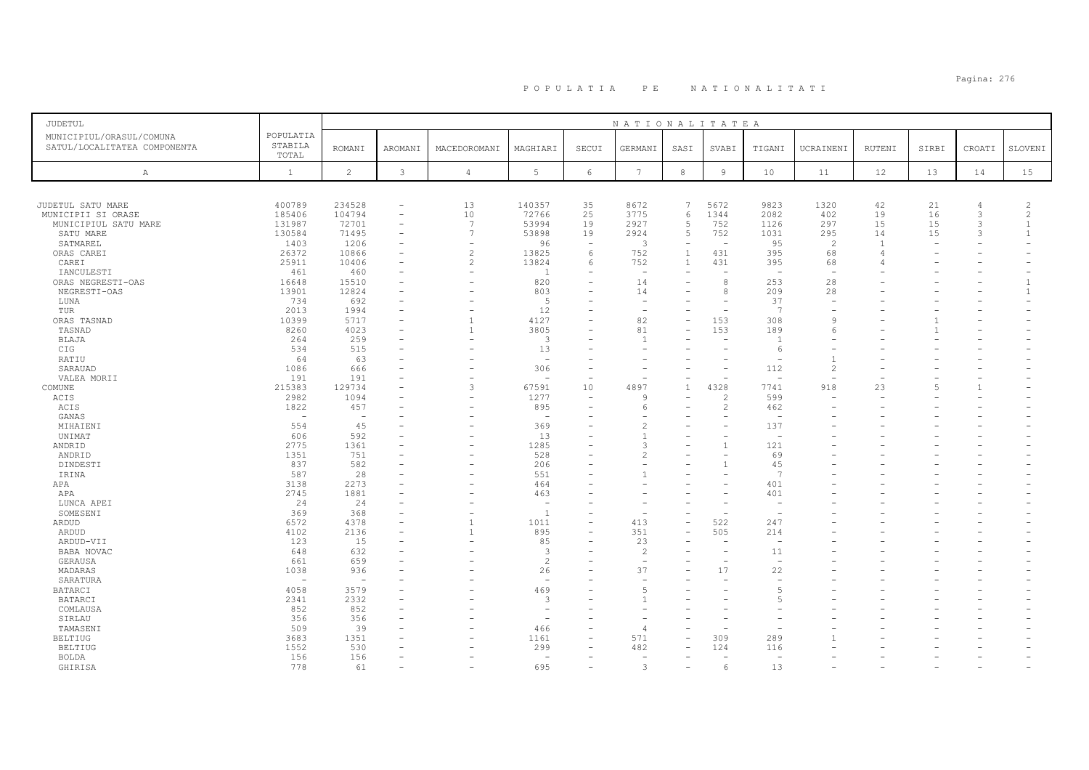# Pagina: 276 P O P U L A T I A P E N A T I O N A L I T A T I

| <b>JUDETUL</b>               |                          |                          |                          |                          |                          |                          | NATIONALITATEA           |              |                          |                                 |                          |                |       |                          |                |
|------------------------------|--------------------------|--------------------------|--------------------------|--------------------------|--------------------------|--------------------------|--------------------------|--------------|--------------------------|---------------------------------|--------------------------|----------------|-------|--------------------------|----------------|
| MUNICIPIUL/ORASUL/COMUNA     | POPULATIA                |                          |                          |                          |                          |                          |                          |              |                          |                                 |                          |                |       |                          |                |
| SATUL/LOCALITATEA COMPONENTA | STABILA                  | <b>ROMANI</b>            | AROMANI                  | MACEDOROMANI             | MAGHIARI                 | SECUI                    | GERMANI                  | SASI         | SVABI                    | TIGANI                          | UCRAINENI                | RUTENI         | SIRBI | CROATI                   | SLOVENI        |
|                              | TOTAL                    |                          |                          |                          |                          |                          |                          |              |                          |                                 |                          |                |       |                          |                |
| A                            | $\mathbf{1}$             | 2                        | $\mathbf{3}$             | $\overline{4}$           | 5                        | 6                        | $7\phantom{.0}$          | $_{\rm 8}$   | $\overline{9}$           | 10                              | 11                       | 12             | 13    | 14                       | 15             |
|                              |                          |                          |                          |                          |                          |                          |                          |              |                          |                                 |                          |                |       |                          |                |
|                              |                          |                          |                          |                          |                          |                          |                          |              |                          |                                 |                          |                |       |                          |                |
| JUDETUL SATU MARE            | 400789                   | 234528                   | $\overline{\phantom{a}}$ | 13                       | 140357                   | 35                       | 8672                     | 7            | 5672                     | 9823                            | 1320                     | 42             | 21    | $\overline{4}$           | $\overline{c}$ |
| MUNICIPII SI ORASE           | 185406                   | 104794                   | $\overline{\phantom{a}}$ | 10                       | 72766                    | 25                       | 3775                     | 6            | 1344                     | 2082                            | 402                      | 19             | 16    | 3                        | 2              |
| MUNICIPIUL SATU MARE         | 131987                   | 72701                    | $\overline{\phantom{a}}$ | $\overline{7}$           | 53994                    | 19                       | 2927                     | 5            | 752                      | 1126                            | 297                      | 15             | 15    | 3                        | $\overline{1}$ |
| SATU MARE                    | 130584                   | 71495                    | $\overline{\phantom{a}}$ | 7                        | 53898                    | 19                       | 2924                     | 5            | 752                      | 1031                            | 295                      | 14             | 15    | 3                        | $\overline{1}$ |
| SATMAREL                     | 1403                     | 1206                     |                          | Ē.                       | 96                       | $\overline{\phantom{a}}$ | 3                        |              |                          | 95                              | 2                        | $\overline{1}$ |       |                          |                |
| ORAS CAREI                   | 26372                    | 10866                    | $\overline{\phantom{a}}$ | $\overline{c}$           | 13825                    | 6                        | 752                      | $\mathbf{1}$ | 431                      | 395                             | 68                       | 4              |       |                          |                |
| CAREI                        | 25911                    | 10406                    |                          | $\overline{2}$           | 13824                    | 6                        | 752                      | $\mathbf{1}$ | 431                      | 395                             | 68                       |                |       |                          |                |
| IANCULESTI                   | 461                      | 460                      |                          | $\equiv$                 | $\overline{1}$           |                          | $\sim$                   |              |                          | $\overline{a}$                  | $\overline{\phantom{0}}$ |                |       |                          |                |
| ORAS NEGRESTI-OAS            | 16648                    | 15510                    |                          |                          | 820                      |                          | 14                       |              | 8                        | 253                             | 28                       |                |       |                          | $\overline{1}$ |
| NEGRESTI-OAS                 | 13901                    | 12824                    |                          |                          | 803                      |                          | 14                       |              | 8                        | 209                             | 28                       |                |       |                          | $\mathbf{1}$   |
| LUNA                         | 734                      | 692                      |                          |                          | -5                       |                          |                          |              |                          | 37                              |                          |                |       |                          |                |
| TUR                          | 2013                     | 1994                     |                          | $\overline{\phantom{0}}$ | 12                       |                          | $\overline{\phantom{a}}$ |              | $\overline{\phantom{0}}$ | 7                               |                          |                |       |                          |                |
| ORAS TASNAD                  | 10399                    | 5717                     |                          | $\mathbf{1}$             | 4127                     |                          | 82                       |              | 153                      | 308                             | <sup>o</sup>             |                |       |                          |                |
| TASNAD                       | 8260                     | 4023                     |                          | $\mathbf{1}$             | 3805                     |                          | 81                       |              | 153                      | 189                             |                          |                |       |                          |                |
| BLAJA                        | 264                      | 259                      |                          | ۰                        | 3                        |                          | $\overline{1}$           |              |                          | $\overline{1}$                  |                          |                |       |                          |                |
| CIG                          | 534                      | 515                      |                          |                          | 13                       |                          |                          |              |                          | 6                               |                          |                |       |                          |                |
| RATIU                        | 64                       | 63                       |                          |                          | $\sim$                   |                          |                          |              |                          | $\overline{\phantom{a}}$        | $\overline{1}$           |                |       |                          |                |
|                              |                          |                          |                          | ۰                        |                          |                          |                          |              |                          |                                 | $\mathfrak{D}$           |                |       |                          |                |
| SARAUAD                      | 1086<br>191              | 666<br>191               |                          | Ē.                       | 306<br>٠                 |                          |                          |              |                          | 112<br>$\overline{\phantom{a}}$ |                          |                |       |                          |                |
| VALEA MORII                  |                          |                          |                          |                          |                          |                          |                          |              |                          |                                 |                          |                |       |                          |                |
| COMUNE                       | 215383                   | 129734                   |                          | 3                        | 67591                    | 10                       | 4897                     | $\mathbf{1}$ | 4328                     | 7741                            | 918                      | 23             | .5    | $\mathbf{1}$             |                |
| ACIS                         | 2982                     | 1094                     |                          | $\overline{\phantom{a}}$ | 1277                     | $\overline{\phantom{a}}$ | 9                        |              | $\overline{c}$           | 599                             |                          |                |       |                          |                |
| ACIS                         | 1822                     | 457                      |                          |                          | 895                      |                          | 6                        |              | 2                        | 462                             |                          |                |       |                          |                |
| GANAS                        | $\overline{\phantom{0}}$ | $\overline{\phantom{a}}$ |                          |                          | $\overline{\phantom{a}}$ |                          |                          |              |                          | $\overline{\phantom{a}}$        |                          |                |       |                          |                |
| MIHAIENI                     | 554                      | 45                       |                          |                          | 369                      |                          | $\overline{c}$           |              |                          | 137                             |                          |                |       |                          |                |
| UNIMAT                       | 606                      | 592                      |                          | $\overline{\phantom{0}}$ | 13                       | ۳                        |                          |              |                          | $\overline{\phantom{a}}$        |                          |                |       |                          |                |
| ANDRID                       | 2775                     | 1361                     |                          |                          | 1285                     |                          | 3                        |              | $\mathbf{1}$             | 121                             |                          |                |       |                          |                |
| ANDRID                       | 1351                     | 751                      |                          |                          | 528                      |                          | 2                        |              |                          | 69                              |                          |                |       |                          |                |
| DINDESTI                     | 837                      | 582                      |                          |                          | 206                      |                          |                          |              |                          | 45                              |                          |                |       |                          |                |
| IRINA                        | 587                      | 28                       |                          | ۰                        | 551                      |                          |                          |              |                          | 7                               |                          |                |       |                          |                |
| APA                          | 3138                     | 2273                     |                          |                          | 464                      |                          |                          |              |                          | 401                             |                          |                |       |                          |                |
| APA                          | 2745                     | 1881                     |                          |                          | 463                      |                          |                          |              |                          | 401                             |                          |                |       |                          |                |
| LUNCA APEI                   | 24                       | 24                       |                          |                          | $\sim$                   |                          |                          |              |                          |                                 |                          |                |       |                          |                |
| SOMESENI                     | 369                      | 368                      |                          | ۰                        | <sup>1</sup>             |                          |                          |              |                          |                                 |                          |                |       |                          |                |
| ARDUD                        | 6572                     | 4378                     |                          | $\overline{1}$           | 1011                     | $=$                      | 413                      |              | 522                      | 247                             |                          |                |       |                          |                |
| ARDUD                        | 4102                     | 2136                     |                          | 1                        | 895                      |                          | 351                      |              | 505                      | 214                             |                          |                |       |                          |                |
| ARDUD-VII                    | 123                      | 15                       |                          | $\overline{\phantom{a}}$ | 85                       |                          | 23                       |              |                          | $\overline{\phantom{m}}$        |                          |                |       |                          |                |
| BABA NOVAC                   | 648                      | 632                      |                          |                          | -3                       |                          | $\overline{c}$           |              |                          | 11                              |                          |                |       |                          |                |
| GERAUSA                      | 661                      | 659                      |                          |                          | $\overline{c}$           |                          | $\sim$                   |              |                          | $\overline{\phantom{m}}$        |                          |                |       |                          |                |
| MADARAS                      | 1038                     | 936                      |                          |                          | 26                       |                          | 37                       |              | 17                       | 22                              |                          |                |       |                          |                |
| SARATURA                     | $\overline{\phantom{0}}$ | $\overline{\phantom{a}}$ |                          |                          | $\overline{\phantom{a}}$ |                          |                          |              |                          | $\overline{\phantom{m}}$        |                          |                |       |                          |                |
|                              | 4058                     | 3579                     |                          |                          | 469                      |                          | 5                        |              |                          | -5                              |                          |                |       |                          |                |
| BATARCI                      | 2341                     | 2332                     |                          |                          | 3                        |                          |                          |              |                          |                                 |                          |                |       |                          |                |
| <b>BATARCI</b>               |                          |                          |                          |                          |                          |                          |                          |              |                          |                                 |                          |                |       |                          |                |
| COMLAUSA                     | 852                      | 852                      |                          |                          | $\overline{a}$           |                          |                          |              |                          |                                 |                          |                |       |                          |                |
| SIRLAU                       | 356                      | 356                      |                          |                          | $\sim$                   |                          |                          |              |                          |                                 |                          |                |       |                          |                |
| TAMASENI                     | 509                      | 39                       |                          |                          | 466                      |                          |                          |              |                          |                                 |                          |                |       |                          |                |
| <b>BELTIUG</b>               | 3683                     | 1351                     |                          |                          | 1161                     | L.                       | 571                      |              | 309                      | 289                             |                          |                |       |                          |                |
| <b>BELTIUG</b>               | 1552                     | 530                      |                          |                          | 299                      | $\overline{\phantom{a}}$ | 482                      |              | 124                      | 116                             |                          |                |       |                          |                |
| <b>BOLDA</b>                 | 156                      | 156                      |                          |                          | $\sim$                   |                          |                          |              |                          |                                 |                          |                |       |                          |                |
| GHIRISA                      | 778                      | 61                       | $\overline{\phantom{a}}$ | $\overline{\phantom{a}}$ | 695                      | $\equiv$                 | $\mathbf{3}$             |              | 6                        | 13                              |                          |                |       | $\overline{\phantom{a}}$ |                |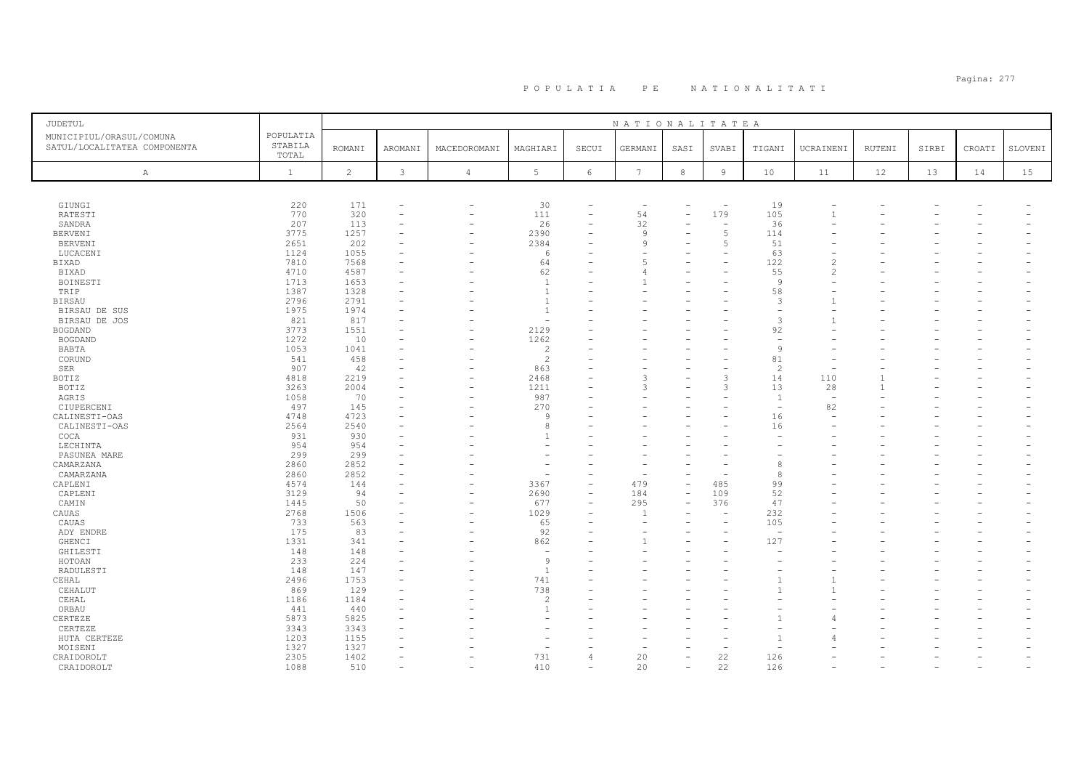## Pagina: 277 P O P U L A T I A P E N A T I O N A L I T A T I

| JUDETUL                                                  |                               |                |                          |                          |                          |                          | NATIONALITATEA  |            |                          |                          |                          |               |       |        |         |
|----------------------------------------------------------|-------------------------------|----------------|--------------------------|--------------------------|--------------------------|--------------------------|-----------------|------------|--------------------------|--------------------------|--------------------------|---------------|-------|--------|---------|
| MUNICIPIUL/ORASUL/COMUNA<br>SATUL/LOCALITATEA COMPONENTA | POPULATIA<br>STABILA<br>TOTAL | <b>ROMANI</b>  | AROMANI                  | MACEDOROMANI             | MAGHIARI                 | SECUI                    | GERMANI         | SASI       | SVABI                    | TIGANI                   | UCRAINENI                | <b>RUTENI</b> | SIRBI | CROATI | SLOVENI |
| $\mathbb{A}$                                             | $\mathbf{1}$                  | $\overline{c}$ | $\mathbf{3}$             | $\sqrt{4}$               | $5\phantom{.0}$          | $\epsilon$               | $7\phantom{.0}$ | $^{\rm 8}$ | $\,9$                    | 10                       | 11                       | 12            | 13    | 14     | 15      |
|                                                          |                               |                |                          |                          |                          |                          |                 |            |                          |                          |                          |               |       |        |         |
| GIUNGI                                                   | 220                           | 171            | $\overline{\phantom{m}}$ | $\overline{\phantom{0}}$ | 30                       |                          |                 |            | $\overline{\phantom{a}}$ | 19                       |                          |               |       |        |         |
| RATESTI                                                  | 770                           | 320            |                          | $\overline{\phantom{0}}$ | 111                      | $\overline{\phantom{0}}$ | 54              |            | 179                      | 105                      | $\overline{1}$           |               |       |        |         |
| SANDRA                                                   | 207                           | 113            |                          | $\overline{\phantom{0}}$ | 26                       |                          | 32              |            |                          | 36                       |                          |               |       |        |         |
| <b>BERVENI</b>                                           | 3775                          | 1257           |                          | $\overline{\phantom{0}}$ | 2390                     |                          | 9               |            | $\overline{5}$           | 114                      |                          |               |       |        |         |
| <b>BERVENI</b>                                           | 2651                          | 202            |                          |                          | 2384                     |                          | 9               |            | $\overline{5}$           | 51                       |                          |               |       |        |         |
| LUCACENI                                                 | 1124                          | 1055           |                          |                          | -6                       |                          |                 |            |                          | 63                       |                          |               |       |        |         |
| BIXAD                                                    | 7810                          | 7568           |                          |                          | 64                       |                          |                 |            |                          | 122                      | $\overline{c}$           |               |       |        |         |
| BIXAD                                                    | 4710                          | 4587           |                          |                          | 62                       |                          |                 |            |                          | 55                       | 2                        |               |       |        |         |
| BOINESTI                                                 | 1713                          | 1653           |                          |                          | $\overline{1}$           |                          |                 |            |                          | $\overline{9}$           |                          |               |       |        |         |
| TRIP                                                     | 1387                          | 1328           |                          |                          | $\overline{1}$           |                          |                 |            |                          | 58                       |                          |               |       |        |         |
| <b>BIRSAU</b>                                            | 2796                          | 2791           |                          |                          | $\overline{1}$           |                          |                 |            |                          | 3                        |                          |               |       |        |         |
| BIRSAU DE SUS                                            | 1975                          | 1974           |                          |                          | $\overline{1}$           |                          |                 |            |                          |                          |                          |               |       |        |         |
| BIRSAU DE JOS                                            | 821                           | 817            |                          |                          | $\overline{\phantom{a}}$ |                          |                 |            |                          | 3                        |                          |               |       |        |         |
| <b>BOGDAND</b>                                           | 3773                          | 1551           |                          |                          | 2129                     |                          |                 |            |                          | 92                       |                          |               |       |        |         |
| <b>BOGDAND</b>                                           | 1272                          | 10             |                          |                          | 1262                     |                          |                 |            |                          | $\overline{\phantom{a}}$ |                          |               |       |        |         |
| BABTA                                                    | 1053                          | 1041           |                          |                          | $\overline{c}$           |                          |                 |            |                          | 9                        |                          |               |       |        |         |
| CORUND                                                   | 541                           | 458            |                          |                          | $\overline{c}$           |                          |                 |            |                          | 81                       |                          |               |       |        |         |
| SER                                                      | 907                           | 42             |                          |                          | 863                      |                          |                 |            |                          | $\overline{c}$           |                          |               |       |        |         |
| BOTIZ                                                    | 4818                          | 2219           |                          |                          | 2468                     |                          | 3               |            | $\mathcal{R}$            | 14                       | 110                      |               |       |        |         |
| BOTIZ                                                    | 3263                          | 2004           |                          |                          | 1211                     |                          | 3               |            | 3                        | 13                       | 28                       |               |       |        |         |
| AGRIS                                                    | 1058                          | 70             |                          | -                        | 987                      |                          |                 |            |                          | $\overline{1}$           | $\overline{\phantom{a}}$ |               |       |        |         |
| CIUPERCENI                                               | 497                           | 145            |                          |                          | 270                      |                          |                 |            |                          | $\overline{\phantom{a}}$ | 82                       |               |       |        |         |
| CALINESTI-OAS                                            | 4748                          | 4723           |                          |                          | 9                        |                          |                 |            |                          | 16                       |                          |               |       |        |         |
| CALINESTI-OAS                                            | 2564                          | 2540           |                          |                          | 8                        |                          |                 |            |                          | 16                       |                          |               |       |        |         |
| COCA                                                     | 931                           | 930            |                          |                          | -1                       |                          |                 |            |                          |                          |                          |               |       |        |         |
| LECHINTA                                                 | 954                           | 954            |                          |                          | ÷                        |                          |                 |            |                          |                          |                          |               |       |        |         |
| PASUNEA MARE                                             | 299                           | 299            |                          |                          |                          |                          |                 |            |                          |                          |                          |               |       |        |         |
| CAMARZANA                                                | 2860                          | 2852           |                          |                          |                          |                          |                 |            |                          | 8                        |                          |               |       |        |         |
| CAMARZANA                                                | 2860                          | 2852           |                          |                          |                          |                          |                 |            |                          | -8                       |                          |               |       |        |         |
| CAPLENI                                                  | 4574                          | 144            |                          |                          | 3367                     |                          | 479             |            | 485                      | 99                       |                          |               |       |        |         |
| CAPLENI                                                  | 3129                          | 94             |                          |                          | 2690                     | $\equiv$                 | 184             |            | 109                      | 52                       |                          |               |       |        |         |
| CAMIN                                                    | 1445                          | 50             |                          | -                        | 677                      | $\overline{\phantom{0}}$ | 295             |            | 376                      | 47                       |                          |               |       |        |         |
| CAUAS                                                    | 2768                          | 1506           |                          |                          | 1029                     |                          |                 |            |                          | 232                      |                          |               |       |        |         |
| CAUAS                                                    | 733                           | 563            |                          |                          | 65                       |                          |                 |            |                          | 105                      |                          |               |       |        |         |
| ADY ENDRE                                                | 175                           | 83             |                          |                          | 92                       |                          |                 |            |                          | $\overline{\phantom{0}}$ |                          |               |       |        |         |
| GHENCI                                                   | 1331                          | 341            |                          |                          | 862                      |                          |                 |            |                          | 127                      |                          |               |       |        |         |
| GHILESTI                                                 | 148                           | 148            |                          |                          | $\overline{\phantom{a}}$ |                          |                 |            |                          |                          |                          |               |       |        |         |
|                                                          | 233                           | 224            |                          |                          | 9                        |                          |                 |            |                          |                          |                          |               |       |        |         |
| HOTOAN<br>RADULESTI                                      | 148                           | 147            |                          |                          | $\overline{1}$           |                          |                 |            |                          |                          |                          |               |       |        |         |
|                                                          | 2496                          | 1753           |                          |                          | 741                      |                          |                 |            |                          |                          |                          |               |       |        |         |
| CEHAL                                                    |                               |                |                          |                          |                          |                          |                 |            |                          |                          |                          |               |       |        |         |
| CEHALUT                                                  | 869                           | 129            |                          |                          | 738                      |                          |                 |            |                          |                          |                          |               |       |        |         |
| CEHAL                                                    | 1186                          | 1184           |                          |                          | $\overline{2}$           |                          |                 |            |                          |                          |                          |               |       |        |         |
| ORBAU                                                    | 441                           | 440            |                          |                          | $\overline{1}$           |                          |                 |            |                          |                          |                          |               |       |        |         |
| CERTEZE                                                  | 5873                          | 5825           |                          |                          | ۰                        |                          |                 |            |                          |                          |                          |               |       |        |         |
| CERTEZE                                                  | 3343                          | 3343           |                          |                          |                          |                          |                 |            |                          |                          |                          |               |       |        |         |
| HUTA CERTEZE                                             | 1203                          | 1155           |                          |                          |                          |                          |                 |            |                          | $\mathbf{1}$             |                          |               |       |        |         |
| MOISENI                                                  | 1327                          | 1327           |                          |                          | ٠                        |                          |                 |            |                          |                          |                          |               |       |        |         |
| CRAIDOROLT                                               | 2305                          | 1402           | $\equiv$                 |                          | 731                      |                          | 20              |            | 22                       | 126                      |                          |               |       |        |         |
| CRAIDOROLT                                               | 1088                          | 510            |                          |                          | 410                      |                          | 20              |            | 22                       | 126                      |                          |               |       |        |         |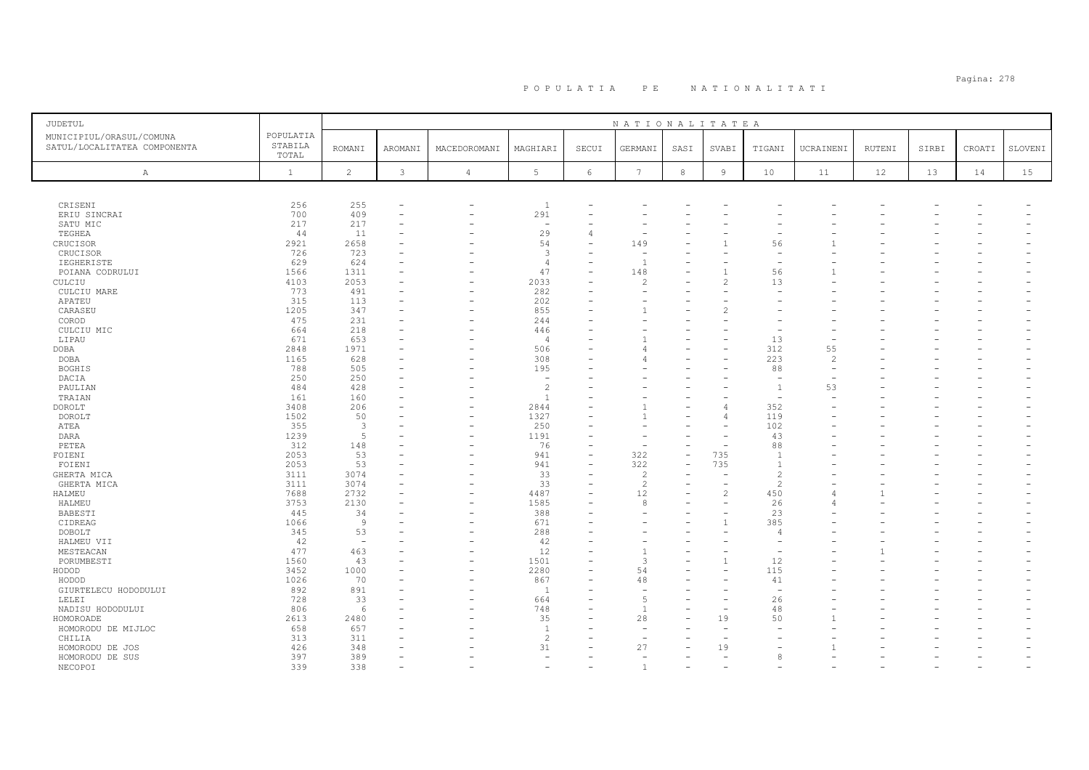# Pagina: 278 P O P U L A T I A P E N A T I O N A L I T A T I

| JUDETUL                                                  |                               |                          |                          |                          |                          |            | NATIONALITATEA  |            |                |                          |                |        |       |                          |         |
|----------------------------------------------------------|-------------------------------|--------------------------|--------------------------|--------------------------|--------------------------|------------|-----------------|------------|----------------|--------------------------|----------------|--------|-------|--------------------------|---------|
| MUNICIPIUL/ORASUL/COMUNA<br>SATUL/LOCALITATEA COMPONENTA | POPULATIA<br>STABILA<br>TOTAL | <b>ROMANI</b>            | AROMANI                  | MACEDOROMANI             | MAGHIARI                 | SECUI      | GERMANI         | SASI       | SVABI          | TIGANI                   | UCRAINENI      | RUTENI | SIRBI | CROATI                   | SLOVENI |
| Α                                                        | $\mathbf{1}$                  | $\overline{c}$           | 3                        | $\overline{4}$           | 5                        | $\epsilon$ | $7\phantom{.0}$ | $^{\rm 8}$ | $\overline{9}$ | 10                       | 11             | 12     | 13    | 14                       | 15      |
|                                                          |                               |                          |                          |                          |                          |            |                 |            |                |                          |                |        |       |                          |         |
| CRISENI                                                  | 256                           | 255                      | $\overline{\phantom{0}}$ |                          | $\mathbf{1}$             |            |                 |            |                |                          |                |        |       |                          |         |
| ERIU SINCRAI                                             | 700                           | 409                      |                          |                          | 291                      |            |                 |            |                |                          |                |        |       |                          |         |
| SATU MIC                                                 | 217                           | 217                      | ۰                        |                          | $\overline{\phantom{a}}$ |            |                 |            |                |                          |                |        |       |                          |         |
| TEGHEA<br>CRUCISOR                                       | 44<br>2921                    | 11<br>2658               |                          |                          | 29<br>54                 | 4          | 149             |            |                | 56                       |                |        |       |                          |         |
| CRUCISOR                                                 | 726                           | 723                      | ÷                        |                          | $\overline{3}$           |            |                 |            |                |                          |                |        |       |                          |         |
| IEGHERISTE                                               | 629                           | 624                      |                          |                          | $\overline{4}$           |            |                 |            |                |                          |                |        |       |                          |         |
| POIANA CODRULUI                                          | 1566                          | 1311                     |                          |                          | 47                       |            | 148             |            |                | 56                       |                |        |       |                          |         |
| CULCIU                                                   | 4103                          | 2053                     |                          |                          | 2033                     |            |                 |            |                | 13                       |                |        |       |                          |         |
| CULCIU MARE                                              | 773                           | 491                      |                          | $\equiv$                 | 282                      |            |                 |            |                |                          |                |        |       |                          |         |
| APATEU                                                   | 315                           | 113                      |                          |                          | 202                      |            |                 |            |                |                          |                |        |       |                          |         |
| CARASEU                                                  | 1205                          | 347                      |                          |                          | 855                      |            |                 |            | $\mathcal{L}$  |                          |                |        |       |                          |         |
| COROD                                                    | 475                           | 231                      |                          |                          | 244                      |            |                 |            |                |                          |                |        |       |                          |         |
| CULCIU MIC                                               | 664                           | 218                      |                          |                          | 446                      |            |                 |            |                |                          |                |        |       |                          |         |
| LIPAU<br>DOBA                                            | 671<br>2848                   | 653<br>1971              |                          |                          | $\overline{4}$<br>506    |            |                 |            |                | 13<br>312                | 55             |        |       |                          |         |
| DOBA                                                     | 1165                          | 628                      |                          |                          | 308                      |            |                 |            |                | 223                      | $\overline{c}$ |        |       |                          |         |
| <b>BOGHIS</b>                                            | 788                           | 505                      |                          |                          | 195                      |            |                 |            |                | 88                       |                |        |       |                          |         |
| DACIA                                                    | 250                           | 250                      |                          |                          | ۰                        |            |                 |            |                | $\overline{\phantom{a}}$ |                |        |       |                          |         |
| PAULIAN                                                  | 484                           | 428                      |                          |                          | $\overline{c}$           |            |                 |            |                | $\overline{1}$           | 53             |        |       |                          |         |
| TRAIAN                                                   | 161                           | 160                      |                          |                          | $\overline{1}$           |            |                 |            |                | $\overline{\phantom{a}}$ |                |        |       |                          |         |
| <b>DOROLT</b>                                            | 3408                          | 206                      |                          |                          | 2844                     |            |                 |            |                | 352                      |                |        |       |                          |         |
| DOROLT                                                   | 1502                          | 50                       |                          | $\equiv$                 | 1327                     |            |                 |            |                | 119                      |                |        |       |                          |         |
| ATEA                                                     | 355                           | $\overline{\mathbf{3}}$  |                          |                          | 250                      |            |                 |            |                | 102                      |                |        |       |                          |         |
| DARA                                                     | 1239                          | .5                       |                          |                          | 1191                     |            |                 |            |                | 43                       |                |        |       |                          |         |
| PETEA                                                    | 312                           | 148                      |                          |                          | 76                       |            |                 |            |                | 88                       |                |        |       |                          |         |
| FOIENI                                                   | 2053                          | 53                       |                          |                          | 941                      |            | 322             |            | 735            | $\overline{1}$           |                |        |       |                          |         |
| FOIENI                                                   | 2053                          | 53                       |                          |                          | 941                      |            | 322             |            | 735            | $\overline{1}$           |                |        |       |                          |         |
| GHERTA MICA                                              | 3111                          | 3074                     |                          |                          | 33                       |            | $\mathcal{L}$   |            |                | $\overline{2}$           |                |        |       |                          |         |
| GHERTA MICA                                              | 3111                          | 3074                     | ۰                        |                          | 33                       |            | $\overline{c}$  |            |                | $\overline{c}$           |                |        |       |                          |         |
| HALMEU                                                   | 7688<br>3753                  | 2732                     |                          |                          | 4487<br>1585             |            | 12<br>8         |            | $\mathcal{L}$  | 450                      | $\angle$       |        |       |                          |         |
| HALMEU<br>BABESTI                                        | 445                           | 2130<br>34               |                          | $\overline{\phantom{0}}$ | 388                      |            |                 |            |                | 26<br>23                 | $\angle$       |        |       |                          |         |
| CIDREAG                                                  | 1066                          | $\overline{9}$           |                          |                          | 671                      |            |                 |            | $\overline{1}$ | 385                      |                |        |       |                          |         |
| DOBOLT                                                   | 345                           | 53                       |                          |                          | 288                      |            |                 |            |                | $\overline{4}$           |                |        |       |                          |         |
| HALMEU VII                                               | 42                            | $\overline{\phantom{a}}$ |                          |                          | 42                       |            |                 |            |                |                          |                |        |       |                          |         |
| MESTEACAN                                                | 477                           | 463                      |                          |                          | 12                       |            |                 |            |                |                          |                |        |       |                          |         |
| PORUMBESTI                                               | 1560                          | 43                       |                          |                          | 1501                     |            | $\mathcal{L}$   |            | $\overline{1}$ | 12                       |                |        |       |                          |         |
| HODOD                                                    | 3452                          | 1000                     |                          |                          | 2280                     |            | 54              |            |                | 115                      |                |        |       |                          |         |
| HODOD                                                    | 1026                          | 70                       |                          |                          | 867                      |            | 48              |            |                | 41                       |                |        |       |                          |         |
| GIURTELECU HODODULUI                                     | 892                           | 891                      |                          |                          | 1                        |            |                 |            |                |                          |                |        |       |                          |         |
| LELEI                                                    | 728                           | 33                       |                          |                          | 664                      |            |                 |            |                | 26                       |                |        |       |                          |         |
| NADISU HODODULUI                                         | 806                           | 6                        |                          |                          | 748                      |            |                 |            |                | 48                       |                |        |       |                          |         |
| HOMOROADE                                                | 2613                          | 2480                     |                          |                          | 35                       |            | 28              |            | 19             | 50                       |                |        |       |                          |         |
| HOMORODU DE MIJLOC                                       | 658                           | 657                      |                          |                          | <sup>1</sup>             |            |                 |            |                |                          |                |        |       |                          |         |
| CHILIA                                                   | 313                           | 311                      |                          |                          | $\overline{c}$           |            |                 |            |                |                          |                |        |       |                          |         |
| HOMORODU DE JOS                                          | 426                           | 348                      |                          |                          | 31                       |            | 27              |            | 19             |                          |                |        |       |                          |         |
| HOMORODU DE SUS                                          | 397                           | 389                      |                          |                          | ۰                        |            |                 |            |                | 8                        |                |        |       |                          |         |
| NECOPOI                                                  | 339                           | 338                      | $\overline{\phantom{0}}$ |                          | ۰                        |            |                 |            |                |                          |                |        |       | $\overline{\phantom{a}}$ |         |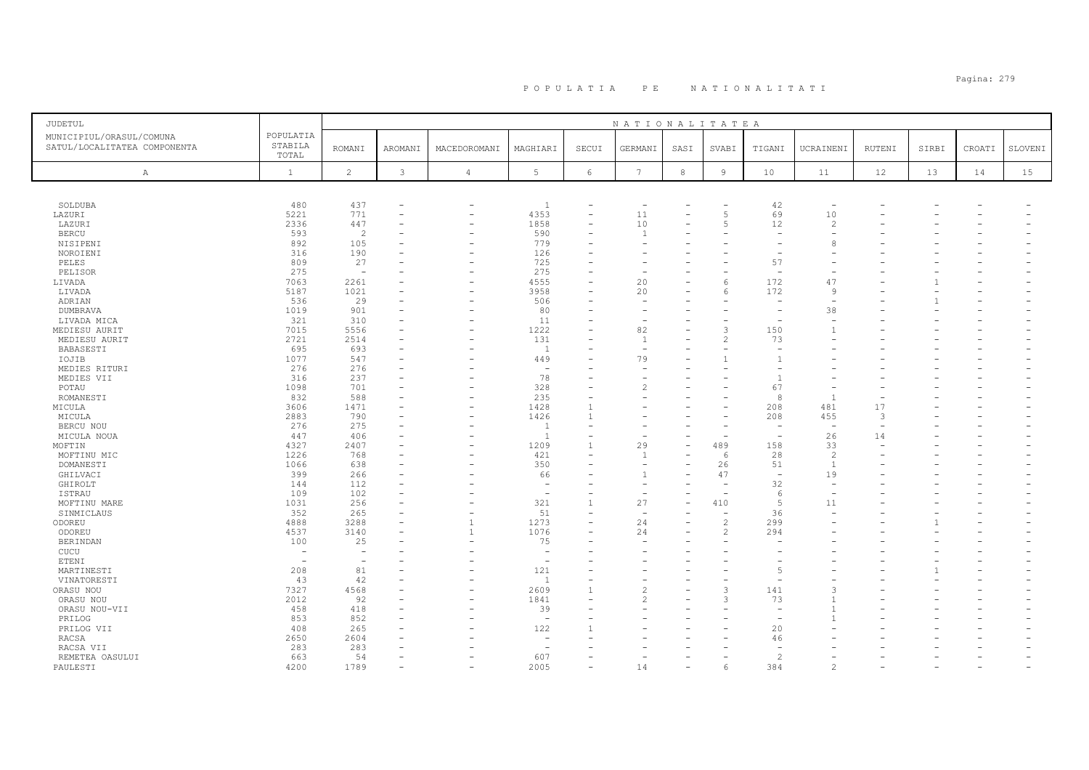# Pagina: 279 P O P U L A T I A P E N A T I O N A L I T A T I

| JUDETUL                                                  |                               |                          |                          |                          |                          |            | NATIONALITATEA           |            |                |                          |                                                                                                                                                                                                                                                                                                                                                                                                                            |                          |       |        |         |
|----------------------------------------------------------|-------------------------------|--------------------------|--------------------------|--------------------------|--------------------------|------------|--------------------------|------------|----------------|--------------------------|----------------------------------------------------------------------------------------------------------------------------------------------------------------------------------------------------------------------------------------------------------------------------------------------------------------------------------------------------------------------------------------------------------------------------|--------------------------|-------|--------|---------|
| MUNICIPIUL/ORASUL/COMUNA<br>SATUL/LOCALITATEA COMPONENTA | POPULATIA<br>STABILA<br>TOTAL | <b>ROMANI</b>            | AROMANI                  | MACEDOROMANI             | MAGHIARI                 | SECUI      | GERMANI                  | SASI       | SVABI          | TIGANI                   | UCRAINENI                                                                                                                                                                                                                                                                                                                                                                                                                  | <b>RUTENI</b>            | SIRBI | CROATI | SLOVENI |
| A                                                        | $\mathbf{1}$                  | $\overline{c}$           | 3                        | $\overline{4}$           | $5\phantom{.0}$          | $\epsilon$ | $7\phantom{.0}$          | $^{\rm 8}$ | $\overline{9}$ | 10                       | 11                                                                                                                                                                                                                                                                                                                                                                                                                         | 12                       | 13    | 14     | 15      |
|                                                          |                               |                          |                          |                          |                          |            |                          |            |                |                          |                                                                                                                                                                                                                                                                                                                                                                                                                            |                          |       |        |         |
| SOLDUBA                                                  | 480                           | 437                      | ۰                        | $\overline{\phantom{0}}$ | $\overline{1}$           |            | $\overline{\phantom{a}}$ |            |                | 42                       | ÷                                                                                                                                                                                                                                                                                                                                                                                                                          |                          |       |        |         |
| LAZURI                                                   | 5221                          | 771                      |                          | $\overline{\phantom{0}}$ | 4353                     | ۳          | 11                       |            | $\overline{5}$ | 69                       | 10                                                                                                                                                                                                                                                                                                                                                                                                                         |                          |       |        |         |
| LAZURI                                                   | 2336                          | 447                      |                          |                          | 1858                     |            | 10                       |            |                | 12                       | $\overline{c}$                                                                                                                                                                                                                                                                                                                                                                                                             |                          |       |        |         |
| <b>BERCU</b>                                             | 593                           | $\overline{2}$           |                          | $\overline{\phantom{0}}$ | 590                      |            |                          |            |                |                          |                                                                                                                                                                                                                                                                                                                                                                                                                            |                          |       |        |         |
| NISIPENI                                                 | 892                           | 105                      |                          |                          | 779                      |            |                          |            |                |                          | ε                                                                                                                                                                                                                                                                                                                                                                                                                          |                          |       |        |         |
| NOROIENI                                                 | 316                           | 190                      |                          |                          | 126                      |            |                          |            |                |                          |                                                                                                                                                                                                                                                                                                                                                                                                                            |                          |       |        |         |
| PELES                                                    | 809                           | 27                       |                          | L.                       | 725                      |            |                          |            |                | 57                       |                                                                                                                                                                                                                                                                                                                                                                                                                            |                          |       |        |         |
| PELISOR                                                  | 275                           | $\overline{\phantom{a}}$ |                          |                          | 275                      |            |                          |            |                | $\overline{\phantom{a}}$ |                                                                                                                                                                                                                                                                                                                                                                                                                            |                          |       |        |         |
| LIVADA                                                   | 7063                          | 2261                     |                          |                          | 4555                     |            | 20                       |            | 6              | 172                      | 47                                                                                                                                                                                                                                                                                                                                                                                                                         |                          |       |        |         |
| LIVADA                                                   | 5187                          | 1021                     |                          | $\overline{\phantom{0}}$ | 3958                     |            | 20                       |            | $\kappa$       | 172                      | <sup>9</sup>                                                                                                                                                                                                                                                                                                                                                                                                               |                          |       |        |         |
| ADRIAN                                                   | 536                           | 29                       |                          | $\overline{\phantom{0}}$ | 506                      |            |                          |            |                |                          |                                                                                                                                                                                                                                                                                                                                                                                                                            |                          |       |        |         |
| <b>DUMBRAVA</b>                                          | 1019                          | 901                      |                          |                          | 80                       |            |                          |            |                |                          | 38                                                                                                                                                                                                                                                                                                                                                                                                                         |                          |       |        |         |
| LIVADA MICA                                              | 321                           | 310                      |                          |                          | 11                       |            |                          |            |                |                          |                                                                                                                                                                                                                                                                                                                                                                                                                            |                          |       |        |         |
| MEDIESU AURIT                                            | 7015                          | 5556                     |                          |                          | 1222                     |            | 82                       |            | 3              | 150                      | $\overline{1}$                                                                                                                                                                                                                                                                                                                                                                                                             |                          |       |        |         |
| MEDIESU AURIT                                            | 2721                          | 2514                     |                          |                          | 131                      |            |                          |            | $\mathcal{L}$  | 73                       |                                                                                                                                                                                                                                                                                                                                                                                                                            |                          |       |        |         |
| BABASESTI                                                | 695                           | 693                      |                          |                          | - 1                      |            |                          |            |                |                          |                                                                                                                                                                                                                                                                                                                                                                                                                            |                          |       |        |         |
| IOJIB                                                    | 1077                          | 547                      |                          |                          | 449                      |            | 79                       |            |                |                          |                                                                                                                                                                                                                                                                                                                                                                                                                            |                          |       |        |         |
| MEDIES RITURI                                            | 276                           | 276                      |                          |                          | $\sim$                   |            |                          |            |                |                          |                                                                                                                                                                                                                                                                                                                                                                                                                            |                          |       |        |         |
| MEDIES VII                                               | 316                           | 237                      |                          |                          | 78                       |            |                          |            |                | $\overline{1}$           |                                                                                                                                                                                                                                                                                                                                                                                                                            |                          |       |        |         |
| POTAU                                                    | 1098                          | 701                      |                          |                          | 328                      |            | 2                        |            |                | 67                       |                                                                                                                                                                                                                                                                                                                                                                                                                            |                          |       |        |         |
| ROMANESTI                                                | 832                           | 588                      |                          |                          | 235                      |            |                          |            |                | 8                        | $\overline{1}$                                                                                                                                                                                                                                                                                                                                                                                                             |                          |       |        |         |
| MICULA                                                   | 3606                          | 1471                     |                          |                          | 1428                     |            |                          |            |                | 208                      | 481                                                                                                                                                                                                                                                                                                                                                                                                                        | 17                       |       |        |         |
| MICULA                                                   | 2883                          | 790                      |                          |                          | 1426                     |            |                          |            |                | 208                      | 455                                                                                                                                                                                                                                                                                                                                                                                                                        | 3                        |       |        |         |
| BERCU NOU                                                | 276                           | 275                      |                          |                          | <sup>1</sup>             | ۳          |                          |            |                |                          | ٠                                                                                                                                                                                                                                                                                                                                                                                                                          | $\overline{\phantom{0}}$ |       |        |         |
| MICULA NOUA                                              | 447                           | 406                      |                          |                          | -1                       |            |                          |            |                | $\overline{\phantom{a}}$ | 26                                                                                                                                                                                                                                                                                                                                                                                                                         | 14                       |       |        |         |
| MOFTIN                                                   | 4327                          | 2407                     | $\overline{\phantom{0}}$ |                          | 1209                     |            | 29                       |            | 489            | 158                      | 33                                                                                                                                                                                                                                                                                                                                                                                                                         |                          |       |        |         |
| MOFTINU MIC                                              | 1226                          | 768                      |                          |                          | 421                      |            |                          |            | -6             | 28                       | $\overline{c}$                                                                                                                                                                                                                                                                                                                                                                                                             |                          |       |        |         |
| DOMANESTI                                                | 1066                          | 638                      |                          |                          | 350                      |            |                          |            | 26             | 51                       | $\overline{1}$                                                                                                                                                                                                                                                                                                                                                                                                             |                          |       |        |         |
|                                                          | 399                           | 266                      |                          |                          | 66                       |            |                          |            | 47             | ÷,                       | 19                                                                                                                                                                                                                                                                                                                                                                                                                         |                          |       |        |         |
| GHILVACI                                                 | 144                           | 112                      |                          |                          | $\overline{\phantom{a}}$ |            |                          |            |                | 32                       |                                                                                                                                                                                                                                                                                                                                                                                                                            |                          |       |        |         |
| GHIROLT                                                  | 109                           | 102                      |                          |                          | $\overline{\phantom{a}}$ |            |                          |            |                | -6                       |                                                                                                                                                                                                                                                                                                                                                                                                                            |                          |       |        |         |
| ISTRAU                                                   | 1031                          | 256                      |                          |                          | 321                      |            | 27                       |            | 410            | $\overline{5}$           | 11                                                                                                                                                                                                                                                                                                                                                                                                                         |                          |       |        |         |
| MOFTINU MARE                                             | 352                           | 265                      |                          |                          | 51                       |            |                          |            |                | 36                       |                                                                                                                                                                                                                                                                                                                                                                                                                            |                          |       |        |         |
| SINMICLAUS                                               | 4888                          | 3288                     |                          | 1                        | 1273                     |            | 24                       |            | $\overline{c}$ | 299                      |                                                                                                                                                                                                                                                                                                                                                                                                                            |                          |       |        |         |
| ODOREU                                                   |                               |                          |                          | $\overline{1}$           |                          |            |                          |            | $\mathcal{P}$  |                          |                                                                                                                                                                                                                                                                                                                                                                                                                            |                          |       |        |         |
| ODOREU                                                   | 4537                          | 3140                     |                          |                          | 1076                     |            | 24                       |            |                | 294                      |                                                                                                                                                                                                                                                                                                                                                                                                                            |                          |       |        |         |
| <b>BERINDAN</b>                                          | 100                           | 25                       |                          |                          | 75                       |            |                          |            |                |                          |                                                                                                                                                                                                                                                                                                                                                                                                                            |                          |       |        |         |
| CUCU                                                     | $\overline{\phantom{a}}$      | $\overline{\phantom{a}}$ |                          |                          | $\overline{\phantom{a}}$ |            |                          |            |                |                          |                                                                                                                                                                                                                                                                                                                                                                                                                            |                          |       |        |         |
| ETENI                                                    |                               |                          |                          |                          | $\sim$                   | L.         |                          |            |                |                          |                                                                                                                                                                                                                                                                                                                                                                                                                            |                          |       |        |         |
| MARTINESTI                                               | 208                           | 81                       |                          |                          | 121                      |            |                          |            |                | $\overline{5}$           |                                                                                                                                                                                                                                                                                                                                                                                                                            |                          |       |        |         |
| VINATORESTI                                              | 43                            | 42                       |                          |                          | $\overline{1}$           |            |                          |            |                |                          |                                                                                                                                                                                                                                                                                                                                                                                                                            |                          |       |        |         |
| ORASU NOU                                                | 7327                          | 4568                     |                          |                          | 2609                     |            | $\overline{\mathcal{L}}$ |            | 3              | 141                      | ß                                                                                                                                                                                                                                                                                                                                                                                                                          |                          |       |        |         |
| ORASU NOU                                                | 2012                          | 92                       |                          |                          | 1841                     |            |                          |            | 3              | 73                       |                                                                                                                                                                                                                                                                                                                                                                                                                            |                          |       |        |         |
| ORASU NOU-VII                                            | 458                           | 418                      |                          |                          | 39                       |            |                          |            |                |                          |                                                                                                                                                                                                                                                                                                                                                                                                                            |                          |       |        |         |
| PRILOG                                                   | 853                           | 852                      |                          |                          | $\overline{\phantom{a}}$ |            |                          |            |                |                          |                                                                                                                                                                                                                                                                                                                                                                                                                            |                          |       |        |         |
| PRILOG VII                                               | 408                           | 265                      |                          |                          | 122                      |            |                          |            |                | 20                       |                                                                                                                                                                                                                                                                                                                                                                                                                            |                          |       |        |         |
| RACSA                                                    | 2650                          | 2604                     |                          |                          |                          |            |                          |            |                | 46                       |                                                                                                                                                                                                                                                                                                                                                                                                                            |                          |       |        |         |
| RACSA VII                                                | 283                           | 283                      |                          |                          | <u>.</u>                 |            |                          |            |                |                          |                                                                                                                                                                                                                                                                                                                                                                                                                            |                          |       |        |         |
| REMETEA OASULUI                                          | 663                           | 54                       |                          |                          | 607                      |            |                          |            |                | $\overline{\mathcal{L}}$ |                                                                                                                                                                                                                                                                                                                                                                                                                            |                          |       |        |         |
| PAULESTI                                                 | 4200                          | 1789                     |                          |                          | 2005                     |            | 14                       |            | 6              | 384                      | $\mathfrak{D}_{1}^{2}(\mathfrak{D}_{1})=\mathfrak{D}_{2}^{2}(\mathfrak{D}_{2})=\mathfrak{D}_{2}^{2}(\mathfrak{D}_{1})=\mathfrak{D}_{2}^{2}(\mathfrak{D}_{2})=\mathfrak{D}_{2}^{2}(\mathfrak{D}_{1})=\mathfrak{D}_{2}^{2}(\mathfrak{D}_{1})=\mathfrak{D}_{2}^{2}(\mathfrak{D}_{1})=\mathfrak{D}_{2}^{2}(\mathfrak{D}_{2})=\mathfrak{D}_{2}^{2}(\mathfrak{D}_{1})=\mathfrak{D}_{2}^{2}(\mathfrak{D}_{1})=\mathfrak{D}_{2}^{$ |                          |       |        |         |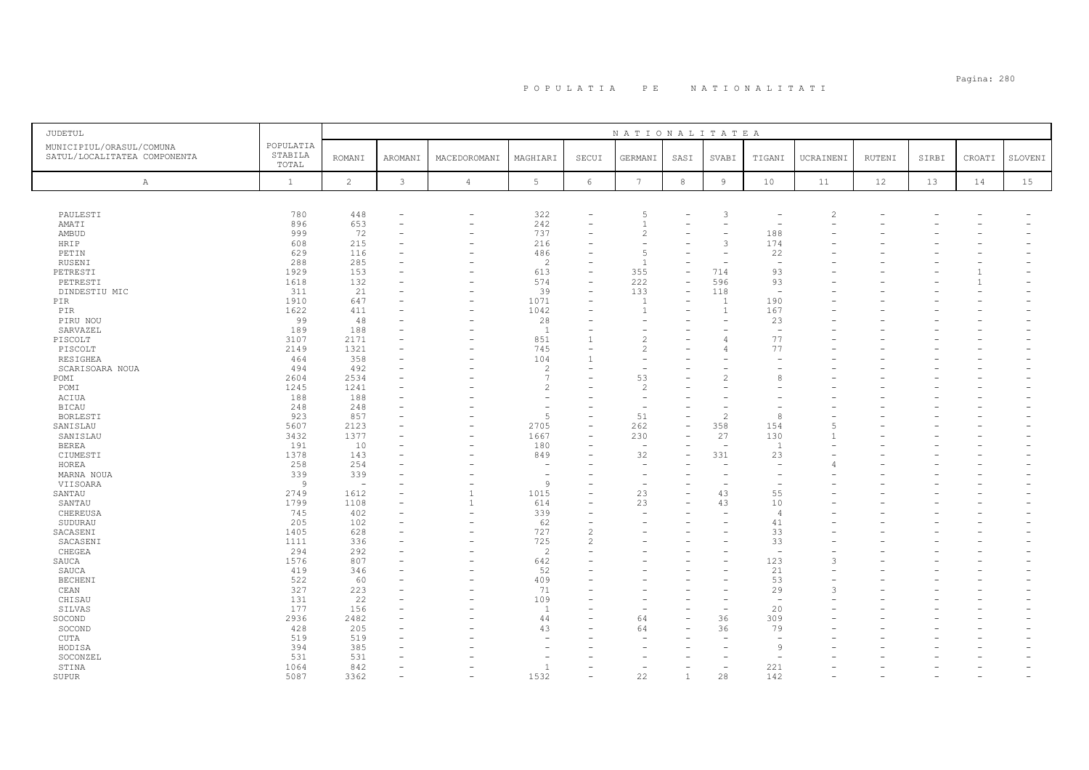# Pagina: 280 P O P U L A T I A P E N A T I O N A L I T A T I

| <b>JUDETUL</b>                                           |                               |               |         |                          |                          |                          | NATIONALITATEA           |                          |                          |                                |               |        |       |                |         |
|----------------------------------------------------------|-------------------------------|---------------|---------|--------------------------|--------------------------|--------------------------|--------------------------|--------------------------|--------------------------|--------------------------------|---------------|--------|-------|----------------|---------|
| MUNICIPIUL/ORASUL/COMUNA<br>SATUL/LOCALITATEA COMPONENTA | POPULATIA<br>STABILA<br>TOTAL | <b>ROMANI</b> | AROMANI | MACEDOROMANI             | MAGHIARI                 | SECUI                    | GERMANI                  | SASI                     | SVABI                    | TIGANI                         | UCRAINENI     | RUTENI | SIRBI | CROATI         | SLOVENI |
| Α                                                        | 1                             | $\mathbf{2}$  | 3       | $\overline{4}$           | 5                        | 6                        | 7                        | 8                        | 9                        | 10                             | 11            | 12     | 13    | 14             | 15      |
|                                                          |                               |               |         |                          |                          |                          |                          |                          |                          |                                |               |        |       |                |         |
| PAULESTI                                                 | 780                           | 448           |         | $\sim$                   | 322                      | $\equiv$                 | 5                        |                          | 3                        |                                | $\mathcal{L}$ |        |       |                |         |
| AMATI                                                    | 896                           | 653           |         | $\overline{\phantom{0}}$ | 242                      |                          |                          |                          | $\equiv$                 |                                |               |        |       |                |         |
| AMBUD                                                    | 999                           | 72            |         |                          | 737                      | $\equiv$                 | $\overline{2}$           |                          | $\equiv$                 | 188                            |               |        |       |                |         |
| HRIP                                                     | 608                           | 215           |         | $\overline{\phantom{a}}$ | 216                      |                          |                          |                          | 3                        | 174                            |               |        |       |                |         |
| PETIN                                                    | 629                           | 116           |         |                          | 486                      | $\equiv$                 | 5                        |                          | $\equiv$                 | 22                             |               |        |       |                |         |
| RUSENI                                                   | 288                           | 285           |         |                          | $\overline{2}$           | $\equiv$                 |                          |                          |                          | $\overline{\phantom{0}}$       |               |        |       |                |         |
| PETRESTI                                                 | 1929                          | 153           |         |                          | 613                      | $\overline{\phantom{0}}$ | 355                      | $\overline{\phantom{m}}$ | 714                      | 93                             |               |        |       |                |         |
| PETRESTI                                                 | 1618                          | 132           |         |                          | 574                      | ÷,                       | 222                      |                          | 596                      | 93                             |               |        |       | $\overline{1}$ |         |
| DINDESTIU MIC                                            | 311                           | 21            |         |                          | 39                       | $\overline{\phantom{0}}$ | 133                      |                          | 118                      | $\overline{\phantom{0}}$       |               |        |       |                |         |
| PIR                                                      | 1910                          | 647           |         |                          | 1071                     | $\overline{\phantom{0}}$ | $\mathbf{1}$             |                          |                          | 190                            |               |        |       |                |         |
| PIR                                                      | 1622                          | 411           |         | ٠                        | 1042                     | ۰                        |                          |                          |                          | 167                            |               |        |       |                |         |
| PIRU NOU                                                 | 99                            | 48            |         | $\overline{\phantom{0}}$ | 28                       | ۰                        |                          |                          | -                        | 23                             |               |        |       |                |         |
| SARVAZEL                                                 | 189                           | 188           |         |                          | $\overline{1}$           |                          |                          |                          |                          | $\overline{\phantom{0}}$       |               |        |       |                |         |
| PISCOLT                                                  | 3107                          | 2171          |         |                          | 851                      | 1                        | $\overline{\mathcal{L}}$ |                          | 4                        | 77                             |               |        |       |                |         |
| PISCOLT                                                  | 2149                          | 1321          |         |                          | 745                      | $\equiv$                 | $\overline{\mathcal{L}}$ |                          |                          | 77                             |               |        |       |                |         |
| RESIGHEA                                                 | 464                           | 358           |         |                          | 104                      | $\mathbf{1}$             |                          |                          |                          |                                |               |        |       |                |         |
| SCARISOARA NOUA                                          | 494                           | 492           |         |                          | $\overline{2}$           |                          |                          |                          |                          |                                |               |        |       |                |         |
| POMI                                                     | 2604                          | 2534          |         |                          | $\overline{7}$           |                          | 53                       |                          | $\overline{2}$           | 8                              |               |        |       |                |         |
| POMI                                                     | 1245                          | 1241          |         |                          | $\mathfrak{D}$           |                          | $\overline{c}$           |                          |                          |                                |               |        |       |                |         |
| ACIUA                                                    | 188                           | 188           |         |                          |                          |                          |                          |                          |                          |                                |               |        |       |                |         |
| <b>BICAU</b>                                             | 248                           | 248           |         |                          |                          | ۰                        | ۰                        |                          |                          |                                |               |        |       |                |         |
| BORLESTI                                                 | 923                           | 857           |         |                          | $\overline{5}$           | $\overline{\phantom{0}}$ | 51                       |                          | $\mathfrak{D}$           | $\mathcal{R}$                  |               |        |       |                |         |
| SANISLAU                                                 | 5607                          | 2123          |         |                          | 2705                     | ÷                        | 262                      | $\overline{\phantom{a}}$ | 358                      | 154                            |               |        |       |                |         |
| SANISLAU                                                 | 3432                          | 1377          |         |                          | 1667                     | ÷                        | 230                      |                          | 27                       | 130                            |               |        |       |                |         |
| <b>BEREA</b>                                             | 191                           | 10            |         |                          | 180                      |                          | $\overline{\phantom{a}}$ |                          | $\overline{\phantom{a}}$ | $\overline{1}$                 |               |        |       |                |         |
| CIUMESTI                                                 | 1378                          | 143           |         |                          | 849                      |                          | 32                       |                          | 331                      | 23                             |               |        |       |                |         |
| HOREA                                                    | 258                           | 254           |         |                          |                          |                          |                          |                          |                          |                                |               |        |       |                |         |
| MARNA NOUA                                               | 339                           | 339           |         |                          | $\overline{\phantom{a}}$ |                          | $\overline{\phantom{0}}$ |                          | $\overline{\phantom{0}}$ | $\overline{\phantom{0}}$       |               |        |       |                |         |
| VIISOARA                                                 | $\overline{9}$                | $\sim$        |         |                          | $\overline{9}$           |                          | ÷,                       |                          |                          |                                |               |        |       |                |         |
| SANTAU                                                   | 2749                          | 1612          |         | $\overline{1}$           | 1015                     | $\equiv$                 | 23                       |                          | 43                       | 55                             |               |        |       |                |         |
| SANTAU                                                   | 1799                          | 1108          |         | $\mathbf{1}$             | 614                      |                          | 23<br>÷                  | ÷                        | 43<br>$\equiv$           | 10                             |               |        |       |                |         |
| CHEREUSA                                                 | 745                           | 402           |         | $\rightarrow$            | 339                      | $\equiv$                 |                          |                          |                          | $\overline{4}$                 |               |        |       |                |         |
| SUDURAU                                                  | 205                           | 102           |         |                          | 62                       | $\overline{c}$           |                          |                          |                          | 41                             |               |        |       |                |         |
| SACASENI                                                 | 1405                          | 628           |         |                          | 727                      |                          |                          |                          |                          | 33                             |               |        |       |                |         |
| SACASENI                                                 | 1111                          | 336           |         |                          | 725<br>$\overline{c}$    | $\overline{c}$           |                          |                          |                          | 33<br>$\overline{\phantom{0}}$ |               |        |       |                |         |
| CHEGEA                                                   | 294                           | 292           |         |                          |                          | ÷                        |                          |                          | $\overline{\phantom{0}}$ | 123                            |               |        |       |                |         |
| SAUCA<br>SAUCA                                           | 1576<br>419                   | 807<br>346    |         |                          | 642<br>52                |                          |                          |                          |                          | 21                             |               |        |       |                |         |
| <b>BECHENI</b>                                           | 522                           | 60            |         | $\overline{\phantom{a}}$ | 409                      | $\equiv$                 |                          |                          | $\overline{\phantom{0}}$ | 53                             |               |        |       |                |         |
| CEAN                                                     | 327                           | 223           |         |                          | 71                       |                          |                          |                          |                          | 29                             |               |        |       |                |         |
|                                                          | 131                           | 22            |         |                          | 109                      |                          |                          |                          |                          | $\overline{\phantom{a}}$       |               |        |       |                |         |
| CHISAU<br>SILVAS                                         | 177                           | 156           |         |                          | $\overline{1}$           |                          |                          |                          |                          | 20                             |               |        |       |                |         |
| SOCOND                                                   | 2936                          | 2482          |         |                          | 44                       | $\overline{\phantom{0}}$ | 64                       |                          | 36                       | 309                            |               |        |       |                |         |
| SOCOND                                                   | 428                           | 205           |         |                          | 43                       |                          | 64                       |                          | 36                       | 79                             |               |        |       |                |         |
| CUTA                                                     | 519                           | 519           |         |                          |                          |                          |                          |                          |                          |                                |               |        |       |                |         |
| HODISA                                                   | 394                           | 385           |         |                          |                          |                          |                          |                          |                          | $\mathsf{Q}$                   |               |        |       |                |         |
| SOCONZEL                                                 | 531                           | 531           |         |                          |                          |                          |                          |                          |                          |                                |               |        |       |                |         |
| STINA                                                    | 1064                          | 842           |         |                          | $\overline{1}$           | $=$                      | ۰                        | $\equiv$                 | $\overline{\phantom{0}}$ | 221                            |               |        |       |                |         |
| SUPUR                                                    | 5087                          | 3362          |         |                          | 1532                     | $\equiv$                 | 22                       | $\mathbf{1}$             | 28                       | 142                            |               |        |       |                |         |
|                                                          |                               |               |         |                          |                          |                          |                          |                          |                          |                                |               |        |       |                |         |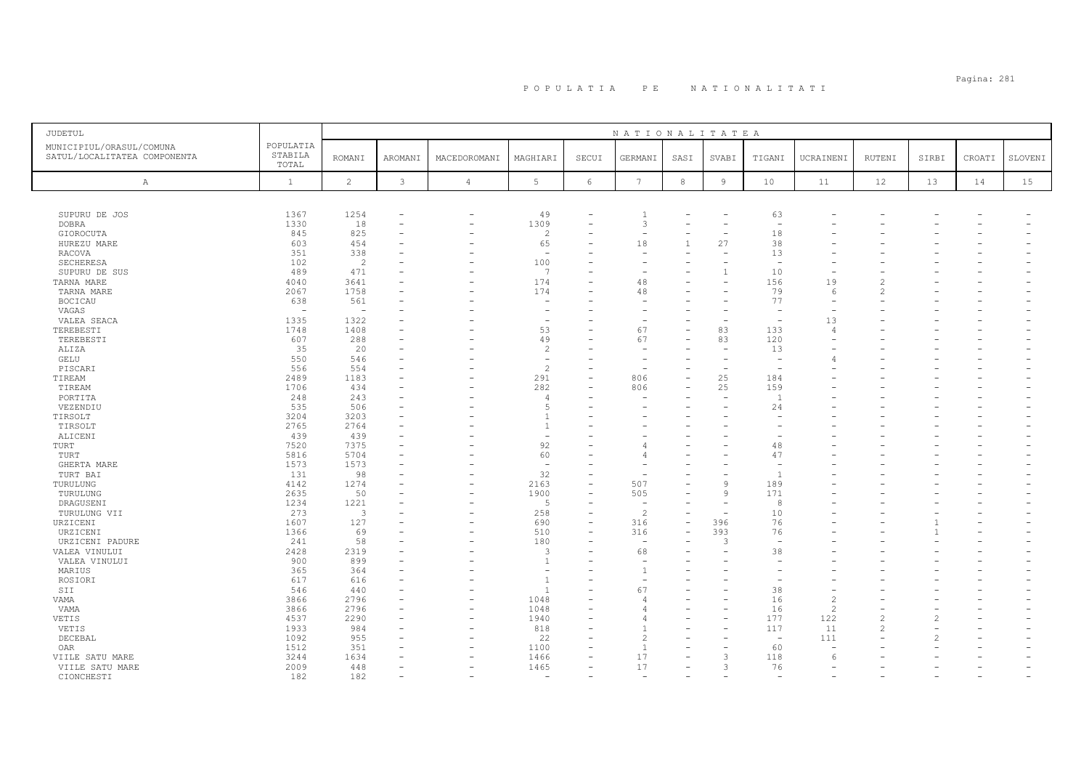| JUDETUL                                                  |                               |                |         |                |                          |                          | NATIONALITATEA           |                |              |                          |               |                |       |        |         |
|----------------------------------------------------------|-------------------------------|----------------|---------|----------------|--------------------------|--------------------------|--------------------------|----------------|--------------|--------------------------|---------------|----------------|-------|--------|---------|
| MUNICIPIUL/ORASUL/COMUNA<br>SATUL/LOCALITATEA COMPONENTA | POPULATIA<br>STABILA<br>TOTAL | <b>ROMANI</b>  | AROMANI | MACEDOROMANI   | MAGHIARI                 | SECUI                    | GERMANI                  | SASI           | SVABI        | TIGANI                   | UCRAINENI     | RUTENI         | SIRBI | CROATI | SLOVENI |
| Α                                                        | 1                             | $\overline{c}$ | 3       | $\overline{4}$ | 5                        | 6                        | 7                        | 8              | 9            | 10                       | 11            | 12             | 13    | 14     | 15      |
|                                                          |                               |                |         |                |                          |                          |                          |                |              |                          |               |                |       |        |         |
| SUPURU DE JOS                                            | 1367                          | 1254           |         | $\rightarrow$  | 49                       | ۰                        |                          |                |              | 63                       |               |                |       |        |         |
| <b>DOBRA</b>                                             | 1330                          | 18             |         |                | 1309                     |                          | 3                        |                |              |                          |               |                |       |        |         |
| GIOROCUTA                                                | 845                           | 825            |         |                | $\overline{c}$           |                          | $\overline{\phantom{a}}$ |                |              | $1\,8$                   |               |                |       |        |         |
| HUREZU MARE                                              | 603                           | 454            |         |                | 65                       |                          | $1\,8$                   | $\overline{1}$ | 27           | 38                       |               |                |       |        |         |
| RACOVA                                                   | 351                           | 338            |         |                | $\sim$                   |                          |                          |                |              | 13                       |               |                |       |        |         |
| SECHERESA                                                | 102                           | $\overline{c}$ |         |                | 100                      |                          |                          |                |              | <b>11</b>                |               |                |       |        |         |
| SUPURU DE SUS                                            | 489                           | 471            |         |                | $\overline{7}$           |                          |                          |                |              | 10                       |               |                |       |        |         |
| TARNA MARE                                               | 4040                          | 3641           |         |                | 174                      | $\overline{\phantom{0}}$ | 48                       |                | $\equiv$     | 156                      | 19            |                |       |        |         |
| TARNA MARE                                               | 2067                          | 1758           |         |                | 174                      |                          | 48                       |                |              | 79                       |               | 2              |       |        |         |
| <b>BOCICAU</b>                                           | 638                           | 561            |         |                |                          |                          |                          |                |              | 77                       |               |                |       |        |         |
| VAGAS                                                    | 1335                          | 1322           |         |                | $\overline{\phantom{a}}$ |                          |                          |                |              |                          | 13            |                |       |        |         |
| VALEA SEACA<br>TEREBESTI                                 | 1748                          | 1408           |         |                | 53                       |                          | 67                       |                | 83           | 133                      |               |                |       |        |         |
| TEREBESTI                                                | 607                           | 288            |         |                | 49                       |                          | 67                       |                | 83           | 120                      |               |                |       |        |         |
| ALIZA                                                    | 35                            | 20             |         |                | $\mathcal{L}$            |                          |                          |                |              | 13                       |               |                |       |        |         |
| GELU                                                     | 550                           | 546            |         |                |                          |                          |                          |                |              |                          |               |                |       |        |         |
| PISCARI                                                  | 556                           | 554            |         |                | $\overline{c}$           |                          |                          |                |              |                          |               |                |       |        |         |
| TIREAM                                                   | 2489                          | 1183           |         |                | 291                      |                          | 806                      |                | 25           | 184                      |               |                |       |        |         |
| TIREAM                                                   | 1706                          | 434            |         |                | 282                      |                          | 806                      |                | 25           | 159                      |               |                |       |        |         |
| PORTITA                                                  | 248                           | 243            |         |                | $\overline{4}$           |                          |                          |                |              | $\overline{1}$           |               |                |       |        |         |
| VEZENDIU                                                 | 535                           | 506            |         |                | $\overline{5}$           |                          |                          |                |              | 24                       |               |                |       |        |         |
| TIRSOLT                                                  | 3204                          | 3203           |         |                | $\overline{1}$           |                          |                          |                |              |                          |               |                |       |        |         |
| TIRSOLT                                                  | 2765                          | 2764           |         |                | $\overline{1}$           |                          |                          |                |              |                          |               |                |       |        |         |
| ALICENI                                                  | 439                           | 439            |         |                | $\overline{\phantom{a}}$ |                          |                          |                |              |                          |               |                |       |        |         |
| TURT                                                     | 7520                          | 7375           |         |                | 92                       |                          |                          |                |              | 48                       |               |                |       |        |         |
| TURT                                                     | 5816                          | 5704           |         |                | 60                       |                          |                          |                |              | 47                       |               |                |       |        |         |
| GHERTA MARE                                              | 1573                          | 1573           |         |                |                          |                          |                          |                |              |                          |               |                |       |        |         |
| TURT BAI                                                 | 131                           | 98             |         |                | 32                       | ۰<br>$\equiv$            |                          |                | $\mathbf{Q}$ |                          |               |                |       |        |         |
| TURULUNG                                                 | 4142<br>2635                  | 1274<br>50     |         |                | 2163<br>1900             |                          | 507<br>505               |                | $\mathbf{Q}$ | 189<br>171               |               |                |       |        |         |
| TURULUNG<br>DRAGUSENI                                    | 1234                          | 1221           |         |                | -5                       | ۰                        | ٠                        |                | -            | 8                        |               |                |       |        |         |
| TURULUNG VII                                             | 273                           | 3              |         |                | 258                      | ۰                        | $\overline{a}$           |                |              | 10                       |               |                |       |        |         |
| URZICENI                                                 | 1607                          | 127            |         |                | 690                      |                          | 316                      |                | 396          | 76                       |               |                |       |        |         |
| URZICENI                                                 | 1366                          | 69             |         |                | 510                      | $\overline{\phantom{0}}$ | 316                      |                | 393          | 76                       |               |                |       |        |         |
| URZICENI PADURE                                          | 241                           | 58             |         |                | 180                      |                          | ۰                        |                | 3            |                          |               |                |       |        |         |
| VALEA VINULUI                                            | 2428                          | 2319           |         |                | 3                        |                          | 68                       |                |              | 38                       |               |                |       |        |         |
| VALEA VINULUI                                            | 900                           | 899            |         |                | -1                       |                          |                          |                |              |                          |               |                |       |        |         |
| MARIUS                                                   | 365                           | 364            |         |                |                          |                          |                          |                |              |                          |               |                |       |        |         |
| ROSIORI                                                  | 617                           | 616            |         |                | $\overline{1}$           |                          |                          |                |              |                          |               |                |       |        |         |
| SII                                                      | 546                           | 440            |         |                | $\overline{1}$           |                          | 67                       |                |              | 38                       |               |                |       |        |         |
| VAMA                                                     | 3866                          | 2796           |         |                | 1048                     |                          |                          |                |              | 16                       |               |                |       |        |         |
| VAMA                                                     | 3866                          | 2796           |         |                | 1048                     |                          |                          |                |              | 16                       | $\mathcal{L}$ |                |       |        |         |
| VETIS                                                    | 4537                          | 2290           |         |                | 1940                     | $\overline{\phantom{0}}$ |                          |                |              | 177                      | 122           |                |       |        |         |
| VETIS                                                    | 1933                          | 984            |         |                | 818                      |                          |                          |                |              | 117                      | 11            | $\mathfrak{D}$ |       |        |         |
| DECEBAL                                                  | 1092                          | 955            |         |                | 22                       |                          |                          |                |              | $\overline{\phantom{a}}$ | 111           |                |       |        |         |
| OAR                                                      | 1512                          | 351            |         |                | 1100                     |                          |                          |                |              | 60                       |               |                |       |        |         |
| VIILE SATU MARE                                          | 3244                          | 1634           |         |                | 1466                     |                          | 17                       |                | 3            | 118                      |               |                |       |        |         |
| VIILE SATU MARE                                          | 2009<br>182                   | 448            |         |                | 1465                     | $\overline{\phantom{0}}$ | 17                       |                | 3            | 76                       |               |                |       |        |         |
| CIONCHESTI                                               |                               | 182            |         |                | $\overline{\phantom{a}}$ |                          | $\overline{\phantom{0}}$ |                |              | $\overline{\phantom{a}}$ |               |                |       |        |         |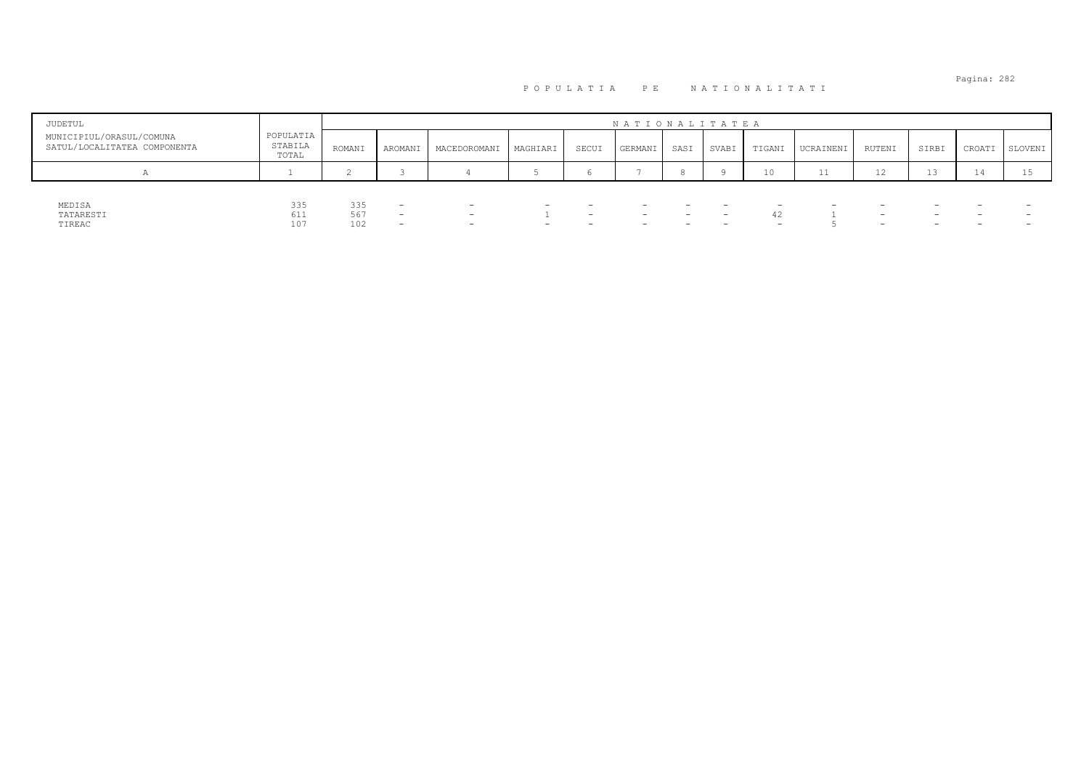| <b>JUDETUL</b>                                           |                               |            |                                                      |                                                      |          |       | NATIONALITATEA |                          |       |                 |           |                                                      |                                                      |        |         |
|----------------------------------------------------------|-------------------------------|------------|------------------------------------------------------|------------------------------------------------------|----------|-------|----------------|--------------------------|-------|-----------------|-----------|------------------------------------------------------|------------------------------------------------------|--------|---------|
| MUNICIPIUL/ORASUL/COMUNA<br>SATUL/LOCALITATEA COMPONENTA | POPULATIA<br>STABILA<br>TOTAL | ROMANI     | AROMANI                                              | <b>MACEDOROMANI</b>                                  | MAGHIARI | SECUI | GERMANI        | SASI                     | SVABI | TIGANI          | UCRAINENI | RUTENI                                               | SIRBI                                                | CROATI | SLOVENI |
| n                                                        |                               |            |                                                      |                                                      |          |       |                |                          |       | 10 <sup>°</sup> | 11        | 12                                                   | ⊥ ാ                                                  |        | Lυ      |
|                                                          |                               |            |                                                      |                                                      |          |       |                |                          |       |                 |           |                                                      |                                                      |        |         |
| MEDISA<br>TATARESTI                                      | 335<br>$A - A$<br>0 T T       | 335<br>567 | $\overline{\phantom{0}}$<br>$\overline{\phantom{0}}$ | $\overline{\phantom{0}}$<br>$\overline{\phantom{0}}$ |          |       | -              | $\overline{\phantom{0}}$ |       | 42              | —         | $\overline{\phantom{0}}$<br>$\overline{\phantom{0}}$ | $\overline{\phantom{0}}$<br>$\overline{\phantom{0}}$ |        |         |
| TIREAC                                                   | 107                           | 102        | $\overline{\phantom{0}}$                             | $\overline{\phantom{0}}$                             |          |       | -              | $\overline{\phantom{0}}$ |       |                 |           | $\overline{\phantom{0}}$                             | $\overline{\phantom{0}}$                             |        |         |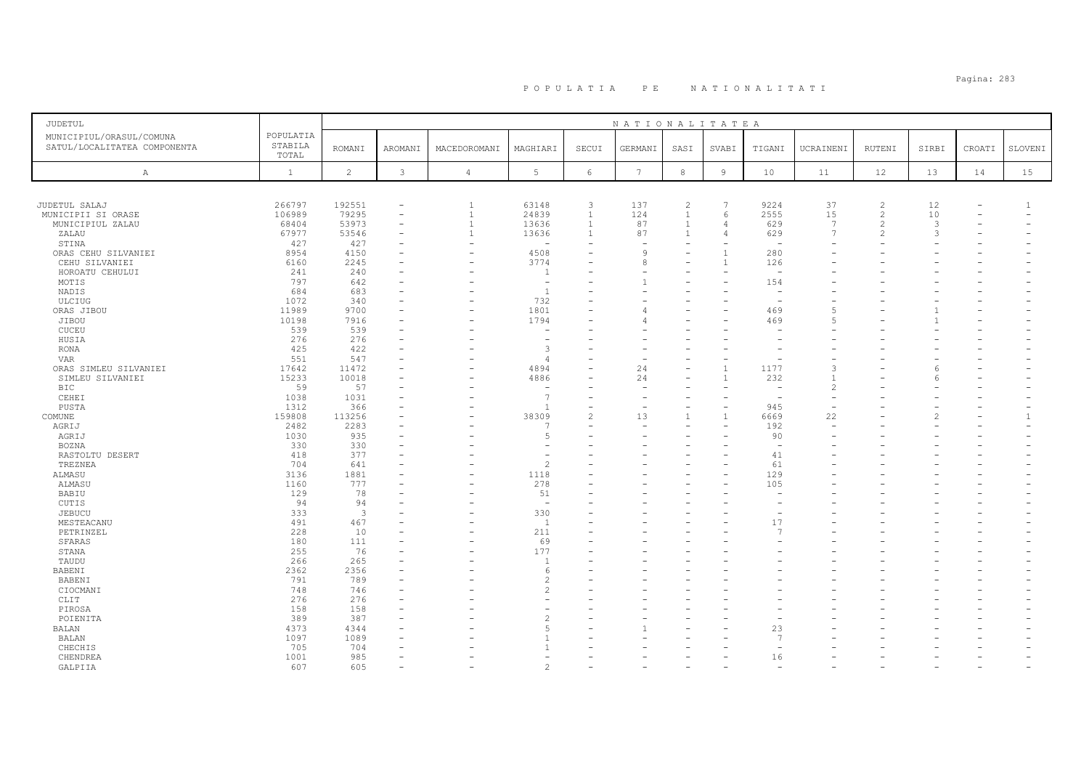# Pagina: 283 P O P U L A T I A P E N A T I O N A L I T A T I

| JUDETUL                           |                  |                |                          |                          |                                  |                      | NATIONALITATEA    |                |                |                          |                          |                |       |        |              |
|-----------------------------------|------------------|----------------|--------------------------|--------------------------|----------------------------------|----------------------|-------------------|----------------|----------------|--------------------------|--------------------------|----------------|-------|--------|--------------|
| MUNICIPIUL/ORASUL/COMUNA          | POPULATIA        |                |                          |                          |                                  |                      |                   |                |                |                          |                          |                |       |        |              |
| SATUL/LOCALITATEA COMPONENTA      | STABILA<br>TOTAL | <b>ROMANI</b>  | AROMANI                  | MACEDOROMANI             | MAGHIARI                         | SECUI                | GERMANI           | SASI           | SVABI          | TIGANI                   | UCRAINENI                | RUTENI         | SIRBI | CROATI | SLOVENI      |
| A                                 | $\mathbf{1}$     | $\overline{c}$ | $\mathbf{3}$             | $\sqrt{4}$               | $5\phantom{.0}$                  | $6\overline{6}$      | $7\phantom{.0}$   | $^{\rm 8}$     | $\overline{9}$ | 10                       | 11                       | 12             | 13    | 14     | 15           |
|                                   |                  |                |                          |                          |                                  |                      |                   |                |                |                          |                          |                |       |        |              |
|                                   |                  |                |                          |                          |                                  |                      |                   |                |                |                          |                          |                |       |        |              |
| JUDETUL SALAJ                     | 266797           | 192551         | $\equiv$                 | $\overline{1}$           | 63148                            | $\overline{3}$       | 137               | $\overline{c}$ | $\overline{7}$ | 9224                     | 37                       | $\overline{c}$ | 12    |        | $\mathbf{1}$ |
| MUNICIPII SI ORASE                | 106989           | 79295          | $\overline{\phantom{a}}$ | $\mathbf{1}$             | 24839                            | $\mathbf{1}$         | 124               | $\mathbf{1}$   | 6              | 2555                     | 15                       | 2              | 10    |        |              |
| MUNICIPIUL ZALAU                  | 68404            | 53973          |                          | $\overline{1}$           | 13636                            | $\mathbf{1}$         | 87                | $\mathbf{1}$   | $\overline{A}$ | 629                      | $\overline{7}$           | 2              | 3     |        |              |
| ZALAU                             | 67977            | 53546          | $\overline{\phantom{a}}$ | $\mathbf{1}$             | 13636                            | $\overline{1}$       | 87                | $\mathbf{1}$   |                | 629                      | $\overline{7}$           | $\mathcal{L}$  | 3     |        |              |
| STINA                             | 427              | 427            |                          |                          |                                  |                      |                   |                |                |                          |                          |                |       |        |              |
| ORAS CEHU SILVANIEI               | 8954<br>6160     | 4150<br>2245   |                          | -                        | 4508<br>3774                     |                      | $\mathsf{Q}$<br>8 |                | $\overline{1}$ | 280<br>126               |                          |                |       |        |              |
| CEHU SILVANIEI<br>HOROATU CEHULUI | 241              | 240            |                          |                          | -1                               |                      |                   |                |                | $\overline{\phantom{a}}$ |                          |                |       |        |              |
| MOTIS                             | 797              | 642            |                          |                          | $\overline{\phantom{a}}$         |                      |                   |                |                | 154                      |                          |                |       |        |              |
| NADIS                             | 684              | 683            |                          |                          | $\overline{1}$                   |                      |                   |                |                |                          |                          |                |       |        |              |
| ULCIUG                            | 1072             | 340            |                          |                          | 732                              |                      |                   |                |                |                          |                          |                |       |        |              |
| ORAS JIBOU                        | 11989            | 9700           |                          |                          | 1801                             |                      |                   |                |                | 469                      | 5                        |                |       |        |              |
| JIBOU                             | 10198            | 7916           |                          |                          | 1794                             |                      |                   |                |                | 469                      | 5                        |                |       |        |              |
| CUCEU                             | 539              | 539            |                          |                          | <u>.</u>                         |                      |                   |                |                |                          |                          |                |       |        |              |
| HUSIA                             | 276              | 276            |                          |                          |                                  |                      |                   |                |                |                          |                          |                |       |        |              |
| <b>RONA</b>                       | 425              | 422            |                          |                          | 3                                |                      |                   |                |                |                          |                          |                |       |        |              |
| <b>VAR</b>                        | 551              | 547            |                          |                          | $\overline{4}$                   |                      |                   |                |                |                          |                          |                |       |        |              |
| ORAS SIMLEU SILVANIEI             | 17642            | 11472          |                          |                          | 4894                             |                      | 24                |                |                | 1177                     | 3                        |                |       |        |              |
| SIMLEU SILVANIEI                  | 15233            | 10018          |                          |                          | 4886                             |                      | 24                |                |                | 232                      |                          |                |       |        |              |
| <b>BIC</b>                        | 59               | 57             |                          |                          | $\overline{\phantom{a}}$         |                      |                   |                |                |                          | $\overline{c}$           |                |       |        |              |
| CEHEI                             | 1038             | 1031           |                          | $\overline{\phantom{0}}$ | $\overline{7}$                   | ۳                    |                   |                |                | $\overline{\phantom{a}}$ | $\overline{\phantom{a}}$ |                |       |        |              |
| PUSTA                             | 1312             | 366            |                          |                          | <sup>1</sup>                     | ۰                    |                   |                |                | 945                      |                          |                |       |        |              |
| COMUNE                            | 159808           | 113256         |                          |                          | 38309<br>$\overline{7}$          | $\overline{c}$<br>L. | 13                | $\mathbf{1}$   |                | 6669                     | 22<br>$\sim$             |                |       |        | $\mathbf{1}$ |
| AGRIJ                             | 2482<br>1030     | 2283<br>935    |                          |                          | 5                                |                      |                   |                |                | 192<br>90                |                          |                |       |        |              |
| AGRIJ<br><b>BOZNA</b>             | 330              | 330            |                          |                          |                                  |                      |                   |                |                | $\overline{\phantom{a}}$ |                          |                |       |        |              |
| RASTOLTU DESERT                   | 418              | 377            |                          |                          |                                  |                      |                   |                |                | 41                       |                          |                |       |        |              |
| TREZNEA                           | 704              | 641            |                          |                          | $\overline{c}$                   |                      |                   |                |                | 61                       |                          |                |       |        |              |
| ALMASU                            | 3136             | 1881           |                          |                          | 1118                             |                      |                   |                |                | 129                      |                          |                |       |        |              |
| ALMASU                            | 1160             | 777            |                          |                          | 278                              |                      |                   |                |                | 105                      |                          |                |       |        |              |
| BABIU                             | 129              | 78             |                          |                          | 51                               |                      |                   |                |                |                          |                          |                |       |        |              |
| CUTIS                             | 94               | 94             |                          |                          | $\overline{\phantom{a}}$         |                      |                   |                |                |                          |                          |                |       |        |              |
| JEBUCU                            | 333              | $\mathbf{3}$   |                          |                          | 330                              |                      |                   |                |                |                          |                          |                |       |        |              |
| MESTEACANU                        | 491              | 467            |                          |                          | $\overline{1}$                   |                      |                   |                |                | 17                       |                          |                |       |        |              |
| PETRINZEL                         | 228              | 10             |                          |                          | 211                              |                      |                   |                |                | f,                       |                          |                |       |        |              |
| SFARAS                            | 180              | 111            |                          |                          | 69                               |                      |                   |                |                |                          |                          |                |       |        |              |
| STANA                             | 255              | 76             |                          |                          | 177                              |                      |                   |                |                |                          |                          |                |       |        |              |
| TAUDU                             | 266              | 265            | $\overline{\phantom{a}}$ |                          | $\overline{1}$                   |                      |                   |                |                |                          |                          |                |       |        |              |
| BABENI                            | 2362             | 2356           |                          |                          | 6                                |                      |                   |                |                |                          |                          |                |       |        |              |
| BABENI                            | 791<br>748       | 789<br>746     |                          |                          | $\overline{c}$<br>$\overline{c}$ |                      |                   |                |                |                          |                          |                |       |        |              |
| CIOCMANI<br>CLIT                  | 276              | 276            |                          |                          |                                  |                      |                   |                |                |                          |                          |                |       |        |              |
| PIROSA                            | 158              | 158            |                          |                          | $\overline{\phantom{a}}$         |                      |                   |                |                |                          |                          |                |       |        |              |
| POIENITA                          | 389              | 387            |                          |                          | $\overline{c}$                   |                      |                   |                |                |                          |                          |                |       |        |              |
| BALAN                             | 4373             | 4344           |                          |                          | 5                                |                      |                   |                |                | 23                       |                          |                |       |        |              |
| BALAN                             | 1097             | 1089           |                          |                          |                                  |                      |                   |                |                | $\overline{7}$           |                          |                |       |        |              |
| CHECHIS                           | 705              | 704            |                          |                          |                                  |                      |                   |                |                |                          |                          |                |       |        |              |
| CHENDREA                          | 1001             | 985            | $\overline{\phantom{a}}$ |                          | ÷.                               |                      |                   |                |                | 16                       |                          |                |       |        |              |
| GALPIIA                           | 607              | 605            |                          |                          | $\mathfrak{D}$                   |                      |                   |                |                |                          |                          |                |       |        |              |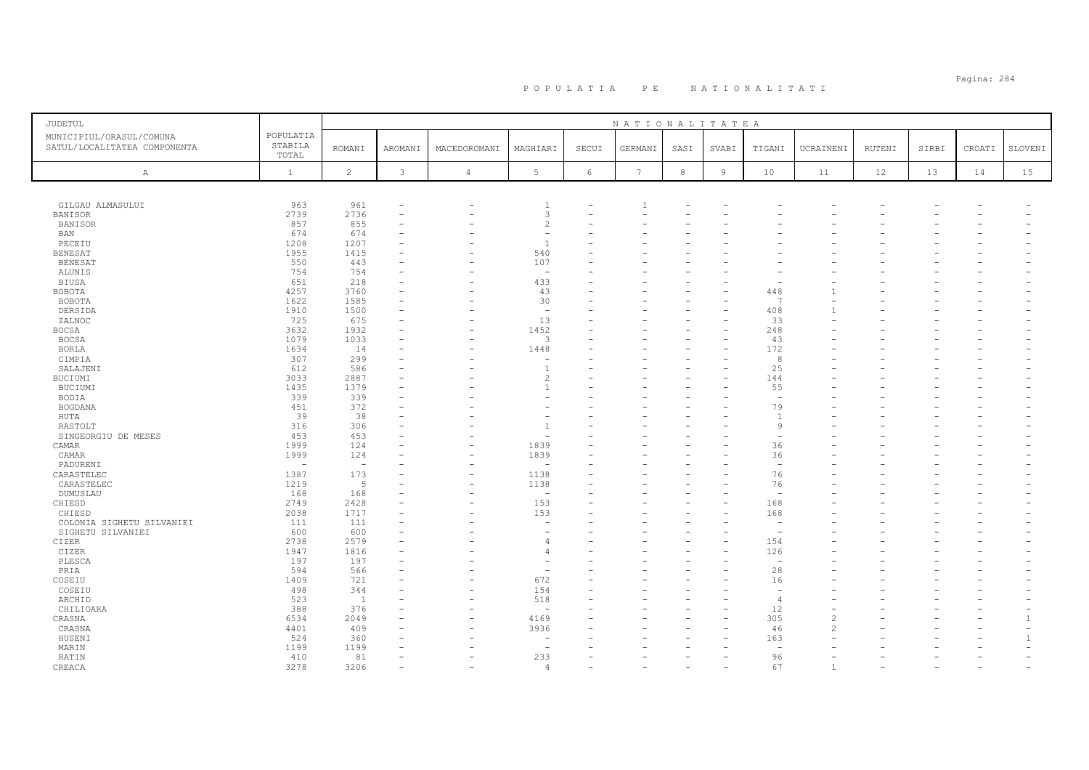| <b>JUDETUL</b>                                           |                               |                          |                |                |                          |                 | NATIONALITATEA  |            |                |                          |                |               |       |        |         |
|----------------------------------------------------------|-------------------------------|--------------------------|----------------|----------------|--------------------------|-----------------|-----------------|------------|----------------|--------------------------|----------------|---------------|-------|--------|---------|
| MUNICIPIUL/ORASUL/COMUNA<br>SATUL/LOCALITATEA COMPONENTA | POPULATIA<br>STABILA<br>TOTAL | <b>ROMANI</b>            | <b>AROMANI</b> | MACEDOROMANI   | MAGHIARI                 | SECUI           | GERMANI         | SASI       | SVABI          | TIGANI                   | UCRAINENI      | <b>RUTENI</b> | SIRBI | CROATI | SLOVENI |
| $\mathbb{A}$                                             | $\mathbf{1}$                  | $\overline{2}$           | $\mathfrak{Z}$ | $\overline{4}$ | 5                        | $6\phantom{.}6$ | $7\phantom{.0}$ | $^{\rm 8}$ | $\overline{9}$ | 10                       | 11             | 12            | 13    | 14     | 15      |
|                                                          |                               |                          |                |                |                          |                 |                 |            |                |                          |                |               |       |        |         |
|                                                          |                               |                          |                |                |                          |                 |                 |            |                |                          |                |               |       |        |         |
| GILGAU ALMASULUI                                         | 963                           | 961                      |                |                | -1                       |                 |                 |            |                |                          |                |               |       |        |         |
| <b>BANISOR</b>                                           | 2739                          | 2736                     |                |                | 3                        |                 |                 |            |                |                          |                |               |       |        |         |
| BANISOR                                                  | 857                           | 855                      |                |                | $\overline{c}$           |                 |                 |            |                |                          |                |               |       |        |         |
| <b>BAN</b>                                               | 674                           | 674                      |                |                | $\sim$<br>$\overline{1}$ |                 |                 |            |                |                          |                |               |       |        |         |
| PECEIU                                                   | 1208                          | 1207                     |                |                |                          |                 |                 |            |                |                          |                |               |       |        |         |
| <b>BENESAT</b>                                           | 1955<br>550                   | 1415                     |                |                | 540<br>107               |                 |                 |            |                |                          |                |               |       |        |         |
| BENESAT<br>ALUNIS                                        | 754                           | 443<br>754               |                |                | $\overline{\phantom{0}}$ |                 |                 |            |                |                          |                |               |       |        |         |
| <b>BIUSA</b>                                             | 651                           | 218                      |                |                | 433                      |                 |                 |            |                |                          |                |               |       |        |         |
| <b>BOBOTA</b>                                            | 4257                          | 3760                     |                | ۰              | 43                       |                 |                 |            |                | 448                      |                |               |       |        |         |
| BOBOTA                                                   | 1622                          | 1585                     |                |                | 30                       |                 |                 |            |                | $\mathcal{L}$            |                |               |       |        |         |
| DERSIDA                                                  | 1910                          | 1500                     |                |                | $\overline{\phantom{a}}$ |                 |                 |            |                | 408                      |                |               |       |        |         |
| ZALNOC                                                   | 725                           | 675                      |                |                | 13                       |                 |                 |            |                | 33                       |                |               |       |        |         |
| BOCSA                                                    | 3632                          | 1932                     |                |                | 1452                     |                 |                 |            |                | 248                      |                |               |       |        |         |
| <b>BOCSA</b>                                             | 1079                          | 1033                     |                |                | 3                        |                 |                 |            |                | 43                       |                |               |       |        |         |
| <b>BORLA</b>                                             | 1634                          | 14                       |                |                | 1448                     |                 |                 |            |                | 172                      |                |               |       |        |         |
| CIMPIA                                                   | 307                           | 299                      |                |                | ۰                        |                 |                 |            |                | 8                        |                |               |       |        |         |
| SALAJENI                                                 | 612                           | 586                      |                |                | $\overline{1}$           |                 |                 |            |                | 25                       |                |               |       |        |         |
| BUCIUMI                                                  | 3033                          | 2887                     |                |                | $\overline{c}$           |                 |                 |            |                | 144                      |                |               |       |        |         |
| BUCIUMI                                                  | 1435                          | 1379                     |                |                | $\mathbf{1}$             |                 |                 |            |                | 55                       |                |               |       |        |         |
| <b>BODIA</b>                                             | 339                           | 339                      |                |                |                          |                 |                 |            |                | $\overline{\phantom{0}}$ |                |               |       |        |         |
| <b>BOGDANA</b>                                           | 451                           | 372                      |                |                |                          |                 |                 |            |                | 79                       |                |               |       |        |         |
| HUTA                                                     | 39                            | 38                       |                |                |                          |                 |                 |            |                | $\overline{1}$           |                |               |       |        |         |
| RASTOLT                                                  | 316                           | 306                      |                |                |                          |                 |                 |            |                | $\overline{9}$           |                |               |       |        |         |
| SINGEORGIU DE MESES                                      | 453                           | 453                      |                |                | ۰                        |                 |                 |            |                |                          |                |               |       |        |         |
| CAMAR                                                    | 1999                          | 124                      |                |                | 1839                     |                 |                 |            |                | 36                       |                |               |       |        |         |
| CAMAR                                                    | 1999                          | 124                      |                |                | 1839                     |                 |                 |            |                | 36                       |                |               |       |        |         |
| PADURENI                                                 | $\overline{a}$                | $\overline{\phantom{a}}$ |                |                | $\overline{\phantom{0}}$ |                 |                 |            |                | $\overline{\phantom{a}}$ |                |               |       |        |         |
| CARASTELEC                                               | 1387                          | 173                      |                | ۰              | 1138                     |                 |                 |            |                | 76                       |                |               |       |        |         |
| CARASTELEC                                               | 1219                          | 5                        |                | ۰              | 1138                     |                 |                 |            |                | 76                       |                |               |       |        |         |
| DUMUSLAU                                                 | 168                           | 168                      |                |                | $\sim$                   |                 |                 |            |                | $\overline{\phantom{a}}$ |                |               |       |        |         |
| CHIESD                                                   | 2749                          | 2428                     |                | L.             | 153                      |                 |                 |            |                | 168                      |                |               |       |        |         |
| CHIESD                                                   | 2038                          | 1717                     |                |                | 153                      |                 |                 |            |                | 168                      |                |               |       |        |         |
| COLONIA SIGHETU SILVANIEI                                | 111                           | 111                      |                |                |                          |                 |                 |            |                | ÷                        |                |               |       |        |         |
| SIGHETU SILVANIEI                                        | 600                           | 600                      |                |                |                          |                 |                 |            |                | $\overline{\phantom{a}}$ |                |               |       |        |         |
| CIZER                                                    | 2738                          | 2579                     |                |                | $\overline{4}$           |                 |                 |            |                | 154                      |                |               |       |        |         |
| CIZER                                                    | 1947                          | 1816                     |                |                | $\overline{4}$           |                 |                 |            |                | 126                      |                |               |       |        |         |
| PLESCA                                                   | 197                           | 197                      |                |                | ۰                        |                 |                 |            |                | $\overline{\phantom{a}}$ |                |               |       |        |         |
| PRIA                                                     | 594                           | 566                      |                |                | $\overline{\phantom{m}}$ |                 |                 |            |                | 28                       |                |               |       |        |         |
| COSEIU                                                   | 1409                          | 721                      |                |                | 672                      |                 |                 |            |                | 16                       |                |               |       |        |         |
| COSEIU                                                   | 498                           | 344                      |                |                | 154                      |                 |                 |            |                | $\overline{a}$           |                |               |       |        |         |
| ARCHID                                                   | 523                           | $\mathbf{1}$             |                |                | 518                      |                 |                 |            |                | $\overline{4}$           |                |               |       |        |         |
| CHILIOARA                                                | 388                           | 376                      |                |                | $\sim$                   |                 |                 |            |                | 12                       |                |               |       |        |         |
| CRASNA                                                   | 6534                          | 2049                     |                |                | 4169                     |                 |                 |            |                | 305                      | $\overline{c}$ |               |       |        |         |
| CRASNA                                                   | 4401                          | 409                      |                |                | 3936                     |                 |                 |            |                | 46                       |                |               |       |        |         |
| HUSENI                                                   | 524                           | 360                      |                |                |                          |                 |                 |            |                | 163                      |                |               |       |        |         |
| MARIN                                                    | 1199                          | 1199                     |                |                |                          |                 |                 |            |                |                          |                |               |       |        |         |
| RATIN                                                    | 410                           | 81                       |                |                | 233                      |                 |                 |            |                | 96                       |                |               |       |        |         |
| CREACA                                                   | 3278                          | 3206                     |                |                | $\Delta$                 |                 |                 |            |                | 67                       | $\overline{1}$ |               |       |        |         |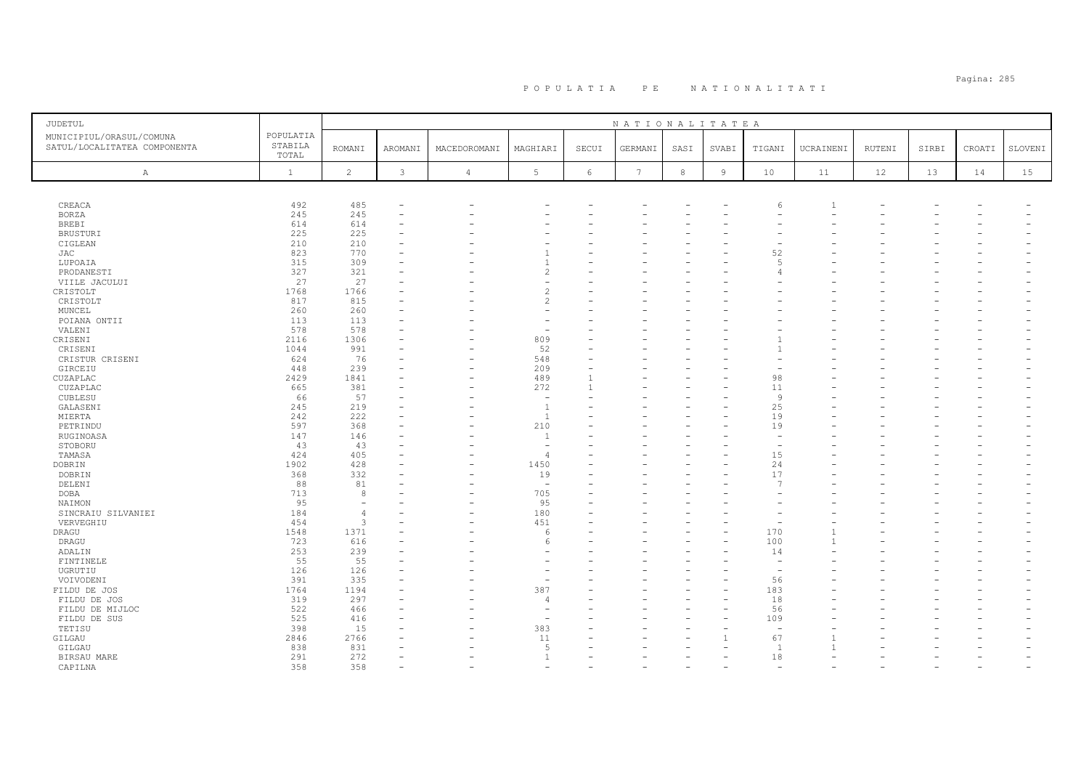| JUDETUL                                                  |                               |                          |               |              |                          |            | NATIONALITATEA  |            |                |                          |           |        |       |        |         |
|----------------------------------------------------------|-------------------------------|--------------------------|---------------|--------------|--------------------------|------------|-----------------|------------|----------------|--------------------------|-----------|--------|-------|--------|---------|
| MUNICIPIUL/ORASUL/COMUNA<br>SATUL/LOCALITATEA COMPONENTA | POPULATIA<br>STABILA<br>TOTAL | <b>ROMANI</b>            | AROMANI       | MACEDOROMANI | MAGHIARI                 | SECUI      | GERMANI         | SASI       | SVABI          | TIGANI                   | UCRAINENI | RUTENI | SIRBI | CROATI | SLOVENI |
| $\mathbb{A}$                                             | $\mathbf{1}$                  | $\overline{c}$           | $\mathcal{E}$ | $\sqrt{4}$   | $5\phantom{.0}$          | $\epsilon$ | $7\phantom{.0}$ | $^{\rm 8}$ | $\overline{9}$ | 10                       | 11        | 12     | 13    | 14     | 15      |
|                                                          |                               |                          |               |              |                          |            |                 |            |                |                          |           |        |       |        |         |
| CREACA                                                   | 492                           | 485                      |               |              |                          |            |                 |            |                | 6                        |           |        |       |        |         |
| <b>BORZA</b>                                             | 245                           | 245                      |               |              |                          |            |                 |            |                |                          |           |        |       |        |         |
| <b>BREBI</b>                                             | 614                           | 614                      |               |              |                          |            |                 |            |                |                          |           |        |       |        |         |
| <b>BRUSTURI</b>                                          | 225                           | 225                      |               |              |                          |            |                 |            |                |                          |           |        |       |        |         |
| CIGLEAN                                                  | 210                           | 210                      |               |              |                          |            |                 |            |                |                          |           |        |       |        |         |
| JAC                                                      | 823                           | 770                      |               |              |                          |            |                 |            |                | 52                       |           |        |       |        |         |
| LUPOAIA                                                  | 315                           | 309                      |               |              | $\mathbf{1}$             |            |                 |            |                | $\sqrt{2}$               |           |        |       |        |         |
| PRODANESTI                                               | 327                           | 321                      |               |              | $\overline{c}$           |            |                 |            |                |                          |           |        |       |        |         |
| VIILE JACULUI                                            | 27                            | 27                       |               |              |                          |            |                 |            |                |                          |           |        |       |        |         |
| CRISTOLT                                                 | 1768                          | 1766                     |               |              | $\overline{c}$           |            |                 |            |                |                          |           |        |       |        |         |
| CRISTOLT                                                 | 817                           | 815                      |               |              | $\overline{c}$           |            |                 |            |                |                          |           |        |       |        |         |
| MUNCEL                                                   | 260                           | 260                      |               |              |                          |            |                 |            |                |                          |           |        |       |        |         |
| POIANA ONTII                                             | 113                           | 113                      |               |              | $\overline{\phantom{a}}$ |            |                 |            |                |                          |           |        |       |        |         |
| VALENI                                                   | 578                           | 578                      |               |              | $\sim$                   |            |                 |            |                |                          |           |        |       |        |         |
| CRISENI                                                  | 2116                          | 1306                     |               |              | 809                      |            |                 |            |                |                          |           |        |       |        |         |
| CRISENI                                                  | 1044                          | 991                      |               |              | 52                       |            |                 |            |                |                          |           |        |       |        |         |
| CRISTUR CRISENI                                          | 624                           | 76                       |               |              | 548                      |            |                 |            |                |                          |           |        |       |        |         |
| GIRCEIU                                                  | 448                           | 239                      |               |              | 209                      |            |                 |            |                |                          |           |        |       |        |         |
| CUZAPLAC                                                 | 2429                          | 1841                     |               |              | 489                      |            |                 |            |                | 98                       |           |        |       |        |         |
| CUZAPLAC                                                 | 665                           | 381                      |               |              | 272                      |            |                 |            |                | 11                       |           |        |       |        |         |
| CUBLESU                                                  | 66                            | 57                       |               |              | $\overline{\phantom{a}}$ |            |                 |            |                | Q                        |           |        |       |        |         |
| GALASENI                                                 | 245                           | 219                      |               |              | $\overline{1}$           |            |                 |            |                | 25                       |           |        |       |        |         |
| MIERTA                                                   | 242                           | 222                      |               |              | <sup>1</sup>             |            |                 |            |                | 19                       |           |        |       |        |         |
|                                                          | 597                           | 368                      |               |              | 210                      |            |                 |            |                | 19                       |           |        |       |        |         |
| PETRINDU                                                 |                               |                          |               |              | $\overline{1}$           |            |                 |            |                |                          |           |        |       |        |         |
| RUGINOASA                                                | 147<br>43                     | 146<br>43                |               |              | $\sim$                   |            |                 |            |                |                          |           |        |       |        |         |
| STOBORU                                                  |                               | 405                      |               |              | $\overline{4}$           |            |                 |            |                | 15                       |           |        |       |        |         |
| TAMASA                                                   | 424<br>1902                   | 428                      |               |              | 1450                     |            |                 |            |                | 24                       |           |        |       |        |         |
| DOBRIN                                                   |                               |                          |               |              |                          |            |                 |            |                |                          |           |        |       |        |         |
| DOBRIN                                                   | 368                           | 332                      |               |              | 19                       |            |                 |            |                | 17                       |           |        |       |        |         |
| DELENI                                                   | 88                            | 81                       |               |              | $\overline{\phantom{a}}$ |            |                 |            |                | $\overline{7}$           |           |        |       |        |         |
| <b>DOBA</b>                                              | 713                           | 8                        |               |              | 705                      |            |                 |            |                |                          |           |        |       |        |         |
| NAIMON                                                   | 95                            | $\overline{\phantom{a}}$ |               |              | 95                       |            |                 |            |                |                          |           |        |       |        |         |
| SINCRAIU SILVANIEI                                       | 184                           | $\overline{4}$           |               |              | 180                      |            |                 |            |                |                          |           |        |       |        |         |
| VERVEGHIU                                                | 454                           | 3                        |               |              | 451                      |            |                 |            |                |                          |           |        |       |        |         |
| DRAGU                                                    | 1548                          | 1371                     |               |              | 6                        |            |                 |            |                | 170                      |           |        |       |        |         |
| DRAGU                                                    | 723                           | 616                      |               |              | 6                        |            |                 |            |                | 100                      |           |        |       |        |         |
| ADALIN                                                   | 253                           | 239                      |               |              |                          |            |                 |            |                | 14                       |           |        |       |        |         |
| FINTINELE                                                | 55                            | 55                       |               |              |                          |            |                 |            |                |                          |           |        |       |        |         |
| UGRUTIU                                                  | 126                           | 126                      |               |              | ÷                        |            |                 |            |                | $\overline{\phantom{a}}$ |           |        |       |        |         |
| VOIVODENI                                                | 391                           | 335                      |               |              |                          |            |                 |            |                | 56                       |           |        |       |        |         |
| FILDU DE JOS                                             | 1764                          | 1194                     |               |              | 387                      |            |                 |            |                | 183                      |           |        |       |        |         |
| FILDU DE JOS                                             | 319                           | 297                      |               |              | 4                        |            |                 |            |                | 18                       |           |        |       |        |         |
| FILDU DE MIJLOC                                          | 522                           | 466                      |               |              | $\overline{\phantom{a}}$ |            |                 |            |                | 56                       |           |        |       |        |         |
| FILDU DE SUS                                             | 525                           | 416                      |               |              | $\overline{\phantom{a}}$ |            |                 |            |                | 109                      |           |        |       |        |         |
| TETISU                                                   | 398                           | 15                       |               |              | 383                      |            |                 |            |                | $\overline{\phantom{0}}$ |           |        |       |        |         |
| GILGAU                                                   | 2846                          | 2766                     |               |              | 11                       |            |                 |            |                | 67                       |           |        |       |        |         |
| GILGAU                                                   | 838                           | 831                      |               |              | 5                        |            |                 |            |                | $\overline{1}$           |           |        |       |        |         |
| BIRSAU MARE                                              | 291                           | 272                      |               |              | $\overline{1}$           |            |                 |            |                | 18                       |           |        |       |        |         |
| CAPILNA                                                  | 358                           | 358                      |               |              |                          |            |                 |            |                |                          |           |        |       |        |         |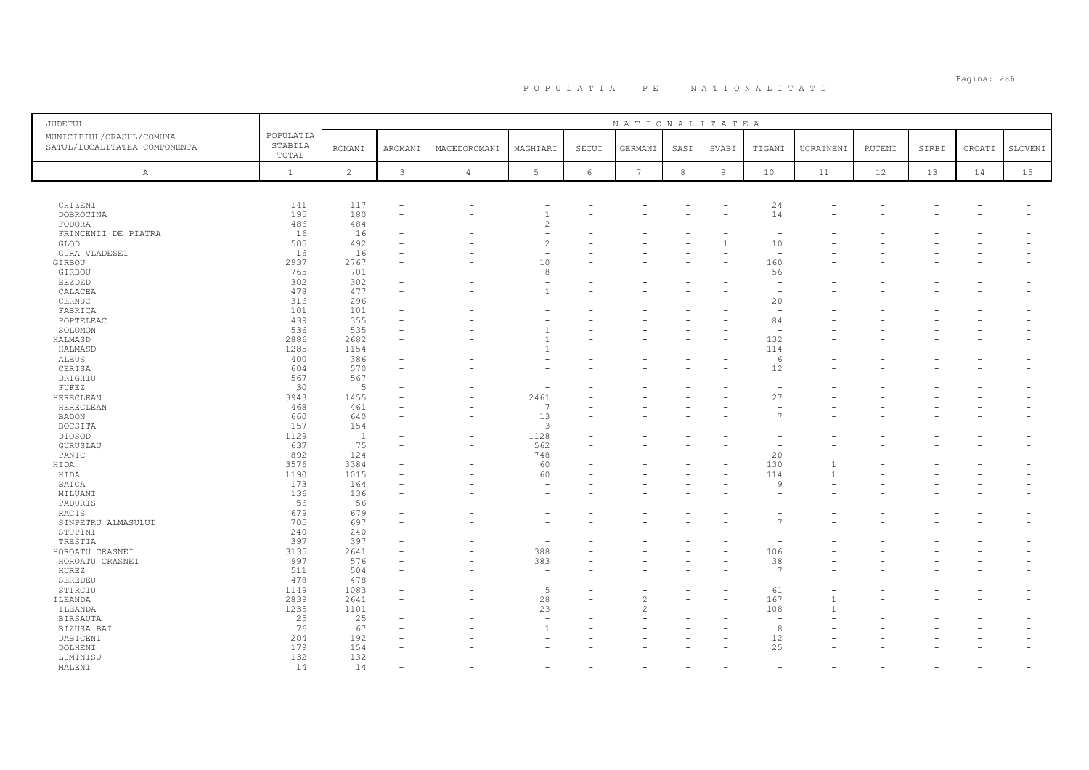# Pagina: 286 P O P U L A T I A P E N A T I O N A L I T A T I

| <b>JUDETUL</b>                                           |                               |                       |              |                          |                       |            | NATIONALITATEA  |            |                |                                |           |        |       |        |         |
|----------------------------------------------------------|-------------------------------|-----------------------|--------------|--------------------------|-----------------------|------------|-----------------|------------|----------------|--------------------------------|-----------|--------|-------|--------|---------|
| MUNICIPIUL/ORASUL/COMUNA<br>SATUL/LOCALITATEA COMPONENTA | POPULATIA<br>STABILA<br>TOTAL | <b>ROMANI</b>         | AROMANI      | MACEDOROMANI             | MAGHIARI              | SECUI      | GERMANI         | SASI       | SVABI          | TIGANI                         | UCRAINENI | RUTENI | SIRBI | CROATI | SLOVENI |
| Α                                                        | $\mathbf{1}$                  | $\overline{c}$        | $\mathbf{3}$ | $\overline{4}$           | 5                     | $\sqrt{6}$ | $7\phantom{.0}$ | $^{\rm 8}$ | $\overline{9}$ | 10                             | 11        | 12     | 13    | 14     | 15      |
|                                                          |                               |                       |              |                          |                       |            |                 |            |                |                                |           |        |       |        |         |
| CHIZENI                                                  | 141                           | 117                   |              | $\overline{\phantom{0}}$ |                       |            |                 |            |                | 24                             |           |        |       |        |         |
| DOBROCINA                                                | 195                           | 180                   |              |                          | $\overline{1}$        |            |                 |            |                | 14                             |           |        |       |        |         |
| FODORA                                                   | 486                           | 484                   |              |                          | $\overline{c}$        |            |                 |            |                | $\overline{\phantom{a}}$       |           |        |       |        |         |
| FRINCENII DE PIATRA<br>GLOD                              | 16<br>505                     | 16<br>492             |              |                          | $\overline{c}$        |            |                 |            |                | 10                             |           |        |       |        |         |
| GURA VLADESEI                                            | 16                            | 16                    |              |                          |                       |            |                 |            |                | $\overline{\phantom{m}}$       |           |        |       |        |         |
| GIRBOU                                                   | 2937                          | 2767                  |              |                          | 10                    |            |                 |            |                | 160                            |           |        |       |        |         |
| GIRBOU                                                   | 765                           | 701                   |              |                          | 8                     |            |                 |            |                | 56                             |           |        |       |        |         |
| <b>BEZDED</b>                                            | 302                           | 302                   |              |                          |                       |            |                 |            |                |                                |           |        |       |        |         |
| CALACEA                                                  | 478                           | 477                   |              |                          | -1                    |            |                 |            |                | $\overline{\phantom{a}}$       |           |        |       |        |         |
| CERNUC                                                   | 316                           | 296                   |              |                          |                       |            |                 |            |                | 20                             |           |        |       |        |         |
| FABRICA                                                  | 101                           | 101                   |              |                          |                       |            |                 |            |                | $\overline{\phantom{m}}$       |           |        |       |        |         |
| POPTELEAC                                                | 439<br>536                    | 355<br>535            |              |                          |                       |            |                 |            |                | 84<br>$\overline{\phantom{a}}$ |           |        |       |        |         |
| SOLOMON<br>HALMASD                                       | 2886                          | 2682                  |              |                          | $\overline{1}$        |            |                 |            |                | 132                            |           |        |       |        |         |
| HALMASD                                                  | 1285                          | 1154                  |              |                          |                       |            |                 |            |                | 114                            |           |        |       |        |         |
| ALEUS                                                    | 400                           | 386                   |              |                          |                       |            |                 |            |                | -6                             |           |        |       |        |         |
| CERISA                                                   | 604                           | 570                   |              |                          |                       |            |                 |            |                | 12                             |           |        |       |        |         |
| DRIGHIU                                                  | 567                           | 567                   |              |                          |                       |            |                 |            |                |                                |           |        |       |        |         |
| FUFEZ                                                    | 30                            | $-5$                  |              |                          |                       |            |                 |            |                |                                |           |        |       |        |         |
| HERECLEAN                                                | 3943                          | 1455                  |              |                          | 2461                  |            |                 |            |                | 27                             |           |        |       |        |         |
| HERECLEAN                                                | 468                           | 461                   |              |                          | $\overline{7}$        |            |                 |            |                |                                |           |        |       |        |         |
| BADON                                                    | 660                           | 640                   |              |                          | 13                    |            |                 |            |                |                                |           |        |       |        |         |
| BOCSITA<br>DIOSOD                                        | 157<br>1129                   | 154<br>$\overline{1}$ |              |                          | 3<br>1128             |            |                 |            |                |                                |           |        |       |        |         |
| GURUSLAU                                                 | 637                           | 75                    |              |                          | 562                   |            |                 |            |                |                                |           |        |       |        |         |
| PANIC                                                    | 892                           | 124                   |              |                          | 748                   |            |                 |            |                | 20                             |           |        |       |        |         |
| HIDA                                                     | 3576                          | 3384                  |              |                          | 60                    | ÷          |                 |            |                | 130                            |           |        |       |        |         |
| HIDA                                                     | 1190                          | 1015                  |              |                          | 60                    |            |                 |            |                | 114                            |           |        |       |        |         |
| BAICA                                                    | 173                           | 164                   |              |                          |                       |            |                 |            |                | Q                              |           |        |       |        |         |
| MILUANI                                                  | 136                           | 136                   |              |                          |                       |            |                 |            |                |                                |           |        |       |        |         |
| PADURIS                                                  | 56                            | 56                    |              |                          |                       |            |                 |            |                |                                |           |        |       |        |         |
| RACIS<br>SINPETRU ALMASULUI                              | 679<br>705                    | 679<br>697            |              |                          |                       |            |                 |            |                |                                |           |        |       |        |         |
| STUPINI                                                  | 240                           | 240                   |              |                          |                       |            |                 |            |                |                                |           |        |       |        |         |
| TRESTIA                                                  | 397                           | 397                   |              |                          |                       |            |                 |            |                |                                |           |        |       |        |         |
| HOROATU CRASNEI                                          | 3135                          | 2641                  |              |                          | 388                   |            |                 |            |                | 106                            |           |        |       |        |         |
| HOROATU CRASNEI                                          | 997                           | 576                   |              |                          | 383                   |            |                 |            |                | 38                             |           |        |       |        |         |
| HUREZ                                                    | 511                           | 504                   |              |                          | $\sim$                |            |                 |            |                | $\overline{7}$                 |           |        |       |        |         |
| SEREDEU                                                  | 478                           | 478                   |              |                          |                       |            |                 |            |                |                                |           |        |       |        |         |
| STIRCIU                                                  | 1149                          | 1083                  |              |                          | 5                     |            |                 |            |                | 61                             |           |        |       |        |         |
| ILEANDA                                                  | 2839                          | 2641                  |              |                          | 28                    |            | 2               |            |                | 167                            | 1         |        |       |        |         |
| ILEANDA<br>BIRSAUTA                                      | 1235<br>25                    | 1101<br>25            |              |                          | 23<br><b>Contract</b> |            | $\mathfrak{D}$  |            |                | 108                            |           |        |       |        |         |
| BIZUSA BAI                                               | 76                            | 67                    |              |                          | $\overline{1}$        |            |                 |            |                | 8                              |           |        |       |        |         |
| DABICENI                                                 | 204                           | 192                   |              |                          |                       |            |                 |            |                | 12                             |           |        |       |        |         |
| DOLHENI                                                  | 179                           | 154                   |              |                          |                       |            |                 |            |                | 25                             |           |        |       |        |         |
| LUMINISU                                                 | 132                           | 132                   |              |                          |                       |            |                 |            |                | $\overline{\phantom{0}}$       |           |        |       |        |         |
| MALENI                                                   | 14                            | 14                    |              |                          |                       |            |                 |            |                |                                |           |        |       |        |         |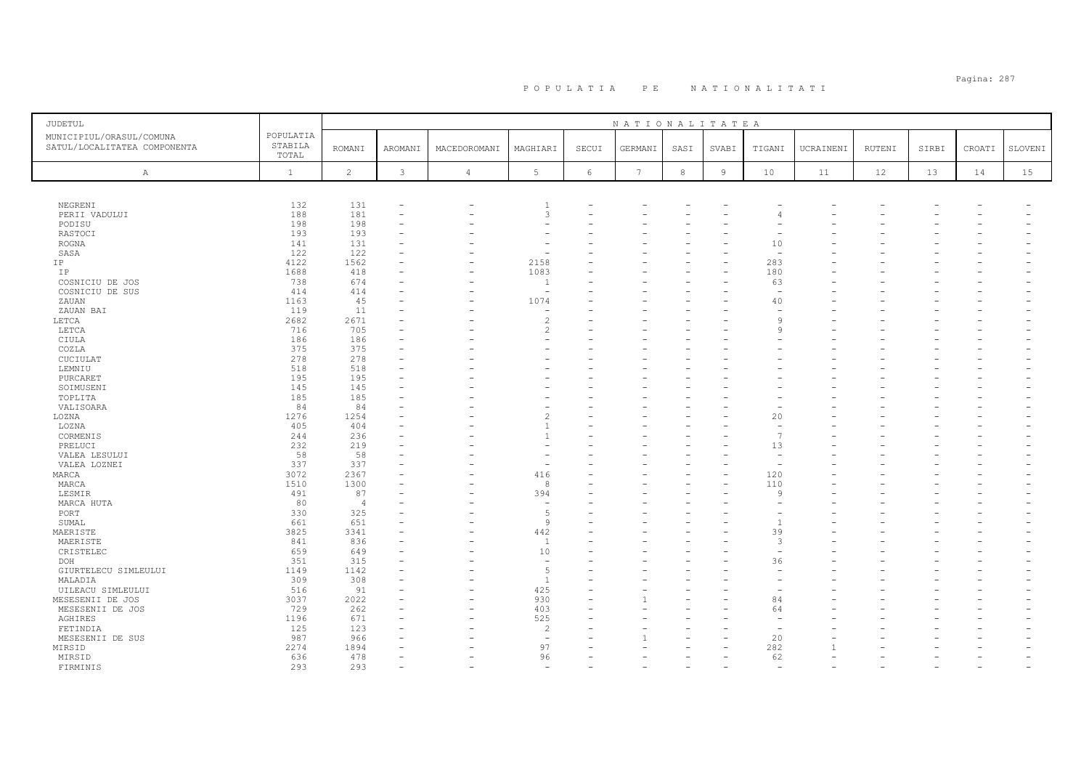| JUDETUL                                                  |                               |                |               |              |                          |            | NATIONALITATEA  |            |       |                          |           |               |       |        |         |
|----------------------------------------------------------|-------------------------------|----------------|---------------|--------------|--------------------------|------------|-----------------|------------|-------|--------------------------|-----------|---------------|-------|--------|---------|
| MUNICIPIUL/ORASUL/COMUNA<br>SATUL/LOCALITATEA COMPONENTA | POPULATIA<br>STABILA<br>TOTAL | <b>ROMANI</b>  | AROMANI       | MACEDOROMANI | MAGHIARI                 | SECUI      | GERMANI         | SASI       | SVABI | TIGANI                   | UCRAINENI | <b>RUTENI</b> | SIRBI | CROATI | SLOVENI |
| $\mathbb{A}$                                             | $\mathbf{1}$                  | $\overline{c}$ | $\mathcal{E}$ | $\sqrt{4}$   | $5\phantom{.0}$          | $\epsilon$ | $7\phantom{.0}$ | $^{\rm 8}$ | $\,9$ | 10                       | 11        | 12            | 13    | 14     | 15      |
|                                                          |                               |                |               |              |                          |            |                 |            |       |                          |           |               |       |        |         |
| NEGRENI                                                  | 132                           | 131            |               |              | -1                       |            |                 |            |       |                          |           |               |       |        |         |
| PERII VADULUI                                            | 188                           | 181            |               |              | 3                        |            |                 |            |       |                          |           |               |       |        |         |
| PODISU                                                   | 198                           | 198            |               |              |                          |            |                 |            |       |                          |           |               |       |        |         |
| RASTOCI                                                  | 193                           | 193            |               |              |                          |            |                 |            |       |                          |           |               |       |        |         |
| ROGNA                                                    | 141                           | 131            |               |              |                          |            |                 |            |       | 10                       |           |               |       |        |         |
| SASA                                                     | 122                           | 122            |               |              |                          |            |                 |            |       | $\overline{\phantom{a}}$ |           |               |       |        |         |
| IP                                                       | 4122                          | 1562           |               |              | 2158                     |            |                 |            |       | 283                      |           |               |       |        |         |
| IP                                                       | 1688                          | 418            |               |              | 1083                     |            |                 |            |       | 180                      |           |               |       |        |         |
| COSNICIU DE JOS                                          | 738                           | 674            |               |              | $\overline{1}$           |            |                 |            |       | 63                       |           |               |       |        |         |
| COSNICIU DE SUS                                          | 414                           | 414            |               |              | $\overline{\phantom{a}}$ |            |                 |            |       | $\sim$                   |           |               |       |        |         |
| ZAUAN                                                    | 1163                          | 45             |               |              | 1074                     |            |                 |            |       | 40                       |           |               |       |        |         |
| ZAUAN BAI                                                | 119                           | 11             |               |              | ÷.                       |            |                 |            |       |                          |           |               |       |        |         |
| LETCA                                                    | 2682                          | 2671           |               |              | $\overline{c}$           |            |                 |            |       | $\circ$                  |           |               |       |        |         |
| LETCA                                                    | 716                           | 705            |               |              | $\overline{c}$           |            |                 |            |       | $\alpha$                 |           |               |       |        |         |
| CIULA                                                    | 186                           | 186            |               |              | $\overline{\phantom{a}}$ |            |                 |            |       |                          |           |               |       |        |         |
| COZLA                                                    | 375                           | 375            |               |              |                          |            |                 |            |       |                          |           |               |       |        |         |
|                                                          | 278                           | 278            |               |              |                          |            |                 |            |       |                          |           |               |       |        |         |
| CUCIULAT                                                 |                               |                |               |              |                          |            |                 |            |       |                          |           |               |       |        |         |
| LEMNIU                                                   | 518                           | 518            |               |              |                          |            |                 |            |       |                          |           |               |       |        |         |
| PURCARET                                                 | 195                           | 195            |               |              |                          |            |                 |            |       |                          |           |               |       |        |         |
| SOIMUSENI                                                | 145                           | 145            |               |              |                          |            |                 |            |       |                          |           |               |       |        |         |
| TOPLITA                                                  | 185                           | 185            |               |              |                          |            |                 |            |       |                          |           |               |       |        |         |
| VALISOARA                                                | 84                            | 84             |               |              |                          |            |                 |            |       |                          |           |               |       |        |         |
| LOZNA                                                    | 1276                          | 1254           |               |              | $\overline{c}$           |            |                 |            |       | 20                       |           |               |       |        |         |
| LOZNA                                                    | 405                           | 404            |               |              | $\overline{1}$           |            |                 |            |       |                          |           |               |       |        |         |
| CORMENIS                                                 | 244                           | 236            |               |              |                          |            |                 |            |       | -7                       |           |               |       |        |         |
| PRELUCI                                                  | 232                           | 219            |               |              | ÷                        |            |                 |            |       | 13                       |           |               |       |        |         |
| VALEA LESULUI                                            | 58                            | 58             |               |              |                          |            |                 |            |       |                          |           |               |       |        |         |
| VALEA LOZNEI                                             | 337                           | 337            |               |              | ÷,                       |            |                 |            |       |                          |           |               |       |        |         |
| MARCA                                                    | 3072                          | 2367           |               |              | 416                      |            |                 |            |       | 120                      |           |               |       |        |         |
| MARCA                                                    | 1510                          | 1300           |               |              | 8                        |            |                 |            |       | 110                      |           |               |       |        |         |
| LESMIR                                                   | 491                           | 87             |               |              | 394                      |            |                 |            |       | $\circ$                  |           |               |       |        |         |
| MARCA HUTA                                               | 80                            | $\overline{4}$ |               |              | $\overline{\phantom{a}}$ |            |                 |            |       |                          |           |               |       |        |         |
| PORT                                                     | 330                           | 325            |               |              | 5                        |            |                 |            |       |                          |           |               |       |        |         |
| SUMAL                                                    | 661                           | 651            |               |              | $\overline{9}$           |            |                 |            |       | -1                       |           |               |       |        |         |
| MAERISTE                                                 | 3825                          | 3341           |               |              | 442                      |            |                 |            |       | 39                       |           |               |       |        |         |
| MAERISTE                                                 | 841                           | 836            |               |              | <sup>1</sup>             |            |                 |            |       | 3                        |           |               |       |        |         |
| CRISTELEC                                                | 659                           | 649            |               |              | 10                       |            |                 |            |       | $\sim$                   |           |               |       |        |         |
| DOH                                                      | 351                           | 315            |               |              | $\sim$                   |            |                 |            |       | 36                       |           |               |       |        |         |
| GIURTELECU SIMLEULUI                                     | 1149                          | 1142           |               |              | $\overline{5}$           |            |                 |            |       | $\sim$                   |           |               |       |        |         |
| MALADIA                                                  | 309                           | 308            |               |              | -1                       |            |                 |            |       |                          |           |               |       |        |         |
| UILEACU SIMLEULUI                                        | 516                           | 91             |               |              | 425                      |            |                 |            |       |                          |           |               |       |        |         |
|                                                          | 3037                          | 2022           |               |              | 930                      |            |                 |            |       | 84                       |           |               |       |        |         |
| MESESENII DE JOS                                         |                               |                |               |              |                          |            |                 |            |       |                          |           |               |       |        |         |
| MESESENII DE JOS                                         | 729                           | 262            |               |              | 403                      |            |                 |            |       | 64                       |           |               |       |        |         |
| AGHIRES                                                  | 1196                          | 671            |               |              | 525                      |            |                 |            |       |                          |           |               |       |        |         |
| FETINDIA                                                 | 125                           | 123            |               |              | $\overline{c}$           |            |                 |            |       |                          |           |               |       |        |         |
| MESESENII DE SUS                                         | 987                           | 966            |               |              | $\overline{\phantom{a}}$ |            |                 |            |       | 20                       |           |               |       |        |         |
| MIRSID                                                   | 2274                          | 1894           |               |              | 97                       |            |                 |            |       | 282                      |           |               |       |        |         |
| MIRSID                                                   | 636                           | 478            |               |              | 96                       |            |                 |            |       | 62                       |           |               |       |        |         |
| FIRMINIS                                                 | 293                           | 293            |               |              | ÷                        |            |                 |            |       |                          |           |               |       |        |         |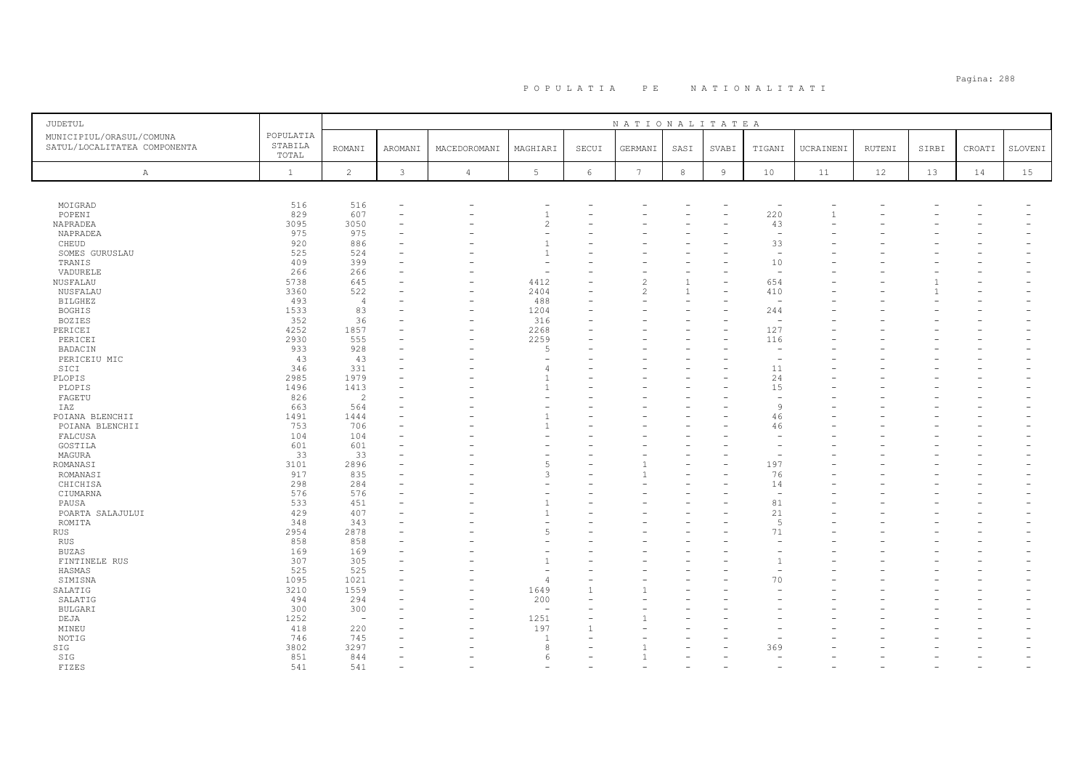| JUDETUL                                                  |                               |                          |              |                          |                          |                          | NATIONALITATEA           |            |                |                          |                |        |       |        |         |
|----------------------------------------------------------|-------------------------------|--------------------------|--------------|--------------------------|--------------------------|--------------------------|--------------------------|------------|----------------|--------------------------|----------------|--------|-------|--------|---------|
| MUNICIPIUL/ORASUL/COMUNA<br>SATUL/LOCALITATEA COMPONENTA | POPULATIA<br>STABILA<br>TOTAL | <b>ROMANI</b>            | AROMANI      | MACEDOROMANI             | MAGHIARI                 | SECUI                    | GERMANI                  | SASI       | SVABI          | TIGANI                   | UCRAINENI      | RUTENI | SIRBI | CROATI | SLOVENI |
| Α                                                        | $\mathbf{1}$                  | $\overline{c}$           | $\mathbf{3}$ | $\overline{4}$           | 5                        | $6\phantom{.}6$          | $7\phantom{.0}$          | $_{\rm 8}$ | $\overline{9}$ | 10                       | 11             | 12     | 13    | 14     | 15      |
|                                                          |                               |                          |              |                          |                          |                          |                          |            |                |                          |                |        |       |        |         |
| MOIGRAD                                                  | 516                           | 516                      |              |                          |                          |                          |                          |            |                |                          |                |        |       |        |         |
| POPENI                                                   | 829                           | 607                      | $\sim$       |                          | $\overline{1}$           | $\equiv$                 |                          |            |                | 220                      | $\overline{1}$ |        |       |        |         |
| NAPRADEA                                                 | 3095                          | 3050                     |              |                          | $\overline{c}$           |                          |                          |            |                | 43                       |                |        |       |        |         |
| NAPRADEA                                                 | 975                           | 975                      |              |                          |                          |                          |                          |            |                | $\overline{\phantom{a}}$ |                |        |       |        |         |
| CHEUD                                                    | 920                           | 886                      |              |                          | $\overline{1}$           |                          |                          |            |                | 33                       |                |        |       |        |         |
| SOMES GURUSLAU                                           | 525                           | 524                      |              |                          | $\overline{1}$           |                          |                          |            |                | $\overline{\phantom{0}}$ |                |        |       |        |         |
| TRANIS                                                   | 409                           | 399                      |              |                          |                          |                          |                          |            |                | 10                       |                |        |       |        |         |
| VADURELE                                                 | 266                           | 266                      |              |                          | $\overline{\phantom{a}}$ |                          |                          |            |                | $\sim$                   |                |        |       |        |         |
| NUSFALAU                                                 | 5738                          | 645                      |              |                          | 4412                     | ۳                        | $\mathfrak{D}$           |            |                | 654                      |                |        |       |        |         |
| NUSFALAU                                                 | 3360                          | 522                      |              | $\overline{\phantom{a}}$ | 2404                     |                          | $\overline{\mathcal{L}}$ |            |                | 410                      |                |        |       |        |         |
| <b>BILGHEZ</b>                                           | 493                           | $\overline{4}$           |              | $\equiv$                 | 488                      | ۳                        |                          |            |                | $\overline{\phantom{a}}$ |                |        |       |        |         |
| <b>BOGHIS</b>                                            | 1533                          | 83                       |              |                          | 1204                     |                          |                          |            |                | 244                      |                |        |       |        |         |
| <b>BOZIES</b>                                            | 352                           | 36                       |              | ÷                        | 316                      | L.                       |                          |            |                | $\overline{a}$           |                |        |       |        |         |
| PERICEI                                                  | 4252                          | 1857                     |              |                          | 2268                     |                          |                          |            |                | 127                      |                |        |       |        |         |
| PERICEI                                                  | 2930                          | 555                      |              |                          | 2259                     |                          |                          |            |                | 116                      |                |        |       |        |         |
| BADACIN                                                  | 933                           | 928                      |              |                          | .5                       |                          |                          |            |                |                          |                |        |       |        |         |
| PERICEIU MIC                                             | 43                            | 43                       |              |                          | $\overline{\phantom{a}}$ |                          |                          |            |                | $\overline{\phantom{a}}$ |                |        |       |        |         |
| SICI                                                     | 346                           | 331                      |              |                          | $\overline{4}$           |                          |                          |            |                | 11                       |                |        |       |        |         |
| PLOPIS                                                   | 2985                          | 1979                     |              |                          |                          |                          |                          |            |                | 24                       |                |        |       |        |         |
| PLOPIS                                                   | 1496                          | 1413                     |              |                          | $\overline{1}$           |                          |                          |            |                | 15                       |                |        |       |        |         |
| FAGETU                                                   | 826                           | 2                        |              |                          |                          |                          |                          |            |                | $\overline{a}$           |                |        |       |        |         |
| IAZ                                                      | 663                           | 564                      |              |                          |                          |                          |                          |            |                | $\overline{9}$           |                |        |       |        |         |
| POIANA BLENCHII                                          | 1491                          | 1444                     |              |                          | -1                       |                          |                          |            |                | 46                       |                |        |       |        |         |
| POIANA BLENCHII                                          | 753                           | 706                      |              |                          | $\mathbf{1}$             |                          |                          |            |                | 46                       |                |        |       |        |         |
| FALCUSA                                                  | 104                           | 104                      |              |                          |                          |                          |                          |            |                |                          |                |        |       |        |         |
| GOSTILA                                                  | 601                           | 601                      |              |                          |                          |                          |                          |            |                |                          |                |        |       |        |         |
| MAGURA                                                   | 33                            | 33                       |              |                          |                          |                          |                          |            |                |                          |                |        |       |        |         |
| <b>ROMANASI</b>                                          | 3101                          | 2896                     |              |                          | 5                        |                          |                          |            |                | 197                      |                |        |       |        |         |
| ROMANASI                                                 | 917                           | 835                      |              |                          | 3                        |                          |                          |            |                | 76                       |                |        |       |        |         |
| CHICHISA                                                 | 298                           | 284                      |              |                          |                          |                          |                          |            |                | 14                       |                |        |       |        |         |
| CIUMARNA                                                 | 576                           | 576                      |              |                          |                          | ۳                        |                          |            |                | $\overline{a}$           |                |        |       |        |         |
| PAUSA                                                    | 533                           | 451                      |              |                          |                          |                          |                          |            |                | 81                       |                |        |       |        |         |
| POARTA SALAJULUI                                         | 429                           | 407                      |              |                          | $\overline{1}$           |                          |                          |            |                | 21                       |                |        |       |        |         |
| ROMITA                                                   | 348                           | 343                      |              |                          |                          |                          |                          |            |                | 5                        |                |        |       |        |         |
| RUS                                                      | 2954                          | 2878                     |              |                          | .5                       |                          |                          |            |                | 71                       |                |        |       |        |         |
| RUS                                                      | 858                           | 858                      |              |                          |                          |                          |                          |            |                |                          |                |        |       |        |         |
| <b>BUZAS</b>                                             | 169                           | 169                      |              |                          |                          |                          |                          |            |                |                          |                |        |       |        |         |
| FINTINELE RUS                                            | 307                           | 305                      |              |                          | $\overline{1}$           |                          |                          |            |                | $\overline{1}$           |                |        |       |        |         |
| HASMAS                                                   | 525                           | 525                      |              |                          |                          |                          |                          |            |                |                          |                |        |       |        |         |
| SIMISNA                                                  | 1095                          | 1021                     |              |                          | $\overline{4}$           |                          |                          |            |                | 70                       |                |        |       |        |         |
| SALATIG                                                  | 3210                          | 1559                     |              | ÷                        | 1649                     |                          |                          |            |                |                          |                |        |       |        |         |
| SALATIG                                                  | 494                           | 294                      |              | ۰                        | 200                      | $\overline{\phantom{0}}$ |                          |            |                |                          |                |        |       |        |         |
| <b>BULGARI</b>                                           | 300                           | 300                      |              |                          | $\sim$                   |                          |                          |            |                |                          |                |        |       |        |         |
| DEJA                                                     | 1252                          | $\overline{\phantom{a}}$ |              |                          | 1251                     |                          |                          |            |                |                          |                |        |       |        |         |
| MINEU                                                    | 418                           | 220                      |              |                          | 197                      | 1                        |                          |            |                |                          |                |        |       |        |         |
| NOTIG                                                    | 746                           | 745                      |              |                          | $\mathbf{1}$             |                          |                          |            |                |                          |                |        |       |        |         |
| SIG                                                      | 3802                          | 3297                     |              |                          | 8                        |                          |                          |            |                | 369                      |                |        |       |        |         |
| SIG                                                      | 851                           | 844                      |              |                          | 6                        |                          |                          |            |                |                          |                |        |       |        |         |
| FIZES                                                    | 541                           | 541                      |              |                          |                          |                          |                          |            |                |                          |                |        |       |        |         |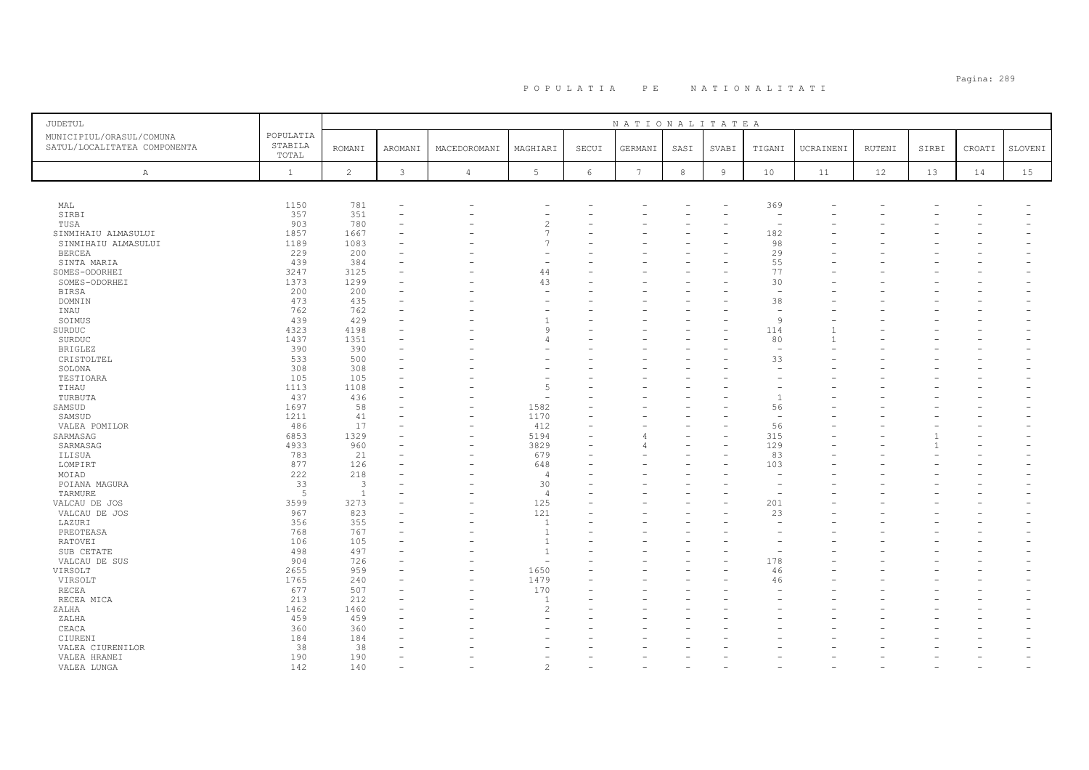| <b>JUDETUL</b>                                           |                               |                |              |                          |                |          | NATIONALITATEA  |            |                |                          |           |        |       |        |         |
|----------------------------------------------------------|-------------------------------|----------------|--------------|--------------------------|----------------|----------|-----------------|------------|----------------|--------------------------|-----------|--------|-------|--------|---------|
| MUNICIPIUL/ORASUL/COMUNA<br>SATUL/LOCALITATEA COMPONENTA | POPULATIA<br>STABILA<br>TOTAL | <b>ROMANI</b>  | AROMANI      | MACEDOROMANI             | MAGHIARI       | SECUI    | GERMANI         | SASI       | SVABI          | TIGANI                   | UCRAINENI | RUTENI | SIRBI | CROATI | SLOVENI |
| Α                                                        | $\mathbf{1}$                  | $\overline{c}$ | $\mathbf{3}$ | $\overline{4}$           | 5 <sup>5</sup> | $6\,$    | $7\phantom{.0}$ | $^{\rm 8}$ | $\overline{9}$ | 10                       | 11        | 12     | 13    | 14     | 15      |
|                                                          |                               |                |              |                          |                |          |                 |            |                |                          |           |        |       |        |         |
| MAL                                                      | 1150                          | 781            |              |                          |                |          |                 |            |                | 369                      |           |        |       |        |         |
| SIRBI                                                    | 357                           | 351            |              |                          |                |          |                 |            |                |                          |           |        |       |        |         |
| TUSA                                                     | 903                           | 780            |              |                          |                |          |                 |            |                |                          |           |        |       |        |         |
| SINMIHAIU ALMASULUI                                      | 1857                          | 1667           |              |                          | $\overline{7}$ |          |                 |            |                | 182                      |           |        |       |        |         |
| SINMIHAIU ALMASULUI                                      | 1189                          | 1083           |              |                          |                |          |                 |            |                | 98                       |           |        |       |        |         |
| <b>BERCEA</b>                                            | 229                           | 200            |              |                          |                |          |                 |            |                | 29                       |           |        |       |        |         |
| SINTA MARIA                                              | 439                           | 384            |              |                          |                |          |                 |            |                | 55                       |           |        |       |        |         |
| SOMES-ODORHEI                                            | 3247                          | 3125           |              |                          | 44             |          |                 |            |                | 77                       |           |        |       |        |         |
| SOMES-ODORHEI                                            | 1373                          | 1299           |              |                          | 43             |          |                 |            |                | 30                       |           |        |       |        |         |
| BIRSA                                                    | 200                           | 200            |              |                          |                |          |                 |            |                | $\overline{\phantom{a}}$ |           |        |       |        |         |
| DOMNIN                                                   | 473                           | 435            |              |                          |                |          |                 |            |                | 38                       |           |        |       |        |         |
| INAU                                                     | 762                           | 762            |              |                          |                |          |                 |            |                | $\overline{\phantom{0}}$ |           |        |       |        |         |
| SOIMUS                                                   | 439                           | 429            |              |                          | -1             |          |                 |            |                | Q                        |           |        |       |        |         |
| SURDUC                                                   | 4323                          | 4198           |              |                          | $\alpha$       |          |                 |            |                | 114                      |           |        |       |        |         |
| SURDUC                                                   | 1437                          | 1351           |              |                          |                |          |                 |            |                | 80                       | -1        |        |       |        |         |
| <b>BRIGLEZ</b>                                           | 390                           | 390            |              |                          |                |          |                 |            |                |                          |           |        |       |        |         |
| CRISTOLTEL                                               | 533                           | 500            |              |                          |                |          |                 |            |                | 33                       |           |        |       |        |         |
| SOLONA<br>TESTIOARA                                      | 308<br>105                    | 308<br>105     |              |                          |                |          |                 |            |                |                          |           |        |       |        |         |
| TIHAU                                                    | 1113                          | 1108           |              |                          | $\overline{5}$ |          |                 |            |                |                          |           |        |       |        |         |
| TURBUTA                                                  | 437                           | 436            |              |                          |                |          |                 |            |                | $\overline{1}$           |           |        |       |        |         |
| SAMSUD                                                   | 1697                          | 58             |              |                          | 1582           |          |                 |            |                | 56                       |           |        |       |        |         |
| SAMSUD                                                   | 1211                          | 41             |              | $\overline{\phantom{0}}$ | 1170           |          |                 |            |                | $\overline{\phantom{a}}$ |           |        |       |        |         |
| VALEA POMILOR                                            | 486                           | 17             |              | $\sim$                   | 412            | $\equiv$ |                 |            |                | 56                       |           |        |       |        |         |
| SARMASAG                                                 | 6853                          | 1329           |              |                          | 5194           |          |                 |            |                | 315                      |           |        |       |        |         |
| SARMASAG                                                 | 4933                          | 960            |              |                          | 3829           |          | Δ               |            |                | 129                      |           |        |       |        |         |
| ILISUA                                                   | 783                           | 21             |              |                          | 679            |          |                 |            |                | 83                       |           |        |       |        |         |
| LOMPIRT                                                  | 877                           | 126            |              |                          | 648            | ۰        |                 |            |                | 103                      |           |        |       |        |         |
| MOIAD                                                    | 222                           | 218            |              |                          | $\overline{4}$ |          |                 |            |                |                          |           |        |       |        |         |
| POIANA MAGURA                                            | 33                            | 3              |              |                          | 30             |          |                 |            |                |                          |           |        |       |        |         |
| TARMURE                                                  | 5                             | $\mathbf{1}$   |              |                          | $\overline{4}$ |          |                 |            |                |                          |           |        |       |        |         |
| VALCAU DE JOS                                            | 3599                          | 3273           |              |                          | 125            |          |                 |            |                | 201                      |           |        |       |        |         |
| VALCAU DE JOS                                            | 967                           | 823            |              |                          | 121            |          |                 |            |                | 23                       |           |        |       |        |         |
| LAZURI                                                   | 356                           | 355            |              |                          | $\overline{1}$ |          |                 |            |                |                          |           |        |       |        |         |
| PREOTEASA                                                | 768                           | 767            |              |                          | $\overline{1}$ |          |                 |            |                |                          |           |        |       |        |         |
| RATOVEI                                                  | 106                           | 105            |              |                          | $\overline{1}$ |          |                 |            |                |                          |           |        |       |        |         |
| SUB CETATE                                               | 498                           | 497            |              |                          | $\overline{1}$ |          |                 |            |                |                          |           |        |       |        |         |
| VALCAU DE SUS                                            | 904                           | 726            |              |                          |                |          |                 |            |                | 178                      |           |        |       |        |         |
| VIRSOLT                                                  | 2655                          | 959            |              |                          | 1650           | ÷        |                 |            |                | 46                       |           |        |       |        |         |
| VIRSOLT                                                  | 1765                          | 240            |              |                          | 1479           |          |                 |            |                | 46                       |           |        |       |        |         |
| RECEA                                                    | 677                           | 507            |              |                          | 170            |          |                 |            |                |                          |           |        |       |        |         |
| RECEA MICA                                               | 213                           | 212            |              |                          | $\overline{1}$ |          |                 |            |                |                          |           |        |       |        |         |
| ZALHA                                                    | 1462                          | 1460           |              |                          | $\mathfrak{D}$ |          |                 |            |                |                          |           |        |       |        |         |
| ZALHA                                                    | 459                           | 459            |              |                          |                |          |                 |            |                |                          |           |        |       |        |         |
| CEACA                                                    | 360                           | 360            |              |                          |                |          |                 |            |                |                          |           |        |       |        |         |
| CIURENI                                                  | 184                           | 184            |              |                          |                |          |                 |            |                |                          |           |        |       |        |         |
| VALEA CIURENILOR                                         | 38<br>190                     | 38<br>190      |              |                          |                |          |                 |            |                |                          |           |        |       |        |         |
| VALEA HRANEI                                             | 142                           | 140            |              |                          | $\mathcal{P}$  |          |                 |            |                |                          |           |        |       |        |         |
| VALEA LUNGA                                              |                               |                |              |                          |                |          |                 |            |                |                          |           |        |       |        |         |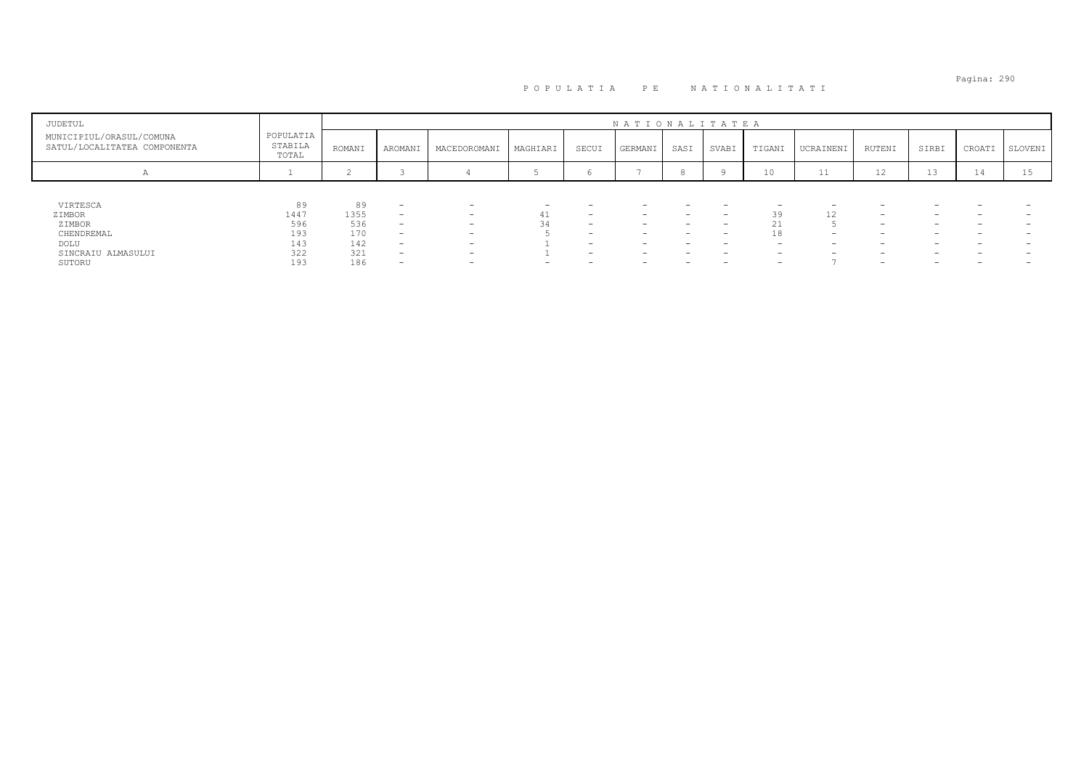| JUDETUL                                                  |                               |        |                          |                          |          |                          | NATIONALITATEA           |                          |                          |                          |                          |                          |                          |                   |         |
|----------------------------------------------------------|-------------------------------|--------|--------------------------|--------------------------|----------|--------------------------|--------------------------|--------------------------|--------------------------|--------------------------|--------------------------|--------------------------|--------------------------|-------------------|---------|
| MUNICIPIUL/ORASUL/COMUNA<br>SATUL/LOCALITATEA COMPONENTA | POPULATIA<br>STABILA<br>TOTAL | ROMANI | AROMANI                  | MACEDOROMANI             | MAGHIARI | SECUI                    | GERMANI                  | SASI                     | SVABI                    | TIGANI                   | UCRAINENI                | RUTENI                   | SIRBI                    | CROATI            | SLOVENI |
| A                                                        |                               |        |                          |                          |          |                          |                          |                          |                          | 10                       | <b>++</b>                | 12                       | 13                       | $-1$<br><b>14</b> | ⊥ ാ     |
|                                                          |                               |        |                          |                          |          |                          |                          |                          |                          |                          |                          |                          |                          |                   |         |
| VIRTESCA                                                 | 89                            | 89     | $\overline{\phantom{0}}$ | $\overline{\phantom{0}}$ |          |                          |                          |                          | -                        | $\overline{\phantom{0}}$ | $\overline{\phantom{0}}$ |                          |                          |                   |         |
| ZIMBOR                                                   | 1447                          | 1355   | $\overline{\phantom{0}}$ | -                        |          | $\overline{\phantom{0}}$ | $-$                      | $\overline{\phantom{0}}$ | $\overline{\phantom{0}}$ | 39                       | 12                       | $\overline{\phantom{0}}$ | -                        | -                 |         |
| ZIMBOR                                                   | 596                           | 536    | $\overline{\phantom{a}}$ | $\overline{\phantom{0}}$ |          | $\overline{\phantom{0}}$ | $\overline{\phantom{0}}$ | -                        | -                        | 21<br>∠⊥                 |                          | $\overline{\phantom{0}}$ | $\overline{\phantom{0}}$ | -                 |         |
| CHENDREMAL                                               | 193                           | 170    | $\overline{\phantom{a}}$ | $\overline{\phantom{0}}$ |          |                          | -                        |                          | -                        | 18                       | $\sim$                   |                          | $\overline{\phantom{0}}$ |                   |         |
| DOLU                                                     | 143                           | 142    | $\overline{\phantom{a}}$ | $\overline{\phantom{0}}$ |          | $\overline{\phantom{0}}$ | $\overline{\phantom{0}}$ | -                        | $\overline{\phantom{a}}$ | $\overline{\phantom{0}}$ | $-$                      | $\overline{\phantom{0}}$ | $-$                      | -                 |         |
| SINCRAIU ALMASULUI                                       | 322                           | 321    |                          | $\overline{\phantom{0}}$ |          |                          | $\overline{\phantom{0}}$ |                          | -                        | $\overline{\phantom{0}}$ | $\overline{\phantom{0}}$ |                          | -                        |                   |         |
| SUTORU                                                   | 193                           | 186    |                          | -                        |          |                          | $\overline{\phantom{0}}$ | -                        | $\overline{\phantom{a}}$ | $\overline{\phantom{0}}$ |                          | $\overline{\phantom{0}}$ | -                        | -                 |         |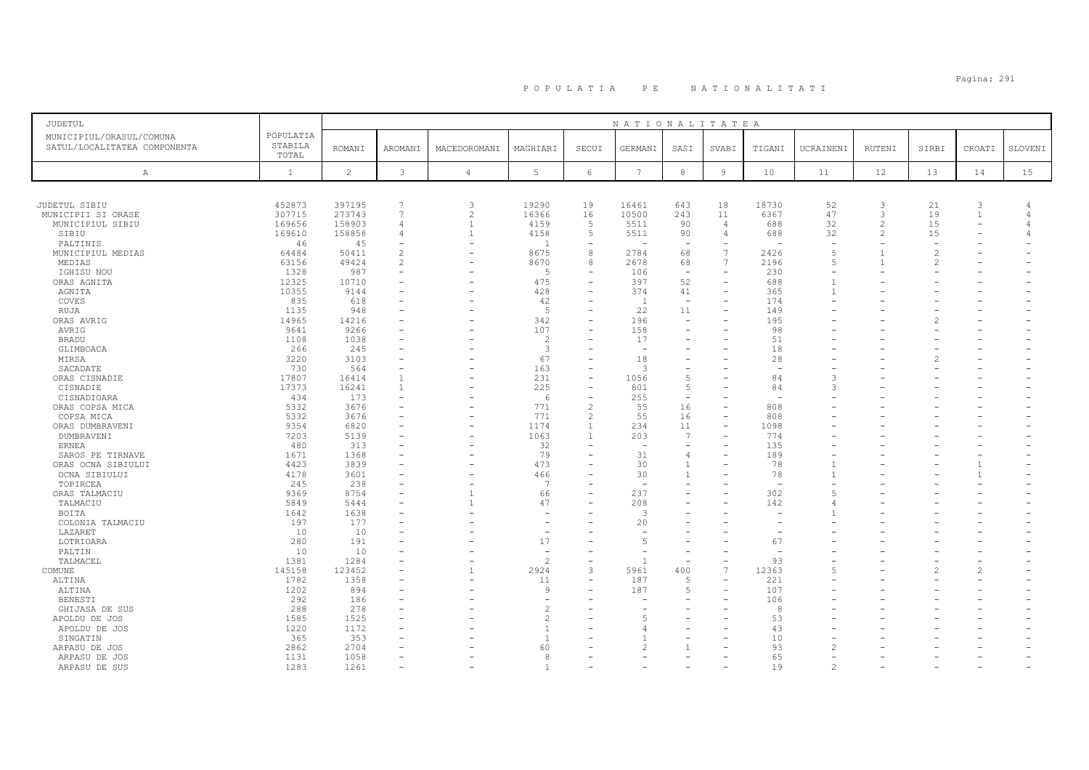| <b>JUDETUL</b>                                                   |                                      |                                      |                                                         |                                                         |                                        |                                                                 | NATIONALITATEA                       |                                                            |                                               |                                      |                                  |                               |                                 |                                                 |         |
|------------------------------------------------------------------|--------------------------------------|--------------------------------------|---------------------------------------------------------|---------------------------------------------------------|----------------------------------------|-----------------------------------------------------------------|--------------------------------------|------------------------------------------------------------|-----------------------------------------------|--------------------------------------|----------------------------------|-------------------------------|---------------------------------|-------------------------------------------------|---------|
| MUNICIPIUL/ORASUL/COMUNA<br>SATUL/LOCALITATEA COMPONENTA         | POPULATIA<br>STABILA<br>TOTAL        | <b>ROMANI</b>                        | AROMANI                                                 | MACEDOROMANI                                            | MAGHIARI                               | SECUI                                                           | GERMANI                              | SASI                                                       | SVABI                                         | TIGANI                               | UCRAINENI                        | RUTENI                        | SIRBI                           | CROATI                                          | SLOVENI |
| Α                                                                | $\mathbf{1}$                         | $\overline{c}$                       | $\mathbf{3}$                                            | $\overline{4}$                                          | 5                                      | $\epsilon$                                                      | $7\phantom{.0}$                      | $^{\rm 8}$                                                 | $\overline{9}$                                | 10                                   | 11                               | 12                            | 13                              | 14                                              | 15      |
|                                                                  |                                      |                                      |                                                         |                                                         |                                        |                                                                 |                                      |                                                            |                                               |                                      |                                  |                               |                                 |                                                 |         |
| JUDETUL SIBIU<br>MUNICIPII SI ORASE<br>MUNICIPIUL SIBIU<br>SIBIU | 452873<br>307715<br>169656<br>169610 | 397195<br>273743<br>158903<br>158858 | 7<br>$\overline{7}$<br>$\overline{4}$<br>$\overline{4}$ | 3<br>$\overline{c}$<br>$\overline{1}$<br>$\overline{1}$ | 19290<br>16366<br>4159<br>4158         | 19<br>16<br>5<br>5                                              | 16461<br>10500<br>5511<br>5511       | 643<br>243<br>90<br>90                                     | 18<br>11<br>$\overline{4}$<br>$\overline{4}$  | 18730<br>6367<br>688<br>688          | 52<br>47<br>32<br>32             | 3<br>3<br>$\mathfrak{D}$<br>2 | 21<br>19<br>15<br>15            | 3<br>$\overline{1}$<br>$\overline{\phantom{a}}$ |         |
| PALTINIS                                                         | 46                                   | 45                                   |                                                         |                                                         | $\overline{1}$                         | ÷                                                               |                                      |                                                            |                                               |                                      |                                  |                               |                                 |                                                 |         |
| MUNICIPIUL MEDIAS<br>MEDIAS<br>IGHISU NOU                        | 64484<br>63156<br>1328               | 50411<br>49424<br>987                | $\mathcal{L}$<br>2                                      | $\overline{\phantom{0}}$                                | 8675<br>8670<br>-5                     | 8<br>8<br>÷                                                     | 2784<br>2678<br>106                  | 68<br>68<br>$\overline{\phantom{a}}$                       | $\overline{7}$<br>$7\phantom{.0}$<br>$\equiv$ | 2426<br>2196<br>230                  | $\overline{5}$<br>$\overline{5}$ |                               | $\mathcal{D}$<br>$\overline{2}$ |                                                 |         |
| ORAS AGNITA<br>AGNITA<br>COVES                                   | 12325<br>10355<br>835                | 10710<br>9144<br>618                 |                                                         |                                                         | 475<br>428<br>42                       | $\overline{\phantom{a}}$<br>$\equiv$<br>$\equiv$                | 397<br>374<br>-1                     | 52<br>41<br>$\overline{\phantom{a}}$                       | $\overline{\phantom{a}}$                      | 688<br>365<br>174                    | $\overline{1}$                   |                               |                                 |                                                 |         |
| RUJA<br>ORAS AVRIG<br>AVRIG                                      | 1135<br>14965<br>9641                | 948<br>14216<br>9266                 |                                                         |                                                         | -5<br>342<br>107                       | $\overline{\phantom{a}}$                                        | 22<br>196<br>158                     | 11<br>$\overline{\phantom{a}}$                             | $\equiv$                                      | 149<br>195<br>98                     |                                  |                               |                                 |                                                 |         |
| <b>BRADU</b><br>GLIMBOACA                                        | 1108<br>266                          | 1038<br>245                          |                                                         |                                                         | $\overline{c}$<br>3                    | $\overline{\phantom{0}}$                                        | 17                                   |                                                            |                                               | 51<br>18                             |                                  |                               |                                 |                                                 |         |
| MIRSA<br>SACADATE<br>ORAS CISNADIE                               | 3220<br>730<br>17807                 | 3103<br>564<br>16414                 | $\overline{1}$                                          |                                                         | 67<br>163<br>231                       | $\overline{\phantom{0}}$<br>$\equiv$<br>$\equiv$                | 18<br>$\mathbf{3}$<br>1056           | $\overline{\phantom{0}}$<br>$\overline{5}$                 |                                               | 28<br>$\overline{\phantom{m}}$<br>84 |                                  |                               |                                 |                                                 |         |
| CISNADIE<br>CISNADIOARA<br>ORAS COPSA MICA                       | 17373<br>434<br>5332                 | 16241<br>173<br>3676                 | $\overline{1}$                                          |                                                         | 225<br>6<br>771                        | $\overline{\phantom{m}}$<br>$\qquad \qquad -$<br>$\overline{c}$ | 801<br>255<br>55                     | 5<br>$\overline{\phantom{a}}$<br>16                        |                                               | 84<br>808                            |                                  |                               |                                 |                                                 |         |
| COPSA MICA<br>ORAS DUMBRAVENI<br>DUMBRAVENI                      | 5332<br>9354<br>7203                 | 3676<br>6820<br>5139                 |                                                         | $\overline{\phantom{0}}$                                | 771<br>1174<br>1063                    | $\overline{c}$<br>$\mathbf{1}$<br>$\overline{1}$                | 55<br>234<br>203                     | 16<br>11<br>7                                              | $\equiv$<br>$\overline{\phantom{0}}$          | 808<br>1098<br>774                   |                                  |                               |                                 |                                                 |         |
| <b>ERNEA</b><br>SAROS PE TIRNAVE<br>ORAS OCNA SIBIULUI           | 480<br>1671<br>4423                  | 313<br>1368<br>3839                  |                                                         |                                                         | 32<br>79<br>473                        | $\equiv$                                                        | $\overline{\phantom{a}}$<br>31<br>30 | $\overline{\phantom{a}}$<br>$\overline{4}$<br>$\mathbf{1}$ |                                               | 135<br>189<br>78                     |                                  |                               |                                 | 1                                               |         |
| OCNA SIBIULUI<br>TOPIRCEA                                        | 4178<br>245<br>9369                  | 3601<br>238<br>8754                  |                                                         | $\overline{1}$                                          | 466<br>$\overline{7}$<br>66            | $\overline{\phantom{0}}$                                        | 30<br>237                            | $\mathbf{1}$                                               |                                               | 78<br>302                            | $\mathbf{1}$<br>$\overline{5}$   |                               |                                 | $\mathbf{1}$                                    |         |
| ORAS TALMACIU<br>TALMACIU<br>BOITA                               | 5849<br>1642                         | 5444<br>1638                         |                                                         | $\overline{1}$                                          | 47                                     |                                                                 | 208<br>$\mathcal{L}$                 |                                                            |                                               | 142                                  |                                  |                               |                                 |                                                 |         |
| COLONIA TALMACIU<br>LAZARET<br>LOTRIOARA                         | 197<br>10<br>280                     | 177<br>10<br>191                     |                                                         |                                                         | 17                                     | $=$<br>$\equiv$                                                 | 20<br>$\overline{5}$                 | ÷                                                          |                                               | 67                                   |                                  |                               |                                 |                                                 |         |
| PALTIN<br>TALMACEL<br>COMUNE                                     | 10<br>1381<br>145158                 | 10<br>1284<br>123452                 |                                                         | $\overline{\phantom{0}}$<br>$\mathbf{1}$                | $\overline{c}$<br>2924                 | $\qquad \qquad -$<br>3                                          | 5961                                 | $\overline{\phantom{a}}$<br>400                            | $\overline{\phantom{0}}$<br>$\overline{7}$    | 93<br>12363                          | $\overline{5}$                   |                               |                                 | $\overline{\phantom{m}}$<br>$\overline{c}$      |         |
| ALTINA<br>ALTINA                                                 | 1782<br>1202                         | 1358<br>894                          |                                                         |                                                         | 11<br>9                                | $\equiv$<br>$\equiv$                                            | 187<br>187                           | 5<br>5                                                     | $\equiv$                                      | 221<br>107                           |                                  |                               |                                 |                                                 |         |
| BENESTI<br>GHIJASA DE SUS<br>APOLDU DE JOS                       | 292<br>288<br>1585                   | 186<br>278<br>1525                   |                                                         |                                                         | $\mathfrak{D}$<br>$\overline{c}$       |                                                                 | 5                                    |                                                            |                                               | 106<br>8<br>53                       |                                  |                               |                                 |                                                 |         |
| APOLDU DE JOS<br>SINGATIN<br>ARPASU DE JOS                       | 1220<br>365<br>2862                  | 1172<br>353<br>2704                  |                                                         |                                                         | $\overline{1}$<br>$\overline{1}$<br>60 |                                                                 | Δ                                    |                                                            |                                               | 43<br>10<br>93                       |                                  |                               |                                 |                                                 |         |
| ARPASU DE JOS<br>ARPASU DE SUS                                   | 1131<br>1283                         | 1058<br>1261                         |                                                         |                                                         | 8                                      |                                                                 |                                      |                                                            |                                               | 65<br>19                             |                                  |                               |                                 |                                                 |         |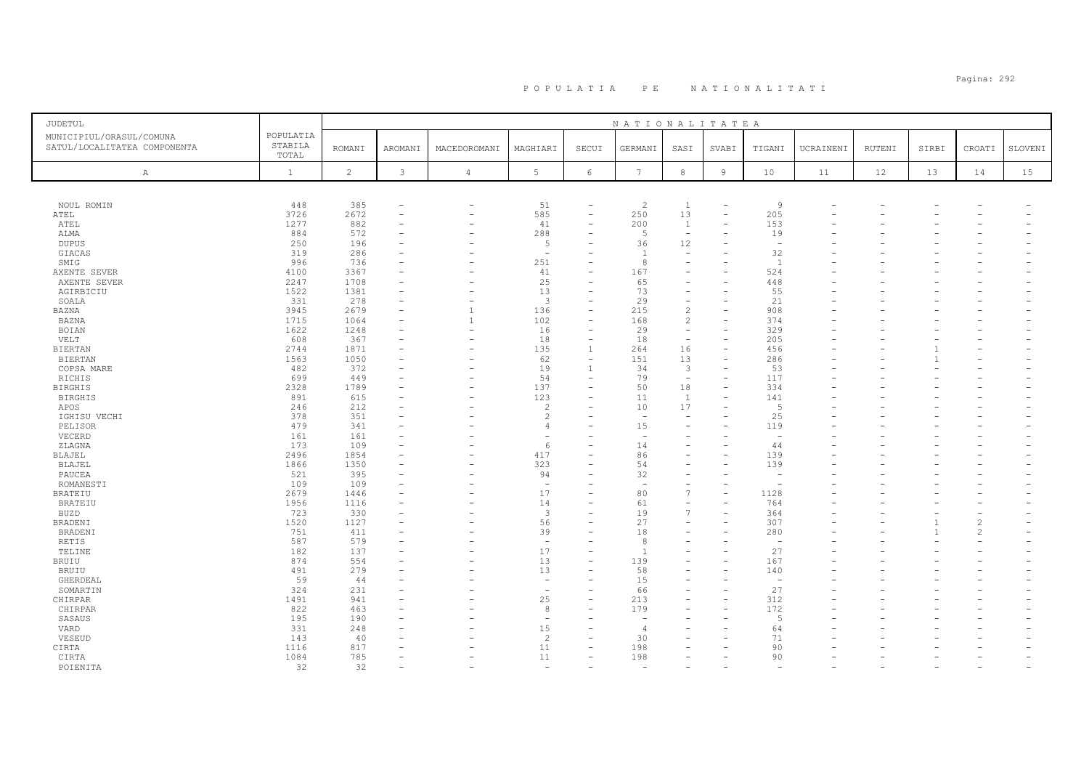## Pagina: 292 P O P U L A T I A P E N A T I O N A L I T A T I

| JUDETUL                                                  |                               |                |                               |                          |                                |                                | NATIONALITATEA           |                          |                          |                                 |                          |        |                |                          |         |
|----------------------------------------------------------|-------------------------------|----------------|-------------------------------|--------------------------|--------------------------------|--------------------------------|--------------------------|--------------------------|--------------------------|---------------------------------|--------------------------|--------|----------------|--------------------------|---------|
| MUNICIPIUL/ORASUL/COMUNA<br>SATUL/LOCALITATEA COMPONENTA | POPULATIA<br>STABILA<br>TOTAL | <b>ROMANI</b>  | AROMANI                       | MACEDOROMANI             | MAGHIARI                       | SECUI                          | GERMANI                  | SASI                     | SVABI                    | TIGANI                          | UCRAINENI                | RUTENI | SIRBI          | CROATI                   | SLOVENI |
| A                                                        | $\mathbf{1}$                  | $\overline{2}$ | 3                             | $\overline{4}$           | 5                              | 6                              | $7\phantom{.0}$          | $\,8\,$                  | $\,$ 9                   | $10$                            | 11                       | 12     | 13             | 14                       | 15      |
|                                                          |                               |                |                               |                          |                                |                                |                          |                          |                          |                                 |                          |        |                |                          |         |
| NOUL ROMIN                                               | 448                           | 385            | $\overline{\phantom{m}}$      | $\overline{\phantom{a}}$ | 51                             | $\overline{\phantom{a}}$       | 2                        | $\mathbf{1}$             | $\overline{\phantom{a}}$ | 9                               |                          |        |                |                          |         |
| ATEL                                                     | 3726                          | 2672           | $\equiv$                      | $\overline{\phantom{a}}$ | 585                            | $\overline{\phantom{a}}$       | 250                      | 13                       |                          | 205                             |                          |        |                |                          |         |
| ATEL                                                     | 1277                          | 882            | $\overline{\phantom{0}}$      | $\overline{\phantom{0}}$ | 41                             | $\overline{\phantom{a}}$       | 200                      | 1                        |                          | 153                             |                          |        |                |                          |         |
| ALMA                                                     | 884                           | 572            | $\equiv$                      | $\equiv$                 | 288                            | $\equiv$                       | 5                        | $\overline{\phantom{a}}$ |                          | 19                              |                          |        |                |                          |         |
| <b>DUPUS</b>                                             | 250<br>319                    | 196<br>286     | $\equiv$                      |                          | 5<br>$\overline{\phantom{a}}$  |                                | 36<br>$\overline{1}$     | 12<br>$\sim$             |                          | $\overline{\phantom{a}}$<br>32  |                          |        |                |                          |         |
| GIACAS<br>SMIG                                           | 996                           | 736            | ۰                             | $\overline{\phantom{0}}$ | 251                            |                                | 8                        | $\overline{\phantom{0}}$ |                          | <sup>1</sup>                    |                          |        |                |                          |         |
| AXENTE SEVER                                             | 4100                          | 3367           | $\equiv$                      |                          | 41                             |                                | 167                      | $\overline{\phantom{0}}$ |                          | 524                             |                          |        |                |                          |         |
| AXENTE SEVER                                             | 2247                          | 1708           | ÷,                            |                          | 25                             |                                | 65                       |                          |                          | 448                             |                          |        |                |                          |         |
| AGIRBICIU                                                | 1522                          | 1381           | ÷,                            |                          | 13                             | $\overline{\phantom{a}}$       | 73                       | $\overline{\phantom{a}}$ |                          | 55                              |                          |        |                |                          |         |
| SOALA                                                    | 331                           | 278            | ÷,                            |                          | $\overline{3}$                 |                                | 29                       | $\overline{\phantom{m}}$ |                          | 21                              |                          |        |                |                          |         |
| BAZNA                                                    | 3945                          | 2679           | $\equiv$                      | $\mathbf{1}$             | 136                            | $\overline{\phantom{a}}$       | 215                      | $\overline{2}$           |                          | 908                             |                          |        |                |                          |         |
| BAZNA                                                    | 1715                          | 1064           |                               | $\mathbf{1}$             | 102                            |                                | 168                      | $\overline{c}$           |                          | 374                             |                          |        |                |                          |         |
| BOIAN                                                    | 1622                          | 1248           | ÷,                            | $\overline{\phantom{a}}$ | 16                             | $\overline{\phantom{a}}$       | 29                       | $\overline{\phantom{a}}$ |                          | 329                             |                          |        |                |                          |         |
| VELT                                                     | 608                           | 367            | $\overline{\phantom{0}}$      | $\overline{\phantom{a}}$ | 18                             | $\overline{\phantom{a}}$       | 18                       | $\overline{\phantom{a}}$ |                          | 205                             |                          |        |                |                          |         |
| <b>BIERTAN</b>                                           | 2744<br>1563                  | 1871<br>1050   | $\overline{\phantom{0}}$<br>۰ |                          | 135<br>62                      | -1<br>$\overline{\phantom{a}}$ | 264<br>151               | 16<br>13                 | $\overline{\phantom{a}}$ | 456<br>286                      |                          |        | $\mathbf{1}$   |                          |         |
| <b>BIERTAN</b><br>COPSA MARE                             | 482                           | 372            | ۰                             | $\overline{\phantom{0}}$ | 19                             | -1                             | 34                       | 3                        |                          | 53                              |                          |        |                |                          |         |
| RICHIS                                                   | 699                           | 449            | $\overline{\phantom{0}}$      | $\overline{\phantom{a}}$ | 54                             | $\overline{\phantom{a}}$       | 79                       | $\overline{\phantom{a}}$ |                          | 117                             |                          |        |                |                          |         |
| <b>BIRGHIS</b>                                           | 2328                          | 1789           |                               |                          | 137                            |                                | 50                       | 18                       | $\overline{\phantom{a}}$ | 334                             |                          |        |                |                          |         |
| <b>BIRGHIS</b>                                           | 891                           | 615            | $\equiv$                      | $\overline{\phantom{0}}$ | 123                            | $\equiv$                       | 11                       | $\mathbf{1}$             |                          | 141                             |                          |        |                |                          |         |
| APOS                                                     | 246                           | 212            |                               |                          | $\overline{c}$                 |                                | 10                       | 17                       |                          | 5                               |                          |        |                |                          |         |
| IGHISU VECHI                                             | 378                           | 351            | $\equiv$                      |                          | $\overline{\mathcal{L}}$       |                                | $\overline{\phantom{a}}$ | $\overline{\phantom{m}}$ |                          | 25                              |                          |        |                |                          |         |
| PELISOR                                                  | 479                           | 341            |                               |                          | 4                              |                                | 15                       |                          |                          | 119                             |                          |        |                |                          |         |
| VECERD                                                   | 161                           | 161            | $\qquad \qquad -$             |                          | $\overline{\phantom{a}}$       |                                | $\overline{\phantom{a}}$ |                          |                          | $\overline{\phantom{a}}$        |                          |        |                |                          |         |
| ZLAGNA                                                   | 173                           | 109            |                               |                          | 6                              |                                | 14                       |                          |                          | 44                              |                          |        |                |                          |         |
| BLAJEL                                                   | 2496                          | 1854           | ÷,                            |                          | 417                            |                                | 86<br>54                 |                          |                          | 139                             |                          |        |                |                          |         |
| BLAJEL<br>PAUCEA                                         | 1866<br>521                   | 1350<br>395    |                               |                          | 323<br>94                      |                                | 32                       | $\overline{\phantom{a}}$ |                          | 139<br>$\overline{\phantom{a}}$ |                          |        |                |                          |         |
| ROMANESTI                                                | 109                           | 109            | $\overline{\phantom{0}}$      |                          | $\overline{\phantom{a}}$       |                                | $\overline{\phantom{a}}$ | $\overline{\phantom{0}}$ |                          | ٠                               |                          |        |                |                          |         |
| <b>BRATEIU</b>                                           | 2679                          | 1446           | $\overline{\phantom{0}}$      |                          | 17                             |                                | 80                       | $\overline{7}$           |                          | 1128                            |                          |        |                |                          |         |
| BRATEIU                                                  | 1956                          | 1116           | $\equiv$                      |                          | 14                             |                                | 61                       | $\overline{\phantom{a}}$ |                          | 764                             |                          |        |                |                          |         |
| BUZD                                                     | 723                           | 330            | $\equiv$                      |                          | 3                              |                                | 19                       | 7                        | $\equiv$                 | 364                             |                          |        |                | $\overline{\phantom{a}}$ |         |
| BRADENI                                                  | 1520                          | 1127           | $\overline{\phantom{0}}$      | $\overline{\phantom{0}}$ | 56                             |                                | 27                       | $\overline{\phantom{a}}$ |                          | 307                             |                          |        | $\overline{1}$ | $\overline{c}$           |         |
| <b>BRADENI</b>                                           | 751                           | 411            |                               |                          | 39                             |                                | 18                       |                          |                          | 280                             |                          |        |                | $\overline{c}$           |         |
| RETIS                                                    | 587                           | 579            | $\equiv$                      |                          | $\overline{\phantom{a}}$       |                                | 8                        |                          |                          | $\overline{\phantom{m}}$        |                          |        |                |                          |         |
| TELINE                                                   | 182                           | 137            |                               |                          | 17                             |                                |                          |                          |                          | 27                              |                          |        |                |                          |         |
| <b>BRUIU</b>                                             | 874                           | 554            | ÷                             |                          | 13                             | $\equiv$                       | 139                      |                          |                          | 167                             |                          |        |                |                          |         |
| BRUIU                                                    | 491<br>59                     | 279<br>44      | ۰                             |                          | 13<br>$\overline{\phantom{m}}$ | $=$                            | 58<br>15                 | $\equiv$                 |                          | 140<br>$\overline{\phantom{m}}$ |                          |        |                |                          |         |
| GHERDEAL                                                 | 324                           | 231            |                               |                          | $\overline{\phantom{a}}$       |                                | 66                       |                          |                          | 27                              |                          |        |                |                          |         |
| SOMARTIN<br>CHIRPAR                                      | 1491                          | 941            | $\qquad \qquad -$             |                          | 25                             |                                | 213                      |                          |                          | 312                             |                          |        |                |                          |         |
| CHIRPAR                                                  | 822                           | 463            |                               |                          | 8                              |                                | 179                      |                          |                          | 172                             |                          |        |                |                          |         |
| SASAUS                                                   | 195                           | 190            | $\equiv$                      |                          | $\overline{\phantom{a}}$       |                                |                          |                          |                          | $\overline{5}$                  |                          |        |                |                          |         |
| VARD                                                     | 331                           | 248            |                               |                          | 15                             |                                | - 4                      |                          |                          | 64                              |                          |        |                |                          |         |
| VESEUD                                                   | 143                           | 40             | $\equiv$                      |                          | $\overline{c}$                 |                                | 30                       |                          |                          | 71                              |                          |        |                |                          |         |
| CIRTA                                                    | 1116                          | 817            | $\overline{\phantom{0}}$      |                          | 11                             | $\overline{\phantom{a}}$       | 198                      |                          |                          | 90                              |                          |        |                |                          |         |
| CIRTA                                                    | 1084                          | 785            | $\overline{\phantom{0}}$      | $\overline{\phantom{a}}$ | 11                             | $\overline{\phantom{a}}$       | 198                      | $\overline{\phantom{a}}$ |                          | 90                              |                          |        |                | ۰                        |         |
| POIENITA                                                 | 32                            | 32             | $\overline{\phantom{0}}$      | $\overline{\phantom{a}}$ | $\overline{\phantom{m}}$       |                                |                          | $\overline{\phantom{0}}$ |                          | $\overline{\phantom{m}}$        | $\overline{\phantom{0}}$ |        |                | $\overline{\phantom{a}}$ |         |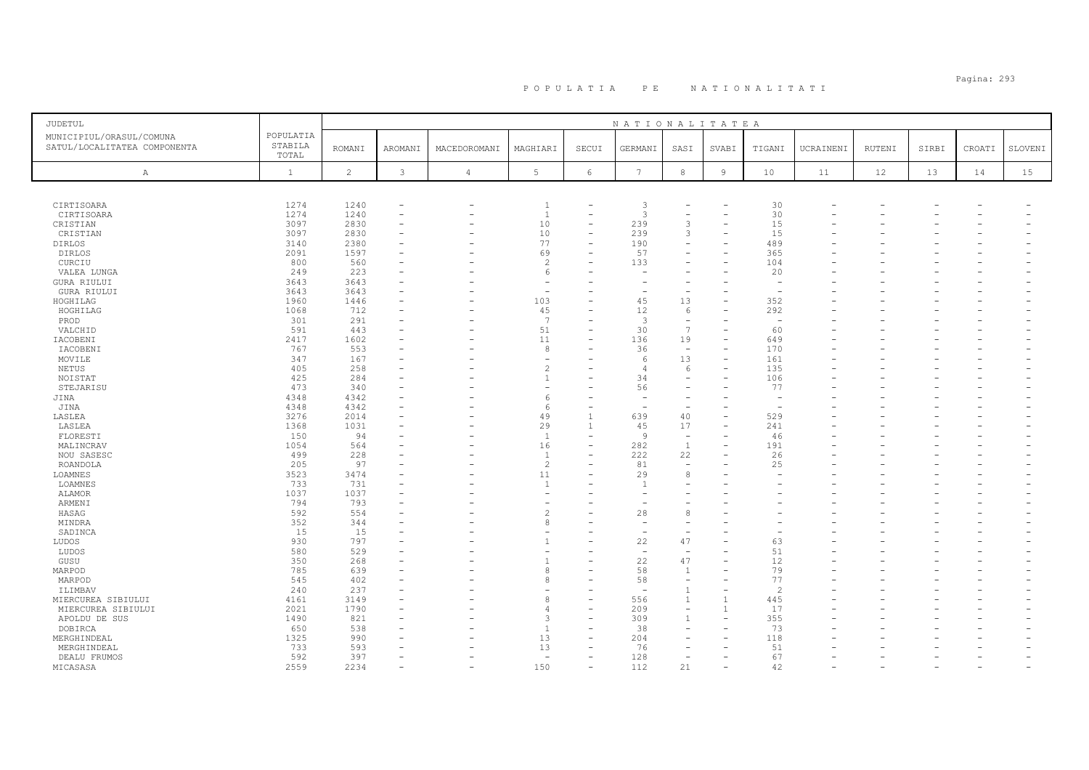# Pagina: 293 P O P U L A T I A P E N A T I O N A L I T A T I

| JUDETUL                      |              |                |                          |                          |                          |                          | NATIONALITATEA           |                          |                          |                          |           |        |       |        |         |
|------------------------------|--------------|----------------|--------------------------|--------------------------|--------------------------|--------------------------|--------------------------|--------------------------|--------------------------|--------------------------|-----------|--------|-------|--------|---------|
| MUNICIPIUL/ORASUL/COMUNA     | POPULATIA    |                |                          |                          |                          |                          |                          |                          |                          |                          |           |        |       |        |         |
| SATUL/LOCALITATEA COMPONENTA | STABILA      | <b>ROMANI</b>  | AROMANI                  | MACEDOROMANI             | MAGHIARI                 | SECUI                    | GERMANI                  | SASI                     | SVABI                    | TIGANI                   | UCRAINENI | RUTENI | SIRBI | CROATI | SLOVENI |
|                              | TOTAL        |                |                          |                          |                          |                          |                          |                          |                          |                          |           |        |       |        |         |
| Α                            | $\mathbf{1}$ | $\overline{c}$ | 3                        | $\sqrt{4}$               | 5                        | 6                        | $7\phantom{.0}$          | $_{\rm 8}$               | $\overline{9}$           | 10                       | 11        | 12     | 13    | 14     | 15      |
|                              |              |                |                          |                          |                          |                          |                          |                          |                          |                          |           |        |       |        |         |
|                              |              |                |                          |                          |                          |                          |                          |                          |                          |                          |           |        |       |        |         |
| CIRTISOARA                   | 1274         | 1240           | ٠                        | $\overline{\phantom{0}}$ | -1                       |                          | 3                        |                          |                          | 30                       |           |        |       |        |         |
| CIRTISOARA                   | 1274         | 1240           | $\overline{\phantom{0}}$ |                          | $\overline{1}$           | $\overline{\phantom{0}}$ | 3                        |                          |                          | 30                       |           |        |       |        |         |
| CRISTIAN                     | 3097         | 2830           | ÷                        |                          | 10                       | L.                       | 239                      | 3                        |                          | 15                       |           |        |       |        |         |
| CRISTIAN                     | 3097         | 2830           | ۰                        |                          | 10                       | L.                       | 239                      | 3                        |                          | 15                       |           |        |       |        |         |
| <b>DIRLOS</b>                | 3140         | 2380           |                          |                          | 77                       |                          | 190                      |                          |                          | 489                      |           |        |       |        |         |
| <b>DIRLOS</b>                | 2091         | 1597           |                          |                          | 69                       | L,                       | 57                       | $\overline{\phantom{a}}$ |                          | 365                      |           |        |       |        |         |
| CURCIU                       | 800          | 560            |                          |                          | $\overline{c}$           |                          | 133                      |                          |                          | 104                      |           |        |       |        |         |
| VALEA LUNGA                  | 249          | 223            |                          |                          | 6                        |                          |                          |                          |                          | 20                       |           |        |       |        |         |
| GURA RIULUI                  | 3643         | 3643           |                          |                          |                          |                          |                          |                          |                          |                          |           |        |       |        |         |
| GURA RIULUI                  | 3643         | 3643           |                          |                          | $\overline{\phantom{a}}$ |                          |                          | $\overline{\phantom{a}}$ |                          | $\overline{\phantom{a}}$ |           |        |       |        |         |
| HOGHILAG                     | 1960         | 1446           | $\overline{\phantom{a}}$ |                          | 103                      |                          | 45                       | 13                       |                          | 352                      |           |        |       |        |         |
| HOGHILAG                     | 1068         | 712            |                          |                          | 45                       |                          | 12                       | 6                        |                          | 292                      |           |        |       |        |         |
| PROD                         | 301          | 291            |                          |                          | $\overline{7}$           |                          | 3                        | $\overline{\phantom{a}}$ |                          |                          |           |        |       |        |         |
| VALCHID                      | 591          | 443            |                          |                          | 51                       | ۰                        | 30                       | 7                        |                          | 60                       |           |        |       |        |         |
| IACOBENI                     | 2417         | 1602           | ٠                        |                          | 11                       | ۳                        | 136                      | 19                       | $\overline{\phantom{0}}$ | 649                      |           |        |       |        |         |
| IACOBENI                     | 767          | 553            |                          |                          | 8                        |                          | 36                       | $\equiv$                 |                          | 170                      |           |        |       |        |         |
| MOVILE                       | 347          | 167            |                          |                          | ۰                        |                          | 6                        | 13                       | $\overline{\phantom{0}}$ | 161                      |           |        |       |        |         |
| NETUS                        | 405          | 258            |                          |                          | $\overline{c}$           |                          | $\overline{4}$           | 6                        |                          | 135                      |           |        |       |        |         |
| NOISTAT                      | 425          | 284            | $\equiv$                 |                          | $\overline{1}$           |                          | 34                       | $\equiv$                 |                          | 106                      |           |        |       |        |         |
| STEJARISU                    | 473          | 340            |                          |                          | ٠                        |                          | 56                       |                          |                          | 77                       |           |        |       |        |         |
| JINA                         | 4348         | 4342           |                          |                          | 6                        | L.                       | $\overline{\phantom{a}}$ |                          |                          |                          |           |        |       |        |         |
| JINA                         | 4348         | 4342           |                          |                          | 6                        |                          |                          |                          |                          |                          |           |        |       |        |         |
| LASLEA                       | 3276         | 2014           | ۰                        |                          | 49                       | $\overline{1}$           | 639                      | 40                       |                          | 529                      |           |        |       |        |         |
| LASLEA                       | 1368         | 1031           |                          |                          | 29                       | $\overline{1}$           | 45                       | 17                       |                          | 241                      |           |        |       |        |         |
| FLORESTI                     | 150          | 94             | ۰                        |                          | <sup>1</sup>             | L.                       | 9                        | $\overline{\phantom{a}}$ |                          | 46                       |           |        |       |        |         |
| MALINCRAV                    | 1054         | 564            |                          |                          | 16                       |                          | 282                      | 1                        |                          | 191                      |           |        |       |        |         |
| NOU SASESC                   | 499          | 228            | $\overline{\phantom{a}}$ |                          | <sup>1</sup>             |                          | 222                      | 22                       |                          | 26                       |           |        |       |        |         |
| ROANDOLA                     | 205          | 97             |                          |                          | $\overline{c}$           | ۳                        | 81                       | $\overline{\phantom{a}}$ |                          | 25                       |           |        |       |        |         |
| LOAMNES                      | 3523         | 3474           |                          |                          | 11                       |                          | 29                       | 8                        |                          |                          |           |        |       |        |         |
| LOAMNES                      | 733          | 731            | ÷                        |                          | $\overline{1}$           |                          |                          |                          |                          |                          |           |        |       |        |         |
| ALAMOR                       | 1037         | 1037           |                          |                          | ٠                        |                          |                          |                          |                          |                          |           |        |       |        |         |
| ARMENI                       | 794          | 793            |                          |                          | ٠                        |                          |                          |                          |                          |                          |           |        |       |        |         |
| HASAG                        | 592          | 554            |                          |                          | $\overline{c}$           |                          | 28                       | 8                        |                          |                          |           |        |       |        |         |
| MINDRA                       | 352          | 344            | ۰                        |                          | 8                        |                          | $\sim$                   | $\overline{\phantom{a}}$ |                          |                          |           |        |       |        |         |
| SADINCA                      | 15           | 15             |                          |                          |                          |                          |                          |                          |                          |                          |           |        |       |        |         |
| LUDOS                        | 930          | 797            |                          |                          |                          |                          | 22                       | 47                       |                          | 63                       |           |        |       |        |         |
| LUDOS                        | 580          | 529            |                          |                          |                          |                          |                          |                          |                          | 51                       |           |        |       |        |         |
| GUSU                         | 350          | 268            | ٠                        |                          | $\overline{1}$           |                          | 22                       | 47                       |                          | 12                       |           |        |       |        |         |
| MARPOD                       | 785          | 639            |                          |                          | 8                        |                          | 58                       | 1                        |                          | 79                       |           |        |       |        |         |
| MARPOD                       | 545          | 402            |                          |                          | 8                        |                          | 58                       | $\equiv$                 |                          | 77                       |           |        |       |        |         |
| ILIMBAV                      | 240          | 237            |                          |                          |                          |                          |                          | $\mathbf{1}$             |                          | 2                        |           |        |       |        |         |
| MIERCUREA SIBIULUI           | 4161         | 3149           |                          |                          | 8                        |                          | 556                      | $\mathbf{1}$             |                          | 445                      |           |        |       |        |         |
| MIERCUREA SIBIULUI           | 2021         | 1790           |                          |                          | $\overline{4}$           | $\overline{\phantom{0}}$ | 209                      | $\overline{\phantom{0}}$ |                          | 17                       |           |        |       |        |         |
| APOLDU DE SUS                | 1490         | 821            |                          |                          | 3                        |                          | 309                      | $\mathbf{1}$             |                          | 355                      |           |        |       |        |         |
| DOBIRCA                      | 650          | 538            |                          |                          | <sup>1</sup>             |                          | 38                       | $\overline{\phantom{a}}$ |                          | 73                       |           |        |       |        |         |
| MERGHINDEAL                  | 1325         | 990            |                          |                          | 13                       |                          | 204                      |                          |                          | 118                      |           |        |       |        |         |
| MERGHINDEAL                  | 733          | 593            |                          |                          | 13                       | $\equiv$                 | 76                       | $\equiv$                 |                          | 51                       |           |        |       |        |         |
| DEALU FRUMOS                 | 592          | 397            |                          |                          | ÷,                       |                          | 128                      |                          |                          | 67                       |           |        |       |        |         |
| MICASASA                     | 2559         | 2234           | $\overline{\phantom{a}}$ | $\overline{\phantom{a}}$ | 150                      | $\equiv$                 | 112                      | 21                       |                          | 42                       |           |        |       |        |         |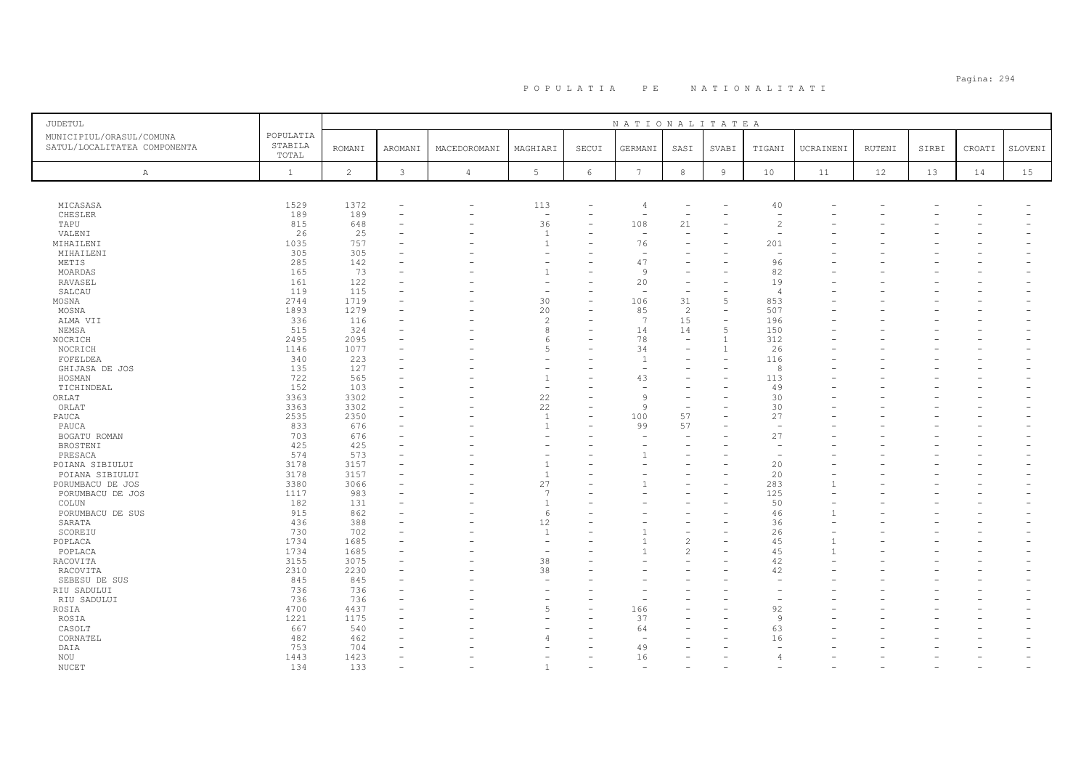# Pagina: 294 P O P U L A T I A P E N A T I O N A L I T A T I

| JUDETUL                                                  |                               |               |               |                |                          |          | NATIONALITATEA           |                          |                |                          |              |        |       |        |         |
|----------------------------------------------------------|-------------------------------|---------------|---------------|----------------|--------------------------|----------|--------------------------|--------------------------|----------------|--------------------------|--------------|--------|-------|--------|---------|
| MUNICIPIUL/ORASUL/COMUNA<br>SATUL/LOCALITATEA COMPONENTA | POPULATIA<br>STABILA<br>TOTAL | <b>ROMANI</b> | AROMANI       | MACEDOROMANI   | MAGHIARI                 | SECUI    | GERMANI                  | SASI                     | SVABI          | TIGANI                   | UCRAINENI    | RUTENI | SIRBI | CROATI | SLOVENI |
| A                                                        | $\mathbf{1}$                  | 2             | $\mathcal{E}$ | $\overline{4}$ | $5\phantom{.0}$          | $6\,$    | $7\phantom{.0}$          | 8                        | $\overline{9}$ | 10                       | 11           | 12     | 13    | 14     | 15      |
|                                                          |                               |               |               |                |                          |          |                          |                          |                |                          |              |        |       |        |         |
| MICASASA                                                 | 1529                          | 1372          |               | $\rightarrow$  | 113                      |          | $\overline{4}$           |                          |                | 40                       |              |        |       |        |         |
| CHESLER                                                  | 189                           | 189           | $\equiv$      |                | $\overline{\phantom{a}}$ | $\equiv$ | $\overline{\phantom{m}}$ | $\overline{\phantom{a}}$ |                | $\sim$                   |              |        |       |        |         |
| TAPU                                                     | 815                           | 648           |               |                | 36                       |          | 108                      | 21                       |                | 2                        |              |        |       |        |         |
| VALENI                                                   | 26                            | 25            |               |                | $\overline{1}$           |          | $\overline{\phantom{m}}$ | $\overline{\phantom{m}}$ |                | $\sim$                   |              |        |       |        |         |
| MIHAILENI                                                | 1035                          | 757           |               |                | $\mathbf{1}$             |          | 76                       |                          |                | 201                      |              |        |       |        |         |
| MIHAILENI                                                | 305                           | 305           |               |                | ۰                        |          | $\overline{\phantom{m}}$ |                          |                | $\sim$                   |              |        |       |        |         |
| METIS                                                    | 285                           | 142           |               |                | ۰                        |          | 47                       |                          |                | 96                       |              |        |       |        |         |
| MOARDAS                                                  | 165                           | 73            |               |                |                          |          | 9                        |                          |                | 82                       |              |        |       |        |         |
| RAVASEL                                                  | 161                           | 122           |               |                | ٠                        |          | 20                       | $\overline{\phantom{a}}$ |                | 19                       |              |        |       |        |         |
| SALCAU                                                   | 119                           | 115           |               |                | $\overline{\phantom{a}}$ |          | $\overline{\phantom{a}}$ | $\overline{\phantom{a}}$ |                | $\overline{4}$           |              |        |       |        |         |
| MOSNA                                                    | 2744                          | 1719          |               |                | 30                       | ۳        | 106                      | 31                       | $\overline{5}$ | 853                      |              |        |       |        |         |
| MOSNA                                                    | 1893                          | 1279          |               |                | 20                       |          | 85                       | 2                        |                | 507                      |              |        |       |        |         |
| ALMA VII                                                 | 336                           | 116           |               |                | $\overline{c}$           | L.       | 7                        | 15                       | $\equiv$       | 196                      |              |        |       |        |         |
| NEMSA                                                    | 515                           | 324           |               |                | 8                        |          | 14                       | 14                       | $\overline{5}$ | 150                      |              |        |       |        |         |
| NOCRICH                                                  | 2495                          | 2095          |               |                | 6                        |          | 78                       | $\overline{\phantom{a}}$ | $\overline{1}$ | 312                      |              |        |       |        |         |
| NOCRICH                                                  | 1146                          | 1077          |               |                | 5                        |          | 34                       |                          | $\mathbf{1}$   | 26                       |              |        |       |        |         |
| FOFELDEA                                                 | 340                           | 223           |               |                | $\overline{\phantom{a}}$ |          | $\overline{1}$           | $\overline{\phantom{m}}$ |                | 116                      |              |        |       |        |         |
| GHIJASA DE JOS                                           | 135                           | 127           |               |                |                          |          |                          |                          |                | 8                        |              |        |       |        |         |
| HOSMAN                                                   | 722                           | 565           |               |                | $\mathbf{1}$             |          | 43                       |                          |                | 113                      |              |        |       |        |         |
| TICHINDEAL                                               | 152                           | 103           |               |                | $\overline{\phantom{a}}$ |          |                          |                          |                | 49                       |              |        |       |        |         |
| ORLAT                                                    | 3363                          | 3302          |               |                | 22                       | ۳        | $\circ$                  | $\overline{\phantom{a}}$ |                | 30                       |              |        |       |        |         |
| ORLAT                                                    | 3363                          | 3302          |               |                | 22                       | ۰        | $\mathcal{Q}$            | $\overline{\phantom{a}}$ |                | 30                       |              |        |       |        |         |
| PAUCA                                                    | 2535                          | 2350          |               |                | $\overline{1}$           |          | 100                      | 57                       |                | 27                       |              |        |       |        |         |
| PAUCA                                                    | 833                           | 676           |               |                | $\overline{1}$           | ÷        | 99                       | 57                       |                | $\overline{\phantom{a}}$ |              |        |       |        |         |
| BOGATU ROMAN                                             | 703                           | 676           |               |                |                          |          |                          |                          |                | 27                       |              |        |       |        |         |
| BROSTENI                                                 | 425                           | 425           |               |                |                          |          |                          |                          |                | $\overline{\phantom{a}}$ |              |        |       |        |         |
| PRESACA                                                  | 574                           | 573           |               |                |                          |          |                          |                          |                |                          |              |        |       |        |         |
|                                                          | 3178                          | 3157          |               |                | $\overline{1}$           |          |                          |                          |                | 20                       |              |        |       |        |         |
| POIANA SIBIULUI                                          |                               |               |               |                |                          |          |                          |                          |                |                          |              |        |       |        |         |
| POIANA SIBIULUI                                          | 3178                          | 3157          |               |                | 1                        |          |                          |                          |                | 20                       |              |        |       |        |         |
| PORUMBACU DE JOS                                         | 3380                          | 3066          |               |                | 27                       |          |                          |                          |                | 283                      |              |        |       |        |         |
| PORUMBACU DE JOS                                         | 1117                          | 983           |               |                | $\overline{7}$           |          |                          |                          |                | 125                      |              |        |       |        |         |
| COLUN                                                    | 182                           | 131           |               |                | $\overline{1}$           |          |                          |                          |                | 50                       |              |        |       |        |         |
| PORUMBACU DE SUS                                         | 915                           | 862           |               |                | 6                        |          |                          |                          |                | 46                       |              |        |       |        |         |
| SARATA                                                   | 436                           | 388           |               |                | 12<br>$\overline{1}$     |          |                          |                          |                | 36                       |              |        |       |        |         |
| SCOREIU                                                  | 730                           | 702           |               |                |                          |          |                          | $\overline{\phantom{a}}$ |                | 26                       |              |        |       |        |         |
| POPLACA                                                  | 1734                          | 1685          |               |                | $\overline{\phantom{a}}$ |          |                          | $\mathfrak{D}$           |                | 45                       |              |        |       |        |         |
| POPLACA                                                  | 1734                          | 1685          |               |                | $\overline{\phantom{a}}$ |          |                          | $\mathfrak{D}$           |                | 45                       | $\mathbf{1}$ |        |       |        |         |
| RACOVITA                                                 | 3155                          | 3075          |               |                | 38                       |          |                          |                          |                | 42                       |              |        |       |        |         |
| RACOVITA                                                 | 2310                          | 2230          | $\equiv$      |                | 38                       | L        |                          |                          |                | 42                       |              |        |       |        |         |
| SEBESU DE SUS                                            | 845                           | 845           |               |                | ÷,                       |          |                          |                          |                |                          |              |        |       |        |         |
| RIU SADULUI                                              | 736                           | 736           |               |                | ۰                        |          |                          |                          |                |                          |              |        |       |        |         |
| RIU SADULUI                                              | 736                           | 736           |               |                | ٠                        |          |                          |                          |                |                          |              |        |       |        |         |
| ROSIA                                                    | 4700                          | 4437          |               |                | 5                        |          | 166                      |                          |                | 92                       |              |        |       |        |         |
| ROSIA                                                    | 1221                          | 1175          |               |                | ÷                        |          | 37                       |                          |                | 9                        |              |        |       |        |         |
| CASOLT                                                   | 667                           | 540           |               |                |                          |          | 64                       |                          |                | 63                       |              |        |       |        |         |
| CORNATEL                                                 | 482                           | 462           |               |                | $\overline{4}$           |          |                          |                          |                | 16                       |              |        |       |        |         |
| DAIA                                                     | 753                           | 704           |               |                |                          |          | 49                       |                          |                |                          |              |        |       |        |         |
| NOU                                                      | 1443                          | 1423          | $\equiv$      |                |                          |          | 16                       |                          |                |                          |              |        |       |        |         |
| NUCET                                                    | 134                           | 133           |               |                | $\mathbf{1}$             |          |                          |                          |                |                          |              |        |       |        |         |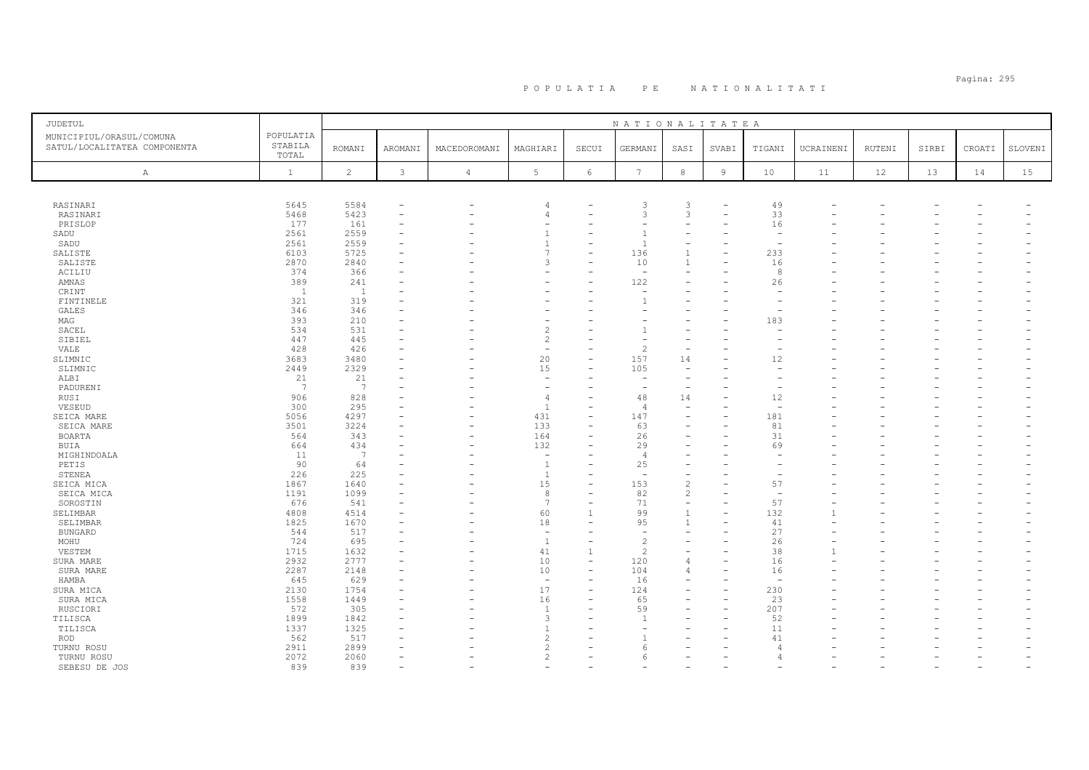| JUDETUL                                                  |                               |                 |                          |                          |                          |                          | NATIONALITATEA           |                          |                |                          |           |               |       |        |         |
|----------------------------------------------------------|-------------------------------|-----------------|--------------------------|--------------------------|--------------------------|--------------------------|--------------------------|--------------------------|----------------|--------------------------|-----------|---------------|-------|--------|---------|
| MUNICIPIUL/ORASUL/COMUNA<br>SATUL/LOCALITATEA COMPONENTA | POPULATIA<br>STABILA<br>TOTAL | <b>ROMANI</b>   | AROMANI                  | MACEDOROMANI             | MAGHIARI                 | SECUI                    | GERMANI                  | SASI                     | SVABI          | TIGANI                   | UCRAINENI | <b>RUTENI</b> | SIRBI | CROATI | SLOVENI |
| $\mathbb{A}$                                             | $\mathbf{1}$                  | $\overline{c}$  | $\mathcal{E}$            | $\sqrt{4}$               | $5\phantom{.0}$          | $\epsilon$               | $7\phantom{.0}$          | $^{\rm 8}$               | $\overline{9}$ | 10                       | 11        | 12            | 13    | 14     | 15      |
|                                                          |                               |                 |                          |                          |                          |                          |                          |                          |                |                          |           |               |       |        |         |
| RASINARI                                                 | 5645                          | 5584            | $\overline{\phantom{m}}$ |                          | $\overline{4}$           |                          | 3                        | 3                        |                | 49                       |           |               |       |        |         |
| RASINARI                                                 | 5468                          | 5423            | $\overline{\phantom{a}}$ |                          | $\overline{4}$           | ۳                        | 3                        | $\mathbf{3}$             |                | 33                       |           |               |       |        |         |
| PRISLOP                                                  | 177                           | 161             |                          |                          | ٠                        |                          |                          |                          |                | 16                       |           |               |       |        |         |
| SADU                                                     | 2561                          | 2559            |                          |                          | $\overline{1}$           |                          |                          |                          |                | $\overline{\phantom{a}}$ |           |               |       |        |         |
| SADU                                                     | 2561                          | 2559            |                          |                          | $\overline{1}$           |                          |                          |                          |                |                          |           |               |       |        |         |
| SALISTE                                                  | 6103                          | 5725            |                          |                          | $\overline{7}$           |                          | 136                      | $\mathbf{1}$             |                | 233                      |           |               |       |        |         |
| SALISTE                                                  | 2870                          | 2840            |                          |                          | 3                        |                          | 10                       | $\mathbf{1}$             |                | 16                       |           |               |       |        |         |
| ACILIU                                                   | 374                           | 366             |                          |                          | ۰                        |                          |                          |                          |                | 8                        |           |               |       |        |         |
| AMNAS                                                    | 389                           | 241             |                          |                          |                          |                          | 122                      |                          |                | 26                       |           |               |       |        |         |
| CRINT                                                    | $\overline{1}$                | $\overline{1}$  |                          |                          |                          |                          |                          |                          |                |                          |           |               |       |        |         |
| FINTINELE                                                | 321                           | 319             |                          |                          |                          |                          |                          |                          |                |                          |           |               |       |        |         |
| <b>GALES</b>                                             | 346                           | 346             |                          |                          |                          |                          |                          |                          |                |                          |           |               |       |        |         |
| MAG                                                      | 393                           | 210             |                          |                          | $\overline{c}$           |                          |                          |                          |                | 183                      |           |               |       |        |         |
| SACEL                                                    | 534<br>447                    | 531<br>445      |                          |                          | $\overline{c}$           |                          |                          |                          |                |                          |           |               |       |        |         |
| SIBIEL<br>VALE                                           | 428                           | 426             |                          |                          | ÷,                       |                          | $\mathfrak{D}$           |                          |                |                          |           |               |       |        |         |
| SLIMNIC                                                  | 3683                          | 3480            |                          |                          | 20                       |                          | 157                      | 14                       |                | 12                       |           |               |       |        |         |
| SLIMNIC                                                  | 2449                          | 2329            |                          |                          | 15                       |                          | 105                      | $\overline{\phantom{m}}$ |                |                          |           |               |       |        |         |
| ALBI                                                     | 21                            | 21              |                          |                          | $\overline{\phantom{a}}$ |                          |                          | $\overline{\phantom{a}}$ |                |                          |           |               |       |        |         |
| PADURENI                                                 | $7\phantom{.0}$               | $7\phantom{.0}$ |                          |                          | $\overline{\phantom{a}}$ |                          |                          |                          |                |                          |           |               |       |        |         |
| RUSI                                                     | 906                           | 828             |                          |                          | $\overline{4}$           |                          | 48                       | 14                       |                | 12                       |           |               |       |        |         |
| VESEUD                                                   | 300                           | 295             |                          |                          | $\overline{1}$           | ۰                        | $\overline{4}$           | $\overline{\phantom{a}}$ |                | $\overline{\phantom{a}}$ |           |               |       |        |         |
| SEICA MARE                                               | 5056                          | 4297            |                          |                          | 431                      | L.                       | 147                      |                          |                | 181                      |           |               |       |        |         |
| SEICA MARE                                               | 3501                          | 3224            |                          | $\overline{\phantom{0}}$ | 133                      | $\equiv$                 | 63                       |                          |                | 81                       |           |               |       |        |         |
| BOARTA                                                   | 564                           | 343             |                          |                          | 164                      |                          | 26                       |                          |                | 31                       |           |               |       |        |         |
| BUIA                                                     | 664                           | 434             |                          | $\overline{\phantom{0}}$ | 132                      |                          | 29                       |                          |                | 69                       |           |               |       |        |         |
| MIGHINDOALA                                              | 11                            | 7               |                          |                          | $\sim$                   |                          | -4                       |                          |                |                          |           |               |       |        |         |
| PETIS                                                    | 90                            | 64              |                          |                          | $\overline{1}$           |                          | 25                       |                          |                |                          |           |               |       |        |         |
| STENEA                                                   | 226                           | 225             |                          |                          | -1                       |                          |                          |                          |                |                          |           |               |       |        |         |
| SEICA MICA                                               | 1867                          | 1640            |                          |                          | 15                       |                          | 153                      | $\overline{c}$           |                | 57                       |           |               |       |        |         |
| SEICA MICA                                               | 1191                          | 1099            |                          |                          | 8                        | ۳                        | 82                       | 2                        |                | $\overline{\phantom{a}}$ |           |               |       |        |         |
| SOROSTIN                                                 | 676                           | 541             |                          |                          | 7                        |                          | 71                       | $\overline{\phantom{a}}$ |                | 57                       |           |               |       |        |         |
| SELIMBAR                                                 | 4808                          | 4514            |                          |                          | 60                       |                          | 99                       | $\mathbf{1}$             |                | 132                      |           |               |       |        |         |
| SELIMBAR                                                 | 1825                          | 1670            |                          |                          | 18                       |                          | 95                       | $\mathbf{1}$             |                | 41                       |           |               |       |        |         |
| <b>BUNGARD</b>                                           | 544                           | 517             |                          |                          | $\overline{\phantom{a}}$ | L.                       | $\overline{\phantom{a}}$ |                          |                | 27                       |           |               |       |        |         |
| MOHU                                                     | 724                           | 695             |                          |                          | <sup>1</sup>             |                          | $\overline{c}$           |                          |                | 26                       |           |               |       |        |         |
| VESTEM                                                   | 1715                          | 1632            |                          |                          | 41                       | $\overline{1}$           | 2                        |                          |                | 38                       |           |               |       |        |         |
| SURA MARE                                                | 2932                          | 2777            |                          |                          | 10                       | $\overline{\phantom{0}}$ | 120                      | $\Delta$                 |                | 16                       |           |               |       |        |         |
| SURA MARE                                                | 2287                          | 2148            |                          |                          | 10                       | ÷,                       | 104                      | $\Delta$                 |                | 16                       |           |               |       |        |         |
| HAMBA                                                    | 645                           | 629             |                          |                          | $\overline{\phantom{a}}$ |                          | 16                       |                          |                | $\overline{\phantom{a}}$ |           |               |       |        |         |
| SURA MICA                                                | 2130                          | 1754            |                          |                          | 17                       |                          | 124                      |                          |                | 230                      |           |               |       |        |         |
| SURA MICA                                                | 1558                          | 1449            |                          |                          | 16<br>$\mathbf{1}$       |                          | 65                       |                          |                | 23                       |           |               |       |        |         |
| RUSCIORI                                                 | 572                           | 305             |                          |                          | 3                        |                          | 59                       |                          |                | 207<br>52                |           |               |       |        |         |
| TILISCA<br>TILISCA                                       | 1899<br>1337                  | 1842<br>1325    |                          |                          | $\overline{1}$           |                          |                          |                          |                | 11                       |           |               |       |        |         |
| <b>ROD</b>                                               | 562                           | 517             |                          |                          | $\overline{c}$           |                          |                          |                          |                | 41                       |           |               |       |        |         |
| TURNU ROSU                                               | 2911                          | 2899            |                          |                          | $\overline{c}$           |                          |                          |                          |                | $\sqrt{2}$               |           |               |       |        |         |
| TURNU ROSU                                               | 2072                          | 2060            |                          |                          | $\overline{c}$           |                          | 6                        |                          |                |                          |           |               |       |        |         |
| SEBESU DE JOS                                            | 839                           | 839             |                          |                          |                          |                          |                          |                          |                |                          |           |               |       |        |         |
|                                                          |                               |                 |                          |                          |                          |                          |                          |                          |                |                          |           |               |       |        |         |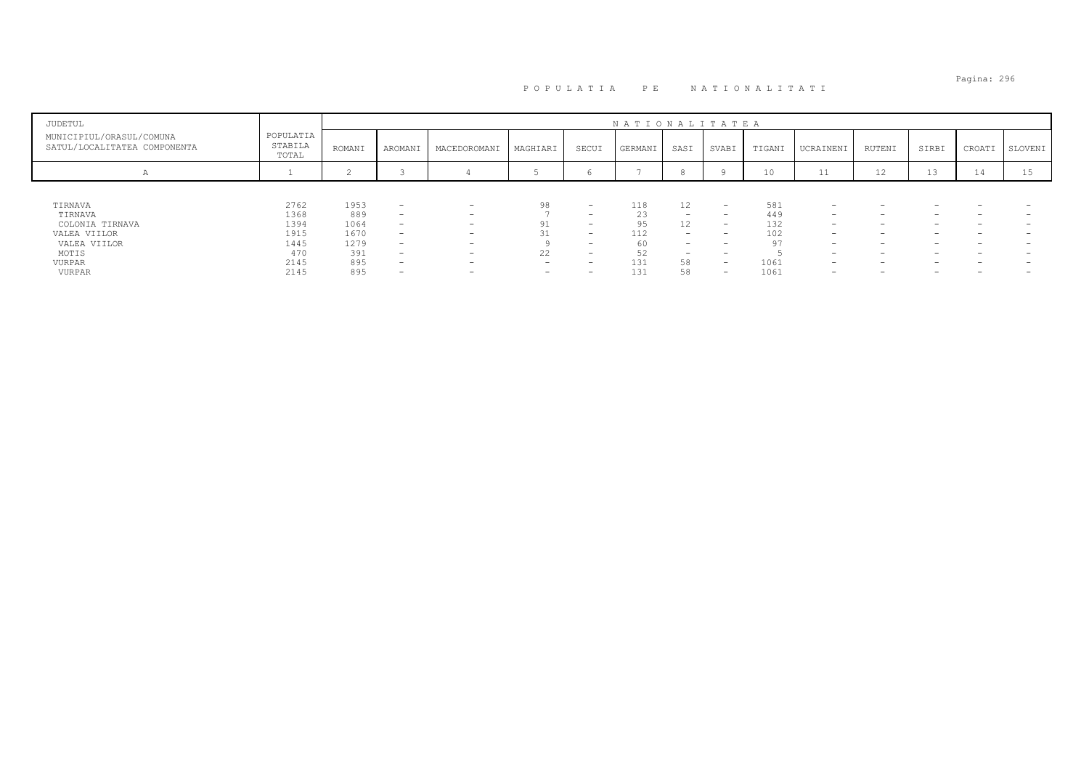# Pagina: 296 P O P U L A T I A P E N A T I O N A L I T A T I

| JUDETUL                                                  |                               |        |                          |                          |                          |                          | NATIONALITATEA |                          |                          |        |                          |                          |       |                          |         |
|----------------------------------------------------------|-------------------------------|--------|--------------------------|--------------------------|--------------------------|--------------------------|----------------|--------------------------|--------------------------|--------|--------------------------|--------------------------|-------|--------------------------|---------|
| MUNICIPIUL/ORASUL/COMUNA<br>SATUL/LOCALITATEA COMPONENTA | POPULATIA<br>STABILA<br>TOTAL | ROMANI | AROMANI                  | MACEDOROMANI             | MAGHIARI                 | SECUI                    | GERMANI        | SASI                     | SVABI                    | TIGANI | UCRAINENI                | RUTENI                   | SIRBI | CROATI                   | SLOVENI |
|                                                          |                               |        |                          |                          |                          |                          |                |                          |                          | 10     | 11                       | 12                       | 13    | <b>14</b>                | 15      |
|                                                          |                               |        |                          |                          |                          |                          |                |                          |                          |        |                          |                          |       |                          |         |
| TIRNAVA                                                  | 2762                          | 1953   | $\overline{\phantom{0}}$ | $\overline{\phantom{0}}$ | 98                       | $\overline{\phantom{0}}$ | 118            | 12                       | $\overline{\phantom{0}}$ | 581    | $\overline{\phantom{0}}$ | $\overline{\phantom{0}}$ |       |                          |         |
| TIRNAVA                                                  | 1368                          | 889    | $\overline{\phantom{0}}$ | $\overline{\phantom{a}}$ |                          | $\overline{\phantom{0}}$ | 23             | $\overline{\phantom{0}}$ | $\overline{\phantom{0}}$ | 449    | $\overline{\phantom{0}}$ | $\overline{\phantom{0}}$ | -     | $\overline{\phantom{0}}$ |         |
| COLONIA TIRNAVA                                          | 1394                          | 1064   | $\overline{\phantom{a}}$ | -                        |                          | $\overline{\phantom{0}}$ | 95             | 12                       | $\overline{\phantom{a}}$ | 132    | $\overline{\phantom{0}}$ | $\overline{\phantom{0}}$ | -     | -                        |         |
| VALEA VIILOR                                             | 1915                          | 1670   | $\overline{\phantom{0}}$ | -                        |                          | $\overline{\phantom{0}}$ | 112            | -                        | -                        | 102    | $\overline{\phantom{0}}$ | $\overline{\phantom{0}}$ |       |                          |         |
| VALEA VIILOR                                             | 1445                          | 1279   | $\overline{\phantom{0}}$ | $\overline{\phantom{a}}$ |                          | $\overline{\phantom{0}}$ | 60             | $\overline{\phantom{0}}$ | <b>.</b>                 | 97     | $\overline{\phantom{0}}$ | -                        |       |                          |         |
| MOTIS                                                    | 470                           | 391    | $\overline{\phantom{0}}$ | $\overline{\phantom{a}}$ | 22                       | $\overline{\phantom{a}}$ | 52             | $\overline{\phantom{0}}$ | <b>.</b>                 |        | $\overline{\phantom{0}}$ | $\overline{\phantom{0}}$ | -     | -                        |         |
| <b>VURPAR</b>                                            | 2145                          | 895    | $\overline{\phantom{0}}$ | -                        | $\overline{\phantom{a}}$ | $\overline{\phantom{0}}$ | 131            | 58                       | $\overline{\phantom{0}}$ | 1061   | $\overline{\phantom{0}}$ | $\overline{\phantom{0}}$ |       | -                        |         |
| VURPAR                                                   | 2145                          | 895    | $\overline{\phantom{a}}$ | $\overline{\phantom{0}}$ | $\overline{\phantom{0}}$ | $\overline{\phantom{0}}$ | 131            | 58                       | $\overline{\phantom{0}}$ | 1061   | $\overline{\phantom{0}}$ | $\overline{\phantom{0}}$ |       |                          |         |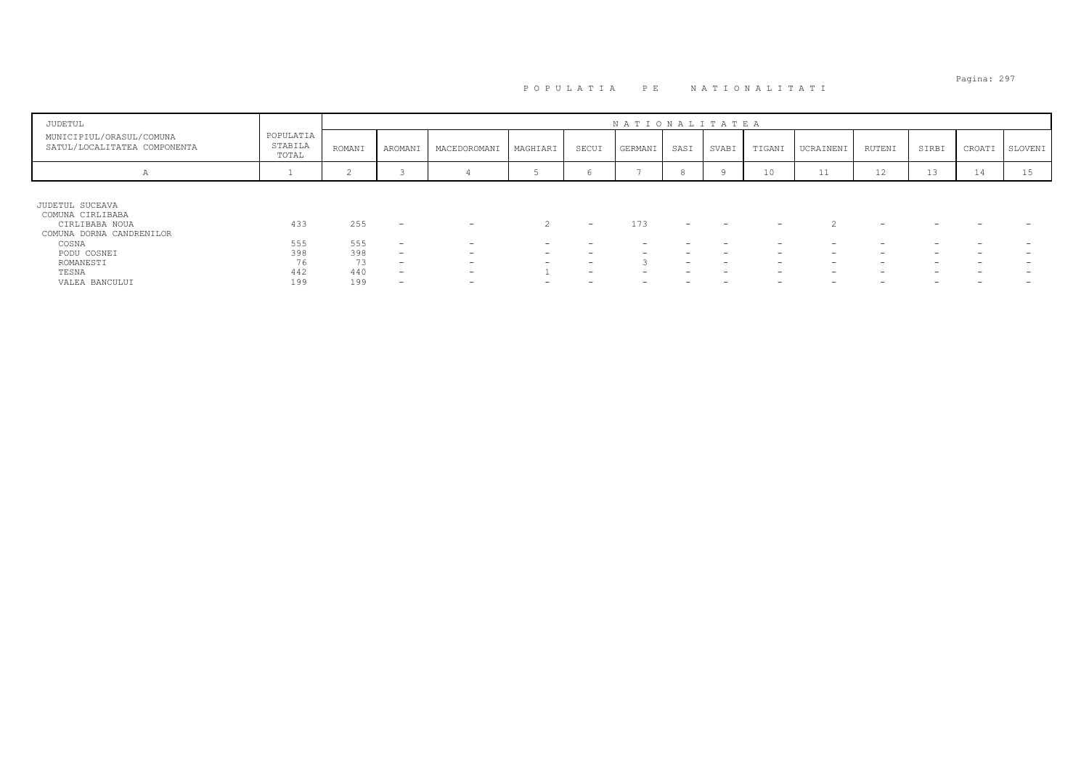# Pagina: 297 P O P U L A T I A P E N A T I O N A L I T A T I

| JUDETUL                                                                                                                                           |                                       |                                       |                                                                                                                                                                      |                                                                                                 |                                         |                                                      | NATIONALITATEA           |        |                                                           |                                                           |                                              |                                                           |                                    |        |         |
|---------------------------------------------------------------------------------------------------------------------------------------------------|---------------------------------------|---------------------------------------|----------------------------------------------------------------------------------------------------------------------------------------------------------------------|-------------------------------------------------------------------------------------------------|-----------------------------------------|------------------------------------------------------|--------------------------|--------|-----------------------------------------------------------|-----------------------------------------------------------|----------------------------------------------|-----------------------------------------------------------|------------------------------------|--------|---------|
| MUNICIPIUL/ORASUL/COMUNA<br>SATUL/LOCALITATEA COMPONENTA                                                                                          | POPULATIA<br>STABILA<br>TOTAL         | ROMANI                                | AROMANI                                                                                                                                                              | MACEDOROMANI                                                                                    | MAGHIARI                                | SECUI                                                | GERMANI                  | SASI   | SVABI                                                     | TIGANI                                                    | UCRAINENI                                    | RUTENI                                                    | SIRBI                              | CROATI | SLOVENI |
| А                                                                                                                                                 |                                       | $\sim$<br>∼                           | $\sim$                                                                                                                                                               |                                                                                                 |                                         | 6                                                    | $\overline{\phantom{0}}$ |        |                                                           | 10                                                        | $-1$<br><b>++</b>                            | 12                                                        | 13                                 | 14     | 15      |
| JUDETUL SUCEAVA<br>COMUNA CIRLIBABA<br>CIRLIBABA NOUA<br>COMUNA DORNA CANDRENILOR<br>COSNA<br>PODU COSNEI<br>ROMANESTI<br>TESNA<br>VALEA BANCULUI | 433<br>555<br>398<br>76<br>442<br>199 | 255<br>555<br>398<br>73<br>440<br>199 | $\overline{\phantom{a}}$<br>$\overline{\phantom{0}}$<br>$\overline{\phantom{0}}$<br>$\overline{\phantom{a}}$<br>$\overline{\phantom{0}}$<br>$\overline{\phantom{0}}$ | $\overline{\phantom{0}}$<br>$\overline{\phantom{0}}$<br>-<br>-<br>-<br>$\overline{\phantom{0}}$ | $\sim$<br>$\overline{\phantom{a}}$<br>- | $\overline{\phantom{0}}$<br>$\overline{\phantom{0}}$ | 173                      | -<br>- | $\overline{\phantom{a}}$<br>$\overline{\phantom{0}}$<br>- | -<br>$\overline{\phantom{0}}$<br>$\overline{\phantom{0}}$ | -<br>$\overline{\phantom{0}}$<br>-<br>-<br>- | $\overline{\phantom{0}}$<br>$\overline{\phantom{0}}$<br>- | -<br>$\overline{\phantom{0}}$<br>- |        |         |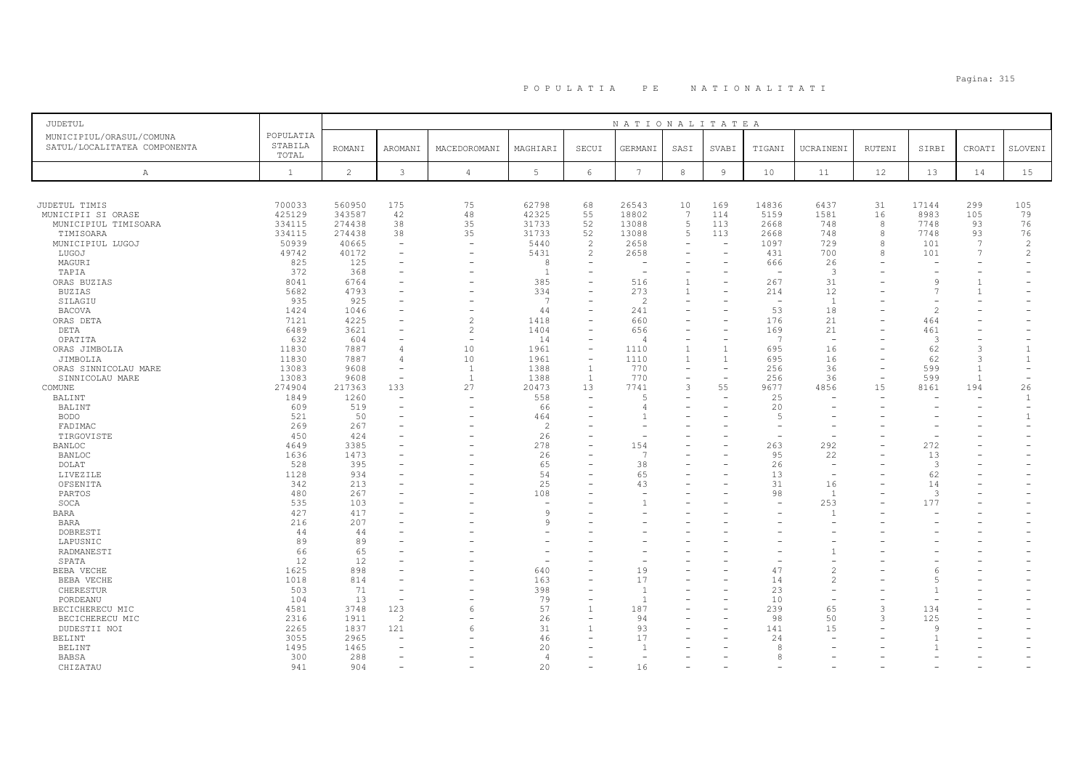# Pagina: 315 P O P U L A T I A P E N A T I O N A L I T A T I

| <b>JUDETUL</b>                                                                                        |                                                        |                                                        |                                                                                          |                                                                                                                      |                                                  |                                                                  | NATIONALITATEA                                        |                                                                                        |                                                                  |                                                   |                                            |                              |                                                            |                                               |                                                           |
|-------------------------------------------------------------------------------------------------------|--------------------------------------------------------|--------------------------------------------------------|------------------------------------------------------------------------------------------|----------------------------------------------------------------------------------------------------------------------|--------------------------------------------------|------------------------------------------------------------------|-------------------------------------------------------|----------------------------------------------------------------------------------------|------------------------------------------------------------------|---------------------------------------------------|--------------------------------------------|------------------------------|------------------------------------------------------------|-----------------------------------------------|-----------------------------------------------------------|
| MUNICIPIUL/ORASUL/COMUNA<br>SATUL/LOCALITATEA COMPONENTA                                              | POPULATIA<br>STABILA<br>TOTAL                          | <b>ROMANI</b>                                          | AROMANI                                                                                  | MACEDOROMANI                                                                                                         | MAGHIARI                                         | SECUI                                                            | GERMANI                                               | SASI                                                                                   | SVABI                                                            | TIGANI                                            | UCRAINENI                                  | RUTENI                       | SIRBI                                                      | CROATI                                        | SLOVENI                                                   |
| Α                                                                                                     | $\mathbf{1}$                                           | $\overline{c}$                                         | $\mathbf{3}$                                                                             | $\overline{4}$                                                                                                       | 5                                                | $6\,$                                                            | $7\phantom{.0}$                                       | $^{\rm 8}$                                                                             | 9                                                                | 10                                                | 11                                         | 12                           | 13                                                         | 14                                            | 15                                                        |
|                                                                                                       |                                                        |                                                        |                                                                                          |                                                                                                                      |                                                  |                                                                  |                                                       |                                                                                        |                                                                  |                                                   |                                            |                              |                                                            |                                               |                                                           |
| JUDETUL TIMIS<br>MUNICIPII SI ORASE<br>MUNICIPIUL TIMISOARA<br>TIMISOARA<br>MUNICIPIUL LUGOJ<br>LUGOJ | 700033<br>425129<br>334115<br>334115<br>50939<br>49742 | 560950<br>343587<br>274438<br>274438<br>40665<br>40172 | 175<br>42<br>38<br>38<br>$\overline{\phantom{a}}$<br>$\overline{\phantom{a}}$            | 75<br>48<br>35<br>35<br>$\sim$                                                                                       | 62798<br>42325<br>31733<br>31733<br>5440<br>5431 | 68<br>55<br>52<br>52<br>2<br>$\mathbf{2}^{\prime}$               | 26543<br>18802<br>13088<br>13088<br>2658<br>2658      | 10<br>$\overline{7}$<br>5<br>5<br>$\overline{\phantom{0}}$<br>$\overline{\phantom{a}}$ | 169<br>114<br>113<br>113<br>$\overline{\phantom{a}}$<br>$\equiv$ | 14836<br>5159<br>2668<br>2668<br>1097<br>431      | 6437<br>1581<br>748<br>748<br>729<br>700   | 31<br>16<br>8<br>8<br>8<br>8 | 17144<br>8983<br>7748<br>7748<br>101<br>101                | 299<br>105<br>93<br>93<br>7<br>$\overline{7}$ | 105<br>79<br>76<br>76<br>$\overline{c}$<br>$\overline{c}$ |
| MAGURI<br>TAPIA<br>ORAS BUZIAS<br><b>BUZIAS</b>                                                       | 825<br>372<br>8041<br>5682                             | 125<br>368<br>6764<br>4793                             | $\overline{\phantom{a}}$<br>$\overline{\phantom{a}}$                                     | $\overline{\phantom{a}}$                                                                                             | 8<br><sup>1</sup><br>385<br>334                  | $\overline{\phantom{a}}$<br>L,<br>$\overline{\phantom{0}}$<br>L, | $\overline{\phantom{a}}$<br>516<br>273                | $\overline{\phantom{a}}$<br>$\mathbf{1}$<br>$\overline{1}$                             |                                                                  | 666<br>$\overline{\phantom{a}}$<br>267<br>214     | 26<br>$\mathbf{3}$<br>31<br>12             |                              | $\overline{\phantom{a}}$<br><sup>9</sup><br>$\overline{7}$ | $\mathbf{1}$<br>$\mathbf{1}$                  |                                                           |
| SILAGIU<br><b>BACOVA</b><br>ORAS DETA<br>DETA<br>OPATITA                                              | 935<br>1424<br>7121<br>6489<br>632                     | 925<br>1046<br>4225<br>3621<br>604                     | $\sim$<br>$\overline{\phantom{a}}$<br>$\sim$<br>$\overline{\phantom{a}}$                 | $\overline{\phantom{a}}$<br>$\overline{\phantom{a}}$<br>$\overline{c}$<br>$\overline{c}$<br>$\overline{\phantom{a}}$ | $\overline{7}$<br>44<br>1418<br>1404<br>14       | ۰<br>۰<br>$\equiv$<br>÷,<br>÷                                    | $\overline{c}$<br>241<br>660<br>656<br>$\overline{4}$ | $\equiv$<br>$\overline{\phantom{0}}$<br>$\equiv$<br>$\overline{\phantom{a}}$           | $\overline{\phantom{0}}$                                         | $\overline{\phantom{0}}$<br>53<br>176<br>169<br>7 | $\overline{1}$<br>18<br>21<br>21<br>$\sim$ |                              | $\mathcal{L}$<br>464<br>461<br>3                           | ۰                                             |                                                           |
| ORAS JIMBOLIA<br>JIMBOLIA<br>ORAS SINNICOLAU MARE<br>SINNICOLAU MARE                                  | 11830<br>11830<br>13083<br>13083                       | 7887<br>7887<br>9608<br>9608                           | $\overline{4}$<br>$\overline{4}$<br>$\overline{\phantom{a}}$<br>$\overline{\phantom{a}}$ | 10<br>10<br><sup>1</sup><br>$\mathbf{1}$                                                                             | 1961<br>1961<br>1388<br>1388                     | $\overline{\phantom{a}}$<br>$-$<br>$\mathbf{1}$<br>$\mathbf{1}$  | 1110<br>1110<br>770<br>770                            | $\overline{1}$<br>$\overline{1}$<br>$\overline{\phantom{a}}$<br>$\equiv$               |                                                                  | 695<br>695<br>256<br>256                          | 16<br>16<br>36<br>36                       | $\equiv$                     | 62<br>62<br>599<br>599                                     | 3<br>3<br>1<br>$\overline{1}$                 | $\overline{1}$                                            |
| COMUNE<br>BALINT<br>BALINT<br><b>BODO</b>                                                             | 274904<br>1849<br>609<br>521                           | 217363<br>1260<br>519<br>50                            | 133<br>$\overline{\phantom{a}}$<br>$\overline{\phantom{a}}$                              | 27<br>$\overline{\phantom{a}}$<br>$\overline{\phantom{0}}$                                                           | 20473<br>558<br>66<br>464                        | 13<br>$\equiv$<br>۳                                              | 7741<br>5<br>4                                        | 3                                                                                      | 55                                                               | 9677<br>25<br>20<br>$\overline{5}$                | 4856                                       | 15                           | 8161<br>$\overline{\phantom{m}}$                           | 194<br>۰                                      | 26<br>1<br>$\mathbf{1}$                                   |
| FADIMAC<br>TIRGOVISTE<br><b>BANLOC</b><br><b>BANLOC</b>                                               | 269<br>450<br>4649<br>1636                             | 267<br>424<br>3385<br>1473                             |                                                                                          |                                                                                                                      | $\mathcal{P}$<br>26<br>278<br>26<br>65           | ۰<br>۰<br>۳<br>÷                                                 | ۰<br>154<br>$\overline{7}$<br>38                      |                                                                                        |                                                                  | 263<br>95<br>26                                   | 292<br>22<br>$\sim$                        |                              | 272<br>13<br>$\mathbf{3}$                                  |                                               |                                                           |
| DOLAT<br>LIVEZILE<br>OFSENITA<br>PARTOS<br>SOCA                                                       | 528<br>1128<br>342<br>480<br>535                       | 395<br>934<br>213<br>267<br>103                        |                                                                                          |                                                                                                                      | 54<br>25<br>108<br>$\overline{\phantom{m}}$      |                                                                  | 65<br>43                                              |                                                                                        |                                                                  | 13<br>31<br>98                                    | 16<br>$\overline{1}$<br>253                |                              | 62<br>14<br>3<br>177                                       |                                               |                                                           |
| BARA<br><b>BARA</b><br>DOBRESTI<br>LAPUSNIC                                                           | 427<br>216<br>44<br>89                                 | 417<br>207<br>44<br>89                                 |                                                                                          |                                                                                                                      | $\mathsf{Q}$<br>Q                                | ÷                                                                |                                                       |                                                                                        |                                                                  |                                                   | $\overline{1}$                             |                              |                                                            |                                               |                                                           |
| RADMANESTI<br>SPATA<br>BEBA VECHE<br>BEBA VECHE                                                       | 66<br>12<br>1625<br>1018                               | 65<br>12<br>898<br>814                                 | $\sim$                                                                                   |                                                                                                                      | 640<br>163                                       | L,                                                               | 19<br>17                                              |                                                                                        |                                                                  | 47<br>14                                          | $\mathcal{L}$                              |                              | -6                                                         |                                               |                                                           |
| CHERESTUR<br>PORDEANU<br>BECICHERECU MIC<br>BECICHERECU MIC                                           | 503<br>104<br>4581<br>2316                             | 71<br>13<br>3748<br>1911                               | $\overline{\phantom{a}}$<br>123<br>$\mathcal{P}$                                         | 6                                                                                                                    | 398<br>79<br>57<br>26                            | $\overline{\phantom{0}}$<br>$\overline{1}$<br>$\equiv$           | $\overline{1}$<br>$\mathbf{1}$<br>187<br>94           |                                                                                        |                                                                  | 23<br>10<br>239<br>98                             | 65<br>50                                   | 3<br>3                       | 134<br>125                                                 |                                               |                                                           |
| DUDESTII NOI<br>BELINT<br>BELINT<br>BABSA                                                             | 2265<br>3055<br>1495<br>300                            | 1837<br>2965<br>1465<br>288                            | 121<br>$\overline{\phantom{0}}$<br>$\sim$<br>$\overline{\phantom{a}}$                    | 6                                                                                                                    | 31<br>46<br>20<br>$\overline{4}$                 | $\mathbf{1}$<br>۰                                                | 93<br>17<br>۰                                         |                                                                                        |                                                                  | 141<br>24<br>8<br>8                               | 15                                         |                              | <sup>Q</sup>                                               |                                               |                                                           |
| CHIZATAU                                                                                              | 941                                                    | 904                                                    | $\overline{\phantom{a}}$                                                                 |                                                                                                                      | 20                                               | $\overline{\phantom{0}}$                                         | 16                                                    |                                                                                        |                                                                  |                                                   |                                            |                              |                                                            |                                               |                                                           |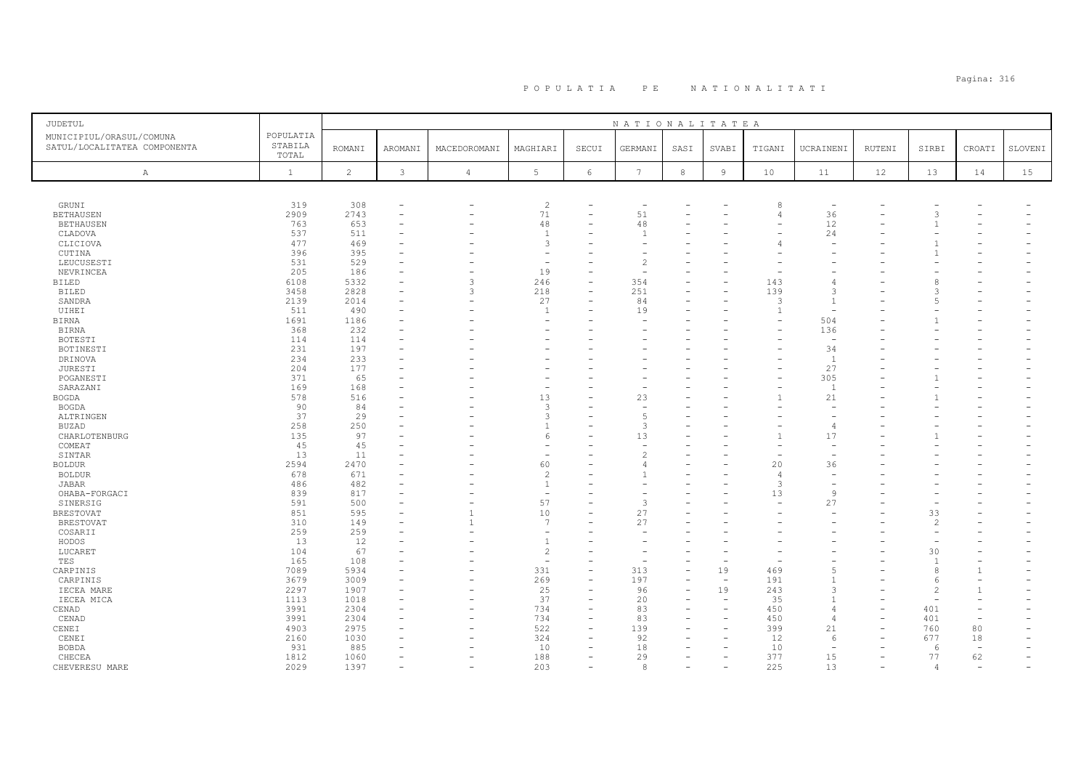# Pagina: 316 P O P U L A T I A P E N A T I O N A L I T A T I

| <b>JUDETUL</b>                                           |                               |                |                |                |                 |                          | NATIONALITATEA           |            |                          |                |                          |               |                          |                          |         |
|----------------------------------------------------------|-------------------------------|----------------|----------------|----------------|-----------------|--------------------------|--------------------------|------------|--------------------------|----------------|--------------------------|---------------|--------------------------|--------------------------|---------|
| MUNICIPIUL/ORASUL/COMUNA<br>SATUL/LOCALITATEA COMPONENTA | POPULATIA<br>STABILA<br>TOTAL | <b>ROMANI</b>  | AROMANI        | MACEDOROMANI   | MAGHIARI        | SECUI                    | GERMANI                  | SASI       | SVABI                    | TIGANI         | UCRAINENI                | <b>RUTENI</b> | SIRBI                    | CROATI                   | SLOVENI |
| A                                                        | $\mathbf{1}$                  | $\overline{c}$ | $\mathfrak{Z}$ | $\overline{4}$ | $5\phantom{.0}$ | $6\phantom{.}6$          | $7\phantom{.0}$          | $^{\rm 8}$ | $\overline{9}$           | 10             | 11                       | 12            | 13                       | 14                       | 15      |
|                                                          |                               |                |                |                |                 |                          |                          |            |                          |                |                          |               |                          |                          |         |
| GRUNI                                                    | 319                           | 308            |                | ۰              | $\overline{c}$  |                          | $\overline{\phantom{a}}$ |            |                          | 8              | $\overline{\phantom{a}}$ |               |                          |                          |         |
| <b>BETHAUSEN</b>                                         | 2909                          | 2743           |                |                | 71              | $\overline{\phantom{0}}$ | 51                       |            |                          |                | 36                       |               |                          |                          |         |
| <b>BETHAUSEN</b>                                         | 763                           | 653            |                |                | 48              |                          | 48                       |            |                          |                | 12                       |               |                          |                          |         |
| CLADOVA                                                  | 537                           | 511            |                |                | $\overline{1}$  |                          |                          |            |                          |                | 24                       |               |                          |                          |         |
| CLICIOVA                                                 | 477                           | 469            |                |                | 3               |                          |                          |            |                          |                |                          |               |                          |                          |         |
| CUTINA                                                   | 396                           | 395<br>529     |                |                | ۰               |                          | $\overline{c}$           |            |                          |                |                          |               |                          |                          |         |
| LEUCUSESTI                                               | 531                           |                |                |                |                 |                          |                          |            |                          |                |                          |               |                          |                          |         |
| NEVRINCEA<br><b>BILED</b>                                | 205                           | 186<br>5332    |                | $\overline{3}$ | 19              | L,                       | 354                      |            |                          | 143            | $\overline{4}$           |               | 8                        |                          |         |
|                                                          | 6108<br>3458                  | 2828           |                | 3              | 246<br>218      | $\overline{\phantom{a}}$ | 251                      |            |                          | 139            | $\mathcal{R}$            |               |                          |                          |         |
| <b>BILED</b><br>SANDRA                                   | 2139                          | 2014           |                |                | 27              |                          | 84                       |            |                          | 3              | $\overline{1}$           |               | -5                       |                          |         |
| UIHEI                                                    | 511                           | 490            |                |                | $\overline{1}$  |                          | 19                       |            |                          | $\overline{1}$ | $\sim$                   |               |                          |                          |         |
| BIRNA                                                    | 1691                          | 1186           |                |                |                 |                          |                          |            |                          |                | 504                      |               |                          |                          |         |
| <b>BIRNA</b>                                             | 368                           | 232            |                |                |                 |                          |                          |            |                          |                | 136                      |               |                          |                          |         |
| <b>BOTESTI</b>                                           | 114                           | 114            |                |                |                 |                          |                          |            |                          |                | $\overline{\phantom{a}}$ |               |                          |                          |         |
| BOTINESTI                                                | 231                           | 197            |                |                |                 |                          |                          |            |                          |                | 34                       |               |                          |                          |         |
| DRINOVA                                                  | 234                           | 233            |                |                |                 |                          |                          |            |                          |                | $\overline{1}$           |               |                          |                          |         |
| JURESTI                                                  | 204                           | 177            |                |                |                 |                          |                          |            |                          |                | 27                       |               |                          |                          |         |
| POGANESTI                                                | 371                           | 65             |                |                |                 |                          |                          |            |                          |                | 305                      |               |                          |                          |         |
| SARAZANI                                                 | 169                           | 168            |                |                |                 |                          |                          |            |                          |                | $\overline{1}$           |               |                          |                          |         |
| BOGDA                                                    | 578                           | 516            |                |                | 13              |                          | 23                       |            |                          |                | 21                       |               |                          |                          |         |
| <b>BOGDA</b>                                             | 90                            | 84             |                |                | 3               |                          |                          |            |                          |                |                          |               |                          |                          |         |
| ALTRINGEN                                                | 37                            | 29             |                |                | 3               |                          | 5                        |            |                          |                |                          |               |                          |                          |         |
| <b>BUZAD</b>                                             | 258                           | 250            |                |                | $\mathbf{1}$    | ۳                        | 3                        |            |                          |                | -4                       |               |                          |                          |         |
| CHARLOTENBURG                                            | 135                           | 97             |                |                | -6              |                          | 13                       |            |                          |                | 17                       |               |                          |                          |         |
| COMEAT                                                   | 45                            | 45             |                |                | ۰               |                          | $\overline{\phantom{a}}$ |            |                          |                | $\overline{\phantom{a}}$ |               |                          |                          |         |
| SINTAR                                                   | 13                            | 11             |                |                |                 |                          | 2                        |            |                          |                |                          |               |                          |                          |         |
| <b>BOLDUR</b>                                            | 2594                          | 2470           |                |                | 60              |                          |                          |            |                          | 20             | 36                       |               |                          |                          |         |
| <b>BOLDUR</b>                                            | 678                           | 671            |                |                | $\overline{c}$  |                          |                          |            |                          | 4              |                          |               |                          |                          |         |
| <b>JABAR</b>                                             | 486                           | 482            |                |                | $\mathbf{1}$    |                          |                          |            |                          | 3              |                          |               |                          |                          |         |
| OHABA-FORGACI                                            | 839                           | 817            |                |                | $\sim$          |                          |                          |            |                          | 13             | 9                        |               |                          |                          |         |
| SINERSIG                                                 | 591                           | 500            |                |                | 57              |                          | 3                        |            |                          |                | 27                       |               | $\overline{\phantom{a}}$ |                          |         |
| <b>BRESTOVAT</b>                                         | 851                           | 595            |                | $\mathbf{1}$   | 10              |                          | 27                       |            |                          |                |                          |               | 33                       |                          |         |
| <b>BRESTOVAT</b>                                         | 310                           | 149            |                |                | $\overline{7}$  |                          | 27                       |            |                          |                |                          |               | 2                        |                          |         |
| COSARII                                                  | 259                           | 259            |                |                | ÷               |                          |                          |            |                          |                |                          |               |                          |                          |         |
| HODOS                                                    | 13                            | 12             |                |                | $\mathbf{1}$    |                          |                          |            |                          |                |                          |               |                          |                          |         |
| LUCARET                                                  | 104                           | 67             |                |                | $\overline{c}$  |                          |                          |            |                          |                |                          |               | 30                       |                          |         |
| TES                                                      | 165                           | 108            |                |                | ÷,              |                          |                          |            |                          |                |                          |               | $\overline{1}$           |                          |         |
| CARPINIS                                                 | 7089                          | 5934           |                | L.             | 331             | $\overline{\phantom{a}}$ | 313                      |            | 19                       | 469            | 5                        |               | 8                        |                          |         |
| CARPINIS                                                 | 3679                          | 3009           |                |                | 269             |                          | 197                      |            | $\overline{\phantom{a}}$ | 191            | -1                       |               | -6                       |                          |         |
| IECEA MARE                                               | 2297                          | 1907           |                |                | 25              |                          | 96                       |            | 19                       | 243            | $\mathcal{F}$            |               | $\overline{c}$           |                          |         |
| IECEA MICA                                               | 1113                          | 1018           |                |                | 37              | $\overline{\phantom{a}}$ | 20                       |            |                          | 35             | $\mathbf{1}$             |               |                          |                          |         |
| CENAD                                                    | 3991                          | 2304           |                | ۰              | 734             | $\overline{\phantom{a}}$ | 83                       |            |                          | 450            | $\overline{4}$           |               | 401                      | ۰                        |         |
| CENAD                                                    | 3991                          | 2304           |                |                | 734             | $\overline{\phantom{0}}$ | 83                       |            |                          | 450            | $\overline{4}$           |               | 401                      | $\overline{\phantom{a}}$ |         |
| CENEI                                                    | 4903                          | 2975           |                |                | 522             | $\overline{\phantom{0}}$ | 139                      |            |                          | 399            | 21                       |               | 760                      | 80                       |         |
| CENEI                                                    | 2160                          | 1030           |                |                | 324             | $\overline{\phantom{0}}$ | 92                       |            |                          | 12             | -6                       |               | 677                      | 18                       |         |
| <b>BOBDA</b>                                             | 931                           | 885            |                |                | 10              |                          | 18                       |            |                          | 10             |                          |               | 6                        | $\overline{\phantom{a}}$ |         |
| CHECEA                                                   | 1812                          | 1060           |                |                | 188             |                          | 29                       |            | $\equiv$                 | 377            | 15                       |               | 77                       | 62                       |         |
| CHEVERESU MARE                                           | 2029                          | 1397           |                |                | 203             |                          | 8                        |            |                          | 225            | 13                       |               | $\overline{4}$           | $\overline{\phantom{a}}$ |         |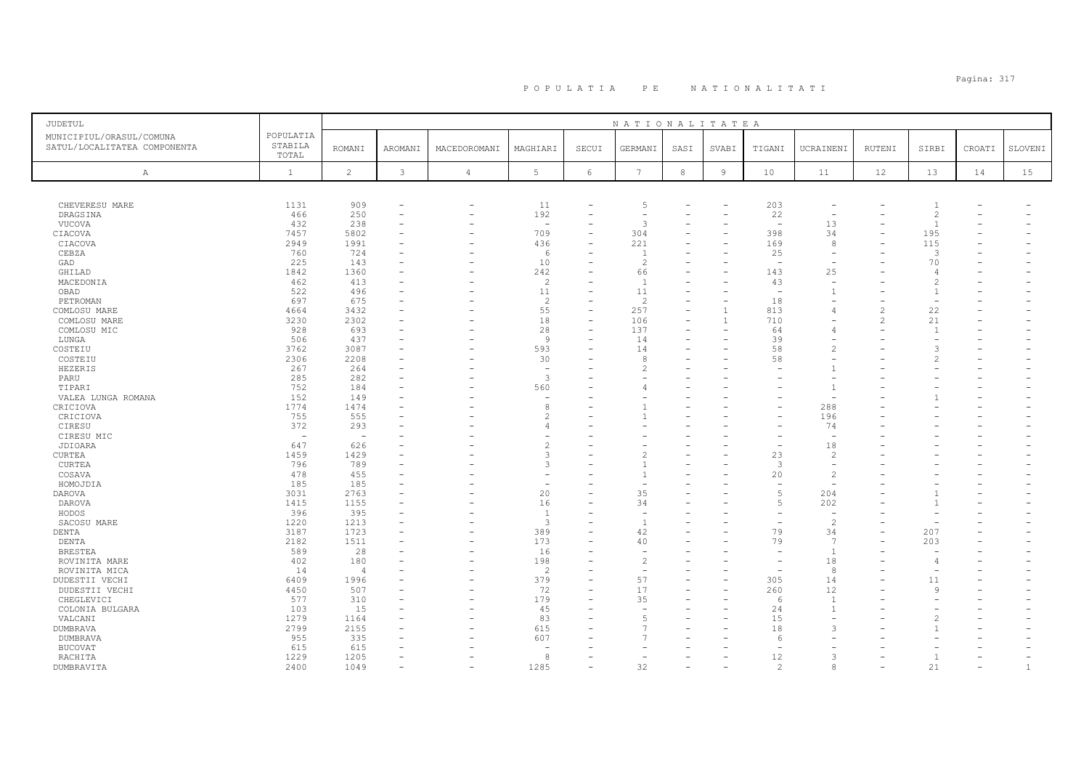# Pagina: 317 P O P U L A T I A P E N A T I O N A L I T A T I

| JUDETUL                                                  |                               |                          |                          |                          |                          |                          | NATIONALITATEA           |            |                |                                |                          |        |                          |        |              |
|----------------------------------------------------------|-------------------------------|--------------------------|--------------------------|--------------------------|--------------------------|--------------------------|--------------------------|------------|----------------|--------------------------------|--------------------------|--------|--------------------------|--------|--------------|
| MUNICIPIUL/ORASUL/COMUNA<br>SATUL/LOCALITATEA COMPONENTA | POPULATIA<br>STABILA<br>TOTAL | <b>ROMANI</b>            | AROMANI                  | MACEDOROMANI             | MAGHIARI                 | SECUI                    | GERMANI                  | SASI       | SVABI          | TIGANI                         | UCRAINENI                | RUTENI | SIRBI                    | CROATI | SLOVENI      |
| A                                                        | $\mathbf{1}$                  | $\overline{c}$           | 3                        | $\overline{4}$           | $5\phantom{.0}$          | $\epsilon$               | $7\phantom{.0}$          | $^{\rm 8}$ | $\overline{9}$ | 10                             | 11                       | 12     | 13                       | 14     | 15           |
|                                                          |                               |                          |                          |                          |                          |                          |                          |            |                |                                |                          |        |                          |        |              |
| CHEVERESU MARE                                           | 1131                          | 909                      | ٠                        | $\overline{\phantom{a}}$ | 11                       |                          | $\overline{5}$           |            |                | 203                            | $\overline{\phantom{a}}$ |        | $\overline{1}$           |        |              |
| DRAGSINA                                                 | 466                           | 250                      | $\overline{\phantom{0}}$ | $\overline{\phantom{a}}$ | 192                      | $\overline{\phantom{0}}$ | $\overline{\phantom{a}}$ |            |                | 22                             | $\overline{a}$           |        | 2                        |        |              |
| VUCOVA                                                   | 432                           | 238                      | ۰                        |                          | $\overline{\phantom{0}}$ |                          | 3                        |            |                | $\sim$                         | 13                       |        | $\overline{1}$           |        |              |
| CIACOVA                                                  | 7457                          | 5802                     |                          |                          | 709                      | $\overline{\phantom{0}}$ | 304                      |            |                | 398                            | 34                       |        | 195                      |        |              |
| CIACOVA                                                  | 2949                          | 1991                     |                          |                          | 436                      |                          | 221                      |            |                | 169                            | 8                        |        | 115                      |        |              |
| CEBZA<br>GAD                                             | 760<br>225                    | 724<br>143               |                          |                          | -6<br>10                 |                          | $\overline{c}$           |            |                | 25<br>$\overline{\phantom{a}}$ |                          |        | 3<br>70                  |        |              |
| GHILAD                                                   | 1842                          | 1360                     |                          |                          | 242                      |                          | 66                       |            |                | 143                            | 25                       |        | $\overline{4}$           |        |              |
| MACEDONIA                                                | 462                           | 413                      |                          |                          | $\overline{c}$           |                          | $\overline{1}$           |            |                | 43                             | $\overline{\phantom{a}}$ |        | $\overline{c}$           |        |              |
| OBAD                                                     | 522                           | 496                      |                          |                          | 11                       |                          | 11                       |            |                | $\overline{\phantom{a}}$       |                          |        | $\overline{1}$           |        |              |
| PETROMAN                                                 | 697                           | 675                      | $\overline{\phantom{a}}$ |                          | $\overline{c}$           |                          | 2                        |            |                | 18                             | $\overline{\phantom{a}}$ |        | $\overline{\phantom{a}}$ |        |              |
| COMLOSU MARE                                             | 4664                          | 3432                     |                          |                          | 55                       |                          | 257                      |            |                | 813                            | $\overline{4}$           |        | 22                       |        |              |
| COMLOSU MARE                                             | 3230                          | 2302                     | ۰                        |                          | $1\,8$                   | $\overline{\phantom{0}}$ | 106                      |            | $\overline{1}$ | 710                            | $\overline{\phantom{a}}$ |        | 21                       |        |              |
| COMLOSU MIC                                              | 928                           | 693                      |                          |                          | 28                       |                          | 137                      |            |                | 64                             | $\overline{4}$           |        | $\overline{1}$           |        |              |
| LUNGA                                                    | 506                           | 437                      |                          |                          | $\overline{9}$           |                          | 14                       |            |                | 39                             |                          |        |                          |        |              |
| COSTEIU                                                  | 3762                          | 3087                     |                          |                          | 593                      |                          | 14                       |            |                | 58                             | $\overline{c}$           |        | 3                        |        |              |
| COSTEIU                                                  | 2306                          | 2208                     |                          |                          | 30                       |                          | -8                       |            |                | 58                             |                          |        | $\mathcal{L}$            |        |              |
| HEZERIS                                                  | 267                           | 264                      |                          |                          | ÷,                       |                          | 2                        |            |                |                                | $\overline{1}$           |        |                          |        |              |
| PARU                                                     | 285                           | 282                      |                          |                          | $\overline{3}$           |                          |                          |            |                |                                |                          |        |                          |        |              |
| TIPARI                                                   | 752                           | 184                      |                          |                          | 560                      |                          |                          |            |                |                                | $\overline{1}$           |        |                          |        |              |
| VALEA LUNGA ROMANA                                       | 152                           | 149                      |                          |                          | $\overline{\phantom{a}}$ |                          |                          |            |                |                                | $\overline{\phantom{a}}$ |        |                          |        |              |
| CRICIOVA                                                 | 1774                          | 1474                     |                          |                          | 8                        |                          |                          |            |                |                                | 288                      |        |                          |        |              |
| CRICIOVA                                                 | 755                           | 555                      |                          |                          | $\overline{c}$           |                          |                          |            |                |                                | 196                      |        |                          |        |              |
| CIRESU                                                   | 372                           | 293                      |                          |                          | $\overline{4}$           |                          |                          |            |                |                                | 74                       |        |                          |        |              |
| CIRESU MIC                                               | $\overline{\phantom{a}}$      | $\overline{\phantom{a}}$ |                          |                          |                          |                          |                          |            |                |                                | $\overline{a}$           |        |                          |        |              |
| JDIOARA                                                  | 647                           | 626                      | ÷                        |                          | $\overline{c}$           |                          |                          |            |                |                                | 18                       |        |                          |        |              |
| <b>CURTEA</b>                                            | 1459                          | 1429                     |                          |                          | 3                        |                          | 2                        |            |                | 23                             | $\overline{2}$           |        |                          |        |              |
| CURTEA                                                   | 796                           | 789                      |                          |                          | 3                        |                          |                          |            |                | 3                              | $\overline{\phantom{a}}$ |        |                          |        |              |
| COSAVA                                                   | 478                           | 455                      |                          |                          |                          |                          |                          |            |                | 20                             | $\overline{c}$           |        |                          |        |              |
| HOMOJDIA                                                 | 185                           | 185                      | ٠                        |                          | $\overline{\phantom{a}}$ |                          |                          |            |                | $\overline{\phantom{a}}$       | $\overline{\phantom{a}}$ |        |                          |        |              |
| DAROVA                                                   | 3031                          | 2763                     |                          |                          | 20                       |                          | 35                       |            |                | $\overline{5}$                 | 204                      |        |                          |        |              |
| DAROVA                                                   | 1415                          | 1155                     | ٠                        |                          | 16                       |                          | 34                       |            |                | 5                              | 202                      |        | $\mathbf{1}$             |        |              |
| HODOS                                                    | 396                           | 395                      |                          |                          | $\mathbf{1}$             |                          |                          |            |                |                                |                          |        |                          |        |              |
| SACOSU MARE<br>DENTA                                     | 1220<br>3187                  | 1213<br>1723             | ۰                        |                          | 3<br>389                 | $\overline{\phantom{0}}$ | 42                       |            |                | 79                             | $\overline{c}$<br>34     |        | 207                      |        |              |
| DENTA                                                    | 2182                          | 1511                     |                          |                          | 173                      |                          | 40                       |            |                | 79                             | -7                       |        | 203                      |        |              |
| <b>BRESTEA</b>                                           | 589                           | 28                       |                          |                          | 16                       |                          |                          |            |                | $\overline{\phantom{a}}$       | $\overline{1}$           |        | $\overline{\phantom{m}}$ |        |              |
| ROVINITA MARE                                            | 402                           | 180                      |                          |                          | 198                      |                          | $\overline{2}$           |            |                |                                | 18                       |        | $\overline{4}$           |        |              |
| ROVINITA MICA                                            | 14                            | $\overline{4}$           | ÷                        | L.                       | $\overline{c}$           |                          | $\sim$                   |            |                | $\overline{\phantom{a}}$       | 8                        |        | $\overline{\phantom{m}}$ |        |              |
| DUDESTII VECHI                                           | 6409                          | 1996                     |                          |                          | 379                      |                          | 57                       |            |                | 305                            | 14                       |        | 11                       |        |              |
| DUDESTII VECHI                                           | 4450                          | 507                      |                          |                          | 72                       |                          | 17                       |            |                | 260                            | 12                       |        | 9                        |        |              |
| CHEGLEVICI                                               | 577                           | 310                      |                          |                          | 179                      |                          | 35                       |            |                | -6                             | $\overline{1}$           |        |                          |        |              |
| COLONIA BULGARA                                          | 103                           | 15                       |                          |                          | 45                       |                          |                          |            |                | 24                             | -1                       |        |                          |        |              |
| VALCANI                                                  | 1279                          | 1164                     | $\overline{\phantom{a}}$ |                          | 83                       |                          |                          |            |                | 15                             | $\overline{\phantom{a}}$ |        |                          |        |              |
| DUMBRAVA                                                 | 2799                          | 2155                     |                          |                          | 615                      |                          |                          |            |                | 18                             | 3                        |        |                          |        |              |
| DUMBRAVA                                                 | 955                           | 335                      |                          |                          | 607                      |                          |                          |            |                | -6                             |                          |        |                          |        |              |
| <b>BUCOVAT</b>                                           | 615                           | 615                      |                          |                          |                          |                          |                          |            |                |                                |                          |        |                          |        |              |
| RACHITA                                                  | 1229                          | 1205                     | $\overline{\phantom{a}}$ |                          | -8                       |                          |                          |            |                | 12                             | 3                        |        | $\overline{1}$           |        |              |
| DUMBRAVITA                                               | 2400                          | 1049                     | $\overline{\phantom{a}}$ |                          | 1285                     |                          | 32                       |            |                | 2                              | 8                        |        | 21                       |        | $\mathbf{1}$ |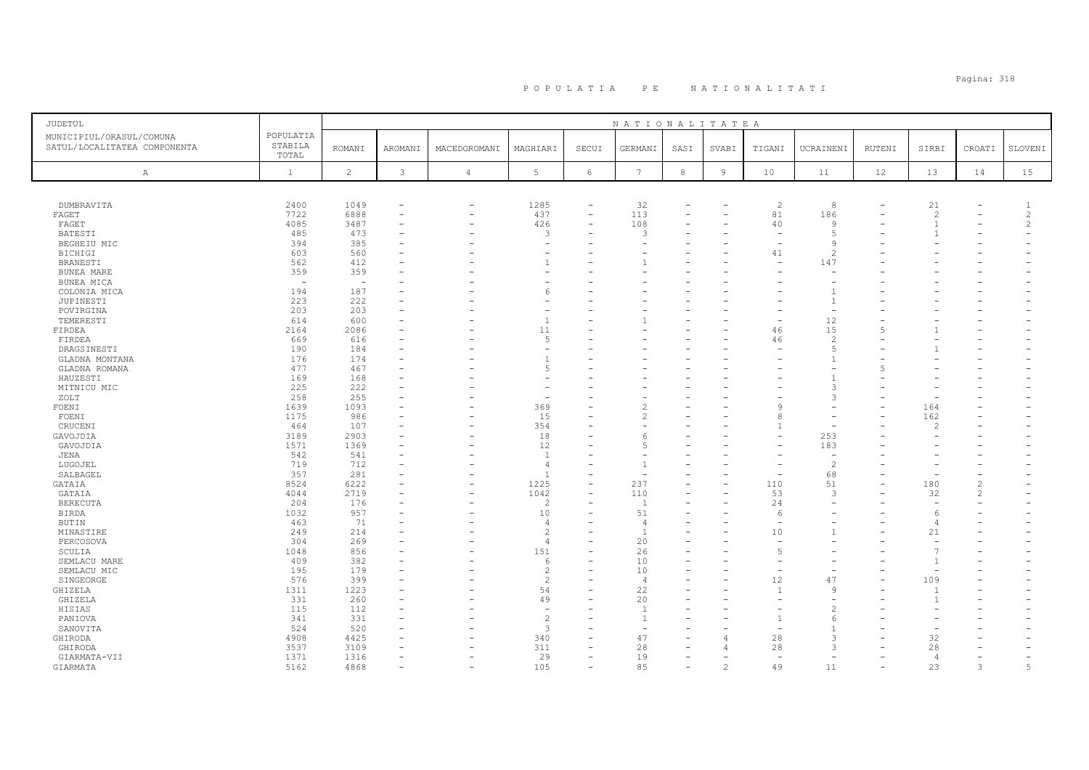# Pagina: 318 P O P U L A T I A P E N A T I O N A L I T A T I

| <b>JUDETUL</b>                                           |                               |                          |                          |                          |                          |                          | NATIONALITATEA  |      |                |                          |                          |          |                          |                |                          |
|----------------------------------------------------------|-------------------------------|--------------------------|--------------------------|--------------------------|--------------------------|--------------------------|-----------------|------|----------------|--------------------------|--------------------------|----------|--------------------------|----------------|--------------------------|
| MUNICIPIUL/ORASUL/COMUNA<br>SATUL/LOCALITATEA COMPONENTA | POPULATIA<br>STABILA<br>TOTAL | <b>ROMANI</b>            | AROMANI                  | MACEDOROMANI             | MAGHIARI                 | SECUI                    | GERMANI         | SASI | SVABI          | TIGANI                   | UCRAINENI                | RUTENI   | SIRBI                    | CROATI         | SLOVENI                  |
| A                                                        | $\mathbf{1}$                  | 2                        | 3                        | $\overline{4}$           | 5                        | 6                        | $7\phantom{.0}$ | $^8$ | $\overline{9}$ | 10                       | 11                       | 12       | 13                       | 14             | 15                       |
|                                                          |                               |                          |                          |                          |                          |                          |                 |      |                |                          |                          |          |                          |                |                          |
| DUMBRAVITA                                               | 2400                          | 1049                     |                          | $\overline{\phantom{0}}$ | 1285                     | $\overline{\phantom{0}}$ | 32              |      |                | $\overline{c}$           | 8                        |          | 21                       |                | -1                       |
| FAGET                                                    | 7722                          | 6888                     |                          | $\overline{\phantom{0}}$ | 437                      | $\equiv$                 | 113             |      |                | 81                       | 186                      |          | 2                        |                | 2                        |
| FAGET                                                    | 4085                          | 3487                     |                          | $\overline{\phantom{0}}$ | 426                      | ۳                        | 108             |      |                | 40                       | $\mathbf{Q}$             |          | $\overline{1}$           |                | $\overline{c}$           |
| <b>BATESTI</b>                                           | 485                           | 473                      | $\overline{\phantom{a}}$ |                          | 3                        | ۰                        | 3               |      |                | $\overline{\phantom{a}}$ | $\sqrt{2}$               |          | -1                       |                | $\overline{\phantom{a}}$ |
| BEGHEIU MIC                                              | 394                           | 385                      |                          |                          |                          |                          |                 |      |                |                          | <sup>9</sup>             |          |                          |                |                          |
| <b>BICHIGI</b>                                           | 603                           | 560                      |                          |                          | ÷,                       |                          |                 |      |                | 41                       | $\overline{c}$           |          |                          |                |                          |
| <b>BRANESTI</b>                                          | 562                           | 412                      |                          |                          | $\overline{1}$           |                          |                 |      |                |                          | 147                      |          |                          |                |                          |
| BUNEA MARE                                               | 359                           | 359                      |                          |                          | $\overline{\phantom{a}}$ |                          |                 |      |                |                          |                          |          |                          |                |                          |
| BUNEA MICA                                               |                               | $\overline{\phantom{0}}$ |                          |                          |                          |                          |                 |      |                |                          |                          |          |                          |                |                          |
| COLONIA MICA                                             | 194                           | 187                      |                          |                          | 6                        |                          |                 |      |                |                          |                          |          |                          |                |                          |
| JUPINESTI                                                | 223                           | 222                      |                          |                          |                          |                          |                 |      |                |                          | $\overline{1}$           |          |                          |                |                          |
| POVIRGINA                                                | 203                           | 203                      |                          |                          | $\overline{\phantom{a}}$ |                          |                 |      |                |                          | $\overline{\phantom{a}}$ |          |                          |                |                          |
| TEMERESTI                                                | 614                           | 600                      |                          |                          | $\mathbf{1}$             |                          |                 |      |                |                          | 12                       |          |                          |                |                          |
| FIRDEA                                                   | 2164                          | 2086                     |                          |                          | 11                       |                          |                 |      |                | 46                       | 15                       |          |                          |                |                          |
| FIRDEA                                                   | 669                           | 616                      |                          |                          | 5                        |                          |                 |      |                | 46                       | $\overline{c}$           |          |                          |                |                          |
| DRAGSINESTI                                              | 190                           | 184                      |                          |                          | $\overline{\phantom{a}}$ |                          |                 |      |                |                          | $\overline{5}$           |          |                          |                |                          |
| GLADNA MONTANA                                           | 176                           | 174                      |                          |                          | $\overline{1}$           |                          |                 |      |                |                          |                          |          |                          |                |                          |
| GLADNA ROMANA                                            | 477                           | 467                      |                          |                          | 5                        |                          |                 |      |                |                          |                          |          |                          |                |                          |
| HAUZESTI                                                 | 169                           | 168                      |                          |                          | ٠                        |                          |                 |      |                |                          | $\mathbf{1}$             |          |                          |                |                          |
| MITNICU MIC                                              | 225                           | 222                      |                          |                          |                          |                          |                 |      |                |                          | 3                        |          |                          |                |                          |
| ZOLT                                                     | 258                           | 255                      |                          |                          | $\overline{\phantom{a}}$ |                          |                 |      |                |                          | 3                        |          |                          |                |                          |
| FOENI                                                    | 1639                          | 1093                     |                          |                          | 369                      |                          | 2               |      |                | 9                        |                          |          | 164                      |                |                          |
| FOENI                                                    | 1175                          | 986                      |                          |                          | 15                       |                          | 2               |      |                | $\mathcal{R}$            |                          |          | 162                      |                |                          |
| CRUCENI                                                  | 464                           | 107                      |                          |                          | 354                      |                          |                 |      |                | $\mathbf{1}$             |                          |          | 2                        |                |                          |
| GAVOJDIA                                                 | 3189                          | 2903                     |                          | $\overline{\phantom{0}}$ | 18                       |                          | 6               |      |                |                          | 253                      |          |                          |                |                          |
| GAVOJDIA                                                 | 1571                          | 1369                     |                          |                          | 12                       |                          | 5               |      |                |                          | 183                      |          |                          |                |                          |
| JENA                                                     | 542                           | 541                      |                          |                          | $\overline{1}$           |                          |                 |      |                |                          | $\overline{a}$           |          |                          |                |                          |
| LUGOJEL                                                  | 719                           | 712                      |                          |                          | $\overline{4}$           |                          |                 |      |                |                          | $\overline{c}$           |          |                          |                |                          |
| SALBAGEL                                                 | 357                           | 281                      |                          |                          | $\overline{1}$           |                          |                 |      |                |                          | 68                       |          | $\overline{\phantom{0}}$ |                |                          |
| GATAIA                                                   | 8524                          | 6222                     |                          |                          | 1225                     | ۳                        | 237             |      |                | 110                      | 51                       |          | 180                      | $\overline{c}$ |                          |
| GATAIA                                                   | 4044                          | 2719                     |                          |                          | 1042                     |                          | 110             |      |                | 53                       | 3                        |          | 32                       | $\overline{c}$ |                          |
| <b>BERECUTA</b>                                          | 204                           | 176                      |                          |                          | $\overline{c}$           |                          |                 |      |                | 24                       |                          |          | $\equiv$                 |                |                          |
| <b>BIRDA</b>                                             | 1032                          | 957                      |                          |                          | 10                       |                          | 51              |      |                | 6                        |                          |          | -6                       |                |                          |
| BUTIN                                                    | 463                           | 71                       |                          |                          | $\overline{4}$           |                          | -4              |      |                |                          |                          |          | 4                        |                |                          |
| MINASTIRE                                                | 249                           | 214                      |                          |                          | $\overline{c}$           |                          |                 |      |                | 10                       | $\mathbf{1}$             |          | 21                       |                |                          |
| PERCOSOVA                                                | 304                           | 269                      |                          |                          | $\overline{4}$           |                          | 20              |      |                | $\overline{\phantom{a}}$ |                          |          | $\overline{\phantom{m}}$ |                |                          |
| SCULIA                                                   | 1048                          | 856                      |                          |                          | 151                      |                          | 26              |      |                | $\overline{5}$           |                          |          | $\overline{7}$           |                |                          |
|                                                          | 409                           | 382                      |                          |                          | 6                        |                          | 10              |      |                |                          |                          |          | $\mathbf{1}$             |                |                          |
| SEMLACU MARE<br>SEMLACU MIC                              | 195                           | 179                      |                          |                          | $\overline{c}$           |                          | 10              |      |                |                          |                          |          |                          |                |                          |
|                                                          | 576                           | 399                      |                          |                          | $\overline{c}$           |                          | $\overline{4}$  |      |                | 12                       | 47                       |          | 109                      |                |                          |
| SINGEORGE                                                |                               |                          |                          |                          |                          |                          |                 |      |                | $\overline{1}$           | <b>q</b>                 |          |                          |                |                          |
| GHIZELA                                                  | 1311                          | 1223                     |                          |                          | 54                       |                          | 22              |      |                |                          |                          |          | -1                       |                |                          |
| GHIZELA                                                  | 331                           | 260                      |                          |                          | 49                       |                          | 20              |      |                |                          |                          |          | $\overline{1}$           |                |                          |
| HISIAS                                                   | 115                           | 112                      |                          |                          | $\overline{\phantom{a}}$ |                          |                 |      |                |                          | $\overline{\mathcal{L}}$ |          |                          |                |                          |
| PANIOVA                                                  | 341                           | 331                      |                          |                          | $\overline{c}$           |                          |                 |      |                | $\mathbf{1}$             | 6                        |          |                          |                |                          |
| SANOVITA                                                 | 524                           | 520                      |                          |                          | $\overline{3}$           |                          |                 |      |                |                          | $\overline{1}$           |          |                          |                |                          |
| GHIRODA                                                  | 4908                          | 4425                     |                          |                          | 340                      |                          | 47              |      |                | 28                       | 3                        |          | 32                       |                |                          |
| GHIRODA                                                  | 3537                          | 3109                     |                          |                          | 311                      | ۰                        | 28              |      |                | 28                       | 3                        |          | 28                       |                |                          |
| GIARMATA-VII                                             | 1371                          | 1316                     |                          |                          | 29                       |                          | 19              |      |                | $\overline{\phantom{a}}$ |                          |          | $\overline{4}$           |                |                          |
| GIARMATA                                                 | 5162                          | 4868                     | $\overline{\phantom{a}}$ | $\overline{\phantom{0}}$ | 105                      | L.                       | 85              |      | $\overline{c}$ | 49                       | 11                       | $\equiv$ | 23                       | 3              | 5                        |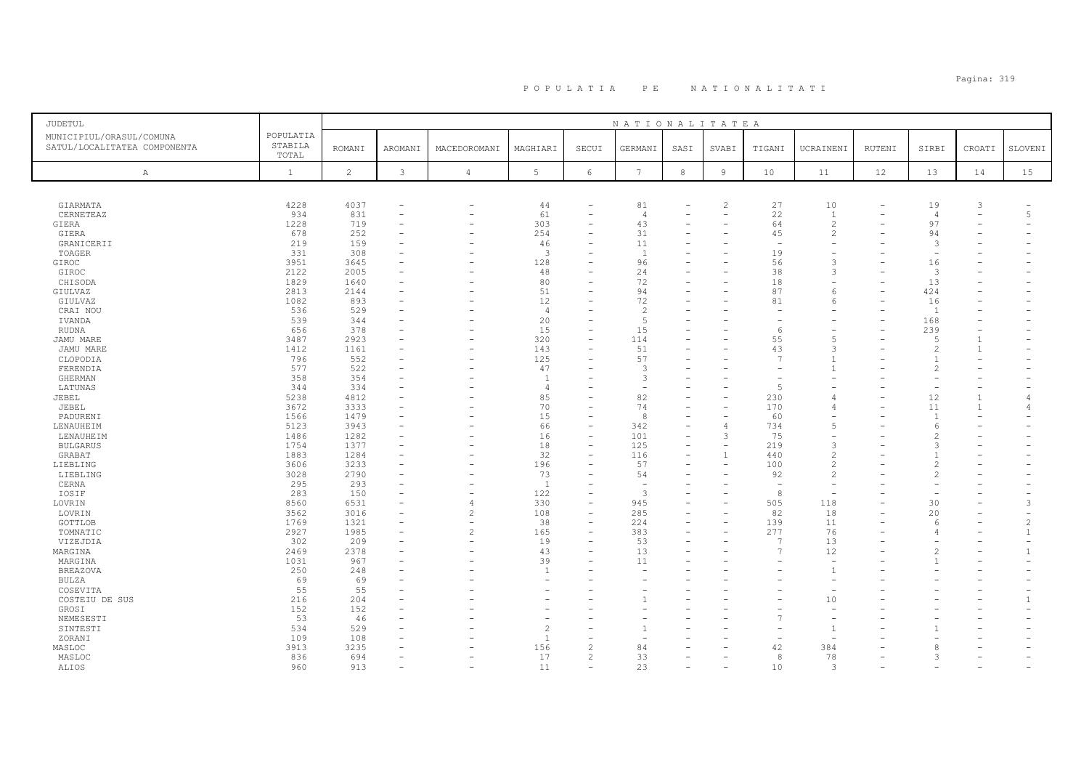# Pagina: 319 P O P U L A T I A P E N A T I O N A L I T A T I

| <b>JUDETUL</b>                                           |                               |                      |                                                                                  |                                                              |                                  |                                       | NATIONALITATEA                 |                          |                                            |                      |                                                            |        |                                       |                                |                                |
|----------------------------------------------------------|-------------------------------|----------------------|----------------------------------------------------------------------------------|--------------------------------------------------------------|----------------------------------|---------------------------------------|--------------------------------|--------------------------|--------------------------------------------|----------------------|------------------------------------------------------------|--------|---------------------------------------|--------------------------------|--------------------------------|
| MUNICIPIUL/ORASUL/COMUNA<br>SATUL/LOCALITATEA COMPONENTA | POPULATIA<br>STABILA<br>TOTAL | <b>ROMANI</b>        | AROMANI                                                                          | MACEDOROMANI                                                 | MAGHIARI                         | SECUI                                 | GERMANI                        | SASI                     | SVABI                                      | TIGANI               | UCRAINENI                                                  | RUTENI | SIRBI                                 | CROATI                         | SLOVENI                        |
| A                                                        | $\mathbf{1}$                  | 2                    | $\mathbf{3}$                                                                     | $\sqrt{4}$                                                   | $5\phantom{.0}$                  | $6\,$                                 | $7\phantom{.0}$                | $^{\rm 8}$               | $\overline{9}$                             | 10                   | 11                                                         | 12     | 13                                    | 14                             | 15                             |
|                                                          |                               |                      |                                                                                  |                                                              |                                  |                                       |                                |                          |                                            |                      |                                                            |        |                                       |                                |                                |
| GIARMATA<br>CERNETEAZ<br>GIERA                           | 4228<br>934<br>1228           | 4037<br>831<br>719   | $\overline{\phantom{a}}$                                                         | $\overline{\phantom{0}}$<br>$\overline{\phantom{0}}$         | 44<br>61<br>303                  | $\equiv$                              | 81<br>$\overline{4}$<br>43     |                          | $\mathcal{L}$                              | 27<br>22<br>64       | 10<br>$\mathbf{1}$<br>$\overline{c}$                       |        | 19<br>4<br>97                         | 3<br>$\overline{\phantom{a}}$  | 5                              |
| GIERA<br>GRANICERII                                      | 678<br>219                    | 252<br>159           |                                                                                  | $\overline{\phantom{0}}$                                     | 254<br>46                        |                                       | 31<br>11                       |                          |                                            | 45                   | $\overline{c}$                                             |        | 94<br>3                               |                                |                                |
| TOAGER<br>GIROC                                          | 331<br>3951                   | 308<br>3645          |                                                                                  |                                                              | $\overline{3}$<br>128            |                                       | $\overline{1}$<br>96           |                          |                                            | 19<br>56             | $\overline{\phantom{0}}$<br>$\rightarrow$                  |        | $\overline{\phantom{m}}$<br>16        |                                |                                |
| GIROC<br>CHISODA<br>GIULVAZ                              | 2122<br>1829<br>2813          | 2005<br>1640<br>2144 |                                                                                  | $\overline{\phantom{0}}$                                     | 48<br>80<br>51                   |                                       | 24<br>72<br>94                 |                          |                                            | 38<br>18<br>87       | 3<br>6                                                     |        | 3<br>13<br>424                        |                                |                                |
| GIULVAZ<br>CRAI NOU<br>IVANDA                            | 1082<br>536<br>539            | 893<br>529<br>344    | $\overline{\phantom{a}}$                                                         |                                                              | 12<br>$\overline{4}$<br>20       | ۳                                     | 72<br>$\overline{2}$<br>5      |                          |                                            | 81                   | 6                                                          |        | 16<br>$\overline{1}$<br>168           |                                |                                |
| <b>RUDNA</b><br>JAMU MARE                                | 656<br>3487                   | 378<br>2923          | $\equiv$                                                                         | $\rightarrow$                                                | 15<br>320                        | ۰<br>÷                                | 15<br>114                      |                          |                                            | -6<br>55             | 5                                                          |        | 239<br>5                              |                                |                                |
| JAMU MARE<br>CLOPODIA<br>FERENDIA                        | 1412<br>796<br>577            | 1161<br>552<br>522   |                                                                                  |                                                              | 143<br>125<br>47                 | -                                     | 51<br>57<br>3                  |                          |                                            | 43<br>$\overline{7}$ | $\mathcal{B}$<br>$\mathbf{1}$                              |        | $\mathfrak{D}$<br>$\overline{1}$<br>2 | $\overline{1}$                 |                                |
| GHERMAN<br>LATUNAS                                       | 358<br>344                    | 354<br>334           |                                                                                  |                                                              | $\overline{1}$<br>$\overline{4}$ |                                       | 3                              |                          |                                            | 5                    |                                                            |        |                                       |                                |                                |
| JEBEL<br>JEBEL<br>PADURENI                               | 5238<br>3672<br>1566          | 4812<br>3333<br>1479 | $\overline{\phantom{a}}$                                                         | $\overline{\phantom{0}}$                                     | 85<br>70<br>15                   | ۳<br>۰                                | 82<br>74<br>8                  |                          |                                            | 230<br>170<br>60     | $\angle$<br>$\overline{4}$                                 |        | 12<br>11<br>$\overline{1}$            | $\mathbf{1}$<br>$\overline{1}$ | 4                              |
| LENAUHEIM<br>LENAUHEIM                                   | 5123<br>1486                  | 3943<br>1282         |                                                                                  |                                                              | 66<br>16                         | $\equiv$<br>۳                         | 342<br>101                     |                          | 3                                          | 734<br>75            | 5                                                          |        | 6                                     |                                |                                |
| <b>BULGARUS</b><br>GRABAT                                | 1754<br>1883<br>3606          | 1377<br>1284<br>3233 | $\sim$                                                                           |                                                              | 18<br>32<br>196                  | $\equiv$<br>-                         | 125<br>116<br>57               | $\overline{\phantom{0}}$ | $\overline{\phantom{a}}$<br>$\overline{1}$ | 219<br>440<br>100    | 3<br>$\overline{2}$<br>$\overline{2}$                      |        | 3<br>$\mathcal{P}$                    |                                |                                |
| LIEBLING<br>LIEBLING<br>CERNA                            | 3028<br>295                   | 2790<br>293          | $\overline{\phantom{a}}$                                                         | $\overline{\phantom{0}}$                                     | 73<br>$\overline{1}$             |                                       | 54<br>$\overline{\phantom{a}}$ |                          |                                            | 92<br>$\overline{a}$ | $\overline{c}$<br>$\overline{\phantom{a}}$                 |        | 2                                     |                                |                                |
| IOSIF<br>LOVRIN                                          | 283<br>8560                   | 150<br>6531          | $\overline{\phantom{a}}$<br>$\overline{\phantom{a}}$<br>$\overline{\phantom{m}}$ | $\overline{\phantom{0}}$<br>$\overline{4}$                   | 122<br>330                       | $\equiv$<br>$\equiv$<br>L,            | 3<br>945                       |                          |                                            | 8<br>505             | 118                                                        |        | 30                                    |                                | 3                              |
| LOVRIN<br>GOTTLOB<br>TOMNATIC                            | 3562<br>1769<br>2927          | 3016<br>1321<br>1985 | $\equiv$                                                                         | $\overline{c}$<br>$\overline{\phantom{a}}$<br>$\overline{c}$ | 108<br>38<br>165                 | $\overline{\phantom{0}}$<br>$\equiv$  | 285<br>224<br>383              |                          |                                            | 82<br>139<br>277     | 18<br>11<br>76                                             |        | 20<br>-6                              |                                | $\mathfrak{D}$<br>$\mathbf{1}$ |
| VIZEJDIA<br>MARGINA<br>MARGINA                           | 302<br>2469<br>1031           | 209<br>2378<br>967   |                                                                                  | $\equiv$<br>$\overline{\phantom{0}}$                         | 19<br>43<br>39                   |                                       | 53<br>13<br>11                 |                          |                                            | J.<br>$\overline{7}$ | 13<br>12                                                   |        | $\mathfrak{D}$<br>-1                  |                                |                                |
| <b>BREAZOVA</b><br>BULZA                                 | 250<br>69                     | 248<br>69            | $\equiv$                                                                         |                                                              | $\mathbf{1}$                     | ۳                                     | $\equiv$                       |                          |                                            |                      | $\overline{1}$                                             |        |                                       |                                |                                |
| COSEVITA<br>COSTEIU DE SUS<br>GROSI                      | 55<br>216<br>152              | 55<br>204<br>152     |                                                                                  |                                                              |                                  |                                       |                                |                          |                                            |                      | $\overline{\phantom{a}}$<br>10<br>$\overline{\phantom{a}}$ |        |                                       |                                | $\mathbf{1}$                   |
| NEMESESTI<br>SINTESTI                                    | 53<br>534                     | 46<br>529            |                                                                                  |                                                              | ٠<br>$\overline{c}$              |                                       |                                |                          |                                            |                      | $\overline{1}$                                             |        |                                       |                                |                                |
| ZORANI<br>MASLOC                                         | 109<br>3913<br>836            | 108<br>3235<br>694   | $\equiv$                                                                         |                                                              | $\overline{1}$<br>156<br>17      | ۳<br>$\overline{2}$<br>$\mathfrak{D}$ | 84<br>33                       |                          |                                            | 42<br>8              | 384<br>78                                                  |        | 8<br>$\mathcal{L}$                    | $\overline{\phantom{a}}$       |                                |
| MASLOC<br>ALIOS                                          | 960                           | 913                  |                                                                                  |                                                              | 11                               |                                       | 23                             |                          |                                            | 10                   | 3                                                          |        |                                       |                                |                                |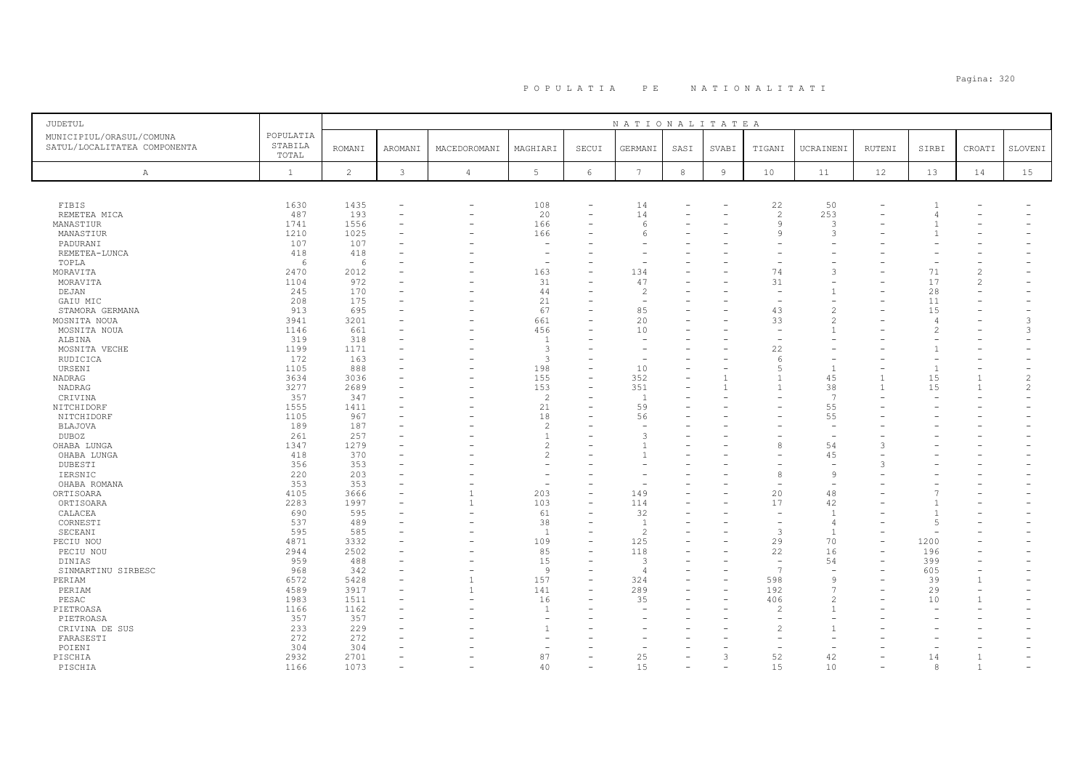# Pagina: 320 P O P U L A T I A P E N A T I O N A L I T A T I

| JUDETUL                      |              |                |              |                          |                          |                          | NATIONALITATEA        |            |                |                          |                          |                          |                |                          |                          |
|------------------------------|--------------|----------------|--------------|--------------------------|--------------------------|--------------------------|-----------------------|------------|----------------|--------------------------|--------------------------|--------------------------|----------------|--------------------------|--------------------------|
| MUNICIPIUL/ORASUL/COMUNA     | POPULATIA    |                |              |                          |                          |                          |                       |            |                |                          |                          |                          |                |                          |                          |
| SATUL/LOCALITATEA COMPONENTA | STABILA      | <b>ROMANI</b>  | AROMANI      | MACEDOROMANI             | MAGHIARI                 | SECUI                    | GERMANI               | SASI       | SVABI          | TIGANI                   | UCRAINENI                | <b>RUTENI</b>            | SIRBI          | CROATI                   | SLOVENI                  |
|                              | TOTAL        |                |              |                          |                          |                          |                       |            |                |                          |                          |                          |                |                          |                          |
| $\mathbb{A}$                 | $\mathbf{1}$ | $\overline{c}$ | $\mathbf{3}$ | 4                        | $5\phantom{.0}$          | $6\,$                    | $7\phantom{.0}$       | $^{\rm 8}$ | $\overline{9}$ | 10                       | 11                       | 12                       | 13             | 14                       | 15                       |
|                              |              |                |              |                          |                          |                          |                       |            |                |                          |                          |                          |                |                          |                          |
| FIBIS                        | 1630         | 1435           |              | $\overline{\phantom{0}}$ | 108                      | L.                       | 14                    |            |                | 22                       | 50                       |                          |                |                          |                          |
| REMETEA MICA                 | 487          | 193            |              | ۰                        | 20                       | $\overline{\phantom{0}}$ | 14                    |            |                | $\mathcal{P}$            | 253                      |                          | 4              |                          |                          |
| MANASTIUR                    | 1741         | 1556           |              | ۰                        | 166                      |                          | 6                     |            |                | $\mathbf{Q}$             | 3                        |                          |                |                          |                          |
| MANASTIUR                    | 1210         | 1025           |              |                          | 166                      |                          | 6                     |            |                | Q                        | 3                        |                          |                |                          |                          |
| PADURANI                     | 107          | 107            |              |                          | $\sim$                   |                          |                       |            |                |                          |                          |                          |                |                          |                          |
|                              | 418          | 418            |              |                          | ۰                        |                          |                       |            |                |                          |                          |                          |                |                          |                          |
| REMETEA-LUNCA<br>TOPLA       | -6           | 6              |              |                          | ÷.                       |                          |                       |            |                |                          |                          |                          |                |                          |                          |
| MORAVITA                     | 2470         | 2012           |              |                          | 163                      |                          | 134                   |            |                | 74                       | $\mathcal{L}$            |                          | 71             | $\overline{c}$           |                          |
| MORAVITA                     | 1104         | 972            |              |                          | 31                       |                          | 47                    |            |                | 31                       |                          |                          | 17             | $\overline{c}$           |                          |
| DEJAN                        | 245          | 170            |              | ۰                        | 44                       |                          | 2                     |            |                | $\overline{\phantom{a}}$ |                          |                          | 28             | $\equiv$                 |                          |
|                              | 208          | 175            |              |                          | 21                       |                          |                       |            |                |                          |                          |                          | 11             |                          |                          |
| GAIU MIC<br>STAMORA GERMANA  | 913          | 695            |              |                          | 67                       |                          | 85                    |            |                | 43                       |                          |                          | 15             |                          |                          |
| MOSNITA NOUA                 | 3941         | 3201           |              |                          | 661                      | -                        | 20                    |            |                | 33                       |                          |                          | -4             |                          | 3                        |
| MOSNITA NOUA                 | 1146         | 661            |              |                          | 456                      |                          | 10                    |            |                |                          |                          |                          |                |                          | 3                        |
|                              | 319          | 318            |              |                          | $\overline{1}$           |                          |                       |            |                |                          |                          |                          |                |                          | $\overline{\phantom{0}}$ |
| ALBINA                       | 1199         |                |              |                          | 3                        |                          |                       |            |                | 22                       |                          |                          |                |                          |                          |
| MOSNITA VECHE                | 172          | 1171<br>163    |              |                          | 3                        |                          |                       |            |                |                          |                          |                          |                |                          |                          |
| RUDICICA                     |              |                |              |                          |                          |                          |                       |            |                | -6                       | $\overline{1}$           |                          | $\overline{1}$ |                          |                          |
| URSENI                       | 1105         | 888            |              |                          | 198<br>155               |                          | 10<br>352             |            |                |                          |                          |                          | 15             | $\overline{1}$           | 2                        |
| NADRAG                       | 3634         | 3036           |              |                          |                          |                          |                       |            |                |                          | 45                       |                          |                | $\mathbf{1}$             |                          |
| NADRAG                       | 3277         | 2689           |              |                          | 153                      |                          | 351<br>$\overline{1}$ |            |                |                          | 38<br>$\overline{7}$     |                          | 15             |                          | 2                        |
| CRIVINA                      | 357          | 347            |              |                          | $\overline{c}$           | $\overline{\phantom{0}}$ |                       |            |                |                          |                          |                          |                |                          |                          |
| NITCHIDORF                   | 1555         | 1411           |              |                          | 21                       | ۳                        | 59                    |            |                |                          | 55                       |                          |                |                          |                          |
| NITCHIDORF                   | 1105         | 967            |              |                          | 18                       |                          | 56                    |            |                |                          | 55                       |                          |                |                          |                          |
| <b>BLAJOVA</b>               | 189          | 187            |              |                          | $\overline{c}$           |                          |                       |            |                |                          |                          |                          |                |                          |                          |
| DUBOZ                        | 261          | 257            |              |                          | $\overline{1}$           |                          | 3                     |            |                |                          |                          |                          |                |                          |                          |
| OHABA LUNGA                  | 1347         | 1279           |              |                          | $\overline{c}$           |                          |                       |            |                |                          | 54                       |                          |                |                          |                          |
| OHABA LUNGA                  | 418          | 370            |              |                          | $\overline{c}$           |                          |                       |            |                |                          | 45                       |                          |                |                          |                          |
| DUBESTI                      | 356          | 353            |              |                          |                          |                          |                       |            |                |                          |                          | 3                        |                |                          |                          |
| IERSNIC                      | 220          | 203            |              |                          |                          |                          |                       |            |                |                          | - 9                      |                          |                |                          |                          |
| OHABA ROMANA                 | 353          | 353            |              |                          | $\overline{\phantom{m}}$ |                          |                       |            |                |                          |                          |                          |                |                          |                          |
| ORTISOARA                    | 4105         | 3666           |              | $\mathbf{1}$             | 203                      | $\equiv$                 | 149                   |            |                | 20                       | 48                       |                          |                |                          |                          |
| ORTISOARA                    | 2283         | 1997           |              | 1                        | 103                      | $\overline{\phantom{a}}$ | 114                   |            |                | 17                       | 42                       |                          |                |                          |                          |
| CALACEA                      | 690          | 595            |              |                          | 61                       |                          | 32                    |            |                |                          | $\overline{1}$           |                          | $\overline{1}$ |                          |                          |
| CORNESTI                     | 537          | 489            |              |                          | 38                       |                          | <sup>1</sup>          |            |                |                          | $\overline{4}$           |                          | $\overline{5}$ |                          |                          |
| SECEANI                      | 595          | 585            |              |                          | <sup>1</sup>             | $\equiv$                 | $\mathcal{L}$         |            |                | 3                        | $\overline{1}$           | $\overline{\phantom{0}}$ |                |                          |                          |
| PECIU NOU                    | 4871         | 3332           |              |                          | 109                      |                          | 125                   |            |                | 29                       | 70                       |                          | 1200           |                          |                          |
| PECIU NOU                    | 2944         | 2502           |              |                          | 85                       |                          | 118                   |            |                | 22                       | 16                       |                          | 196            |                          |                          |
| DINIAS                       | 959          | 488            |              |                          | 15                       |                          | $\mathcal{L}$         |            |                | $\overline{7}$           | 54                       |                          | 399            |                          |                          |
| SINMARTINU SIRBESC           | 968          | 342            |              | ÷,                       | $\overline{9}$           | $\equiv$                 | $\overline{4}$        |            | -              |                          | $\overline{\phantom{0}}$ | $\equiv$                 | 605            | $\equiv$                 |                          |
| PERIAM                       | 6572         | 5428           |              | 1                        | 157                      |                          | 324                   |            |                | 598                      | <sup>o</sup>             |                          | 39             | $\overline{1}$           |                          |
| PERIAM                       | 4589         | 3917           |              | $\mathbf{1}$             | 141                      |                          | 289                   |            |                | 192                      |                          |                          | 29             | $\overline{\phantom{m}}$ |                          |
| PESAC                        | 1983         | 1511           |              |                          | 16                       |                          | 35                    |            |                | 406                      |                          |                          | 10             | $\mathbf{1}$             |                          |
| PIETROASA                    | 1166         | 1162           |              |                          | $\overline{1}$           |                          |                       |            |                | $\mathcal{D}$            |                          |                          |                |                          |                          |
| PIETROASA                    | 357          | 357            |              |                          | ۰                        |                          |                       |            |                |                          |                          |                          |                |                          |                          |
| CRIVINA DE SUS               | 233          | 229            |              |                          | $\overline{1}$           |                          |                       |            |                |                          |                          |                          |                |                          |                          |
| FARASESTI                    | 272          | 272            |              |                          |                          |                          |                       |            |                |                          |                          |                          |                |                          |                          |
| POIENI                       | 304          | 304            |              |                          |                          |                          |                       |            |                |                          |                          |                          |                |                          |                          |
| PISCHIA                      | 2932         | 2701           |              |                          | 87                       |                          | 25                    |            | 3              | 52                       | 42                       |                          | 14             | $\overline{1}$           |                          |
| PISCHIA                      | 1166         | 1073           |              |                          | 40                       |                          | 15                    |            |                | 15                       | 10                       |                          | 8              | $\overline{1}$           |                          |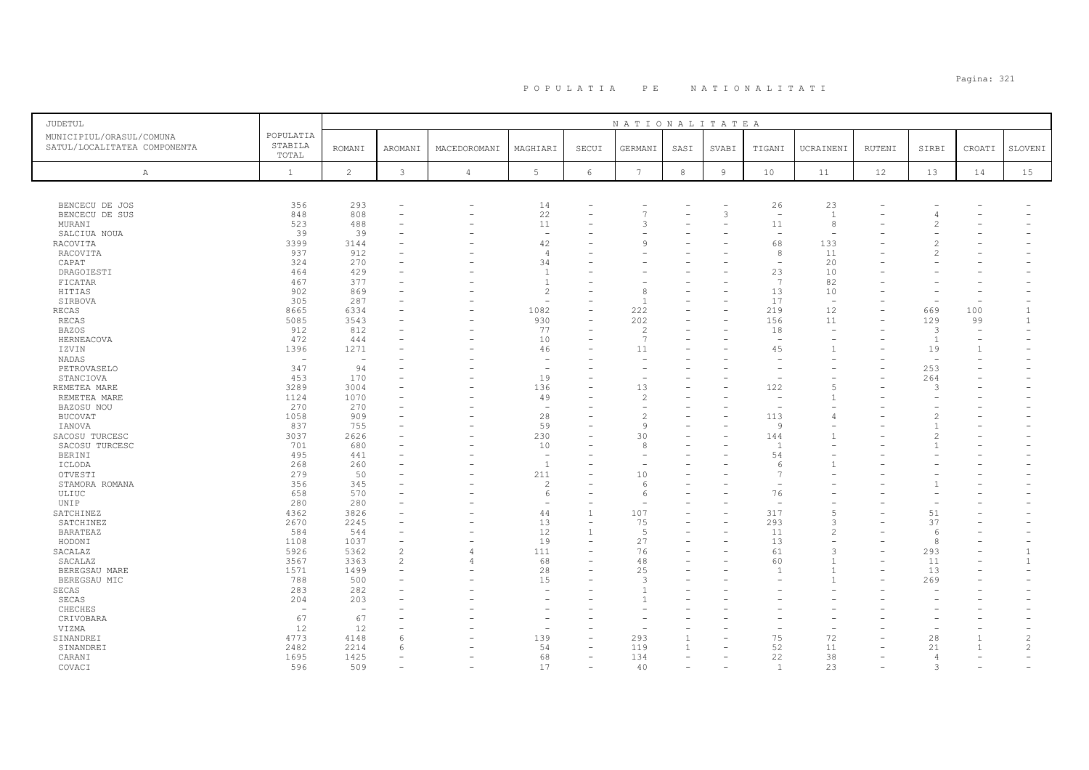# Pagina: 321 P O P U L A T I A P E N A T I O N A L I T A T I

| <b>JUDETUL</b>               |                          |                          |                          |                |                                |                          | NATIONALITATEA                 |                |                          |                          |                |        |                                |                |                |
|------------------------------|--------------------------|--------------------------|--------------------------|----------------|--------------------------------|--------------------------|--------------------------------|----------------|--------------------------|--------------------------|----------------|--------|--------------------------------|----------------|----------------|
| MUNICIPIUL/ORASUL/COMUNA     | POPULATIA                |                          |                          |                |                                |                          |                                |                |                          |                          |                |        |                                |                |                |
| SATUL/LOCALITATEA COMPONENTA | STABILA                  | <b>ROMANI</b>            | <b>AROMANI</b>           | MACEDOROMANI   | MAGHIARI                       | SECUI                    | GERMANI                        | SASI           | SVABI                    | TIGANI                   | UCRAINENI      | RUTENI | SIRBI                          | CROATI         | SLOVENI        |
|                              | TOTAL                    |                          |                          |                |                                |                          |                                |                |                          |                          |                |        |                                |                |                |
| A                            | $\mathbf{1}$             | $\overline{c}$           | $\mathbf{3}$             | $\overline{4}$ | 5                              | $\epsilon$               | $7\phantom{.0}$                | $^{\rm 8}$     | $\overline{9}$           | 10                       | 11             | 12     | 13                             | 14             | 15             |
|                              |                          |                          |                          |                |                                |                          |                                |                |                          |                          |                |        |                                |                |                |
|                              |                          |                          |                          |                |                                |                          |                                |                |                          |                          |                |        |                                |                |                |
|                              |                          |                          |                          | ۰              |                                |                          |                                |                |                          | 26                       | 23             |        |                                |                |                |
| BENCECU DE JOS               | 356<br>848               | 293<br>808               |                          | ۰              | 14<br>22                       | $\equiv$                 | $\overline{7}$                 |                | 3                        | $\overline{\phantom{a}}$ | $\overline{1}$ |        |                                |                |                |
| BENCECU DE SUS               | 523                      | 488                      |                          |                | 11                             |                          | 3                              |                |                          | 11                       | 8              |        | 4<br>$\overline{2}$            |                |                |
| MURANI                       | 39                       |                          |                          |                | $\overline{\phantom{a}}$       |                          |                                |                |                          | $\overline{\phantom{a}}$ |                |        |                                |                |                |
| SALCIUA NOUA                 |                          | 39                       |                          |                |                                |                          | 9                              |                |                          | 68                       | 133            |        | $\overline{c}$                 |                |                |
| RACOVITA                     | 3399                     | 3144                     |                          |                | 42<br>$\overline{4}$           |                          |                                |                |                          | 8                        | 11             |        |                                |                |                |
| RACOVITA                     | 937                      | 912<br>270               |                          |                | 34                             |                          |                                |                |                          |                          |                |        | 2                              |                |                |
| CAPAT<br>DRAGOIESTI          | 324<br>464               | 429                      |                          |                | $\overline{1}$                 |                          |                                |                |                          | 23                       | 20<br>10       |        |                                |                |                |
|                              | 467                      | 377                      |                          |                | $\overline{1}$                 |                          |                                |                |                          | 7                        | 82             |        |                                |                |                |
| FICATAR<br>HITIAS            | 902                      | 869                      |                          |                | $\overline{2}$                 |                          | 8                              |                |                          | 13                       | 10             |        |                                |                |                |
| SIRBOVA                      | 305                      | 287                      |                          |                |                                |                          |                                |                |                          | 17                       | $\equiv$       |        | $\overline{\phantom{0}}$       |                |                |
| RECAS                        | 8665                     | 6334                     |                          |                | 1082                           | $\overline{\phantom{0}}$ | 222                            |                |                          | 219                      | 12             |        | 669                            | 100            |                |
| <b>RECAS</b>                 | 5085                     | 3543                     |                          |                | 930                            | $\equiv$                 | 202                            |                | $\equiv$                 | 156                      | 11             |        | 129                            | 99             |                |
| <b>BAZOS</b>                 | 912                      | 812                      |                          |                | 77                             |                          | $\overline{\mathcal{L}}$       |                |                          | 18                       |                |        | 3                              |                |                |
|                              | 472                      |                          |                          |                | 10                             |                          | $\overline{7}$                 |                |                          | $\overline{\phantom{a}}$ |                |        |                                |                |                |
| HERNEACOVA                   | 1396                     | 444<br>1271              |                          |                |                                |                          | 11                             |                |                          | 45                       |                |        | <sup>1</sup>                   | $\overline{1}$ |                |
| IZVIN                        | $\overline{\phantom{0}}$ | $\equiv$                 |                          |                | 46<br>$\overline{\phantom{m}}$ |                          |                                |                |                          |                          |                |        | 19<br>$\overline{\phantom{a}}$ |                |                |
| NADAS                        |                          |                          |                          |                |                                |                          |                                |                |                          |                          |                |        |                                |                |                |
| PETROVASELO                  | 347<br>453               | 94<br>170                |                          |                | $\overline{\phantom{a}}$<br>19 |                          |                                |                |                          |                          |                |        | 253                            |                |                |
| STANCIOVA                    |                          |                          |                          |                |                                |                          |                                |                |                          |                          |                |        | 264<br>3                       |                |                |
| REMETEA MARE                 | 3289<br>1124             | 3004<br>1070             |                          |                | 136                            |                          | 13<br>$\overline{c}$           |                |                          | 122                      |                |        |                                |                |                |
| REMETEA MARE                 |                          |                          |                          |                | 49<br>$\overline{\phantom{a}}$ |                          |                                |                |                          |                          |                |        |                                |                |                |
| BAZOSU NOU                   | 270                      | 270                      |                          |                |                                |                          |                                |                |                          |                          |                |        |                                |                |                |
| <b>BUCOVAT</b>               | 1058<br>837              | 909<br>755               |                          |                | 28<br>59                       |                          | $\overline{c}$<br>$\mathsf{Q}$ |                |                          | 113<br><b>q</b>          |                |        | 2                              |                |                |
| IANOVA                       | 3037                     |                          |                          |                | 230                            |                          |                                |                |                          |                          |                |        |                                |                |                |
| SACOSU TURCESC               | 701                      | 2626<br>680              |                          |                | 10                             |                          | 30<br>8                        |                |                          | 144<br>- 1               |                |        |                                |                |                |
| SACOSU TURCESC               | 495                      | 441                      |                          |                | ÷.                             |                          |                                |                |                          | 54                       |                |        |                                |                |                |
| BERINI                       | 268                      | 260                      |                          |                | $\overline{1}$                 |                          |                                |                |                          | -6                       |                |        |                                |                |                |
| ICLODA                       | 279                      | 50                       |                          |                |                                |                          | 10                             |                |                          | 7                        |                |        |                                |                |                |
| OTVESTI<br>STAMORA ROMANA    | 356                      | 345                      |                          |                | 211<br>$\overline{2}$          |                          | 6                              |                |                          |                          |                |        |                                |                |                |
|                              | 658                      | 570                      |                          |                |                                | ۰                        | 6                              |                |                          | 76                       |                |        |                                |                |                |
| ULIUC<br>UNIP                | 280                      | 280                      |                          |                | 6<br>$\overline{\phantom{a}}$  |                          |                                |                |                          | $\overline{\phantom{0}}$ |                |        | $\overline{\phantom{0}}$       |                |                |
| SATCHINEZ                    | 4362                     | 3826                     |                          |                | 44                             | $\mathbf{1}$             | 107                            |                |                          | 317                      |                |        | 51                             |                |                |
| SATCHINEZ                    | 2670                     | 2245                     |                          |                | 13                             |                          | 75                             |                |                          | 293                      |                |        | 37                             |                |                |
| <b>BARATEAZ</b>              | 584                      | 544                      |                          | ۰              | 12                             |                          | .5                             |                | $\overline{\phantom{0}}$ | 11                       |                |        | 6                              |                |                |
| HODONI                       | 1108                     | 1037                     |                          |                | 19                             | ÷                        | 27                             |                |                          | 13                       |                |        | 8                              |                |                |
| SACALAZ                      | 5926                     | 5362                     | $\overline{c}$           | $\overline{4}$ | 111                            |                          | 76                             |                |                          | 61                       |                |        | 293                            |                | $\overline{1}$ |
| SACALAZ                      | 3567                     | 3363                     | $\overline{c}$           | $\overline{4}$ | 68                             |                          | 48                             |                |                          | 60                       |                |        | 11                             |                | -1             |
| BEREGSAU MARE                | 1571                     | 1499                     | $\overline{\phantom{a}}$ |                | 28                             | $\equiv$                 | 25                             |                |                          |                          |                |        | 13                             |                |                |
| BEREGSAU MIC                 | 788                      | 500                      |                          |                | 15                             |                          | 3                              |                |                          |                          |                |        | 269                            |                |                |
| SECAS                        | 283                      | 282                      |                          |                | $\overline{\phantom{m}}$       |                          |                                |                |                          |                          |                |        |                                |                |                |
| SECAS                        | 204                      | 203                      |                          |                |                                |                          |                                |                |                          |                          |                |        |                                |                |                |
| CHECHES                      | $\overline{\phantom{a}}$ | $\overline{\phantom{a}}$ |                          |                |                                |                          |                                |                |                          |                          |                |        |                                |                |                |
| CRIVOBARA                    | 67                       | 67                       |                          |                |                                | ÷                        |                                |                |                          |                          |                |        |                                |                |                |
| VIZMA                        | 12                       | 12                       |                          |                | $\overline{\phantom{a}}$       |                          |                                |                |                          |                          |                |        |                                |                |                |
| SINANDREI                    | 4773                     | 4148                     | 6                        |                | 139                            | $\equiv$                 | 293                            |                |                          | 75                       | 72             |        | 28                             | $\overline{1}$ | $\overline{2}$ |
| SINANDREI                    | 2482                     | 2214                     | 6                        |                | 54                             |                          | 119                            |                |                          | 52                       | 11             |        | 21                             | $\overline{1}$ | $\overline{c}$ |
| CARANI                       | 1695                     | 1425                     | $\overline{\phantom{a}}$ |                | 68                             | $\equiv$                 | 134                            | $\overline{a}$ |                          | 22                       | 38             |        | $\overline{4}$                 |                | $\overline{a}$ |
| COVACI                       | 596                      | 509                      |                          |                | 17                             | $\equiv$                 | 40                             |                |                          | $\overline{1}$           | 23             |        | 3                              |                |                |
|                              |                          |                          |                          |                |                                |                          |                                |                |                          |                          |                |        |                                |                |                |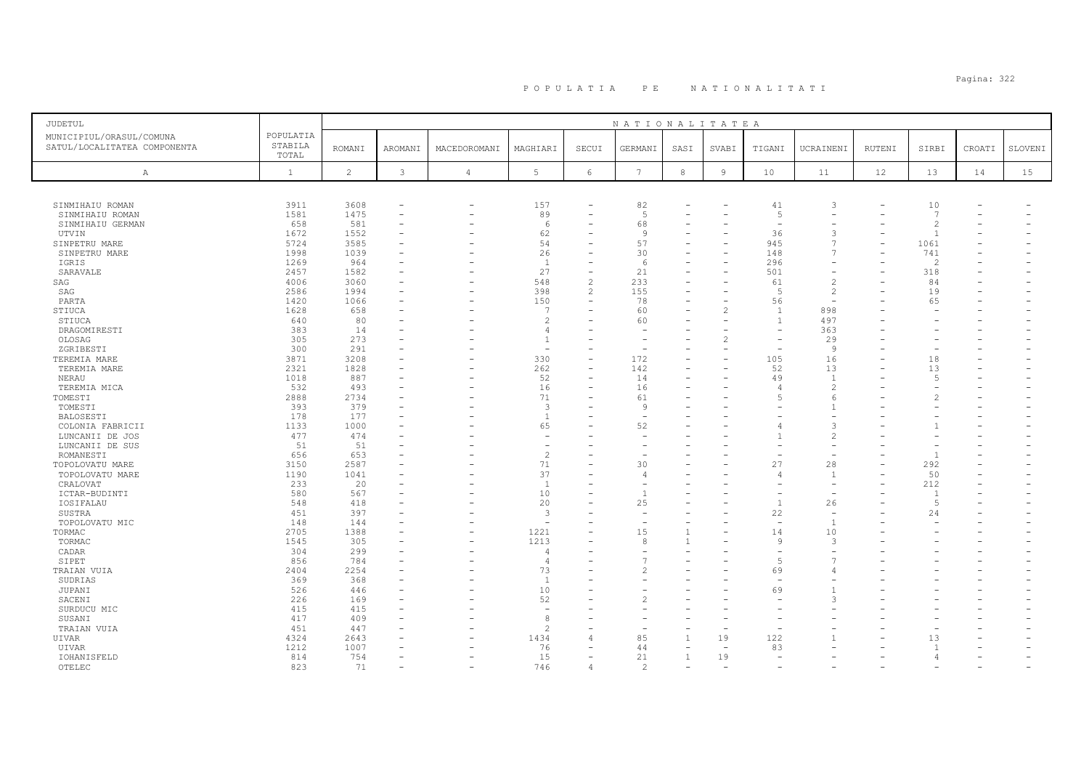| JUDETUL                      |              |                |                          |                          |                          |                          | NATIONALITATEA  |              |                |                          |                          |        |                |        |         |
|------------------------------|--------------|----------------|--------------------------|--------------------------|--------------------------|--------------------------|-----------------|--------------|----------------|--------------------------|--------------------------|--------|----------------|--------|---------|
| MUNICIPIUL/ORASUL/COMUNA     | POPULATIA    |                |                          |                          |                          |                          |                 |              |                |                          |                          |        |                |        |         |
| SATUL/LOCALITATEA COMPONENTA | STABILA      | <b>ROMANI</b>  | AROMANI                  | MACEDOROMANI             | MAGHIARI                 | SECUI                    | GERMANI         |              | SVABI          | TIGANI                   | UCRAINENI                | RUTENI | SIRBI          | CROATI | SLOVENI |
|                              | TOTAL        |                |                          |                          |                          |                          |                 | SASI         |                |                          |                          |        |                |        |         |
|                              |              |                |                          |                          |                          |                          |                 |              |                |                          |                          |        |                |        |         |
| $\mathbb{A}$                 | $\mathbf{1}$ | $\overline{c}$ | 3                        | $\overline{4}$           | $\overline{5}$           | 6                        | $7\phantom{.0}$ | $^{\rm 8}$   | $\overline{9}$ | 10                       | 11                       | 12     | 13             | 14     | 15      |
|                              |              |                |                          |                          |                          |                          |                 |              |                |                          |                          |        |                |        |         |
| SINMIHAIU ROMAN              | 3911         | 3608           |                          | $\overline{\phantom{0}}$ | 157                      |                          | 82              |              |                | 41                       | 3                        |        | 10             |        |         |
|                              | 1581         | 1475           | $\overline{\phantom{0}}$ | -                        | 89                       | -                        | 5               |              |                | 5                        |                          |        | 7              |        |         |
| SINMIHAIU ROMAN              | 658          | 581            |                          |                          | 6                        |                          | 68              |              |                | ÷                        |                          |        | $\overline{c}$ |        |         |
| SINMIHAIU GERMAN             |              |                |                          |                          |                          |                          |                 |              |                |                          |                          |        |                |        |         |
| UTVIN                        | 1672         | 1552           |                          |                          | 62                       |                          | -9              |              |                | 36                       | 3                        |        | $\overline{1}$ |        |         |
| SINPETRU MARE                | 5724         | 3585           |                          |                          | 54                       |                          | 57              |              |                | 945                      | $\overline{7}$           |        | 1061           |        |         |
| SINPETRU MARE                | 1998         | 1039           |                          |                          | 26                       |                          | 30              |              |                | 148                      | 7                        |        | 741            |        |         |
| IGRIS                        | 1269         | 964            |                          |                          | 1                        |                          | -6              |              |                | 296                      |                          |        | $\mathcal{L}$  |        |         |
| SARAVALE                     | 2457         | 1582           | ۰                        |                          | 27                       | $\overline{\phantom{0}}$ | 21              |              |                | 501                      |                          |        | 318            |        |         |
| SAG                          | 4006         | 3060           | ۰                        |                          | 548                      | $\overline{c}$           | 233             |              |                | 61                       | $\overline{c}$           |        | 84             |        |         |
| SAG                          | 2586         | 1994           |                          |                          | 398                      | $\overline{2}$           | 155             |              |                | 5                        | $\overline{c}$           |        | 19             |        |         |
| PARTA                        | 1420         | 1066           | ۳                        | $=$                      | 150                      | $\overline{\phantom{0}}$ | 78              |              |                | 56                       | $\overline{\phantom{a}}$ |        | 65             |        |         |
| STIUCA                       | 1628         | 658            |                          |                          | -7                       |                          | 60              |              |                | $\overline{1}$           | 898                      |        |                |        |         |
| STIUCA                       | 640          | 80             | ۰                        |                          | $\overline{c}$           |                          | 60              |              |                | $\overline{1}$           | 497                      |        |                |        |         |
| DRAGOMIRESTI                 | 383          | 14             |                          |                          | $\overline{4}$           |                          |                 |              |                |                          | 363                      |        |                |        |         |
| OLOSAG                       | 305          | 273            | ۳                        |                          | $\overline{1}$           |                          |                 |              |                |                          | 29                       |        |                |        |         |
|                              | 300          | 291            |                          |                          | ۰                        |                          |                 |              |                |                          | 9                        |        |                |        |         |
| ZGRIBESTI                    |              |                |                          |                          |                          |                          |                 |              |                |                          |                          |        |                |        |         |
| TEREMIA MARE                 | 3871         | 3208           |                          |                          | 330                      |                          | 172             |              |                | 105                      | 16                       |        | 18             |        |         |
| TEREMIA MARE                 | 2321         | 1828           |                          |                          | 262                      |                          | 142             |              |                | 52                       | 13                       |        | 13             |        |         |
| NERAU                        | 1018         | 887            |                          |                          | 52                       |                          | 14              |              |                | 49                       | $\overline{1}$           |        | $\overline{5}$ |        |         |
| TEREMIA MICA                 | 532          | 493            |                          |                          | 16                       |                          | 16              |              |                | $\sqrt{2}$               | $\overline{c}$           |        |                |        |         |
| TOMESTI                      | 2888         | 2734           |                          |                          | 71                       |                          | 61              |              |                | $\overline{5}$           | $\epsilon$               |        |                |        |         |
| TOMESTI                      | 393          | 379            | ۰                        |                          | $\overline{3}$           |                          | q               |              |                |                          | $\mathbf{1}$             |        |                |        |         |
| BALOSESTI                    | 178          | 177            |                          |                          | $\overline{1}$           |                          |                 |              |                |                          |                          |        |                |        |         |
| COLONIA FABRICII             | 1133         | 1000           | ÷                        |                          | 65                       |                          | 52              |              |                |                          | 3                        |        |                |        |         |
| LUNCANII DE JOS              | 477          | 474            |                          |                          | ۰                        |                          |                 |              |                |                          | 2                        |        |                |        |         |
| LUNCANII DE SUS              | 51           | 51             |                          |                          | ٠                        |                          |                 |              |                |                          |                          |        |                |        |         |
| ROMANESTI                    | 656          | 653            |                          |                          | $\overline{c}$           |                          |                 |              |                |                          |                          |        | $\overline{1}$ |        |         |
|                              | 3150         | 2587           |                          |                          | 71                       |                          | 30              |              |                | 27                       |                          |        | 292            |        |         |
| TOPOLOVATU MARE              |              |                |                          |                          | 37                       |                          |                 |              |                |                          | 28<br>$\overline{1}$     |        |                |        |         |
| TOPOLOVATU MARE              | 1190         | 1041           |                          |                          |                          |                          | $\overline{4}$  |              |                | $\sqrt{2}$               |                          |        | 50             |        |         |
| CRALOVAT                     | 233          | 20             |                          |                          | 1                        |                          |                 |              |                |                          |                          |        | 212            |        |         |
| ICTAR-BUDINTI                | 580          | 567            |                          |                          | 10                       |                          |                 |              |                |                          |                          |        | $\overline{1}$ |        |         |
| IOSIFALAU                    | 548          | 418            |                          |                          | 20                       |                          | 25              |              |                | -1                       | 26                       |        | -5             |        |         |
| SUSTRA                       | 451          | 397            | ۰                        |                          | $\overline{\mathbf{3}}$  |                          |                 |              |                | 22                       | $\overline{\phantom{a}}$ |        | 24             |        |         |
| TOPOLOVATU MIC               | 148          | 144            |                          |                          | $\overline{\phantom{a}}$ |                          |                 |              |                | $\overline{\phantom{0}}$ | -1                       |        |                |        |         |
| TORMAC                       | 2705         | 1388           | ۰                        |                          | 1221                     |                          | 15              | $\mathbf{1}$ |                | 14                       | 10                       |        |                |        |         |
| TORMAC                       | 1545         | 305            |                          |                          | 1213                     |                          |                 | -1           |                | 9                        | 3                        |        |                |        |         |
| CADAR                        | 304          | 299            |                          |                          | $\overline{4}$           |                          |                 |              |                |                          |                          |        |                |        |         |
| SIPET                        | 856          | 784            |                          |                          | 4                        |                          |                 |              |                | 5                        |                          |        |                |        |         |
| TRAIAN VUIA                  | 2404         | 2254           |                          |                          | 73                       |                          | $\mathcal{L}$   |              |                | 69                       |                          |        |                |        |         |
| SUDRIAS                      | 369          | 368            |                          |                          | <sup>1</sup>             |                          |                 |              |                |                          |                          |        |                |        |         |
|                              |              | 446            |                          |                          | 10                       |                          |                 |              |                | 69                       |                          |        |                |        |         |
| JUPANI                       | 526          |                |                          |                          |                          |                          |                 |              |                |                          | -3                       |        |                |        |         |
| SACENI                       | 226          | 169            |                          |                          | 52                       |                          |                 |              |                |                          |                          |        |                |        |         |
| SURDUCU MIC                  | 415          | 415            |                          |                          | $\overline{\phantom{a}}$ |                          |                 |              |                |                          |                          |        |                |        |         |
| SUSANI                       | 417          | 409            | ۳                        |                          | 8                        |                          |                 |              |                |                          |                          |        |                |        |         |
| TRAIAN VUIA                  | 451          | 447            |                          |                          | $\overline{c}$           |                          |                 |              |                |                          |                          |        |                |        |         |
| <b>UIVAR</b>                 | 4324         | 2643           | ÷                        |                          | 1434                     |                          | 85              | $\mathbf{1}$ | 19             | 122                      |                          |        | 13             |        |         |
| UIVAR                        | 1212         | 1007           |                          |                          | 76                       |                          | 44              |              | $\overline{a}$ | 83                       |                          |        |                |        |         |
| IOHANISFELD                  | 814          | 754            | ۳                        |                          | 15                       |                          | 21              | $\mathbf{1}$ | 19             | $\overline{a}$           |                          |        |                |        |         |
| OTELEC                       | 823          | 71             | ۳                        |                          | 746                      | 4                        | $\mathcal{L}$   |              |                |                          |                          |        |                |        |         |
|                              |              |                |                          |                          |                          |                          |                 |              |                |                          |                          |        |                |        |         |